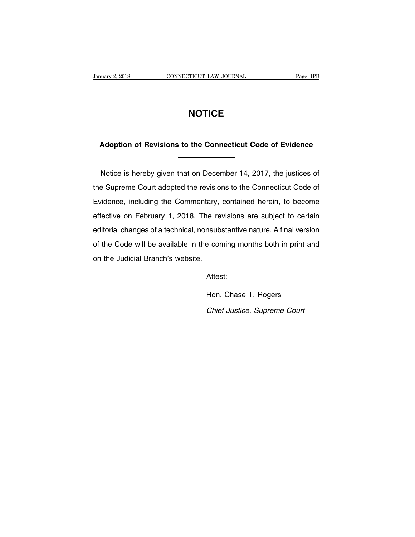# **NOTICE**

# **Adoption of Revisions to the Connecticut Code of Evidence**

Adoption of Revisions to the Connecticut Code of Evidence<br>
Notice is hereby given that on December 14, 2017, the justices of<br>
Supreme Court adopted the revisions to the Connecticut Code of Adoption of Revisions to the Connecticut Code of Evidence<br>
Notice is hereby given that on December 14, 2017, the justices of<br>
the Supreme Court adopted the revisions to the Connecticut Code of<br>
Evidence, including the Comm Notice is hereby given that on December 14, 2017, the justices of<br>the Supreme Court adopted the revisions to the Connecticut Code of<br>Evidence, including the Commentary, contained herein, to become<br>effective on February 1, Notice is hereby given that on December 14, 2017, the justices of<br>the Supreme Court adopted the revisions to the Connecticut Code of<br>Evidence, including the Commentary, contained herein, to become<br>effective on February 1, the Supreme Court adopted the revisions to the Connecticut Code of<br>Evidence, including the Commentary, contained herein, to become<br>effective on February 1, 2018. The revisions are subject to certain<br>editorial changes of a Evidence, including the Commentary, contained herein, to become<br>effective on February 1, 2018. The revisions are subject to certain<br>editorial changes of a technical, nonsubstantive nature. A final version<br>of the Code will Evidence, including the Commentary, contained herein, to become effective on February 1, 2018. The revisions are subject to certain editorial changes of a technical, nonsubstantive nature. A final version of the Code will of the Code will be available in the coming months both in print and<br>on the Judicial Branch's website.<br>Attest:<br>Hon. Chase T. Rogers

Attest:

Chief Justice, Supreme Court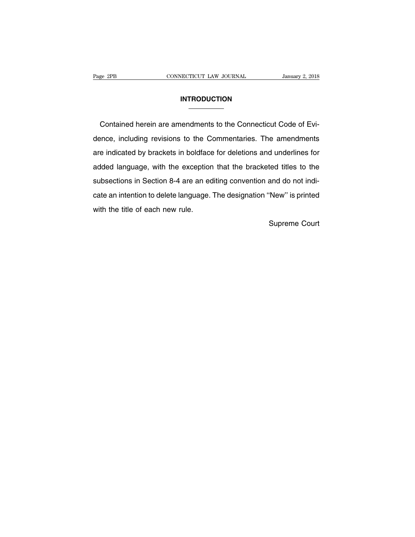# **INTRODUCTION**

Page 2PB CONNECTICUT LAW JOURNAL January 2, 2018<br>
INTRODUCTION<br>
Contained herein are amendments to the Connecticut Code of Evi-<br>
dence, including revisions to the Commentaries. The amendments INTRODUCTION<br>
Contained herein are amendments to the Connecticut Code of Evi-<br>
dence, including revisions to the Commentaries. The amendments<br>
are indicated by brackets in boldface for deletions and underlines for **EXECUTE ARRET CONTERNATION CONTRODUCTION**<br> **Contained herein are amendments to the Connecticut Code of Evi-**<br>
dence, including revisions to the Commentaries. The amendments<br>
are indicated by brackets in boldface for delet Contained herein are amendments to the Connecticut Code of Evi-<br>dence, including revisions to the Commentaries. The amendments<br>are indicated by brackets in boldface for deletions and underlines for<br>added language, with the dence, including revisions to the Commentaries. The amendments<br>are indicated by brackets in boldface for deletions and underlines for<br>added language, with the exception that the bracketed titles to the<br>subsections in Secti are indicated by brackets in boldface for deletions and underlines for<br>added language, with the exception that the bracketed titles to the<br>subsections in Section 8-4 are an editing convention and do not indi-<br>cate an inten added language, with the exception that the bracketed titles to the subsections in Section 8-4 are an editing convention and do not indicate an intention to delete language. The designation "New" is printed with the title cate an intention to delete language. The designation "New" is printed<br>with the title of each new rule.<br>Supreme Court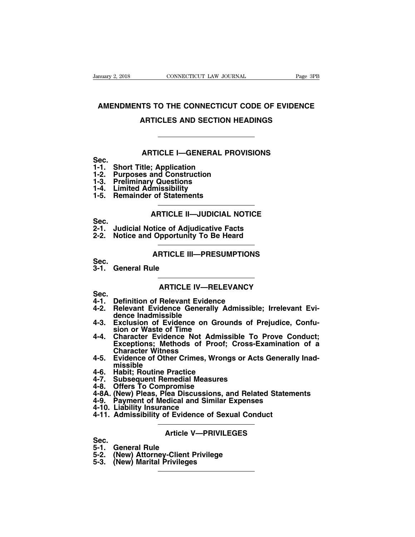# **AMENDMENTS TO THE CONNECTICUT LAW JOURNAL** Page 3PB<br> **AMENDMENTS TO THE CONNECTICUT CODE OF EVIDENCE**<br> **ARTICLES AND SECTION HEADINGS** CONNECTICUT LAW JOURNAL Page 3PI<br> **ARTICLES AND SECTION HEADINGS**<br> **ARTICLES AND SECTION HEADINGS TS TO THE CONNECTICUT CODE OF EVIDENCE<br>ARTICLES AND SECTION HEADINGS<br>ARTICLE I—GENERAL PROVISIONS<br>tle; Application**

**Sec.**

- 
- **1-1. Short Title; Application**<br> **1-1. Short Title; Application<br>
1-2. Purposes and Construction<br>
1-3. Preliminary Questions ARTICLES AND SECTION HEAL<br>
4-2. Purposes and Construction<br>
1-2. Purposes and Construction<br>
1-3. Preliminary Questions<br>
1-4. Limited Admissibility 1-3. Prefix and Sec.**<br> **1-1. Short Title; Application<br>
1-2. Purposes and Construction<br>
1-3. Preliminary Questions<br>
1-4. Limited Admissibility<br>
1-5. Remainder of Statements 1-1.** Short Title; Application<br>
1-1. Short Title; Application<br>
1-2. Purposes and Construction<br>
1-3. Preliminary Questions<br>
1-4. Limited Admissibility<br>
1-5. Remainder of Statements **1-1.** Short Title; Application<br>
1-1. Short Title; Application<br>
1-2. Purposes and Construction<br>
1-3. Preliminary Questions<br>
1-4. Limited Admissibility<br>
1-5. Remainder of Statements
- 
- 
- 

# **Application<br>
ARTICLE II—JUDICIAL NOTICE<br>
ARTICLE II—JUDICIAL NOTICE<br>
ARTICLE II—JUDICIAL NOTICE<br>
ARTICLE II—JUDICIAL NOTICE<br>
Ditice of Adjudicative Facts ARTICLE II—JUDICIAL NOTICE<br>tice of Adjudicative Facts<br>Opportunity To Be Heard<br>ARTICLE III—PRESUMPTIONS**<br>Ie

- Sec.<br>2-1. Judicial Notice of Adjudicative Facts
- 1-2. Purposes and Construction<br>1-3. Preliminary Questions<br>1-4. Limited Admissibility<br>1-5. Remainder of Statements<br>**ARTICLE II—JUDICIAL NOTICE**<br>Sec.<br>2-1. Judicial Notice of Adjudicative Facts<br>2-2. Notice and Opportunity To **2-3. Preliminary Questions<br>
1-4. Limited Admissibility<br>
1-5. Remainder of Statements<br>
ARTICLE II—JUDICIAL NOTICE<br>
Sec.<br>
2-1. Judicial Notice of Adjudicative Facts<br>
2-2. Notice and Opportunity To Be Heard<br>
ARTICLE II—PRESI 3-1.** Judicial Notice of Adjudicative Facts<br>
2-2. Notice and Opportunity To Be Heard<br> **3-1.** General Rule<br> **3-1.** General Rule<br> **ARTICLE III—PRESUMPTIONS**

# **Proportunity To Be Heard<br>PRTICLE III—PRESUMPTIONS<br>ARTICLE IV—RELEVANCY<br>Relevant Evidence**

- 
- Sec.<br>3-1. General Rule

**Sec.**

- 
- **4-1.** General Rule<br>**4-1.** General Rule<br>**4-1.** Definition of Relevant Evidence<br>4-2. Relevant Evidence Generally Admissible<br>dence Inadmissible AHIICLE III—PRESUMPTIONS<br>
3-1. General Rule<br> **4-1. Definition of Relevant Evidence**<br>
4-2. Relevant Evidence Generally Admissible; Irrelevant Evi-<br>
4-2. Relevant Evidence Generally Admissible; Irrelevant Evi-<br>
4-3. Exclusio General Rule<br> **ARTICLE IV—REI**<br>
Definition of Relevant Evidence<br>
Relevant Evidence Generally<br>
dence Inadmissible<br>
Exclusion of Evidence on Gr<br>
sion or Waste of Time
- 3-1. General Rule<br> **4-1.** Definition of Relevant Evidence<br>
4-2. Relevant Evidence Generally Admissible; Irrelevant Evidence Inadmissible<br>
4-3. Exclusion of Evidence on Grounds of Prejudice, Confu-<br>
4-4. Character Evidence
- **ARTICLE IV—RELEY**<br>
Definition of Relevant Evidence<br>
Relevant Evidence Generally Adence Inadmissible<br>
Exclusion of Evidence on Grou<br>
sion or Waste of Time<br>
Character Evidence Not Admiss<br>
Exceptions<sub></sub>: Methods of Proof; **4-1.** Definition of Relevant Evidence<br>
4-1. Definition of Relevant Evidence<br>
4-2. Relevant Evidence Generally Admissible; Irrelevant Evidence Inadmissible<br>
4-3. Exclusion of Evidence on Grounds of Prejudice, Confusion or **Example 18 Secure 12 Secure 12 Secure 2018**<br>
Relevant Evidence Generally Admissible; Irrelevant Evidence Inadmissible<br>
Exclusion of Evidence on Grounds of Prejudice, Confu-<br>
sion or Waste of Time<br>
Character Evidence Not A **Definition of Relevant Eviden<br>
Relevant Evidence Generally<br>
dence Inadmissible<br>
Exclusion of Evidence on G<br>
sion or Waste of Time<br>
Character Evidence Not Ad<br>
Exceptions; Methods of Pro<br>
Character Witness<br>
Evidence of Othe** 4-2. Relevant Evidence Generally Admissible; Irrelevant Evidence Inadmissible<br>4-3. Exclusion of Evidence on Grounds of Prejudice, Confusion or Waste of Time<br>4-4. Character Evidence Not Admissible To Prove Conduct;<br>Exceptio 4-3. Exclusion of Evidence on Groun<br>sion or Waste of Time<br>4-4. Character Evidence Not Admiss<br>Exceptions; Methods of Proof;<br>Character Witness<br>4-5. Evidence of Other Crimes, Wrongs<br>missible<br>4-6. Habit; Routine Practice<br>4-7. 4-4. Character Evidence Mot Admissible To F<br>
Exceptions; Methods of Proof; Cross-Ex.<br>
Character Witness<br>
4-5. Evidence of Other Crimes, Wrongs or Acts<br>
missible<br>
4-6. Habit; Routine Practice<br>
4-7. Subsequent Remedial Measu 4-4. Character Evidence Not Admiss<br>Exceptions; Methods of Proof;<br>Character Witness<br>4-5. Evidence of Other Crimes, Wrong<br>missible<br>4-6. Habit; Routine Practice<br>4-7. Subsequent Remedial Measures<br>4-8. Offers To Compromise<br>4-8A **4-4. Exceptions; Methods of Proof; Cross-Examination of a**<br> **Exceptions; Methods of Proof; Cross-Examination of a**<br> **4-5. Evidence of Other Crimes, Wrongs or Acts Generally Inad-**<br>
missible<br>
4-6. Habit; Routine Practice<br>
- **missible** Character Witness<br>
4-5. Evidence of Other Crimes, Wrongs or Acts Generally<br>
missible<br>
4-6. Habit; Routine Practice<br>
4-7. Subsequent Remedial Measures<br>
4-8. Offers To Compromise<br>
4-8A. (New) Pleas, Plea Discussions, and Rel 4-5. Evidence of Other Crimes, With missible<br>missible<br>4-6. Habit; Routine Practice<br>4-7. Subsequent Remedial Measu<br>4-8. Offers To Compromise<br>4-8A. (New) Pleas, Plea Discussion<br>4-9. Payment of Medical and Simi<br>4-10. Liabilit **4-5. Evidence of School Conductives, worldge of Acts defined<br>4-6. Habit; Routine Practice<br>4-2. Subsequent Remedial Measures<br>4-8A. (New) Pleas, Plea Discussions, and Related Statem<br>4-9. Payment of Medical and Similar Expen**
- 
- 
- 
- **EXECUTE SERVICES**<br> **AREGONAL EXECUTES**<br> **AREGONAL EXPENSES**<br> **AREGONAL EXPENSES**<br> **Article V—PRIVILEGES**<br> **AREGONAL EXPRIVILEGES**
- 4-8A. (New) Pleas, Plea Discu<br>4-9. Payment of Medical and<br>4-10. Liability Insurance<br>4-11. Admissibility of Eviden<br>**5-1. General Rule**<br>5-2. (New) Attorney-Client P<br>5-3. (New) Marital Privileges
- 
- 4-9. Payment of Medical and Similar Expenses<br>4-10. Liability Insurance<br>4-11. Admissibility of Evidence of Sexual Conce<br>5-1. General Rule<br>5-2. (New) Attorney-Client Privilege<br>5-3. (New) Marital Privileges 4-10. Liability insurance<br>4-11. Admissibility of Eviden<br>**4-11. Admissibility of Eviden**<br>**5-6.** (New) Attorney-Client P<br>5-3. (New) Marital Privileges

- Sec.<br>5-1. General Rule
- 
-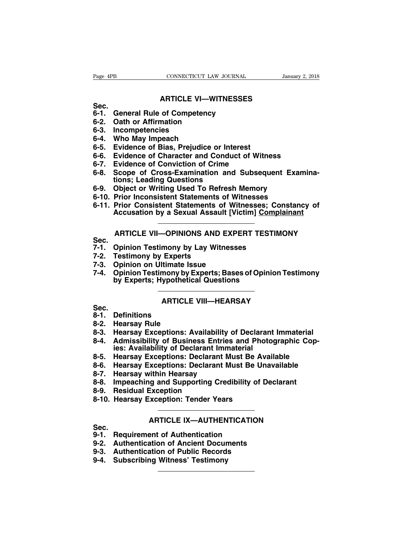# **CONNECTICUT LAW JOURNAL** Januar<br> **ARTICLE VI—WITNESSES**<br> **Of Competency**

- Sec.<br>6-1. General Rule of Competency Page 4PB<br> **6-1.** General Rule of Competency<br>
6-1. General Rule of Competency<br>
6-2. Oath or Affirmation<br>
6-3. Incompetencies Page 4PB<br> **6-1.** General Rule of Competency<br>
6-1. General Rule of Competency<br>
6-2. Oath or Affirmation<br>
6-3. Incompetencies<br>
6-4. Who May Impeach Page 4PB<br> **6-4.** General Rule of Competen<br>
6-1. General Rule of Competen<br>
6-2. Oath or Affirmation<br>
6-3. Incompetencies<br>
6-4. Who May Impeach<br>
6-5. Evidence of Bias. Preiudic
- 
- 
- 
- **6-6.**<br> **6-1.** General Rule of Competency<br>
6-2. Oath or Affirmation<br>
6-3. Incompetencies<br>
6-4. Who May Impeach<br>
6-5. Evidence of Bias, Prejudice on<br>
6-6. Evidence of Character and Co
- ARTICLE VI—WITNESSES<br>
Sec.<br>
6-1. General Rule of Competency<br>
6-2. Oath or Affirmation<br>
6-3. Incompetencies<br>
6-4. Who May Impeach<br>
6-5. Evidence of Bias, Prejudice or Interest<br>
6-6. Evidence of Character and Conduct of Witn Sec.<br>
6-1. General Rule of Competency<br>
6-2. Oath or Affirmation<br>
6-3. Incompetencies<br>
6-4. Who May Impeach<br>
6-5. Evidence of Bias, Prejudice or Interest<br>
6-6. Evidence of Character and Conduct of Witness<br>
6-7. Evidence of
- 
- **6-1. General Rule of Competency<br>
6-2. Oath or Affirmation<br>
6-3. Incompetencies<br>
6-4. Who May Impeach<br>
6-5. Evidence of Bias, Prejudice or Interest<br>
6-6. Evidence of Character and Conduct of Witr<br>
6-7. Evidence of Convicti** 6-2. Oath or Affirmation<br>6-3. Incompetencies<br>6-4. Who May Impeach<br>6-5. Evidence of Bias, Prejudice or Interest<br>6-6. Evidence of Character and Conduct of Witness<br>6-7. Evidence of Conviction of Crime<br>6-8. Scope of Cross-Exam **Incompetencies**<br>Who May Impeach<br>Evidence of Bias, Prejudice or Inter<br>Evidence of Character and Conduct<br>Evidence of Conviction of Crime<br>Scope of Cross-Examination and<br>ions; Leading Questions<br>Object or Writing Used To Refre 6-4. Who May Impeach<br>6-5. Evidence of Bias, Prejudice or Interest<br>6-6. Evidence of Character and Conduct of Witness<br>6-7. Evidence of Conviction of Crime<br>6-8. Scope of Cross-Examination and Subsequent Exam<br>tions; Leading Qu 6-5. Evidence of Bias, Prejudice or Interest<br>6-6. Evidence of Character and Conduct of Witness<br>6-7. Evidence of Conviction of Crime<br>6-8. Scope of Cross-Examination and Subsequent Exam<br>tions; Leading Questions<br>6-9. Object o **6-6. Evidence of Character and Conduct of Witness**<br> **6-7. Evidence of Conviction of Crime**<br> **6-8. Scope of Cross-Examination and Subsequent Examinations; Leading Questions**<br> **6-9. Object or Writing Used To Refresh Memory** Evidence of Conviction of Crime<br>
Scope of Cross-Examination and Subsequent Examina-<br>
tions; Leading Questions<br>
Object or Writing Used To Refresh Memory<br>
Prior Inconsistent Statements of Witnesses<br>
Prior Consistent Statemen
- 
- 
- tions; Leading Questions<br>Object or Writing Used To Refresh Memory<br>Prior Inconsistent Statements of Witnesses; Constancy of<br>Accusation by a Sexual Assault [Victim] <u>Complainant</u><br>ARTICLE VII—OPINIONS AND EXPERT TESTIMONY<br>Opi 6-10. Prior Inconsistent Statements of Witnesses<br>
6-11. Prior Consistent Statements of Witnesses; Cor<br>
Accusation by a Sexual Assault [Victim] Compla<br> **7-1. Opinion Testimony by Lay Witnesses**<br>
7-2. Testimony by Experts<br>
7 6-11. Prior Consistent Statements of<br>Accusation by a Sexual Assault<br>**7-2. Depinion Testimony by Lay Witne**<br>7-1. Opinion Testimony by Lay Witne<br>7-2. Testimony by Experts<br>7-3. Opinion on Ultimate Issue<br>7-4. Opinion Testimony

- Sec.<br>7-1. Opinion Testimony by Lay Witnesses
- 
- 
- **4-4. Accusation by a Sexual Assault [Vice root on Transfer 2014**<br> **7-4. Opinion Testimony by Lay Witnesses**<br> **7-4. Opinion Testimony by Lay Witnesses**<br> **7-4. Opinion on Ultimate Issue<br>
7-4. Opinion Testimony by Experts; B 7-1. ARTICLE VII—OPINIONS AND EXPERT TESTIMONY**<br> **7-1. Opinion Testimony by Lay Witnesses<br>
7-2. Testimony by Experts<br>
7-3. Opinion on Ultimate Issue<br>
7-4. Opinion Testimony by Experts; Bases of Opinion Testimony<br>
by Exper ARTICLE VII—OPINIONS AND EXPERT TESTII**<br> **Opinion Testimony by Lay Witnesses<br>
Testimony by Experts<br>
Opinion on Ultimate Issue<br>
Opinion Testimony by Experts; Bases of Opinio<br>
by Experts; Hypothetical Questions<br>
PRESCIPTION** mony by Lay Witnesses<br>
Experts<br> **Itimate Issue<br>
mony by Experts; Bases of Opinion Tes<br>
ypothetical Questions<br>
ARTICLE VIII—HEARSAY 8-2.** Opinion on Ultimate I<br> **8-1.** Definion Testimony by<br>
by Experts; Hypothet<br> **8-1.** Definitions<br>
8-2. Hearsay Rule<br>
8-3. Hearsay Exceptions: 7-4. Opinion Testimony by Experts; Bases of Opinion Testimony<br>by Experts; Hypothetical Questions<br>**8-2. Definitions**<br>8-2. Hearsay Rule<br>8-3. Hearsay Exceptions: Availability of Declarant Immaterial

- **Sec.**<br>8-1. Definitions
- 
- 
- **8-3. Hearsay Exceptions: Availability of Declarant Immaterial 8-4.** ARTICLE VIII—HEARSAY<br>
8-1. Definitions<br>
8-2. Hearsay Rule<br>
8-3. Hearsay Exceptions: Availability of Declarant Immaterial<br>
8-4. Admissibility of Business Entries and Photographic Cop-<br>
ies: Availability of Declarant **idde Conciled AVIDE STACK CORONO Definitions**<br> **idde Stack Correlations: Availability of Declaran<br>
Admissibility of Business Entries and Photo<br>
ies: Availability of Declarant Immaterial<br>
Hearsay Exceptions: Declarant Must 8-6.**<br> **8-1.** Definitions<br>
8-2. Hearsay Rule<br>
8-3. Hearsay Exceptions: Availability of Declarant Immaterial<br>
8-4. Admissibility of Business Entries and Photographic Copies: Availability of Declarant Immaterial<br>
8-5. Hears 8-1. Definitions<br>8-2. Hearsay Rule<br>8-3. Hearsay Exceptions: Availability of Declarant Immaterial<br>8-4. Admissibility of Business Entries and Photographic Cop-<br>ies: Availability of Declarant Immaterial<br>8-5. Hearsay Exception **8-2. Hearsay Rule<br>
8-3. Hearsay Exceptions: Availability o<br>
8-4. Admissibility of Business Entries<br>
ies: Availability of Declarant Imma<br>
8-5. Hearsay Exceptions: Declarant Mu<br>
8-6. Hearsay Exceptions: Declarant Mu<br>
8-7. H 8-3. Hearsay Exceptions: Availability of Declarant Immaterial**<br> **8-4. Admissibility of Business Entries and Photographic Copies: Availability of Declarant Immaterial**<br> **8-5. Hearsay Exceptions: Declarant Must Be Available 8-4.** Admissibility of Business Entr<br>ies: Availability of Declarant In<br>8-5. Hearsay Exceptions: Declarant<br>8-6. Hearsay Exceptions: Declarant<br>8-7. Hearsay within Hearsay<br>8-8. Impeaching and Supporting Cr<br>8-9. Residual Exce
- 
- ies: Availability of Declarant Immaterial<br>8-5. Hearsay Exceptions: Declarant Must Be Ava<br>8-6. Hearsay Exceptions: Declarant Must Be Una<br>8-7. Hearsay within Hearsay<br>8-8. Impeaching and Supporting Credibility of De<br>8-9. Resi
- 
- Exceptions: Declarant Must Be Unavaliable<br>
vithin Hearsay<br>
Ig and Supporting Credibility of Declarant<br>
Exception<br>
Xeception: Tender Years<br>
ARTICLE IX—AUTHENTICATION<br>
ent of Authentication
- 
- 

- Sec.<br>9-1. Requirement of Authentication
- 8-8. Impeaching and Supporting Credibility of<br>8-9. Residual Exception<br>8-10. Hearsay Exception: Tender Years<br>ARTICLE IX—AUTHENTICATION<br>9-1. Requirement of Authentication<br>9-2. Authentication of Ancient Documents<br>9-3. Authent 8-9. Residual Exception<br>
8-10. Hearsay Exception: Tender Years<br>
ARTICLE IX—AUTHENTICATION<br>
Sec.<br>
9-1. Requirement of Authentication<br>
9-2. Authentication of Ancient Documents<br>
9-3. Authentication of Public Records<br>
9-4. Sub 8-10. Hearsay Exception: Tender Years<br> **ARTICLE IX—AUTHENTICATION**<br>
Sec.<br>
9-1. Requirement of Authentication<br>
9-2. Authentication of Ancient Documents<br>
9-3. Authentication of Public Records<br>
9-4. Subscribing Witness' Testi
- 
- **9-4. Sec.**<br> **9-1. Requirement of Authentication**<br> **9-2. Authentication of Ancient Docun<br>
9-3. Authentication of Public Records<br>
9-4. Subscribing Witness' Testimony**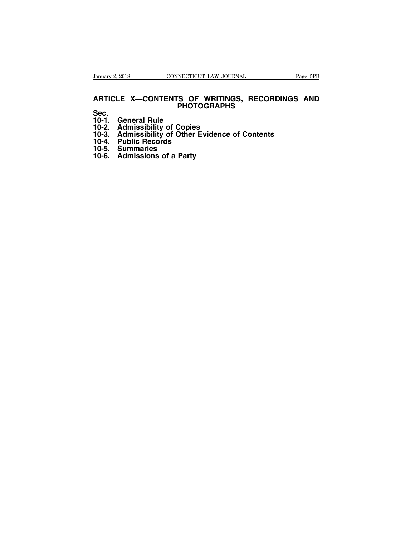# **ARTICLE X—CONTENTS OF WRITINGS, RECORDINGS AND**<br>
Sec. 1997 **PHOTOGRAPHS 12000 12000 13000 13000 13000 14000 14000 14000 14000 14000 14000 14000 14000 14000 14000 14000 14000 14000 14000 14000 14000 14000 14000 14000 14000 14000 14000 14000 14000 14000 14000 14000 14000 14000 14000 14000 14000 12000 10-2.**<br> **10-2.** CONTENTS OF WRITING:<br>
PHOTOGRAPHS<br>
20-2. Admissibility of Copies<br>
10-3. Admissibility of Copies<br>
10-3. Admissibility of Other Evidence of<br>
10-4. Public Records **10-3. ARTICLE X—CONTENTS OF WRITINGS, RECORDINGS AM**<br> **10-1. General Rule**<br> **10-2. Admissibility of Copies**<br> **10-3. Admissibility of Other Evidence of Contents**<br> **10-4. Public Records**<br> **10-5. Summaries** ARTICLE X—CONTENTS OF W<br>Sec.<br>10-1. General Rule<br>10-2. Admissibility of Copies<br>10-3. Admissibility of Other Evi<br>10-4. Public Records<br>10-5. Summaries<br>10-6. Admissions of a Party **ARTICLE X—CONTENTS O**<br> **10-1.** General Rule<br>
10-2. Admissibility of Copic<br>
10-3. Admissibility of Other<br>
10-4. Public Records<br>
10-5. Summaries<br>
10-6. Admissions of a Party **10-1.** General Rule<br>
10-1. General Rule<br>
10-2. Admissibility of Copie<br>
10-3. Admissibility of Other<br>
10-4. Public Records<br>
10-5. Summaries<br>
10-6. Admissions of a Party

**Sec.**

- 
- 
- 
- 
- 
-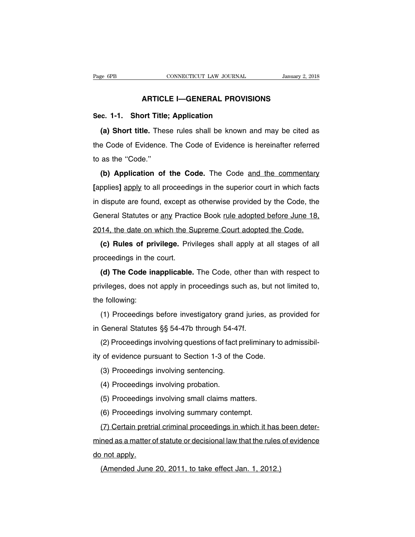# **CONNECTICUT LAW JOURNAL** January 2, 2011<br> **ARTICLE I—GENERAL PROVISIONS**<br> **ARTICLE I—GENERAL PROVISIONS**

Page 6PB<br>
CONNECTICUT LAW JOURNAL<br> **Sec. 1-1. Short Title; Application<br>
(a) Short title.** These rules shall be known a **(a) Short title: Application**<br> **(a) Short title.** These rules shall be known and may be cited as<br> **(a) Short title.** These rules shall be known and may be cited as<br> **Example 2008** of Evidence. The Code of Evidence is here ARTICLE I—GENERAL PROVISIONS<br>Sec. 1-1. Short Title; Application<br>(a) Short title. These rules shall be known and may be cited as<br>the Code of Evidence. The Code of Evidence is hereinafter referred<br>to as the "Code." Sec. 1-1. Short Title<br>
(a) Short title. The<br>
the Code of Evidence<br>
to as the "Code."<br>
(b) Application of (a) Short title. These rules shall be known and may be cited as<br>
a Code of Evidence. The Code of Evidence is hereinafter referred<br>
as the "Code."<br>
(b) Application of the Code. The Code and the commentary<br>
pplies] apply to

**EXECUTE:** These rates shall be known and may be cited as<br>the Code of Evidence. The Code of Evidence is hereinafter referred<br>to as the "Code."<br>**(b) Application of the Code.** The Code and the commentary<br>[applies] apply to a to as the "Code."<br>
(b) Application of the Code. The Code and the commentary<br>
[applies] apply to all proceedings in the superior court in which facts<br>
in dispute are found, except as otherwise provided by the Code, the<br>
Gen (b) Application of the Code. The Code and the commentary [applies] apply to all proceedings in the superior court in which facts in dispute are found, except as otherwise provided by the Code, the General Statutes or <u>any</u> Eapplies] apply to all proceedings in the superior court in which facts<br>in dispute are found, except as otherwise provided by the Code, the<br>General Statutes or any Practice Book <u>rule adopted before June 18,</u><br>2014, the dat dispute are found, except as otherwise provided by the Code, the eneral Statutes or any Practice Book <u>rule adopted before June 18,</u><br>14, the date on which the Supreme Court adopted the Code.<br>**(c) Rules of privilege.** Privi m dispute are found, except as<br>General Statutes or <u>any</u> Practic<br>2014, the date on which the S<br>**(c) Rules of privilege.** Priv<br>proceedings in the court.<br>**(d) The Code inapplicable.** 

14, the date on which the Supreme Court adopted the Code.<br> **(c) Rules of privilege.** Privileges shall apply at all stages of all<br>
oceedings in the court.<br> **(d) The Code inapplicable.** The Code, other than with respect to<br> **contains on the control of the control of the control of the control of the control of the court.**<br> **(c) Rules of privilege.** Privileges shall apply at all stages of all proceedings in the court.<br> **(d) The Code inapplicab** proceedings in the<br> **(d) The Code in**<br>
privileges, does no<br>
the following:<br>
(1) Proceedings (d) The Code inapplicable. The Code, other than with respect to<br>ivileges, does not apply in proceedings such as, but not limited to,<br>e following:<br>(1) Proceedings before investigatory grand juries, as provided for<br>General (a) The Sode mapphicable. The Sode, other that<br>privileges, does not apply in proceedings such as, b<br>the following:<br>(1) Proceedings before investigatory grand juries,<br>in General Statutes §§ 54-47b through 54-47f.<br>(2) Procee

(1) Proceedings before investigatory grand juries, as provided for<br>(1) Proceedings before investigatory grand juries, as provided for<br>General Statutes §§ 54-47b through 54-47f.<br>(2) Proceedings involving questions of fact p (1) Proceedings before investigatory grand juries, as p<br>in General Statutes  $\S$  54-47b through 54-47f.<br>(2) Proceedings involving questions of fact preliminary to<br>ity of evidence pursuant to Section 1-3 of the Code.<br>(3) Pr (1) Troceedings before investigatory grand<br>General Statutes §§ 54-47b through 54-47f<br>(2) Proceedings involving questions of fact p<br>of evidence pursuant to Section 1-3 of the<br>(3) Proceedings involving sentencing.<br>(4) Procee

(2) Proceedings involving questions of fact<br>(3) Proceedings involving questions of fact<br>(3) Proceedings involving sentencing.<br>(4) Proceedings involving probation.<br>(5) Proceedings involving small claims ma

(2) Proceedings involving questions of fact preliminary<br>of evidence pursuant to Section 1-3 of the Code.<br>(3) Proceedings involving probation.<br>(5) Proceedings involving small claims matters.<br>(6) Proceedings involving summar

(3) Proceedings involving sentencing.<br>
(4) Proceedings involving probation.<br>
(5) Proceedings involving small claims matters.<br>
(6) Proceedings involving summary contempt.<br>
(7) Certain pretrial criminal proceedings in which (3) Proceedings involving sentencing.<br>
(4) Proceedings involving probation.<br>
(5) Proceedings involving summary contempt.<br>
(7) Certain pretrial criminal proceedings in which it has been deter-<br>
ned as a matter of statute or (4) Proceedings involving probation.<br>
(5) Proceedings involving summary contempt.<br>
(7) Certain pretrial criminal proceedings in which it has been deter-<br>
mined as a matter of statute or decisional law that the rules of evi (5) Proceedings<br>
(6) Proceedings<br>
(7) Certain pretri<br>
mined as a matter c<br>
do not apply.<br>
(Amended June (b) Thocealings involving summary contempt.<br>(7) Certain pretrial criminal proceedings in which it has<br>ned as a matter of statute or decisional law that the rules<br>not apply.<br>(Amended June 20, 2011, to take effect Jan. 1, 20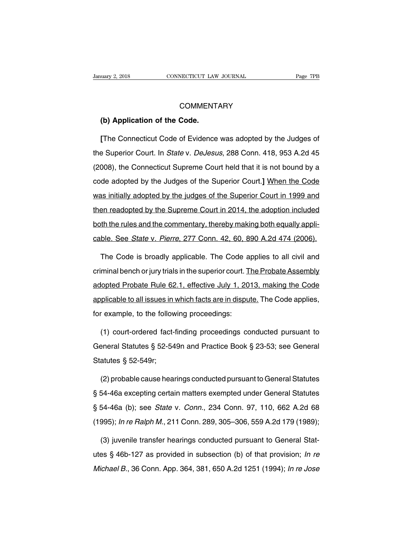# **COMMENTARY**

# **CONNECTICUT LAW**<br> **COMMENT**<br> **(b) Application of the Code.**<br> **COMMENT**

**EXAMPLE COMMENTARY<br>
<b>(b) Application of the Code.**<br> **[The Connecticut Code of Evidence was adopted by the Judges of a Superior Court. In** *State* **v.** *DeJesus***, 288 Conn. 418, 953 A.2d 45** COMMENTARY<br>
(b) Application of the Code.<br>
[The Connecticut Code of Evidence was adopted by the Judges of<br>
the Superior Court. In *State v. DeJesus*, 288 Conn. 418, 953 A.2d 45<br>
(2008), the Connecticut Supreme Court held th (b) Application of the Code.<br>
[The Connecticut Code of Evidence was adopted by the Judges of<br>
the Superior Court. In *State v. DeJesus*, 288 Conn. 418, 953 A.2d 45<br>
(2008), the Connecticut Supreme Court held that it is not [The Connecticut Code of Evidence was adopted by the Judges of<br>the Superior Court. In *State v. DeJesus*, 288 Conn. 418, 953 A.2d 45<br>(2008), the Connecticut Supreme Court held that it is not bound by a<br>code adopted by the the Superior Court. In *State* v. *DeJesus*, 288 Conn. 418, 953 A.2d 45 (2008), the Connecticut Supreme Court held that it is not bound by a code adopted by the Judges of the Superior Court.] When the Code was initially ad (2008), the Connecticut Supreme Court held that it is not bound by a<br>code adopted by the Judges of the Superior Court.] When the Code<br>was initially adopted by the judges of the Superior Court in 1999 and<br>then readopted by coode adopted by the Judges of the Superior Court.] When the Code<br>was initially adopted by the judges of the Superior Court in 1999 and<br>then readopted by the Supreme Court in 2014, the adoption included<br>both the rules and was initially adopted by the judges of the Superior Court in 1999 and<br>then readopted by the Supreme Court in 2014, the adoption included<br>both the rules and the commentary, thereby making both equally appli-<br>cable. See *Sta* en readopted by the Supreme Court in 2014, the adoption included<br>th the rules and the commentary, thereby making both equally appli-<br>ble. See *State* v. Pierre, 277 Conn. 42, 60, 890 A.2d 474 (2006).<br>The Code is broadly ap

both the rules and the commentary, thereby making both equally appli-<br>cable. See *State* v. Pierre, 277 Conn. 42, 60, 890 A.2d 474 (2006).<br>The Code is broadly applicable. The Code applies to all civil and<br>criminal bench or cable. See *State* v. *Pierre*, 277 Conn. 42, 60, 890 A.2d 474 (2006).<br>The Code is broadly applicable. The Code applies to all civil and<br>criminal bench or jury trials in the superior court. The Probate Assembly<br>adopted Pro The Code is broadly applicable. The Code applies to all civil and<br>criminal bench or jury trials in the superior court. The Probate Assembly<br>adopted Probate Rule 62.1, effective July 1, 2013, making the Code<br>applicable to a Fried Code is stodary applicable. The Code a<br>criminal bench or jury trials in the superior court. To<br>adopted Probate Rule 62.1, effective July 1, 20<br>applicable to all issues in which facts are in disputed for example, to t lopted Probate Rule 62.1, effective July 1, 2013, making the Code<br>plicable to all issues in which facts are in dispute. The Code applies,<br>r example, to the following proceedings:<br>(1) court-ordered fact-finding proceedings

applicable to all issues in which facts are in dispute. The Code applies,<br>for example, to the following proceedings:<br>(1) court-ordered fact-finding proceedings conducted pursuant to<br>General Statutes § 52-549n and Practice for example, to the following proceedings:<br>
(1) court-ordered fact-finding proceedings conducted pursuant to<br>
General Statutes § 52-549n and Practice Book § 23-53; see General<br>
Statutes § 52-549r;<br>
(2) probable cause hear (1) court-ordered fact-finding proceedings conducted pursuant to<br>eneral Statutes § 52-549n and Practice Book § 23-53; see General<br>atutes § 52-549r;<br>(2) probable cause hearings conducted pursuant to General Statutes<br>54-46a

General Statutes § 52-549n and Practice Book § 23-53; see General<br>Statutes § 52-549r;<br>(2) probable cause hearings conducted pursuant to General Statutes<br>§ 54-46a excepting certain matters exempted under General Statutes<br>§ Statutes § 52-549r;<br>(2) probable cause hearings conducted pursuant to General Statutes<br>§ 54-46a excepting certain matters exempted under General Statutes<br>§ 54-46a (b); see *State v. Conn.*, 234 Conn. 97, 110, 662 A.2d 68<br>( (2) probable cause hearings conducted pursuant to General Statutes<br>
§ 54-46a excepting certain matters exempted under General Statutes<br>
§ 54-46a (b); see *State* v. *Conn.*, 234 Conn. 97, 110, 662 A.2d 68<br>
(1995); *In re* 54-46a excepting certain matters exempted under General Statutes<br>54-46a (b); see *State* v. *Conn.*, 234 Conn. 97, 110, 662 A.2d 68<br>995); *In re Ralph M.*, 211 Conn. 289, 305–306, 559 A.2d 179 (1989);<br>(3) juvenile transfer

§ 54-46a (b); see *State v. Conn.*, 234 Conn. 97, 110, 662 A.2d 68<br>(1995); *In re Ralph M.*, 211 Conn. 289, 305–306, 559 A.2d 179 (1989);<br>(3) juvenile transfer hearings conducted pursuant to General Stat-<br>utes § 46b-127 as (1995); *In re Ralph M.*, 211 Conn. 289, 305–306, 559 A.2d 179 (1989);<br>(3) juvenile transfer hearings conducted pursuant to General Stat-<br>utes § 46b-127 as provided in subsection (b) of that provision; *In re*<br>*Michael B.*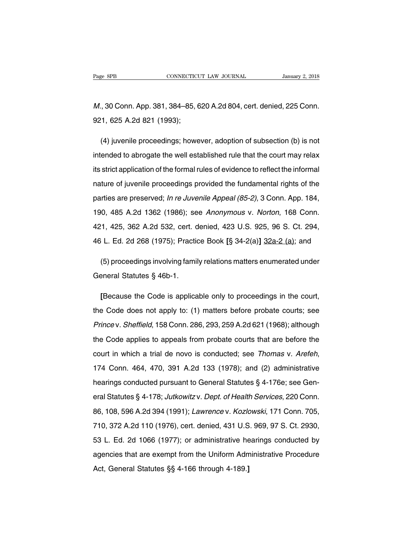Page 8PB<br>
CONNECTICUT LAW JOURNAL<br>
M., 30 Conn. App. 381, 384–85, 620 A.2d 804, cert. denied, 225 Conn.<br>
921, 625 A.2d 821 (1993); Page 8PB<br>
M., 30 Conn. App. 381, 384–85, 6<br>
921, 625 A.2d 821 (1993);<br>
(A) issued is assessed in the base

(4) juvenile proceedings; however, adoption of subsection (b) is not<br>(4) juvenile proceedings; however, adoption of subsection (b) is not<br>ended to abrogate the well established rule that the court may relax *M.*, 30 Conn. App. 381, 384–85, 620 A.2d 804, cert. denied, 225 Conn.<br>921, 625 A.2d 821 (1993);<br>(4) juvenile proceedings; however, adoption of subsection (b) is not<br>intended to abrogate the well established rule that the 921, 625 A.2d 821 (1993);<br>(4) juvenile proceedings; however, adoption of subsection (b) is not<br>intended to abrogate the well established rule that the court may relax<br>its strict application of the formal rules of evidence (4) juvenile proceedings; however, adoption of subsection (b) is not<br>intended to abrogate the well established rule that the court may relax<br>its strict application of the formal rules of evidence to reflect the informal<br>n intended to abrogate the well established rule that the court may relax<br>its strict application of the formal rules of evidence to reflect the informal<br>nature of juvenile proceedings provided the fundamental rights of the<br> Its strict application of the formal rules of evidence to reflect the informal<br>nature of juvenile proceedings provided the fundamental rights of the<br>parties are preserved; *In re Juvenile Appeal (85-2)*, 3 Conn. App. 184,<br> nature of juvenile proceedings provided the fundamental rights of the<br>parties are preserved; *In re Juvenile Appeal (85-2)*, 3 Conn. App. 184,<br>190, 485 A.2d 1362 (1986); see *Anonymous v. Norton*, 168 Conn.<br>421, 425, 362 A parties are preserved; *In re Juvenile Appeal (85-2)*, 3 Conn. App. 184,<br>190, 485 A.2d 1362 (1986); see *Anonymous v. Norton*, 168 Conn.<br>421, 425, 362 A.2d 532, cert. denied, 423 U.S. 925, 96 S. Ct. 294,<br>46 L. Ed. 2d 268 ( (5) proceedings involving family relations matters enumerated under<br>
1. 425, 362 A.2d 532, cert. denied, 423 U.S. 925, 96 S. Ct. 294,<br>
1. Ed. 2d 268 (1975); Practice Book [§ 34-2(a)] 32a-2 (a); and<br>
(5) proceedings involvi 421, 425, 362 A.2d 532, cert. c<br>46 L. Ed. 2d 268 (1975); Practic<br>(5) proceedings involving fami<br>General Statutes § 46b-1.

**EQ. 20 200 (1975), Fractice Book [§ 34-2(a)] 32a-2 (a), and**<br> **(5) proceedings involving family relations matters enumerated under**<br> **EDECAUSE TO ENDAMORE SERVING TO PROCE ASSES**<br> **EDECAUSE the Code is applicable only to** (5) proceedings involving family relations matters enumerated under<br>General Statutes § 46b-1.<br>[Because the Code is applicable only to proceedings in the court,<br>the Code does not apply to: (1) matters before probate courts General Statutes § 46b-1.<br>
[Because the Code is applicable only to proceedings in the court,<br>
the Code does not apply to: (1) matters before probate courts; see<br>
Prince v. Sheffield, 158 Conn. 286, 293, 259 A.2d 621 (1968) [Because the Code is applicable only to proceedings in the court,<br>the Code does not apply to: (1) matters before probate courts; see<br>Prince v. Sheffield, 158 Conn. 286, 293, 259 A.2d 621 (1968); although<br>the Code applies t court in which a trial de novo is conducted; see Thomas v. Arefeh, 174 Conn. 464, 470, 391 A.2d 133 (1978); and (2) administrative hearings conducted pursuant to General Statutes § 4-176e; see Genthe Code applies to appeals from probate courts that are before the court in which a trial de novo is conducted; see *Thomas v. Arefeh*, 174 Conn. 464, 470, 391 A.2d 133 (1978); and (2) administrative hearings conducted p eral Statutes & 4-178; Jutkowitz v. Dept. of Health Services, 220 Conn.<br>174 Conn. 464, 470, 391 A.2d 133 (1978); and (2) administrative<br>hearings conducted pursuant to General Statutes § 4-176e; see Gen-<br>eral Statutes § 4-1 174 Conn. 464, 470, 391 A.2d 133 (1978); and (2) administrative<br>hearings conducted pursuant to General Statutes § 4-176e; see Gen-<br>eral Statutes § 4-178; Jutkowitz v. Dept. of Health Services, 220 Conn.<br>86, 108, 596 A.2d 3 1711 Johnn 124, 119, 3911 Aller 109 (1919), and (2) deministrative<br>hearings conducted pursuant to General Statutes § 4-176e; see Gen-<br>eral Statutes § 4-178; Jutkowitz v. Dept. of Health Services, 220 Conn.<br>86, 108, 596 A.2 Framage Conductour purcelent of Contenar Cultures 3 111 Co, 200 Conn.<br>
86, 108, 596 A.2d 394 (1991); Lawrence v. Kozlowski, 171 Conn. 705,<br>
710, 372 A.2d 110 (1976), cert. denied, 431 U.S. 969, 97 S. Ct. 2930,<br>
53 L. Ed. 2 agencies that are exempt from the Uniform Administrative Procedure<br>Area 108, 596 A.2d 394 (1991); Lawrence v. Kozlowski, 171 Conn. 705,<br>710, 372 A.2d 110 (1976), cert. denied, 431 U.S. 969, 97 S. Ct. 2930,<br>53 L. Ed. 2d 106 Formation (1976), cert. denied, 431 U.S<br>53 L. Ed. 2d 1066 (1977); or administrative he<br>agencies that are exempt from the Uniform Adm<br>Act, General Statutes §§ 4-166 through 4-189.]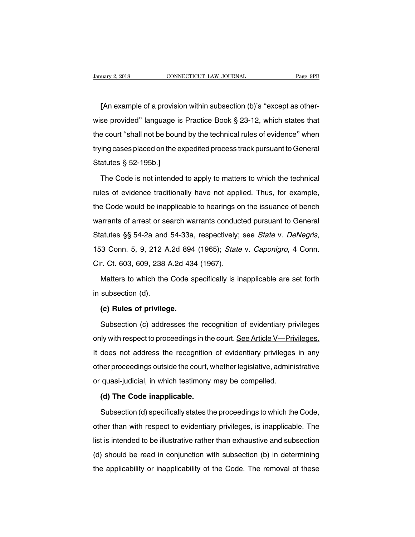**[**An example of a provision within subsection (b)'s ''except as other-University 2, 2018 CONNECTICUT LAW JOURNAL Page 9PB<br>
[An example of a provision within subsection (b)'s "except as other-<br>
wise provided" language is Practice Book § 23-12, which states that<br>
the court "shall not be bound [An example of a provision within subsection (b)'s "except as other-<br>wise provided" language is Practice Book § 23-12, which states that<br>the court "shall not be bound by the technical rules of evidence" when<br>trying cases p [An example of a provision within subsection (b)'s "except as otherwise provided" language is Practice Book § 23-12, which states that<br>the court "shall not be bound by the technical rules of evidence" when<br>trying cases pla Wise provided" language is<br>the court "shall not be bound<br>trying cases placed on the explanation of the code is not intended<br>The Code is not intended Example 2011 The Court "shall not be bound by the technical rules of evidence" when<br>
ing cases placed on the expedited process track pursuant to General<br>
atutes § 52-195b.]<br>
The Code is not intended to apply to matters to

trying cases placed on the expedited process track pursuant to General<br>Statutes § 52-195b.]<br>The Code is not intended to apply to matters to which the technical<br>rules of evidence traditionally have not applied. Thus, for ex Statutes § 52-195b.]<br>The Code is not intended to apply to matters to which the technical<br>rules of evidence traditionally have not applied. Thus, for example,<br>the Code would be inapplicable to hearings on the issuance of be The Code is not intended to apply to matters to which the technical<br>rules of evidence traditionally have not applied. Thus, for example,<br>the Code would be inapplicable to hearings on the issuance of bench<br>warrants of arres rules of evidence traditionally have not applied. Thus, for example, the Code would be inapplicable to hearings on the issuance of bench warrants of arrest or search warrants conducted pursuant to General Statutes §§ 54-2a the Code would be inapplicable to hearings on the issuance of bench<br>warrants of arrest or search warrants conducted pursuant to General<br>Statutes §§ 54-2a and 54-33a, respectively; see *State v. DeNegris*,<br>153 Conn. 5, 9, 2 atutes §§ 54-2a and 54-33a, respectively; see *State v. DeNegris*,<br>3 Conn. 5, 9, 212 A.2d 894 (1965); *State v. Caponigro*, 4 Conn.<br>r. Ct. 603, 609, 238 A.2d 434 (1967).<br>Matters to which the Code specifically is inapplicab 153 Conn. 5, 9, 212 A<br>Cir. Ct. 603, 609, 238  $\prime$ <br>Matters to which the<br>in subsection (d).<br>(c) Rules of privileg

r. Ct. 603, 609, 238 A.2d 434<br>Matters to which the Code s<br>subsection (d).<br>**(c) Rules of privilege.**<br>Subsection (c) addresses the

Matters to which the Code specifically is inapplicable are set forth<br>subsection (d).<br>(c) Rules of privilege.<br>Subsection (c) addresses the recognition of evidentiary privileges<br>ly with respect to proceedings in the court. <u></u> in subsection (d).<br> **(c) Rules of privilege.**<br>
Subsection (c) addresses the recognition of evidentiary privileges<br>
only with respect to proceedings in the court. <u>See Article V—Privileges.</u><br>
It does not address the recogni (c) Rules of privilege.<br>
Subsection (c) addresses the recognition of evidentiary privileges<br>
only with respect to proceedings in the court. <u>See Article V—Privileges.</u><br>
It does not address the recognition of evidentiary pr Subsection (c) addresses the recognition of evidentiary privileges<br>only with respect to proceedings in the court. See Article V—Privileges.<br>It does not address the recognition of evidentiary privileges in any<br>other proceed only with respect to proceedings in the court. See Article V—Pri-<br>It does not address the recognition of evidentiary privileges<br>other proceedings outside the court, whether legislative, admini-<br>or quasi-judicial, in which does not address the recognition<br>her proceedings outside the court, v<br>quasi-judicial, in which testimony<br>**(d) The Code inapplicable.**<br>Subsection (d) specifically states the ner proceedings outside the court, whether legislative, administrative<br>quasi-judicial, in which testimony may be compelled.<br>(d) The Code inapplicable.<br>Subsection (d) specifically states the proceedings to which the Code,<br>h

or quasi-judicial, in which testimony may be compelled.<br>
(d) The Code inapplicable.<br>
Subsection (d) specifically states the proceedings to which the Code,<br>
other than with respect to evidentiary privileges, is inapplicable (d) The Code inapplicable.<br>
Subsection (d) specifically states the proceedings to which the Code,<br>
other than with respect to evidentiary privileges, is inapplicable. The<br>
list is intended to be illustrative rather than ex Subsection (d) specifically states the proceedings to which the Code,<br>other than with respect to evidentiary privileges, is inapplicable. The<br>list is intended to be illustrative rather than exhaustive and subsection<br>(d) sh of the applicability of the proceedings to which the exact,<br>other than with respect to evidentiary privileges, is inapplicable. The<br>list is intended to be illustrative rather than exhaustive and subsection<br>(d) should be re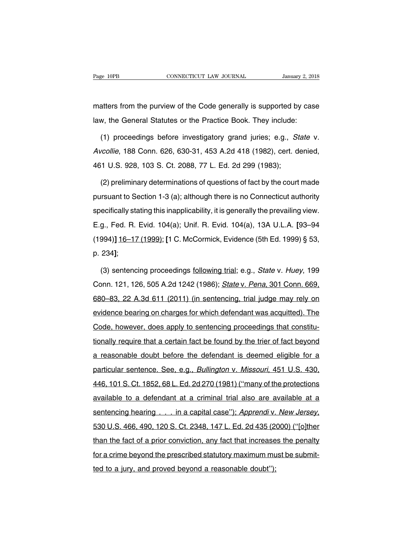Page 10PB CONNECTICUT LAW JOURNAL January 2, 2018<br>
matters from the purview of the Code generally is supported by case<br>
law, the General Statutes or the Practice Book. They include: Page 10PB CONNECTICUT LAW JOURNAL January 2, 201<br>
matters from the purview of the Code generally is supported by cas<br>
law, the General Statutes or the Practice Book. They include:<br>
(1) proceeding before investigatory grand

atters from the purview of the Code generally is supported by case<br>w, the General Statutes or the Practice Book. They include:<br>(1) proceedings before investigatory grand juries; e.g., *State* v.<br>*collie*, 188 Conn. 626, 63 matters from the purview of the Code generally is supported by case<br>law, the General Statutes or the Practice Book. They include:<br>(1) proceedings before investigatory grand juries; e.g., *State* v.<br>Avcollie, 188 Conn. 626, law, the General Statutes or the Practice Book. They include:<br>
(1) proceedings before investigatory grand juries; e.g., *St*<br>
Avcollie, 188 Conn. 626, 630-31, 453 A.2d 418 (1982), cert. de<br>
461 U.S. 928, 103 S. Ct. 2088, 7 (1) proceedings before investigatory grand juries; e.g., *State* v.<br>  $\alpha$ collie, 188 Conn. 626, 630-31, 453 A.2d 418 (1982), cert. denied,<br>
(1 U.S. 928, 103 S. Ct. 2088, 77 L. Ed. 2d 299 (1983);<br>
(2) preliminary determina

Avcollie, 188 Conn. 626, 630-31, 453 A.2d 418 (1982), cert. denied,<br>461 U.S. 928, 103 S. Ct. 2088, 77 L. Ed. 2d 299 (1983);<br>(2) preliminary determinations of questions of fact by the court made<br>pursuant to Section 1-3 (a); 461 U.S. 928, 103 S. Ct. 2088, 77 L. Ed. 2d 299 (1983);<br>(2) preliminary determinations of questions of fact by the court made<br>pursuant to Section 1-3 (a); although there is no Connecticut authority<br>specifically stating thi (2) preliminary determinations of questions of fact by the court made<br>pursuant to Section 1-3 (a); although there is no Connecticut authority<br>specifically stating this inapplicability, it is generally the prevailing view.<br> (2) prominally determinations or questions or last by the searchiac<br>pursuant to Section 1-3 (a); although there is no Connecticut authority<br>specifically stating this inapplicability, it is generally the prevailing view.<br>E. specifically sta<br>E.g., Fed. R.<br>(1994)] <u>16–17</u><br>p. 234];<br>(3) sentenc g., Fed. R. Evid. 104(a); Unif. R. Evid. 104(a), 13A U.L.A. [93–94<br>994)] <u>16–17 (1999);</u> [1 C. McCormick, Evidence (5th Ed. 1999) § 53,<br>234];<br>(3) sentencing proceedings <u>following trial;</u> e.g., *State v. Huey*, 199<br>pnn. 12

(1994)] <u>16–17 (1999);</u> [1 C. McCormick, Evidence (5th Ed. 1999) § 53,<br>p. 234];<br>(3) sentencing proceedings <u>following trial</u>; e.g., *State* v. *Huey*, 199<br>Conn. 121, 126, 505 A.2d 1242 (1986); *State* v. *Pena*, 301 Conn. p. 234];<br>
(3) sentencing proceedings following trial; e.g., *State v. Huey*, 199<br>
Conn. 121, 126, 505 A.2d 1242 (1986); *State v. Pena*, 301 Conn. 669,<br>
680–83, 22 A.3d 611 (2011) (in sentencing, trial judge may rely on<br>
e (3) sentencing proceedings <u>following trial</u>; e.g., *State v. Huey*, 199<br>Conn. 121, 126, 505 A.2d 1242 (1986); *State v. Pena*, 301 Conn. 669,<br>680–83, 22 A.3d 611 (2011) (in sentencing, trial judge may rely on<br>evidence bea Conn. 121, 126, 505 A.2d 1242 (1986); *State v. Pena*, 301 Conn. 669, 680–83, 22 A.3d 611 (2011) (in sentencing, trial judge may rely on evidence bearing on charges for which defendant was acquitted). The Code, however, do 680–83, 22 A.3d 611 (2011) (in sentencing, trial judge may rely on evidence bearing on charges for which defendant was acquitted). The Code, however, does apply to sentencing proceedings that constitutionally require that evidence bearing on charges for which defendant was acquitted). The Code, however, does apply to sentencing proceedings that constitu-<br>tionally require that a certain fact be found by the trier of fact beyond<br>a reasonable Code, however, does apply to sentencing proceedings that constitu-<br>tionally require that a certain fact be found by the trier of fact beyond<br>a reasonable doubt before the defendant is deemed eligible for a<br>particular sente tionally require that a certain fact be found by the trier of fact beyond<br>a reasonable doubt before the defendant is deemed eligible for a<br>particular sentence. See, e.g., *Bullington v. Missouri*, 451 U.S. 430,<br>446, 101 S. a reasonable doubt before the defendant is deemed eligible for a<br>particular sentence. See, e.g., *Bullington v. Missouri*, 451 U.S. 430,<br>446, 101 S. Ct. 1852, 68 L. Ed. 2d 270 (1981) ("many of the protections<br>available to sentencial cases in the sentencing in the second of the server of particular sentence. See, e.g., Bullington v. Missouri, 451 U.S. 430, 446, 101 S. Ct. 1852, 68 L. Ed. 2d 270 (1981) ("many of the protections available to a available to a defendant at a criminal trial also are available at a<br>sentencing hearing . . . in a capital case"); Apprendiv. New Jersey.<br>530 U.S. 466, 490, 120 S. Ct. 2348, 147 L. Ed. 2d 435 (2000) ("[o]ther<br>than the fact sentencing hearing . . . in a capital case"); Apprendi v. New Jersey, 530 U.S. 466, 490, 120 S. Ct. 2348, 147 L. Ed. 2d 435 (2000) ("[o]ther than the fact of a prior conviction, any fact that increases the penalty for a cr bontoning hodinig  $\ldots$  in a deptatioded j, rippronary:<br>530 U.S. 466, 490, 120 S. Ct. 2348, 147 L. Ed. 2d 435 (2)<br>than the fact of a prior conviction, any fact that increase<br>for a crime beyond the prescribed statutory maxi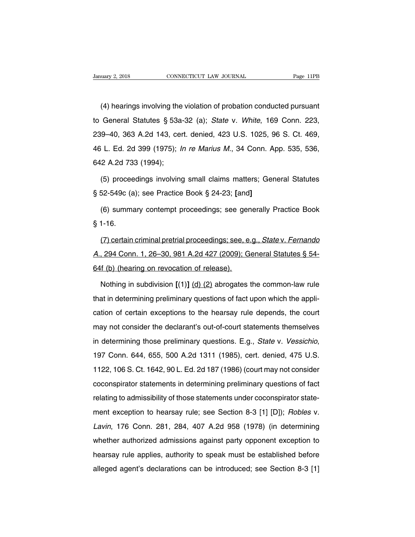(4) hearings involving the violation of probation conducted pursuant<br>
General Statutes § 53a-32 (a); State v. White, 169 Conn. 223, University 2, 2018 CONNECTICUT LAW JOURNAL Page 11PB<br>
(4) hearings involving the violation of probation conducted pursuant<br>
to General Statutes § 53a-32 (a); State v. White, 169 Conn. 223,<br>
239–40, 363 A.2d 143, cert. deni (4) hearings involving the violation of probation conducted pursuant<br>to General Statutes § 53a-32 (a); State v. White, 169 Conn. 223,<br>239–40, 363 A.2d 143, cert. denied, 423 U.S. 1025, 96 S. Ct. 469,<br>46 L. Ed. 2d 399 (197 (4) hearings involving the violation of probation conducted pursuant<br>to General Statutes § 53a-32 (a); State v. White, 169 Conn. 223,<br>239–40, 363 A.2d 143, cert. denied, 423 U.S. 1025, 96 S. Ct. 469,<br>46 L. Ed. 2d 399 (197 to General Statutes § 53a<br>239–40, 363 A.2d 143, cer<br>46 L. Ed. 2d 399 (1975); *I*.<br>642 A.2d 733 (1994);<br>(5) proceedings involving 9–40, 363 A.2d 143, cert. denied, 423 U.S. 1025, 96 S. Ct. 469,<br>
i L. Ed. 2d 399 (1975); *In re Marius M.*, 34 Conn. App. 535, 536,<br>
2 A.2d 733 (1994);<br>
(5) proceedings involving small claims matters; General Statutes<br>
52-46 L. Ed. 2d 399 (1975); *In re Marius M.*, 34 Conn. A<br>642 A.2d 733 (1994);<br>(5) proceedings involving small claims matters; Ger<br>§ 52-549c (a); see Practice Book § 24-23; [and]<br>(6) summary contempt proceedings; see generall

2 A.2d 733 (1994);<br>(5) proceedings involving small claims matters; General Statutes<br>52-549c (a); see Practice Book § 24-23; [and]<br>(6) summary contempt proceedings; see generally Practice Book<br>1-16. (5) procee<br>§ 52-549c (a<br>(6) summa<br>§ 1-16.<br>(7) certain

52-549c (a); see Practice Book § 24-23; [and]<br>(6) summary contempt proceedings; see generally Practice Book<br>1-16.<br>(7) certain criminal pretrial proceedings; see, e.g., *State* v. Fernando<br>, 294 Conn. 1, 26–30, 981 A.2d 427 (6) summary contempt proceedings; see generally Practice Book<br>§ 1-16.<br>(7) certain criminal pretrial proceedings; see, e.g., *State v. Fernando*<br>A., 294 Conn. 1, 26–30, 981 A.2d 427 (2009); General Statutes § 54-<br>64f (b) (h  $$1-16.$ <br>(7) certain criminal pretrial proceedings; see, e.<br>A., 294 Conn. 1, 26–30, 981 A.2d 427 (2009); G<br>64f (b) (hearing on revocation of release).<br>Nothing in subdivision  $[(1)]$  (d) (2) abrogates (7) certain criminal pretrial proceedings; see, e.g., *State* v. Fernando<br>
1, 294 Conn. 1, 26–30, 981 A.2d 427 (2009); General Statutes § 54-<br>
1 (b) (hearing on revocation of release).<br>
Nothing in subdivision [(1)] (d) (2)

A., 294 Conn. 1, 26–30, 981 A.2d 427 (2009); General Statutes § 54-<br>64f (b) (hearing on revocation of release).<br>Nothing in subdivision [(1)] (d) (2) abrogates the common-law rule<br>that in determining preliminary questions 64f (b) (hearing on revocation of release).<br>
Nothing in subdivision  $[(1)]$  (d) (2) abrogates the common-law rule<br>
that in determining preliminary questions of fact upon which the appli-<br>
cation of certain exceptions to the Nothing in subdivision  $[(1)]$  (d) (2) abrogates the common-law rule<br>that in determining preliminary questions of fact upon which the appli-<br>cation of certain exceptions to the hearsay rule depends, the court<br>may not consid The that in determining preliminary questions of fact upon which the application of certain exceptions to the hearsay rule depends, the court may not consider the declarant's out-of-court statements themselves in determin may not consider the declarant's out-of-court statements themselves<br>in determining those preliminary questions. E.g., *State* v. *Vessichio*,<br>197 Conn. 644, 655, 500 A.2d 1311 (1985), cert. denied, 475 U.S.<br>1122, 106 S. Ct in determining those preliminary questions. E.g., *State* v. *Vessichio*, 197 Conn. 644, 655, 500 A.2d 1311 (1985), cert. denied, 475 U.S. 1122, 106 S. Ct. 1642, 90 L. Ed. 2d 187 (1986) (court may not consider coconspirato in determining those preliminary questions. E.g., *State* v. *Vessichio*, 197 Conn. 644, 655, 500 A.2d 1311 (1985), cert. denied, 475 U.S. 1122, 106 S. Ct. 1642, 90 L. Ed. 2d 187 (1986) (court may not consider coconspirato 1122, 106 S. Ct. 1642, 90 L. Ed. 2d 187 (1986) (court may not consider coconspirator statements in determining preliminary questions of fact relating to admissibility of those statements under coconspirator statement excep examples and the set of the set of the set of the set of the set of the set of the set of the relating to admissibility of those statements under coconspirator statement exception to hearsay rule; see Section 8-3 [1] [D]); relating to admissibility of those statements under coconspirator statement exception to hearsay rule; see Section 8-3 [1] [D]); *Robles v.*<br>Lavin, 176 Conn. 281, 284, 407 A.2d 958 (1978) (in determining whether authorized heading to damisolomity of mode statistical ander secondplicate state<br>ment exception to hearsay rule; see Section 8-3 [1] [D]); *Robles v.*<br>Lavin, 176 Conn. 281, 284, 407 A.2d 958 (1978) (in determining<br>whether authorized Lavin, 176 Conn. 281, 284, 407 A.2d 958 (1978) (in determining<br>whether authorized admissions against party opponent exception to<br>hearsay rule applies, authority to speak must be established before<br>alleged agent's declarat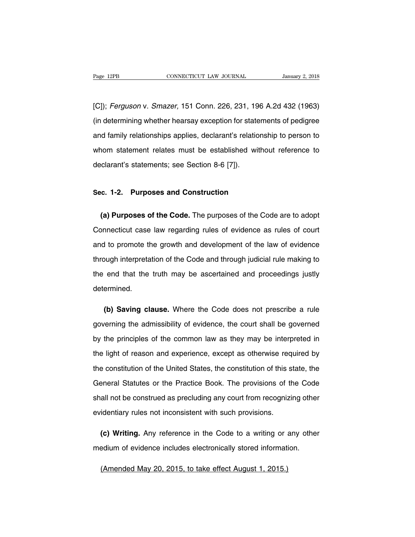Page 12PB CONNECTICUT LAW JOURNAL January 2, 2018<br>[C]); Ferguson v. Smazer, 151 Conn. 226, 231, 196 A.2d 432 (1963)<br>(in determining whether hearsay exception for statements of pedigree) Fage 12PB CONNECTICUT LAW JOURNAL January 2, 2018<br>
[C]); Ferguson v. Smazer, 151 Conn. 226, 231, 196 A.2d 432 (1963)<br>
(in determining whether hearsay exception for statements of pedigree<br>
and family relationships applies, [C]); Ferguson v. Smazer, 151 Conn. 226, 231, 196 A.2d 432 (1963)<br>(in determining whether hearsay exception for statements of pedigree<br>and family relationships applies, declarant's relationship to person to<br>whom statement [C]); *Ferguson* v. *Smazer*, 151 Conn. 226, 231, 196 A.2d 432 (1963)<br>(in determining whether hearsay exception for statements of pedigree<br>and family relationships applies, declarant's relationship to person to<br>whom statem (in determining whether hearsay exception for state<br>and family relationships applies, declarant's relation<br>whom statement relates must be established witedlarant's statements; see Section 8-6 [7]). whom statement relates must be established without<br>declarant's statements; see Section 8-6 [7]).<br>Sec. 1-2. Purposes and Construction

**(a) Purposes and Construction**<br> **(a) Purposes of the Code.** The purposes of the Code are to adopt<br> **(a) Purposes of the Code.** The purposes of the Code are to adopt<br>
pnnecticut case law regarding rules of evidence as rule Sec. 1-2. Purposes and Construction<br>
(a) Purposes of the Code. The purposes of the Code are to adopt<br>
Connecticut case law regarding rules of evidence as rules of court<br>
and to promote the growth and development of the law Sec. 1-2. Purposes and Construction<br>
(a) Purposes of the Code. The purposes of the Code are to adopt<br>
Connecticut case law regarding rules of evidence as rules of court<br>
and to promote the growth and development of the law (a) Purposes of the Code. The purposes of the Code are to adopt<br>Connecticut case law regarding rules of evidence as rules of court<br>and to promote the growth and development of the law of evidence<br>through interpretation of Connecticut case law regarding rules of evidence as rules of court<br>and to promote the growth and development of the law of evidence<br>through interpretation of the Code and through judicial rule making to<br>the end that the tr determined. bugh interpretation of the Code and through judicial rule making to<br>
end that the truth may be ascertained and proceedings justly<br>
ermined.<br> **(b) Saving clause.** Where the Code does not prescribe a rule<br>
verning the admiss

the end that the truth may be ascertained and proceedings justly<br>determined.<br>(b) Saving clause. Where the Code does not prescribe a rule<br>governing the admissibility of evidence, the court shall be governed<br>by the principle determined.<br>
(b) Saving clause. Where the Code does not prescribe a rule<br>
governing the admissibility of evidence, the court shall be governed<br>
by the principles of the common law as they may be interpreted in<br>
the light o (b) Saving clause. Where the Code does not prescribe a rule governing the admissibility of evidence, the court shall be governed by the principles of the common law as they may be interpreted in the light of reason and exp governing the admissibility of evidence, the court shall be governed<br>by the principles of the common law as they may be interpreted in<br>the light of reason and experience, except as otherwise required by<br>the constitution of by the principles of the common law as they may be interpreted in<br>the light of reason and experience, except as otherwise required by<br>the constitution of the United States, the constitution of this state, the<br>General Statu the light of reason and experience, except as otherwise required by<br>the constitution of the United States, the constitution of this state, the<br>General Statutes or the Practice Book. The provisions of the Code<br>shall not be the constitution of the United States, the constitution of this s<br>General Statutes or the Practice Book. The provisions of the<br>shall not be construed as precluding any court from recognizie<br>evidentiary rules not inconsiste Figures 1 Statutes or the Practice Book. The provisions of the Code<br>
all not be construed as precluding any court from recognizing other<br>
identiary rules not inconsistent with such provisions.<br> **(c) Writing.** Any reference shall not be construed as precluding any court from recognizing other<br>evidentiary rules not inconsistent with such provisions.<br>(c) Writing. Any reference in the Code to a writing or any other<br>medium of evidence includes el

(c) Writing. Any reference in the Code to a writing or and<br>edium of evidence includes electronically stored information<br>(Amended May 20, 2015, to take effect August 1, 2015.)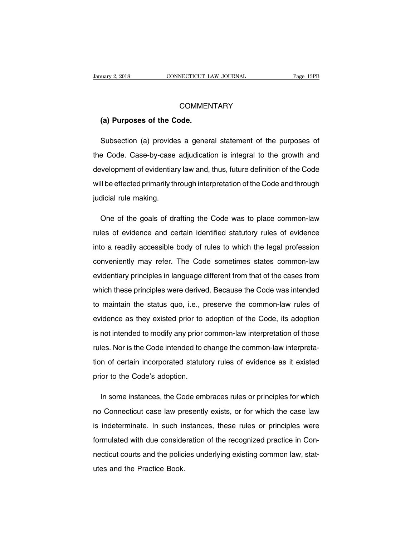# **COMMENTARY**

# EXECUTE UP: 18 CONNECTICUT L<br> **COMMEN**<br> **(a) Purposes of the Code.**<br> **Comments**

COMMENTARY<br>
(a) Purposes of the Code.<br>
Subsection (a) provides a general statement of the purposes of<br>
Subsection (a) provides a general statement of the purposes of<br>
Subsection (a) provides a general statement of the prow COMMENTARY<br>
(a) Purposes of the Code.<br>
Subsection (a) provides a general statement of the purposes of<br>
the Code. Case-by-case adjudication is integral to the growth and<br>
development of evidentiary law and, thus, future def (a) Purposes of the Code.<br>
Subsection (a) provides a general statement of the purposes of<br>
the Code. Case-by-case adjudication is integral to the growth and<br>
development of evidentiary law and, thus, future definition of t Subsection (a) provides a general statement of the purposes of<br>the Code. Case-by-case adjudication is integral to the growth and<br>development of evidentiary law and, thus, future definition of the Code<br>will be effected prim the Code. Case-by-case<br>development of evidentiar<br>will be effected primarily th<br>judicial rule making. ivelopment of evidentiary law and, thus, future definition of the Code<br>
II be effected primarily through interpretation of the Code and through<br>
dicial rule making.<br>
One of the goals of drafting the Code was to place commo

will be effected primarily through interpretation of the Code and through<br>judicial rule making.<br>One of the goals of drafting the Code was to place common-law<br>rules of evidence and certain identified statutory rules of evid judicial rule making.<br>
One of the goals of drafting the Code was to place common-law<br>
rules of evidence and certain identified statutory rules of evidence<br>
into a readily accessible body of rules to which the legal profess One of the goals of drafting the Code was to place common-law<br>rules of evidence and certain identified statutory rules of evidence<br>into a readily accessible body of rules to which the legal profession<br>conveniently may refe rules of evidence and certain identified statutory rules of evidence<br>into a readily accessible body of rules to which the legal profession<br>conveniently may refer. The Code sometimes states common-law<br>evidentiary principles into a readily accessible body of rules to which the legal profession<br>conveniently may refer. The Code sometimes states common-law<br>evidentiary principles in language different from that of the cases from<br>which these princi the a realing accessible stag of this technical technical expansion conveniently may refer. The Code sometimes states common-law<br>evidentiary principles in language different from that of the cases from<br>which these principl evidentiary principles in language different from that of the cases from<br>which these principles were derived. Because the Code was intended<br>to maintain the status quo, i.e., preserve the common-law rules of<br>evidence as the which these principles were derived. Because the Code was intended<br>to maintain the status quo, i.e., preserve the common-law rules of<br>evidence as they existed prior to adoption of the Code, its adoption<br>is not intended to rules. The code intended to change the Code, its adoption<br>is not intended to modify any prior common-law interpretation of those<br>rules. Nor is the Code intended to change the common-law interpreta-<br>tion of certain incorpor to maintain the etailed que, its, presence the common law interests.<br>
evidence as they existed prior to adoption of the Code, its adoption<br>
is not intended to modify any prior common-law interpretation of those<br>
rules. Nor prior to the Code intended to modify any prior divides. Nor is the Code intended to code.<br>The Code intended to code intended to code of certain incorporated statute<br>prior to the Code's adoption. Ies. Nor is the Code intended to change the common-law interpreta-<br>n of certain incorporated statutory rules of evidence as it existed<br>ior to the Code's adoption.<br>In some instances, the Code embraces rules or principles fo

ion of certain incorporated statutory rules of evidence as it existed<br>prior to the Code's adoption.<br>In some instances, the Code embraces rules or principles for which<br>no Connecticut case law presently exists, or for which prior to the Code's adoption.<br>
In some instances, the Code embraces rules or principles for which<br>
no Connecticut case law presently exists, or for which the case law<br>
is indeterminate. In such instances, these rules or pr In some instances, the Code embraces rules or principles for which<br>no Connecticut case law presently exists, or for which the case law<br>is indeterminate. In such instances, these rules or principles were<br>formulated with due no Connecticut case law presently exists, or for which the case law<br>is indeterminate. In such instances, these rules or principles were<br>formulated with due consideration of the recognized practice in Con-<br>necticut courts a It is indeterminate. In such informulated with due considerection<br>necticut courts and the policities and the Practice Book.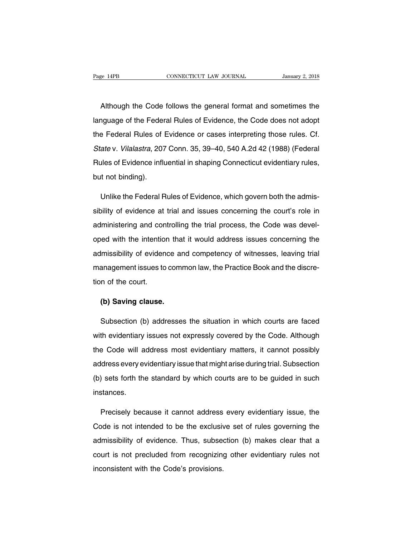EXEMBER ENGLEVIE CONNECTICUT LAW JOURNAL STANDARY 2, 2018<br>Although the Code follows the general format and sometimes the<br>Although the Federal Rules of Evidence, the Code does not adopt Page 14PB CONNECTICUT LAW JOURNAL January 2, 2018<br>Although the Code follows the general format and sometimes the<br>language of the Federal Rules of Evidence, the Code does not adopt<br>the Federal Rules of Evidence or cases int Although the Code follows the general format and sometimes the<br>language of the Federal Rules of Evidence, the Code does not adopt<br>the Federal Rules of Evidence or cases interpreting those rules. Cf.<br>State v. Vilalastra, 20 Although the Code follows the general format and sometimes the<br>language of the Federal Rules of Evidence, the Code does not adopt<br>the Federal Rules of Evidence or cases interpreting those rules. Cf.<br>State v. Vilalastra, 20 Ianguage of the Federal Rules of Evidence, the Code does not adopt<br>the Federal Rules of Evidence or cases interpreting those rules. Cf.<br>State v. Vilalastra, 207 Conn. 35, 39–40, 540 A.2d 42 (1988) (Federal<br>Rules of Evidenc the Federal Rules of I<br>State v. *Vilalastra*, 207<br>Rules of Evidence influ<br>but not binding). ate v. *Vilalastra*, 207 Conn. 35, 39–40, 540 A.2d 42 (1988) (Federal<br>ules of Evidence influential in shaping Connecticut evidentiary rules,<br>it not binding).<br>Unlike the Federal Rules of Evidence, which govern both the admi

Rules of Evidence influential in shaping Connecticut evidentiary rules,<br>but not binding).<br>Unlike the Federal Rules of Evidence, which govern both the admis-<br>sibility of evidence at trial and issues concerning the court's r but not binding).<br>
Unlike the Federal Rules of Evidence, which govern both the admis-<br>
sibility of evidence at trial and issues concerning the court's role in<br>
administering and controlling the trial process, the Code was Unlike the Federal Rules of Evidence, which govern both the admissibility of evidence at trial and issues concerning the court's role in administering and controlling the trial process, the Code was developed with the inte sibility of evidence at trial and issues concerning the court's role in administering and controlling the trial process, the Code was developed with the intention that it would address issues concerning the admissibility o administering and controlling the trial process, the Code was devel-<br>oped with the intention that it would address issues concerning the<br>admissibility of evidence and competency of witnesses, leaving trial<br>management issue oped with the intentio<br>admissibility of eviden<br>management issues to<br>tion of the court. Finissibility of evidence an<br>anagement issues to come<br>in of the court.<br>**(b) Saving clause.**<br>Subsection (b) addresses

anagement issues to common law, the Practice Book and the discre-<br>n of the court.<br>(b) Saving clause.<br>Subsection (b) addresses the situation in which courts are faced<br>th evidentiary issues not expressly covered by the Code. tion of the court.<br>
(b) Saving clause.<br>
Subsection (b) addresses the situation in which courts are faced<br>
with evidentiary issues not expressly covered by the Code. Although<br>
the Code will address most evidentiary matters, (b) Saving clause.<br>
Subsection (b) addresses the situation in which courts are faced<br>
with evidentiary issues not expressly covered by the Code. Although<br>
the Code will address most evidentiary matters, it cannot possibly<br> Subsection (b) addresses the situation in which courts are faced<br>with evidentiary issues not expressly covered by the Code. Although<br>the Code will address most evidentiary matters, it cannot possibly<br>address every evidenti with evidentiary issues not expressly covered by the Code. Although<br>the Code will address most evidentiary matters, it cannot possibly<br>address every evidentiary issue that might arise during trial. Subsection<br>(b) sets fort instances. dress every evidentiary issue that might arise during trial. Subsection<br>
) sets forth the standard by which courts are to be guided in such<br>
stances.<br>
Precisely because it cannot address every evidentiary issue, the<br>
pde i

(b) sets forth the standard by which courts are to be guided in such<br>instances.<br>Precisely because it cannot address every evidentiary issue, the<br>Code is not intended to be the exclusive set of rules governing the<br>admissibi instances.<br>
Precisely because it cannot address every evidentiary issue, the<br>
Code is not intended to be the exclusive set of rules governing the<br>
admissibility of evidence. Thus, subsection (b) makes clear that a<br>
court i Precisely because it cannot address every evidentiary issue, the<br>Code is not intended to be the exclusive set of rules governing the<br>admissibility of evidence. Thus, subsection (b) makes clear that a<br>court is not precluded Treasely seadable it cannot deareed<br>Code is not intended to be the exclusive<br>admissibility of evidence. Thus, subset<br>court is not precluded from recognizing<br>inconsistent with the Code's provisions.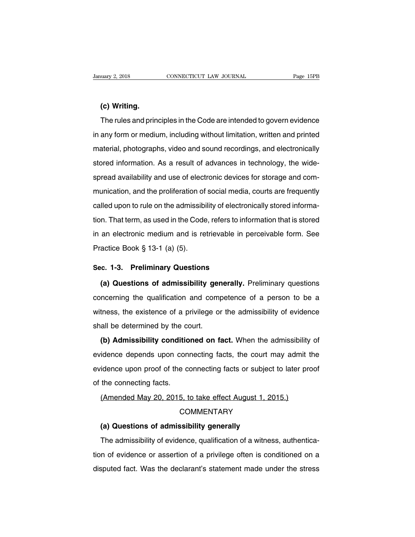**(c) Writing.** The rules and principles in the Code are intended to govern evidence<br>
The rules and principles in the Code are intended to govern evidence<br>
any form or medium, including without limitation, written and printed (c) Writing.<br>
The rules and principles in the Code are intended to govern evidence<br>
in any form or medium, including without limitation, written and printed<br>
material, photographs, video and sound recordings, and electroni (c) Writing.<br>The rules and principles in the Code are intended to govern evidence<br>in any form or medium, including without limitation, written and printed<br>material, photographs, video and sound recordings, and electronical The rules and principles in the Code are intended to govern evidence<br>in any form or medium, including without limitation, written and printed<br>material, photographs, video and sound recordings, and electronically<br>stored inf in any form or medium, including without limitation, written and printed<br>material, photographs, video and sound recordings, and electronically<br>stored information. As a result of advances in technology, the wide-<br>spread ava material, photographs, video and sound recordings, and electronically<br>stored information. As a result of advances in technology, the wide-<br>spread availability and use of electronic devices for storage and com-<br>munication, material, protographic, viaco and edular recordings, and electronically<br>stored information. As a result of advances in technology, the wide-<br>spread availability and use of electronic devices for storage and com-<br>munication spread availability and use of electronic devices for storage and com-<br>munication, and the proliferation of social media, courts are frequently<br>called upon to rule on the admissibility of electronically stored informa-<br>tio munication, and the proliferation of social media, courts are frequently called upon to rule on the admissibility of electronically stored information. That term, as used in the Code, refers to information that is stored i riamodatori, and the promotation of<br>called upon to rule on the admissibi<br>tion. That term, as used in the Code<br>in an electronic medium and is re<br>Practice Book § 13-1 (a) (5). tion. That term, as used in the Code, refers to inf<br>
in an electronic medium and is retrievable in<br>
Practice Book § 13-1 (a) (5).<br> **Sec. 1-3. Preliminary Questions**<br>
(a) Questions of admissibility generally. an electronic medium and is retrievable in perceivable form. See<br>actice Book § 13-1 (a) (5).<br>**(a) Questions of admissibility generally.** Preliminary questions<br>ncerning the qualification and competence of a person to be a

Practice Book § 13-1 (a) (5).<br> **Sec. 1-3. Preliminary Questions**<br> **(a) Questions of admissibility generally.** Preliminary questions<br>
concerning the qualification and competence of a person to be a<br>
witness, the existence o Sec. 1-3. Preliminary Questions<br>
(a) Questions of admissibility generally. Preliminary questions<br>
concerning the qualification and competence of a person to be a<br>
witness, the existence of a privilege or the admissibility (a) Questions of admissibility ger<br>concerning the qualification and comp<br>witness, the existence of a privilege or<br>shall be determined by the court.<br>(b) Admissibility conditioned on fa **(a) decorate of a minimizity generally** From the qualification and competence of a person to be a tness, the existence of a privilege or the admissibility of evidence all be determined by the court.<br> **(b) Admissibility co** 

witness, the existence of a privilege or the admissibility of evidence<br>shall be determined by the court.<br>(b) Admissibility conditioned on fact. When the admissibility of<br>evidence depends upon connecting facts, the court ma evidence upon proof of the connecting facts. When the admissibility of evidence depends upon connecting facts, the court may admit the evidence upon proof of the connecting facts or subject to later proof of the connecting (b) Admissibility condition<br>evidence depends upon connection<br>evidence upon proof of the connecting facts.<br>(Amended May 20, 2015, t (a) runnelainty conditioned of facts (then the damissionly<br>idence depends upon connecting facts, the court may admit t<br>idence upon proof of the connecting facts or subject to later pro<br>the connecting facts.<br>(Amended May 20

# **COMMENTARY** The connecting facts.<br>
(Amended May 20, 2015, to take effect August 1, 20<sup>-</sup><br>
COMMENTARY<br>
(a) Questions of admissibility generally<br>
The admissibility of evidence, qualification of a witness

The admissibility of evidence, qualification of a witness, authentica-<br>The admissibility of evidence, qualification of a witness, authentica-<br>The admissibility of evidence, qualification of a witness, authentica-<br>In of evi COMMENTARY<br>COMMENTARY<br>(a) Questions of admissibility generally<br>The admissibility of evidence, qualification of a witness, authentica-<br>tion of evidence or assertion of a privilege often is conditioned on a<br>disputed fact. Wa (a) Questions of admissibility generally<br>The admissibility of evidence, qualification of a witness, authentica-<br>tion of evidence or assertion of a privilege often is conditioned on a<br>disputed fact. Was the declarant's stat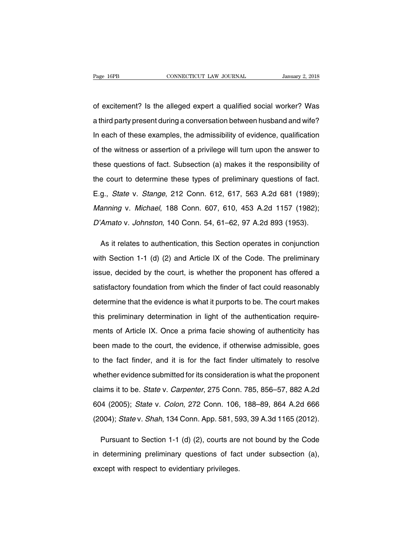Page 16PB CONNECTICUT LAW JOURNAL January 2, 2018<br>
of excitement? Is the alleged expert a qualified social worker? Was<br>
a third party present during a conversation between husband and wife? Fage 16PB CONNECTICUT LAW JOURNAL January 2, 2018<br>
of excitement? Is the alleged expert a qualified social worker? Was<br>
a third party present during a conversation between husband and wife?<br>
In each of these examples, the of excitement? Is the alleged expert a qualified social worker? Was<br>a third party present during a conversation between husband and wife?<br>In each of these examples, the admissibility of evidence, qualification<br>of the witne of excitement? Is the alleged expert a qualified social worker? Was<br>a third party present during a conversation between husband and wife?<br>In each of these examples, the admissibility of evidence, qualification<br>of the witne a third party present during a conversation between husband and wife?<br>In each of these examples, the admissibility of evidence, qualification<br>of the witness or assertion of a privilege will turn upon the answer to<br>these qu In each of these examples, the admissibility of evidence, qualification<br>of the witness or assertion of a privilege will turn upon the answer to<br>these questions of fact. Subsection (a) makes it the responsibility of<br>the co of the witness or assertion of a privilege will turn upon the answer to<br>these questions of fact. Subsection (a) makes it the responsibility of<br>the court to determine these types of preliminary questions of fact.<br>E.g., *Sta* these questions of fact. Subsection (a) makes it the responsibility of<br>the court to determine these types of preliminary questions of fact.<br>E.g., *State* v. *Stange*, 212 Conn. 612, 617, 563 A.2d 681 (1989);<br>*Manning* v. the court to determine these types of preliminary questions of fact.<br>E.g., *State* v. *Stange*, 212 Conn. 612, 617, 563 A.2d 681 (1989);<br>*Manning* v. *Michael*, 188 Conn. 607, 610, 453 A.2d 1157 (1982);<br>*D'Amato* v. *Johns* g., *State* v. *Stange*, 212 Conn. 612, 617, 563 A.2d 681 (1989);<br>anning v. *Michael*, 188 Conn. 607, 610, 453 A.2d 1157 (1982);<br>Amato v. Johnston, 140 Conn. 54, 61–62, 97 A.2d 893 (1953).<br>As it relates to authentication,

Manning v. Michael, 188 Conn. 607, 610, 453 A.2d 1157 (1982);<br>D'Amato v. Johnston, 140 Conn. 54, 61–62, 97 A.2d 893 (1953).<br>As it relates to authentication, this Section operates in conjunction<br>with Section 1-1 (d) (2) and D'Amato v. Johnston, 140 Conn. 54, 61–62, 97 A.2d 893 (1953).<br>As it relates to authentication, this Section operates in conjunction<br>with Section 1-1 (d) (2) and Article IX of the Code. The preliminary<br>issue, decided by the As it relates to authentication, this Section operates in conjunction<br>with Section 1-1 (d) (2) and Article IX of the Code. The preliminary<br>issue, decided by the court, is whether the proponent has offered a<br>satisfactory fo with Section 1-1 (d) (2) and Article IX of the Code. The preliminary<br>issue, decided by the court, is whether the proponent has offered a<br>satisfactory foundation from which the finder of fact could reasonably<br>determine that issue, decided by the court, is whether the proponent has offered a<br>satisfactory foundation from which the finder of fact could reasonably<br>determine that the evidence is what it purports to be. The court makes<br>this prelimi satisfactory foundation from which the finder of fact could reasonably<br>determine that the evidence is what it purports to be. The court makes<br>this preliminary determination in light of the authentication require-<br>ments of determine that the evidence is what it purports to be. The court makes<br>this preliminary determination in light of the authentication require-<br>ments of Article IX. Once a prima facie showing of authenticity has<br>been made to this preliminary determination in light of the authentication require-<br>ments of Article IX. Once a prima facie showing of authenticity has<br>been made to the court, the evidence, if otherwise admissible, goes<br>to the fact fin ments of Article IX. Once a prima facie showing of authenticity has<br>been made to the court, the evidence, if otherwise admissible, goes<br>to the fact finder, and it is for the fact finder ultimately to resolve<br>whether eviden been made to the court, the evidence, if otherwise admissible, goes<br>to the fact finder, and it is for the fact finder ultimately to resolve<br>whether evidence submitted for its consideration is what the proponent<br>claims it t to the fact finder, and it is for the fact finder ultimately to resolve<br>whether evidence submitted for its consideration is what the proponent<br>claims it to be. State v. Carpenter, 275 Conn. 785, 856–57, 882 A.2d<br>604 (2005 whether evidence submitted for its consideration is what the proponent<br>claims it to be. State v. Carpenter, 275 Conn. 785, 856–57, 882 A.2d<br>604 (2005); State v. Colon, 272 Conn. 106, 188–89, 864 A.2d 666<br>(2004); State v. iams it to be. *State v. Carpenter*, 275 Conn. 785, 856–57, 882 A.2d<br>4 (2005); *State v. Colon*, 272 Conn. 106, 188–89, 864 A.2d 666<br>004); *State v. Shah*, 134 Conn. App. 581, 593, 39 A.3d 1165 (2012).<br>Pursuant to Section

604 (2005); *State v. Colon*, 272 Conn. 106, 188–89, 864 A.2d 666<br>(2004); *State v. Shah*, 134 Conn. App. 581, 593, 39 A.3d 1165 (2012).<br>Pursuant to Section 1-1 (d) (2), courts are not bound by the Code<br>in determining prel (2004); *State* v. *Shah*, 134 Conn. App. 581, 59<br>
Pursuant to Section 1-1 (d) (2), courts are<br>
in determining preliminary questions of face<br>
except with respect to evidentiary privileges.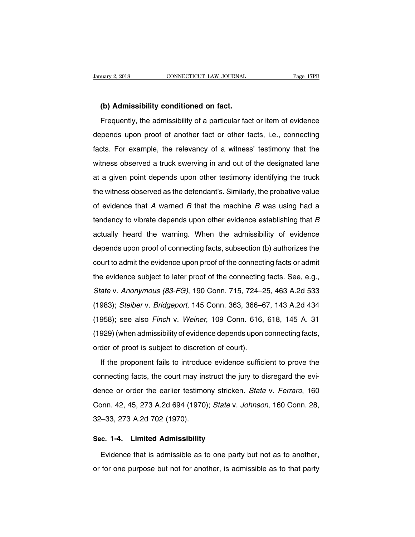<u>(b) Admissibility conditioned on fact.</u><br>The distribution of the distribution of the distribution of the distribution of the distribution of the Frequently, the admissibility of a particular fact. Frequently, the admissibility of a particular fact or item of evidence<br>Frequently, the admissibility of a particular fact or item of evidence<br>pends upon proof of another fact or other facts, i.e., connecting (b) Admissibility conditioned on fact.<br>Frequently, the admissibility of a particular fact or item of evidence<br>depends upon proof of another fact or other facts, i.e., connecting<br>facts. For example, the relevancy of a witne (b) Admissibility conditioned on fact.<br>Frequently, the admissibility of a particular fact or item of evidence<br>depends upon proof of another fact or other facts, i.e., connecting<br>facts. For example, the relevancy of a witne Frequently, the admissibility of a particular fact or item of evidence<br>depends upon proof of another fact or other facts, i.e., connecting<br>facts. For example, the relevancy of a witness' testimony that the<br>witness observed depends upon proof of another fact or other facts, i.e., connecting<br>facts. For example, the relevancy of a witness' testimony that the<br>witness observed a truck swerving in and out of the designated lane<br>at a given point de facts. For example, the relevancy of a witness' testimony that the witness observed a truck swerving in and out of the designated lane at a given point depends upon other testimony identifying the truck the witness observe witness observed a truck swerving in and out of the designated lane<br>at a given point depends upon other testimony identifying the truck<br>the witness observed as the defendant's. Similarly, the probative value<br>of evidence th at a given point depends upon other testimony identifying the truck<br>the witness observed as the defendant's. Similarly, the probative value<br>of evidence that  $A$  warned  $B$  that the machine  $B$  was using had a<br>tendency to the witness observed as the defendant's. Similarly, the probative value<br>of evidence that A warned B that the machine B was using had a<br>tendency to vibrate depends upon other evidence establishing that B<br>actually heard the of evidence that  $A$  warned  $B$  that the machine  $B$  was using had a<br>tendency to vibrate depends upon other evidence establishing that  $B$ <br>actually heard the warning. When the admissibility of evidence<br>depends upon proof colonce that it wanted B that the machine B was doing had a<br>tendency to vibrate depends upon other evidence establishing that B<br>actually heard the warning. When the admissibility of evidence<br>depends upon proof of connectin actually heard the warning. When the admissibility of evidence<br>depends upon proof of connecting facts, subsection (b) authorizes the<br>court to admit the evidence upon proof of the connecting facts or admit<br>the evidence subj depends upon proof of connecting facts, subsection (b) authorizes the<br>court to admit the evidence upon proof of the connecting facts or admit<br>the evidence subject to later proof of the connecting facts. See, e.g.,<br>State v. (1983); Steiber v. Bridgeport, 145 Conn. 363, 366–67, 143 A.2d 434<br>(1983); Steiber v. Bridgeport, 145 Conn. 715, 724–25, 463 A.2d 533<br>(1983); Steiber v. Bridgeport, 145 Conn. 363, 366–67, 143 A.2d 434<br>(1958); see also Finc the evidence subject to later proof of the connecting facts. See, e.g.,<br>State v. Anonymous (83-FG), 190 Conn. 715, 724–25, 463 A.2d 533<br>(1983); Steiber v. Bridgeport, 145 Conn. 363, 366–67, 143 A.2d 434<br>(1958); see also Fi State v. Anonymous (83-FG), 190 Conn. 715, 724–25, 463 A.2d 533<br>(1983); Steiber v. Bridgeport, 145 Conn. 363, 366–67, 143 A.2d 434<br>(1958); see also Finch v. Weiner, 109 Conn. 616, 618, 145 A. 31<br>(1929) (when admissibility (1983); *Steiber v. Bridgeport*, 145 Conn. 363, 366–6<br>(1958); see also *Finch v. Weiner*, 109 Conn. 616,<br>(1929) (when admissibility of evidence depends upon order of proof is subject to discretion of court).<br>If the propon 1958); see also *Finch* v. *Weiner*, 109 Conn. 616, 618, 145 A. 31<br>929) (when admissibility of evidence depends upon connecting facts,<br>der of proof is subject to discretion of court).<br>If the proponent fails to introduce ev

(1929) (when admissibility of evidence depends upon connecting facts, order of proof is subject to discretion of court).<br>If the proponent fails to introduce evidence sufficient to prove the connecting facts, the court may order of proof is subject to discretion of court).<br>If the proponent fails to introduce evidence sufficient to prove the<br>connecting facts, the court may instruct the jury to disregard the evi-<br>dence or order the earlier tes If the proponent fails to introduce evidence sufficient to prove the connecting facts, the court may instruct the jury to disregard the evidence or order the earlier testimony stricken. *State* v. *Ferraro*, 160 Conn. 42, mano proponent rangite in mediate<br>connecting facts, the court may inseries<br>Conn. 42, 45, 273 A.2d 694 (1970)<br>32–33, 273 A.2d 702 (1970). dence or order the earlier testimony stricken<br>
Conn. 42, 45, 273 A.2d 694 (1970); *State* v. a<br>
32–33, 273 A.2d 702 (1970).<br> **Sec. 1-4. Limited Admissibility**<br>
Evidence that is admissible as to one party onn. 42, 45, 273 A.2d 694 (1970); *State v. Johnson*, 160 Conn. 28,<br>
1-33, 273 A.2d 702 (1970).<br> **c. 1-4. Limited Admissibility**<br>
Evidence that is admissible as to one party but not as to another,<br>
for one purpose but not

32–33, 273 A.2d 702 (1970).<br> **Sec. 1-4. Limited Admissibility**<br>
Evidence that is admissible as to one party but not as to another,<br>
or for one purpose but not for another, is admissible as to that party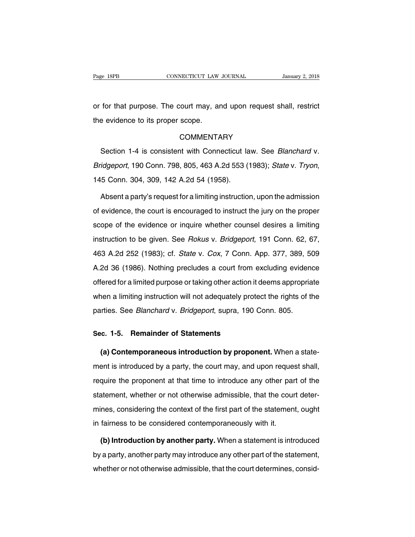Page 18PB<br>
connecticut LAW JOURNAL<br>
CONNECTICUT LAW JOURNAL<br>
CONNECTICUT LAW JOURNAL<br>
CONNECTICUT LAW JOURNAL<br>
CONNECTICUT LAW JOURNAL<br>
CONNECTICUT LAW JOURNAL<br>
CONNECTICUT LAW JOURNAL<br>
CONNECTICUT LAW JOURNAL<br>
CONNECTICUT Page 18PB CONNECTICUT LAW<br>
or for that purpose. The court may, are<br>
the evidence to its proper scope.<br>
COMMENTA

## COMMENTARY

for that purpose. The court may, and upon request shall, restrict<br>
e evidence to its proper scope.<br>
COMMENTARY<br>
Section 1-4 is consistent with Connecticut law. See Blanchard v.<br>
idgeport, 190 Conn. 798, 805, 463 A.2d 553 ( Example 1913<br>
Bridgeport, 190 Conn. 798, 805, 463 A.2d 553 (1983); State v. Tryon, 195 Conn. 304, 309, 142 A.2d 54 (1958).<br>
Absent a party's request for a limiting instruction. upon the admission Section 1-4 is consistent with Connecticut law. See *Blanchard* v.<br> *idgeport*, 190 Conn. 798, 805, 463 A.2d 553 (1983); *State* v. Tryon,<br>
5 Conn. 304, 309, 142 A.2d 54 (1958).<br>
Absent a party's request for a limiting ins

Bridgeport, 190 Conn. 798, 805, 463 A.2d 553 (1983); State v. Tryon,<br>145 Conn. 304, 309, 142 A.2d 54 (1958).<br>Absent a party's request for a limiting instruction, upon the admission<br>of evidence, the court is encouraged to i 145 Conn. 304, 309, 142 A.2d 54 (1958).<br>Absent a party's request for a limiting instruction, upon the admission<br>of evidence, the court is encouraged to instruct the jury on the proper<br>scope of the evidence or inquire wheth Absent a party's request for a limiting instruction, upon the admission<br>of evidence, the court is encouraged to instruct the jury on the proper<br>scope of the evidence or inquire whether counsel desires a limiting<br>instructio of evidence, the court is encouraged to instruct the jury on the proper<br>scope of the evidence or inquire whether counsel desires a limiting<br>instruction to be given. See *Rokus* v. *Bridgeport*, 191 Conn. 62, 67,<br>463 A.2d 2 scope of the evidence or inquire whether counsel desires a limiting<br>instruction to be given. See *Rokus v. Bridgeport*, 191 Conn. 62, 67,<br>463 A.2d 252 (1983); cf. *State v. Cox*, 7 Conn. App. 377, 389, 509<br>A.2d 36 (1986). instruction to be given. See *Rokus* v. *Bridgeport*, 191 Conn. 62, 67, 463 A.2d 252 (1983); cf. *State v. Cox*, 7 Conn. App. 377, 389, 509 A.2d 36 (1986). Nothing precludes a court from excluding evidence offered for a li A A 2d 252 (1983); cf. *State v. Cox*, 7 Conn. App. 377, 389, 509<br>A 2d 36 (1986). Nothing precludes a court from excluding evidence<br>offered for a limited purpose or taking other action it deems appropriate<br>when a limiting A.2d 36 (1986). Nothing precludes a court from excluding eviden<br>offered for a limited purpose or taking other action it deems appropria<br>when a limiting instruction will not adequately protect the rights of t<br>parties. See offered for a limited purpose or taking other action it<br>when a limiting instruction will not adequately prote<br>parties. See *Blanchard* v. *Bridgeport*, supra, 190 (<br>Sec. 1-5. Remainder of Statements<br>(a) Contemporaneous int

ren a limiting instruction will not adequately protect the rights of the<br>irties. See *Blanchard* v. *Bridgeport*, supra, 190 Conn. 805.<br>**(a) Contemporaneous introduction by proponent.** When a state-<br>ent is introduced by a parties. See *Dianchard v. Dhugepont*, supra, 190 Conn. 605.<br>Sec. 1-5. Remainder of Statements<br>(a) Contemporaneous introduction by proponent. When a state-<br>ment is introduced by a party, the court may, and upon request sha Sec. 1-5. Remainder of Statements<br>(a) Contemporaneous introduction by proponent. When a state-<br>ment is introduced by a party, the court may, and upon request shall,<br>require the proponent at that time to introduce any other (a) Contemporaneous introduction by proponent. When a statement is introduced by a party, the court may, and upon request shall, require the proponent at that time to introduce any other part of the statement, whether or n ment is introduced by a party, the court may, and upon request shall, require the proponent at that time to introduce any other part of the statement, whether or not otherwise admissible, that the court determines, conside rient is interacted by a party, the court may, and apon request<br>require the proponent at that time to introduce any other par<br>statement, whether or not otherwise admissible, that the cour<br>mines, considering the context of Frament, whether or not otherwise admissible, that the court deter-<br>nes, considering the context of the first part of the statement, ought<br>fairness to be considered contemporaneously with it.<br>**(b) Introduction by another p** 

mines, considering the context of the first part of the statement, ought<br>in fairness to be considered contemporaneously with it.<br>(b) Introduction by another party. When a statement is introduced<br>by a party, another party m in fairness to be considered contemporaneously with it.<br> **(b) Introduction by another party.** When a statement is introduced<br>
by a party, another party may introduce any other part of the statement,<br>
whether or not otherwi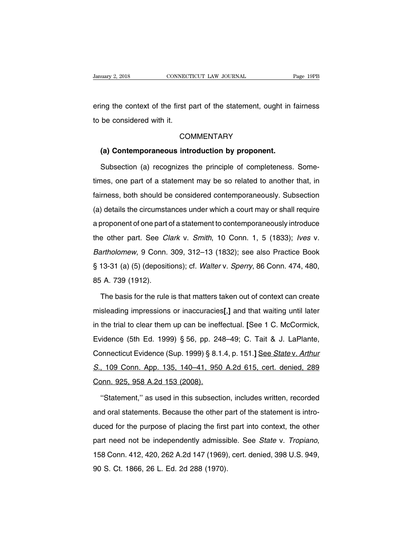External January 2, 2018 CONNECTICUT LAW JOURNAL Page 19PB<br>
Page 19PB<br>
ering the context of the first part of the statement, ought in fairness<br>
to be considered with it. University 2, 2018<br>
Example 2018<br>
Example 2018<br>
The considered with it.<br>
CO Import the first part of the statement, ought in the considered with it.<br>
COMMENTARY<br> **(a) Contemporaneous introduction by proponent.**<br>
Subsection (a) recognizes the principle of completeness.

## **COMMENTARY**

Subsection (a) recognizes the principle of completeness. Some-<br>Subsection (a) recognizes the principle of completeness. Some-<br>nes, one part of a statement may be so related to another that, in COMMENTARY<br>
(a) Contemporaneous introduction by proponent.<br>
Subsection (a) recognizes the principle of completeness. Some-<br>
times, one part of a statement may be so related to another that, in<br>
fairness, both should be con (a) Contemporaneous introduction by proponent.<br>Subsection (a) recognizes the principle of completeness. Some-<br>times, one part of a statement may be so related to another that, in<br>fairness, both should be considered contemp Subsection (a) recognizes the principle of completeness. Some-<br>times, one part of a statement may be so related to another that, in<br>fairness, both should be considered contemporaneously. Subsection<br>(a) details the circumst times, one part of a statement may be so related to another that, in fairness, both should be considered contemporaneously. Subsection (a) details the circumstances under which a court may or shall require a proponent of tairness, both should be considered contemporaneously. Subsection<br>(a) details the circumstances under which a court may or shall require<br>a proponent of one part of a statement to contemporaneously introduce<br>the other part. (a) details the circumstances under which a court may or shall require<br>a proponent of one part of a statement to contemporaneously introduce<br>the other part. See *Clark v. Smith*, 10 Conn. 1, 5 (1833); *Ives v.<br>Bartholomew* (a) dotate the encombial hoce and the which a coart may or shall require<br>a proponent of one part of a statement to contemporaneously introduce<br>the other part. See *Clark v. Smith*, 10 Conn. 1, 5 (1833); *Ives v.*<br>Bartholom the other part. See *Cl.*<br>Bartholomew, 9 Conn.<br>§ 13-31 (a) (5) (depositi<br>85 A. 739 (1912).<br>The basis for the rule artholomew, 9 Conn. 309, 312–13 (1832); see also Practice Book<br>13-31 (a) (5) (depositions); cf. Walter v. Sperry, 86 Conn. 474, 480,<br>A. 739 (1912).<br>The basis for the rule is that matters taken out of context can create<br>sle

g 13-31 (a) (5) (depositions); cf. *Walter v. Sperry*, 86 Conn. 474, 480,<br>85 A. 739 (1912).<br>The basis for the rule is that matters taken out of context can create<br>misleading impressions or inaccuracies[,] and that waiting in the trial to clear them up can be ineffectual. [See 1 C. McCormick, Evidence (5th Ed. 1999) § 56, pp. 248–49; C. Tait & J. LaPlante, The basis for the rule is that matters taken out of context can create<br>misleading impressions or inaccuracies[,] and that waiting until later<br>in the trial to clear them up can be ineffectual. [See 1 C. McCormick,<br>Evidence misleading impressions or inaccuracies[,] and that waiting until later<br>in the trial to clear them up can be ineffectual. [See 1 C. McCormick,<br>Evidence (5th Ed. 1999) § 56, pp. 248–49; C. Tait & J. LaPlante,<br>Connecticut Evi in the trial to clear them up can be ineffectual. [See 1 C. McCormick,<br>Evidence (5th Ed. 1999) § 56, pp. 248–49; C. Tait & J. LaPlante,<br>Connecticut Evidence (Sup. 1999) § 8.1.4, p. 151.] See State v. Arthur<br>S., 109 Conn. A Evidence (5th Ed. 1999) § 56, pp. 24<br>Connecticut Evidence (Sup. 1999) § 8.1<br>S., 109 Conn. App. 135, 140–41, 950<br>Conn. 925, 958 A.2d 153 (2008).<br>"Statement," as used in this subsecti onnecticut Evidence (Sup. 1999) § 8.1.4, p. 151.] See State v. Arthur<br>
109 Conn. App. 135, 140–41, 950 A.2d 615, cert. denied, 289<br>
1925, 958 A.2d 153 (2008).<br>
"Statement," as used in this subsection, includes written, rec

a., 109 Conn. App. 135, 140–41, 950 A.2d 615, cert. denied, 289<br>Conn. 925, 958 A.2d 153 (2008).<br>"Statement," as used in this subsection, includes written, recorded<br>and oral statements. Because the other part of the stateme Conn. 925, 958 A.2d 153 (2008).<br>
"Statement," as used in this subsection, includes written, recorded<br>
and oral statements. Because the other part of the statement is intro-<br>
duced for the purpose of placing the first part "Statement," as used in this subsection, includes written, recorded<br>and oral statements. Because the other part of the statement is intro-<br>duced for the purpose of placing the first part into context, the other<br>part need n and old statements. Besatase the strict p<br>duced for the purpose of placing the first<br>part need not be independently admissil<br>158 Conn. 412, 420, 262 A.2d 147 (1969)<br>90 S. Ct. 1866, 26 L. Ed. 2d 288 (1970).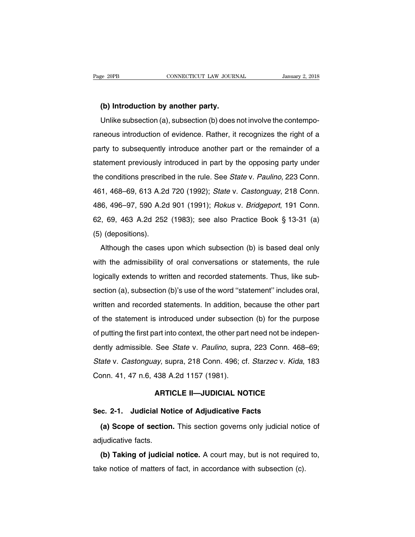**(b) Introduction by another party.** Ve 20PB<br>
Unlike subsection (a), subsection (b) does not involve the contempo-<br>
Unlike subsection (a), subsection (b) does not involve the contempo-<br>
neous introduction of evidence. Rather, it recognizes the right of a (b) Introduction by another party.<br>
Unlike subsection (a), subsection (b) does not involve the contempo-<br>
raneous introduction of evidence. Rather, it recognizes the right of a<br>
party to subsequently introduce another part (b) Introduction by another party.<br>
Unlike subsection (a), subsection (b) does not involve the contempo-<br>
raneous introduction of evidence. Rather, it recognizes the right of a<br>
party to subsequently introduced another par Unlike subsection (a), subsection (b) does not involve the contemporaneous introduction of evidence. Rather, it recognizes the right of a party to subsequently introduce another part or the remainder of a statement previo raneous introduction of evidence. Rather, it recognizes the right of a<br>party to subsequently introduce another part or the remainder of a<br>statement previously introduced in part by the opposing party under<br>the conditions p party to subsequently introduce another part or the remainder of a<br>statement previously introduced in part by the opposing party under<br>the conditions prescribed in the rule. See *State v. Paulino*, 223 Conn.<br>461, 468–69, 6 party to subsequently introduced in part by the opposing party under<br>statement previously introduced in part by the opposing party under<br>the conditions prescribed in the rule. See *State v. Paulino*, 223 Conn.<br>461, 468–69, the conditions prescribed in the rule. See *State v. Paulino*, 223 Conn.<br>461, 468–69, 613 A.2d 720 (1992); *State v. Castonguay*, 218 Conn.<br>486, 496–97, 590 A.2d 901 (1991); *Rokus v. Bridgeport*, 191 Conn.<br>62, 69, 463 A. 461, 468–69, 613 A.2d<br>486, 496–97, 590 A.2d<br>62, 69, 463 A.2d 252<br>(5) (depositions).<br>Although the cases Although the cases upon which subsection (b) is based deal only the edmissibility of oral conversations or statements, the rule of the admissibility of oral conversations or statements, the rule

Res. 69, 463 A.2d 252 (1983); see also Practice Book § 13-31 (a)<br>(5) (depositions).<br>Although the cases upon which subsection (b) is based deal only<br>with the admissibility of oral conversations or statements, the rule<br>logic (5) (depositions).<br>Although the cases upon which subsection (b) is based deal only<br>with the admissibility of oral conversations or statements, the rule<br>logically extends to written and recorded statements. Thus, like sub-Although the cases upon which subsection (b) is based deal only with the admissibility of oral conversations or statements, the rule logically extends to written and recorded statements. Thus, like subsection (a), subsecti with the admissibility of oral conversations or statements, the rule logically extends to written and recorded statements. Thus, like subsection (a), subsection (b)'s use of the word "statement" includes oral, written and of putting the statements of statements. Thus, like subsection (a), subsection (b)'s use of the word "statement" includes oral, written and recorded statements. In addition, because the other part of the statement is intro section (a), subsection (b)'s use of the word "statement" includes oral,<br>section (a), subsection (b)'s use of the word "statement" includes oral,<br>written and recorded statements. In addition, because the other part<br>of the written and recorded statements. In addition, because the other part<br>of the statement is introduced under subsection (b) for the purpose<br>of putting the first part into context, the other part need not be indepen-<br>dently ad of the statement is introduced under subsection (b) for the purpose<br>of putting the first part into context, the other part need not be indepen-<br>dently admissible. See *State* v. *Paulino*, supra, 223 Conn. 468–69;<br>*State* of putting the first part into context, the other pare<br>dently admissible. See *State* v. *Paulino*, supra<br>*State* v. *Castonguay*, supra, 218 Conn. 496; cf<br>Conn. 41, 47 n.6, 438 A.2d 1157 (1981).<br>**ARTICLE II**—JUDICIAL NO See *State* v. *Paulino*, supra, 223 Conn. 468–1<br>ay, supra, 218 Conn. 496; cf. *Starzec* v. *Kida*, 1<br>438 A.2d 1157 (1981).<br>**ARTICLE II—JUDICIAL NOTICE** State v. Castonguay, supra, 218 Conn. 496; cf. Starzec v. Kid<br>Conn. 41, 47 n.6, 438 A.2d 1157 (1981).<br>**ARTICLE II—JUDICIAL NOTICE**<br>Sec. 2-1. Judicial Notice of Adjudicative Facts<br>(a) Scope of section. This section governs

onn. 41, 47 n.6, 438 A.2d 1157 (1981).<br> **ARTICLE II—JUDICIAL NOTICE**<br> **(a) Scope of section.** This section governs only judicial notice of<br> **(a) Scope of section.** This section governs only judicial notice of<br>
ljudicative ARTI<br>Sec. 2-1. Judicial No<br>(a) Scope of sectior<br>adjudicative facts.<br>(b) Taking of judicia **(a) Scope of section.** This section governs only judicial notice of<br> **(a) Scope of section.** This section governs only judicial notice of<br> **(b) Taking of judicial notice.** A court may, but is not required to,<br> **(c) Taking** (a) Scope of section. This section governs only judicial notic<br>adjudicative facts.<br>(b) Taking of judicial notice. A court may, but is not required<br>take notice of matters of fact, in accordance with subsection (c).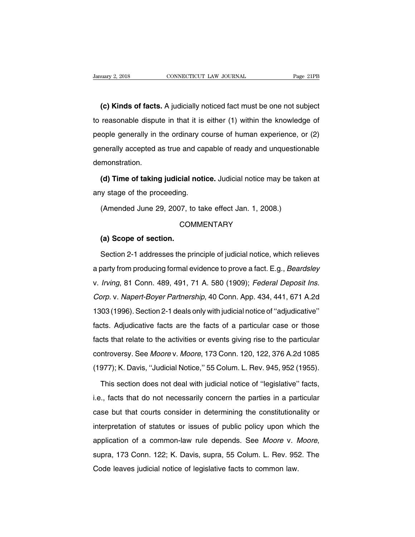**(c) Kinds of facts.** A judicially noticed fact must be one not subject<br>**(c) Kinds of facts.** A judicially noticed fact must be one not subject<br>reasonable dispute in that it is either (1) within the knowledge of University 2, 2018 CONNECTICUT LAW JOURNAL Page 21PB<br> **(c) Kinds of facts.** A judicially noticed fact must be one not subject<br>
to reasonable dispute in that it is either (1) within the knowledge of<br>
people generally in the (c) Kinds of facts. A judicially noticed fact must be one not subject<br>to reasonable dispute in that it is either (1) within the knowledge of<br>people generally in the ordinary course of human experience, or (2)<br>generally acc (c) Kinds of facts. A judicially noticed fact must be one not subject<br>to reasonable dispute in that it is either (1) within the knowledge of<br>people generally in the ordinary course of human experience, or (2)<br>generally acc demonstration. **(d)** generally in the ordinary course of human experience, or (2)<br>
inerally accepted as true and capable of ready and unquestionable<br> **(d) Time of taking judicial notice.** Judicial notice may be taken at<br>
y stage of the p people generally in the ordinary course of human experience, or (2)<br>generally accepted as true and capable of ready and unquestionable<br>demonstration.<br>(d) Time of taking judicial notice. Judicial notice may be taken at<br>any

monstration.<br> **(d) Time of taking judicial notice.** Judicial notice may be take<br>
y stage of the proceeding.<br>
(Amended June 29, 2007, to take effect Jan. 1, 2008.)<br>
COMMENTARY

(Amended June 29, 2007, to take effect Jan. 1, 2008.)<br>
COMMENTARY<br> **(a) Scope of section.**<br>
Section 2-1 addresses the principle of judicial notice, which relieves

# **COMMENTARY**

(Amended June 29, 2007, to take effect Jan. 1, 2008.)<br>COMMENTARY<br>(a) Scope of section.<br>Section 2-1 addresses the principle of judicial notice, which relieves<br>barty from producing formal evidence to prove a fact. E.g., *Bea* COMMENTARY<br>
(a) Scope of section.<br>
Section 2-1 addresses the principle of judicial notice, which relieves<br>
a party from producing formal evidence to prove a fact. E.g., *Beardsley*<br>
v. *Irving*, 81 Conn. 489, 491, 71 A. 58 (a) Scope of section.<br>Section 2-1 addresses the principle of judicial notice, which relieves<br>a party from producing formal evidence to prove a fact. E.g., *Beardsley*<br>v. Irving, 81 Conn. 489, 491, 71 A. 580 (1909); *Federa* Section 2-1 addresses the principle of judicial notice, which relieves<br>a party from producing formal evidence to prove a fact. E.g., *Beardsley*<br>v. *Irving*, 81 Conn. 489, 491, 71 A. 580 (1909); *Federal Deposit Ins.*<br>Corp a party from producing formal evidence to prove a fact. E.g., *Beardsley*<br>v. *Irving*, 81 Conn. 489, 491, 71 A. 580 (1909); *Federal Deposit Ins.*<br>Corp. v. Napert-Boyer Partnership, 40 Conn. App. 434, 441, 671 A.2d<br>1303 (1 v. *Irving*, 81 Conn. 489, 491, 71 A. 580 (1909); *Federal Deposit Ins.*<br>Corp. v. Napert-Boyer Partnership, 40 Conn. App. 434, 441, 671 A.2d<br>1303 (1996). Section 2-1 deals only with judicial notice of "adjudicative"<br>facts. facts that relate to the activities or events giving rise to the particular controversy. See Moore v. Moore, 173 Conn. 120, 122, 376 A.2d 1085 corp. v. Algort Boyer Fameromp, to Somm App. 181, 111, 311 A.2d<br>1303 (1996). Section 2-1 deals only with judicial notice of "adjudicative"<br>facts. Adjudicative facts are the facts of a particular case or those<br>facts that re Facts. Adjudicative facts are the facts of a particular case or those facts that relate to the activities or events giving rise to the particular controversy. See *Moore* v. *Moore*, 173 Conn. 120, 122, 376 A.2d 1085 (1977 Its that relate to the activities or events giving rise to the particular<br>ntroversy. See *Moore* v. *Moore*, 173 Conn. 120, 122, 376 A.2d 1085<br>977); K. Davis, "Judicial Notice," 55 Colum. L. Rev. 945, 952 (1955).<br>This sect

controversy. See *Moore* v. *Moore*, 173 Conn. 120, 122, 376 A.2d 1085<br>(1977); K. Davis, "Judicial Notice," 55 Colum. L. Rev. 945, 952 (1955).<br>This section does not deal with judicial notice of "legislative" facts,<br>i.e., f (1977); K. Davis, "Judicial Notice," 55 Colum. L. Rev. 945, 952 (1955).<br>This section does not deal with judicial notice of "legislative" facts,<br>i.e., facts that do not necessarily concern the parties in a particular<br>case b This section does not deal with judicial notice of "legislative" facts,<br>i.e., facts that do not necessarily concern the parties in a particular<br>case but that courts consider in determining the constitutionality or<br>interpre i.e., facts that do not necessarily concern the parties in a particular case but that courts consider in determining the constitutionality or interpretation of statutes or issues of public policy upon which the application interpretation of statutes or issues of public policy upon whisepplication of a common-law rule depends. See *Moore* v. *N* supra, 173 Conn. 122; K. Davis, supra, 55 Colum. L. Rev. 95. Code leaves judicial notice of legisl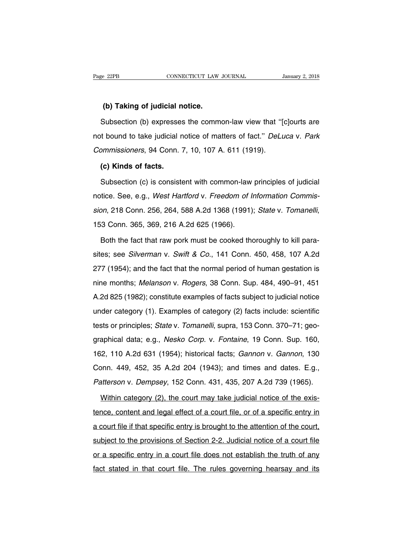**EXECUTE:**<br> **(b) Taking of judicial notice.**<br>
Subsection (b) expresses the comm Subsection (b) the judicial notice.<br>Subsection (b) expresses the common-law view that "[c]ourts are<br>to bound to take judicial notice of matters of fact." *DeLuca v. Park* (b) Taking of judicial notice.<br>Subsection (b) expresses the common-law view that "[c]ourts are<br>not bound to take judicial notice of matters of fact." *DeLuca v. Park*<br>Commissioners, 94 Conn. 7, 10, 107 A. 611 (1919). (b) Taking of judicial notice.<br>
Subsection (b) expresses the common-law view that "[not bound to take judicial notice of matters of fact." *DeLL*<br>
Commissioners, 94 Conn. 7, 10, 107 A. 611 (1919).<br>
(c) Kinds of facts. Subsection (b) expresses<br>t bound to take judicial r<br>pmmissioners, 94 Conn.<br>**(c) Kinds of facts.**<br>Subsection (c) is consiste t bound to take judicial notice of matters of fact." *DeLuca v. Park*<br>pmmissioners, 94 Conn. 7, 10, 107 A. 611 (1919).<br>**(c) Kinds of facts.**<br>Subsection (c) is consistent with common-law principles of judicial<br>tice. See, e.

commissioners, 94 Conn. 7, 10, 107 A. 611 (1919).<br>
(c) Kinds of facts.<br>
Subsection (c) is consistent with common-law principles of judicial<br>
notice. See, e.g., West Hartford v. Freedom of Information Commis-<br>
sion, 218 Con (c) Kinds of facts.<br>
Subsection (c) is consistent with common-law principles of judicial<br>
notice. See, e.g., *West Hartford v. Freedom of Information Commis-<br>
sion*, 218 Conn. 256, 264, 588 A.2d 1368 (1991); *State v. Toma* tice. See, e.g., *West Hartford v. Freedom of Information Commis-*<br>
1991, 218 Conn. 256, 264, 588 A.2d 1368 (1991); *State v. Tomanelli*,<br>
1986).<br>
Both the fact that raw pork must be cooked thoroughly to kill para-<br>
1988;

sion, 218 Conn. 256, 264, 588 A.2d 1368 (1991); State v. Tomanelli,<br>153 Conn. 365, 369, 216 A.2d 625 (1966).<br>Both the fact that raw pork must be cooked thoroughly to kill para-<br>sites; see Silverman v. Swift & Co., 141 Con 153 Conn. 365, 369, 216 A.2d 625 (1966).<br>
Both the fact that raw pork must be cooked thoroughly to kill para-<br>
sites; see Silverman v. Swift & Co., 141 Conn. 450, 458, 107 A.2d<br>
277 (1954); and the fact that the normal per Both the fact that raw pork must be cooked thoroughly to kill para-<br>sites; see *Silverman v. Swift & Co.*, 141 Conn. 450, 458, 107 A.2d<br>277 (1954); and the fact that the normal period of human gestation is<br>nine months; *Me* Bear are tack that faw point mast be booked anotoughly to talk part<br>sites; see *Silverman* v. *Swift & Co.*, 141 Conn. 450, 458, 107 A.2d<br>277 (1954); and the fact that the normal period of human gestation is<br>nine months; 277 (1954); and the fact that the normal period of human gestation is<br>nine months; *Melanson* v. *Rogers*, 38 Conn. Sup. 484, 490–91, 451<br>A.2d 825 (1982); constitute examples of facts subject to judicial notice<br>under categ 277 (1954); and the fact that the normal period of human gestation is<br>nine months; Melanson v. Rogers, 38 Conn. Sup. 484, 490–91, 451<br>A.2d 825 (1982); constitute examples of facts subject to judicial notice<br>under category A.2d 825 (1982); constitute examples of facts subject to judicial notice<br>under category (1). Examples of category (2) facts include: scientific<br>tests or principles; *State v. Tomanelli*, supra, 153 Conn. 370–71; geo-<br>graph under category (1). Examples of ractic dalight to judicial fields under category (1). Examples of category (2) facts include: scientific<br>tests or principles; *State* v. Tomanelli, supra, 153 Conn. 370–71; geo-<br>graphical da tests or principles; *State v. Tomanelli*, supra, 153 Conn. 370–71; geographical data; e.g., *Nesko Corp. v. Fontaine*, 19 Conn. Sup. 160, 162, 110 A.2d 631 (1954); historical facts; *Gannon v. Gannon*, 130 Conn. 449, 452 graphical data; e.g., *Nesko Corp.* v. *Fontaine*, 19 Conn. Sup. 160, 162, 110 A.2d 631 (1954); historical facts; *Gannon* v. *Gannon*, 130 Conn. 449, 452, 35 A.2d 204 (1943); and times and dates. E.g., *Patterson* v. *Dem* Example 10 A.2d 631 (1954); historical facts; *Gannon v. Gannon*, 130<br>Donn. 449, 452, 35 A.2d 204 (1943); and times and dates. E.g.,<br>atterson v. Dempsey, 152 Conn. 431, 435, 207 A.2d 739 (1965).<br>Within category (2), the co

Conn. 449, 452, 35 A.2d 204 (1943); and times and dates. E.g.,<br>
Patterson v. Dempsey, 152 Conn. 431, 435, 207 A.2d 739 (1965).<br>
Within category (2), the court may take judicial notice of the exis-<br>
tence, content and legal Patterson v. Dempsey, 152 Conn. 431, 435, 207 A.2d 739 (1965).<br>Within category (2), the court may take judicial notice of the exis-<br>tence, content and legal effect of a court file, or of a specific entry in<br>a court file if Within category (2), the court may take judicial notice of the exis-<br>tence, content and legal effect of a court file, or of a specific entry in<br>a court file if that specific entry is brought to the attention of the court,<br> tence, content and legal effect of a court file, or of a specific entry in a court file if that specific entry is brought to the attention of the court, subject to the provisions of Section 2-2. Judicial notice of a court factor, content and logar oncet of a court me, of of a oppoint only in<br>a court file if that specific entry is brought to the attention of the court,<br>subject to the provisions of Section 2-2. Judicial notice of a court file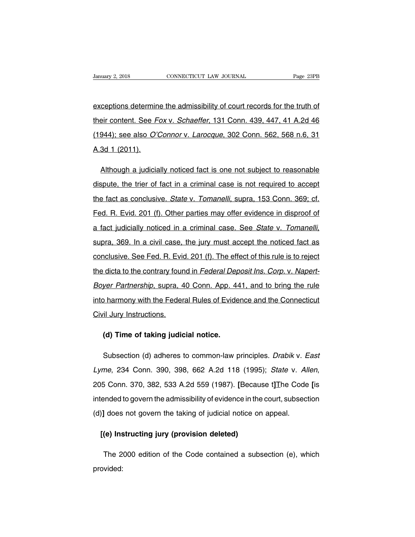Fanuary 2, 2018 CONNECTICUT LAW JOURNAL Page 23PB<br>exceptions determine the admissibility of court records for the truth of<br>their content. See Fox v. Schaeffer, 131 Conn. 439, 447, 41 A.2d 46 University 2, 2018 CONNECTICUT LAW JOURNAL Page 23PB<br>exceptions determine the admissibility of court records for the truth of<br>their content. See Fox v. Schaeffer, 131 Conn. 439, 447, 41 A.2d 46<br>(1944); see also *O'Connor v* exceptions determine the admissibility of court records for the truth of<br>their content. See Fox v. Schaeffer, 131 Conn. 439, 447, 41 A.2d 46<br>(1944); see also O'Connor v. Larocque, 302 Conn. 562, 568 n.6, 31<br>A.3d 1 (2011). exceptions determin<br>their content. See F<br>(1944); see also O'd<br>A.3d 1 (2011). eir content. See Fox v. Schaeffer, 131 Conn. 439, 447, 41 A.2d 46<br>944); see also *O'Connor* v. Larocque, 302 Conn. 562, 568 n.6, 31<br>3d 1 (2011).<br>Although a judicially noticed fact is one not subject to reasonable<br>spute, th

(1944); see also *O'Connor* v. *Larocque*, 302 Conn. 562, 568 n.6, 31<br>A.3d 1 (2011).<br>Although a judicially noticed fact is one not subject to reasonable<br>dispute, the trier of fact in a criminal case is not required to acce A.3d 1 (2011).<br>Although a judicially noticed fact is one not subject to reasonable<br>dispute, the trier of fact in a criminal case is not required to accept<br>the fact as conclusive. *State v. Tomanelli*, supra, 153 Conn. 369; Although a judicially noticed fact is one not subject to reasonable<br>dispute, the trier of fact in a criminal case is not required to accept<br>the fact as conclusive. *State v. Tomanelli*, supra, 153 Conn. 369; cf.<br>Fed. R. Ev dispute, the trier of fact in a criminal case is not required to accept<br>the fact as conclusive. *State* v. *Tomanelli*, supra, 153 Conn. 369; cf.<br>Fed. R. Evid. 201 (f). Other parties may offer evidence in disproof of<br>a fac Fed. R. Evid. 201 (f). Other parties may offer evidence in disproof of<br>a fact judicially noticed in a criminal case. See *State v. Tomanelli*,<br>supra, 369. In a civil case, the jury must accept the noticed fact as<br>conclusiv Fed. R. Evid. 201 (f). Other parties may offer evidence in disproof of a fact judicially noticed in a criminal case. See *State v. Tomanelli*, supra, 369. In a civil case, the jury must accept the noticed fact as conclusiv supra, 369. In a civil case, the jury must accept the noticed fact as<br>conclusive. See Fed. R. Evid. 201 (f). The effect of this rule is to reject<br>the dicta to the contrary found in *Federal Deposit Ins. Corp.* v. Napert-<br>B conclusive. See Fed. R. Evid. 201 (f). The effect of this rule is to reject<br>the dicta to the contrary found in *Federal Deposit Ins. Corp.* v. Napert-<br>Boyer Partnership, supra, 40 Conn. App. 441, and to bring the rule<br>into The dicta to the contrary four<br>
Boyer Partnership, supra, 4<br>
into harmony with the Feder<br>
Civil Jury Instructions. **(d)** Partnership, supra, 40 Conn. App. 44<br> **(d)** harmony with the Federal Rules of Evide<br> **(d) Time of taking judicial notice.**<br> **(d)** Time of taking judicial notice.

Friamony will the Federal Rules of Evidence and the Connecticut<br>il Jury Instructions.<br>(d) Time of taking judicial notice.<br>Subsection (d) adheres to common-law principles. *Drabik* v. *East*<br>me, 234 Conn. 390, 398, 662 A.2d Lyme, 234 Conn. 390, 398, 662 A.2d 118 (1995); State v. Allen, 205 Conn. 370, 382, 533 A.2d 559 (1987). **[Because t]**The Code **[**is intended to govern the admissibility of evidence in the court, subsection Subsection (d) adheres to common-law principles. *Drabik v. East*<br>Lyme, 234 Conn. 390, 398, 662 A.2d 118 (1995); *State v. Allen*,<br>205 Conn. 370, 382, 533 A.2d 559 (1987). [Because t] The Code [is<br>intended to govern the ad Lyme, 234 Conn. 390, 398, 662 A.2d 118 (1995); *State v. Al.*<br>205 Conn. 370, 382, 533 A.2d 559 (1987). [Because t] The Code<br>intended to govern the admissibility of evidence in the court, subsect<br>(d)] does not govern the t 15 Conn. 370, 382, 533 A.2d 559 (1987). [Becausended to govern the admissibility of evidence in the 13 does not govern the taking of judicial notice or  $[(e)$  Instructing jury (provision deleted)

The 2000 edition of the Code contained a subsection (e), which<br>The 2000 edition of the Code contained a subsection (e), which<br>vided: provided: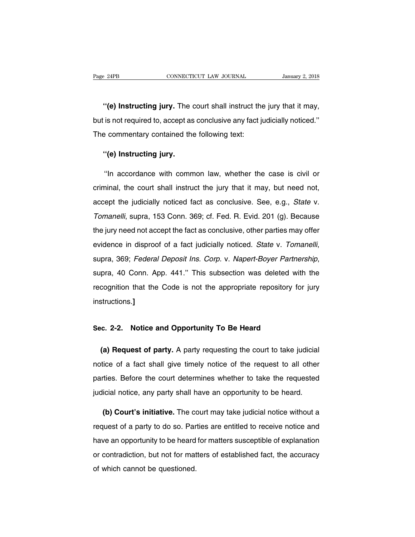<sup>2</sup> <sup>24PB</sup><br> **CONNECTICUT LAW JOURNAL** January 2, 2018<br> **''(e) Instructing jury.** The court shall instruct the jury that it may,<br>
is not required to, accept as conclusive any fact judicially noticed." Page 24PB CONNECTICUT LAW JOURNAL January 2, 2018<br>
"(e) Instructing jury. The court shall instruct the jury that it may,<br>
but is not required to, accept as conclusive any fact judicially noticed."<br>
The commentary contained "(e) Instructing jury. The court shall instruct the<br>but is not required to, accept as conclusive any fact ju<br>The commentary contained the following text:<br>"(c) Instructing jury. **''(e) Instructing jury.** The discussion of the is not required to, accept as<br>a commentary contained the **''(e) Instructing jury.**<br>''In acceptance with comm

Is not required to, accept as conclusive any fact judicially noticed."<br>
Performance contained the following text:<br>
"(e) Instructing jury.<br>
"In accordance with common law, whether the case is civil or<br>
minal, the court shal The commentary contained the following text:<br>
"(e) Instructing jury.<br>
"In accordance with common law, whether the case is civil or<br>
criminal, the court shall instruct the jury that it may, but need not,<br>
accept the judicia "(e) Instructing jury.<br>
"In accordance with common law, whether the case is civil or<br>
criminal, the court shall instruct the jury that it may, but need not,<br>
accept the judicially noticed fact as conclusive. See, e.g., *St* "In accordance with common law, whether the case is civil or<br>criminal, the court shall instruct the jury that it may, but need not,<br>accept the judicially noticed fact as conclusive. See, e.g., *State* v.<br>Tomanelli, supra, the jury need not shall instruct the jury that it may, but need not,<br>accept the judicially noticed fact as conclusive. See, e.g., *State* v.<br>Tomanelli, supra, 153 Conn. 369; cf. Fed. R. Evid. 201 (g). Because<br>the jury need evidence in disproof of a fact judicially noticed. State v.<br>Tomanelli, supra, 153 Conn. 369; cf. Fed. R. Evid. 201 (g). Because<br>the jury need not accept the fact as conclusive, other parties may offer<br>evidence in disproof evidence in disproof of a fact judicially noticed. State v. Tomanelli, supra, 369; Federal Deposit Ins. Corp. v. Napert-Boyer Partnership, supra, 40 Conn. App. 441." This subsection was deleted with the recognition that th instructions.**]** supra, 40 Conn. App. 441. This subsection was deleted with recognition that the Code is not the appropriate repository for instructions.]<br>
Sec. 2-2. Notice and Opportunity To Be Heard

**(a) Request of party.** A party requesting the court to take judicial<br>**(a) Request of party.** A party requesting the court to take judicial<br>tice of a fact shall give timely notice of the request to all other Sec. 2-2. Notice and Opportunity To Be Heard<br>
(a) Request of party. A party requesting the court to take judicial<br>
notice of a fact shall give timely notice of the request to all other<br>
parties. Before the court determines Sec. 2-2. Notice and Opportunity To Be Heard<br>
(a) Request of party. A party requesting the court to take judicial<br>
notice of a fact shall give timely notice of the request to all other<br>
parties. Before the court determines (a) Request of party. A party requesting the court to take judicial notice of a fact shall give timely notice of the request to all other parties. Before the court determines whether to take the requested judicial notice, ice of a fact shall give timely notice of the request to all other<br>ties. Before the court determines whether to take the requested<br>icial notice, any party shall have an opportunity to be heard.<br>(b) Court's initiative. The

parties. Before the court determines whether to take the requested<br>judicial notice, any party shall have an opportunity to be heard.<br>(b) Court's initiative. The court may take judicial notice without a<br>request of a party t judicial notice, any party shall have an opportunity to be heard.<br>
(b) Court's initiative. The court may take judicial notice without a<br>
request of a party to do so. Parties are entitled to receive notice and<br>
have an oppo (b) Court's initiative. The court may take judicial notice without a request of a party to do so. Parties are entitled to receive notice and have an opportunity to be heard for matters susceptible of explanation or contrad (b) beart commatted. The ex-<br>request of a party to do so. Par<br>have an opportunity to be heard<br>or contradiction, but not for mat<br>of which cannot be questioned.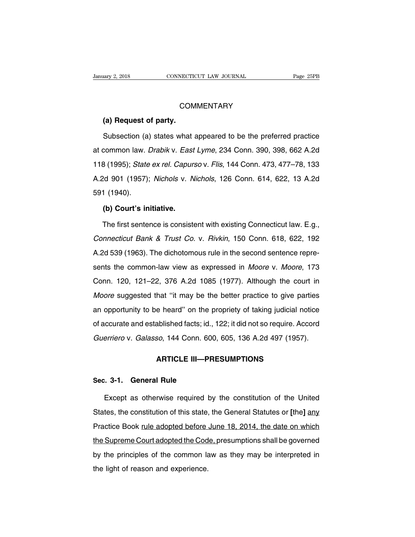## **COMMENTARY**

**(a) Request of party.**<br> **(a) Request of party.**<br>
Subsection (a) states what COMMENTARY<br>
(a) Request of party.<br>
Subsection (a) states what appeared to be the preferred practice<br>
common law. *Drabik* v. *East Lyme*, 234 Conn. 390, 398, 662 A.2d COMMENTARY<br>
(a) Request of party.<br>
Subsection (a) states what appeared to be the preferred practice<br>
at common law. Drabik v. East Lyme, 234 Conn. 390, 398, 662 A.2d<br>
118 (1995); *State ex rel. Capurso v. Flis*, 144 Conn. (a) Request of party.<br>
Subsection (a) states what appeared to be the preferred practice<br>
at common law. *Drabik v. East Lyme*, 234 Conn. 390, 398, 662 A.2d<br>
118 (1995); *State ex rel. Capurso v. Flis*, 144 Conn. 473, 477–7 Subsection (a) states what appeared to be the preferred practice<br>at common law. *Drabik v. East Lyme*, 234 Conn. 390, 398, 662 A.2d<br>118 (1995); *State ex rel. Capurso v. Flis*, 144 Conn. 473, 477–78, 133<br>A.2d 901 (1957); at common law. *l*<br>at common law. *l*<br>118 (1995); *State*<br>A.2d 901 (1957);<br>591 (1940).<br>**(b) Court's in (1995);** *State ex rel. Capur*<br><sup>1</sup>d 901 (1957); *Nichols v. N*<br>**(b) Court's initiative.**<br>The first sentence is consist 2d 901 (1957); *Nichols* v. *Nichols*, 126 Conn. 614, 622, 13 A.2d<br>1 (1940).<br>**(b) Court's initiative.**<br>The first sentence is consistent with existing Connecticut law. E.g.,<br>*nnecticut Bank & Trust Co.* v. *Rivkin*, 150 Con

(1940).<br> **(b) Court's initiative.**<br>
The first sentence is consistent with existing Connecticut law. E.g.,<br>
Connecticut Bank & Trust Co. v. Rivkin, 150 Conn. 618, 622, 192<br>
A.2d 539 (1963). The dichotomous rule in the secon (b) Court's initiative.<br>The first sentence is consistent with existing Connecticut law. E.g.,<br>Connecticut Bank & Trust Co. v. Rivkin, 150 Conn. 618, 622, 192<br>A.2d 539 (1963). The dichotomous rule in the second sentence rep The first sentence is consistent with existing Connecticut law. E.g.,<br>Connecticut Bank & Trust Co. v. Rivkin, 150 Conn. 618, 622, 192<br>A.2d 539 (1963). The dichotomous rule in the second sentence repre-<br>sents the common-law Connecticut Bank & Trust Co. v. Rivkin, 150 Conn. 618, 622, 192<br>A.2d 539 (1963). The dichotomous rule in the second sentence repre-<br>sents the common-law view as expressed in *Moore* v. *Moore*, 173<br>Conn. 120, 121–22, 376 A A.2d 539 (1963). The dichotomous rule in the second sentence represents the common-law view as expressed in *Moore* v. *Moore*, 173<br>Conn. 120, 121–22, 376 A.2d 1085 (1977). Although the court in<br>*Moore* suggested that "it sents the common-law view as expressed in *Moore* v. *Moore*, 173<br>Conn. 120, 121–22, 376 A.2d 1085 (1977). Although the court in<br>*Moore* suggested that "it may be the better practice to give parties<br>an opportunity to be he Conn. 120, 121–22, 376 A.2d 1085 (1977). Although the court in<br>Moore suggested that "it may be the better practice to give parties<br>an opportunity to be heard" on the propriety of taking judicial notice<br>of accurate and esta Moore suggested that "it may be the better practice to give parties<br>an opportunity to be heard" on the propriety of taking judicial notice<br>of accurate and established facts; id., 122; it did not so require. Accord<br>Guerrie an opportunity to be heard" on the propriety of taking judicial notice<br>of accurate and established facts; id., 122; it did not so require. Accord<br>Guerriero v. Galasso, 144 Conn. 600, 605, 136 A.2d 497 (1957).<br>**ARTICLE III—** Guerriero v. Galasso, 144 Conn. 600, 605, 136 A.2d 497 (1957).<br> **ARTICLE III—PRESUMPTIONS**<br> **Sec. 3-1. General Rule**<br>
Except as otherwise required by the constitution of the United

ARTICLE III—PRESUMPTIONS<br>
Except as otherwise required by the constitution of the United<br>
tes, the constitution of this state, the General Statutes or [the] any States, 1-1. General Rule<br>
Except as otherwise required by the constitution of the United<br>
States, the constitution of this state, the General Statutes or [the] any<br>
Practice Book <u>rule adopted before June 18, 2014, the da</u> Sec. 3-1. General Rule<br>Except as otherwise required by the constitution of the United<br>States, the constitution of this state, the General Statutes or [the] any<br>Practice Book <u>rule adopted before June 18, 2014, the date on </u> Except as otherwise required by the constitution of the United<br>States, the constitution of this state, the General Statutes or [the] any<br>Practice Book <u>rule adopted before June 18, 2014, the date on which</u><br>the Supreme Cour States, the constitution of this state, the General Statutes or [the] any<br>Practice Book <u>rule adopted before June 18, 2014</u>, the date on which<br>the Supreme Court adopted the Code, presumptions shall be governed<br>by the princ States, the constitution of this state, the General Statutes or [the] any<br>Practice Book <u>rule adopted before June 18, 2014</u>, the date on which<br>the Supreme Court adopted the Code, presumptions shall be governed<br>by the princ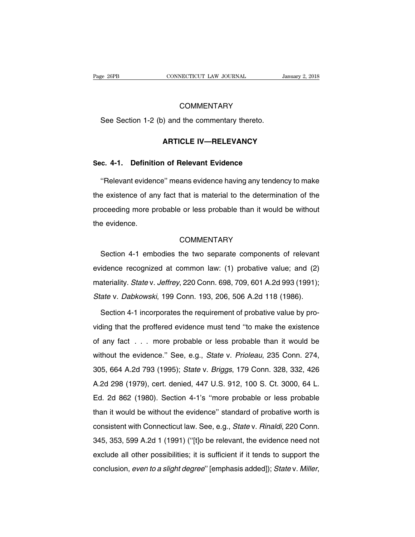# **COMMENTARY**

See 26PB<br>
COMMENTARY<br>
See Section 1-2 (b) and the commentary thereto. **COMMENTARY**<br>
(a) and the commentary thereto.<br> **ARTICLE IV—RELEVANCY** See Section 1-2 (b) and the commentary thereto.<br>**ARTICLE IV—RELEVANCY**<br>Sec. 4-1. Definition of Relevant Evidence<br>"Relevant evidence" means evidence having any tende

ARTICLE IV—RELEVANCY<br>
C. 4-1. Definition of Relevant Evidence<br>
"Relevant evidence" means evidence having any tendency to make<br>
Existence of any fact that is material to the determination of the ARTICLE IV—RELEVANCY<br>Sec. 4-1. Definition of Relevant Evidence<br>"Relevant evidence" means evidence having any tendency to make<br>the existence of any fact that is material to the determination of the<br>proceeding more probable Sec. 4-1. Definition of Relevant Evidence<br>
"Relevant evidence" means evidence having any tendency to make<br>
the existence of any fact that is material to the determination of the<br>
proceeding more probable or less probable t "Relevant eviden<br>the existence of ar<br>proceeding more p<br>the evidence. oceeding more probable or less probable than it would be without<br>
e evidence.<br>
COMMENTARY<br>
Section 4-1 embodies the two separate components of relevant<br>
idence recognized at common law: (1) probative value; and (2)

# **COMMENTARY**

evidence.<br>
COMMENTARY<br>
Section 4-1 embodies the two separate components of relevant<br>
evidence recognized at common law: (1) probative value; and (2)<br>
materiality. State v. Jeffrey, 220 Conn. 698, 709, 601 A.2d 993 (1991); COMMENTARY<br>Section 4-1 embodies the two separate components of relevant<br>evidence recognized at common law: (1) probative value; and (2)<br>materiality. State v. Jeffrey, 220 Conn. 698, 709, 601 A.2d 993 (1991);<br>State v. Dabko Section 4-1 embodies the two separate components of relevant<br>evidence recognized at common law: (1) probative value; and (2)<br>materiality. *State* v. *Jeffrey*, 220 Conn. 698, 709, 601 A.2d 993 (1991);<br>*State* v. *Dabkowski* idence recognized at common law: (1) probative value; and (2)<br>ateriality. *State* v. *Jeffrey*, 220 Conn. 698, 709, 601 A.2d 993 (1991);<br>ate v. *Dabkowski*, 199 Conn. 193, 206, 506 A.2d 118 (1986).<br>Section 4-1 incorporates

materiality. State v. Jeffrey, 220 Conn. 698, 709, 601 A.2d 993 (1991);<br>State v. Dabkowski, 199 Conn. 193, 206, 506 A.2d 118 (1986).<br>Section 4-1 incorporates the requirement of probative value by pro-<br>viding that the proff State v. Dabkowski, 199 Conn. 193, 206, 506 A.2d 118 (1986).<br>Section 4-1 incorporates the requirement of probative value by pro-<br>viding that the proffered evidence must tend "to make the existence<br>of any fact . . . more pr Section 4-1 incorporates the requirement of probative value by providing that the proffered evidence must tend "to make the existence of any fact . . . more probable or less probable than it would be without the evidence." viding that the proffered evidence must tend "to make the existence<br>of any fact . . . more probable or less probable than it would be<br>without the evidence." See, e.g., *State* v. *Prioleau*, 235 Conn. 274,<br>305, 664 A.2d 79 A.2d 298 (1979), cert. denied, 447 U.S. 912, 100 S. Ct. 3000, 64 L.<br>Ed. 2d 862 (1980). Section 4-1's "more probable or less probable than it would be<br>without the evidence." See, e.g., *State v. Prioleau*, 235 Conn. 274,<br>30 without the evidence." See, e.g., *State v. Prioleau*, 235 Conn. 274, 305, 664 A.2d 793 (1995); *State v. Briggs*, 179 Conn. 328, 332, 426 A.2d 298 (1979), cert. denied, 447 U.S. 912, 100 S. Ct. 3000, 64 L. Ed. 2d 862 (19 than it would be without the evidence'' standard of probable of the evidence'' standard of probable than it would be without the evidence'' standard of probative worth is consistent with Connecticut law. See, e.g., *State* and 298 (1979), cert. denied, 447 U.S. 912, 100 S. Ct. 3000, 64 L.<br>Ed. 2d 862 (1980). Section 4-1's "more probable or less probable<br>than it would be without the evidence" standard of probative worth is<br>consistent with Conn 345, 353, 599 A.2d 1 (1991) ("[t]o be relevant, the evidence need not exclude all other possibilities; it is sufficient if it tends to support the exclude all other possibilities; it is sufficient if it tends to support th Let use of the evidence" standard of probative worth is<br>than it would be without the evidence" standard of probative worth is<br>consistent with Connecticut law. See, e.g., *Statev. Rinaldi*, 220 Conn.<br>345, 353, 599 A.2d 1 (1 consistent with Connecticut law. See, e.g., *State v. Rinaldi*, 220 Conn.<br>345, 353, 599 A.2d 1 (1991) ("[t]o be relevant, the evidence need not<br>exclude all other possibilities; it is sufficient if it tends to support the<br>c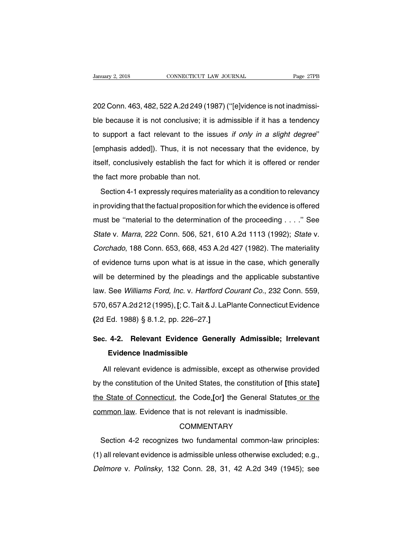Vanuary 2, 2018<br>202 Conn. 463, 482, 522 A.2d 249 (1987) ("[e]vidence is not inadmissi-<br>202 Conn. 463, 482, 522 A.2d 249 (1987) ("[e]vidence is not inadmissi-<br>ble because it is not conclusive; it is admissible if it has a t ble because it is not connecticut that burnth the because it is not conclusive; it is admissible if it has a tendency<br>ble because it is not conclusive; it is admissible if it has a tendency<br>to support a fact relevant to th 202 Conn. 463, 482, 522 A.2d 249 (1987) ("[e]vidence is not inadmissible because it is not conclusive; it is admissible if it has a tendency to support a fact relevant to the issues *if only in a slight degree*" [emphasis ble because it is not conclusive; it is admissible if it has a tendency<br>to support a fact relevant to the issues *if only in a slight degree*"<br>[emphasis added]). Thus, it is not necessary that the evidence, by<br>itself, conc to support a fact relevant to the issue<br>[emphasis added]). Thus, it is not ne<br>itself, conclusively establish the fact for<br>the fact more probable than not.<br>Section 4-1 expressly requires mater Support a fact following to the factor *n* only in a origin asgress<br>mphasis added]). Thus, it is not necessary that the evidence, by<br>elf, conclusively establish the fact for which it is offered or render<br>e fact more probab

itself, conclusively establish the fact for which it is offered or render<br>the fact more probable than not.<br>Section 4-1 expressly requires materiality as a condition to relevancy<br>in providing that the factual proposition fo must be fact more probable than not.<br>Section 4-1 expressly requires materiality as a condition to relevancy<br>in providing that the factual proposition for which the evidence is offered<br>must be "material to the determination Section 4-1 expressly requires materiality as a condition to relevancy<br>in providing that the factual proposition for which the evidence is offered<br>must be "material to the determination of the proceeding . . . ." See<br>State in providing that the factual proposition for which the evidence is offered<br>must be "material to the determination of the proceeding . . . ." See<br>State v. Marra, 222 Conn. 506, 521, 610 A.2d 1113 (1992); State v.<br>Corchado, mproviding that the labidat proposition which the ovidence to oncrear<br>must be "material to the determination of the proceeding . . . ." See<br>State v. Marra, 222 Conn. 506, 521, 610 A.2d 1113 (1992); State v.<br>Corchado, 188 C State v. Marra, 222 Conn. 506, 521, 610 A.2d 1113 (1992); State v.<br>Corchado, 188 Conn. 653, 668, 453 A.2d 427 (1982). The materiality<br>of evidence turns upon what is at issue in the case, which generally<br>will be determined Corchado, 188 Conn. 653, 668, 453 A.2d 427 (1982). The materiality<br>of evidence turns upon what is at issue in the case, which generally<br>will be determined by the pleadings and the applicable substantive<br>law. See Williams F obtonade, 199 Solini, 599, 1997, 1997, 1997, 1997, 1997, 1997, 1997, 1997, 1997, 1997, 1997, 1997, 1997, 1997, 1<br>posted in the case, which generally will be determined by the pleadings and the applicable substantive law. S of evidence turns upon what is at issue in the case, which generally<br>will be determined by the pleadings and the applicable substantive<br>law. See *Williams Ford, Inc.* v. *Hartford Courant Co.*, 232 Conn. 559,<br>570, 657 A.2d law. See *Williams Ford, Inc.* v. *Hartford Courant Co.*, 232 Conn. 559,<br>570, 657 A.2d 212 (1995)<sub>-</sub> [; C. Tait & J. LaPlante Connecticut Evidence<br>(2d Ed. 1988) § 8.1.2, pp. 226–27.]<br>Sec. 4-2. Relevant Evidence Generally A 657 A.2d 212 (1995)<sub>-</sub> [; C. Tait & J. La<br>Ed. 1988) § 8.1.2, pp. 226–27.]<br>**4-2. Relevant Evidence Genera**<br>**Evidence Inadmissible**<br>Il relevant evidence is admissible. e

All relevant evidence is admissible, except as otherwise provided **Sec. 4-2. Relevant Evidence Generally Admissible; Irrelevant Evidence Inadmissible<br>
All relevant evidence is admissible, except as otherwise provided<br>
by the constitution of the United States, the constitution of [this st** Evidence Inadmissible<br>All relevant evidence is admissible, except as otherwise provided<br>by the constitution of the United States, the constitution of [this state]<br>the State of Connecticut, the Code,[or] the General Statute All relevant evidence is admissible, except as otherwise provided<br>by the constitution of the United States, the constitution of [this state]<br>the State of Connecticut, the Code,[or] the General Statutes or the<br>common law. E Example State of Connecticut, the Code, [or] the General Statutes or the<br>mmon-law. Evidence that is not relevant is inadmissible.<br>COMMENTARY<br>Section 4-2 recognizes two fundamental common-law principles:<br>all relevant eviden

# **COMMENTARY**

COMMENTARY<br>
(1) all relevant evidence that is not relevant is inadmissible.<br>
COMMENTARY<br>
(1) all relevant evidence is admissible unless otherwise excluded; e.g.,<br>
Delmore v. Polinsky, 132 Conn. 28, 31, 42 A.2d 349 (1945); COMMENTARY<br>COMMENTARY<br>Section 4-2 recognizes two fundamental common-law principles:<br>(1) all relevant evidence is admissible unless otherwise excluded; e.g.,<br>Delmore v. Polinsky, 132 Conn. 28, 31, 42 A.2d 349 (1945); see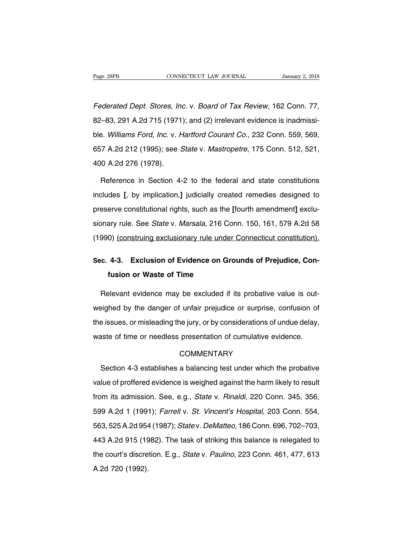Fage 28PB<br>CONNECTICUT LAW JOURNAL January 2, 2018<br>Federated Dept. Stores, Inc. v. Board of Tax Review, 162 Conn. 77,<br>82–83, 291 A.2d 715 (1971); and (2) irrelevant evidence is inadmissi-Page 28PB CONNECTICUT LAW JOURNAL January 2, 2018<br>Federated Dept. Stores, Inc. v. Board of Tax Review, 162 Conn. 77,<br>82–83, 291 A.2d 715 (1971); and (2) irrelevant evidence is inadmissi-<br>ble. Williams Ford, Inc. v. Hartfor Federated Dept. Stores, Inc. v. Board of Tax Review, 162 Conn. 77,<br>82–83, 291 A.2d 715 (1971); and (2) irrelevant evidence is inadmissi-<br>ble. Williams Ford, Inc. v. Hartford Courant Co., 232 Conn. 559, 569,<br>657 A.2d 212 (1 Federated Dept. Stores, Inc. v. Board of Tax Review, 162 Conn. 77,<br>82–83, 291 A.2d 715 (1971); and (2) irrelevant evidence is inadmissi-<br>ble. *Williams Ford, Inc.* v. Hartford Courant Co., 232 Conn. 559, 569,<br>657 A.2d 212 Federated Dept. Stores, Inc. v. Board of Tax Review, 162 Conn. 77, 82–83, 291 A.2d 715 (1971); and (2) irrelevant evidence is inadmissible. Williams Ford, Inc. v. Hartford Courant Co., 232 Conn. 559, 569, 657 A.2d 212 (199 Reference in Section 4-2 to the federal and state constitutions<br>Reference in Section 4-2 to the federal and state constitutions<br>Cludes [, by implication,] judicially created remedies designed to

657 A.2d 212 (1995); see *State* v. *Mastropetre*, 175 Conn. 512, 521,<br>400 A.2d 276 (1978).<br>Reference in Section 4-2 to the federal and state constitutions<br>includes [, by implication,] judicially created remedies designed 400 A.2d 276 (1978).<br>Reference in Section 4-2 to the federal and state constitutions<br>includes [, by implication,] judicially created remedies designed to<br>preserve constitutional rights, such as the [fourth amendment] exclu Reference in Section 4-2 to the federal and state constitutions<br>includes [, by implication,] judicially created remedies designed to<br>preserve constitutional rights, such as the [fourth amendment] exclu-<br>sionary rule. See includes [, by implication,] judicially created remedies designed to<br>preserve constitutional rights, such as the [fourth amendment] exclu-<br>sionary rule. See *State* v. *Marsala*, 216 Conn. 150, 161, 579 A.2d 58<br>(1990) (co preserve constitutional rights, such as the [fourth amendment] exclusionary rule. See *State* v. *Marsala*, 216 Conn. 150, 161, 579 A.2d 58<br>(1990) (construing exclusionary rule under Connecticut constitution).<br>Sec. 4-3. Ex Fusion or Warsala, 216 Composition of Evidence on Grandian Construing exclusionary rule under<br>**4-3. Exclusion of Evidence on Grandian Critician or Waste of Time**<br>**Sevent exidence may be excluded if** 

extrasterially the under connection construction.<br>
The c. 4-3. Exclusion of Evidence on Grounds of Prejudice, Con-<br>
Relevant evidence may be excluded if its probative value is out-<br>
Relevant evidence may be excluded if its Sec. 4-3. Exclusion of Evidence on Grounds of Prejudice, Con-<br>fusion or Waste of Time<br>Relevant evidence may be excluded if its probative value is out-<br>weighed by the danger of unfair prejudice or surprise, confusion of<br>the fusion or Waste of Time<br>Relevant evidence may be excluded if its probative value is out-<br>weighed by the danger of unfair prejudice or surprise, confusion of<br>the issues, or misleading the jury, or by considerations of undue Relevant evidence may be excluded if its probative value is out-<br>weighed by the danger of unfair prejudice or surprise, confusion of<br>the issues, or misleading the jury, or by considerations of undue delay,<br>waste of time or Section 4-3 establishes a balancing test under which the probative<br>due of time or needless presentation of cumulative evidence.<br>COMMENTARY<br>Section 4-3 establishes a balancing test under which the probative<br>lue of proffered

# **COMMENTARY**

waste of time or needless presentation of cumulative evidence.<br>COMMENTARY<br>Section 4-3 establishes a balancing test under which the probative<br>value of proffered evidence is weighed against the harm likely to result<br>from its COMMENTARY<br>Section 4-3 establishes a balancing test under which the probative<br>value of proffered evidence is weighed against the harm likely to result<br>from its admission. See, e.g., *State v. Rinaldi*, 220 Conn. 345, 356,<br> Section 4-3 establishes a balancing test under which the probative<br>value of proffered evidence is weighed against the harm likely to result<br>from its admission. See, e.g., *State* v. *Rinaldi*, 220 Conn. 345, 356,<br>599 A.2d value of proffered evidence is weighed against the harm likely to result<br>from its admission. See, e.g., *State v. Rinaldi*, 220 Conn. 345, 356,<br>599 A.2d 1 (1991); *Farrell v. St. Vincent's Hospital*, 203 Conn. 554,<br>563, 52 France of prononce relativity and the task of striking this manning process.<br>
443 A.2d 1 (1991); Farrell v. St. Vincent's Hospital, 203 Conn. 554,<br>
443 A.2d 915 (1982). The task of striking this balance is relegated to<br>
th the courting distribution. East, State V. Mindrid, 202 Conn. 554, 563, 525 A.2d 954 (1987); State v. DeMatteo, 186 Conn. 696, 702–703, 443 A.2d 915 (1982). The task of striking this balance is relegated to the court's disc 563, 525 A.2d 954<br>443 A.2d 915 (19<br>the court's discre<br>A.2d 720 (1992).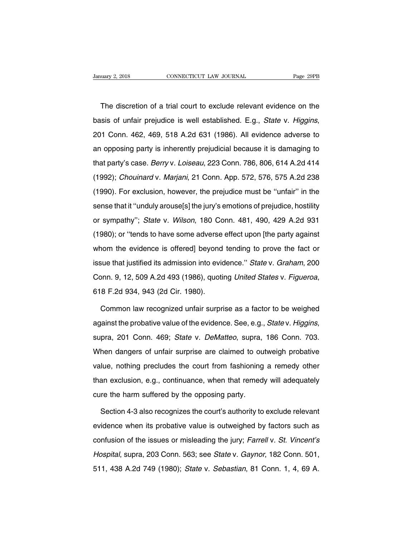The discretion of a trial court to exclude relevant evidence on the<br>
Sis of unfair prejudice is well established. E.g., *State* v. *Higgins*, basis of unfair prejudice is well established. E.g., *State* v. *Higgins*, 201 Conn. 462, 469, 518 A.2d 631 (1986). All evidence adverse to an opposing party is inherently prejudicial because it is damaging to The discretion of a trial court to exclude relevant evidence on the<br>basis of unfair prejudice is well established. E.g., *State* v. *Higgins*,<br>201 Conn. 462, 469, 518 A.2d 631 (1986). All evidence adverse to<br>an opposing pa that party's case. Berry v. Loiseau, 223 Conn. 206, 575 A.2d 238<br>
1992); Chouinard v. Marjani, 21 Conn. 206, 675 A.2d 414<br>
1992); Chouinard v. Marjani, 21 Conn. App. 572, 576, 575 A.2d 238 201 Conn. 462, 469, 518 A.2d 631 (1986). All evidence adverse to<br>an opposing party is inherently prejudicial because it is damaging to<br>that party's case. *Berry* v. Loiseau, 223 Conn. 786, 806, 614 A.2d 414<br>(1992); *Choui* Eur Somm 162, 169, 316 Alled 331 (1695). Alle statemed datable to the proposing party is inherently prejudicial because it is damaging to that party's case. *Berry* v. *Loiseau*, 223 Conn. 786, 806, 614 A.2d 414 (1992); *C* an oppooling party is inhibiting projection. 3 Societies it is dainlaging to<br>that party's case. Berry v. Loiseau, 223 Conn. 786, 806, 614 A.2d 414<br>(1992); Chouinard v. Marjani, 21 Conn. App. 572, 576, 575 A.2d 238<br>(1990). (1992); *Chouinard v. Marjani*, 21 Conn. App. 572, 576, 575 A.2d 238<br>(1990). For exclusion, however, the prejudice must be "unfair" in the<br>sense that it "unduly arouse[s] the jury's emotions of prejudice, hostility<br>or sym (1990). For exclusion, however, the prejudice must be "unfair" in the sense that it "unduly arouse[s] the jury's emotions of prejudice, hostility or sympathy"; State v. Wilson, 180 Conn. 481, 490, 429 A.2d 931 (1980); or sense that it "unduly arouse[s] the jury's emotions of prejudice, hostility<br>or sympathy"; State v. Wilson, 180 Conn. 481, 490, 429 A.2d 931<br>(1980); or "tends to have some adverse effect upon [the party against<br>whom the evi oches that it dinatry areasonologically be sinculated or projection, itselling<br>or sympathy"; *State* v. *Wilson*, 180 Conn. 481, 490, 429 A.2d 931<br>(1980); or "tends to have some adverse effect upon [the party against<br>whom (1980); or "tends to have some adverse effect upon [the party against<br>whom the evidence is offered] beyond tending to prove the fact or<br>issue that justified its admission into evidence." State v. Graham, 200<br>Conn. 9, 12, 5 sue that justified its admission into evidence." State v. Graham, 200<br>
onn. 9, 12, 509 A.2d 493 (1986), quoting *United States v. Figueroa*,<br>
8 F.2d 934, 943 (2d Cir. 1980).<br>
Common law recognized unfair surprise as a fact

conn. 9, 12, 509 A.2d 493 (1986), quoting *United States v. Figueroa*,<br>618 F.2d 934, 943 (2d Cir. 1980).<br>Common law recognized unfair surprise as a factor to be weighed<br>against the probative value of the evidence. See, e.g Common law recognized unfair surprise as a factor to be weighed<br>against the probative value of the evidence. See, e.g., *Statev. Higgins*,<br>supra, 201 Conn. 469; *Statev. DeMatteo*, supra, 186 Conn. 703.<br>When dangers of unf gainst the probative value of the evidence. See, e.g., *Statev. Higgins*, supra, 201 Conn. 469; *Statev. DeMatteo*, supra, 186 Conn. 703. When dangers of unfair surprise are claimed to outweigh probative value, nothing pre supra, 201 Conn. 469; *State* v. *DeMatteo*, supra, 186 Conn. 703.<br>When dangers of unfair surprise are claimed to outweigh probative<br>value, nothing precludes the court from fashioning a remedy other<br>than exclusion, e.g., c When dangers of unfair surprise are claimed to ou<br>value, nothing precludes the court from fashioning<br>than exclusion, e.g., continuance, when that remed<br>cure the harm suffered by the opposing party.<br>Section 4-3 also recogni Iue, nothing precludes the court from fashioning a remedy other<br>an exclusion, e.g., continuance, when that remedy will adequately<br>re the harm suffered by the opposing party.<br>Section 4-3 also recognizes the court's authorit

than exclusion, e.g., continuance, when that remedy will adequately<br>cure the harm suffered by the opposing party.<br>Section 4-3 also recognizes the court's authority to exclude relevant<br>evidence when its probative value is o cure the harm suffered by the opposing party.<br>Section 4-3 also recognizes the court's authority to exclude relevant<br>evidence when its probative value is outweighed by factors such as<br>confusion of the issues or misleading t Section 4-3 also recognizes the court's authority to exclude relevant<br>evidence when its probative value is outweighed by factors such as<br>confusion of the issues or misleading the jury; *Farrell v. St. Vincent's*<br>*Hospital* evidence when its probative value is outweighed by factors such as<br>confusion of the issues or misleading the jury; Farrell v. St. Vincent's<br>Hospital, supra, 203 Conn. 563; see State v. Gaynor, 182 Conn. 501,<br>511, 438 A.2d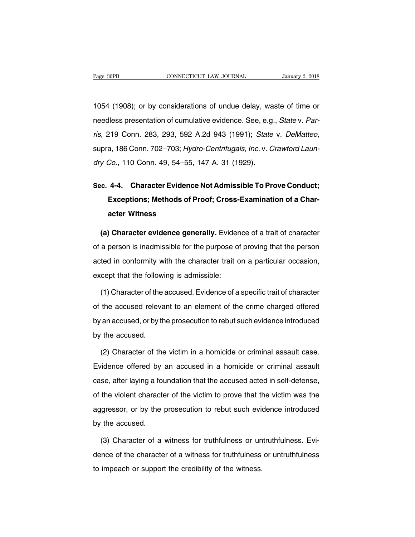Page 30PB CONNECTICUT LAW JOURNAL January 2, 2018<br>1054 (1908); or by considerations of undue delay, waste of time or<br>needless presentation of cumulative evidence. See, e.g., *State v. Par*-Page 30PB CONNECTICUT LAW JOURNAL January 2, 2018<br>1054 (1908); or by considerations of undue delay, waste of time or<br>needless presentation of cumulative evidence. See, e.g., State v. Par-<br>ris, 219 Conn. 283, 293, 592 A.2d 1054 (1908); or by considerations of undue delay, waste of time or<br>needless presentation of cumulative evidence. See, e.g., *State v. Par-<br>ris*, 219 Conn. 283, 293, 592 A.2d 943 (1991); *State v. DeMatteo*,<br>supra, 186 Conn needless presentation of cumulative evidence. See, e.g.<br>
ris, 219 Conn. 283, 293, 592 A.2d 943 (1991); State<br>
supra, 186 Conn. 702–703; Hydro-Centrifugals, Inc. v. C<br>
dry Co., 110 Conn. 49, 54–55, 147 A. 31 (1929). ris, 219 Conn. 283, 293, 592 A.2d 943 (1991); *State v. DeMatteo,*<br>supra, 186 Conn. 702–703; *Hydro-Centrifugals, Inc. v. Crawford Laun-<br>dry Co., 110 Conn. 49, 54–55, 147 A. 31 (1929).*<br>**Sec. 4-4. Character Evidence Not Ad** 

# a, 186 Conn. 702–703; *Hydro-Centrifugals, Inc.* v. *Crawford Laun-<br>Co.*, 110 Conn. 49, 54–55, 147 A. 31 (1929).<br>**4-4. Character Evidence Not Admissible To Prove Conduct;<br>Exceptions; Methods of Proof; Cross-Examination of** Co., 110 Conn. 49, 54–55,<br>**4-4. Character Evidenc<br>Exceptions; Methods of l<br>acter Witness (a) Character Evidence Not Admissible To Prove Conduct;**<br> **Exceptions; Methods of Proof; Cross-Examination of a Character Witness**<br> **(a) Character evidence generally.** Evidence of a trait of character a person is inadmiss

Exceptions; Methods of Proof; Cross-Examination of a Character Witness<br>
(a) Character evidence generally. Evidence of a trait of character<br>
of a person is inadmissible for the purpose of proving that the person<br>
acted in c acter Witness<br>
(a) Character evidence generally. Evidence of a trait of character<br>
of a person is inadmissible for the purpose of proving that the person<br>
acted in conformity with the character trait on a particular occasi (a) Character evidence generally. Evider<br>of a person is inadmissible for the purpose of<br>acted in conformity with the character trait c<br>except that the following is admissible:<br>(1) Character of the accused. Evidence of a (1) a person is inadmissible for the purpose of proving that the person<br>ted in conformity with the character trait on a particular occasion,<br>cept that the following is admissible:<br>(1) Character of the accused. Evidence of

acted in conformity with the character trait on a particular occasion,<br>except that the following is admissible:<br>(1) Character of the accused. Evidence of a specific trait of character<br>of the accused relevant to an element except that the following is admissible:<br>
(1) Character of the accused. Evidence of a specific trait of character<br>
of the accused relevant to an element of the crime charged offered<br>
by an accused, or by the prosecution to (1) Character of the accused. Evidence of a specific trait of character<br>of the accused relevant to an element of the crime charged offered<br>by an accused, or by the prosecution to rebut such evidence introduced<br>by the accus the accused relevant to an element of the crime charged offered<br>an accused, or by the prosecution to rebut such evidence introduced<br>the accused.<br>(2) Character of the victim in a homicide or criminal assault case.<br>vidence o

by an accused, or by the prosecution to rebut such evidence introduced<br>by the accused.<br>(2) Character of the victim in a homicide or criminal assault case.<br>Evidence offered by an accused in a homicide or criminal assault<br>ca by the accused.<br>
(2) Character of the victim in a homicide or criminal assault case.<br>
Evidence offered by an accused in a homicide or criminal assault<br>
case, after laying a foundation that the accused acted in self-defense (2) Character of the victim in a homicide or criminal assault case.<br>Evidence offered by an accused in a homicide or criminal assault<br>case, after laying a foundation that the accused acted in self-defense,<br>of the violent ch Evidence offered by an accused in a homicide or criminal assault<br>case, after laying a foundation that the accused acted in self-defense,<br>of the violent character of the victim to prove that the victim was the<br>aggressor, or case, after laying a for<br>of the violent characte<br>aggressor, or by the<br>by the accused.<br>(3) Character of a the violent character of the victim to prove that the victim was the gressor, or by the prosecution to rebut such evidence introduced<br>the accused.<br>(3) Character of a witness for truthfulness or untruthfulness. Evi-<br>nce of

aggressor, or by the prosecution to rebut such evidence introduced<br>by the accused.<br>(3) Character of a witness for truthfulness or untruthfulness. Evi-<br>dence of the character of a witness for truthfulness or untruthfulness<br> to imped the accused.<br>
(3) Character of a witness for truthfulness or undence of the character of a witness for truthfulness.<br>
to impeach or support the credibility of the witness.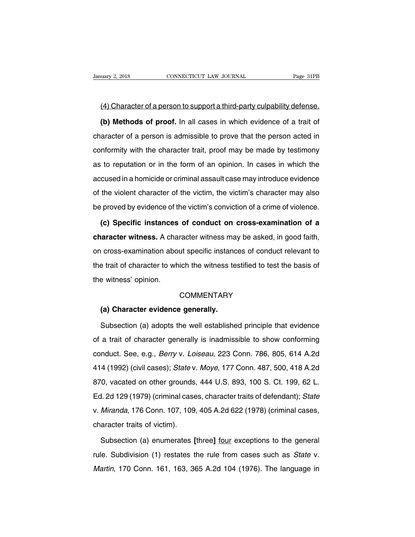(4) Character of a person to support a third-party culpability defense.<br>
(5) Methods of proof. In all cases in which evidence of a trait of Latter 2, 2018<br> **(4) Character of a person to support a third-party culpability defense.<br>
<b>(b) Methods of proof.** In all cases in which evidence of a trait of a<br>
aracter of a person is admissible to prove that the person a (4) Character of a person to support a third-party culpability defense.<br>
(b) Methods of proof. In all cases in which evidence of a trait of character of a person is admissible to prove that the person acted in conformity w (4) Character of a person to support a third-party culpability defense.<br>
(b) Methods of proof. In all cases in which evidence of a trait of character of a person is admissible to prove that the person acted in conformity w (b) Methods of proof. In all cases in which evidence of a trait of character of a person is admissible to prove that the person acted in conformity with the character trait, proof may be made by testimony as to reputation conformity with the character trait, proof may be made by testimony<br>as to reputation or in the form of an opinion. In cases in which the<br>accused in a homicide or criminal assault case may introduce evidence<br>of the violent conformity with the character trait, proof may be made by testimony<br>as to reputation or in the form of an opinion. In cases in which the<br>accused in a homicide or criminal assault case may introduce evidence<br>of the violent be proved by the victimity with the strategies that, proof may be made by teaminity<br>as to reputation or in the form of an opinion. In cases in which the<br>accused in a homicide or criminal assault case may introduce evidence Frances in a homicide or criminal assault case may introduce evidence<br>the violent character of the victim, the victim's character may also<br>proved by evidence of the victim's conviction of a crime of violence.<br>**(c) Specific** 

of the violent character of the victim, the victim's character may also<br>be proved by evidence of the victim's conviction of a crime of violence.<br>**(c) Specific instances of conduct on cross-examination of a**<br>**character witn** be proved by evidence of the victim's conviction of a crime of violence.<br>
(c) Specific instances of conduct on cross-examination of a<br>
character witness. A character witness may be asked, in good faith,<br>
on cross-examinati (c) Specific instances of conduct on cross-examination of a character witness. A character witness may be asked, in good faith, on cross-examination about specific instances of conduct relevant to the trait of character to (c) opecine instances<br>character witness. A cha<br>on cross-examination abouthe trait of character to wh<br>the witness' opinion. Frait of character to which the witness te<br>
Frait evitness' opinion.<br>
COMMENTARY<br> **(a) Character evidence generally.**<br>
Subsection (a) adopts the well establishe

# **COMMENTARY**

Subsection (a) adopts the well established principle that evidence<br>
A trait of character generally is inadmissible to show conforming<br>
a trait of character generally is inadmissible to show conforming COMMENTARY<br>
(a) Character evidence generally.<br>
Subsection (a) adopts the well established principle that evidence<br>
of a trait of character generally is inadmissible to show conforming<br>
conduct. See, e.g., *Berry* v. *Loise* (a) Character evidence generally.<br>Subsection (a) adopts the well established principle that evidence<br>of a trait of character generally is inadmissible to show conforming<br>conduct. See, e.g., *Berry* v. *Loiseau*, 223 Conn. Subsection (a) adopts the well established principle that evidence<br>of a trait of character generally is inadmissible to show conforming<br>conduct. See, e.g., *Berry* v. *Loiseau*, 223 Conn. 786, 805, 614 A.2d<br>414 (1992) (civ of a trait of character generally is inadmissible to show conforming<br>conduct. See, e.g., *Berry v. Loiseau*, 223 Conn. 786, 805, 614 A.2d<br>414 (1992) (civil cases); *State v. Moye*, 177 Conn. 487, 500, 418 A.2d<br>870, vacated enduct. See, e.g., *Berry v. Loiseau*, 223 Conn. 786, 805, 614 A.2d<br>414 (1992) (civil cases); *State v. Moye*, 177 Conn. 487, 500, 418 A.2d<br>870, vacated on other grounds, 444 U.S. 893, 100 S. Ct. 199, 62 L.<br>Ed. 2d 129 (197 v. 1992) (civil cases); *State* v. *Moye*, 177 Conn. 487, 500, 418 A.2d 870, vacated on other grounds, 444 U.S. 893, 100 S. Ct. 199, 62 L. Ed. 2d 129 (1979) (criminal cases, character traits of defendant); *State* v. *Mira* 111 (1552) (SMI 58555), State V<br>870, vacated on other grounds<br>Ed. 2d 129 (1979) (criminal case<br>v. *Miranda*, 176 Conn. 107, 109<br>character traits of victim).<br>Subsection (a) enumerates [ Subsection (a) enumerates character traits of defendant); State Miranda, 176 Conn. 107, 109, 405 A.2d 622 (1978) (criminal cases, aracter traits of victim).<br>Subsection (a) enumerates [three] <u>four</u> exceptions to the genera

v. *Miranda*, 176 Conn. 107, 109, 405 A.2d 622 (1978) (criminal cases, character traits of victim).<br>Subsection (a) enumerates [three] <u>four</u> exceptions to the general rule. Subdivision (1) restates the rule from cases such character traits of victim).<br>
Subsection (a) enumerates [three] <u>four</u> exceptions to the general<br>
rule. Subdivision (1) restates the rule from cases such as *State* v.<br> *Martin*, 170 Conn. 161, 163, 365 A.2d 104 (1976). Th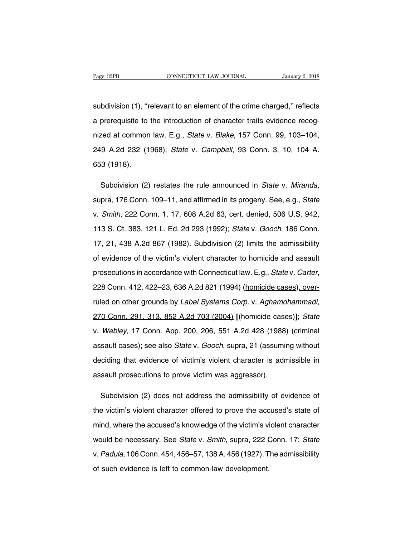Fage 32PB CONNECTICUT LAW JOURNAL January 2, 2018<br>Subdivision (1), "relevant to an element of the crime charged," reflects<br>a prerequisite to the introduction of character traits evidence recog-Page 32PB CONNECTICUT LAW JOURNAL January 2, 2018<br>subdivision (1), "relevant to an element of the crime charged," reflects<br>a prerequisite to the introduction of character traits evidence recog-<br>nized at common law. E.g., subdivision (1), "relevant to an element of the crime charged," reflects<br>a prerequisite to the introduction of character traits evidence recog-<br>nized at common law. E.g., *State v. Blake*, 157 Conn. 99, 103–104,<br>249 A.2d 2 subdivision (1), "relevant to an element of the crime charged," reflects<br>a prerequisite to the introduction of character traits evidence recog-<br>nized at common law. E.g., *State v. Blake*, 157 Conn. 99, 103–104,<br>249 A.2d 2 a prerequisite to<br>nized at common<br>249 A.2d 232 (1<br>653 (1918). inized at common law. E.g., *State v. Blake*, 157 Conn. 99, 103–104, 249 A.2d 232 (1968); *State v. Campbell*, 93 Conn. 3, 10, 104 A.<br>653 (1918).<br>Subdivision (2) restates the rule announced in *State v. Miranda*, supra, 17

653 (1918).<br>
Subdivision (2) restates the rule announced in *State v. Miranda*,<br>
supra, 176 Conn. 109–11, and affirmed in its progeny. See, e.g., *State*<br>
v. *Smith*, 222 Conn. 1, 17, 608 A.2d 63, cert. denied, 506 U.S. 94 Subdivision (2) restates the rule announced in *State* v. *Miranda*, supra, 176 Conn. 109–11, and affirmed in its progeny. See, e.g., *State* v. *Smith*, 222 Conn. 1, 17, 608 A.2d 63, cert. denied, 506 U.S. 942, 113 S. Ct. supra, 176 Conn. 109–11, and affirmed in its progeny. See, e.g., *State*<br>v. *Smith*, 222 Conn. 1, 17, 608 A.2d 63, cert. denied, 506 U.S. 942,<br>113 S. Ct. 383, 121 L. Ed. 2d 293 (1992); *State* v. *Gooch*, 186 Conn.<br>17, 21, v. *Smith*, 222 Conn. 1, 17, 608 A.2d 63, cert. denied, 506 U.S. 942, 113 S. Ct. 383, 121 L. Ed. 2d 293 (1992); *State v. Gooch*, 186 Conn. 17, 21, 438 A.2d 867 (1982). Subdivision (2) limits the admissibility of evidence 113 S. Ct. 383, 121 L. Ed. 2d 293 (1992); *State v. Gooch*, 186 Conn.<br>17, 21, 438 A.2d 867 (1982). Subdivision (2) limits the admissibility<br>of evidence of the victim's violent character to homicide and assault<br>prosecutions of evidence of the victim's violent character to homicide and assault<br>prosecutions in accordance with Connecticut law. E.g., *State* v. *Carter*,<br>228 Conn. 412, 422–23, 636 A.2d 821 (1994) (homicide cases), over-<br>ruled on prosecutions in accordance with Connecticut law. E.g., *State* v. *Carter*,<br>228 Conn. 412, 422–23, 636 A.2d 821 (1994) (homicide cases), over-<br>ruled on other grounds by *Label Systems Corp.* v. *Aghamohammadi*,<br>270 Conn. 2 v. Vecase Conn. 412, 422–23, 636 A.2d 821 (1994) (homicide cases), over-<br>valled on other grounds by *Label Systems Corp. v. Aghamohammadi,*<br>270 Conn. 291, 313, 852 A.2d 703 (2004) [(homicide cases)]; *State*<br>v. *Webley*, 1 ruled on other grounds by *Label Systems Corp.* v. Aghamohammadi,<br>270 Conn. 291, 313, 852 A.2d 703 (2004) [(homicide cases)]; *State*<br>v. Webley, 17 Conn. App. 200, 206, 551 A.2d 428 (1988) (criminal<br>assault cases); see als 270 Conn. 291, 313, 852 A.2d 703 (2004) [(homicide cases)]; State<br>v. Webley, 17 Conn. App. 200, 206, 551 A.2d 428 (1988) (criminal<br>assault cases); see also State v. Gooch, supra, 21 (assuming without<br>deciding that evidence v. Webley, 17 Conn. App. 200, 206, 551 A.2d 428 (1988<br>assault cases); see also *State* v. *Gooch*, supra, 21 (assuming deciding that evidence of victim's violent character is adreasault prosecutions to prove victim was agg sault cases); see also *State* v. *Gooch*, supra, 21 (assuming without ciding that evidence of victim's violent character is admissible in sault prosecutions to prove victim was aggressor).<br>Subdivision (2) does not address

deciding that evidence of victim's violent character is admissible in<br>assault prosecutions to prove victim was aggressor).<br>Subdivision (2) does not address the admissibility of evidence of<br>the victim's violent character of assault prosecutions to prove victim was aggressor).<br>
Subdivision (2) does not address the admissibility of evidence of<br>
the victim's violent character offered to prove the accused's state of<br>
mind, where the accused's kno Subdivision (2) does not address the admissibility of evidence of<br>the victim's violent character offered to prove the accused's state of<br>mind, where the accused's knowledge of the victim's violent character<br>would be necess the victim's violent character offered to prove the accused's state of<br>mind, where the accused's knowledge of the victim's violent character<br>would be necessary. See *State* v. *Smith*, supra, 222 Conn. 17; *State*<br>v. Padul mind, where the accused's knowledge of the victim's violent character<br>would be necessary. See *State* v. *Smith*, supra, 222 Conn. 17; *State*<br>v. *Padula*, 106 Conn. 454, 456–57, 138 A. 456 (1927). The admissibility<br>of suc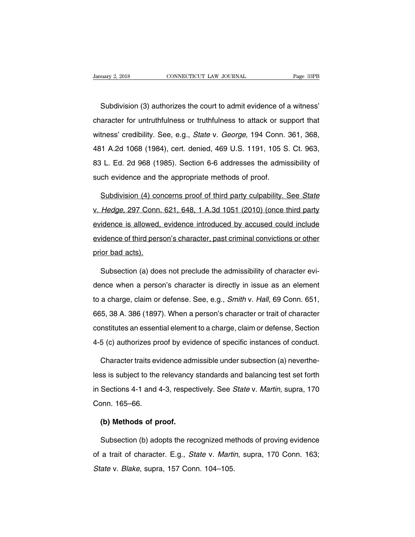Nextandary 2, 2018<br>
Subdivision (3) authorizes the court to admit evidence of a witness'<br>
aracter for untruthfulness or truthfulness to attack or support that CONNECTICUT LAW JOURNAL Page 33PB<br>
Subdivision (3) authorizes the court to admit evidence of a witness'<br>
character for untruthfulness or truthfulness to attack or support that<br>
witness' credibility. See, e.g., *State v. Ge* Subdivision (3) authorizes the court to admit evidence of a witness'<br>character for untruthfulness or truthfulness to attack or support that<br>witness' credibility. See, e.g., *State v. George*, 194 Conn. 361, 368,<br>481 A.2d 1 Subdivision (3) authorizes the court to admit evidence of a witness'<br>character for untruthfulness or truthfulness to attack or support that<br>witness' credibility. See, e.g., *State* v. *George*, 194 Conn. 361, 368,<br>481 A.2d clastification (c) detitions to search detail in syncology of a third scheme character for untruthfulness or truthfulness to attack or support that witness' credibility. See, e.g., *State v. George*, 194 Conn. 361, 368, 48 character for untruthfulness or truthfulness to attack or support that<br>witness' credibility. See, e.g., *State* v. *George*, 194 Conn. 361, 368,<br>481 A.2d 1068 (1984), cert. denied, 469 U.S. 1191, 105 S. Ct. 963,<br>83 L. Ed. 1 A.2d 1068 (1984), cert. denied, 469 U.S. 1191, 105 S. Ct. 963,<br>
1 L. Ed. 2d 968 (1985). Section 6-6 addresses the admissibility of<br>
ch evidence and the appropriate methods of proof.<br>
Subdivision (4) concerns proof of thi

83 L. Ed. 2d 968 (1985). Section 6-6 addresses the admissibility of<br>such evidence and the appropriate methods of proof.<br>Subdivision (4) concerns proof of third party culpability. See State<br>v. Hedge, 297 Conn. 621, 648, 1 A such evidence and the appropriate methods of proof.<br>
Subdivision (4) concerns proof of third party culpability. See State<br>
v. Hedge, 297 Conn. 621, 648, 1 A.3d 1051 (2010) (once third party<br>
evidence is allowed, evidence i Subdivision (4) concerns proof of third party culpability. See State<br>v. Hedge, 297 Conn. 621, 648, 1 A.3d 1051 (2010) (once third party<br>evidence is allowed, evidence introduced by accused could include<br>evidence of third pe v. Hedge, 297 Conn.<br>evidence is allowed,<br>evidence of third pers<br>prior bad acts). idence is allowed, evidence introduced by accused could include<br>idence of third person's character, past criminal convictions or other<br>ior bad acts).<br>Subsection (a) does not preclude the admissibility of character evi-<br>nce

evidence of third person's character, past criminal convictions or other<br>prior bad acts).<br>Subsection (a) does not preclude the admissibility of character evi-<br>dence when a person's character is directly in issue as an elem prior bad acts).<br>Subsection (a) does not preclude the admissibility of character evi-<br>dence when a person's character is directly in issue as an element<br>to a charge, claim or defense. See, e.g., *Smith* v. Hall, 69 Conn. 6 Subsection (a) does not preclude the admissibility of character evi-<br>dence when a person's character is directly in issue as an element<br>to a charge, claim or defense. See, e.g., *Smith* v. Hall, 69 Conn. 651,<br>665, 38 A. 38 dence when a person's character is directly in issue as an element<br>to a charge, claim or defense. See, e.g., *Smith* v. *Hall*, 69 Conn. 651,<br>665, 38 A. 386 (1897). When a person's character or trait of character<br>constitut to a charge, claim or defense. See, e.g., *Smith* v. *Hall*, 69 Conn. 651,<br>665, 38 A. 386 (1897). When a person's character or trait of character<br>constitutes an essential element to a charge, claim or defense, Section<br>4-5 665, 38 A. 386 (1897). When a person's character or trait of character constitutes an essential element to a charge, claim or defense, Section 4-5 (c) authorizes proof by evidence of specific instances of conduct. Characte

constitutes an essential element to a charge, claim or defense, Section<br>4-5 (c) authorizes proof by evidence of specific instances of conduct.<br>Character traits evidence admissible under subsection (a) neverthe-<br>less is sub 4-5 (c) authorizes proof by evidence of specific instances of conduct.<br>Character traits evidence admissible under subsection (a) neverthe-<br>less is subject to the relevancy standards and balancing test set forth<br>in Sections Character traits evi<br>less is subject to the<br>in Sections 4-1 and 4<br>Conn. 165–66.<br>(b) Methods of p Solven to the relevancy<br>
Sections 4-1 and 4-3, respections 4-1 and 4-3, respection<br> **(b) Methods of proof.**<br>
Subsection (b) adopts the real Sections 4-1 and 4-3, respectively. See *State* v. *Martin*, supra, 170<br>
onn. 165–66.<br> **(b) Methods of proof.**<br>
Subsection (b) adopts the recognized methods of proving evidence<br>
a trait of character. E.g., *State* v. *Mart* 

Conn. 165–66.<br>
(b) Methods of proof.<br>
Subsection (b) adopts the recognized methods of proving evidence<br>
of a trait of character. E.g., *State v. Martin*, supra, 170 Conn. 163;<br> *State v. Blake*, supra, 157 Conn. 104–105. (b) Methods of proof.<br>Subsection (b) adopts the recognized me<br>of a trait of character. E.g., *State v. Martii*<br>*State v. Blake*, supra, 157 Conn. 104–105.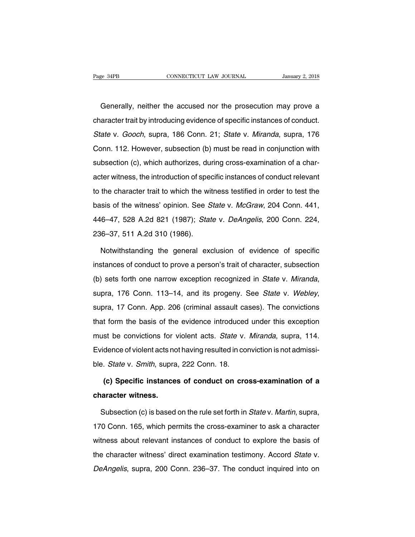Generally, neither the accused nor the prosecution may prove a<br>aracter trait by introducing evidence of specific instances of conduct. Page 34PB CONNECTICUT LAW JOURNAL January 2, 2018<br>Generally, neither the accused nor the prosecution may prove a<br>character trait by introducing evidence of specific instances of conduct.<br>State v. Gooch, supra, 186 Conn. 21 Generally, neither the accused nor the prosecution may prove a<br>character trait by introducing evidence of specific instances of conduct.<br>State v. Gooch, supra, 186 Conn. 21; State v. Miranda, supra, 176<br>Conn. 112. However, Generally, neither the accused nor the prosecution may prove a<br>character trait by introducing evidence of specific instances of conduct.<br>State v. Gooch, supra, 186 Conn. 21; State v. Miranda, supra, 176<br>Conn. 112. However, subsection (c), which are preseded to the preseduation may prove a<br>character trait by introducing evidence of specific instances of conduct.<br>State v. Gooch, supra, 186 Conn. 21; State v. Miranda, supra, 176<br>Conn. 112. Howe State v. Gooch, supra, 186 Conn. 21; State v. Miranda, supra, 176<br>Conn. 112. However, subsection (b) must be read in conjunction with<br>subsection (c), which authorizes, during cross-examination of a char-<br>acter witness, the Conn. 112. However, subsection (b) must be read in conjunction with<br>subsection (c), which authorizes, during cross-examination of a char-<br>acter witness, the introduction of specific instances of conduct relevant<br>to the cha subsection (c), which authorizes, during cross-examination of a character witness, the introduction of specific instances of conduct relevant<br>to the character trait to which the witness testified in order to test the<br>basis acter witness, the introduction of specific instances of conduct relevant<br>acter witness, the introduction of specific instances of conduct relevant<br>to the character trait to which the witness testified in order to test the doctor wintects, are introduction of operation<br>to the character trait to which the with<br>basis of the witness' opinion. See S<br>446–47, 528 A.2d 821 (1986).<br>236–37, 511 A.2d 310 (1986).<br>Notwithstanding the general exc sis of the witness' opinion. See *State v. McGraw*, 204 Conn. 441,<br>6–47, 528 A.2d 821 (1987); *State v. DeAngelis*, 200 Conn. 224,<br>6–37, 511 A.2d 310 (1986).<br>Notwithstanding the general exclusion of evidence of specific<br>st

446–47, 528 A.2d 821 (1987); *State v. DeAngelis*, 200 Conn. 224,<br>236–37, 511 A.2d 310 (1986).<br>Notwithstanding the general exclusion of evidence of specific<br>instances of conduct to prove a person's trait of character, subs 236–37, 511 A.2d 310 (1986).<br>
Notwithstanding the general exclusion of evidence of specific<br>
instances of conduct to prove a person's trait of character, subsection<br>
(b) sets forth one narrow exception recognized in State (b) sets forth one narrow exception recognized in *State v. Miranda*, supra, 176 Conn. 113–14, and its progeny. See *State v. Webley*, supra, 17 Conn. App. 206 (criminal assault cases). The convictions that form the basis supra, 176 Conn. 113–14, and its progeny. See *State* v. *Webley*, supra, 17 Conn. App. 206 (criminal assault cases). The convictions that form the basis of the evidence introduced under this exception must be convictions Evidence of violent acts not having resulted in convictions<br>that form the basis of the evidence introduced under this exception<br>must be convictions for violent acts. State v. Miranda, supra, 114.<br>Evidence of violent acts n ble. State v. Solin, Npp. 200 (chiminal desdate of<br>that form the basis of the evidence introduced<br>must be convictions for violent acts. State v.<br>Evidence of violent acts not having resulted in con<br>ble. State v. Smith, supr **(c)** Specific instances of conduct on cross-examination of a<br> **(c)** Specific instances of conduct on cross-examination of a<br> **(c)** Specific instances of conduct on cross-examination of a Evidence of violent acts no<br>ble. *State v. Smith*, supra<br>**(c) Specific instance<br>character witness.**<br>Subsection (c) is based

Foliagn: State v. Smith, supra, 222 Conn. 18.<br> **(c) Specific instances of conduct on cross-examination of a**<br> **Subsection (c) is based on the rule set forth in State v. Martin, supra,**<br>
10 Conn. 165, which permits the cros (c) Specific instances of conduct on cross-examination of a<br>character witness.<br>Subsection (c) is based on the rule set forth in *State v. Martin*, supra,<br>170 Conn. 165, which permits the cross-examiner to ask a character<br>w character witness.<br>
Subsection (c) is based on the rule set forth in *State v. Martin*, supra,<br>
170 Conn. 165, which permits the cross-examiner to ask a character<br>
witness about relevant instances of conduct to explore the Subsection (c) is based on the rule set forth in *State* v. *Martin*, supra,<br>170 Conn. 165, which permits the cross-examiner to ask a character<br>witness about relevant instances of conduct to explore the basis of<br>the charac detection (e) is subsequent in the rule section in the case of minimum state of minimum, supple,<br>170 Conn. 165, which permits the cross-examiner to ask a character<br>witness about relevant instances of conduct to explore the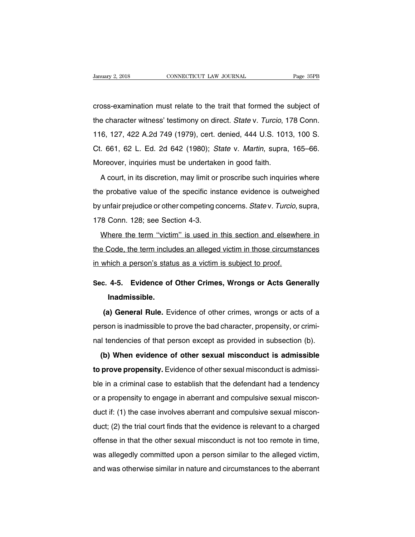CONNECTICUT LAW JOURNAL Page 35PB<br>
cross-examination must relate to the trait that formed the subject of<br>
the character witness' testimony on direct. State v. Turcio, 178 Conn. University 2, 2018 CONNECTICUT LAW JOURNAL Page 35PB<br>
cross-examination must relate to the trait that formed the subject of<br>
the character witness' testimony on direct. State v. Turcio, 178 Conn.<br>
116, 127, 422 A.2d 749 (1 cross-examination must relate to the trait that formed the subject of<br>the character witness' testimony on direct. State v. Turcio, 178 Conn.<br>116, 127, 422 A.2d 749 (1979), cert. denied, 444 U.S. 1013, 100 S.<br>Ct. 661, 62 L. cross-examination must relate to the trait that formed the subject of<br>the character witness' testimony on direct. *State v. Turcio*, 178 Conn.<br>116, 127, 422 A.2d 749 (1979), cert. denied, 444 U.S. 1013, 100 S.<br>Ct. 661, 62 the character witness' testimony on direct. State v. Turcio, 1<br>116, 127, 422 A.2d 749 (1979), cert. denied, 444 U.S. 101;<br>Ct. 661, 62 L. Ed. 2d 642 (1980); State v. Martin, supra,<br>Moreover, inquiries must be undertaken in 6, 127, 422 A.2d 749 (1979), cert. denied, 444 U.S. 1013, 100 S.<br>661, 62 L. Ed. 2d 642 (1980); *State v. Martin*, supra, 165–66.<br>oreover, inquiries must be undertaken in good faith.<br>A court, in its discretion, may limit or

the probative value of the specific instance with the specific instance of the specific instance evidence is outweighed<br>by unfair prejudice or other competing concerns. State v. Turcio, supra,<br>by unfair prejudice or other by unfairming barrowing must be undertaken in good faith.<br>A court, in its discretion, may limit or proscribe such inquiries where<br>the probative value of the specific instance evidence is outweighed<br>by unfair prejudice or o A court, in its discretion, may limit or<br>the probative value of the specific ins<br>by unfair prejudice or other competing co<br>178 Conn. 128; see Section 4-3.<br>Where the term "victim" is used in e probative value of the specific instance evidence is outweighed<br>unfair prejudice or other competing concerns. Statev. Turcio, supra,<br>8 Conn. 128; see Section 4-3.<br>Where the term "victim" is used in this section and elsew

the present of the epseline measure of the contents of calibrary-<br>by unfair prejudice or other competing concerns. State v. Turcio, supra,<br>178 Conn. 128; see Section 4-3.<br>Where the term "victim" is used in this section and IT8 Conn. 128; see Section 4-3.<br>Where the term "victim" is used in this section and elsewhere Code, the term includes an alleged victim in those circumstation which a person's status as a victim is subject to proof. Where the term "victim" is used in this section and elsewhere in<br>the Code, the term includes an alleged victim in those circumstances<br>in which a person's status as a victim is subject to proof.<br>Sec. 4-5. Evidence of Other

# **Inadmissible.**

which a person's status as a victim is subject to proof.<br> **(a) General Rule.** Evidence of other crimes, wrongs or Acts Generally<br> **(a)** General Rule. Evidence of other crimes, wrongs or acts of a<br>
son is inadmissible to Sec. 4-5. Evidence of Other Crimes, Wrongs or Acts Generally<br>Inadmissible.<br>(a) General Rule. Evidence of other crimes, wrongs or acts of a<br>person is inadmissible to prove the bad character, propensity, or crimi-<br>nal tenden Inadmissible.<br>
(a) General Rule. Evidence of other crimes, wrongs or acts of a<br>
person is inadmissible to prove the bad character, propensity, or crimi-<br>
nal tendencies of that person except as provided in subsection (b).<br> (a) General Rule. Evidence of other crimes, wrongs or acts of a<br>rson is inadmissible to prove the bad character, propensity, or crimi-<br>il tendencies of that person except as provided in subsection (b).<br>(b) When evidence of

**to prove a trace is a trace of other sexual misconduct is admissible to prove propensity.** Evidence of other sexual misconduct is admissible to prove propensity. Evidence of other sexual misconduct is admissible to prove before its inatineers of prototic stationary, propertiefy, or standard provided in subsection (b).<br> **(b) When evidence of other sexual misconduct is admissible to prove propensity.** Evidence of other sexual misconduct is a (b) When evidence of other sexual misconduct is admissible<br>to prove propensity. Evidence of other sexual misconduct is admissi-<br>ble in a criminal case to establish that the defendant had a tendency<br>or a propensity to enga to prove propensity. Evidence of other sexual misconduct is admissible in a criminal case to establish that the defendant had a tendency<br>or a propensity to engage in aberrant and compulsive sexual miscon-<br>duct if: (1) the duct if: (1) the case involves aberrant and compulsive sexual misconduct if: (1) the case involves aberrant and compulsive sexual misconduct if: (1) the case involves aberrant and compulsive sexual misconduct; (2) the tria or a propensity to engage in aberrant and compulsive sexual misconduct if: (1) the case involves aberrant and compulsive sexual misconduct; (2) the trial court finds that the evidence is relevant to a charged offense in th or a proportion, to origage in abordant and compulsive sexual misconduct; (2) the trial court finds that the evidence is relevant to a charged offense in that the other sexual misconduct is not too remote in time, was alle duct; (2) the trial court finds that the evidence is relevant to a charged<br>offense in that the other sexual misconduct is not too remote in time,<br>was allegedly committed upon a person similar to the alleged victim,<br>and was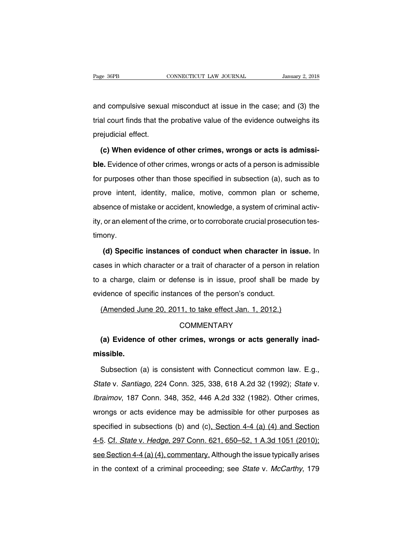Page 36PB CONNECTICUT LAW JOURNAL January 2, 2018<br>and compulsive sexual misconduct at issue in the case; and (3) the<br>trial court finds that the probative value of the evidence outweighs its Trage 36PB<br>
connectricut LAW JOURNAL January 2, 2018<br>
and compulsive sexual misconduct at issue in the case; and (3) the<br>
trial court finds that the probative value of the evidence outweighs its<br>
prejudicial effect. and compulsive sexua<br>trial court finds that the<br>prejudicial effect.<br>(c) When evidence **(3)** the trial court finds that the probative value of the evidence outweighs its prejudicial effect.<br> **(c)** When evidence of other crimes, wrongs or acts is admissible. Evidence of other crimes, wrongs or acts is admissi

**ble.** Evidence of other crimes, wrongs or acts is admissible. Evidence of other crimes, wrongs or acts is admissible. Evidence of other crimes, wrongs or acts of a person is admissible for purposes other than those specif prejudicial effect.<br>
(c) When evidence of other crimes, wrongs or acts is admissi-<br>
ble. Evidence of other crimes, wrongs or acts of a person is admissible<br>
for purposes other than those specified in subsection (a), such a (c) When evidence of other crimes, wrongs or acts is admissi-<br>ble. Evidence of other crimes, wrongs or acts of a person is admissible<br>for purposes other than those specified in subsection (a), such as to<br>prove intent, iden ble. Evidence of other crimes, wrongs or acts of a person is admissible<br>for purposes other than those specified in subsection (a), such as to<br>prove intent, identity, malice, motive, common plan or scheme,<br>absence of mistak For Existince of enter ormited, wronge of acts or a percentic daminesible<br>for purposes other than those specified in subsection (a), such as to<br>prove intent, identity, malice, motive, common plan or scheme,<br>absence of mist timony. France of mistake or accident, knowledge, a system of criminal activ-<br>or an element of the crime, or to corroborate crucial prosecution tes-<br>ony.<br>**(d) Specific instances of conduct when character in issue.** In<br>ses in which

ity, or an element of the crime, or to corroborate crucial prosecution tes-<br>timony.<br>(d) Specific instances of conduct when character in issue. In<br>cases in which character or a trait of character of a person in relation<br>to timony.<br>
(d) Specific instances of conduct when character in issue. In<br>
cases in which character or a trait of character of a person in relation<br>
to a charge, claim or defense is in issue, proof shall be made by<br>
evidence (d) Specific instances of conduct when character in is cases in which character or a trait of character of a person in to a charge, claim or defense is in issue, proof shall be n evidence of specific instances of the pers ses in which character or a trait of character of a person in relation a charge, claim or defense is in issue, proof shall be made idence of specific instances of the person's conduct.<br>(Amended June 20, 2011, to take effec

## **COMMENTARY**

idence of specific instances of the person's conduct.<br>
(Amended June 20, 2011, to take effect Jan. 1, 2012.)<br>
COMMENTARY<br> **(a) Evidence of other crimes, wrongs or acts generally inad-**<br> **issible. missible.**

COMMENTARY<br>
(a) Evidence of other crimes, wrongs or acts generally inad-<br>
issible.<br>
Subsection (a) is consistent with Connecticut common law. E.g.,<br>
ate v. Santiago, 224 Conn. 325, 338, 618 A.2d 32 (1992); *State* v. (a) Evidence of other crimes, wrongs or acts generally inad-<br>missible.<br>Subsection (a) is consistent with Connecticut common law. E.g.,<br>State v. Santiago, 224 Conn. 325, 338, 618 A.2d 32 (1992); State v.<br>Ibraimov, 187 Conn. missible.<br>
Subsection (a) is consistent with Connecticut common law. E.g.,<br>
State v. Santiago, 224 Conn. 325, 338, 618 A.2d 32 (1992); State v.<br>
Ibraimov, 187 Conn. 348, 352, 446 A.2d 332 (1982). Other crimes,<br>
wrongs or a Subsection (a) is consistent with Connecticut common law. E.g.,<br>State v. Santiago, 224 Conn. 325, 338, 618 A.2d 32 (1992); State v.<br>Ibraimov, 187 Conn. 348, 352, 446 A.2d 332 (1982). Other crimes,<br>wrongs or acts evidence m State v. Santiago, 224 Conn. 325, 338, 618 A.2d 32 (1992); State v.<br>Ibraimov, 187 Conn. 348, 352, 446 A.2d 332 (1982). Other crimes,<br>wrongs or acts evidence may be admissible for other purposes as<br>specified in subsections braimov, 187 Conn. 348, 352, 446 A.2d 332 (1982). Other crimes,<br>wrongs or acts evidence may be admissible for other purposes as<br>specified in subsections (b) and (c), Section 4-4 (a) (4) and Section<br>4-5. Cf. State v. Hedge shamov, 157 Somm 916, 652, 116 7.28 Soz (1692). Safet dimise,<br>wrongs or acts evidence may be admissible for other purposes as<br>specified in subsections (b) and (c), Section 4-4 (a) (4) and Section<br>4-5. Cf. State v. Hedge, specified in subsections (b) and (c), Section 4-4 (a) (4) and Section 4-5. Cf. State v. Hedge, 297 Conn. 621, 650–52, 1 A.3d 1051 (2010); see Section 4-4 (a) (4), commentary. Although the issue typically arises in the cont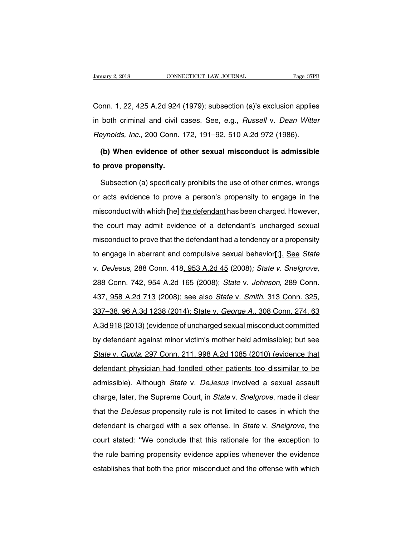Connect Connect Connect Connect Connect Connect Connect Assembly Page 37PB<br>Conn. 1, 22, 425 A.2d 924 (1979); subsection (a)'s exclusion applies<br>in both criminal and civil cases. See, e.g., *Russell* v. *Dean Witter* January 2, 2018 CONNECTICUT LAW JOURNAL Page 37PB<br>Conn. 1, 22, 425 A.2d 924 (1979); subsection (a)'s exclusion applies<br>in both criminal and civil cases. See, e.g., *Russell v. Dean Witter<br>Reynolds, Inc.*, 200 Conn. 172, 19 Conn. 1, 22, 425 A.2d 924 (1979); subsection (a)'s exclusion applies<br>in both criminal and civil cases. See, e.g., *Russell v. Dean Witte.<br>Reynolds, Inc.*, 200 Conn. 172, 191–92, 510 A.2d 972 (1986).<br>(b) When evidence of ot both criminal and civil cases. See, e.g., *Russell v. Dean Witter*<br>both criminal and civil cases. See, e.g., *Russell v. Dean Witter*<br>eynolds, Inc., 200 Conn. 172, 191–92, 510 A.2d 972 (1986).<br>**(b) When evidence of other s** in both criminal and civil composed and civil composed and the prove propensity.<br> **to prove propensity.**<br>
Subsection (a) specifically

synolds, Inc., 200 Conn. 172, 191–92, 510 A.2d 972 (1986).<br> **(b) When evidence of other sexual misconduct is admissible**<br> **prove propensity.**<br>
Subsection (a) specifically prohibits the use of other crimes, wrongs<br>
acts evi (b) When evidence of other sexual misconduct is admissible<br>to prove propensity.<br>Subsection (a) specifically prohibits the use of other crimes, wrongs<br>or acts evidence to prove a person's propensity to engage in the<br>miscond to prove propensity.<br>
Subsection (a) specifically prohibits the use of other crimes, wrongs<br>
or acts evidence to prove a person's propensity to engage in the<br>
misconduct with which [he] the defendant has been charged. Howe Subsection (a) specifically prohibits the use of other crimes, wrongs<br>or acts evidence to prove a person's propensity to engage in the<br>misconduct with which [he] the defendant has been charged. However,<br>the court may admit or acts evidence to prove a person's propensity to engage in the<br>misconduct with which [he] the defendant has been charged. However,<br>the court may admit evidence of a defendant's uncharged sexual<br>misconduct to prove that t to engage in aberrative in proto a person oppopenent, to engage in and<br>misconduct with which [he] the defendant has been charged. However,<br>the court may admit evidence of a defendant's uncharged sexual<br>misconduct to prove the court may admit evidence of a defendant's uncharged sexual<br>misconduct to prove that the defendant had a tendency or a propensity<br>to engage in aberrant and compulsive sexual behavior[;]. See State<br>v. DeJesus, 288 Conn. misconduct to prove that the defendant had a tendency or a propensity<br>to engage in aberrant and compulsive sexual behavior[;]. See State<br>v. DeJesus, 288 Conn. 418, 953 A.2d 45 (2008); State v. Snelgrove,<br>288 Conn. 742, 954 to engage in aberrant and compulsive sexual behavior[;]. See State<br>v. DeJesus, 288 Conn. 418, 953 A.2d 45 (2008); State v. Snelgrove,<br>288 Conn. 742, 954 A.2d 165 (2008); State v. Johnson, 289 Conn.<br>437, 958 A.2d 713 (2008) 1. DeJesus, 288 Conn. 418, 953 A.2d 45 (2008); State v. Snelgrove,<br>288 Conn. 742, 954 A.2d 165 (2008); State v. Johnson, 289 Conn.<br>437, 958 A.2d 713 (2008); see also State v. Smith, 313 Conn. 325,<br>337–38, 96 A.3d 1238 (201 288 Conn. 742, 954 A.2d 165 (2008); *State v. Johnson*, 289 Conn.<br>437, 958 A.2d 713 (2008); see also *State v. Smith*, 313 Conn. 325,<br>337–38, 96 A.3d 1238 (2014); State v. *George A.*, 308 Conn. 274, 63<br>A.3d 918 (2013) (ev by defendant against minor victims of the student servestion. 325, 337–38, 96 A.3d 1238 (2014); State v. George A., 308 Conn. 274, 63<br>A.3d 918 (2013) (evidence of uncharged sexual misconduct committed by defendant against State v. Gas A.3d 1238 (2014); State v. George A., 308 Conn. 274, 63<br>A.3d 918 (2013) (evidence of uncharged sexual misconduct committed<br>by defendant against minor victim's mother held admissible); but see<br>State v. Gupta, 2 A.3d 918 (2013) (evidence of uncharged sexual misconduct committed<br>by defendant against minor victim's mother held admissible); but see<br>State v. Gupta, 297 Conn. 211, 998 A.2d 1085 (2010) (evidence that<br>defendant physician by defendant against minor victim's mother held admissible); but see<br>State v. Gupta, 297 Conn. 211, 998 A.2d 1085 (2010) (evidence that<br>defendant physician had fondled other patients too dissimilar to be<br>admissible). Altho State v. Gupta, 297 Conn. 211, 998 A.2d 1085 (2010) (evidence that<br>defendant physician had fondled other patients too dissimilar to be<br>admissible). Although *State* v. *DeJesus* involved a sexual assault<br>charge, later, the defendant physician had fondled other patients too dissimilar to be<br>admissible). Although *State* v. *DeJesus* involved a sexual assault<br>charge, later, the Supreme Court, in *State* v. *Snelgrove*, made it clear<br>that the admissible). Although *State* v. *DeJesus* involved a sexual assault charge, later, the Supreme Court, in *State* v. *Snelgrove*, made it clear that the *DeJesus* propensity rule is not limited to cases in which the defend charge, later, the Supreme Court, in *State* v. *Snelgrove*, made it clear<br>that the *DeJesus* propensity rule is not limited to cases in which the<br>defendant is charged with a sex offense. In *State* v. *Snelgrove*, the<br>cou that the *DeJesus* propensity rule is not limited to cases in which the defendant is charged with a sex offense. In *State v. Snelgrove*, the court stated: "We conclude that this rationale for the exception to the rule bar defendant is charged with a sex offense. In *State* v. *Snelgrove*, the court stated: "We conclude that this rationale for the exception to the rule barring propensity evidence applies whenever the evidence establishes tha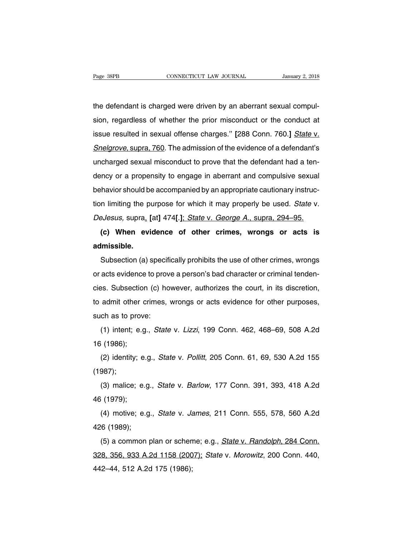The defendant is charged were driven by an aberrant sexual compul-<br>the defendant is charged were driven by an aberrant sexual compul-<br>sion, regardless of whether the prior misconduct or the conduct at Fage 38PB CONNECTICUT LAW JOURNAL January 2, 2018<br>the defendant is charged were driven by an aberrant sexual compul-<br>sion, regardless of whether the prior misconduct or the conduct at<br>issue resulted in sexual offense charg the defendant is charged were driven by an aberrant sexual compulsion, regardless of whether the prior misconduct or the conduct at issue resulted in sexual offense charges." [288 Conn. 760.] State v. Snelgrove, supra, 760 the defendant is charged were driven by an aberrant sexual compulsion, regardless of whether the prior misconduct or the conduct at issue resulted in sexual offense charges." [288 Conn. 760.] State v. Snelgrove, supra, 760 une detendant is charged were dirvert by an abentum sexual compar-<br>sion, regardless of whether the prior misconduct or the conduct at<br>issue resulted in sexual offense charges." [288 Conn. 760.] State v.<br>Snelgrove, supra, 7 dency or a propensity to engage in aberrant and compulsive sexual behavior should be accompanied by an appropriate cattionary instruction of the evidency or a propensity to engage in aberrant and compulsive sexual behavior Shelgrove, supra, 760. The admission of the evidence of a defendant's<br>uncharged sexual misconduct to prove that the defendant had a ten-<br>dency or a propensity to engage in aberrant and compulsive sexual<br>behavior should be uncharged sexual misconduct to prove that the defendant had a ten-<br>dency or a propensity to engage in aberrant and compulsive sexual<br>behavior should be accompanied by an appropriate cautionary instruc-<br>tion limiting the pu dency or a propensity to engage in aberrant and compulsive sexual<br>behavior should be accompanied by an appropriate cautionary instruc-<br>tion limiting the purpose for which it may properly be used. State v.<br>DeJesus, supra, [ **(c)** When evidence of other crimes, wrongs or acts is unissible.

**admissible.**

Subsection (a) specifically profit in the use of other crimes, supra, 294–95.<br> **(c)** When evidence of other crimes, wrongs or acts is<br>
Imissible.<br>
Subsection (a) specifically prohibits the use of other crimes, wrongs<br>
acts Correstas, supra, [al] 4741.], *Diale v. George Al, supra, 254–95.*<br>
(c) When evidence of other crimes, wrongs or acts is<br>
admissible.<br>
Subsection (a) specifically prohibits the use of other crimes, wrongs<br>
or acts evidenc c. When evidence of other crimes, wrongs or acts is<br>admissible.<br>Subsection (a) specifically prohibits the use of other crimes, wrongs<br>or acts evidence to prove a person's bad character or criminal tenden-<br>cies. Subsection Subsection (a) specifically prohibits the use of other crimes, wrongs<br>or acts evidence to prove a person's bad character or criminal tenden-<br>cies. Subsection (c) however, authorizes the court, in its discretion,<br>to admit o or acts evidence to prov<br>cies. Subsection (c) ho<br>to admit other crimes,<br>such as to prove:<br>(1) intent; e.g., *State* exis evidence to prove a person's bad character of chimilar tendent-<br>es. Subsection (c) however, authorizes the court, in its discretion,<br>admit other crimes, wrongs or acts evidence for other purposes,<br>ch as to prove:<br>(1) to admit other c<br>to admit other c<br>such as to prove<br>(1) intent; e.g<br>16 (1986);<br>(2) identity; e.

(1) intent; e.g., *State* v. *Lizzi*, 199 Conn. 462, 468–69, 508 A.2d i (1986);<br>(2) identity; e.g., *State* v. *Pollitt*, 205 Conn. 61, 69, 530 A.2d 155<br>(2) identity; e.g., *State* v. *Pollitt*, 205 Conn. 61, 69, 530 A.2d

(1987); (1) ment, e.g., *State v. Elzzi*, 199 Conn. 462, 466–69, 366 A.2d<br>i (1986);<br>(2) identity; e.g., *State v. Pollitt*, 205 Conn. 61, 69, 530 A.2d 155<br>987);<br>(3) malice; e.g., *State v. Barlow*, 177 Conn. 391, 393, 418 A.2d<br>i (2) identity; e.<br>(1987);<br>(3) malice; e.<br>46 (1979);<br>(4) motive; e.

(2) identity, e.g., State v. Politit, 203 Conn. 01, 09, 330 A.2d 133<br>987);<br>(3) malice; e.g., *State* v. *Barlow*, 177 Conn. 391, 393, 418 A.2d<br>i (1979);<br>(4) motive; e.g., *State* v. *James*, 211 Conn. 555, 578, 560 A.2d<br>6 (1967),<br>
(3) malice; e.g<br>
46 (1979);<br>
(4) motive; e.g<br>
426 (1989);<br>
(5) a common |

(5) mance, e.g., *State v. Banow*, 177 Conn. 551, 593, 416 A.2d<br>
i (1979);<br>
(4) motive; e.g., *State v. James*, 211 Conn. 555, 578, 560 A.2d<br>
(5) a common plan or scheme; e.g., *State v. Randolph*, 284 Conn.<br>
8, 356, 933 40 (1979),<br>
(4) motive; e.g., *State v. James*, 211 Conn. 555, 578, 560 A.2d<br>
426 (1989);<br>
(5) a common plan or scheme; e.g., *State v. Randolph*, 284 Conn.<br>
328, 356, 933 A.2d 1158 (2007); *State v. Morowitz*, 200 Conn. 4 (4) molive, e.g., *State V. 58*<br>426 (1989);<br>(5) a common plan or schen<br>328, 356, 933 A.2d 1158 (200<br>442–44, 512 A.2d 175 (1986);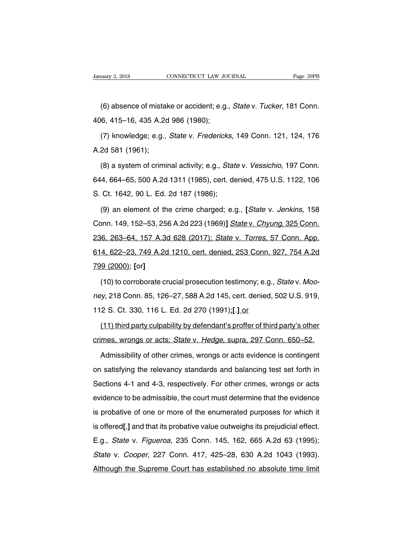(6) uary 2, 2018<br>
(6) absence of mistake or accident; e.g., *State v. Tucker*, 181 Conn.<br>
16, 415–16, 435 A.2d 986 (1980); January 2, 2018 CONNECTICUT LAW JON<br>
(6) absence of mistake or accident; e.g.<br>
406, 415–16, 435 A.2d 986 (1980);<br>
(7) knowledge; e.g., *State v. Frederick* 

(6) absence of mistake or accident; e.g., *State* v. *Tucker*, 181 Conn.<br>6, 415–16, 435 A.2d 986 (1980);<br>(7) knowledge; e.g., *State* v. *Fredericks*, 149 Conn. 121, 124, 176<br>2d 581 (1961); (6) absence of mistal<br>406, 415–16, 435 A.2d<br>(7) knowledge; e.g.,<br>A.2d 581 (1961);<br>(8) a system of crimi 6, 415–16, 435 A.2d 986 (1980);<br>(7) knowledge; e.g., *State* v. *Fredericks*, 149 Conn. 121, 124, 176<br>2d 581 (1961);<br>(8) a system of criminal activity; e.g., *State* v. *Vessichio*, 197 Conn.<br>4, 664–65, 500 A.2d 1311 (1985

(7) knowledge; e.g., *State v. Fredericks*, 149 Conn. 121, 124, 176<br>A.2d 581 (1961);<br>(8) a system of criminal activity; e.g., *State v. Vessichio*, 197 Conn.<br>644, 664–65, 500 A.2d 1311 (1985), cert. denied, 475 U.S. 1122, A.2d 581 (1961);<br>
(8) a system of criminal activity; e.g., *Stat*<br>
644, 664–65, 500 A.2d 1311 (1985), cert. de<br>
S. Ct. 1642, 90 L. Ed. 2d 187 (1986);<br>
(9) an element of the crime charged; e.g. (8) a system of criminal activity; e.g., *State* v. *Vessichio*, 197 Conn.<br>4, 664–65, 500 A.2d 1311 (1985), cert. denied, 475 U.S. 1122, 106<br>Ct. 1642, 90 L. Ed. 2d 187 (1986);<br>(9) an element of the crime charged; e.g., [*S* 

644, 664–65, 500 A.2d 1311 (1985), cert. denied, 475 U.S. 1122, 106<br>S. Ct. 1642, 90 L. Ed. 2d 187 (1986);<br>(9) an element of the crime charged; e.g., [*State v. Jenkins*, 158<br>Conn. 149, 152–53, 256 A.2d 223 (1969)] *State v* 236, 263–64, 157 A.3d 628 (2017); State v. Torres, 57 Conn. App.<br>236, 263–64, 157 A.3d 628 (2017); State v. Torres, 57 Conn. App.<br>236, 263–64, 157 A.3d 628 (2017); State v. Torres, 57 Conn. App.<br>236, 263–64, 157 A.3d 628 ( (9) an element of the crime charged; e.g., [State v. Jenkins, 158<br>Conn. 149, 152–53, 256 A.2d 223 (1969)] State v. Chyung, 325 Conn.<br>236, 263–64, 157 A.3d 628 (2017); State v. Torres, 57 Conn. App.<br>614, 622–23, 749 A.2d 1 799 (2000); **[**or<sub>r</sub>]<br>**236, 263–64, 157 A.3d**<br>**614, 622–23, 749 A.2d**<br>**799 (2000); [or]**<br>(10) to corroborate cr (6, 263–64, 157 A.3d 628 (2017); State v. Torres, 57 Conn. App.<br>4, 622–23, 749 A.2d 1210, cert. denied, 253 Conn. 927, 754 A.2d<br>9 (2000); [or]<br>(10) to corroborate crucial prosecution testimony; e.g., State v. Moo-<br>y, 218 C

new 14, 622–23, 749 A.2d 1210, cert. denied, 253 Conn. 927, 754 A.2d<br>
799 (2000); [or]<br>
(10) to corroborate crucial prosecution testimony; e.g., *State v. Moo-<br>
ney*, 218 Conn. 85, 126–27, 588 A.2d 145, cert. denied, 502 U 112 S. Ct. 330, 116 L. Ed. 2d 270 (1991);<br>
112 S. Ct. 330, 116 L. Ed. 2d 270 (1991);<br>
112 S. Ct. 330, 116 L. Ed. 2d 270 (1991);<br>
112 S. Ct. 330, 116 L. Ed. 2d 270 (1991);<br>
112 S. Ct. 330, 116 L. Ed. 2d 270 (1991);<br>
113 thi (10) to corroborate crucial prosecution testimony; e.g., *State* v. *Moo-*<br>y, 218 Conn. 85, 126–27, 588 A.2d 145, cert. denied, 502 U.S. 919,<br>2 S. Ct. 330, 116 L. Ed. 2d 270 (1991)<u>;[.] or</u><br>(11) third party culpability by ney, 218 Conn. 85, 126–27, 588 A.2d 145, cert. denied, 502 U.S. 919,<br>112 S. Ct. 330, 116 L. Ed. 2d 270 (1991).[1] or<br>(11) third party culpability by defendant's proffer of third party's other<br>crimes, wrongs or acts; *State* 

2 S. Ct. 330, 116 L. Ed. 2d 270 (1991);[.] or<br>(11) third party culpability by defendant's proffer of third party's other<br>mes, wrongs or acts; State v. Hedge, supra, 297 Conn. 650–52.<br>Admissibility of other crimes, wrongs o (11) third party culpability by defendant's proffer of third party's other crimes, wrongs or acts; *State v. Hedge*, supra, 297 Conn. 650–52.<br>Admissibility of other crimes, wrongs or acts evidence is contingent on satisfyi Crimes, wrongs or acts; *State v. Hedge*, supra, 297 Conn. 650–52.<br>Admissibility of other crimes, wrongs or acts evidence is contingent<br>on satisfying the relevancy standards and balancing test set forth in<br>Sections 4-1 and Admissibility of other crimes, wrongs or acts evidence is contingent<br>on satisfying the relevancy standards and balancing test set forth in<br>Sections 4-1 and 4-3, respectively. For other crimes, wrongs or acts<br>evidence to be Frameensing of other emmes, wrongs or dete enderhoons of commigont<br>on satisfying the relevancy standards and balancing test set forth in<br>Sections 4-1 and 4-3, respectively. For other crimes, wrongs or acts<br>evidence to be a Sections 4-1 and 4-3, respectively. For other crimes, wrongs or acts<br>evidence to be admissible, the court must determine that the evidence<br>is probative of one or more of the enumerated purposes for which it<br>is offered[,] a evidence to be admissible, the court must determine that the evidence<br>is probative of one or more of the enumerated purposes for which it<br>is offered[,] and that its probative value outweighs its prejudicial effect.<br>E.g., State v. Cooper, 227 Conn. 417, 425–28, 630 A.2d 1043 (1993).<br>Although the Supreme Court has established no absolute time limit<br>Although the Supreme Court has established no absolute time limit is offered[,] and that its probative value outweighs its prejudicial effect.<br>E.g., *State v. Figueroa*, 235 Conn. 145, 162, 665 A.2d 63 (1995);<br>*State v. Cooper*, 227 Conn. 417, 425–28, 630 A.2d 1043 (1993).<br>Although the S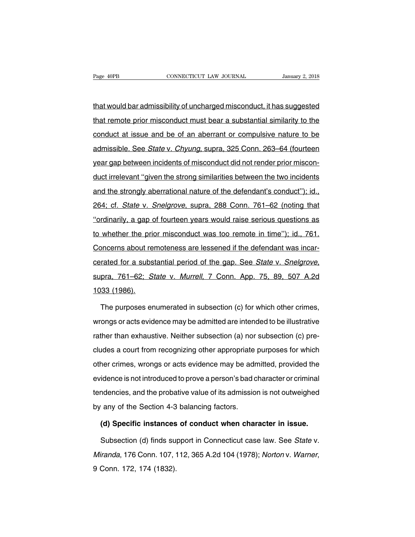The Fage 40PB<br>that would bar admissibility of uncharged misconduct, it has suggested<br>that remote prior misconduct must bear a substantial similarity to the Fage 40PB CONNECTICUT LAW JOURNAL January 2, 2018<br>that would bar admissibility of uncharged misconduct, it has suggested<br>that remote prior misconduct must bear a substantial similarity to the<br>conduct at issue and be of an that would bar admissibility of uncharged misconduct, it has suggested<br>that remote prior misconduct must bear a substantial similarity to the<br>conduct at issue and be of an aberrant or compulsive nature to be<br>admissible. Se that would bar admissibility of uncharged misconduct, it has suggested<br>that remote prior misconduct must bear a substantial similarity to the<br>conduct at issue and be of an aberrant or compulsive nature to be<br>admissible. Se that remote prior misconduct must bear a substantial similarity to the conduct at issue and be of an aberrant or compulsive nature to be admissible. See *State v. Chyung*, supra, 325 Conn. 263–64 (fourteen year gap between conduct at issue and be of an aberrant or compulsive nature to be<br>admissible. See *State* v. *Chyung*, supra, 325 Conn. 263–64 (fourteen<br>year gap between incidents of misconduct did not render prior miscon-<br>duct irrelevant admissible. See *State* v. *Chyung*, supra, 325 Conn. 263–64 (fourteen year gap between incidents of misconduct did not render prior misconduct irrelevant "given the strong similarities between the two incidents and the st vear gap between incidents of misconduct did not render prior miscon-<br>duct irrelevant "given the strong similarities between the two incidents<br>and the strongly aberrational nature of the defendant's conduct''); id.,<br>264; c duct irrelevant "given the strong similarities between the two incidents<br>and the strongly aberrational nature of the defendant's conduct"); id.,<br>264; cf. *State* v. *Snelgrove*, supra, 288 Conn. 761–62 (noting that<br>"ordina and the strongly aberrational nature of the defendant's conduct''); id., 264; cf. *State* v. *Snelgrove*, supra, 288 Conn. 761–62 (noting that "ordinarily, a gap of fourteen years would raise serious questions as to whethe 264; cf. *State* v. *Snelgrove*, supra, 288 Conn. 761–62 (noting that<br>"ordinarily, a gap of fourteen years would raise serious questions as<br>to whether the prior misconduct was too remote in time"); id., 761.<br>Concerns about corated for a substantial period of the gap. See State v. Snelgrove, and the prior misconduct was too remote in time"); id., 761.<br>Concerns about remoteness are lessened if the defendant was incarcerated for a substantial p E *mistrie.* and process about re<br>
cerated for a subs<br>
supra, 761–62; S<br>
1033 (1986).<br>
The purposes er rated for a substantial period of the gap. See *State* v. *Snelgrove*,<br>pra, 761–62; *State* v. *Murrell*, 7 Conn. App. 75, 89, 507 A.2d<br>33 (1986).<br>The purposes enumerated in subsection (c) for which other crimes,<br>ongs or a

supra, 761–62; *State v. Murrell*, 7 Conn. App. 75, 89, 507 A.2d<br>1033 (1986).<br>The purposes enumerated in subsection (c) for which other crimes,<br>wrongs or acts evidence may be admitted are intended to be illustrative<br>rather 1033 (1986).<br>The purposes enumerated in subsection (c) for which other crimes,<br>wrongs or acts evidence may be admitted are intended to be illustrative<br>rather than exhaustive. Neither subsection (a) nor subsection (c) pre-<br> The purposes enumerated in subsection (c) for which other crimes,<br>wrongs or acts evidence may be admitted are intended to be illustrative<br>rather than exhaustive. Neither subsection (a) nor subsection (c) pre-<br>cludes a cour The parpected critalisation is distocted in the differential crimes,<br>wrongs or acts evidence may be admitted are intended to be illustrative<br>rather than exhaustive. Neither subsection (a) nor subsection (c) pre-<br>cludes a c rather than exhaustive. Neither subsection (a) nor subsection (c) pre-<br>cludes a court from recognizing other appropriate purposes for which<br>other crimes, wrongs or acts evidence may be admitted, provided the<br>evidence is no rather than exhaustive. Nothion subsection (a) not subsection (b) procludes a court from recognizing other appropriate purposes for which<br>other crimes, wrongs or acts evidence may be admitted, provided the<br>evidence is not of the crimes, wrongs or acts evidence may be adrevidence is not introduced to prove a person's bad c<br>tendencies, and the probative value of its admissio<br>by any of the Section 4-3 balancing factors.<br>(d) Specific instances Fidence is not introduced to prove a person's bad character or criminal<br>
idencies, and the probative value of its admission is not outweighed<br>
(a) Specific instances of conduct when character in issue.<br>
Subsection (d) find materies, and the probative value of its admission is not outweighed<br>
(a) Specific instances of conduct when character in issue.<br>
Subsection (d) finds support in Connecticut case law. See *State* v.<br>
Finanda, 176 Conn. 107

by any of the Section 4-3 balancing factors.<br>
(d) Specific instances of conduct when character in issue.<br>
Subsection (d) finds support in Connecticut case law. See *State v.*<br>
Miranda, 176 Conn. 107, 112, 365 A.2d 104 (197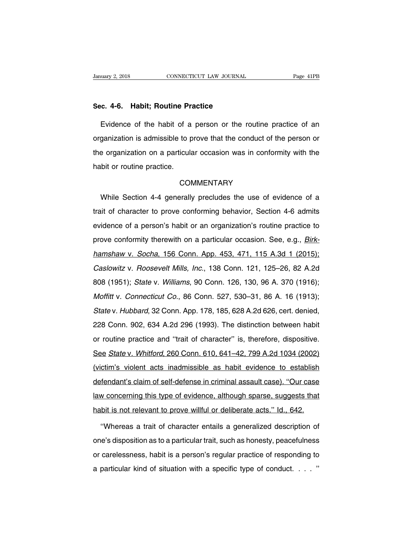# **Sanuary 2, 2018 CONNECTICUT LAW JOURNAL**<br> **Sec. 4-6. Habit; Routine Practice**<br> **Evidence of the babit of a person or the re-**

Example 2, 2018 CONNECTICUT LAW JOURNAL Page 41PB<br> **Evidence of the habit of a person or the routine practice of an**<br>
Evidence of the habit of a person or the routine practice of an<br>
ganization is admissible to prove that Sec. 4-6. Habit; Routine Practice<br>Evidence of the habit of a person or the routine practice of an<br>organization is admissible to prove that the conduct of the person or<br>the organization on a particular occasion was in confo Sec. 4-6. Habit; Routine Practice<br>Evidence of the habit of a person or the routine practice of an<br>organization is admissible to prove that the conduct of the person or<br>the organization on a particular occasion was in confo Evidence of the habit of a<br>organization is admissible to p<br>the organization on a particula<br>habit or routine practice. e organization on a particular occasion was in conformity with the<br>bit or routine practice.<br>COMMENTARY<br>While Section 4-4 generally precludes the use of evidence of a<br>it of character to prove conforming behavior, Section 4-

# **COMMENTARY**

trait of commentions.<br>
COMMENTARY<br>
While Section 4-4 generally precludes the use of evidence of a<br>
trait of character to prove conforming behavior, Section 4-6 admits<br>
evidence of a person's habit or an organization's rout COMMENTARY<br>While Section 4-4 generally precludes the use of evidence of a<br>trait of character to prove conforming behavior, Section 4-6 admits<br>evidence of a person's habit or an organization's routine practice to<br>prove conf While Section 4-4 generally precludes the use of evidence of a<br>trait of character to prove conforming behavior, Section 4-6 admits<br>evidence of a person's habit or an organization's routine practice to<br>prove conformity ther trait of character to prove conforming behavior, Section 4-6 admits<br>evidence of a person's habit or an organization's routine practice to<br>prove conformity therewith on a particular occasion. See, e.g., *Birk-*<br>hamshaw v. S evidence of a person's habit or an organization's routine practice to<br>prove conformity therewith on a particular occasion. See, e.g., *Birk-*<br>hamshaw v. Socha, 156 Conn. App. 453, 471, 115 A.3d 1 (2015);<br>Caslowitz v. Roose prove conformity therewith on a particular occasion. See, e.g., *Birk-hamshaw v. Socha*, 156 Conn. App. 453, 471, 115 A.3d 1 (2015);<br>Caslowitz v. Roosevelt Mills, Inc., 138 Conn. 121, 125–26, 82 A.2d<br>808 (1951); *State v.* hamshaw v. Socha, 156 Conn. App. 453, 471, 115 A.3d 1 (2015);<br>Caslowitz v. Roosevelt Mills, Inc., 138 Conn. 121, 125–26, 82 A.2d<br>808 (1951); *State v. Williams*, 90 Conn. 126, 130, 96 A. 370 (1916);<br>Moffitt v. Connecticut Caslowitz v. Boosevelt Mills, Inc., 138 Conn. 121, 125-26, 82 A.2d 808 (1951); State v. Williams, 90 Conn. 126, 130, 96 A. 370 (1916); Moffitt v. Connecticut Co., 86 Conn. 527, 530-31, 86 A. 16 (1913); State v. Hubbard, 3 228 Conn. 902, 634 A.2d 296 (1993). The distinction between habit or routine practice and "trait of character" is, therefore, dispositive. or routine with the connecticut Co., 86 Connecticut Co., 86 Connecticut Co., 86 Connecticut Co., 86 Connecticu<br>State v. Hubbard, 32 Conn. App. 178, 185, 628 A.2d 626, cert. denied,<br>228 Conn. 902, 634 A.2d 296 (1993). The d State v. Hubbard, 32 Conn. App. 178, 185, 628 A.2d 626, cert. denied, 228 Conn. 902, 634 A.2d 296 (1993). The distinction between habit or routine practice and "trait of character" is, therefore, dispositive. See *State v.* 228 Conn. 902, 634 A.2d 296 (1993). The distinction between habit<br>or routine practice and "trait of character" is, therefore, dispositive.<br>See State v. Whitford, 260 Conn. 610, 641–42, 799 A.2d 1034 (2002)<br>(victim's violen defendant's claim of self-defense in criminal assault case). "Ho self-defendant's claim of self-defense in criminal assault case). "Our case<br>law concerning this type of evidence in criminal assault case). "Our case<br>law con See State v. Whitford, 260 Conn. 610, 641–42, 799 A.2d 1034 (2002)<br>(victim's violent acts inadmissible as habit evidence to establish<br>defendant's claim of self-defense in criminal assault case). "Our case<br>law concerning th (victim's violent acts inadmissible as habit evidence to establish<br>defendant's claim of self-defense in criminal assault case). "Our case<br>law concerning this type of evidence, although sparse, suggests that<br>habit is not re e fendant's claim of self-defense in criminal assault case). "Our case<br>
In concerning this type of evidence, although sparse, suggests that<br>
bit is not relevant to prove willful or deliberate acts." Id., 642.<br>
"Whereas a t

law concerning this type of evidence, although sparse, suggests that<br>habit is not relevant to prove willful or deliberate acts." Id., 642.<br>"Whereas a trait of character entails a generalized description of<br>one's dispositio habit is not relevant to prove willful or deliberate acts." Id., 642.<br>
"Whereas a trait of character entails a generalized description of<br>
one's disposition as to a particular trait, such as honesty, peacefulness<br>
or carel "Whereas a trait of character entails a generalized description of<br>one's disposition as to a particular trait, such as honesty, peacefulness<br>or carelessness, habit is a person's regular practice of responding to<br>a particul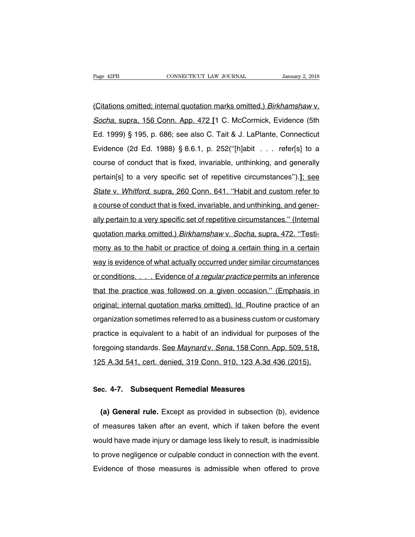Page 42PB CONNECTICUT LAW JOURNAL January 2, 2018<br>(Citations omitted; internal quotation marks omitted.) Birkhamshaw v.<br>Socha, supra, 156 Conn. App. 472 [1 C. McCormick, Evidence (5th Page 42PB CONNECTICUT LAW JOURNAL January 2, 2018<br>(Citations omitted; internal quotation marks omitted.) *Birkhamshaw v.*<br>Socha, supra, 156 Conn. App. 472 [1 C. McCormick, Evidence (5th<br>Ed. 1999) § 195, p. 686; see also C. Citations omitted; internal quotation marks omitted.) Birkhamshaw v.<br>Socha, supra, 156 Conn. App. 472 [1 C. McCormick, Evidence (5th<br>Ed. 1999) § 195, p. 686; see also C. Tait & J. LaPlante, Connecticut<br>Evidence (2d Ed. 198 (Citations omitted; internal quotation marks omitted.) *Birkhamshaw v.*<br>Socha, supra, 156 Conn. App. 472 [1 C. McCormick, Evidence (5th<br>Ed. 1999) § 195, p. 686; see also C. Tait & J. LaPlante, Connecticut<br>Evidence (2d Ed. Socha, supra, 156 Conn. App. 472 [1 C. McCormick, Evidence (5th<br>Ed. 1999) § 195, p. 686; see also C. Tait & J. LaPlante, Connecticut<br>Evidence (2d Ed. 1988) § 8.6.1, p. 252("[h]abit . . . refer[s] to a<br>course of conduct tha Ed. 1999) § 195, p. 686; see also C. Tait & J. LaPlante, Connecticut<br>Evidence (2d Ed. 1988) § 8.6.1, p. 252("[h]abit . . . refer[s] to a<br>course of conduct that is fixed, invariable, unthinking, and generally<br>pertain[s] to Evidence (2d Ed. 1988) § 8.6.1, p. 252("[h]abit . . . refer[s] to a<br>course of conduct that is fixed, invariable, unthinking, and generally<br>pertain[s] to a very specific set of repetitive circumstances").]: see<br>State v. Whi a course of conduct that is fixed, invariable, and unthinking, and generpertain [s] to a very specific set of repetitive circumstances").]; see<br>State v. Whitford, supra, 260 Conn. 641. "Habit and custom refer to<br>a course of conduct that is fixed, invariable, and unthinking, and gener-<br>ally per State v. Whitford, supra, 260 Conn. 641. "Habit and custom refer to<br>a course of conduct that is fixed, invariable, and unthinking, and gener-<br>ally pertain to a very specific set of repetitive circumstances." (Internal<br>quot a course of conduct that is fixed, invariable, and unthinking, and generally pertain to a very specific set of repetitive circumstances." (Internal quotation marks omitted.) *Birkhamshaw v. Socha*, supra, 472. "Testimony a ally pertain to a very specific set of repetitive circumstances." (Internal<br>quotation marks omitted.) *Birkhamshaw v. Socha*, supra, 472. "Testi-<br>mony as to the habit or practice of doing a certain thing in a certain<br>way i quotation marks omitted.) *Birkhamshaw v. Socha*, supra, 472. "Testi-<br>mony as to the habit or practice of doing a certain thing in a certain<br>way is evidence of what actually occurred under similar circumstances<br>or conditio mony as to the habit or practice of doing a certain thing in a certain<br>way is evidence of what actually occurred under similar circumstances<br>or conditions.....Evidence of a regular practice permits an inference<br>that the pr mary as to the hast of practice of dong a cortain timig in a cortain<br>way is evidence of what actually occurred under similar circumstances<br>or conditions.... Evidence of a regular practice permits an inference<br>that the prac or conditions. . . . Evidence of a regular practice permits an inference<br>that the practice was followed on a given occasion." (Emphasis in<br>original; internal quotation marks omitted). Id. Routine practice of an<br>organizatio that the practice was followed on a given occasion." (Emphasis in original; internal quotation marks omitted). Id. Routine practice of an organization sometimes referred to as a business custom or customary practice is equ original; internal quotation marks omitted). Id. Routine practice of an organization sometimes referred to as a business custom or customary practice is equivalent to a habit of an individual for purposes of the foregoing original, internal goodsformation or marked, 131, 132, 133, 133, 133, 133, 133, 135, A.3d 541, cert. denied, 319 Conn. 910, 123 A.3d 436 (2015). practice is equivalent to a habit of an individual for purp-<br>foregoing standards. <u>See Maynard v. *Sena*, 158 Conn. App</u><br>125 A.3d 541, cert. denied, 319 Conn. 910, 123 A.3d 436<br>Sec. 4-7. Subsequent Remedial Measures

15 A.3d 541, cert. denied, 319 Conn. 910, 123 A.3d 436 (2015).<br> **(a) General rule.** Except as provided in subsection (b), evidence<br>
measures taken after an event, which if taken before the event Sec. 4-7. Subsequent Remedial Measures<br>
(a) General rule. Except as provided in subsection (b), evidence<br>
of measures taken after an event, which if taken before the event<br>
would have made injury or damage less likely to r Sec. 4-7. Subsequent Remedial Measures<br>
(a) General rule. Except as provided in subsection (b), evidence<br>
of measures taken after an event, which if taken before the event<br>
would have made injury or damage less likely to r (a) General rule. Except as provided in subsection (b), evidence of measures taken after an event, which if taken before the event would have made injury or damage less likely to result, is inadmissible to prove negligence (a) denote the Except as provided in easescence (b), evidence<br>of measures taken after an event, which if taken before the event<br>would have made injury or damage less likely to result, is inadmissible<br>to prove negligence or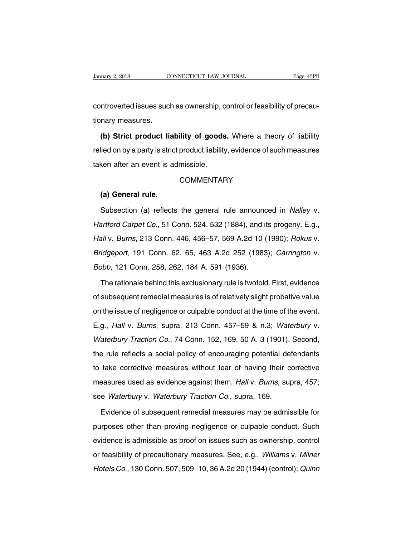CONNECTICUT LAW JOURNAL Page 43PB<br>CONNECTICUT LAW JOURNAL Page 43PB<br>Controverted issues such as ownership, control or feasibility of precau-<br>tionary measures. University 2, 2018<br>
Controverted issues such<br>
tionary measures.<br> **(b) Strict product li**a

ntroverted issues such as ownership, control or feasibility of precau-<br>hary measures.<br>**(b) Strict product liability of goods.** Where a theory of liability<br>lied on by a party is strict product liability, evidence of such me relied on by a party is strict product liability of goods. Where a theory of liability<br>relied on by a party is strict product liability, evidence of such measures<br>taken after an event is admissible. tionary measures.<br>
(b) Strict product liability of goods<br>
relied on by a party is strict product liability<br>
taken after an event is admissible.<br>
COMMENTAF (a) General rule<br>
(a) General rule.<br>
(a) General rule.<br>
Subsection (a) reflects the general rule announced in *Nalley v.*<br>
Subsection (a) reflects the general rule announced in *Nalley v.*<br>
Subsection (a) reflects the gene

# **COMMENTARY**

COMMENTARY<br>
(a) General rule.<br>
Subsection (a) reflects the general rule announced in *Nalley v.*<br>
Hartford Carpet Co., 51 Conn. 524, 532 (1884), and its progeny. E.g.,<br>
Hall v. Burns, 213 Conn. 446, 456–57, 569 A.2d 10 (19 (a) General rule.<br>
Subsection (a) reflects the general rule announced in *Nalley v.*<br>
Hartford Carpet Co., 51 Conn. 524, 532 (1884), and its progeny. E.g.,<br>
Hall v. Burns, 213 Conn. 446, 456–57, 569 A.2d 10 (1990); Rokus Subsection (a) reflects the general rule announced in *Nalley v.*<br>Hartford Carpet Co., 51 Conn. 524, 532 (1884), and its progeny. E.g.,<br>Hall v. Burns, 213 Conn. 446, 456–57, 569 A.2d 10 (1990); Rokus v.<br>Bridgeport, 191 Con Hartford Carpet Co., 51 Conn. 524, 532 (1884), and it<br>Hall v. Burns, 213 Conn. 446, 456–57, 569 A.2d 10 (<br>Bridgeport, 191 Conn. 62, 65, 463 A.2d 252 (1983<br>Bobb, 121 Conn. 258, 262, 184 A. 591 (1936).<br>The rationale behind t all v. Burns, 213 Conn. 446, 456–57, 569 A.2d 10 (1990); Rokus v.<br>idgeport, 191 Conn. 62, 65, 463 A.2d 252 (1983); Carrington v.<br>bbb, 121 Conn. 258, 262, 184 A. 591 (1936).<br>The rationale behind this exclusionary rule is tw

Bridgeport, 191 Conn. 62, 65, 463 A.2d 252 (1983); Carrington v.<br>Bobb, 121 Conn. 258, 262, 184 A. 591 (1936).<br>The rationale behind this exclusionary rule is twofold. First, evidence<br>of subsequent remedial measures is of re Bobb, 121 Conn. 258, 262, 184 A. 591 (1936).<br>The rationale behind this exclusionary rule is twofold. First, evidence<br>of subsequent remedial measures is of relatively slight probative value<br>on the issue of negligence or cul The rationale behind this exclusionary rule is twofold. First, evidence<br>of subsequent remedial measures is of relatively slight probative value<br>on the issue of negligence or culpable conduct at the time of the event.<br>E.g., of subsequent remedial measures is of relatively slight probative value<br>on the issue of negligence or culpable conduct at the time of the event.<br>E.g., *Hall v. Burns*, supra, 213 Conn. 457–59 & n.3; *Waterbury v.*<br>*Waterbu* or sussequent remeatar measures is or retailedly signt present value<br>on the issue of negligence or culpable conduct at the time of the event.<br>E.g., *Hall v. Burns*, supra, 213 Conn. 457–59 & n.3; *Waterbury v.*<br>*Waterbury* E.g., Hall v. Burns, supra, 213 Conn. 457–59 & n.3; Waterbury v.<br>Waterbury Traction Co., 74 Conn. 152, 169, 50 A. 3 (1901). Second,<br>the rule reflects a social policy of encouraging potential defendants<br>to take corrective m Lig., *Tian V. Bamb*, sapid, *LTD* Somin. 157 55 & 1.15, *Waterbury Traction Co.*, 74 Conn. 152, 169, 50 A. 3 (1901). Second, the rule reflects a social policy of encouraging potential defendants to take corrective measure waterbury matcher ed.,  $\tau$  is comitable, too, so  $\lambda$ , equivalently.<br>the rule reflects a social policy of encouraging potential de<br>to take corrective measures without fear of having their c<br>measures used as evidence again take corrective measures without fear of having their corrective<br>easures used as evidence against them. Hall v. Burns, supra, 457;<br>e Waterbury v. Waterbury Traction Co., supra, 169.<br>Evidence of subsequent remedial measures

measures used as evidence against them. Hall v. Burns, supra, 457;<br>see Waterbury v. Waterbury Traction Co., supra, 169.<br>Evidence of subsequent remedial measures may be admissible for<br>purposes other than proving negligence see *Waterbury* v. *Waterbury Traction Co.*, supra, 169.<br>
Evidence of subsequent remedial measures may be admissible for<br>
purposes other than proving negligence or culpable conduct. Such<br>
evidence is admissible as proof on Evidence of subsequent remedial measures may be admissible for<br>purposes other than proving negligence or culpable conduct. Such<br>evidence is admissible as proof on issues such as ownership, control<br>or feasibility of precaut Evidence of subsequent refinemal measures may be during<br>the purposes other than proving negligence or culpable conduct. Such<br>evidence is admissible as proof on issues such as ownership, control<br>or feasibility of precaution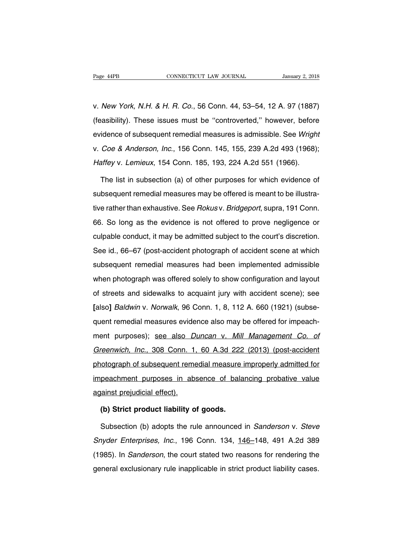Page 44PB<br>
CONNECTICUT LAW JOURNAL January 2, 2018<br>
V. New York, N.H. & H. R. Co., 56 Conn. 44, 53–54, 12 A. 97 (1887)<br>
(feasibility). These issues must be "controverted," however, before Fage 44PB CONNECTICUT LAW JOURNAL January 2, 2018<br>
V. New York, N.H. & H. R. Co., 56 Conn. 44, 53–54, 12 A. 97 (1887)<br>
(feasibility). These issues must be "controverted," however, before<br>
evidence of subsequent remedial me v. New York, N.H. & H. R. Co., 56 Conn. 44, 53–54, 12 A. 97 (1887)<br>(feasibility). These issues must be "controverted," however, before<br>evidence of subsequent remedial measures is admissible. See Wright<br>v. Coe & Anderson, I v. *New York, N.H. & H. R. Co.*, 56 Conn. 44, 53–54, 12 A. 97 (1887)<br>(feasibility). These issues must be "controverted," however, before<br>evidence of subsequent remedial measures is admissible. See *Wright*<br>v. *Coe & Anders* (feasibility). These issues must be "controverted," however, before<br>evidence of subsequent remedial measures is admissible. See *Wrigh*<br>v. *Coe & Anderson, Inc.*, 156 Conn. 145, 155, 239 A.2d 493 (1968).<br>Haffey v. Lemieux idence of subsequent remedial measures is admissible. See Wright<br>
Coe & Anderson, Inc., 156 Conn. 145, 155, 239 A.2d 493 (1968);<br>
affey v. Lemieux, 154 Conn. 185, 193, 224 A.2d 551 (1966).<br>
The list in subsection (a) of ot

v. Coe & Anderson, Inc., 156 Conn. 145, 155, 239 A.2d 493 (1968);<br>Haffey v. Lemieux, 154 Conn. 185, 193, 224 A.2d 551 (1966).<br>The list in subsection (a) of other purposes for which evidence of<br>subsequent remedial measures Haffey v. Lemieux, 154 Conn. 185, 193, 224 A.2d 551 (1966).<br>The list in subsection (a) of other purposes for which evidence of<br>subsequent remedial measures may be offered is meant to be illustra-<br>tive rather than exhaustiv The list in subsection (a) of other purposes for which evidence of subsequent remedial measures may be offered is meant to be illustrative rather than exhaustive. See *Rokusv. Bridgeport*, supra, 191 Conn. 66. So long as t subsequent remedial measures may be offered is meant to be illustra-<br>tive rather than exhaustive. See *Rokus* v. *Bridgeport*, supra, 191 Conn.<br>66. So long as the evidence is not offered to prove negligence or<br>culpable con subsequent remedial measures may be encrea is meant to be mastra<br>tive rather than exhaustive. See *Rokusv. Bridgeport*, supra, 191 Conn.<br>66. So long as the evidence is not offered to prove negligence or<br>culpable conduct, i subsequent remedial measures had been implemented admissible<br>when photograph of accident scene at which<br>subsequent remedial measures had been implemented admissible<br>when photograph was offered solely to show configuration soft to long as the existince is not enoted to prove negrigence of<br>culpable conduct, it may be admitted subject to the court's discretion.<br>See id., 66–67 (post-accident photograph of accident scene at which<br>subsequent reme See id., 66–67 (post-accident photograph of accident scene at which<br>subsequent remedial measures had been implemented admissible<br>when photograph was offered solely to show configuration and layout<br>of streets and sidewalks subsequent remedial measures had been implemented admissible<br>subsequent remedial measures had been implemented admissible<br>when photograph was offered solely to show configuration and layout<br>of streets and sidewalks to acqu when photograph was offered solely to show configuration and layout<br>of streets and sidewalks to acquaint jury with accident scene); see<br>[also] *Baldwin v. Norwalk*, 96 Conn. 1, 8, 112 A. 660 (1921) (subse-<br>quent remedial m ment protograph was shored solory to show somigaration and laysat<br>of streets and sidewalks to acquaint jury with accident scene); see<br>[also] *Baldwin* v. *Norwalk*, 96 Conn. 1, 8, 112 A. 660 (1921) (subse-<br>quent remedial m Greenwich, *Inc.*, 308 Conn. 1, 8, 112 A. 660 (1921) (subsequent remedial measures evidence also may be offered for impeach-<br>ment purposes); see also *Duncan* v. *Mill Management Co. of* Greenwich, Inc., 308 Conn. 1, 60 A. quent remedial measures evidence also may be offered for impeach-<br>ment purposes); <u>see also Duncan v. Mill Management Co. of</u><br>Greenwich, Inc., 308 Conn. 1, 60 A.3d 222 (2013) (post-accident<br>photograph of subsequent remedia ment purposes); see also *Duncan* v. *Mill Management Co. of* Greenwich, Inc., 308 Conn. 1, 60 A.3d 222 (2013) (post-accident photograph of subsequent remedial measure improperly admitted for impeachment purposes in absenc Greenwich, Inc., 308 Conn. 1,<br>photograph of subsequent reme<br>impeachment purposes in absorptions against prejudicial effect).<br>(b) Strict product liability of **Combinding in the interatom of subsequent remedial measure is<br>
peachment purposes in absence of bala**<br> **(b) Strict product liability of goods.**<br>
Subsection (b) adopts the rule announced beachment purposes in absence of balancing probative value<br>
(b) Strict product liability of goods.<br>
Subsection (b) adopts the rule announced in Sanderson v. Steve<br>
byder Enterprises, Inc., 196 Conn. 134, <u>146–</u>148, 491 A.2

against prejudicial effect).<br> **(b) Strict product liability of goods.**<br>
Subsection (b) adopts the rule announced in *Sanderson* v. *Steve*<br> *Snyder Enterprises, Inc.*, 196 Conn. 134, 146–148, 491 A.2d 389<br>
(1985). In *Sand* (b) Strict product liability of goods.<br>
Subsection (b) adopts the rule announced in *Sanderson v. Steve*<br>
Snyder Enterprises, Inc., 196 Conn. 134, 146–148, 491 A.2d 389<br>
(1985). In *Sanderson*, the court stated two reasons Subsection (b) adopts the rule announced in *Sanderson* v. *Steve Snyder Enterprises, Inc.*, 196 Conn. 134, 146–148, 491 A.2d 389 (1985). In *Sanderson*, the court stated two reasons for rendering the general exclusionar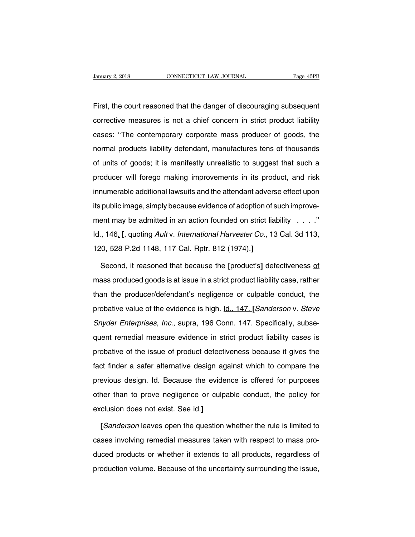First, the court reasoned that the danger of discouraging subsequent<br>First, the court reasoned that the danger of discouraging subsequent<br>corrective measures is not a chief concern in strict product liability CONNECTICUT LAW JOURNAL Page 45PB<br>First, the court reasoned that the danger of discouraging subsequent<br>corrective measures is not a chief concern in strict product liability<br>cases: "The contemporary corporate mass producer First, the court reasoned that the danger of discouraging subsequent<br>corrective measures is not a chief concern in strict product liability<br>cases: "The contemporary corporate mass producer of goods, the<br>normal products lia First, the court reasoned that the danger of discouraging subsequent<br>corrective measures is not a chief concern in strict product liability<br>cases: "The contemporary corporate mass producer of goods, the<br>normal products lia corrective measures is not a chief concern in strict product liability<br>cases: "The contemporary corporate mass producer of goods, the<br>normal products liability defendant, manufactures tens of thousands<br>of units of goods; i cases: "The contemporary corporate mass producer of goods, the<br>normal products liability defendant, manufactures tens of thousands<br>of units of goods; it is manifestly unrealistic to suggest that such a<br>producer will forego incrimal products liability defendant, manufactures tens of thousands<br>of units of goods; it is manifestly unrealistic to suggest that such a<br>producer will forego making improvements in its product, and risk<br>innumerable add its public image, simply because evidence of such a producer will forego making improvements in its product, and risk<br>innumerable additional lawsuits and the attendant adverse effect upon<br>its public image, simply because e producer will forego making improvements in its product, and risk<br>innumerable additional lawsuits and the attendant adverse effect upon<br>its public image, simply because evidence of adoption of such improve-<br>ment may be ad Innumerable additional lawsuits and the attendant adverse effect upon<br>its public image, simply because evidence of adoption of such improve-<br>ment may be admitted in an action founded on strict liability . . . . ."<br>Id., 146 Its public image, simply because evidence of adoption of s<br>
ment may be admitted in an action founded on strict lia<br>
Id., 146<u>.</u> [, quoting *Ault* v. *International Harvester Co.*, 13<br>
120, 528 P.2d 1148, 117 Cal. Rptr. 81 ent may be admitted in an action founded on strict liability . . . . ."<br>
5. 146. [, quoting *Ault v. International Harvester Co.*, 13 Cal. 3d 113,<br>
5. 19. 1148, 117 Cal. Rptr. 812 (1974).]<br>
5. Second, it reasoned that beca

Id., 146<sub>2</sub> [, quoting *Ault* v. *International Harvester Co.*, 13 Cal. 3d 113,<br>120, 528 P.2d 1148, 117 Cal. Rptr. 812 (1974).]<br>Second, it reasoned that because the [product's] defectiveness <u>of</u><br>mass produced goods is at 120, 528 P.2d 1148, 117 Cal. Rptr. 812 (1974).]<br>Second, it reasoned that because the [product's] defectiveness of<br>mass produced goods is at issue in a strict product liability case, rather<br>than the producer/defendant's neg Second, it reasoned that because the [product's] defectiveness of<br>mass produced goods is at issue in a strict product liability case, rather<br>than the producer/defendant's negligence or culpable conduct, the<br>probative value Second, it reasoned that because the [product's] defectiveness of mass produced goods is at issue in a strict product liability case, rather than the producer/defendant's negligence or culpable conduct, the probative value than the producer/defendant's negligence or culpable conduct, the<br>probative value of the evidence is high. <u>Id., 147.</u> [*Sanderson v. Steve*<br>*Snyder Enterprises, Inc.*, supra, 196 Conn. 147. Specifically, subse-<br>quent reme probative value of the evidence is high. Id., 147. [Sanderson v. Steve Snyder Enterprises, Inc., supra, 196 Conn. 147. Specifically, subsequent remedial measure evidence in strict product liability cases is probative of th Snyder Enterprises, Inc., supra, 196 Conn. 147. Specifically, subsequent remedial measure evidence in strict product liability cases is probative of the issue of product defectiveness because it gives the fact finder a saf previous design. Interprese, mer, express the evidence in strict product liability cases is<br>probative of the issue of product defectiveness because it gives the<br>fact finder a safer alternative design against which to compa probative of the issue of product defectiveness because it gives the<br>fact finder a safer alternative design against which to compare the<br>previous design. Id. Because the evidence is offered for purposes<br>other than to prove probative of the issue of product defectiveness because it gives the<br>fact finder a safer alternative design against which to compare the<br>previous design. Id. Because the evidence is offered for purposes<br>other than to prove evious design. Id. Because the evidence is offered for purposes<br>her than to prove negligence or culpable conduct, the policy for<br>clusion does not exist. See id.]<br>[*Sanderson* leaves open the question whether the rule is li

other than to prove negligence or culpable conduct, the policy for<br>exclusion does not exist. See id.]<br>[*Sanderson* leaves open the question whether the rule is limited to<br>cases involving remedial measures taken with respec exclusion does not exist. See id.]<br>
[Sanderson leaves open the question whether the rule is limited to<br>
cases involving remedial measures taken with respect to mass pro-<br>
duced products or whether it extends to all product [Sanderson leaves open the question whether the rule is limited to cases involving remedial measures taken with respect to mass producted products or whether it extends to all products, regardless of production volume. Bec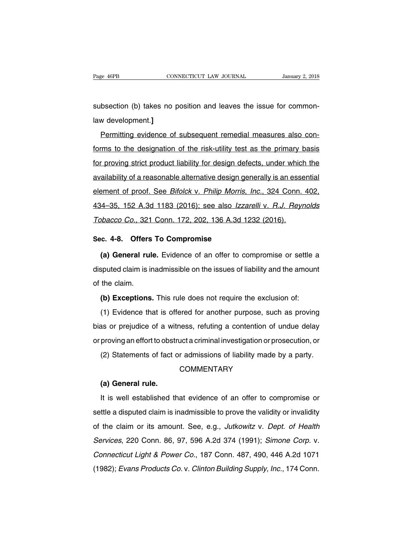Page 46PB<br>
CONNECTICUT LAW JOURNAL<br>
Subsection (b) takes no position and leaves the issue for common-<br>
law development.] Page 46PB<br>subsection (b) takes no<br>law development.]<br><u>Permitting evidence of</u>

bsection (b) takes no position and leaves the issue for common-<br>
Mermitting evidence of subsequent remedial measures also con-<br>
Mermitting evidence of subsequent remedial measures also con-<br>
Mermitting evidence of subseque subsection (b) takes no position and leaves the issue for common-<br>law development.]<br>Permitting evidence of subsequent remedial measures also con-<br>forms to the designation of the risk-utility test as the primary basis<br>for p Formitting evidence of subsequent remedial measures also con-<br>forms to the designation of the risk-utility test as the primary basis<br>for proving strict product liability for design defects, under which the<br>availability of Bermitting evidence of subsequent remedial measures also conforms to the designation of the risk-utility test as the primary basis<br>for proving strict product liability for design defects, under which the<br>availability of a forms to the designation of the risk-utility test as the primary basis<br>for proving strict product liability for design defects, under which the<br>availability of a reasonable alternative design generally is an essential<br>elem for proving strict product liability for design defects, under which the<br>availability of a reasonable alternative design generally is an essential<br>element of proof. See *Bifolck* v. *Philip Morris, Inc.*, 324 Conn. 402,<br>43 availability of a reasonable alternative design generally is an esse<br>element of proof. See *Bifolck v. Philip Morris, Inc.*, 324 Conn.<br>434–35, 152 A.3d 1183 (2016); see also *Izzarelli v. R.J. Reyr*<br>Tobacco Co., 321 Conn. element of proof. See *Bifolck v. Philip Morris,*<br>434–35, 152 A.3d 1183 (2016); see also *Izza*<br>Tobacco Co., 321 Conn. 172, 202, 136 A.3d 1:<br>Sec. 4-8. Offers To Compromise<br>(a) General rule. Evidence of an offer to co 14–35, 152 A.3d 1183 (2016); see also *Izzarelli v. R.J. Reynolds*<br>bbacco Co., 321 Conn. 172, 202, 136 A.3d 1232 (2016).<br>**c. 4-8. Offers To Compromise**<br>(a) General rule. Evidence of an offer to compromise or settle a<br>spute

Tobacco Co., 321 Conn. 172, 202, 136 A.3d 1232 (2016).<br>
Sec. 4-8. Offers To Compromise<br>
(a) General rule. Evidence of an offer to compromise or settle a<br>
disputed claim is inadmissible on the issues of liability and the am Sec. 4-8. Offers<br>
(a) General rul<br>
disputed claim is in<br>
of the claim.<br>
(b) Exceptions **(a) General rule.** Evidence of an offer to compromise or settle asputed claim is inadmissible on the issues of liability and the amount<br>the claim.<br>**(b) Exceptions.** This rule does not require the exclusion of:<br>(1) Evidenc (a) definition and the issues of liability and the amount<br>the claim.<br>(b) Exceptions. This rule does not require the exclusion of:<br>(1) Evidence that is offered for another purpose, such as proving<br>as or prejudice of a witne

of the claim.<br> **(b) Exceptions.** This rule does not require the exclusion of:<br> **(1)** Evidence that is offered for another purpose, such as proving<br>
bias or prejudice of a witness, refuting a contention of undue delay<br>
or p (b) Exceptions. This rule does not require the exclusion of:<br>
(1) Evidence that is offered for another purpose, such as proving<br>
bias or prejudice of a witness, refuting a contention of undue delay<br>
or proving an effort to (1) Evidence that is offered for another purpose, such as proving<br>as or prejudice of a witness, refuting a contention of undue delay<br>proving an effort to obstruct a criminal investigation or prosecution, or<br>(2) Statements From the Section of the Section of the Section of the Section (2) Statements of fact of the Section of the Section of the Section of the Section of the Section of the Section of the Section of the Section of the Section of

# **COMMENTARY**

(2) Statements of fact or admissions of liability made by a party.<br>COMMENTARY<br>(a) General rule.<br>It is well established that evidence of an offer to compromise or<br>ttle a disputed claim is inadmissible to prove the validity COMMENTARY<br>
(a) General rule.<br>
It is well established that evidence of an offer to compromise or<br>
settle a disputed claim is inadmissible to prove the validity or invalidity<br>
of the claim or its amount. See, e.g., *Jutkowi* (a) General rule.<br>It is well established that evidence of an offer to compromise or<br>settle a disputed claim is inadmissible to prove the validity or invalidity<br>of the claim or its amount. See, e.g., Jutkowitz v. Dept. of H It is well established that evidence of an offer to compromise or<br>settle a disputed claim is inadmissible to prove the validity or invalidity<br>of the claim or its amount. See, e.g., *Jutkowitz v. Dept. of Health*<br>Services, refit is won established that evidence of an ener to comprehise of<br>settle a disputed claim is inadmissible to prove the validity or invalidity<br>of the claim or its amount. See, e.g., *Jutkowitz v. Dept. of Health*<br>Services, of the claim or its amount. See, e.g., *Jutkowitz v. Dept. of Health Services*, 220 Conn. 86, 97, 596 A.2d 374 (1991); *Simone Corp. v. Connecticut Light & Power Co.*, 187 Conn. 487, 490, 446 A.2d 1071 (1982); *Evans Produ*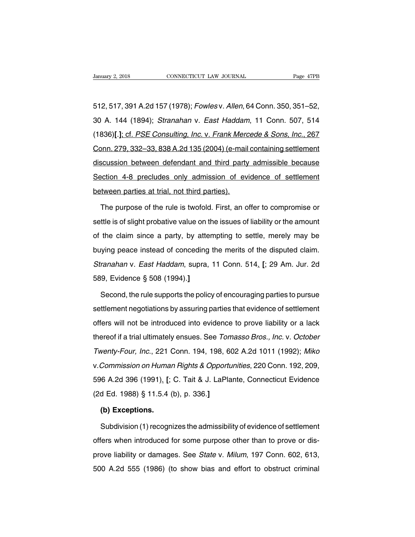Sanuary 2, 2018<br>
512, 517, 391 A.2d 157 (1978); *Fowles v. Allen*, 64 Conn. 350, 351–52,<br>
30 A. 144 (1894); *Stranahan v. East Haddam*, 11 Conn. 507, 514 30 A. 144 (1894); Stranahan v. East Haddam, 11 Conn. 507, 514 512, 517, 391 A.2d 157 (1978); *Fowles v. Allen*, 64 Conn. 350, 351–52,<br>30 A. 144 (1894); *Stranahan v. East Haddam*, 11 Conn. 507, 514<br>(1836)[.]; cf. *PSE Consulting, Inc. v. Frank Mercede & Sons, Inc.*, 267<br>Conn. 279, 33 512, 517, 391 A.2d 157 (1978); *Fowles* v. *Allen*, 64 Conn. 350, 351–52,<br>30 A. 144 (1894); *Stranahan v. East Haddam*, 11 Conn. 507, 514<br>(1836)[.]; cf. *PSE Consulting, Inc.* v. *Frank Mercede & Sons, Inc.*, 267<br>Conn. 279 discussion between defendant and third party admissible because<br>Section 144 (1894); *Stranahan v. East Haddam*, 11 Conn. 507, 514<br>(1836)[.]: cf. *PSE Consulting, Inc. v. Frank Mercede & Sons, Inc.*, 267<br>Conn. 279, 332–33, Section 4-8 precludes only admission of evidence of settlement<br>Section 279, 332–33, 838 A.2d 135 (2004) (e-mail containing settlement<br>discussion between defendant and third party admissible because<br>Section 4-8 precludes on Conn. 279, 332–33, 838 A.2d 135 (2004) (e-mail<br>discussion between defendant and third party<br>Section 4-8 precludes only admission of ev<br>between parties at trial, not third parties).<br>The purpose of the rule is twofold. First Socussion between defendant and third party admissible because<br>
ection 4-8 precludes only admission of evidence of settlement<br>
tween parties at trial, not third parties).<br>
The purpose of the rule is twofold. First, an offe

Section 4-8 precludes only admission of evidence of settlement<br>between parties at trial, not third parties).<br>The purpose of the rule is twofold. First, an offer to compromise or<br>settle is of slight probative value on the i between parties at trial, not third parties).<br>The purpose of the rule is twofold. First, an offer to compromise or<br>settle is of slight probative value on the issues of liability or the amount<br>of the claim since a party, by The purpose of the rule is twofold. First, an offer to compromise or settle is of slight probative value on the issues of liability or the amount of the claim since a party, by attempting to settle, merely may be buying pe settle is of slight probative value on the issues of liability or the amount<br>of the claim since a party, by attempting to settle, merely may be<br>buying peace instead of conceding the merits of the disputed claim.<br>Stranahan settle is of slight probative value on the issues of liability or the amount<br>of the claim since a party, by attempting to settle, merely may be<br>buying peace instead of conceding the merits of the disputed claim.<br>Stranahan ging peace instead of conceding the merits of the disputed claim.<br>
Franahan v. East Haddam, supra, 11 Conn. 514. [; 29 Am. Jur. 2d<br>
9, Evidence § 508 (1994).]<br>
Second, the rule supports the policy of encouraging parties t

Stranahan v. East Haddam, supra, 11 Conn. 514. [; 29 Am. Jur. 2d<br>589, Evidence § 508 (1994).]<br>Second, the rule supports the policy of encouraging parties to pursue<br>settlement negotiations by assuring parties that evidence 589, Evidence § 508 (1994).]<br>Second, the rule supports the policy of encouraging parties to pursue<br>settlement negotiations by assuring parties that evidence of settlement<br>offers will not be introduced into evidence to prov Second, the rule supports the policy of encouraging parties to pursue<br>settlement negotiations by assuring parties that evidence of settlement<br>offers will not be introduced into evidence to prove liability or a lack<br>thereof settlement negotiations by assuring parties that evidence of settlement<br>offers will not be introduced into evidence to prove liability or a lack<br>thereof if a trial ultimately ensues. See *Tomasso Bros., Inc.* v. *October*<br> octube introduced into evidence to prove liability or a lack<br>thereof if a trial ultimately ensues. See *Tomasso Bros., Inc.* v. *October*<br>Twenty-Four, Inc., 221 Conn. 194, 198, 602 A.2d 1011 (1992); Miko<br>v. Commission on H thereof if a trial ultimately ensues. See *Tomasso Bros., Inc. v. October*<br>Twenty-Four, Inc., 221 Conn. 194, 198, 602 A.2d 1011 (1992); Miko<br>v.Commission on Human Rights & Opportunities, 220 Conn. 192, 209,<br>596 A.2d 396 (1 (16165) If a that distributely shippeds. 555 *Tom*<br>Twenty-Four, Inc., 221 Conn. 194, 198, 6<br>v. Commission on Human Rights & Opportu<br>596 A.2d 396 (1991). [; C. Tait & J. LaPla<br>(2d Ed. 1988) § 11.5.4 (b), p. 336.]<br>**(b) Excep** *Commission on Humal*<br>6 A.2d 396 (1991)<u>.</u> [;<br>d Ed. 1988) § 11.5.4 (<br>**(b) Exceptions.**<br>Subdivision (1) recogn 9 16 12 396 (1991). [; C. Tait & J. LaPlante, Connecticut Evidence<br>
d Ed. 1988) § 11.5.4 (b), p. 336.]<br> **(b) Exceptions.**<br>
Subdivision (1) recognizes the admissibility of evidence of settlement<br>
fers when introduced for so

(2d Ed. 1988) § 11.5.4 (b), p. 336.]<br>
(b) Exceptions.<br>
Subdivision (1) recognizes the admissibility of evidence of settlement<br>
offers when introduced for some purpose other than to prove or dis-<br>
prove liability or damage (b) Exceptions.<br>
Subdivision (1) recognizes the admissibility of evidence of settlement<br>
offers when introduced for some purpose other than to prove or dis-<br>
prove liability or damages. See *State* v. *Milum*, 197 Conn. 60 Subdivision (1) recognizes the admissibility of evidence of settlement<br>offers when introduced for some purpose other than to prove or dis-<br>prove liability or damages. See *State* v. *Milum*, 197 Conn. 602, 613,<br>500 A.2d 55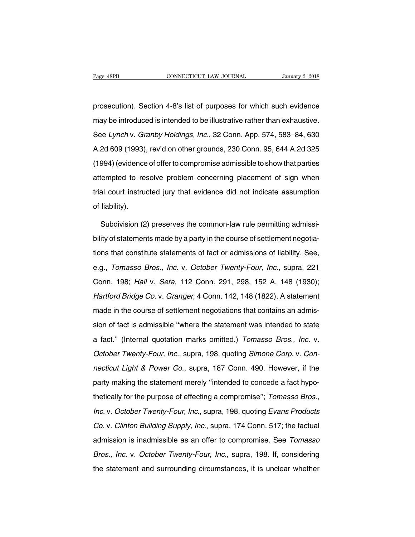Page 48PB<br>
connectricut LAW JOURNAL<br>
prosecution). Section 4-8's list of purposes for which such evidence<br>
may be introduced is intended to be illustrative rather than exhaustive. Page 48PB CONNECTICUT LAW JOURNAL January 2, 2018<br>prosecution). Section 4-8's list of purposes for which such evidence<br>may be introduced is intended to be illustrative rather than exhaustive.<br>See Lynch v. Granby Holdings, prosecution). Section 4-8's list of purposes for which such evidence<br>may be introduced is intended to be illustrative rather than exhaustive.<br>See Lynch v. Granby Holdings, Inc., 32 Conn. App. 574, 583–84, 630<br>A.2d 609 (199 prosecution). Section 4-8's list of purposes for which such evidence<br>may be introduced is intended to be illustrative rather than exhaustive.<br>See *Lynch* v. *Granby Holdings, Inc.*, 32 Conn. App. 574, 583–84, 630<br>A.2d 609 may be introduced is intended to be illustrative rather than exhaustive.<br>See Lynch v. Granby Holdings, Inc., 32 Conn. App. 574, 583–84, 630<br>A.2d 609 (1993), rev'd on other grounds, 230 Conn. 95, 644 A.2d 325<br>(1994) (eviden attempted to resolve problem concerning placement of sign when<br>the resolution of the grounds, 230 Conn. 95, 644 A.2d 325<br>(1994) (evidence of offer to compromise admissible to show that parties<br>attempted to resolve problem A.2d 609 (1993), rev'd on other grounds, 230 Conn. 95, 644 A.2d 325<br>(1994) (evidence of offer to compromise admissible to show that parties<br>attempted to resolve problem concerning placement of sign when<br>trial court instruc of the cock (1994)<br>(1994) (evidence<br>attempted to res<br>trial court instruct<br>of liability).<br>Subdivision (2 Exampled to resolve problem concerning placement of sign when<br>al court instructed jury that evidence did not indicate assumption<br>liability).<br>Subdivision (2) preserves the common-law rule permitting admissi-<br>ity of statemen

trial court instructed jury that evidence did not indicate assumption<br>of liability).<br>Subdivision (2) preserves the common-law rule permitting admissi-<br>bility of statements made by a party in the course of settlement negoti of liability).<br>Subdivision (2) preserves the common-law rule permitting admissi-<br>bility of statements made by a party in the course of settlement negotia-<br>tions that constitute statements of fact or admissions of liability Subdivision (2) preserves the common-law rule permitting admissibility of statements made by a party in the course of settlement negotiations that constitute statements of fact or admissions of liability. See, e.g., *Tomas* bility of statements made by a party in the course of settlement negotiations that constitute statements of fact or admissions of liability. See, e.g., *Tomasso Bros., Inc.* v. *October Twenty-Four, Inc.*, supra, 221 Conn. East of fact or admissions of liability. See,<br>e.g., *Tomasso Bros., Inc.* v. *October Twenty-Four, Inc.*, supra, 221<br>Conn. 198; *Hall v. Sera*, 112 Conn. 291, 298, 152 A. 148 (1930);<br>*Hartford Bridge Co. v. Granger*, 4 Con e.g., *Tomasso Bros., Inc.* v. *October Twenty-Four, Inc.*, supra, 221<br>Conn. 198; *Hall v. Sera*, 112 Conn. 291, 298, 152 A. 148 (1930);<br>*Hartford Bridge Co.* v. *Granger*, 4 Conn. 142, 148 (1822). A statement<br>made in the Sight Transact 2.16th is administration. 291, 298, 152 A. 148 (1930);<br>Hartford Bridge Co. v. Granger, 4 Conn. 142, 148 (1822). A statement<br>made in the course of settlement negotiations that contains an admis-<br>sion of fact Hartford Bridge Co. v. Granger, 4 Conn. 142, 148 (1822). A statement<br>
made in the course of settlement negotiations that contains an admis-<br>
sion of fact is admissible "where the statement was intended to state<br>
a fact." ( made in the course of settlement negotiations that contains an admission of fact is admissible "where the statement was intended to state a fact." (Internal quotation marks omitted.) Tomasso Bros., Inc. v. October Twenty-F nection of fact is admissible "where the statement was intended to state<br>a fact." (Internal quotation marks omitted.) *Tomasso Bros., Inc.* v.<br>*October Twenty-Four, Inc.*, supra, 198, quoting *Simone Corp.* v. *Con-*<br>necti party intervel animously intervals entertainment mas interact to clare<br>a fact." (Internal quotation marks omitted.) Tomasso Bros., Inc. v.<br>October Twenty-Four, Inc., supra, 198, quoting Simone Corp. v. Con-<br>necticut Light Cortober Twenty-Four, Inc., supra, 198, quoting Simone Corp. v. Connecticut Light & Power Co., supra, 187 Conn. 490. However, if the party making the statement merely "intended to concede a fact hypothetically for the purp Inc. V. October Twenty-Four, ISO 1887 Conn. 490. However, if the<br>party making the statement merely "intended to concede a fact hypo-<br>thetically for the purpose of effecting a compromise"; Tomasso Bros.,<br>Inc. v. October Twe party making the statement merely "intended to concede a fact hypo-<br>thetically for the purpose of effecting a compromise"; Tomasso Bros.,<br>Inc. v. October Twenty-Four, Inc., supra, 198, quoting Evans Products<br>Co. v. Clinton pany maning are elatement merely internate a compromise"; Tomasso Bros.,<br>Inc. v. October Twenty-Four, Inc., supra, 198, quoting Evans Products<br>Co. v. Clinton Building Supply, Inc., supra, 174 Conn. 517; the factual<br>admissi Inc. v. October Twenty-Four, Inc., supra, 198, quoting Evans Products<br>Co. v. Clinton Building Supply, Inc., supra, 174 Conn. 517; the factual<br>admission is inadmissible as an offer to compromise. See Tomasso<br>Bros., Inc. v. Co. v. Clinton Building Supply, Inc., supra, 174 Conn. 517; the factual<br>admission is inadmissible as an offer to compromise. See *Tomasso*<br>Bros., Inc. v. October Twenty-Four, Inc., supra, 198. If, considering<br>the statement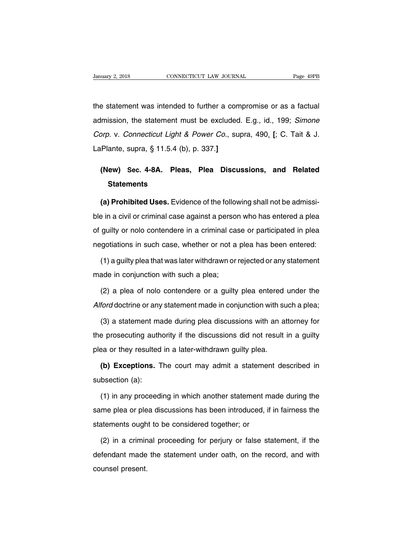University 2, 2018<br>the statement was intended to further a compromise or as a factual<br>admission, the statement must be excluded. E.g., id., 199; Simone January 2, 2018 CONNECTICUT LAW JOURNAL Page 49PB<br>the statement was intended to further a compromise or as a factual<br>admission, the statement must be excluded. E.g., id., 199; Simone<br>Corp. v. Connecticut Light & Power Co., the statement was intended to further a compromise or as a factual<br>admission, the statement must be excluded. E.g., id., 199; Simone<br>Corp. v. Connecticut Light & Power Co., supra, 490. [; C. Tait & J.<br>LaPlante, supra, § 11 the statement was intended to further a com<br>admission, the statement must be excluded<br>*Corp.* v. *Connecticut Light & Power Co.*, sup<br>LaPlante, supra, § 11.5.4 (b), p. 337.] Imission, the statement must be excluded. E.g., id., 199; *Simone*<br>
orp. v. Connecticut Light & Power Co., supra, 490, [; C. Tait & J.<br>
Plante, supra, § 11.5.4 (b), p. 337.]<br> **(New) Sec. 4-8A. Pleas, Plea Discussions, and** 

# **Statements**

Plante, supra, § 11.5.4 (b), p. 337.]<br> **(New)** Sec. 4-8A. Pleas, Plea Discussions, and Related<br>
Statements<br> **(a) Prohibited Uses.** Evidence of the following shall not be admissi-<br>
Fin a civil or criminal case against a per (New) Sec. 4-8A. Pleas, Plea Discussions, and Related<br>Statements<br>(a) Prohibited Uses. Evidence of the following shall not be admissi-<br>ble in a civil or criminal case against a person who has entered a plea<br>of guilty or nol Statements<br>
(a) Prohibited Uses. Evidence of the following shall not be admissi-<br>
ble in a civil or criminal case against a person who has entered a plea<br>
of guilty or nolo contendere in a criminal case or participated in (a) Prohibited Uses. Evidence of the following shall not be admissi-<br>ble in a civil or criminal case against a person who has entered a plea<br>of guilty or nolo contendere in a criminal case or participated in plea<br>negotiati (1) a guilty or nolo contendere in a criminal case or participated in plea guilty or nolo contendere in a criminal case or participated in plea gotiations in such case, whether or not a plea has been entered:<br>(1) a guilty of guilty or nolo contendere in a criminal ca<br>negotiations in such case, whether or not a<br>(1) a guilty plea that was later withdrawn or<br>made in conjunction with such a plea;<br>(2) a plea of nolo contendere or a quilty

deposiations in such case, whether or not a plea has been entered:<br>
(1) a guilty plea that was later withdrawn or rejected or any statement<br>
ade in conjunction with such a plea;<br>
(2) a plea of nolo contendere or a guilty p (1) a guilty plea that was later withdrawn or rejected or any statement<br>made in conjunction with such a plea;<br>(2) a plea of nolo contendere or a guilty plea entered under the<br>Alford doctrine or any statement made in conjun

ade in conjunction with such a plea;<br>(2) a plea of nolo contendere or a guilty plea entered under the<br>ford doctrine or any statement made in conjunction with such a plea;<br>(3) a statement made during plea discussions with a (2) a plea of nolo contendere or a guilty plea entered under the *Alford* doctrine or any statement made in conjunction with such a plea;<br>(3) a statement made during plea discussions with an attorney for the prosecuting au Alford doctrine or any statement made in conjunction with su<br>
(3) a statement made during plea discussions with an a<br>
the prosecuting authority if the discussions did not result<br>
plea or they resulted in a later-withdrawn (3) a statement made during plea discussions with an attorney for<br>
e prosecuting authority if the discussions did not result in a guilty<br>
ea or they resulted in a later-withdrawn guilty plea.<br> **(b) Exceptions.** The court m the prosecuting auth<br>plea or they resulted<br>**(b) Exceptions.** T<br>subsection (a):<br>(1) in any proceed

(b) Exceptions. The court may admit a statement described in<br>
bsection (a):<br>
(1) in any proceeding in which another statement made during the<br>
me plea or plea discussions has been introduced, if in fairness the (b) Exceptions. The court may admit a statement described in subsection (a):<br>
(1) in any proceeding in which another statement made during the<br>
same plea or plea discussions has been introduced, if in fairness the<br>
stateme subsection (a):<br>
(1) in any proceeding in which another statement m<br>
same plea or plea discussions has been introduced, if<br>
statements ought to be considered together; or<br>
(2) in a criminal proceeding for periury or false (1) in any proceeding in which another statement made during the<br>me plea or plea discussions has been introduced, if in fairness the<br>atements ought to be considered together; or<br>(2) in a criminal proceeding for perjury or

same plea or plea discussions has been introduced, if in fairness the statements ought to be considered together; or<br>(2) in a criminal proceeding for perjury or false statement, if the defendant made the statement under oa statements ough<br>(2) in a crimin<br>defendant made<br>counsel present.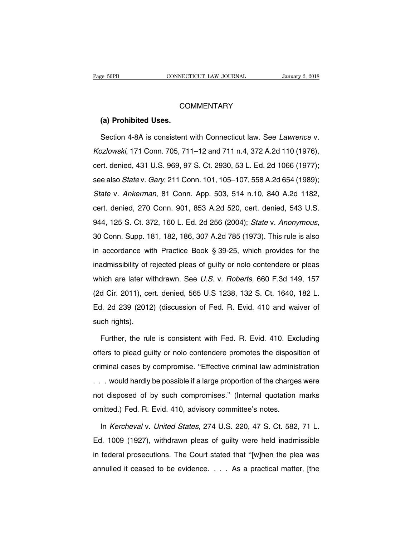# **COMMENTARY**

# **Example 50PB**<br> **CO**<br> **(a) Prohibited Uses.**<br>
Section 4-8A is consistent

COMMENTARY<br>
(a) Prohibited Uses.<br>
Section 4-8A is consistent with Connecticut law. See *Lawrence* v.<br>
22/2002/2002/2002/2004/2011 n.4, 372 A.2d 110 (1976), COMMENTARY<br>
(a) Prohibited Uses.<br>
Section 4-8A is consistent with Connecticut law. See *Lawrence* v.<br> *Kozlowski*, 171 Conn. 705, 711–12 and 711 n.4, 372 A.2d 110 (1976),<br>
cert. denied, 431 U.S. 969, 97 S. Ct. 2930, 53 L. (a) Prohibited Uses.<br>Section 4-8A is consistent with Connecticut law. See *Lawrence* v.<br>Kozlowski, 171 Conn. 705, 711–12 and 711 n.4, 372 A.2d 110 (1976),<br>cert. denied, 431 U.S. 969, 97 S. Ct. 2930, 53 L. Ed. 2d 1066 (197 Section 4-8A is consistent with Connecticut law. See *Lawrence* v.<br>Kozlowski, 171 Conn. 705, 711–12 and 711 n.4, 372 A.2d 110 (1976),<br>cert. denied, 431 U.S. 969, 97 S. Ct. 2930, 53 L. Ed. 2d 1066 (1977);<br>see also *State* v Kozlowski, 171 Conn. 705, 711–12 and 711 n.4, 372 A.2d 110 (1976),<br>cert. denied, 431 U.S. 969, 97 S. Ct. 2930, 53 L. Ed. 2d 1066 (1977);<br>see also *State* v. *Gary*, 211 Conn. 101, 105–107, 558 A.2d 654 (1989);<br>*State* v. cert. denied, 431 U.S. 969, 97 S. Ct. 2930, 53 L. Ed. 2d 1066 (1977);<br>see also *State* v. *Gary*, 211 Conn. 101, 105–107, 558 A.2d 654 (1989);<br>*State* v. *Ankerman*, 81 Conn. App. 503, 514 n.10, 840 A.2d 1182,<br>cert. denied 991. denied, 191 9.9. 06, 67 9. 9. 0. 200, 69 L. Ld. Ld. 1989 (1977),<br>see also State v. Gary, 211 Conn. 101, 105–107, 558 A.2d 654 (1989);<br>State v. Ankerman, 81 Conn. App. 503, 514 n.10, 840 A.2d 1182,<br>cert. denied, 270 Co cance visinman, 31 Sommissippies of the transportance of the died, 543 U.S.<br>
944, 125 S. Ct. 372, 160 L. Ed. 2d 256 (2004); *State v. Anonymous*,<br>
30 Conn. Supp. 181, 182, 186, 307 A.2d 785 (1973). This rule is also<br>
in ac 944, 125 S. Ct. 372, 160 L. Ed. 2d 256 (2004); *State v. Anonymous*, 30 Conn. Supp. 181, 182, 186, 307 A.2d 785 (1973). This rule is also in accordance with Practice Book § 39-25, which provides for the inadmissibility of 30 Conn. Supp. 181, 182, 186, 307 A.2d 785 (1973). This rule is also<br>in accordance with Practice Book § 39-25, which provides for the<br>inadmissibility of rejected pleas of guilty or nolo contendere or pleas<br>which are later In accordance with Practice Book § 39-25, which provides for the inadmissibility of rejected pleas of guilty or nolo contendere or pleas which are later withdrawn. See *U.S.* v. *Roberts*, 660 F.3d 149, 157 (2d Cir. 2011), in admissibility of rejected pleas of guilty or nolo contendere or pleas<br>which are later withdrawn. See U.S. v. Roberts, 660 F.3d 149, 157<br>(2d Cir. 2011), cert. denied, 565 U.S 1238, 132 S. Ct. 1640, 182 L.<br>Ed. 2d 239 (201 which are later wi<br>(2d Cir. 2011), ce<br>Ed. 2d 239 (2012<br>such rights).<br>Further, the rule d Cir. 2011), cert. denied, 565 U.S 1238, 132 S. Ct. 1640, 182 L.<br>I. 2d 239 (2012) (discussion of Fed. R. Evid. 410 and waiver of<br>ch rights).<br>Further, the rule is consistent with Fed. R. Evid. 410. Excluding<br>fers to plead

Ed. 2d 239 (2012) (discussion of Fed. R. Evid. 410 and waiver of<br>such rights).<br>Further, the rule is consistent with Fed. R. Evid. 410. Excluding<br>offers to plead guilty or nolo contendere promotes the disposition of<br>crimina such rights).<br>
Further, the rule is consistent with Fed. R. Evid. 410. Excluding<br>
offers to plead guilty or nolo contendere promotes the disposition of<br>
criminal cases by compromise. "Effective criminal law administration<br> Further, the rule is consistent with Fed. R. Evid. 410. Excluding<br>offers to plead guilty or nolo contendere promotes the disposition of<br>criminal cases by compromise. "Effective criminal law administration<br>... would hardly nation, and the complete with notion that the disposition of<br>offers to plead guilty or nolo contendere promotes the disposition of<br>criminal cases by compromise. "Effective criminal law administration<br>... would hardly be po omitted.) Fed. 9 compromise. "Effective criminal law adminis<br>
... would hardly be possible if a large proportion of the charge<br>
not disposed of by such compromises." (Internal quotation<br>
omitted.) Fed. R. Evid. 410, adviso would hardly be possible if a large proportion of the charges were<br>t disposed of by such compromises." (Internal quotation marks<br>nitted.) Fed. R. Evid. 410, advisory committee's notes.<br>In *Kercheval* v. *United States*, 27

not disposed of by such compromises." (Internal quotation marks<br>omitted.) Fed. R. Evid. 410, advisory committee's notes.<br>In Kercheval v. United States, 274 U.S. 220, 47 S. Ct. 582, 71 L.<br>Ed. 1009 (1927), withdrawn pleas of omitted.) Fed. R. Evid. 410, advisory committee's notes.<br>
In *Kercheval v. United States*, 274 U.S. 220, 47 S. Ct. 582, 71 L.<br>
Ed. 1009 (1927), withdrawn pleas of guilty were held inadmissible<br>
in federal prosecutions. The In *Kercheval* v. *United States*, 274 U.S. 220, 47 S. Ct. 582, 71 L.<br>Ed. 1009 (1927), withdrawn pleas of guilty were held inadmissible<br>in federal prosecutions. The Court stated that "[w]hen the plea was<br>annulled it ceased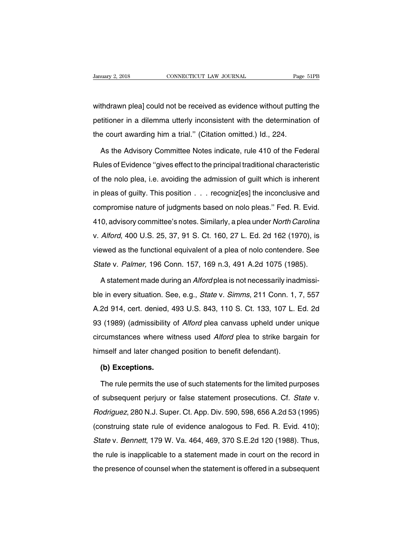Vanuary 2, 2018 CONNECTICUT LAW JOURNAL Page 51PB<br>Withdrawn plea] could not be received as evidence without putting the<br>petitioner in a dilemma utterly inconsistent with the determination of Danuary 2, 2018 CONNECTICUT LAW JOURNAL Page 51PB<br>withdrawn plea] could not be received as evidence without putting the<br>petitioner in a dilemma utterly inconsistent with the determination of<br>the court awarding him a trial. withdrawn plea] could not be received as evidence without putting<br>petitioner in a dilemma utterly inconsistent with the determinatic<br>the court awarding him a trial." (Citation omitted.) Id., 224.<br>As the Advisory Committee thdrawn plea] could not be received as evidence without putting the<br>titioner in a dilemma utterly inconsistent with the determination of<br>e court awarding him a trial." (Citation omitted.) Id., 224.<br>As the Advisory Committe

petitioner in a dilemma utterly inconsistent with the determination of<br>the court awarding him a trial." (Citation omitted.) Id., 224.<br>As the Advisory Committee Notes indicate, rule 410 of the Federal<br>Rules of Evidence "giv the court awarding him a trial." (Citation omitted.) Id., 224.<br>As the Advisory Committee Notes indicate, rule 410 of the Federal<br>Rules of Evidence "gives effect to the principal traditional characteristic<br>of the nolo plea, As the Advisory Committee Notes indicate, rule 410 of the Federal<br>Rules of Evidence "gives effect to the principal traditional characteristic<br>of the nolo plea, i.e. avoiding the admission of guilt which is inherent<br>in plea Rules of Evidence "gives effect to the principal traditional characteristic<br>of the nolo plea, i.e. avoiding the admission of guilt which is inherent<br>in pleas of guilty. This position . . . recogniz[es] the inconclusive and of the nolo plea, i.e. avoiding the admission of guilt which is inherent<br>in pleas of guilty. This position . . . . recogniz[es] the inconclusive and<br>compromise nature of judgments based on nolo pleas." Fed. R. Evid.<br>410, a in pleas of guilty. This position . . . recogniz[es] the inconclusive and<br>compromise nature of judgments based on nolo pleas." Fed. R. Evid.<br>410, advisory committee's notes. Similarly, a plea under North Carolina<br>v. Alford compromise nature of judgments based on nolo pleas." Fed. R. Evid.<br>410, advisory committee's notes. Similarly, a plea under North Carolina<br>v. Alford, 400 U.S. 25, 37, 91 S. Ct. 160, 27 L. Ed. 2d 162 (1970), is<br>viewed as th Sumpromise nature or jaagmome saced on note pieae. Toa. H. Evia.<br>410, advisory committee's notes. Similarly, a plea under North Carolina<br>v. Alford, 400 U.S. 25, 37, 91 S. Ct. 160, 27 L. Ed. 2d 162 (1970), is<br>viewed as the v. Alford, 400 U.S. 25, 37, 91 S. Ct. 160, 27 L. Ed. 2d 162 (1970), is<br>viewed as the functional equivalent of a plea of nolo contendere. See<br>State v. Palmer, 196 Conn. 157, 169 n.3, 491 A.2d 1075 (1985).<br>A statement made d

viewed as the functional equivalent of a plea of nolo contendere. See<br>State v. Palmer, 196 Conn. 157, 169 n.3, 491 A.2d 1075 (1985).<br>A statement made during an *Alford* plea is not necessarily inadmissi-<br>ble in every situa State v. Palmer, 196 Conn. 157, 169 n.3, 491 A.2d 1075 (1985).<br>A statement made during an *Alford* plea is not necessarily inadmissi-<br>ble in every situation. See, e.g., *State* v. *Simms*, 211 Conn. 1, 7, 557<br>A.2d 914, cer A statement made during an *Alford* plea is not necessarily inadmissible in every situation. See, e.g., *State* v. *Simms*, 211 Conn. 1, 7, 557<br>A.2d 914, cert. denied, 493 U.S. 843, 110 S. Ct. 133, 107 L. Ed. 2d<br>93 (1989) ble in every situation. See, e.g., *State* v. *Simms*, 211 Conn. 1, 7, 557<br>A.2d 914, cert. denied, 493 U.S. 843, 110 S. Ct. 133, 107 L. Ed. 2d<br>93 (1989) (admissibility of *Alford* plea canvass upheld under unique<br>circumsta he in every shadden: 999, 919, 91ate v. Simms, 211 931. 1,<br>A.2d 914, cert. denied, 493 U.S. 843, 110 S. Ct. 133, 107 L. B<br>93 (1989) (admissibility of *Alford* plea canvass upheld under u<br>circumstances where witness used *A* **(1989) (admissibility**<br>cumstances where wi<br>mself and later change<br>**(b) Exceptions.**<br>The rule permits the us The rule permits the use of such statements for the limited purposes<br>
subsequent permits the use of such statements for the limited purposes<br>
subsequent perjury or false statement prosecutions. Cf. State v.

himself and later changed position to benefit defendant).<br> **(b) Exceptions.**<br>
The rule permits the use of such statements for the limited purposes<br>
of subsequent perjury or false statement prosecutions. Cf. *State* v.<br> *Ro* (b) Exceptions.<br>The rule permits the use of such statements for the limited purposes<br>of subsequent perjury or false statement prosecutions. Cf. State v.<br>Rodriguez, 280 N.J. Super. Ct. App. Div. 590, 598, 656 A.2d 53 (1995) The rule permits the use of such statements for the limited purposes<br>of subsequent perjury or false statement prosecutions. Cf. State v.<br>Rodriguez, 280 N.J. Super. Ct. App. Div. 590, 598, 656 A.2d 53 (1995)<br>(construing sta Incruite permits are deeler calcribation for the immediparposed<br>of subsequent perjury or false statement prosecutions. Cf. *State* v.<br>Rodriguez, 280 N.J. Super. Ct. App. Div. 590, 598, 656 A.2d 53 (1995)<br>(construing state Frodriguez, 280 N.J. Super. Ct. App. Div. 590, 598, 656 A.2d 53 (1995)<br>(construing state rule of evidence analogous to Fed. R. Evid. 410);<br>State v. Bennett, 179 W. Va. 464, 469, 370 S.E.2d 120 (1988). Thus,<br>the rule is ina the presence of counsel when the statement is offered in a subsequent<br>the presence of counsel when the statement made in court on the record in<br>the presence of counsel when the statement is offered in a subsequent<br>the pres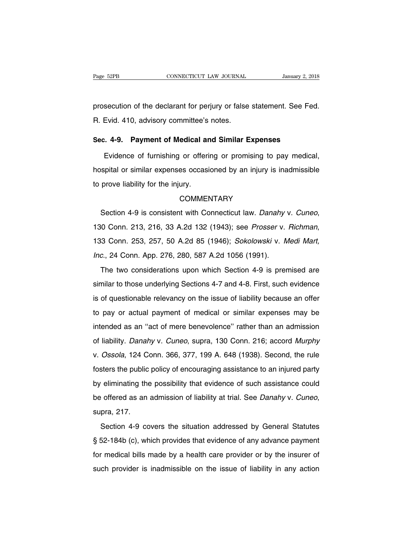Page 52PB<br>
connecticut LAW JOURNAL<br>
prosecution of the declarant for perjury or false statement. See Fed.<br>
R. Evid. 410, advisory committee's notes. Page 52PB CONNECTICUT LAW JOURNAL<br>prosecution of the declarant for perjury or false<br>R. Evid. 410, advisory committee's notes. prosecution of the declarant for perjury or false statement. See Fed<br>**R.** Evid. 410, advisory committee's notes.<br>**Sec. 4-9. Payment of Medical and Similar Expenses**<br>Evidence of furnishing or offering or promising to pay me

secution of the declarant for perjury or false statement. See Fed.<br>Evid. 410, advisory committee's notes.<br>2. 4-9. Payment of Medical and Similar Expenses<br>Evidence of furnishing or offering or promising to pay medical,<br>spit R. Evid. 410, advisory committee's notes.<br>
Sec. 4-9. Payment of Medical and Similar Expenses<br>
Evidence of furnishing or offering or promising to pay medical,<br>
hospital or similar expenses occasioned by an injury is inadmis Sec. 4-9. Payment of Medical ar<br>Evidence of furnishing or offeri<br>hospital or similar expenses occasi<br>to prove liability for the injury.<br>COMMEI

# **COMMENTARY**

Section 4-9 is consistent with Connecticut law. Danahy v. Cuneo, 130 Conn. 213, 216, 33 A.2d 132 (1943); see *Prosser v. Richman*, 133 Conn. 253, 257, 50 A.2d 85 (1946); *Sokolowski v. Medi Mart, Inc.*, 24 Conn. App. 276, Section 4-9 is consistent with Connecticut law. Danahy<br>130 Conn. 213, 216, 33 A.2d 132 (1943); see *Prosser v.*<br>133 Conn. 253, 257, 50 A.2d 85 (1946); *Sokolowski v. M*<br>*Inc.*, 24 Conn. App. 276, 280, 587 A.2d 1056 (1991). 10 Conn. 213, 216, 33 A.2d 132 (1943); see *Prosser v. Richman*,<br>13 Conn. 253, 257, 50 A.2d 85 (1946); *Sokolowski v. Medi Mart*,<br>2., 24 Conn. App. 276, 280, 587 A.2d 1056 (1991).<br>The two considerations upon which Section

similar to, 210, 30 milar to those visible visible with the limit,<br>133 Conn. 253, 257, 50 A.2d 85 (1946); *Sokolowski v. Medi Mart,*<br>1nc., 24 Conn. App. 276, 280, 587 A.2d 1056 (1991).<br>The two considerations upon which Sec Inc., 24 Conn. App. 276, 280, 587 A.2d 1056 (1991).<br>The two considerations upon which Section 4-9 is premised are<br>similar to those underlying Sections 4-7 and 4-8. First, such evidence<br>is of questionable relevancy on the i The two considerations upon which Section 4-9 is premised are similar to those underlying Sections 4-7 and 4-8. First, such evidence is of questionable relevancy on the issue of liability because an offer to pay or actual similar to those underlying Sections 4-7 and 4-8. First, such evidence<br>is of questionable relevancy on the issue of liability because an offer<br>to pay or actual payment of medical or similar expenses may be<br>intended as an " is of questionable relevancy on the issue of liability because an offer<br>to pay or actual payment of medical or similar expenses may be<br>intended as an "act of mere benevolence" rather than an admission<br>of liability. Danahy to bay or actual payment of medical or similar expenses may be<br>intended as an "act of mere benevolence" rather than an admission<br>of liability. Danahy v. Cuneo, supra, 130 Conn. 216; accord Murphy<br>v. Ossola, 124 Conn. 366, for pay of detact payment of medical of enfinial experiese may be<br>intended as an "act of mere benevolence" rather than an admission<br>of liability. Danahy v. Cuneo, supra, 130 Conn. 216; accord Murphy<br>v. Ossola, 124 Conn. 36 of liability. Danahy v. Cuneo, supra, 130 Conn. 216; accord Murphy<br>v. Ossola, 124 Conn. 366, 377, 199 A. 648 (1938). Second, the rule<br>fosters the public policy of encouraging assistance to an injured party<br>by eliminating t be massing: Banahy v. Bahce, sapid, 199 Somit 210, assolid marphy<br>v. Ossola, 124 Conn. 366, 377, 199 A. 648 (1938). Second, the rule<br>fosters the public policy of encouraging assistance to an injured party<br>by eliminating th eliminating the possibility that evidence of such assistance could<br>
offered as an admission of liability at trial. See Danahy v. Cuneo,<br>
pra, 217.<br>
Section 4-9 covers the situation addressed by General Statutes<br>
52-184b (c

Sy similaring the possibility and syndicity of distributions seller distribution<br>be offered as an admission of liability at trial. See *Danahy v. Cuneo*,<br>supra, 217.<br>Section 4-9 covers the situation addressed by General St supra, 217.<br>Section 4-9 covers the situation addressed by General Statutes<br>§ 52-184b (c), which provides that evidence of any advance payment<br>for medical bills made by a health care provider or by the insurer of<br>such provi Section 4-9 covers the situation addressed by General Statutes § 52-184b (c), which provides that evidence of any advance payment for medical bills made by a health care provider or by the insurer of such provider is inadm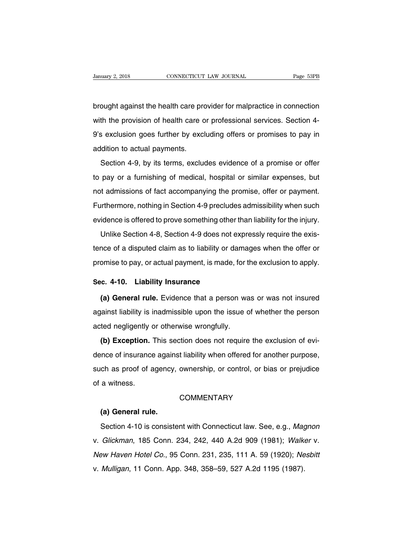brought against the health care provider for malpractice in connection<br>with the provision of health care or professional services. Section 4-Vanuary 2, 2018 CONNECTICUT LAW JOURNAL Page 53PB<br>brought against the health care provider for malpractice in connection<br>with the provision of health care or professional services. Section 4-<br>9's exclusion goes further by brought against the health care provider for malpractice in connection<br>with the provision of health care or professional services. Section 4-<br>9's exclusion goes further by excluding offers or promises to pay in<br>addition to brought against the health care pro<br>with the provision of health care c<br>9's exclusion goes further by excl<br>addition to actual payments.<br>Section 4-9, by its terms, exclue Section 4-9, by its terms, excludes evidence of a promises to pay in<br>position to actual payments.<br>Section 4-9, by its terms, excludes evidence of a promise or offer<br>pay or a furnishing of medical, hospital or similar expen

The previous of median band of proceeds and services. Security of the pay in addition to actual payments.<br>Section 4-9, by its terms, excludes evidence of a promise or offer to pay or a furnishing of medical, hospital or si addition to actual payments.<br>Section 4-9, by its terms, excludes evidence of a promise or offer<br>to pay or a furnishing of medical, hospital or similar expenses, but<br>not admissions of fact accompanying the promise, offer or Section 4-9, by its terms, excludes evidence of a promise or offer<br>to pay or a furnishing of medical, hospital or similar expenses, but<br>not admissions of fact accompanying the promise, offer or payment.<br>Furthermore, nothin to pay or a furnishing of medical, hospital or similar expenses, but<br>not admissions of fact accompanying the promise, offer or payment.<br>Furthermore, nothing in Section 4-9 precludes admissibility when such<br>evidence is offe pay of a familiting of modiodity riseptial of elimial exported, bat<br>it admissions of fact accompanying the promise, offer or payment.<br>influence is offered to prove something other than liability for the injury.<br>Unlike Sect

Furthermore, nothing in Section 4-9 precludes admissibility when such<br>evidence is offered to prove something other than liability for the injury.<br>Unlike Section 4-8, Section 4-9 does not expressly require the exis-<br>tence o promise to prove something other than liability for the injury.<br>
Unlike Section 4-8, Section 4-9 does not expressly require the exis-<br>
tence of a disputed claim as to liability or damages when the offer or<br>
promise to pay, Unlike Section 4-8, Section 4-9 does not e<br>tence of a disputed claim as to liability or da<br>promise to pay, or actual payment, is made, t<br>**Sec. 4-10. Liability Insurance**<br>(a) General rule. Evidence that a person Ince of a disputed claim as to liability or damages when the offer or<br>
omise to pay, or actual payment, is made, for the exclusion to apply.<br> **(a) General rule.** Evidence that a person was or was not insured<br>
ainst liabili

promise to pay, or actual payment, is made, for the exclusion to apply.<br> **Sec. 4-10.** Liability Insurance<br>
(a) General rule. Evidence that a person was or was not insured<br>
against liability is inadmissible upon the issue o Sec. 4-10. Liability Insurance<br>
(a) General rule. Evidence that a person wa<br>
against liability is inadmissible upon the issue of<br>
acted negligently or otherwise wrongfully.<br>
(b) Exception. This section does not require **(a) General rule.** Evidence that a person was or was not insured<br>ainst liability is inadmissible upon the issue of whether the person<br>ted negligently or otherwise wrongfully.<br>**(b) Exception.** This section does not require

dence it is inadmissible upon the issue of whether the person<br>acted negligently or otherwise wrongfully.<br>**(b) Exception.** This section does not require the exclusion of evi-<br>dence of insurance against liability when offere against hashity is maanheelise apont are issue of whether and potential<br>acted negligently or otherwise wrongfully.<br>(b) Exception. This section does not require the exclusion of evi-<br>dence of insurance against liability whe (b) Exception.<br>dence of insurance<br>such as proof of a<br>of a witness. ch as proof of agency,<br>a witness.<br>**(a) General rule.**<br>Section 4-10 is consiste

# **COMMENTARY**

Shi as press.<br>
Section 4-10 is consistent with Connecticut law. See, e.g., Magnon<br>
Glickman, 185 Conn. 234, 242, 440 A.2d 909 (1981); Walker v. COMMENTARY<br>
(a) General rule.<br>
Section 4-10 is consistent with Connecticut law. See, e.g., *Magnon*<br>
v. *Glickman*, 185 Conn. 234, 242, 440 A.2d 909 (1981); *Walker* v.<br> *New Haven Hotel Co.*, 95 Conn. 231, 235, 111 A. 59 (a) General rule.<br>Section 4-10 is consistent with Connecticut law. See, e.g., Magnon<br>v. Glickman, 185 Conn. 234, 242, 440 A.2d 909 (1981); Walker v.<br>New Haven Hotel Co., 95 Conn. 231, 235, 111 A. 59 (1920); Nesbitt<br>v. Mull Section 4-10 is consistent with Connecticut law. See, e.g., Mag<br>v. Glickman, 185 Conn. 234, 242, 440 A.2d 909 (1981); Walka<br>New Haven Hotel Co., 95 Conn. 231, 235, 111 A. 59 (1920); Ne<br>v. Mulligan, 11 Conn. App. 348, 358–5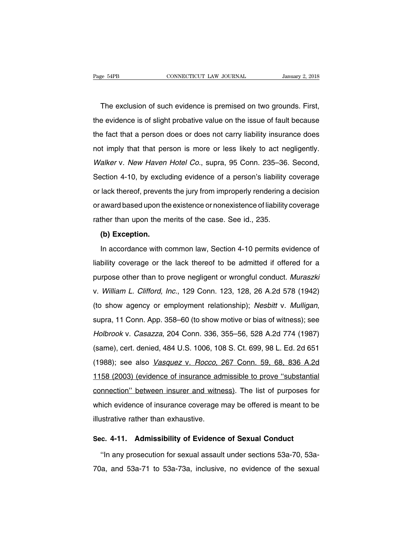The exclusion of such evidence is premised on two grounds. First,<br>The exclusion of such evidence is premised on two grounds. First,<br>a evidence is of slight probative value on the issue of fault because The exclusion of such evidence is premised on two grounds. First,<br>the evidence is of slight probative value on the issue of fault because<br>the fact that a person does or does not carry liability insurance does The exclusion of such evidence is premised on two grounds. First,<br>the evidence is of slight probative value on the issue of fault because<br>the fact that a person does or does not carry liability insurance does<br>not imply tha The exclusion of such evidence is premised on two grounds. First,<br>the evidence is of slight probative value on the issue of fault because<br>the fact that a person does or does not carry liability insurance does<br>not imply tha The evidence is of slight probative value on the issue of fault because<br>the fact that a person does or does not carry liability insurance does<br>not imply that that person is more or less likely to act negligently.<br>Walker v. the fact that a person does or does not carry liability insurance does<br>not imply that that person is more or less likely to act negligently.<br>Walker v. New Haven Hotel Co., supra, 95 Conn. 235–36. Second,<br>Section 4-10, by e and imply that that person is more or less likely to act negligently.<br>Walker v. New Haven Hotel Co., supra, 95 Conn. 235–36. Second,<br>Section 4-10, by excluding evidence of a person's liability coverage<br>or lack thereof, pre Walker v. New Haven Hotel Co., supra, 95 Conn. 235–36. Second,<br>Section 4-10, by excluding evidence of a person's liability coverage<br>or lack thereof, prevents the jury from improperly rendering a decision<br>or award based upo Frather than upon that the jury from improperly rendering a<br>Section 4-10, by excluding evidence of a person's liability<br>or lack thereof, prevents the jury from improperly rendering a<br>or award based upon the existence or no lack thereof, prevent<br>award based upon the<br>ther than upon the m<br>(b) Exception.<br>In accordance with c In accordance with common law, Section 4-10 permits evidence of liability coverage<br>In the merits of the case. See id., 235.<br>(b) Exception.<br>In accordance with common law, Section 4-10 permits evidence of bility coverage or

rather than upon the merits of the case. See id., 235.<br>
(b) Exception.<br>
In accordance with common law, Section 4-10 permits evidence of<br>
liability coverage or the lack thereof to be admitted if offered for a<br>
purpose other (b) Exception.<br>In accordance with common law, Section 4-10 permits evidence of<br>liability coverage or the lack thereof to be admitted if offered for a<br>purpose other than to prove negligent or wrongful conduct. Muraszki<br>v. In accordance with common law, Section 4-10 permits evidence of<br>liability coverage or the lack thereof to be admitted if offered for a<br>purpose other than to prove negligent or wrongful conduct. *Muraszki*<br>v. *William L. Cl* Ilability coverage or the lack thereof to be admitted if offered for a<br>purpose other than to prove negligent or wrongful conduct. Muraszki<br>v. William L. Clifford, Inc., 129 Conn. 123, 128, 26 A.2d 578 (1942)<br>(to show agenc y. *William L. Clifford, Inc.*, 129 Conn. 123, 128, 26 A.2d 578 (1942)<br>(to show agency or employment relationship); Nesbitt v. *Mulligan*,<br>supra, 11 Conn. App. 358–60 (to show motive or bias of witness); see<br>Holbrook v. *C* (to show agency or employment relationship); *Nesbitt* v. *Mulligan*, supra, 11 Conn. App. 358–60 (to show motive or bias of witness); see *Holbrook* v. *Casazza*, 204 Conn. 336, 355–56, 528 A.2d 774 (1987) (same), cert. (to show agently of employment relationship), *Nesshi* v. *Malligan*,<br>supra, 11 Conn. App. 358–60 (to show motive or bias of witness); see<br>Holbrook v. *Casazza*, 204 Conn. 336, 355–56, 528 A.2d 774 (1987)<br>(same), cert. den Holbrook v. Casazza, 204 Conn. 336, 355–56, 528 A.2d 774 (1987)<br>(same), cert. denied, 484 U.S. 1006, 108 S. Ct. 699, 98 L. Ed. 2d 651<br>(1988); see also *Vasquez v. Rocco*, 267 Conn. 59, 68, 836 A.2d<br>1158 (2003) (evidence of consident v. Subalizat, 201 Somm. 330, 333 Set, 323 William V.1 (1887)<br>(same), cert. denied, 484 U.S. 1006, 108 S. Ct. 699, 98 L. Ed. 2d 651<br>(1988); see also *Vasquez v. Rocco*, 267 Conn. 59, 68, 836 A.2d<br>1158 (2003) (evi (1988); see also *Vasquez* v. *Rocco*, 267 Conn. 59, 68, 836 A.2d<br>1158 (2003) (evidence of insurance admissible to prove "substantial<br>connection" between insurer and witness). The list of purposes for<br>which evidence of ins 1158 (2003) (evidence of insurance adreomection" between insurer and with<br>which evidence of insurance coverage r<br>illustrative rather than exhaustive. **Summer 2012** Connection" between insurer and witness). The list of purposes for which evidence of insurance coverage may be offered is meant to be illustrative rather than exhaustive.<br> **Sec.** 4-11. Admissibility of Eviden hich evidence of insurance coverage may be offered is meant to be<br>
ustrative rather than exhaustive.<br>
C. 4-11. Admissibility of Evidence of Sexual Conduct<br>
"In any prosecution for sexual assault under sections 53a-70, 53a-

illustrative rather than exhaustive.<br> **Sec. 4-11. Admissibility of Evidence of Sexual Conduct**<br>
"In any prosecution for sexual assault under sections 53a-70, 53a-<br>
70a, and 53a-71 to 53a-73a, inclusive, no evidence of the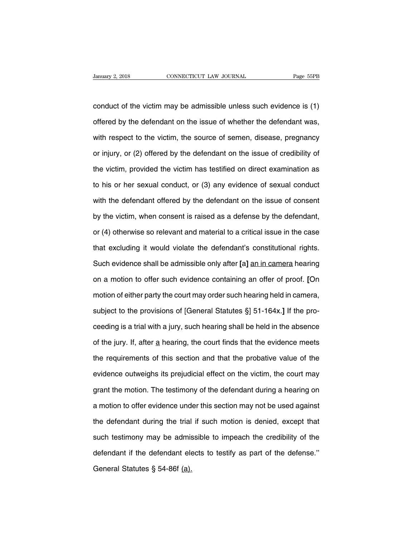CONNECTICUT LAW JOURNAL Page 55PB<br>
conduct of the victim may be admissible unless such evidence is (1)<br>
offered by the defendant on the issue of whether the defendant was, January 2, 2018 CONNECTICUT LAW JOURNAL Page 55PB<br>
conduct of the victim may be admissible unless such evidence is (1)<br>
offered by the defendant on the issue of whether the defendant was,<br>
with respect to the victim, the s conduct of the victim may be admissible unless such evidence is (1)<br>offered by the defendant on the issue of whether the defendant was,<br>with respect to the victim, the source of semen, disease, pregnancy<br>or injury, or (2) conduct of the victim may be admissible unless such evidence is (1)<br>offered by the defendant on the issue of whether the defendant was,<br>with respect to the victim, the source of semen, disease, pregnancy<br>or injury, or (2) offered by the defendant on the issue of whether the defendant was,<br>with respect to the victim, the source of semen, disease, pregnancy<br>or injury, or (2) offered by the defendant on the issue of credibility of<br>the victim, with respect to the victim, the source of semen, disease, pregnancy<br>or injury, or (2) offered by the defendant on the issue of credibility of<br>the victim, provided the victim has testified on direct examination as<br>to his or or injury, or (2) offered by the defendant on the issue of credibility of<br>the victim, provided the victim has testified on direct examination as<br>to his or her sexual conduct, or (3) any evidence of sexual conduct<br>with the the victim, provided the victim has testified on direct examination as<br>to his or her sexual conduct, or (3) any evidence of sexual conduct<br>with the defendant offered by the defendant on the issue of consent<br>by the victim, to his or her sexual conduct, or (3) any evidence of sexual conduct<br>with the defendant offered by the defendant on the issue of consent<br>by the victim, when consent is raised as a defense by the defendant,<br>or (4) otherwise with the defendant offered by the defendant on the issue of consent<br>by the victim, when consent is raised as a defense by the defendant,<br>or (4) otherwise so relevant and material to a critical issue in the case<br>that exclud by the victim, when consent is raised as a defense by the defendant,<br>or (4) otherwise so relevant and material to a critical issue in the case<br>that excluding it would violate the defendant's constitutional rights.<br>Such evi or (4) otherwise so relevant and material to a critical issue in the case<br>that excluding it would violate the defendant's constitutional rights.<br>Such evidence shall be admissible only after [a] <u>an in camera</u> hearing<br>on a that excluding it would violate the defendant's constitutional rights.<br>Such evidence shall be admissible only after [a] <u>an in camera</u> hearing<br>on a motion to offer such evidence containing an offer of proof. [On<br>motion of Such evidence shall be admissible only after [a] <u>an in camera</u> hearing<br>on a motion to offer such evidence containing an offer of proof. [On<br>motion of either party the court may order such hearing held in camera,<br>subject t on a motion to offer such evidence containing an offer of proof. [On<br>motion of either party the court may order such hearing held in camera,<br>subject to the provisions of [General Statutes §] 51-164x.] If the pro-<br>ceeding i motion of either party the court may order such hearing held in camera,<br>subject to the provisions of [General Statutes §] 51-164x.] If the pro-<br>ceeding is a trial with a jury, such hearing shall be held in the absence<br>of t subject to the provisions of [General Statutes §] 51-164x.] If the pro-<br>ceeding is a trial with a jury, such hearing shall be held in the absence<br>of the jury. If, after a hearing, the court finds that the evidence meets<br>th ceeding is a trial with a jury, such hearing shall be held in the absence<br>of the jury. If, after a hearing, the court finds that the evidence meets<br>the requirements of this section and that the probative value of the<br>evide of the jury. If, after a hearing, the court finds that the evidence meets<br>the requirements of this section and that the probative value of the<br>evidence outweighs its prejudicial effect on the victim, the court may<br>grant th the requirements of this section and that the probative value of the<br>evidence outweighs its prejudicial effect on the victim, the court may<br>grant the motion. The testimony of the defendant during a hearing on<br>a motion to o evidence outweighs its prejudicial effect on the victim, the court may<br>grant the motion. The testimony of the defendant during a hearing on<br>a motion to offer evidence under this section may not be used against<br>the defendan grant the motion. The testimony of the defendant during a hearing on<br>a motion to offer evidence under this section may not be used against<br>the defendant during the trial if such motion is denied, except that<br>such testimony a motion to offer evidence under this section may not be used against<br>the defendant during the trial if such motion is denied, except that<br>such testimony may be admissible to impeach the credibility of the<br>defendant if the the defendant during the trial<br>such testimony may be admis<br>defendant if the defendant ele<br>General Statutes § 54-86f <u>(a).</u>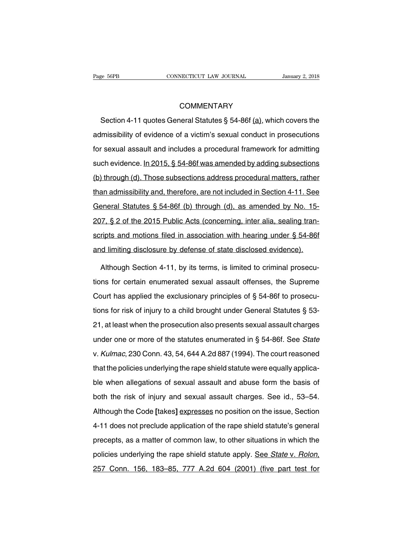# **COMMENTARY**

Section 4-11 quotes General Statutes § 54-86f (a), which covers the<br>
Section 4-11 quotes General Statutes § 54-86f (a), which covers the<br>
Imissibility of evidence of a victim's sexual conduct in prosecutions COMMENTARY<br>Section 4-11 quotes General Statutes § 54-86f (a), which covers the<br>admissibility of evidence of a victim's sexual conduct in prosecutions<br>for sexual assault and includes a procedural framework for admitting COMMENTARY<br>Section 4-11 quotes General Statutes § 54-86f (a), which covers the<br>admissibility of evidence of a victim's sexual conduct in prosecutions<br>for sexual assault and includes a procedural framework for admitting<br>suc Section 4-11 quotes General Statutes § 54-86f (a), which covers the<br>admissibility of evidence of a victim's sexual conduct in prosecutions<br>for sexual assault and includes a procedural framework for admitting<br>such evidence. admissibility of evidence of a victim's sexual conduct in prosecutions<br>for sexual assault and includes a procedural framework for admitting<br>such evidence. In 2015, § 54-86f was amended by adding subsections<br>(b) through (d) for sexual assault and includes a procedural framework for admitting<br>such evidence. In 2015, § 54-86f was amended by adding subsections<br>(b) through (d). Those subsections address procedural matters, rather<br>than admissibili For existen and and increased a predecision in almonent for damining<br>such evidence. In 2015, § 54-86f was amended by adding subsections<br>(b) through (d). Those subsections address procedural matters, rather<br>than admissibili (b) through (d). Those subsections address procedural matters, rather<br>than admissibility and, therefore, are not included in Section 4-11. See<br>General Statutes § 54-86f (b) through (d), as amended by No. 15-<br>207, § 2 of th scripts and missibility and, therefore, are not included in Section 4-11. See<br>General Statutes § 54-86f (b) through (d), as amended by No. 15-<br>207, § 2 of the 2015 Public Acts (concerning, inter alia, sealing tran-<br>scripts General Statutes § 54-86f (b) through (d), as amended by No. 15-<br>207, § 2 of the 2015 Public Acts (concerning, inter alia, sealing tran-<br>scripts and motions filed in association with hearing under § 54-86f<br>and limiting dis 17, § 2 of the 2015 Public Acts (concerning, inter alia, sealing tran-<br>ripts and motions filed in association with hearing under § 54-86f<br>id limiting disclosure by defense of state disclosed evidence).<br>Although Section 4-1

scripts and motions filed in association with hearing under § 54-86f<br>and limiting disclosure by defense of state disclosed evidence).<br>Although Section 4-11, by its terms, is limited to criminal prosecu-<br>tions for certain e and limiting disclosure by defense of state disclosed evidence).<br>Although Section 4-11, by its terms, is limited to criminal prosecu-<br>tions for certain enumerated sexual assault offenses, the Supreme<br>Court has applied the Although Section 4-11, by its terms, is limited to criminal prosecutions for certain enumerated sexual assault offenses, the Supreme Court has applied the exclusionary principles of § 54-86f to prosecutions for risk of inj 21, at least when the prosecution also presents sexual assault offenses, the Supreme<br>20 Court has applied the exclusionary principles of § 54-86f to prosecutions for risk of injury to a child brought under General Statute Court has applied the exclusionary principles of § 54-86f to prosecutions for risk of injury to a child brought under General Statutes § 53-<br>21, at least when the prosecution also presents sexual assault charges<br>under one v. Kulmac, 230 Conn. 43, 54, 644 A.2d 887 (1994). The court reasoned that the policies underlying the rape shield statute were equally application. that the policies underlying the rape shield statute and assault charges<br>under one or more of the statutes enumerated in § 54-86f. See *State*<br>v. *Kulmac*, 230 Conn. 43, 54, 644 A.2d 887 (1994). The court reasoned<br>that the allegations of the statutes enumerated in § 54-86f. See *State*<br>v. Kulmac, 230 Conn. 43, 54, 644 A.2d 887 (1994). The court reasoned<br>that the policies underlying the rape shield statute were equally applica-<br>ble when alleg both the risk of injury and sexual assault charges. See id., 53–54.<br>Although the risk of injury and sexual assault and abuse form the basis of<br>both the risk of injury and sexual assault charges. See id., 53–54.<br>Although th That the policies underlying the rape shield statute were equally applica-<br>ble when allegations of sexual assault and abuse form the basis of<br>both the risk of injury and sexual assault charges. See id., 53–54.<br>Although the the when allegations of sexual assault and abuse form the basis of<br>both the risk of injury and sexual assault charges. See id., 53–54.<br>Although the Code [takes] expresses no position on the issue, Section<br>4-11 does not pre both the risk of injury and sexual assault charges. See id., 53–54.<br>Although the Code [takes] expresses no position on the issue, Section<br>4-11 does not preclude application of the rape shield statute's general<br>precepts, as Although the Code [takes] expresses no position on the issue, Section 4-11 does not preclude application of the rape shield statute's general precepts, as a matter of common law, to other situations in which the policies u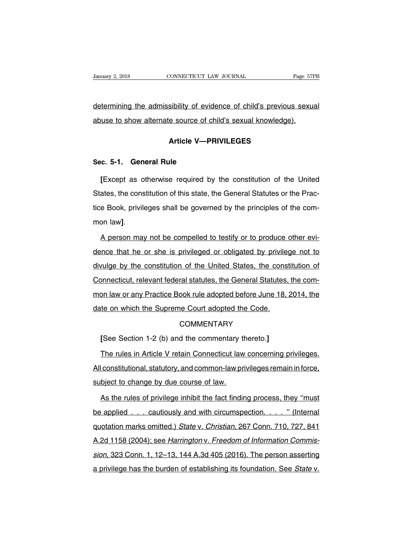determining the admissibility of evidence of child's previous sexual January 2, 2018 CONNECTICUT LAW JOURNAL Page 57H<br>
determining the admissibility of evidence of child's previous sexual<br>
abuse to show alternate source of child's sexual knowledge). sibility of evidence of child's previous<br>Le source of child's sexual knowledge).<br>**Article V—PRIVILEGES Sec.** 5-1. General Rule<br>
Sec. 5-1. General Rule<br>
Fixcent as otherwise required by

**Article V—PRIVILEGES**<br> **Except as otherwise required by the constitution of the United**<br> **Except as otherwise required by the constitution of the United**<br> **ates, the constitution of this state, the General Statutes or the** Article V—PRIVILEGES<br>Sec. 5-1. General Rule<br>[Except as otherwise required by the constitution of the United<br>States, the constitution of this state, the General Statutes or the Prac-<br>tice Book, privileges shall be governed Sec. 5-1. General Rule<br>
[Except as otherwise required by the constitution of the United<br>
States, the constitution of this state, the General Statutes or the Prac-<br>
tice Book, privileges shall be governed by the principles [Except as otherwise required by the constitution of the United<br>States, the constitution of this state, the General Statutes or the Prac-<br>tice Book, privileges shall be governed by the principles of the com-<br>mon law].<br>A pe

tice Book, privileges shall be governed by the principles of the com-<br>mon law].<br>A person may not be compelled to testify or to produce other evi-<br>dence that he or she is privileged or obligated by privilege not to<br>divulge mon law].<br>A person may not be compelled to testify or to produce other evi-<br>dence that he or she is privileged or obligated by privilege not to<br>divulge by the constitution of the United States, the constitution of<br>Connecti A person may not be compelled to testify or to produce other evi-<br>dence that he or she is privileged or obligated by privilege not to<br>divulge by the constitution of the United States, the constitution of<br>Connecticut, relev month dence that he or she is privileged or obligated by privilege not to divulge by the constitution of the United States, the constitution of Connecticut, relevant federal statutes, the General Statutes, the common law o divulge by the constitution of the United States, the cons<br>Connecticut, relevant federal statutes, the General Statutes,<br>mon law or any Practice Book rule adopted before June 18,<br>date on which the Supreme Court adopted the Connecticut, relevant federal statutes, the General Statutes, the common law or any Practice Book rule adopted before June 18, 2014, the date on which the Supreme Court adopted the Code.<br>
COMMENTARY<br>
[See Section 1-2 (b) a

# **COMMENTARY**

te on which the Supreme Court adopted the Code.<br>COMMENTARY<br>[See Section 1-2 (b) and the commentary thereto.]<br>The rules in Article V retain Connecticut law concerning privileges.<br>constitutional, statutory, and common-law pr COMMENTARY<br>
[See Section 1-2 (b) and the commentary thereto.]<br>
The rules in Article V retain Connecticut law concerning privileges.<br>
All constitutional, statutory, and common-law privileges remain in force,<br>
subject to cha [See Section 1-2 (b) and the commentary the The rules in Article V retain Connecticut law.<br>All constitutional, statutory, and common-law prisubject to change by due course of law.<br>As the rules of privilege inhibit the fact The rules in Article V retain Connecticut law concerning privileges.<br>Constitutional, statutory, and common-law privileges remain in force,<br>bject to change by due course of law.<br>As the rules of privilege inhibit the fact fi

All constitutional, statutory, and common-law privileges remain in force,<br>subject to change by due course of law.<br>As the rules of privilege inhibit the fact finding process, they "must<br>be applied . . . cautiously and with subject to change by due course of law.<br>As the rules of privilege inhibit the fact finding process, they "must<br>be applied....cautiously and with circumspection....." (Internal<br>quotation marks omitted.) State v. Christian, As the rules of privilege inhibit the fact finding process, they "must<br>be applied . . . cautiously and with circumspection. . . . . " (Internal<br>quotation marks omitted.) State v. Christian, 267 Conn. 710, 727, 841<br>A.2d 115 sion, 323 Conn. 1, 12–13, 144 A.3d 405 (2016). The person asserting<br>applied . . . . cautiously and with circumspection. . . . . " (Internal<br>applied marks omitted.) State v. Christian, 267 Conn. 710, 727, 841<br>A.2d 1158 (200 a privilege has the burden of establishing its foundation marks omitted.) State v. Christian, 267 Conn. 710, 727, 841<br>A.2d 1158 (2004); see Harrington v. Freedom of Information Commis-<br>sion, 323 Conn. 1, 12–13, 144 A.3d 40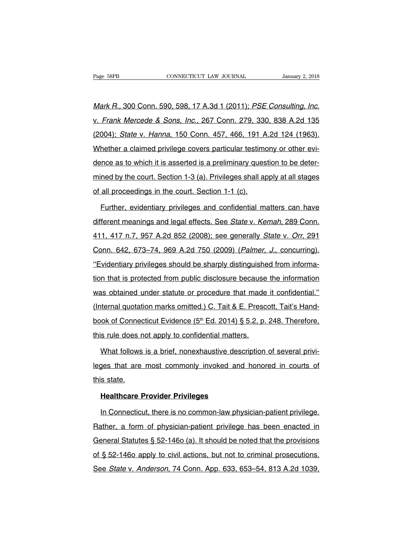Page 58PB<br>CONNECTICUT LAW JOURNAL January 2, 2018<br>Mark R., 300 Conn. 590, 598, 17 A.3d 1 (2011); PSE Consulting, Inc.<br>v. Frank Mercede & Sons, Inc., 267 Conn. 279, 330, 838 A.2d 135 v. Frank Mercede & Sons, Inc., 267 Conn. 279, 330, 838 A.2d 135 Mark R., 300 Conn. 590, 598, 17 A.3d 1 (2011); PSE Consulting, Inc.<br>v. Frank Mercede & Sons, Inc., 267 Conn. 279, 330, 838 A.2d 135<br>(2004); State v. Hanna, 150 Conn. 457, 466, 191 A.2d 124 (1963).<br>Whether a claimed privile Mark R., 300 Conn. 590, 598, 17 A.3d 1 (2011); PSE Consulting, Inc.<br>v. Frank Mercede & Sons, Inc., 267 Conn. 279, 330, 838 A.2d 135<br>(2004); State v. Hanna, 150 Conn. 457, 466, 191 A.2d 124 (1963).<br>Whether a claimed privile v. Frank Mercede & Sons, Inc., 267 Conn. 279, 330, 838 A.2d 135<br>(2004); State v. Hanna, 150 Conn. 457, 466, 191 A.2d 124 (1963).<br>Whether a claimed privilege covers particular testimony or other evi-<br>dence as to which it is (2004); *State v. Hanna*, 150 Conn. 457, 466, 191 A.2d 124 (1963).<br>Whether a claimed privilege covers particular testimony or other evi-<br>dence as to which it is asserted is a preliminary question to be deter-<br>mined by the Whether a claimed privilege covers particular testime<br>dence as to which it is asserted is a preliminary ques<br>mined by the court. Section 1-3 (a). Privileges shall ap<br>of all proceedings in the court. Section 1-1 (c).<br>Furthe ince as to which it is asserted is a preliminary question to be deter-<br>ned by the court. Section 1-3 (a). Privileges shall apply at all stages<br>all proceedings in the court. Section 1-1 (c).<br>Further, evidentiary privileges

mined by the court. Section 1-3 (a). Privileges shall apply at all stages<br>of all proceedings in the court. Section 1-1 (c).<br>Further, evidentiary privileges and confidential matters can have<br>different meanings and legal eff of all proceedings in the court. Section 1-1 (c).<br>
Further, evidentiary privileges and confidential matters can have<br>
different meanings and legal effects. See *State v. Kemah*, 289 Conn.<br>
411, 417 n.7, 957 A.2d 852 (2008) Eurther, evidentiary privileges and confidential matters can have<br>different meanings and legal effects. See *State v. Kemah*, 289 Conn.<br>411, 417 n.7, 957 A.2d 852 (2008); see generally *State v. Orr*, 291<br>Conn. 642, 673–74 different meanings and legal effects. See *State v. Kemah*, 289 Conn.<br>411, 417 n.7, 957 A.2d 852 (2008); see generally *State v. Orr*, 291<br>Conn. 642, 673–74, 969 A.2d 750 (2009) (*Palmer, J.*, concurring).<br>"Evidentiary pri and on the image and regal encode. See Batte v. Nemari, Ecc Com.<br>411, 417 n.7, 957 A.2d 852 (2008); see generally *State v. Orr*, 291<br>Conn. 642, 673–74, 969 A.2d 750 (2009) (*Palmer, J.*, concurring).<br>"Evidentiary privileg Conn. 642, 673–74, 969 A.2d 750 (2009) (*Palmer, J.*, concurring).<br>"Evidentiary privileges should be sharply distinguished from informa-<br>tion that is protected from public disclosure because the information<br>was obtained un "Evidentiary privileges should be sharply distinguished from informa-<br>tion that is protected from public disclosure because the informa-<br>tion that is protected from public disclosure because the information<br>was obtained u tion that is protected from public disclosure because the information<br>was obtained under statute or procedure that made it confidential."<br>(Internal quotation marks omitted.) C. Tait & E. Prescott, Tait's Hand-<br>book of Con this rule does not apply to control that made<br>(Internal quotation marks omitted.) C. Tait & E. Prescors book of Connecticut Evidence (5<sup>th</sup> Ed. 2014) § 5.2, p.<br>this rule does not apply to confidential matters.<br>What follow iternal quotation marks omitted.) C. Tait & E. Prescott, Tait's Hand-<br>ok of Connecticut Evidence (5<sup>th</sup> Ed. 2014) § 5.2, p. 248. Therefore,<br>s rule does not apply to confidential matters.<br>What follows is a brief, nonexhaust

book of Connecticut Evidence (5<sup>th</sup> Ed. 2014) § 5.2, p. 248. Therefore, this rule does not apply to confidential matters.<br>What follows is a brief, nonexhaustive description of several privileges that are most commonly invo this rule does n<br>What follows<br>leges that are<br>this state.<br>**Healthcare F** What follows is a brief, nonexhaustive desc<br>Jes that are most commonly invoked and<br>s state.<br>Healthcare Provider Privileges<br>In Connecticut, there is no common-law phys In The Sette in Connect and honored in courts of<br>In Connecticut, there is no common-law physician-patient privilege.<br>In Connecticut, there is no common-law physician-patient privilege.<br>In Connecticut, there is no common-la

this state.<br> **Healthcare Provider Privileges**<br>
In Connecticut, there is no common-law physician-patient privilege.<br>
Rather, a form of physician-patient privilege has been enacted in<br>
General Statutes § 52-1460 (a). It shou Healthcare Provider Privileges<br>
In Connecticut, there is no common-law physician-patient privilege.<br>
Rather, a form of physician-patient privilege has been enacted in<br>
General Statutes § 52-146o (a). It should be noted tha In Connecticut, there is no common-law physician-patient privilege.<br>Rather, a form of physician-patient privilege has been enacted in<br>General Statutes § 52-146o (a). It should be noted that the provisions<br>of § 52-146o appl In Composition, there is no common law physician pattern privilege.<br>Rather, a form of physician-patient privilege has been enacted in<br>General Statutes § 52-1460 (a). It should be noted that the provisions<br>of § 52-1460 appl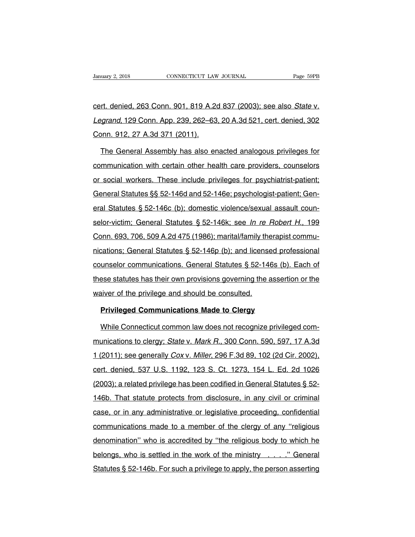Vanuary 2, 2018 CONNECTICUT LAW JOURNAL Page 59PB<br>
cert. denied, 263 Conn. 901, 819 A.2d 837 (2003); see also *State v.*<br>
Legrand, 129 Conn. App. 239, 262–63, 20 A.3d 521, cert. denied, 302 Vanuary 2, 2018 CONNECTICUT LAW JOURNAL Page 59PB<br>
Cert. denied, 263 Conn. 901, 819 A.2d 837 (2003); see also *State v.*<br>
Legrand, 129 Conn. App. 239, 262–63, 20 A.3d 521, cert. denied, 302<br>
Conn. 912, 27 A.3d 371 (2011). cert. denied, 263 Conn. 901, 819 A.2d<br> *Legrand*, 129 Conn. App. 239, 262–63<br>
Conn. 912, 27 A.3d 371 (2011).<br>
The General Assembly has also er rt. denied, 263 Conn. 901, 819 A.2d 837 (2003); see also *State v.*<br>grand, 129 Conn. App. 239, 262–63, 20 A.3d 521, cert. denied, 302<br>pnn. 912, 27 A.3d 371 (2011).<br>The General Assembly has also enacted analogous privileges

Legrand, 129 Conn. App. 239, 262–63, 20 A.3d 521, cert. denied, 302<br>Conn. 912, 27 A.3d 371 (2011).<br>The General Assembly has also enacted analogous privileges for<br>communication with certain other health care providers, coun Conn. 912, 27 A.3d 371 (2011).<br>The General Assembly has also enacted analogous privileges for<br>communication with certain other health care providers, counselors<br>or social workers. These include privileges for psychiatrist-The General Assembly has also enacted analogous privileges for<br>communication with certain other health care providers, counselors<br>or social workers. These include privileges for psychiatrist-patient;<br>General Statutes §§ 52 eral Statutes § 52-146d and 52-146e; providers, counselors<br>or social workers. These include privileges for psychiatrist-patient;<br>General Statutes §§ 52-146d and 52-146e; psychologist-patient; Gen-<br>eral Statutes § 52-146c ( or social workers. These include privileges for psychiatrist-patient;<br>General Statutes §§ 52-146d and 52-146e; psychologist-patient; Gen-<br>eral Statutes § 52-146c (b); domestic violence/sexual assault coun-<br>selor-victim; Ge Greeckin Montere. These instate privileges for psychiatric patient;<br>General Statutes § 52-146c (b); domestic violence/sexual assault coun-<br>selor-victim; General Statutes § 52-146k; see *In re Robert H.*, 199<br>Conn. 693, 706 eral Statutes § 52-146c (b); domestic violence/sexual assault counselor-victim; General Statutes § 52-146k; see *In re Robert H.*, 199 Conn. 693, 706, 509 A.2d 475 (1986); marital/family therapist communications; General S selor-victim; General Statutes § 52-146k; see *In re Robert H.*, 199<br>Conn. 693, 706, 509 A.2d 475 (1986); marital/family therapist commu-<br>nications; General Statutes § 52-146p (b); and licensed professional<br>counselor commu Conn. 693, 706, 509 A.2d 475 (1986); marital/family therapist communications; General Statutes § 52-146p (b); and licensed professional counselor communications. General Statutes § 52-146s (b). Each of these statutes has t mications; General Statutes § 52-146p (b); and license<br>counselor communications. General Statutes § 52-146<br>these statutes has their own provisions governing the a<br>waiver of the privilege and should be consulted.<br>Privileged unselor communications. General Statutes § 52-146s (b).<br>
Pase statutes has their own provisions governing the assertictiver of the privilege and should be consulted.<br> **Privileged Communications Made to Clergy**<br>
While Conne ese statutes has their own provisions governing the assertion or the<br>aiver of the privilege and should be consulted.<br>**Privileged Communications Made to Clergy**<br>While Connecticut common law does not recognize privileged com

waiver of the privilege and should be consulted.<br> **Privileged Communications Made to Clergy**<br>
While Connecticut common law does not recognize privileged com-<br>
munications to clergy; State v. Mark R., 300 Conn. 590, 597, 17 Privileged Communications Made to Clergy<br>
While Connecticut common law does not recognize privileged com-<br>
munications to clergy; State v. Mark R., 300 Conn. 590, 597, 17 A.3d<br>
1 (2011); see generally Cox v. Miller, 296 F. While Connecticut common law does not recognize privileged com-<br>munications to clergy; State v. Mark R., 300 Conn. 590, 597, 17 A.3d<br>1 (2011); see generally Cox v. Miller, 296 F.3d 89, 102 (2d Cir. 2002),<br>cert. denied, 537 munications to clergy; *State v. Mark R.*, 300 Conn. 590, 597, 17 A.3d<br>1 (2011); see generally *Cox v. Miller*, 296 F.3d 89, 102 (2d Cir. 2002),<br>cert. denied, 537 U.S. 1192, 123 S. Ct. 1273, 154 L. Ed. 2d 1026<br>(2003); a re 1 (2011); see generally *Cox v. Miller*, 296 F.3d 89, 102 (2d Cir. 2002), cert. denied, 537 U.S. 1192, 123 S. Ct. 1273, 154 L. Ed. 2d 1026 (2003); a related privilege has been codified in General Statutes § 52-146b. That s case, or in any administrative or legislative proceeding, confidential<br>case, or in any administrative or legislative proceeding, confidential<br>case, or in any administrative or legislative proceeding, confidential<br>communica (2003); a related privilege has been codified in General Statutes § 52-<br>146b. That statute protects from disclosure, in any civil or criminal<br>case, or in any administrative or legislative proceeding, confidential<br>communica 146b. That statute protects from disclosure, in any civil or criminal<br>case, or in any administrative or legislative proceeding, confidential<br>communications made to a member of the clergy of any "religious<br>denomination" who case, or in any administrative or legislative proceeding, confidential<br>communications made to a member of the clergy of any "religious<br>denomination" who is accredited by "the religious body to which he<br>belongs, who is sett communications made to a member of the clergy of any "religious<br>denomination" who is accredited by "the religious body to which he<br>belongs, who is settled in the work of the ministry ...." General<br>Statutes § 52-146b. For s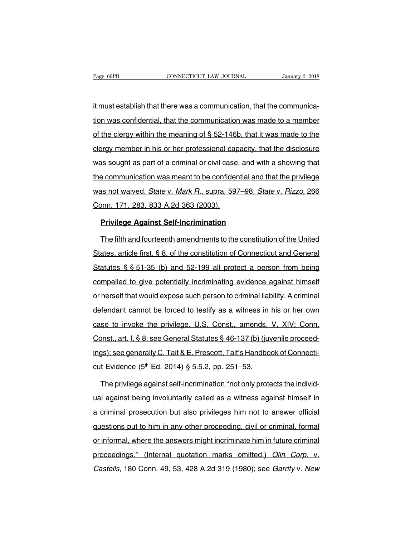Page 60PB<br>
CONNECTICUT LAW JOURNAL<br>
it must establish that there was a communication, that the communica-<br>
tion was confidential, that the communication was made to a member Fage 60PB CONNECTICUT LAW JOURNAL January 2, 2018<br>it must establish that there was a communication, that the communica-<br>tion was confidential, that the communication was made to a member<br>of the clergy within the meaning of it must establish that there was a communication, that the communica-<br>tion was confidential, that the communication was made to a member<br>of the clergy within the meaning of § 52-146b, that it was made to the<br>clergy member it must establish that there was a communication, that the communica-<br>tion was confidential, that the communication was made to a member<br>of the clergy within the meaning of § 52-146b, that it was made to the<br>clergy member it in the collistion that the control as a communication, that the communication<br>tion was confidential, that the communication was made to a member<br>of the clergy within the meaning of § 52-146b, that it was made to the<br>cle of the clergy within the meaning of  $\S$  52-146b, that it was made to the clergy member in his or her professional capacity, that the disclosure was sought as part of a criminal or civil case, and with a showing that the c clergy member in his or her professional capacity, that the disclosure<br>was sought as part of a criminal or civil case, and with a showing that<br>the communication was meant to be confidential and that the privilege<br>was not w was sought as part of a criminal or civil case.<br>the communication was meant to be confider<br>was not waived. State v. Mark R., supra, 597<br>Conn. 171, 283, 833 A.2d 363 (2003).<br>Privilege Against Self-Incrimination **Proper Communication was meant to be confidential and to some as not waived.** *State* **v.** *Mark R.***, supra, 597–98;** *Stationn.* **171, 283, 833 A.2d 363 (2003).<br><b>Privilege Against Self-Incrimination**<br>The fifth and fourteenth as not waived. *State* v. *Mark R.*, supra, 597–98; *State* v. *Rizzo*, 266<br>John. 171, 283, 833 A.2d 363 (2003).<br>**Privilege Against Self-Incrimination**<br>The fifth and fourteenth amendments to the constitution of the United<br>

States, article first, § 8, of the constitution of the United<br>States, article first, § 8, of the constitution of Connecticut and General<br>States, article first, § 8, of the constitution of Connecticut and General<br>Statutes § **Privilege Against Self-Incrimination**<br>The fifth and fourteenth amendments to the constitution of the United<br>States, article first, § 8, of the constitution of Connecticut and General<br>Statutes § § 51-35 (b) and 52-199 all The fifth and fourteenth amendments to the constitution of the United<br>States, article first, § 8, of the constitution of Connecticut and General<br>Statutes § § 51-35 (b) and 52-199 all protect a person from being<br>compelled t States, article first, § 8, of the constitution of Connecticut and General<br>Statutes § § 51-35 (b) and 52-199 all protect a person from being<br>compelled to give potentially incriminating evidence against himself<br>or herself Statutes § § 51-35 (b) and 52-199 all protect a person from being<br>compelled to give potentially incriminating evidence against himself<br>or herself that would expose such person to criminal liability. A criminal<br>defendant ca compelled to give potentially incriminating evidence against himself<br>or herself that would expose such person to criminal liability. A criminal<br>defendant cannot be forced to testify as a witness in his or her own<br>case to i or herself that would expose such person to criminal liability. A criminal defendant cannot be forced to testify as a witness in his or her own case to invoke the privilege. U.S. Const., amends. V, XIV; Conn. Const., art. defendant cannot be forced to testify as a witness in his or her own<br>case to invoke the privilege. U.S. Const., amends. V, XIV; Conn.<br>Const., art. I, § 8; see General Statutes § 46-137 (b) (juvenile proceed-<br>ings); see gen case to invoke the privilege. U.S. Const., amends.<br>Const., art. I, § 8; see General Statutes § 46-137 (b) (juvings); see generally C. Tait & E. Prescott, Tait's Handbo-<br>cut Evidence (5<sup>th</sup> Ed. 2014) § 5.5.2, pp. 251–53.<br>Th bother privilege against self-incrimination ''not only proceed-<br>The privilege against self-incrimination ''not only protects the individ-<br>The privilege against self-incrimination ''not only protects the individ-<br>The privil

ings); see generally C. Tait & E. Prescott, Tait's Handbook of Connecticut Evidence (5<sup>th</sup> Ed. 2014) § 5.5.2, pp. 251–53.<br>The privilege against self-incrimination "not only protects the individual against being involuntari cut Evidence (5<sup>th</sup> Ed. 2014) § 5.5.2, pp. 251–53.<br>The privilege against self-incrimination "not only protects the individ-<br>ual against being involuntarily called as a witness against himself in<br>a criminal prosecution but The privilege against self-incrimination "not only protects the individ-<br>ual against being involuntarily called as a witness against himself in<br>a criminal prosecution but also privileges him not to answer official<br>question and a a witness against being involuntarily called as a witness against himself in<br>a criminal prosecution but also privileges him not to answer official<br>questions put to him in any other proceeding, civil or criminal, form a criminal prosecution but also privileges him not to answer official<br>questions put to him in any other proceeding, civil or criminal, formal<br>or informal, where the answers might incriminate him in future criminal<br>proceedi a chimical proceedable bat also privileged film het to aristor embia<br>questions put to him in any other proceeding, civil or criminal, formal<br>or informal, where the answers might incriminate him in future criminal<br>proceedin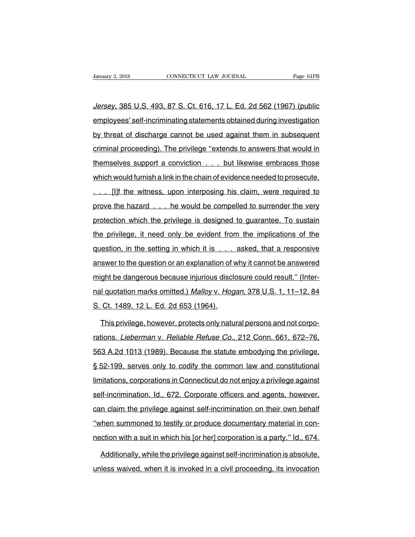Jersey, 385 U.S. 493, 87 S. Ct. 616, 17 L. Ed. 2d 562 (1967) (public January 2, 2018 CONNECTICUT LAW JOURNAL Page 61PB<br>Jersey, 385 U.S. 493, 87 S. Ct. 616, 17 L. Ed. 2d 562 (1967) (public<br>employees' self-incriminating statements obtained during investigation<br>by threat of discharge cannot be Jersey, 385 U.S. 493, 87 S. Ct. 616, 17 L. Ed. 2d 562 (1967) (public<br>employees' self-incriminating statements obtained during investigation<br>by threat of discharge cannot be used against them in subsequent<br>criminal proceedi Jersey, 385 U.S. 493, 87 S. Ct. 616, 17 L. Ed. 2d 562 (1967) (public<br>employees' self-incriminating statements obtained during investigation<br>by threat of discharge cannot be used against them in subsequent<br>criminal proceedi employees' self-incriminating statements obtained during investigation<br>by threat of discharge cannot be used against them in subsequent<br>criminal proceeding). The privilege "extends to answers that would in<br>themselves suppo by threat of discharge cannot be used against them in subsequent<br>criminal proceeding). The privilege "extends to answers that would in<br>themselves support a conviction . . . but likewise embraces those<br>which would furnish a criminal proceeding). The privilege "extends to answers that would in<br>themselves support a conviction . . . but likewise embraces those<br>which would furnish a link in the chain of evidence needed to prosecute.<br>. . . [I]f th themselves support a conviction ... but likewise embraces those<br>which would furnish a link in the chain of evidence needed to prosecute.<br>... [I]f the witness, upon interposing his claim, were required to<br>prove the hazard . mometric cupper a controller internet internet controller which would furnish a link in the chain of evidence needed to prosecute.<br>
... [I]f the witness, upon interposing his claim, were required to prove the hazard ... he the privilege, it need only be evident from the implications of the privilege, it need only be evident from the implications of the question, in the setting in which it is . . . asked, that a responsive prove the hazard . . . he would be compelled to surrender the very<br>protection which the privilege is designed to guarantee. To sustain<br>the privilege, it need only be evident from the implications of the<br>question, in the se protection which the privilege is designed to guarantee. To sustain<br>the privilege, it need only be evident from the implications of the<br>question, in the setting in which it is . . . asked, that a responsive<br>answer to the q protection which the privilege is designed to guarantee. To sustain<br>the privilege, it need only be evident from the implications of the<br>question, in the setting in which it is . . . asked, that a responsive<br>answer to the q and question, in the setting in which it is . . . asked, that a responsive<br>answer to the question or an explanation of why it cannot be answered<br>might be dangerous because injurious disclosure could result." (Inter-<br>nal qu answer to the question or an explanation of v<br>answer to the question or an explanation of v<br>might be dangerous because injurious disck<br>nal quotation marks omitted.) Malloy v. Hog.<br>S. Ct. 1489, 12 L. Ed. 2d 653 (1964).<br>This ght be dangerous because injurious disclosure could result." (Inter-<br>I quotation marks omitted.) Malloy v. Hogan, 378 U.S. 1, 11–12, 84<br>Ct. 1489, 12 L. Ed. 2d 653 (1964).<br>This privilege, however, protects only natural pers

nal quotation marks omitted.) *Malloy v. Hogan*, 378 U.S. 1, 11–12, 84<br>S. Ct. 1489, 12 L. Ed. 2d 653 (1964).<br>This privilege, however, protects only natural persons and not corpo-<br>rations. *Lieberman v. Reliable Refuse Co.* S. Ct. 1489, 12 L. Ed. 2d 653 (1964).<br>This privilege, however, protects only natural persons and not corpo-<br>rations. *Lieberman v. Reliable Refuse Co.*, 212 Conn. 661, 672–76,<br>563 A.2d 1013 (1989). Because the statute embo This privilege, however, protects only natural persons and not corporations. *Lieberman v. Reliable Refuse Co.*, 212 Conn. 661, 672–76, 563 A.2d 1013 (1989). Because the statute embodying the privilege, § 52-199, serves on mations. *Lieberman* v. *Reliable Refuse Co.*, 212 Conn. 661, 672–76, 563 A.2d 1013 (1989). Because the statute embodying the privilege, § 52-199, serves only to codify the common law and constitutional limitations, corpor self-incrimination. Id., 672. Corporate officers and agents, however, can claim the privilege against self-incrimination. Id., 672. Corporate officers and agents, however, can claim the privilege against self-incrimination Sold the privilege against self-incriminations, corporations in Connecticut do not enjoy a privilege against<br>self-incrimination. Id., 672. Corporate officers and agents, however,<br>can claim the privilege against self-incrim § 52-199, serves only to codify the common law and constitutional<br>limitations, corporations in Connecticut do not enjoy a privilege against<br>self-incrimination. Id., 672. Corporate officers and agents, however,<br>can claim th nection with a suit in which his [or her] corporation is a party. Nowever,<br>can claim the privilege against self-incrimination on their own behalf<br>"when summoned to testify or produce documentary material in con-<br>nection wi In claim the privilege against self-incrimination on their own behalf<br>when summoned to testify or produce documentary material in con-<br>ction with a suit in which his [or her] corporation is a party." Id., 674.<br>Additionally when summoned to testify or produce documentary material in connection with a suit in which his [or her] corporation is a party." Id., 674.<br>Additionally, while the privilege against self-incrimination is absolute, unless w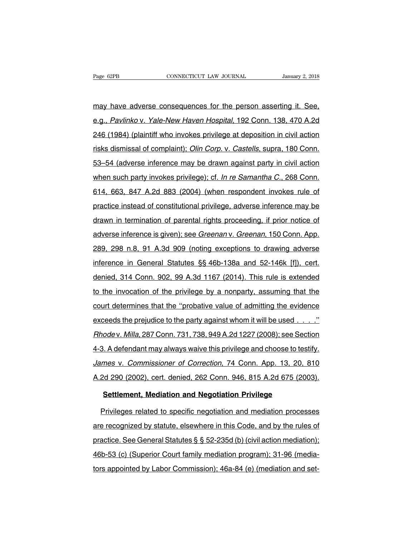Page 62PB<br>
may have adverse consequences for the person asserting it. See,<br>
e.g., Pavlinkov. Yale-New Haven Hospital, 192 Conn. 138, 470 A.2d Page 62PB CONNECTICUT LAW JOURNAL January 2, 2018<br>
may have adverse consequences for the person asserting it. See,<br>
e.g., *Pavlinko* v. *Yale-New Haven Hospital*, 192 Conn. 138, 470 A.2d<br>
246 (1984) (plaintiff who invokes may have adverse consequences for the person asserting it. See,<br>e.g., Pavlinko v. Yale-New Haven Hospital, 192 Conn. 138, 470 A.2d<br>246 (1984) (plaintiff who invokes privilege at deposition in civil action<br>risks dismissal o may have adverse consequences for the person asserting it. See,<br>e.g., Pavlinko v. Yale-New Haven Hospital, 192 Conn. 138, 470 A.2d<br>246 (1984) (plaintiff who invokes privilege at deposition in civil action<br>risks dismissal o e.g., Pavlinko v. Yale-New Haven Hospital, 192 Conn. 138, 470 A.2d<br>246 (1984) (plaintiff who invokes privilege at deposition in civil action<br>risks dismissal of complaint); *Olin Corp.* v. *Castells*, supra, 180 Conn.<br>53–54 erg.; *i animits v. Fais Now Haven Hospital*; *is* 2 Committing, 1971.23<br>246 (1984) (plaintiff who invokes privilege at deposition in civil action<br>risks dismissal of complaint); *Olin Corp.* v. *Castells*, supra, 180 Conn. risks dismissal of complaint); *Olin Corp.* v. *Castells*, supra, 180 Conn.<br>53–54 (adverse inference may be drawn against party in civil action<br>when such party invokes privilege); cf. *In re Samantha C.*, 268 Conn.<br>614, 66 practice instead of complement of constrained privilege, adverse inference may be drawn against party in civil action<br>when such party invokes privilege); cf. In re Samantha C., 268 Conn.<br>614, 663, 847 A.2d 883 (2004) (when when such party invokes privilege); cf. In re Samantha C., 268 Conn.<br>614, 663, 847 A.2d 883 (2004) (when respondent invokes rule of<br>practice instead of constitutional privilege, adverse inference may be<br>drawn in terminatio and the cash party involved privilege, situation of the calibration of the practice instead of constitutional privilege, adverse inference may be drawn in termination of parental rights proceeding, if prior notice of adver practice instead of constitutional privilege, adverse inference may be<br>drawn in termination of parental rights proceeding, if prior notice of<br>adverse inference is given); see *Greenan v. Greenan*, 150 Conn. App.<br>289, 298 n drawn in termination of parental rights proceeding, if prior notice of adverse inference is given); see *Greenan v. Greenan*, 150 Conn. App.<br>289, 298 n.8, 91 A.3d 909 (noting exceptions to drawing adverse inference in Gene adverse inference is given); see *Greenan* v. *Greenan*, 150 Conn. App.<br>289, 298 n.8, 91 A.3d 909 (noting exceptions to drawing adverse<br>inference in General Statutes §§ 46b-138a and 52-146k [f]), cert.<br>denied, 314 Conn. 90 289, 298 n.8, 91 A.3d 909 (noting exceptions to drawing adverse<br>inference in General Statutes §§ 46b-138a and 52-146k [f]), cert.<br>denied, 314 Conn. 902, 99 A.3d 1167 (2014). This rule is extended<br>to the invocation of the p inference in General Statutes §§ 46b-138a and 52-146k [f]), cert.<br>denied, 314 Conn. 902, 99 A.3d 1167 (2014). This rule is extended<br>to the invocation of the privilege by a nonparty, assuming that the<br>court determines that denied, 314 Conn. 902, 99 A.3d 1167 (2014). This rule is extended<br>to the invocation of the privilege by a nonparty, assuming that the<br>court determines that the "probative value of admitting the evidence<br>exceeds the prejudi to the invocation of the privilege by a nonparty, assuming that the court determines that the "probative value of admitting the evidence exceeds the prejudice to the party against whom it will be used  $\ldots$ ."<br>Rhode v. Mil 19 and an except the two privilege by a nonparty; assessing that the<br>court determines that the "probative value of admitting the evidence<br>exceeds the prejudice to the party against whom it will be used . . . . ."<br>Rhode v. exceeds the prejudice to the party against whom it will be used . . . . ."<br>
Rhode v. Milla, 287 Conn. 731, 738, 949 A.2d 1227 (2008); see Section<br>
4-3. A defendant may always waive this privilege and choose to testify.<br>
Ja Rhode v. Milla, 287 Conn. 731, 738, 949 A.2d 1227 (2008); see Section<br>4-3. A defendant may always waive this privilege and choose to testify.<br>James v. Commissioner of Correction, 74 Conn. App. 13, 20, 810<br>A.2d 290 (2002), **Example 1: A defendant may always waive this privilege and choose to test**<br> *Mes v. Commissioner of Correction*, 74 Conn. App. 13, 20, 8<br> *Meta 290 (2002), cert. denied, 262 Conn. 946, 815 A.2d 675 (200*<br> **Settlement, Med** mes v. Commissioner of Correction, 74 Conn. App. 13, 20, 810<br>2d 290 (2002), cert. denied, 262 Conn. 946, 815 A.2d 675 (2003).<br>**Settlement, Mediation and Negotiation Privilege**<br>Privileges related to specific negotiation and

A.2d 290 (2002), cert. denied, 262 Conn. 946, 815 A.2d 675 (2003).<br> **Settlement, Mediation and Negotiation Privilege**<br>
Privileges related to specific negotiation and mediation processes<br>
are recognized by statute, elsewher Settlement, Mediation and Negotiation Privilege<br>Privileges related to specific negotiation and mediation processes<br>are recognized by statute, elsewhere in this Code, and by the rules of<br>practice. See General Statutes § § 5 Privileges related to specific negotiation and mediation processes<br>are recognized by statute, elsewhere in this Code, and by the rules of<br>practice. See General Statutes § § 52-235d (b) (civil action mediation);<br>46b-53 (c) the mediation and mediation preceded<br>are recognized by statute, elsewhere in this Code, and by the rules of<br>practice. See General Statutes § § 52-235d (b) (civil action mediation);<br>46b-53 (c) (Superior Court family mediati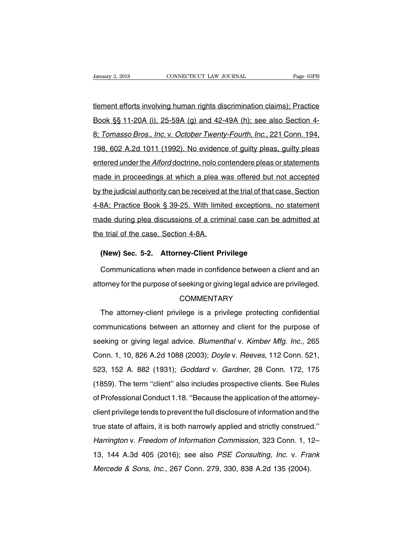University 2, 2018 CONNECTICUT LAW JOURNAL Page 63PB<br>
1999 The Page 63PB<br>
1999 The Page 63PB<br>
1990 The Page 11-20A (i), 25-59A (g) and 42-49A (h); see also Section 4-Book §§ 11-20A (i), 25-59A (g) and 42-49A (h); see also Section 1-8; Tomasso Bros., Inc. v. October Twenty-Fourth, Inc., 221 Conn. 194, 1 tement efforts involving human rights discrimination claims); Practice<br>Book §§ 11-20A (i), 25-59A (g) and 42-49A (h); see also Section 4-<br>8; Tomasso Bros., Inc. v. October Twenty-Fourth, Inc., 221 Conn. 194,<br>198, 602 A.2 tlement efforts involving human rights discrimination claims); Practice<br>Book §§ 11-20A (i), 25-59A (g) and 42-49A (h); see also Section 4-<br>8; *Tomasso Bros., Inc.* v. *October Twenty-Fourth, Inc.*, 221 Conn. 194,<br>198, 602 Book §§ 11-20A (i), 25-59A (g) and 42-49A (h); see also Section 4-<br>8; Tomasso Bros., Inc. v. October Twenty-Fourth, Inc., 221 Conn. 194,<br>198, 602 A.2d 1011 (1992). No evidence of guilty pleas, guilty pleas<br>entered under th 8; Tomasso Bros., Inc. v. October Twenty-Fourth, Inc., 221 Conn. 194,<br>198, 602 A.2d 1011 (1992). No evidence of guilty pleas, guilty pleas<br>entered under the *Alford* doctrine, nolo contendere pleas or statements<br>made in pr by the judicial authority of the individual authority of the section. The section of the Alford doctrine, nolo contendere pleas or statements made in proceedings at which a plea was offered but not accepted by the judicial entered under the *Alford* doctrine, nolo contendere pleas or statements<br>made in proceedings at which a plea was offered but not accepted<br>by the judicial authority can be received at the trial of that case. Section<br>4-8A; P made in proceedings at which a plea was offered but not accepted<br>by the judicial authority can be received at the trial of that case. Section<br>4-8A; Practice Book § 39-25. With limited exceptions, no statement<br>made during p by the judicial authority can be received a<br>4-8A; Practice Book § 39-25. With limit<br>made during plea discussions of a crimi<br>the trial of the case. Section 4-8A. **(BA; Practice Book § 39-25. With limited exceptions, no ade during plea discussions of a criminal case can be a<br>
<b>(New) Sec. 5-2. Attorney-Client Privilege**<br> **(New) Sec. 5-2. Attorney-Client Privilege**<br>
Communications whe ade during plea discussions of a criminal case can be admitted at<br>
e trial of the case. Section 4-8A.<br>
(New) Sec. 5-2. Attorney-Client Privilege<br>
Communications when made in confidence between a client and an<br>
torney for t

the trial of the case. Section 4-8A.<br>
(New) Sec. 5-2. Attorney-Client Privilege<br>
Communications when made in confidence between a client and an<br>
attorney for the purpose of seeking or giving legal advice are privileged.<br>
C

# **COMMENTARY**

Communications when made in confidence between a client and an<br>torney for the purpose of seeking or giving legal advice are privileged.<br>COMMENTARY<br>The attorney-client privilege is a privilege protecting confidential<br>mmunic ethical means are increased in communications between a ensingled.<br>COMMENTARY<br>The attorney-client privilege is a privilege protecting confidential<br>communications between an attorney and client for the purpose of<br>seeking or COMMENTARY<br>COMMENTARY<br>The attorney-client privilege is a privilege protecting confidential<br>communications between an attorney and client for the purpose of<br>seeking or giving legal advice. *Blumenthal v. Kimber Mfg. Inc.*, COMMENTANTITY<br>
The attorney-client privilege is a privilege protecting confidential<br>
communications between an attorney and client for the purpose of<br>
seeking or giving legal advice. *Blumenthal* v. *Kimber Mfg. Inc.*, 265 find attentity short privitings is a privitage protecting communications<br>communications between an attorney and client for the purpose of<br>seeking or giving legal advice. *Blumenthal v. Kimber Mfg. Inc.*, 265<br>Conn. 1, 10, 8 seeking or giving legal advice. *Blumenthal v. Kimber Mfg. Inc.*, 265<br>Conn. 1, 10, 826 A.2d 1088 (2003); *Doyle v. Reeves*, 112 Conn. 521,<br>523, 152 A. 882 (1931); *Goddard v. Gardner*, 28 Conn. 172, 175<br>(1859). The term "c seeking or giving legal advice. *Blumenthal v. Kimber Mfg. Inc.*, 265<br>Conn. 1, 10, 826 A.2d 1088 (2003); *Doyle v. Reeves*, 112 Conn. 521,<br>523, 152 A. 882 (1931); *Goddard v. Gardner*, 28 Conn. 172, 175<br>(1859). The term "c com... 1, 10, 020 7...2d 1000 (2000), *Deylevit Hootes, TT2 Comit 021*,<br>523, 152 A. 882 (1931); *Goddard v. Gardner*, 28 Conn. 172, 175<br>(1859). The term "client" also includes prospective clients. See Rules<br>of Professional (1859). The term "client" also includes prospective clients. See Rules of Professional Conduct 1.18. "Because the application of the attorney-<br>client privilege tends to prevent the full disclosure of information and the t of Professional Conduct 1.18. "Because the application of the attorney-<br>client privilege tends to prevent the full disclosure of information and the<br>true state of affairs, it is both narrowly applied and strictly construed client privilege tends to prevent the full disclosure of information and the<br>true state of affairs, it is both narrowly applied and strictly construed."<br>Harrington v. Freedom of Information Commission, 323 Conn. 1, 12–<br>13, true state of affairs, it is both narrowly applied and strictly construed Harrington v. Freedom of Information Commission, 323 Conn. 1, 1<br>13, 144 A.3d 405 (2016); see also *PSE Consulting, Inc.* v. Fra<br>Mercede & Sons, Inc.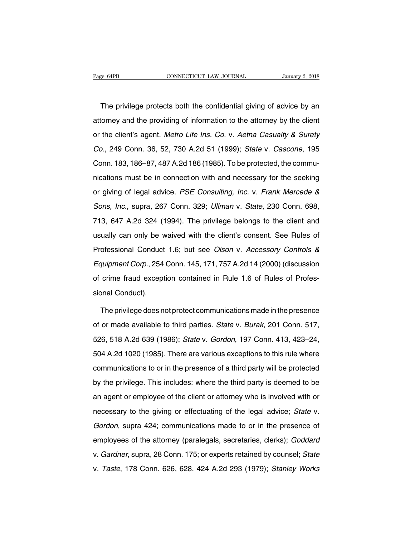The privilege protects both the confidential giving of advice by an<br>torney and the providing of information to the attorney by the client Page 64PB CONNECTICUT LAW JOURNAL January 2, 2018<br>The privilege protects both the confidential giving of advice by an<br>attorney and the providing of information to the attorney by the client<br>or the client's agent. Metro Lif The privilege protects both the confidential giving of advice by an attorney and the providing of information to the attorney by the client or the client's agent. Metro Life Ins. Co. v. Aetna Casualty & Surety Co., 249 Con The privilege protects both the confidential giving of advice by an<br>attorney and the providing of information to the attorney by the client<br>or the client's agent. Metro Life Ins. Co. v. Aetna Casualty & Surety<br>Co., 249 Con The privilege protects both the confidential giving of advice by an attorney and the providing of information to the attorney by the client or the client's agent. *Metro Life Ins. Co.* v. *Aetna Casualty & Surety Co.*, 249 or the client's agent. Metro Life Ins. Co. v. Aetna Casualty & Surety<br>Co., 249 Conn. 36, 52, 730 A.2d 51 (1999); State v. Cascone, 195<br>Conn. 183, 186–87, 487 A.2d 186 (1985). To be protected, the commu-<br>nications must be i Co., 249 Conn. 36, 52, 730 A.2d 51 (1999); State v. Cascone, 195<br>Conn. 183, 186–87, 487 A.2d 186 (1985). To be protected, the commu-<br>nications must be in connection with and necessary for the seeking<br>or giving of legal adv Sons, 1.6 Sons, 186–87, 487 A.2d 186 (1985). To be protected, the communications must be in connection with and necessary for the seeking or giving of legal advice. *PSE Consulting, Inc.* v. *Frank Mercede & Sons, Inc.*, s mications must be in connection with and necessary for the seeking<br>or giving of legal advice. PSE Consulting, Inc. v. Frank Mercede &<br>Sons, Inc., supra, 267 Conn. 329; Ullman v. State, 230 Conn. 698,<br>713, 647 A.2d 324 (199 usually can only be waived with the client with the client of the client of Sons, Inc., supra, 267 Conn. 329; Ullman v. State, 230 Conn. 698, 713, 647 A.2d 324 (1994). The privilege belongs to the client and usually can on Sons, Inc., supra, 267 Conn. 329; *Ullman v. State*, 230 Conn. 698,<br>713, 647 A.2d 324 (1994). The privilege belongs to the client and<br>usually can only be waived with the client's consent. See Rules of<br>Professional Conduct Equipment Corp., 254 Conn. 145, 171, 757 A.2d 14 (2000) (discussion of crime fraud exception contained in Rule 1.6 of Rules of Crime fraud exception contained in Rule 1.6 of Rules of Professional Conduct 1.6; but see *Olso* of crime fraud exception contained in Rule 1.6 of Rules of Professional Conduct 1.6; but see *Olson v. Accessory Controls &* Equipment Corp., 254 Conn. 145, 171, 757 A.2d 14 (2000) (discussion of crime fraud exception cont Professional Conduct<br>
Equipment Corp., 254<br>
of crime fraud except<br>
sional Conduct).<br>
The privilege does no quipment Corp., 254 Conn. 145, 171, 757 A.2d 14 (2000) (discussion<br>crime fraud exception contained in Rule 1.6 of Rules of Profes-<br>onal Conduct).<br>The privilege does not protect communications made in the presence<br>or made a

of crime fraud exception contained in Rule 1.6 of Rules of Professional Conduct).<br>
The privilege does not protect communications made in the presence<br>
of or made available to third parties. State v. Burak, 201 Conn. 517,<br> sional Conduct).<br>The privilege does not protect communications made in the presence<br>of or made available to third parties. *State* v. *Burak*, 201 Conn. 517,<br>526, 518 A.2d 639 (1986); *State* v. *Gordon*, 197 Conn. 413, 42 The privilege does not protect communications made in the presence<br>of or made available to third parties. State v. Burak, 201 Conn. 517,<br>526, 518 A.2d 639 (1986); State v. Gordon, 197 Conn. 413, 423–24,<br>504 A.2d 1020 (1985 of or made available to third parties. State v. Burak, 201 Conn. 517,<br>526, 518 A.2d 639 (1986); State v. Gordon, 197 Conn. 413, 423–24,<br>504 A.2d 1020 (1985). There are various exceptions to this rule where<br>communications t by the privative terminative termine paracter state in Serian, Levi Serian et it,<br>526, 518 A.2d 1020 (1985). There are various exceptions to this rule where<br>communications to or in the presence of a third party will be pro 504 A.2d 1020 (1985). There are various exceptions to this rule where<br>communications to or in the presence of a third party will be protected<br>by the privilege. This includes: where the third party is deemed to be<br>an agent communications to or in the presence of a third party will be protected<br>by the privilege. This includes: where the third party is deemed to be<br>an agent or employee of the client or attorney who is involved with or<br>necessar by the privilege. This includes: where the third party is deemed to be<br>an agent or employee of the client or attorney who is involved with or<br>necessary to the giving or effectuating of the legal advice; State v.<br>Gordon, su employees of the client or attorney who is involved with or<br>necessary to the giving or effectuating of the legal advice; State v.<br>Gordon, supra 424; communications made to or in the presence of<br>employees of the attorney (p an agent of employee of the enemerolations) this technicial interactions.<br>
Gordon, supra, 424; communications made to or in the presence of<br>
employees of the attorney (paralegals, secretaries, clerks); Goddard<br>
v. Gardner, Gordon, supra 424; communications made to or in the presence of<br>employees of the attorney (paralegals, secretaries, clerks); Goddard<br>v. Gardner, supra, 28 Conn. 175; or experts retained by counsel; State<br>v. Taste, 178 Conn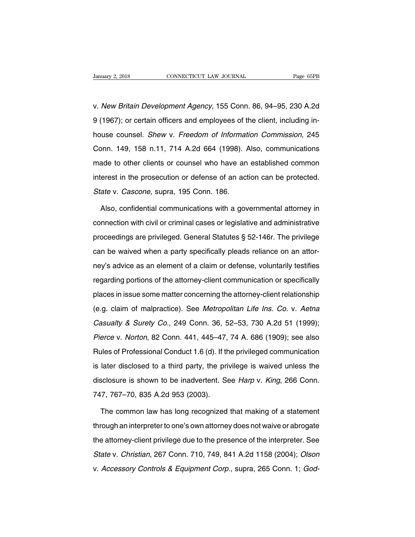Vanuary 2, 2018 CONNECTICUT LAW JOURNAL Page 65PB<br>
V. New Britain Development Agency, 155 Conn. 86, 94–95, 230 A.2d<br>
9 (1967); or certain officers and employees of the client, including in-9 (1967); or certain officers and employees of the client, including inv. New Britain Development Agency, 155 Conn. 86, 94–95, 230 A.2d<br>9 (1967); or certain officers and employees of the client, including in-<br>house counsel. *Shew v. Freedom of Information Commission*, 245<br>Conn. 149, 158 n.11, v. New Britain Development Agency, 155 Conn. 86, 94–95, 230 A.2d<br>9 (1967); or certain officers and employees of the client, including in-<br>house counsel. Shew v. Freedom of Information Commission, 245<br>Conn. 149, 158 n.11, 7 9 (1967); or certain officers and employees of the client, including in-<br>house counsel. *Shew v. Freedom of Information Commission*, 245<br>Conn. 149, 158 n.11, 714 A.2d 664 (1998). Also, communications<br>made to other clients interest. Shew v. Freedom of Information Commission, 245<br>Conn. 149, 158 n.11, 714 A.2d 664 (1998). Also, communications<br>made to other clients or counsel who have an established common<br>interest in the prosecution or defense house counsel. *Shew v. Freedom of Information Commission*, 245<br>Conn. 149, 158 n.11, 714 A.2d 664 (1998). Also, communications<br>made to other clients or counsel who have an established common<br>interest in the prosecution or ade to other clients or counsel who have an established common<br>erest in the prosecution or defense of an action can be protected.<br>ate v. *Cascone*, supra, 195 Conn. 186.<br>Also, confidential communications with a governmenta

interest in the prosecution or defense of an action can be protected.<br>
State v. Cascone, supra, 195 Conn. 186.<br>
Also, confidential communications with a governmental attorney in<br>
connection with civil or criminal cases or State v. Cascone, supra, 195 Conn. 186.<br>Also, confidential communications with a governmental attorney in<br>connection with civil or criminal cases or legislative and administrative<br>proceedings are privileged. General Statut Also, confidential communications with a governmental attorney in connection with civil or criminal cases or legislative and administrative proceedings are privileged. General Statutes  $\S$  52-146r. The privilege can be wa rice, commetion with civil or criminal cases or legislative and administrative<br>proceedings are privileged. General Statutes § 52-146r. The privilege<br>can be waived when a party specifically pleads reliance on an attor-<br>ney' proceedings are privileged. General Statutes § 52-146r. The privilege<br>can be waived when a party specifically pleads reliance on an attor-<br>ney's advice as an element of a claim or defense, voluntarily testifies<br>regarding p proceedings are primaged: deriodic datatee 3 extract the primage<br>can be waived when a party specifically pleads reliance on an attor-<br>ney's advice as an element of a claim or defense, voluntarily testifies<br>regarding portio earlies marked mish a party opposition, proceed renaries on an anon-<br>ney's advice as an element of a claim or defense, voluntarily testifies<br>regarding portions of the attorney-client communication or specifically<br>places in regarding portions of the attorney-client communication or specifically<br>places in issue some matter concerning the attorney-client relationship<br>(e.g. claim of malpractice). See Metropolitan Life Ins. Co. v. Aetna<br>Casualty places in issue some matter concerning the attorney-client relationship<br>(e.g. claim of malpractice). See *Metropolitan Life Ins. Co.* v. Aetna<br>Casualty & Surety Co., 249 Conn. 36, 52–53, 730 A.2d 51 (1999);<br>Pierce v. Norto (e.g. claim of malpractice). See *Metropolitan Life Ins. Co.* v. *Aetna Casualty & Surety Co.*, 249 Conn. 36, 52–53, 730 A.2d 51 (1999); *Pierce v. Norton*, 82 Conn. 441, 445–47, 74 A. 686 (1909); see also Rules of Profes Casualty & Surety Co., 249 Conn. 36, 52–53, 730 A.2d 51 (1999);<br>Pierce v. Norton, 82 Conn. 441, 445–47, 74 A. 686 (1909); see also<br>Rules of Professional Conduct 1.6 (d). If the privileged communication<br>is later disclosed Pierce v. Norton, 82 Conn. 441, 445–47, 74 A. 686 (1909); see also<br>Rules of Professional Conduct 1.6 (d). If the privileged communication<br>is later disclosed to a third party, the privilege is waived unless the<br>disclosure i Pierce v. Norton, 82 Conn. 441, 445–47, 74 A. 686 (1909); see also<br>Rules of Professional Conduct 1.6 (d). If the privileged communication<br>is later disclosed to a third party, the privilege is waived unless the<br>disclosure i later disclosed to a third party, the privilege is waived unless the<br>sclosure is shown to be inadvertent. See *Harp* v. *King*, 266 Conn.<br>7, 767–70, 835 A.2d 953 (2003).<br>The common law has long recognized that making of a

disclosure is shown to be inadvertent. See *Harp* v. *King*, 266 Conn.<br>747, 767–70, 835 A.2d 953 (2003).<br>The common law has long recognized that making of a statement<br>through an interpreter to one's own attorney does not w 747, 767–70, 835 A.2d 953 (2003).<br>The common law has long recognized that making of a statement<br>through an interpreter to one's own attorney does not waive or abrogate<br>the attorney-client privilege due to the presence of t The common law has long recognized that making of a statement<br>through an interpreter to one's own attorney does not waive or abrogate<br>the attorney-client privilege due to the presence of the interpreter. See<br>State v. Chris through an interpreter to one's own attorney does not waive or abrogate<br>the attorney-client privilege due to the presence of the interpreter. See<br>State v. Christian, 267 Conn. 710, 749, 841 A.2d 1158 (2004); Olson<br>v. Acces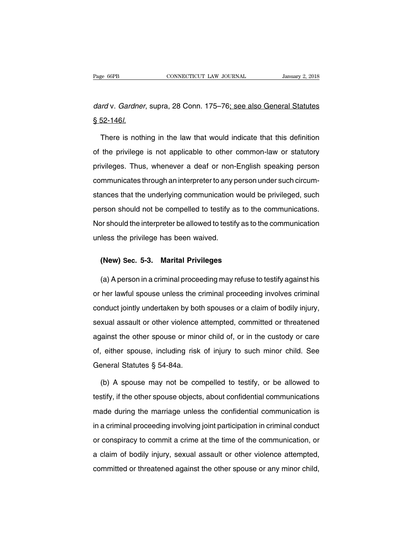Page 66PB CONNECTICUT LAW JOURNAL January 2, 2018<br>dard v. Gardner, supra, 28 Conn. 175–76; see also General Statutes<br>§ 52-1461. P<sub>age 66PB</sub><br>dard v. *Gardner*<br>§ 52-146*l*.<br>There is noth

ord v. *Gardner*, supra, 28 Conn. 175–76<u>; see also General Statutes</u><br>52-146*l*.<br>There is nothing in the law that would indicate that this definition<br>the privilege is not applicable to other common-law or statutory dard v. Gardner, supra, 28 Conn. 175–76<u>; see also General Statutes</u><br>
§ 52-146*l.*<br>
There is nothing in the law that would indicate that this definition<br>
of the privilege is not applicable to other common-law or statutory<br> Seconting in the law that would indicate that this definition<br>of the privilege is not applicable to other common-law or statutory<br>privileges. Thus, whenever a deaf or non-English speaking person<br>communicates through an int There is nothing in the law that would indicate that this definition<br>of the privilege is not applicable to other common-law or statutory<br>privileges. Thus, whenever a deaf or non-English speaking person<br>communicates through stances to meaning in the tast that the understances that the definition.<br>The privileges. Thus, whenever a deaf or non-English speaking person<br>communicates through an interpreter to any person under such circum-<br>stances th privileges. Thus, whenever a deaf or non-English speaking person<br>communicates through an interpreter to any person under such circum-<br>stances that the underlying communication would be privileged, such<br>person should not be Entingtian opposite the interpreter and distribution the production scommunicates through an interpreter to any person under such circum-<br>stances that the underlying communication would be privileged, such<br>person should no sances that the underlying communication<br>person should not be compelled to testify a<br>Nor should the interpreter be allowed to testify<br>unless the privilege has been waived. From should not be compelled to testify as to the privilege has been waived.<br>
Iless the privilege has been waived.<br> **(New) Sec. 5-3. Marital Privileges**<br> **(a) A person in a criminal preceeding may refuse to** 

(New) Sec. 5-3. Marital Privileges<br>(Alexander Marital Privileges<br>(a) A person in a criminal proceeding may refuse to testify against his<br>her lawful spouse unless the criminal proceeding involves criminal (New) Sec. 5-3. Marital Privileges<br>
(a) A person in a criminal proceeding may refuse to testify against his<br>
or her lawful spouse unless the criminal proceeding involves criminal<br>
conduct jointly undertaken by both spouses (New) Sec. 5-3. Marital Privileges<br>
(a) A person in a criminal proceeding may refuse to testify against his<br>
or her lawful spouse unless the criminal proceeding involves criminal<br>
conduct jointly undertaken by both spouses (a) A person in a criminal proceeding may refuse to testify against his<br>or her lawful spouse unless the criminal proceeding involves criminal<br>conduct jointly undertaken by both spouses or a claim of bodily injury,<br>sexual a against the other spouse or minor child of, or in the custody or care<br>or her lawful spouse unless the criminal proceeding involves criminal<br>conduct jointly undertaken by both spouses or a claim of bodily injury,<br>sexual ass conduct jointly undertaken by both spouses or a claim of bodily injury,<br>sexual assault or other violence attempted, committed or threatened<br>against the other spouse or minor child of, or in the custody or care<br>of, either s Sexual assault or other violence a<br>against the other spouse or mind<br>of, either spouse, including risk<br>General Statutes § 54-84a.<br>(b) A spouse may not be con where the other spouse or minor child of, or in the custody or care<br>
(b) A spouse, including risk of injury to such minor child. See<br>
eneral Statutes § 54-84a.<br>
(b) A spouse may not be compelled to testify, or be allowed t

of, either spouse, including risk of injury to such minor child. See<br>General Statutes § 54-84a.<br>(b) A spouse may not be compelled to testify, or be allowed to<br>testify, if the other spouse objects, about confidential commun General Statutes § 54-84a.<br>
(b) A spouse may not be compelled to testify, or be allowed to<br>
testify, if the other spouse objects, about confidential communications<br>
made during the marriage unless the confidential communic (b) A spouse may not be compelled to testify, or be allowed to testify, if the other spouse objects, about confidential communications made during the marriage unless the confidential communication is in a criminal proceed testify, if the other spouse objects, about confidential communications<br>made during the marriage unless the confidential communication is<br>in a criminal proceeding involving joint participation in criminal conduct<br>or conspi made during the marriage unless the confidential communication is<br>in a criminal proceeding involving joint participation in criminal conduct<br>or conspiracy to commit a crime at the time of the communication, or<br>a claim of b in a criminal proceeding involving joint participation in criminal conduct<br>or conspiracy to commit a crime at the time of the communication, or<br>a claim of bodily injury, sexual assault or other violence attempted,<br>committe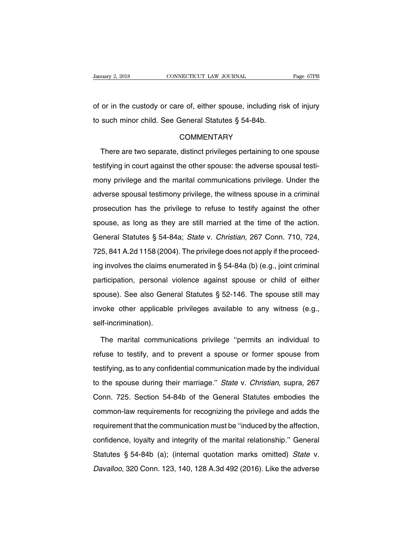January 2, 2018 CONNECTICUT LAW JOURNAL Page 67PB<br>
of or in the custody or care of, either spouse, including risk of injury<br>
to such minor child. See General Statutes § 54-84b. University 2, 2018<br>
Summary 2, 2018<br>
Such minor child. See General Statutes § 54-84b.<br>
COMMENTARY

# **COMMENTARY**

or in the custody or care of, either spouse, including risk of injury<br>such minor child. See General Statutes § 54-84b.<br>COMMENTARY<br>There are two separate, distinct privileges pertaining to one spouse<br>stifying in court again to such minor child. See General Statutes § 54-84b.<br>COMMENTARY<br>There are two separate, distinct privileges pertaining to one spouse<br>testifying in court against the other spouse: the adverse spousal testi-<br>mony privilege an COMMENTARY<br>There are two separate, distinct privileges pertaining to one spouse<br>testifying in court against the other spouse: the adverse spousal testi-<br>mony privilege and the marital communications privilege. Under the<br>ad There are two separate, distinct privileges pertaining to one spouse<br>testifying in court against the other spouse: the adverse spousal testi-<br>mony privilege and the marital communications privilege. Under the<br>adverse spous rincia are the explanate, all privileges pertaining to the epouse<br>testifying in court against the other spouse: the adverse spousal testi-<br>mony privilege and the marital communications privilege. Under the<br>adverse spousal spouse, as long as they are still married at the time of the adverse spouse in a criminal prosecution has the privilege to refuse to testify against the other spouse, as long as they are still married at the time of the ac adverse spousal testimony privilege, the witness spouse in a criminal prosecution has the privilege to refuse to testify against the other spouse, as long as they are still married at the time of the action.<br>General Statut adverse spousal testimony privilege, the witness spouse in a criminal prosecution has the privilege to refuse to testify against the other spouse, as long as they are still married at the time of the action. General Statu spouse, as long as they are still married at the time of the action.<br>General Statutes § 54-84a; *State* v. *Christian*, 267 Conn. 710, 724,<br>725, 841 A.2d 1158 (2004). The privilege does not apply if the proceed-<br>ing involv General Statutes § 54-84a; *State* v. *Christian*, 267 Conn. 710, 724,<br>725, 841 A.2d 1158 (2004). The privilege does not apply if the proceed-<br>ing involves the claims enumerated in § 54-84a (b) (e.g., joint criminal<br>partic 25, 841 A.2d 1158 (2004). The privilege does not apply if the proceed-<br>ing involves the claims enumerated in § 54-84a (b) (e.g., joint criminal<br>participation, personal violence against spouse or child of either<br>spouse). S ing involves the claims enumerated in § 54-84a (b) (e.g., joint criminal participation, personal violence against spouse or child of either spouse). See also General Statutes § 52-146. The spouse still may invoke other ap self-incrimination). ouse). See also General Statutes § 52-146. The spouse still may<br>voke other applicable privileges available to any witness (e.g.,<br>If-incrimination).<br>The marital communications privilege "permits an individual to<br>fuse to tes

invoke other applicable privileges available to any witness (e.g.,<br>self-incrimination).<br>The marital communications privilege "permits an individual to<br>refuse to testify, and to prevent a spouse or former spouse from<br>testif The marital communications privilege "permits an individual to refuse to testify, and to prevent a spouse or former spouse from testifying, as to any confidential communication made by the individual to the spouse during t The marital communications privilege "permits an individual to<br>refuse to testify, and to prevent a spouse or former spouse from<br>testifying, as to any confidential communication made by the individual<br>to the spouse during t refuse to testify, and to prevent a spouse or former spouse from<br>testifying, as to any confidential communication made by the individual<br>to the spouse during their marriage." State v. Christian, supra, 267<br>Conn. 725. Secti testifying, as to any confidential communication made by the individual<br>to the spouse during their marriage." State v. Christian, supra, 267<br>Conn. 725. Section 54-84b of the General Statutes embodies the<br>common-law require requirement that the communication must be ''induced by the marriagation.<br>The spouse during their marriage." State v. Christian, supra, 267<br>Conn. 725. Section 54-84b of the General Statutes embodies the<br>common-law requirem conn. 725. Section 54-84b of the General Statutes embodies the<br>common-law requirements for recognizing the privilege and adds the<br>requirement that the communication must be "induced by the affection,<br>confidence, loyalty an Sommon-law requirements for recognizing the privilege and adds the<br>requirement that the communication must be "induced by the affection,<br>confidence, loyalty and integrity of the marital relationship." General<br>Statutes § 54 bennion ian requirement for recegnizing the principal and addet the requirement that the communication must be "induced by the affection, confidence, loyalty and integrity of the marital relationship." General Statutes § 5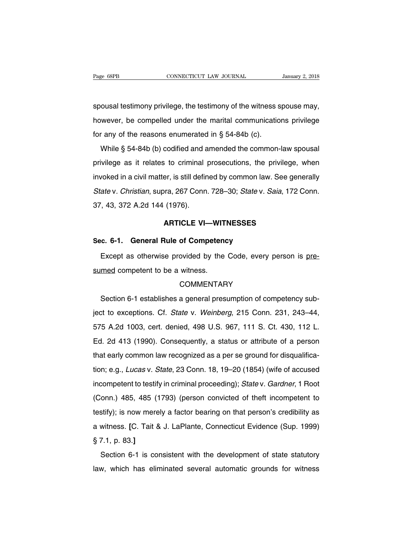Page 68PB<br>
CONNECTICUT LAW JOURNAL<br>
Spousal testimony privilege, the testimony of the witness spouse may,<br>
however, be compelled under the marital communications privilege Page 68PB CONNECTICUT LAW JOURNAL January 2, 2018<br>spousal testimony privilege, the testimony of the witness spouse may,<br>however, be compelled under the marital communications privilege<br>for any of the reasons enumerated in spousal testimony privilege, the testimony of the witness s<br>however, be compelled under the marital communicatio<br>for any of the reasons enumerated in § 54-84b (c).<br>While § 54-84b (b) codified and amended the commonousal testimony privilege, the testimony of the witness spouse may,<br>wever, be compelled under the marital communications privilege<br>r any of the reasons enumerated in § 54-84b (c).<br>While § 54-84b (b) codified and amended th

protocal technology privilege, the technology of the with these epocles thay,<br>however, be compelled under the marital communications privilege<br>for any of the reasons enumerated in § 54-84b (c).<br>While § 54-84b (b) codified for any of the reasons enumerated in  $\S$  54-84b (c).<br>While  $\S$  54-84b (b) codified and amended the common-law spousal<br>privilege as it relates to criminal prosecutions, the privilege, when<br>invoked in a civil matter, is sti While § 54-84b (b) codified and amended the common-law spousal<br>privilege as it relates to criminal prosecutions, the privilege, when<br>invoked in a civil matter, is still defined by common law. See generally<br>State v. Christ privilege as it relates to criminal<br>invoked in a civil matter, is still defin<br>*State* v. *Christian*, supra, 267 Conn.<br>37, 43, 372 A.2d 144 (1976). er, is still defined by common law. See gen<br>pra, 267 Conn. 728–30; *State* v. *Saia*, 172 (<br>(1976).<br>**ARTICLE VI—WITNESSES** State v. Christian, supra, 267 Conn. 728–30; State v. S<br>37, 43, 372 A.2d 144 (1976).<br>**ARTICLE VI—WITNESSES**<br>**Sec. 6-1. General Rule of Competency**<br>Except as otherwise provided by the Code, every

Frank and the Code, every person is pre-<br>
Except as otherwise provided by the Code, every person is pre-<br>
The Competent to be a witness. ARTICLE VI—WIT<br>Sec. 6-1. General Rule of Competent<br>Except as otherwise provided by the<br>sumed competent to be a witness.<br>COMMENTAF

# **COMMENTARY**

Except as otherwise provided by the Code, every person is pre-<br>med competent to be a witness.<br>COMMENTARY<br>Section 6-1 establishes a general presumption of competency sub-<br>t to exceptions. Cf. State v. Weinberg, 215 Conn. 23 Sumed competent to be a witness.<br>COMMENTARY<br>Section 6-1 establishes a general presumption of competency sub-<br>ject to exceptions. Cf. State v. Weinberg, 215 Conn. 231, 243–44,<br>575 A.2d 1003, cert. denied, 498 U.S. 967, 111 COMMENTARY<br>
Section 6-1 establishes a general presumption of competency sub-<br>
ject to exceptions. Cf. *State* v. *Weinberg*, 215 Conn. 231, 243–44,<br>
575 A.2d 1003, cert. denied, 498 U.S. 967, 111 S. Ct. 430, 112 L.<br>
Ed. 2d Section 6-1 establishes a general presumption of competency sub-<br>ject to exceptions. Cf. *State* v. *Weinberg*, 215 Conn. 231, 243–44,<br>575 A.2d 1003, cert. denied, 498 U.S. 967, 111 S. Ct. 430, 112 L.<br>Ed. 2d 413 (1990). Co ect to exceptions. Cf. *State* v. *Weinberg*, 215 Conn. 231, 243–44, 575 A.2d 1003, cert. denied, 498 U.S. 967, 111 S. Ct. 430, 112 L. Ed. 2d 413 (1990). Consequently, a status or attribute of a person that early common la 575 A.2d 1003, cert. denied, 498 U.S. 967, 111 S. Ct. 430, 112 L.<br>Ed. 2d 413 (1990). Consequently, a status or attribute of a person<br>that early common law recognized as a per se ground for disqualifica-<br>tion; e.g., *Lucas* Ed. 2d 413 (1990). Consequently, a status or attribute of a person<br>that early common law recognized as a per se ground for disqualifica-<br>tion; e.g., *Lucas v. State*, 23 Conn. 18, 19–20 (1854) (wife of accused<br>incompetent Lat Tre (1999). Schooddomly, a status of attinisate of a pottom<br>that early common law recognized as a per se ground for disqualifica-<br>tion; e.g., *Lucas v. State*, 23 Conn. 18, 19–20 (1854) (wife of accused<br>incompetent to tion; e.g., *Lucas* v. *State*, 23 Conn. 18, 19–20 (1854) (wife of accused<br>incompetent to testify in criminal proceeding); *State* v. *Gardner*, 1 Root<br>(Conn.) 485, 485 (1793) (person convicted of theft incompetent to<br>test a with example to testify in criminal proceeding); *Statev. Gardner*, 1 Root (Conn.) 485, 485 (1793) (person convicted of theft incompetent to testify); is now merely a factor bearing on that person's credibility as a witn (Conn.) 485, 485 (<br>(Conn.) 485, 485 (<br>testify); is now mere<br>a witness. [C. Tait  $\ell$ <br>§ 7.1, p. 83.]<br>Section 6-1 is co stify); is now merely a factor bearing on that person's credibility as<br>witness. [C. Tait & J. LaPlante, Connecticut Evidence (Sup. 1999)<br>7.1, p. 83.]<br>Section 6-1 is consistent with the development of state statutory<br>w, whi law, which has eliminated several automatic grounds for witness awitness. [C. Tait & J. LaPlante, Connecticut Evidence (Sup. 1999)<br>§ 7.1, p. 83.]<br>Section 6-1 is consistent with the development of state statutory<br>law, which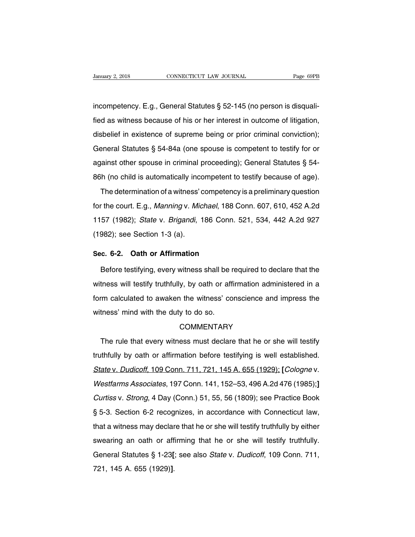January 2, 2018 CONNECTICUT LAW JOURNAL<br>incompetency. E.g., General Statutes § 52-145 (no person is disquali-<br>fied as witness because of his or her interest in outcome of litigation, Fanuary 2, 2018 CONNECTICUT LAW JOURNAL Page 69PB<br>
incompetency. E.g., General Statutes § 52-145 (no person is disquali-<br>
fied as witness because of his or her interest in outcome of litigation,<br>
disbelief in existence of incompetency. E.g., General Statutes § 52-145 (no person is disquali-<br>fied as witness because of his or her interest in outcome of litigation,<br>disbelief in existence of supreme being or prior criminal conviction);<br>General incompetency. E.g., General Statutes § 52-145 (no person is disquali-<br>fied as witness because of his or her interest in outcome of litigation,<br>disbelief in existence of supreme being or prior criminal conviction);<br>General algo as witness because of his or her interest in outcome of litigation,<br>disbelief in existence of supreme being or prior criminal conviction);<br>General Statutes § 54-84a (one spouse is competent to testify for or<br>against o disbelief in existence of supreme being or prior criminal conviction);<br>General Statutes § 54-84a (one spouse is competent to testify for or<br>against other spouse in criminal proceeding); General Statutes § 54-<br>86h (no chil Example 1 In Solution of a complement of esting of prior diminal serviction,<br>
Feneral Statutes § 54-84a (one spouse is competent to testify for or<br>
rainst other spouse in criminal proceeding); General Statutes § 54-<br>
h (n

against other spouse in criminal proceeding); General Statutes § 54-<br>86h (no child is automatically incompetent to testify because of age).<br>The determination of a witness' competency is a preliminary question<br>for the court 1988) and the determination of a witness' competent to testify because of age).<br>
The determination of a witness' competency is a preliminary question<br>
for the court. E.g., *Manning v. Michael*, 188 Conn. 607, 610, 452 A.2d The determination of a witness' c<br>for the court. E.g., *Manning v. Mic*<br>1157 (1982); *State v. Brigandi*, 1<br>(1982); see Section 1-3 (a). for the court. E.g., *Manning v. Michael*, 188 C<br>1157 (1982); *State v. Brigandi*, 186 Conn. !<br>(1982); see Section 1-3 (a).<br>**Sec. 6-2. Oath or Affirmation**<br>Before testifying, every witness shall be rec 57 (1982); *State* v. *Brigandi*, 186 Conn. 521, 534, 442 A.2d 927<br>982); see Section 1-3 (a).<br>c. 6-2. Oath or Affirmation<br>Before testifying, every witness shall be required to declare that the<br>tness will testify truthfully

(1982); see Section 1-3 (a).<br>
Sec. 6-2. Oath or Affirmation<br>
Before testifying, every witness shall be required to declare that the<br>
witness will testify truthfully, by oath or affirmation administered in a<br>
form calculate Sec. 6-2. Oath or Affirmation<br>Before testifying, every witness shall be required to declare that the<br>witness will testify truthfully, by oath or affirmation administered in a<br>form calculated to awaken the witness' conscien Before testifying, every witness shall be r<br>witness will testify truthfully, by oath or aff<br>form calculated to awaken the witness' co<br>witness' mind with the duty to do so.<br>COMMENTARY The rule that every witness must declare that he or she will testify<br>the rule that every witness must declare that he or she will testify<br>thfully by oath or affirmation before testifying is well established.

## **COMMENTARY**

witness' mind with the duty to do so.<br>COMMENTARY<br>The rule that every witness must declare that he or she will testify<br>truthfully by oath or affirmation before testifying is well established.<br>State v. Dudicoff, 109 Conn. 71 State v. Dudicoff, 109 Conn. 711, 721, 145 A. 655 (1929); **[Cologne v. Westfarms Associates, 197 Conn. 141, 152–53, 496 A.2d 476 (1985);**] The rule that every witness must declare that he or she will testify<br>truthfully by oath or affirmation before testifying is well established.<br>State v. Dudicoff, 109 Conn. 711, 721, 145 A. 655 (1929); [Cologne v.<br>Westfarms Increase that every wineses mast assate that he of one win testry<br>truthfully by oath or affirmation before testifying is well established.<br>State v. Dudicoff, 109 Conn. 711, 721, 145 A. 655 (1929); [Cologne v.<br>Westfarms Ass State v. Dudicoff, 109 Conn. 711, 721, 145 A. 655 (1929); [Cologne v.<br>Westfarms Associates, 197 Conn. 141, 152–53, 496 A.2d 476 (1985);]<br>Curtiss v. Strong, 4 Day (Conn.) 51, 55, 56 (1809); see Practice Book<br>§ 5-3. Section Westfarms Associates, 197 Conn. 141, 152–53, 496 A.2d 476 (1985);]<br>Curtiss v. Strong, 4 Day (Conn.) 51, 55, 56 (1809); see Practice Book<br>§ 5-3. Section 6-2 recognizes, in accordance with Connecticut law,<br>that a witness may Curtiss v. Strong, 4 Day (Conn.) 51, 55, 56 (1809); see Practice Book § 5-3. Section 6-2 recognizes, in accordance with Connecticut law, that a witness may declare that he or she will testify truthfully by either swearing general Statutes § 1-23<sup>p</sup> (Conn...) 01, 00, 00 (1000), 000 Tractico Book<br>§ 5-3. Section 6-2 recognizes, in accordance with Connecticut law,<br>that a witness may declare that he or she will testify truthfully by either<br>swear g o d. Codentrict Liceog<br>that a witness may declar<br>swearing an oath or aff<br>General Statutes § 1-23[<br>721, 145 A. 655 (1929)].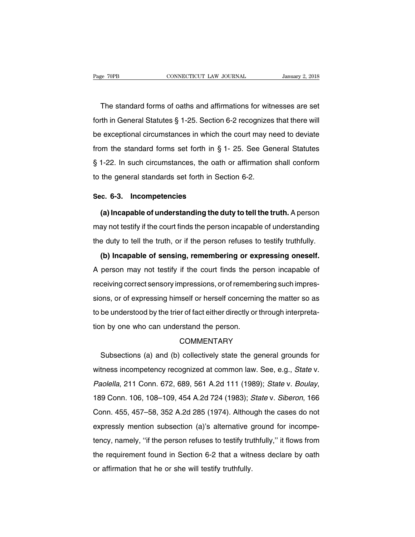The standard forms of oaths and affirmations for witnesses are set<br>The standard forms of oaths and affirmations for witnesses are set<br>The in General Statutes § 1-25. Section 6-2 recognizes that there will Fage 70PB CONNECTICUT LAW JOURNAL January 2, 2018<br>
The standard forms of oaths and affirmations for witnesses are set<br>
forth in General Statutes § 1-25. Section 6-2 recognizes that there will<br>
be exceptional circumstances The standard forms of oaths and affirmations for witnesses are set<br>forth in General Statutes § 1-25. Section 6-2 recognizes that there will<br>be exceptional circumstances in which the court may need to deviate<br>from the stand The standard forms of oaths and affirmations for witnesses are set<br>forth in General Statutes § 1-25. Section 6-2 recognizes that there will<br>be exceptional circumstances in which the court may need to deviate<br>from the stan First claricate forms of static and all all minimizers for wirelesses are soft<br>forth in General Statutes § 1-25. Section 6-2 recognizes that there will<br>be exceptional circumstances in which the court may need to deviate<br>f be exceptional circumstances in which the court may n<br>from the standard forms set forth in § 1- 25. See Ge<br>§ 1-22. In such circumstances, the oath or affirmation<br>to the general standards set forth in Section 6-2. from the standard forms set forth in §<br>§ 1-22. In such circumstances, the oath<br>to the general standards set forth in Se<br>**Sec. 6-3. Incompetencies**<br>(a) **Incapable of understanding the d (a) Incapable of understanding the duty to tell the truth.** A person<br>**(a) Incapable of understanding the duty to tell the truth.** A person<br>ay not testify if the court finds the person incapable of understanding

to the general standards set forth in Section 6-2.<br> **Sec. 6-3.** Incompetencies<br>
(a) Incapable of understanding the duty to tell the truth. A person<br>
may not testify if the court finds the person incapable of understanding<br> Sec. 6-3. Incompetencies<br>
(a) Incapable of understanding the duty to tell the truth. A person<br>
may not testify if the court finds the person incapable of understanding<br>
the duty to tell the truth, or if the person refuses (a) Incapable of understanding the duty to tell the truth. A person<br>ay not testify if the court finds the person incapable of understanding<br>e duty to tell the truth, or if the person refuses to testify truthfully.<br>(b) Inca

A person may not testify if the court finds the person incapable of understanding<br>the duty to tell the truth, or if the person refuses to testify truthfully.<br>(b) Incapable of sensing, remembering or expressing oneself.<br>A p receiving the tool of sensing or expressions to testify truthfully.<br>
(b) Incapable of sensing, remembering or expressing oneself.<br>
A person may not testify if the court finds the person incapable of<br>
receiving correct sens (b) Incapable of sensing, remembering or expressing oneself.<br>A person may not testify if the court finds the person incapable of<br>receiving correct sensory impressions, or of remembering such impres-<br>sions, or of expressing A person may not testify if the court finds the person incapable of receiving correct sensory impressions, or of remembering such impressions, or of expressing himself or herself concerning the matter so as to be understoo The bottom may not toomy in the board into the performance the performance of the persons, or of expressing himself or herself concerning<br>to be understood by the trier of fact either directly or<br>tion by one who can underst Subsections (a) and (b) collectively state the general grounds for<br>these incores who can understand the person.<br>COMMENTARY<br>Subsections (a) and (b) collectively state the general grounds for<br>thess incompetency recognized at

# **COMMENTARY**

tion by one who can understand the person.<br>COMMENTARY<br>Subsections (a) and (b) collectively state the general grounds for<br>witness incompetency recognized at common law. See, e.g., *State* v.<br>Paolella, 211 Conn. 672, 689, 56 COMMENTARY<br>COMMENTARY<br>Subsections (a) and (b) collectively state the general grounds for<br>witness incompetency recognized at common law. See, e.g., *State v.<br>Paolella*, 211 Conn. 672, 689, 561 A.2d 111 (1989); *State v. Bou* witness incompetency recognized at common law. See, e.g., *State v. Paolella*, 211 Conn. 672, 689, 561 A.2d 111 (1989); *State v. Boulay*, 189 Conn. 106, 108–109, 454 A.2d 724 (1983); *State v. Siberon*, 166 Conn. 455, 457 witness incompetency recognized at common law. See, e.g., *State v. Paolella*, 211 Conn. 672, 689, 561 A.2d 111 (1989); *State v. Boulay*, 189 Conn. 106, 108–109, 454 A.2d 724 (1983); *State v. Siberon*, 166 Conn. 455, 457 tency, and 106, 108–109, 454 A.2d 724 (1983); *State v. Siberon*, 166<br>Conn. 455, 457–58, 352 A.2d 285 (1974). Although the cases do not<br>expressly mention subsection (a)'s alternative ground for incompe-<br>tency, namely, "if the requirement found in Section 6-2 that a witness declare by oath or affirmation that he or she will testify truthfully," it flows from the requirement found in Section 6-2 that a witness declare by oath or affirmation t bornin 160, 167 60, 6027 had 260 (1671). Although<br>expressly mention subsection (a)'s alternative (<br>tency, namely, "if the person refuses to testify truthfully.<br>the requirement found in Section 6-2 that a with<br>or affirmatio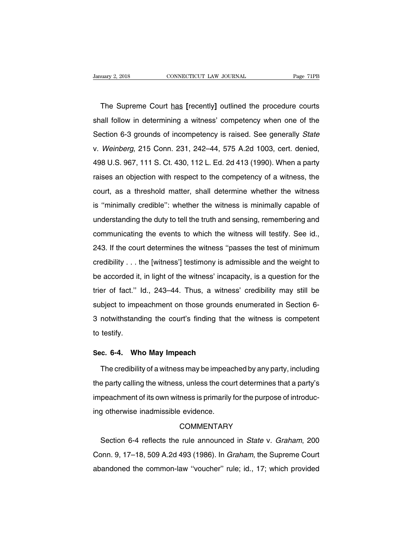The Supreme Court has [recently] outlined the procedure courts<br>all follow in determining a witness' competency when one of the Shauary 2, 2018 CONNECTICUT LAW JOURNAL Page 71PB<br>
The Supreme Court has [recently] outlined the procedure courts<br>
Shall follow in determining a witness' competency when one of the<br>
Section 6-3 grounds of incompetency is r The Supreme Court has [recently] outlined the procedure courts<br>shall follow in determining a witness' competency when one of the<br>Section 6-3 grounds of incompetency is raised. See generally State<br>v. Weinberg, 215 Conn. 231 The Supreme Court has [recently] outlined the procedure courts<br>shall follow in determining a witness' competency when one of the<br>Section 6-3 grounds of incompetency is raised. See generally *State*<br>v. Weinberg, 215 Conn. 2 shall follow in determining a witness' competency when one of the<br>Section 6-3 grounds of incompetency is raised. See generally *State*<br>v. Weinberg, 215 Conn. 231, 242–44, 575 A.2d 1003, cert. denied,<br>498 U.S. 967, 111 S. C Section 6-3 grounds of incompetency is raised. See generally *State*<br>v. Weinberg, 215 Conn. 231, 242–44, 575 A.2d 1003, cert. denied,<br>498 U.S. 967, 111 S. Ct. 430, 112 L. Ed. 2d 413 (1990). When a party<br>raises an objection v. Weinberg, 215 Conn. 231, 242–44, 575 A.2d 1003, cert. denied, 498 U.S. 967, 111 S. Ct. 430, 112 L. Ed. 2d 413 (1990). When a party raises an objection with respect to the competency of a witness, the court, as a thresho 498 U.S. 967, 111 S. Ct. 430, 112 L. Ed. 2d 413 (1990). When a party raises an objection with respect to the competency of a witness, the court, as a threshold matter, shall determine whether the witness is "minimally cre raises an objection with respect to the competency of a witness, the court, as a threshold matter, shall determine whether the witness is "minimally credible": whether the witness is minimally capable of understanding the court, as a threshold matter, shall determine whether the witness, the court, as a threshold matter, shall determine whether the witness is "minimally capable of understanding the duty to tell the truth and sensing, rememb is "minimally credible": whether the witness is minimally capable of<br>understanding the duty to tell the truth and sensing, remembering and<br>communicating the events to which the witness will testify. See id.,<br>243. If the co credibility of equivalent when the witness of infinitially depeable of<br>understanding the duty to tell the truth and sensing, remembering and<br>communicating the events to which the witness will testify. See id.,<br>243. If the be accorded it, in light of the witness' ipasses the test of minimum<br>credibility . . . the [witness'] testimony is admissible and the weight to<br>be accorded it, in light of the witness' incapacity, is a question for the<br>tri 243. If the court determines the witness "passes the test of minimum<br>credibility . . . the [witness'] testimony is admissible and the weight to<br>be accorded it, in light of the witness' incapacity, is a question for the<br>tri substitute to immediate the window passes the test of imminant credibility . . . the [witness'] testimony is admissible and the weight to be accorded it, in light of the witness' incapacity, is a question for the trier of be accorded it, in light of the witness' incapacity, is a question for the trier of fact." Id., 243–44. Thus, a witness' credibility may still be subject to impeachment on those grounds enumerated in Section 6-3 notwithsta be accorded it, in light of the witness' incapacity, is a question for the trier of fact." Id., 243–44. Thus, a witness' credibility may still be subject to impeachment on those grounds enumerated in Section 6-3 notwithsta subject to impeachment on those grounds of<br>3 notwithstanding the court's finding that to<br>to testify.<br>**Sec. 6-4. Who May Impeach**<br>The credibility of a witness may be impeach

motwithstanding the court's finding that the witness is competent<br>testify.<br>c. 6-4. Who May Impeach<br>The credibility of a witness may be impeached by any party, including<br>e party calling the witness, unless the court determi to testify.<br>
Sec. 6-4. Who May Impeach<br>
The credibility of a witness may be impeached by any party, including<br>
the party calling the witness, unless the court determines that a party's<br>
impeachment of its own witness is pr Sec. 6-4. Who May Impeach<br>The credibility of a witness may be impeached by any party, including<br>the party calling the witness, unless the court determines that a party's<br>impeachment of its own witness is primarily for the The credibility of a witness may be impeace<br>the party calling the witness, unless the cour<br>impeachment of its own witness is primarily<br>ing otherwise inadmissible evidence.<br>COMMENTARY peachment of its own witness is primarily for the purpose of introduc-<br>g otherwise inadmissible evidence.<br>COMMENTARY<br>Section 6-4 reflects the rule announced in *State v. Graham*, 200<br>pnn. 9, 17–18, 509 A.2d 493 (1986). In

## **COMMENTARY**

Examples in the Sun miniscence primain, for the parpess or introduce<br>
COMMENTARY<br>
Section 6-4 reflects the rule announced in *State v. Graham*, 200<br>
Conn. 9, 17–18, 509 A.2d 493 (1986). In *Graham*, the Supreme Court<br>
aban COMMENTARY<br>COMMENTARY<br>Section 6-4 reflects the rule announced in *State v. Graham*, 200<br>Conn. 9, 17–18, 509 A.2d 493 (1986). In *Graham*, the Supreme Court<br>abandoned the common-law "voucher" rule; id., 17; which provided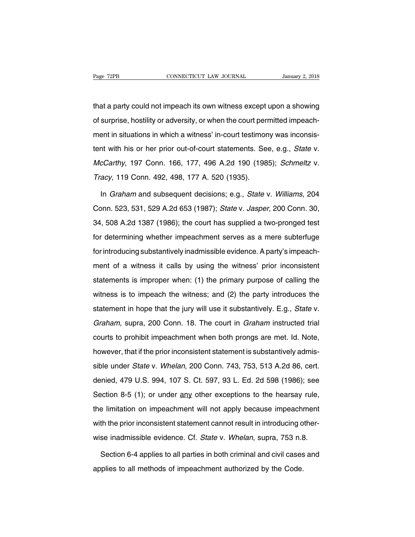The Tage T2PB<br>that a party could not impeach its own witness except upon a showing<br>of surprise, hostility or adversity, or when the court permitted impeach-Page 72PB CONNECTICUT LAW JOURNAL January 2, 2018<br>that a party could not impeach its own witness except upon a showing<br>of surprise, hostility or adversity, or when the court permitted impeach-<br>ment in situations in which a that a party could not impeach its own witness except upon a showing<br>of surprise, hostility or adversity, or when the court permitted impeach-<br>ment in situations in which a witness' in-court testimony was inconsis-<br>tent wi that a party could not impeach its own witness except upon a showing<br>of surprise, hostility or adversity, or when the court permitted impeach-<br>ment in situations in which a witness' in-court testimony was inconsis-<br>tent wi of surprise, hostility or adversity, or when the court permitted impeach-<br>ment in situations in which a witness' in-court testimony was inconsis-<br>tent with his or her prior out-of-court statements. See, e.g., *State v.<br>McC* or sarphise, nosting or develong, or when the seart point<br>ment in situations in which a witness' in-court testimor<br>tent with his or her prior out-of-court statements. See<br>McCarthy, 197 Conn. 166, 177, 496 A.2d 190 (198<br>Tra nt with his or her prior out-of-court statements. See, e.g., *State v.*<br>c*Carthy*, 197 Conn. 166, 177, 496 A.2d 190 (1985); *Schmeltz v.*<br>acy, 119 Conn. 492, 498, 177 A. 520 (1935).<br>In *Graham* and subsequent decisions; e.

McCarthy, 197 Conn. 166, 177, 496 A.2d 190 (1985); Schmeltz v.<br>Tracy, 119 Conn. 492, 498, 177 A. 520 (1935).<br>In Graham and subsequent decisions; e.g., State v. Williams, 204<br>Conn. 523, 531, 529 A.2d 653 (1987); State v. Ja Tracy, 119 Conn. 492, 498, 177 A. 520 (1935).<br>In *Graham* and subsequent decisions; e.g., *State v. Williams*, 204<br>Conn. 523, 531, 529 A.2d 653 (1987); *State v. Jasper*, 200 Conn. 30,<br>34, 508 A.2d 1387 (1986); the court h In *Graham* and subsequent decisions; e.g., *State v. Williams*, 204<br>Conn. 523, 531, 529 A.2d 653 (1987); *State v. Jasper*, 200 Conn. 30,<br>34, 508 A.2d 1387 (1986); the court has supplied a two-pronged test<br>for determining In *Graham* and subsequent decisions; e.g., *State v. Williams*, 204 Conn. 523, 531, 529 A.2d 653 (1987); *State v. Jasper*, 200 Conn. 30, 34, 508 A.2d 1387 (1986); the court has supplied a two-pronged test for determining Semment of a witness it calls by using the primary purpose of calling the statements is improper when: (1) the primary purpose of calling the statements is improper when: (1) the primary purpose of calling the statement whether impeachment serves as a mere subterfuge<br>for introducing substantively inadmissible evidence. A party's impeach-<br>ment of a witness it calls by using the witness' prior inconsistent<br>statements is improper w for introducing substantively inadmissible evidence. A party's impeach-<br>ment of a witness it calls by using the witness' prior inconsistent<br>statements is improper when: (1) the primary purpose of calling the<br>witness is to statements is improper when: (1) the primary purpose of calling the witness is to impeach the witness; and (2) the party introduces the statement in hope that the jury will use it substantively. E.g., *State* v. *Graham*, Statements is improper when: (1) the primary purpose of calling the witness is to impeach the witness; and (2) the party introduces the statement in hope that the jury will use it substantively. E.g., *State* v. *Graham*, witness is to impeach the witness; and (2) the party introduces the statement in hope that the jury will use it substantively. E.g., *State* v. *Graham*, supra, 200 Conn. 18. The court in *Graham* instructed trial courts t statement in hope that the jury will use it substantively. E.g., *State* v. *Graham*, supra, 200 Conn. 18. The court in *Graham* instructed trial courts to prohibit impeachment when both prongs are met. Id. Note, however, Graham, supra, 200 Conn. 18. The court in *Graham* instructed trial<br>courts to prohibit impeachment when both prongs are met. Id. Note,<br>however, that if the prior inconsistent statement is substantively admis-<br>sible under dialian, eaply, 200 Comm for the ceart in changin included that<br>courts to prohibit impeachment when both prongs are met. Id. Note,<br>however, that if the prior inconsistent statement is substantively admis-<br>sible under *Stat* Searce to promain impodemment information pronge ditember (at rices)<br>however, that if the prior inconsistent statement is substantively admis-<br>sible under *State* v. *Whelan*, 200 Conn. 743, 753, 513 A.2d 86, cert.<br>denied, the limitation on impeachment will not apply because impeachment with the prior inconsistent will not apply because impeachment with the prior inconsistent statement cannot result in introducing other-<br>with the prior incon sible under *State* v. *Whelan*, 200 Conn. 743, 753, 513 A.2d 86, cert.<br>denied, 479 U.S. 994, 107 S. Ct. 597, 93 L. Ed. 2d 598 (1986); see<br>Section 8-5 (1); or under any other exceptions to the hearsay rule,<br>the limitation Section 8-5 (1); or under any other exceptions to the hearsay rule,<br>the limitation on impeachment will not apply because impeachment<br>with the prior inconsistent statement cannot result in introducing other-<br>wise inadmissib e limitation on impeachment will not apply because impeachment<br>th the prior inconsistent statement cannot result in introducing other-<br>se inadmissible evidence. Cf. *State* v. *Whelan*, supra, 753 n.8.<br>Section 6-4 applies with the prior inconsistent statement cannot result in introducing o<br>wise inadmissible evidence. Cf. *State* v. *Whelan*, supra, 753 n.8<br>Section 6-4 applies to all parties in both criminal and civil cases<br>applies to all me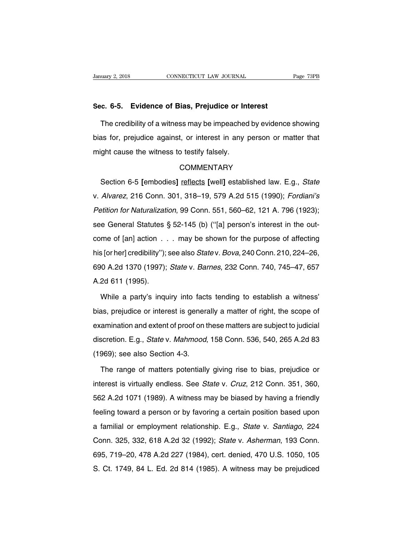# **Sanuary 2, 2018** CONNECTICUT LAW JOURNAL<br> **Sec. 6-5. Evidence of Bias, Prejudice or Interest**<br>
The credibility of a witness may be impeached by evidence

The credibility of a witness may be impeached by evidence showing<br>as for, prejudice against, or interest in any person or matter that Sec. 6-5. Evidence of Bias, Prejudice or Interest<br>The credibility of a witness may be impeached by evidence showing<br>bias for, prejudice against, or interest in any person or matter that<br>might cause the witness to testify f Sec. 6-5. Evidence of Bias, Prejudice or In<br>The credibility of a witness may be impeached<br>bias for, prejudice against, or interest in any<br>might cause the witness to testify falsely.<br>COMMENTARY Section 6-5 **[embodies]** reflects [well] established law. E.g., *State*<br>Alvarez, 216 Conn. 301, 318–19, 579 A.2d 515 (1990); *Fordiani's* 

# **COMMENTARY**

might cause the witness to testify falsely.<br>
COMMENTARY<br>
Section 6-5 [embodies] reflects [well] established law. E.g., *State*<br>
v. *Alvarez*, 216 Conn. 301, 318–19, 579 A.2d 515 (1990); *Fordiani's*<br>
Petition for Naturaliz COMMENTARY<br>
Section 6-5 [embodies] reflects [well] established law. E.g., *State*<br>
v. Alvarez, 216 Conn. 301, 318–19, 579 A.2d 515 (1990); *Fordiani's*<br>
Petition for Naturalization, 99 Conn. 551, 560–62, 121 A. 796 (1923); Section 6-5 [embodies] reflects [well] established law. E.g., *State* v. *Alvarez*, 216 Conn. 301, 318–19, 579 A.2d 515 (1990); *Fordiani's Petition for Naturalization*, 99 Conn. 551, 560–62, 121 A. 796 (1923); see Gener v. Alvarez, 216 Conn. 301, 318–19, 579 A.2d 515 (1990); Fordiani's<br>Petition for Naturalization, 99 Conn. 551, 560–62, 121 A. 796 (1923);<br>see General Statutes § 52-145 (b) ("[a] person's interest in the out-<br>come of [an] ac *his [or her]* credibility''); see also State v. Bova, 240 Conn. 210, 224–26, 690 A.2d 1370 (1997); *State v. Barnes,* 232 Conn. 740, 745–47, 657 see General Statutes § 52-145 (b) ("[a] person's interest in the out-<br>come of [an] action  $\dots$  may be shown for the purpose of affecting<br>his [or her] credibility"); see also *Statev. Bova*, 240 Conn. 210, 224–26,<br>690 A.2d come of [an] action . .<br>his [or her] credibility");<br>690 A.2d 1370 (1997);<br>A.2d 611 (1995).<br>While a party's inqu S [or her] credibility"); see also *State* v. *Bova*, 240 Conn. 210, 224–26,<br>
10 A.2d 1370 (1997); *State* v. *Barnes*, 232 Conn. 740, 745–47, 657<br>
2d 611 (1995).<br>
While a party's inquiry into facts tending to establish a

bias, prejudice or interest is generally a matter of right, the scope of<br>examination and extent of proof on these matter of right, the scope of<br>examination and extent of proof on these matters are subject to judicial A.2d 611 (1995).<br>While a party's inquiry into facts tending to establish a witness'<br>bias, prejudice or interest is generally a matter of right, the scope of<br>examination and extent of proof on these matters are subject to j While a party's inquiry into facts tending to establish a witness'<br>bias, prejudice or interest is generally a matter of right, the scope of<br>examination and extent of proof on these matters are subject to judicial<br>discretio Vision a party of indiary also hadd<br>bias, prejudice or interest is general<br>examination and extent of proof on t<br>discretion. E.g., *State* v. *Mahmood*,<br>(1969); see also Section 4-3.<br>The range of matters potentially Examination and extent of proof on these matters are subject to judicial<br>scretion. E.g., *State* v. *Mahmood*, 158 Conn. 536, 540, 265 A.2d 83<br>969); see also Section 4-3.<br>The range of matters potentially giving rise to bia

discretion. E.g., *State* v. *Mahmood*, 158 Conn. 536, 540, 265 A.2d 83<br>(1969); see also Section 4-3.<br>The range of matters potentially giving rise to bias, prejudice or<br>interest is virtually endless. See *State* v. *Cruz*, (1969); see also Section 4-3.<br>
The range of matters potentially giving rise to bias, prejudice or<br>
interest is virtually endless. See *State* v. *Cruz*, 212 Conn. 351, 360,<br>
562 A.2d 1071 (1989). A witness may be biased b The range of matters potentially giving rise to bias, prejudice or interest is virtually endless. See *State* v. *Cruz*, 212 Conn. 351, 360, 562 A.2d 1071 (1989). A witness may be biased by having a friendly feeling toward interest is virtually endless. See *State* v. *Cruz*, 212 Conn. 351, 360, 562 A.2d 1071 (1989). A witness may be biased by having a friendly feeling toward a person or by favoring a certain position based upon a familial o microst is viridally chalces. 833 Balle v. 812, 212 Sonn. 831, 833,<br>562 A.2d 1071 (1989). A witness may be biased by having a friendly<br>feeling toward a person or by favoring a certain position based upon<br>a familial or empl feeling toward a person or by favoring a certain position based upon<br>a familial or employment relationship. E.g., *State v. Santiago*, 224<br>Conn. 325, 332, 618 A.2d 32 (1992); *State v. Asherman*, 193 Conn.<br>695, 719–20, 478 Somig toward a person of by favoring a cortain poemon based apon<br>a familial or employment relationship. E.g., *State v. Santiago*, 224<br>Conn. 325, 332, 618 A.2d 32 (1992); *State v. Asherman*, 193 Conn.<br>695, 719–20, 478 A.2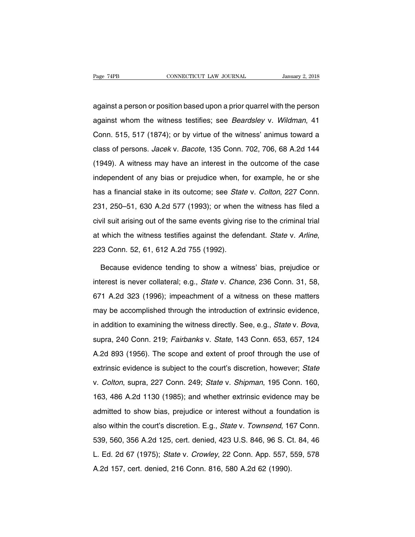Page 74PB CONNECTICUT LAW JOURNAL January 2, 2018<br>against a person or position based upon a prior quarrel with the person<br>against whom the witness testifies; see *Beardsley* v. *Wildman*, 41 Page 74PB CONNECTICUT LAW JOURNAL January 2, 2018<br>against a person or position based upon a prior quarrel with the person<br>against whom the witness testifies; see *Beardsley* v. *Wildman*, 41<br>Conn. 515, 517 (1874); or by vi against a person or position based upon a prior quarrel with the person<br>against whom the witness testifies; see *Beardsley* v. Wildman, 41<br>Conn. 515, 517 (1874); or by virtue of the witness' animus toward a<br>class of person against a person or position based upon a prior quarrel with the person<br>against whom the witness testifies; see *Beardsley* v. Wildman, 41<br>Conn. 515, 517 (1874); or by virtue of the witness' animus toward a<br>class of person against whom the witness testifies; see *Beardsley* v. *Wildman*, 41<br>Conn. 515, 517 (1874); or by virtue of the witness' animus toward a<br>class of persons. *Jacek* v. *Bacote*, 135 Conn. 702, 706, 68 A.2d 144<br>(1949). A witn independent of any bias or prejudice when, for example, he or she<br>has a financial stake w. Bacote, 135 Conn. 702, 706, 68 A.2d 144<br>(1949). A witness may have an interest in the outcome of the case<br>independent of any bias o class of persons. *Jacek* v. *Bacote*, 135 Conn. 702, 706, 68 A.2d 144 (1949). A witness may have an interest in the outcome of the case independent of any bias or prejudice when, for example, he or she has a financial sta (1949). A witness may have an interest in the outcome of the case<br>independent of any bias or prejudice when, for example, he or she<br>has a financial stake in its outcome; see *State* v. *Colton*, 227 Conn.<br>231, 250–51, 630 independent of any bias or prejudice when, for example, he or she<br>has a financial stake in its outcome; see *State* v. *Colton*, 227 Conn.<br>231, 250–51, 630 A.2d 577 (1993); or when the witness has filed a<br>civil suit arisin at which the witness testifies against the defendant. State is a financial stake in its outcome; see *State v. Colton*, 227 Conn. 231, 250–51, 630 A.2d 577 (1993); or when the witness has filed a civil suit arising out of vil suit arising out of the same events giving rise to the criminal trial<br>which the witness testifies against the defendant. State v. Arline,<br>3 Conn. 52, 61, 612 A.2d 755 (1992).<br>Because evidence tending to show a witness'

at which the witness testifies against the defendant. *State* v. *Arline*,<br>223 Conn. 52, 61, 612 A.2d 755 (1992).<br>Because evidence tending to show a witness' bias, prejudice or<br>interest is never collateral; e.g., *State* v 223 Conn. 52, 61, 612 A.2d 755 (1992).<br>Because evidence tending to show a witness' bias, prejudice or<br>interest is never collateral; e.g., *State v. Chance*, 236 Conn. 31, 58,<br>671 A.2d 323 (1996); impeachment of a witness o Because evidence tending to show a witness' bias, prejudice or<br>interest is never collateral; e.g., *State* v. *Chance*, 236 Conn. 31, 58,<br>671 A.2d 323 (1996); impeachment of a witness on these matters<br>may be accomplished t interest is never collateral; e.g., *State v. Chance*, 236 Conn. 31, 58, 671 A.2d 323 (1996); impeachment of a witness on these matters may be accomplished through the introduction of extrinsic evidence, in addition to exa A.2d 893 (1956). The scope and extent of proof through the use of extrinsic evidence, in addition to examining the witness directly. See, e.g., *State v. Bova*, supra, 240 Conn. 219; *Fairbanks v. State*, 143 Conn. 653, 65 in addition to examining the witness directly. See, e.g., *State v. Bova*, supra, 240 Conn. 219; *Fairbanks v. State*, 143 Conn. 653, 657, 124<br>A.2d 893 (1956). The scope and extent of proof through the use of extrinsic evi supra, 240 Conn. 219; *Fairbanks v. State*, 143 Conn. 653, 657, 124<br>A.2d 893 (1956). The scope and extent of proof through the use of<br>extrinsic evidence is subject to the court's discretion, however; *State*<br>v. Colton, sup 26 A.2d 893 (1956). The scope and extent of proof through the use of extrinsic evidence is subject to the court's discretion, however; State v. Colton, supra, 227 Conn. 249; State v. Shipman, 195 Conn. 160, 163, 486 A.2d 1 extrinsic evidence is subject to the court's discretion, however; State<br>v. Colton, supra, 227 Conn. 249; State v. Shipman, 195 Conn. 160,<br>163, 486 A.2d 1130 (1985); and whether extrinsic evidence may be<br>admitted to show bi v. Colton, supra, 227 Conn. 249; State v. Shipman, 195 Conn. 160, 163, 486 A.2d 1130 (1985); and whether extrinsic evidence may be admitted to show bias, prejudice or interest without a foundation is also within the court' 163, 486 A.2d 1130 (1985); and whether extrinsic evidence may be<br>admitted to show bias, prejudice or interest without a foundation is<br>also within the court's discretion. E.g., *State v. Townsend*, 167 Conn.<br>539, 560, 356 A R. 2d 157, cert. denied, 216 Conn. 816, 580 A.2d 62 (1990).<br>A. 2d 157, cert. denied, 423 U.S. 846, 96 S. Ct. 84, 46<br>L. Ed. 2d 67 (1975); State v. Crowley, 22 Conn. App. 557, 559, 578<br>A. 2d 157, cert. denied, 216 Conn. 816, also within the court's discretion. E.g., *State v. Townsend*, 16<br>539, 560, 356 A.2d 125, cert. denied, 423 U.S. 846, 96 S. C<br>L. Ed. 2d 67 (1975); *State v. Crowley*, 22 Conn. App. 557, 8<br>A.2d 157, cert. denied, 216 Conn.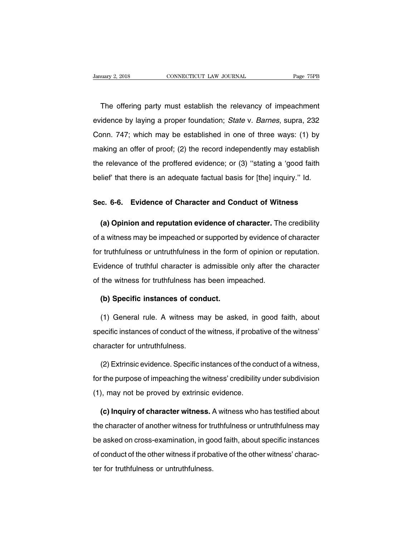The offering party must establish the relevancy of impeachment<br>The offering party must establish the relevancy of impeachment<br>The offering party must establish the relevancy of impeachment<br>idence by laying a proper foundat Example 75PB<br>The offering party must establish the relevancy of impeachment<br>evidence by laying a proper foundation; State v. Barnes, supra, 232<br>Conn. 747; which may be established in one of three ways: (1) by The offering party must establish the relevancy of impeachment<br>evidence by laying a proper foundation; *State* v. *Barnes*, supra, 232<br>Conn. 747; which may be established in one of three ways: (1) by<br>making an offer of pro The offering party must establish the relevancy of impeachment<br>evidence by laying a proper foundation; *State v. Barnes*, supra, 232<br>Conn. 747; which may be established in one of three ways: (1) by<br>making an offer of proof evidence by laying a proper foundation; *State* v. *Barnes*, supra, 232<br>Conn. 747; which may be established in one of three ways: (1) by<br>making an offer of proof; (2) the record independently may establish<br>the relevance of Conn. 747; which may be established in one of three ways: (1) by making an offer of proof; (2) the record independently may establish the relevance of the proffered evidence; or (3) "stating a 'good faith belief' that the making an offer of proof; (2) the record independently may establish<br>the relevance of the proffered evidence; or (3) "stating a 'good faith<br>belief' that there is an adequate factual basis for [the] inquiry." Id.<br>Sec. 6-6.

lief' that there is an adequate factual basis for [the] inquiry." Id.<br> **(a) Opinion and reputation evidence of character.** The credibility<br> **(a) Opinion and reputation evidence of character.** The credibility<br>
a witness may Sec. 6-6. Evidence of Character and Conduct of Witness<br>(a) Opinion and reputation evidence of character. The credibility<br>of a witness may be impeached or supported by evidence of character<br>for truthfulness or untruthfulnes Sec. 6-6. Evidence of Character and Conduct of Witness<br>(a) Opinion and reputation evidence of character. The credibility<br>of a witness may be impeached or supported by evidence of character<br>for truthfulness or untruthfulnes (a) Opinion and reputation evidence of character. The credibility<br>of a witness may be impeached or supported by evidence of character<br>for truthfulness or untruthfulness in the form of opinion or reputation.<br>Evidence of tru of a witness may be impeached or supported by evidence of<br>for truthfulness or untruthfulness in the form of opinion or<br>Evidence of truthful character is admissible only after the<br>of the witness for truthfulness has been im form truthfulness or untruthfulness in the form<br>
idence of truthful character is admissible<br>
the witness for truthfulness has been imp<br> **(b) Specific instances of conduct.**<br>
(1) General rule, A witness may be asked vidence of truthful character is admissible only after the character<br>
the witness for truthfulness has been impeached.<br>
(b) Specific instances of conduct.<br>
(1) General rule. A witness may be asked, in good faith, about<br>
ec

of the witness for truthfulness has been impeached.<br>
(b) Specific instances of conduct.<br>
(1) General rule. A witness may be asked, in good faith, about<br>
specific instances of conduct of the witness, if probative of the wit (b) Specific instances of conduct.<br>
(1) General rule. A witness may be asked, in good faith, about<br>
specific instances of conduct of the witness, if probative of the witness'<br>
character for untruthfulness.<br>
(2) Extrinsic e (1) General rule. A witness may be asked, in good faith, about<br>ecific instances of conduct of the witness, if probative of the witness'<br>aracter for untruthfulness.<br>(2) Extrinsic evidence. Specific instances of the conduct

specific instances of conduct of the witness, if probative of the witness'<br>character for untruthfulness.<br>(2) Extrinsic evidence. Specific instances of the conduct of a witness,<br>for the purpose of impeaching the witness' cr character for untruthfulness.<br>
(2) Extrinsic evidence. Specific instances of the cor<br>
for the purpose of impeaching the witness' credibility<br>
(1), may not be proved by extrinsic evidence.<br>
(c) Inquiry of character witness. (2) Extrinsic evidence. Specific instances of the conduct of a witness,<br>
the purpose of impeaching the witness' credibility under subdivision<br>
), may not be proved by extrinsic evidence.<br> **(c) Inquiry of character witness.** 

for the purpose of impeaching the witness' credibility under subdivision<br>
(1), may not be proved by extrinsic evidence.<br>
(c) Inquiry of character witness. A witness who has testified about<br>
the character of another witness (1), may not be proved by extrinsic evidence.<br>
(c) Inquiry of character witness. A witness who has testified about<br>
the character of another witness for truthfulness or untruthfulness may<br>
be asked on cross-examination, in (c) Inquiry of character witness. A witness who has testified about<br>the character of another witness for truthfulness or untruthfulness may<br>be asked on cross-examination, in good faith, about specific instances<br>of conduct the character of another witness for tr<br>the character of another witness for tr<br>be asked on cross-examination, in go<br>of conduct of the other witness if probater for truthfulness or untruthfulness.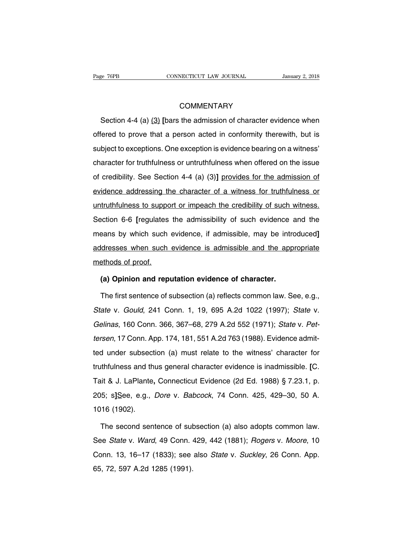# **COMMENTARY**

Section 4-4 (a) (3) **[bars the admission of character evidence when**<br>
Section 4-4 (a) (3) **[bars the admission of character evidence when**<br>
Section 4-4 (a) (3) **[bars the admission of character evidence when**<br>
Section 4-4 COMMENTARY<br>Section 4-4 (a) (3) [bars the admission of character evidence when<br>offered to prove that a person acted in conformity therewith, but is<br>subject to exceptions. One exception is evidence bearing on a witness' COMMENTARY<br>Section 4-4 (a) (3) [bars the admission of character evidence when<br>offered to prove that a person acted in conformity therewith, but is<br>subject to exceptions. One exception is evidence bearing on a witness'<br>char Section 4-4 (a)  $(3)$  [bars the admission of character evidence when<br>offered to prove that a person acted in conformity therewith, but is<br>subject to exceptions. One exception is evidence bearing on a witness'<br>character fo offered to prove that a person acted in conformity therewith, but is subject to exceptions. One exception is evidence bearing on a witness' character for truthfulness or untruthfulness when offered on the issue of credibi subject to exceptions. One exception is evidence bearing on a witness'<br>character for truthfulness or untruthfulness when offered on the issue<br>of credibility. See Section 4-4 (a) (3)] provides for the admission of<br>evidence character for truthfulness or untruthfulness when offered on the issue<br>of credibility. See Section 4-4 (a) (3)] provides for the admission of<br>evidence addressing the character of a witness for truthfulness or<br>untruthfulnes of credibility. See Section 4-4 (a) (3)] provides for the admission of<br>evidence addressing the character of a witness for truthfulness or<br>untruthfulness to support or impeach the credibility of such witness.<br>Section 6-6 [r evidence addressing the character of a witness for truthfulness or<br>untruthfulness to support or impeach the credibility of such witness.<br>Section 6-6 [regulates the admissibility of such evidence and the<br>means by which such untruthfulness to support or impeach the credibility of such witness.<br>Section 6-6 [regulates the admissibility of such evidence and the<br>means by which such evidence, if admissible, may be introduced]<br>addresses when such ev Section 6-6 [regulates<br>means by which such<br>addresses when such<br>methods of proof.<br>(a) Opinion and rep Frank by which such evidence, if admissible, may be intro<br>
dresses when such evidence is admissible and the app<br>
ethods of proof.<br> **(a) Opinion and reputation evidence of character.**<br>
The first sentence of subsection (a) r dresses when such evidence is admissible and the appropriate<br>ethods of proof.<br>(a) Opinion and reputation evidence of character.<br>The first sentence of subsection (a) reflects common law. See, e.g.,<br>ate v. *Gould*, 241 Conn.

methods of proof.<br>
(a) Opinion and reputation evidence of character.<br>
The first sentence of subsection (a) reflects common law. See, e.g.,<br>
State v. Gould, 241 Conn. 1, 19, 695 A.2d 1022 (1997); State v.<br>
Gelinas, 160 Conn (a) Opinion and reputation evidence of character.<br>
The first sentence of subsection (a) reflects common law. See, e.g.,<br>
State v. Gould, 241 Conn. 1, 19, 695 A.2d 1022 (1997); State v.<br>
Gelinas, 160 Conn. 366, 367–68, 279 The first sentence of subsection (a) reflects common law. See, e.g.,<br>State v. Gould, 241 Conn. 1, 19, 695 A.2d 1022 (1997); State v.<br>Gelinas, 160 Conn. 366, 367–68, 279 A.2d 552 (1971); State v. Pet-<br>tersen, 17 Conn. App. State v. Gould, 241 Conn. 1, 19, 695 A.2d 1022 (1997); State v.<br>Gelinas, 160 Conn. 366, 367–68, 279 A.2d 552 (1971); State v. Pet-<br>tersen, 17 Conn. App. 174, 181, 551 A.2d 763 (1988). Evidence admit-<br>ted under subsection ( Gelinas, 160 Conn. 366, 367–68, 279 A.2d 552 (1971); *State v. Pet-*<br>tersen, 17 Conn. App. 174, 181, 551 A.2d 763 (1988). Evidence admit-<br>ted under subsection (a) must relate to the witness' character for<br>truthfulness and tersen, 17 Conn. App. 174, 181, 551 A.2d 763 (1988). Evidence admitted under subsection (a) must relate to the witness' character for truthfulness and thus general character evidence is inadmissible. [C. Tait & J. LaPlante 10507, 17 Sonn. 1<sub>1</sub>pp. 17 1, 101, 3017. Let 1 30 (1 303). Evadence damnet<br>
1205; character subsection (a) must relate to the witness' character for<br>
1205; s]See, e.g., *Dore v. Babcock*, 74 Conn. 425, 429–30, 50 A.<br>
1016 truthfulness and th<br>Tait & J. LaPlante,<br>205; s]See, e.g.,<br>1016 (1902).<br>The second sen it & J. LaPlante, Connecticut Evidence (2d Ed. 1988) § 7.23.1, p.<br>5; s]See, e.g., *Dore* v. *Babcock*, 74 Conn. 425, 429–30, 50 A.<br>16 (1902).<br>The second sentence of subsection (a) also adopts common law.<br>se *State* v. *War* 

205; s]See, e.g., *Dore* v. *Babcock*, 74 Conn. 425, 429–30, 50 A.<br>1016 (1902).<br>The second sentence of subsection (a) also adopts common law.<br>See *State* v. *Ward*, 49 Conn. 429, 442 (1881); *Rogers* v. *Moore*, 10<br>Conn. 1 1016 (1902).<br>The second sentence of subsection (a) also adopts common law.<br>See *State v. Ward*, 49 Conn. 429, 442 (1881); *Rogers v. Moore*, 10<br>Conn. 13, 16–17 (1833); see also *State v. Suckley*, 26 Conn. App.<br>65, 72, 59 The second sentence of sult<br>See *State* v. *Ward*, 49 Conn. 4<br>Conn. 13, 16–17 (1833); see<br>65, 72, 597 A.2d 1285 (1991).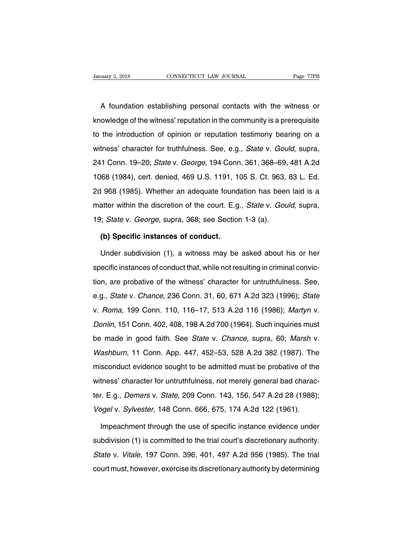Nextandary 2, 2018<br>
A foundation establishing personal contacts with the witness or<br>
A foundation establishing personal contacts with the witness or<br>
owledge of the witness' reputation in the community is a prerequisite Example 7798 CONNECTICUT LAW JOURNAL Page 77PB<br>A foundation establishing personal contacts with the witness or<br>knowledge of the witness' reputation in the community is a prerequisite<br>to the introduction of opinion or reput A foundation establishing personal contacts with the witness or<br>knowledge of the witness' reputation in the community is a prerequisite<br>to the introduction of opinion or reputation testimony bearing on a<br>witness' character A foundation establishing personal contacts with the witness or<br>knowledge of the witness' reputation in the community is a prerequisite<br>to the introduction of opinion or reputation testimony bearing on a<br>witness' character In the manufacture of the witness' reputation in the community is a prerequisite<br>to the introduction of opinion or reputation testimony bearing on a<br>witness' character for truthfulness. See, e.g., *State v. Gould*, supra,<br> 1068 (1984), cert. denied, 469 U.S. 1191, 105 S. Ct. 963, 83 L. Ed.<br>24 See (1984), cert. denied, 469 U.S. 1191, 105 S. Ct. 963, 83 L. Ed.<br>24 See (1984), cert. denied, 469 U.S. 1191, 105 S. Ct. 963, 83 L. Ed.<br>2d 968 (1985). witness' character for truthfulness. See, e.g., *State v. Gould*, supra,<br>241 Conn. 19–20; *State v. George*, 194 Conn. 361, 368–69, 481 A.2d<br>1068 (1984), cert. denied, 469 U.S. 1191, 105 S. Ct. 963, 83 L. Ed.<br>2d 968 (1985) matter with 19-20; *State v. George*, 194 Conn. 361, 368–69, 481 A.2d 1068 (1984), cert. denied, 469 U.S. 1191, 105 S. Ct. 963, 83 L. Ed.<br>2d 968 (1985). Whether an adequate foundation has been laid is a matter within the 1968 (1984), cert. denied, 469 U.S. 1191, 105 S. Ct. 963,<br>1068 (1985). Whether an adequate foundation has beer<br>matter within the discretion of the court. E.g., *State v. Gou*<br>19; *State v. George*, supra, 368; see Section 1968 (1985). Whether an adequate found<br>atter within the discretion of the court. E.g<br>i; *State* v. *George*, supra, 368; see Section<br>**(b) Specific instances of conduct.**<br>Under subdivision (1), a witness may be atter within the discretion of the court. E.g., *State* v. *Gould*, supra,<br>  $U$ ; *State* v. *George*, supra, 368; see Section 1-3 (a).<br> **(b) Specific instances of conduct.**<br>
Under subdivision (1), a witness may be asked ab

19; State v. George, supra, 368; see Section 1-3 (a).<br>
(b) Specific instances of conduct.<br>
Under subdivision (1), a witness may be asked about his or her<br>
specific instances of conduct that, while not resulting in criminal (b) Specific instances of conduct.<br>Under subdivision (1), a witness may be asked about his or her<br>specific instances of conduct that, while not resulting in criminal convic-<br>tion, are probative of the witness' character fo Under subdivision (1), a witness may be asked about his or her<br>specific instances of conduct that, while not resulting in criminal convic-<br>tion, are probative of the witness' character for untruthfulness. See,<br>e.g., *State* specific instances of conduct that, while not resulting in criminal conviction, are probative of the witness' character for untruthfulness. See, e.g., *State v. Chance*, 236 Conn. 31, 60, 671 A.2d 323 (1996); *State* v. *R* become instances or conduct that, while horroscalling in orifination critics.<br>
tion, are probative of the witness' character for untruthfulness. See,<br>
e.g., *State* v. *Chance*, 236 Conn. 31, 60, 671 A.2d 323 (1996); *Stat* e.g., *State v. Chance*, 236 Conn. 31, 60, 671 A.2d 323 (1996); *State* v. *Roma*, 199 Conn. 110, 116–17, 513 A.2d 116 (1986); *Martyn v. Donlin*, 151 Conn. 402, 408, 198 A.2d 700 (1964). Such inquiries must be made in goo v. Roma, 199 Conn. 110, 116–17, 513 A.2d 116 (1986); Martyn v.<br>Donlin, 151 Conn. 402, 408, 198 A.2d 700 (1964). Such inquiries must<br>be made in good faith. See *State* v. Chance, supra, 60; Marsh v.<br>Washburn, 11 Conn. App. misconduct evidence sought to be admitted must be made in good faith. See *State v. Chance*, supra, 60; *Marsh v. Washburn*, 11 Conn. App. 447, 452–53, 528 A.2d 382 (1987). The misconduct evidence sought to be admitted mus Donlin, 151 Conn. 402, 408, 198 A.2d 700 (1964). Such inquiries must<br>be made in good faith. See *State* v. *Chance*, supra, 60; *Marsh* v.<br>*Washburn*, 11 Conn. App. 447, 452–53, 528 A.2d 382 (1987). The<br>misconduct evidence Washburn, 11 Conn. App. 447, 452–53, 528 A.2d 382 (1987). The<br>misconduct evidence sought to be admitted must be probative of the<br>witness' character for untruthfulness, not merely general bad charac-<br>ter. E.g., *Demers v. S* misconduct evidence sought to be admitted must be probative of the<br>witness' character for untruthfulness, not merely general bad charac-<br>ter. E.g., *Demers v. State*, 209 Conn. 143, 156, 547 A.2d 28 (1988).<br>Vogel v. Sylves tness' character for untruthfulness, not merely general bad charac-<br>
1. E.g., *Demers v. State*, 209 Conn. 143, 156, 547 A.2d 28 (1988);<br>
1998 v. *Sylvester*, 148 Conn. 666, 675, 174 A.2d 122 (1961).<br>
1998 Impeachment thro

ter. E.g., *Demers v. State*, 209 Conn. 143, 156, 547 A.2d 28 (1988);<br>Vogel v. *Sylvester*, 148 Conn. 666, 675, 174 A.2d 122 (1961).<br>Impeachment through the use of specific instance evidence under<br>subdivision (1) is commit Vogel v. Sylvester, 148 Conn. 666, 675, 174 A.2d 122 (1961).<br>Impeachment through the use of specific instance evidence under<br>subdivision (1) is committed to the trial court's discretionary authority.<br>State v. Vitale, 197 C Impeachment through the use of specific instance evidence under<br>subdivision (1) is committed to the trial court's discretionary authority.<br>State v. Vitale, 197 Conn. 396, 401, 497 A.2d 956 (1985). The trial<br>court must, how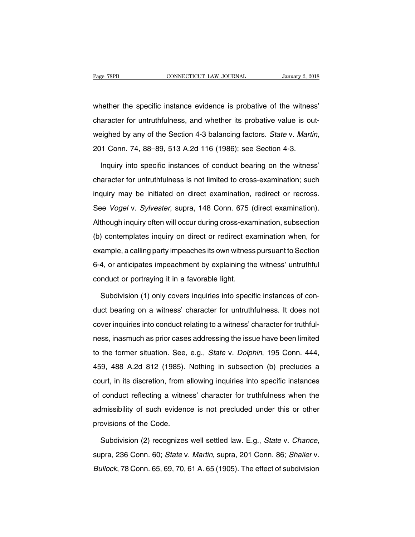Page 78PB<br>
CONNECTICUT LAW JOURNAL<br>
Whether the specific instance evidence is probative of the witness'<br>
character for untruthfulness, and whether its probative value is out-Page 78PB CONNECTICUT LAW JOURNAL January 2, 2018<br>whether the specific instance evidence is probative of the witness'<br>character for untruthfulness, and whether its probative value is out-<br>weighed by any of the Section 4-3 whether the specific instance evidence is probative of the witness'<br>character for untruthfulness, and whether its probative value is out-<br>weighed by any of the Section 4-3 balancing factors. *State* v. *Martin*,<br>201 Conn. aracter for untruthfulness, and whether its probative value is out-<br>
Eighed by any of the Section 4-3 balancing factors. State v. Martin,<br>
11 Conn. 74, 88–89, 513 A.2d 116 (1986); see Section 4-3.<br>
Inquiry into specific in

weighed by any of the Section 4-3 balancing factors. *State v. Martin*,<br>201 Conn. 74, 88–89, 513 A.2d 116 (1986); see Section 4-3.<br>Inquiry into specific instances of conduct bearing on the witness'<br>character for untruthful 201 Conn. 74, 88–89, 513 A.2d 116 (1986); see Section 4-3.<br>Inquiry into specific instances of conduct bearing on the witness'<br>character for untruthfulness is not limited to cross-examination; such<br>inquiry may be initiated Inquiry into specific instances of conduct bearing on the witness'<br>character for untruthfulness is not limited to cross-examination; such<br>inquiry may be initiated on direct examination, redirect or recross.<br>See *Vogel* v. Inquiry into openio instantses or conduct beaming on the withset<br>character for untruthfulness is not limited to cross-examination; such<br>inquiry may be initiated on direct examination, redirect or recross.<br>See *Vogel* v. *S* inquiry may be initiated on direct examination, redirect or recross.<br>See *Vogel* v. *Sylvester*, supra, 148 Conn. 675 (direct examination).<br>Although inquiry often will occur during cross-examination, subsection<br>(b) contemp See *Vogel* v. *Sylvester*, supra, 148 Conn. 675 (direct examination).<br>Although inquiry often will occur during cross-examination, subsection<br>(b) contemplates inquiry on direct or redirect examination when, for<br>example, a Although inquiry often will occur during cross-examination, subsection<br>(b) contemplates inquiry on direct or redirect examination when, for<br>example, a calling party impeaches its own witness pursuant to Section<br>6-4, or ant (b) contemplates inquiry on direct or redirect example, a calling party impeaches its own witness<br>6-4, or anticipates impeachment by explaining the<br>conduct or portraying it in a favorable light.<br>Subdivision (1) only covers ample, a calling party impeaches its own witness pursuant to Section<br>4, or anticipates impeachment by explaining the witness' untruthful<br>nduct or portraying it in a favorable light.<br>Subdivision (1) only covers inquiries in

6-4, or anticipates impeachment by explaining the witness' untruthful<br>conduct or portraying it in a favorable light.<br>Subdivision (1) only covers inquiries into specific instances of con-<br>duct bearing on a witness' characte conduct or portraying it in a favorable light.<br>
Subdivision (1) only covers inquiries into specific instances of con-<br>
duct bearing on a witness' character for untruthfulness. It does not<br>
cover inquiries into conduct rela Subdivision (1) only covers inquiries into specific instances of con-<br>duct bearing on a witness' character for untruthfulness. It does not<br>cover inquiries into conduct relating to a witness' character for truthful-<br>ness, i duct bearing on a witness' character for untruthfulness. It does not<br>cover inquiries into conduct relating to a witness' character for truthful-<br>ness, inasmuch as prior cases addressing the issue have been limited<br>to the f duct beaming on a whileco onlatable for antital manusco. It does not<br>cover inquiries into conduct relating to a witness' character for truthful-<br>ness, inasmuch as prior cases addressing the issue have been limited<br>to the f ness, inasmuch as prior cases addressing the issue have been limited<br>to the former situation. See, e.g., *State* v. *Dolphin*, 195 Conn. 444,<br>459, 488 A.2d 812 (1985). Nothing in subsection (b) precludes a<br>court, in its di to the former situation. See, e.g., *State v. Dolphin*, 195 Conn. 444, 459, 488 A.2d 812 (1985). Nothing in subsection (b) precludes a court, in its discretion, from allowing inquiries into specific instances of conduct re admissibility of such evidence is not precluded under this or other provisions of the Code.<br>
Such that is discretion, from allowing inquiries into specific instances<br>
of conduct reflecting a witness' character for truthful From the Victor (1999).<br>
provisions of the Code.<br>
Subdivision (2) recognizes of conduct reflecting a witness' character for truthfulness when the<br>admissibility of such evidence is not precluded under this or other<br>provisions of the Code.<br>Subdivision (2) recognizes well settled law. E.g., *State v.* 

provisions of the Code.<br>Subdivision (2) recognizes well settled law. E.g., *State v. Chance*,<br>supra, 236 Conn. 60; *State v. Martin*, supra, 201 Conn. 86; *Shailer v.<br>Bullock*, 78 Conn. 65, 69, 70, 61 A. 65 (1905). The eff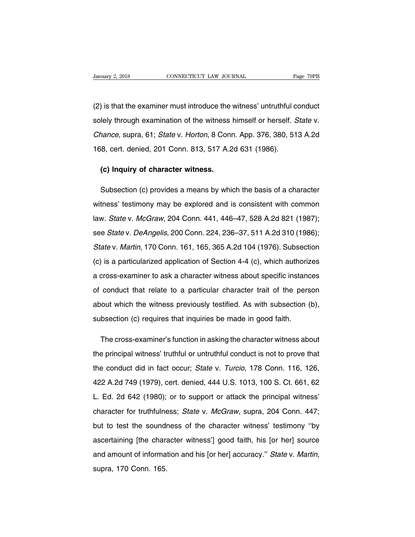University 2, 2018<br>
CONNECTICUT LAW JOURNAL Page 79PB<br>
(2) is that the examiner must introduce the witness' untruthful conduct<br>
Solely through examination of the witness himself or herself. State v. Sumuary 2, 2018 CONNECTICUT LAW JOURNAL Page 79PB<br>
(2) is that the examiner must introduce the witness' untruthful conduct<br>
solely through examination of the witness himself or herself. State v.<br>
Chance, supra, 61; State v (2) is that the examiner must introduce the witness' untruthful conduct solely through examination of the witness himself or herself. State v. Chance, supra, 61; State v. Horton, 8 Conn. App. 376, 380, 513 A.2d 168, cert. (2) is that the examiner must introduce the witness' untruthful c<br>solely through examination of the witness himself or herself. S<br>*Chance*, supra, 61; *State* v. *Horton*, 8 Conn. App. 376, 380, 51<br>168, cert. denied, 201 **(e) Inquiry of character witness**<br>
(e) Inquiry of character witness.<br>
(c) Inquiry of character witness.<br>
(e) Inquiry of character witness.

rance, supra, 61, *State v. Honon*, 6 Comi. App. 376, 360, 313 A.2d<br>8, cert. denied, 201 Conn. 813, 517 A.2d 631 (1986).<br>(c) Inquiry of character witness.<br>Subsection (c) provides a means by which the basis of a character<br>t (c) Inquiry of character witness.<br>
Subsection (c) provides a means by which the basis of a character<br>
witness' testimony may be explored and is consistent with common<br>
law. State v. McGraw, 204 Conn. 441, 446–47, 528 A.2d (c) Inquiry of character witness.<br>
Subsection (c) provides a means by which the basis of a character<br>
witness' testimony may be explored and is consistent with common<br>
law. *State* v. *McGraw*, 204 Conn. 441, 446–47, 528 Subsection (c) provides a means by which the basis of a character<br>witness' testimony may be explored and is consistent with common<br>law. *State* v. *McGraw*, 204 Conn. 441, 446–47, 528 A.2d 821 (1987);<br>see *State* v. *DeAng* witness' testimony may be explored and is consistent with common<br>law. *State v. McGraw*, 204 Conn. 441, 446–47, 528 A.2d 821 (1987);<br>see *State v. DeAngelis*, 200 Conn. 224, 236–37, 511 A.2d 310 (1986);<br>*State v. Martin*, (c) is a particularized application of Section 441, 446–47, 528 A.2d 821 (1987);<br>See State v. DeAngelis, 200 Conn. 224, 236–37, 511 A.2d 310 (1986);<br>State v. Martin, 170 Conn. 161, 165, 365 A.2d 104 (1976). Subsection<br>(c) see State v. DeAngelis, 200 Conn. 224, 236–37, 511 A.2d 310 (1986);<br>State v. Martin, 170 Conn. 161, 165, 365 A.2d 104 (1976). Subsection<br>(c) is a particularized application of Section 4-4 (c), which authorizes<br>a cross-exam State v. Martin, 170 Conn. 161, 165, 365 A.2d 104 (1976). Subsection (c) is a particularized application of Section 4-4 (c), which authorizes a cross-examiner to ask a character witness about specific instances of conduct calcularized application of Section 4-4 (c), which authorizes<br>a cross-examiner to ask a character witness about specific instances<br>of conduct that relate to a particular character trait of the person<br>about which the witnes a cross-examiner to ask a character witness about specific instant<br>of conduct that relate to a particular character trait of the pers<br>about which the witness previously testified. As with subsection (<br>subsection (c) requi conduct that relate to a particular character trait of the person<br>out which the witness previously testified. As with subsection (b),<br>bsection (c) requires that inquiries be made in good faith.<br>The cross-examiner's functio

about which the witness previously testified. As with subsection (b),<br>subsection (c) requires that inquiries be made in good faith.<br>The cross-examiner's function in asking the character witness about<br>the principal witness' subsection (c) requires that inquiries be made in good faith.<br>The cross-examiner's function in asking the character witness about<br>the principal witness' truthful or untruthful conduct is not to prove that<br>the conduct did i The cross-examiner's function in asking the character witness about<br>the principal witness' truthful or untruthful conduct is not to prove that<br>the conduct did in fact occur; State v. Turcio, 178 Conn. 116, 126,<br>422 A.2d 74 the principal witness' truthful or untruthful conduct is not to prove that<br>the conduct did in fact occur; State v. Turcio, 178 Conn. 116, 126,<br>422 A.2d 749 (1979), cert. denied, 444 U.S. 1013, 100 S. Ct. 661, 62<br>L. Ed. 2d the conduct did in fact occur; *State* v. *Turcio*, 178 Conn. 116, 126, 422 A.2d 749 (1979), cert. denied, 444 U.S. 1013, 100 S. Ct. 661, 62 L. Ed. 2d 642 (1980); or to support or attack the principal witness' character fo and the sound of the sound in the sound in the community, the sound in the sound in the sound of the character for truthfulness; State v. *McGraw*, supra, 204 Conn. 447; but to test the soundness of the character witness' L. Ed. 2d 642 (1980); or to support or attack the principal witness'<br>character for truthfulness; *State v. McGraw*, supra, 204 Conn. 447;<br>but to test the soundness of the character witness' testimony "by<br>ascertaining [the and amount of information and his [or her] accuracy." State v. Martin, supra, 204 Conn. 447;<br>but to test the soundness of the character witness' testimony "by<br>ascertaining [the character witness'] good faith, his [or her]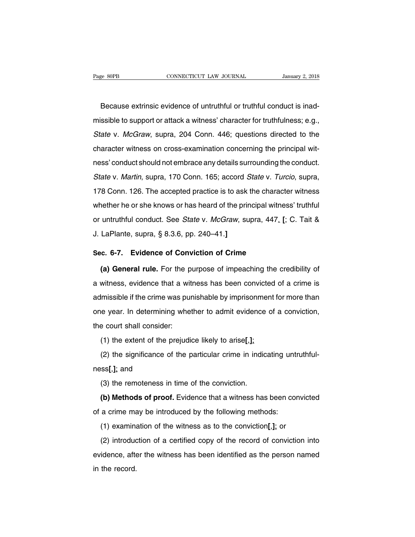Because extrinsic evidence of untruthful or truthful conduct is inad-<br>Because extrinsic evidence of untruthful or truthful conduct is inad-<br>ssible to support or attack a witness' character for truthfulness; e.g., marge sope connecticut taw journal January 2, 2018<br>Because extrinsic evidence of untruthful or truthful conduct is inad-<br>missible to support or attack a witness' character for truthfulness; e.g.,<br>State v. McGraw, supra, 20 Because extrinsic evidence of untruthful or truthful conduct is inad-<br>missible to support or attack a witness' character for truthfulness; e.g.,<br>State v. McGraw, supra, 204 Conn. 446; questions directed to the<br>character wi Because extrinsic evidence of untruthful or truthful conduct is inad-<br>missible to support or attack a witness' character for truthfulness; e.g.,<br>State v. McGraw, supra, 204 Conn. 446; questions directed to the<br>character wi missible to support or attack a witness' character for truthfulness; e.g.,<br>State v. McGraw, supra, 204 Conn. 446; questions directed to the<br>character witness on cross-examination concerning the principal wit-<br>ness' conduct State v. McGraw, supra, 204 Conn. 446; questions directed to the character witness on cross-examination concerning the principal witness' conduct should not embrace any details surrounding the conduct. State v. Martin, sup character witness on cross-examination concerning the principal wit-<br>ness' conduct should not embrace any details surrounding the conduct.<br>State v. Martin, supra, 170 Conn. 165; accord State v. Turcio, supra,<br>178 Conn. 126 enatation whilese on cross examination concerning the principal with<br>ness' conduct should not embrace any details surrounding the conduct.<br>State v. Martin, supra, 170 Conn. 165; accord *State* v. *Turcio*, supra,<br>178 Conn. State v. Martin, supra, 170 Conn. 165; accord *State v. Turcio*, supra, 178 Conn. 126. The accepted practice is to ask the character witness whether he or she knows or has heard of the principal witness' truthful or untrut 178 Conn. 126. The accepted practice is to ask<br>whether he or she knows or has heard of the prir<br>or untruthful conduct. See *State* v. *McGraw*, su<br>J. LaPlante, supra, § 8.3.6, pp. 240–41.] whether he or she knows or has heard of the principal witne<br>or untruthful conduct. See *State* v. *McGraw*, supra, 447. |<br>J. LaPlante, supra, § 8.3.6, pp. 240–41.]<br>Sec. 6-7. Evidence of Conviction of Crime<br>(a) General rule untruthful conduct. See *State* v. *McGraw*, supra, 447. [; C. Tait &<br>LaPlante, supra, § 8.3.6, pp. 240–41.]<br>c. 6-7. Evidence of Conviction of Crime<br>(a) General rule. For the purpose of impeaching the credibility of<br>witnes

d. LaPlante, supra, § 8.3.6, pp. 240–41.]<br>
Sec. 6-7. Evidence of Conviction of Crime<br>
(a) General rule. For the purpose of impeaching the credibility of<br>
a witness, evidence that a witness has been convicted of a crime is<br> Sec. 6-7. Evidence of Conviction of Crime<br>
(a) General rule. For the purpose of impeaching the credibility of<br>
a witness, evidence that a witness has been convicted of a crime is<br>
admissible if the crime was punishable by (a) General rule. For the purpose of impeaching the credibility of a witness, evidence that a witness has been convicted of a crime is admissible if the crime was punishable by imprisonment for more than one year. In deter (a) definite rate: For the p<br>a witness, evidence that a with<br>admissible if the crime was purone year. In determining where<br>the court shall consider:<br>(1) the extent of the prejudi Imissible if the crime was punishable by imprisonment<br>le year. In determining whether to admit evidence of<br>e court shall consider:<br>(1) the extent of the prejudice likely to arise[,];<br>(2) the significance of the particular (2) the significance of the particular crime in indicating untruthful-<br>
(2) the significance of the prejudice likely to arise[,];<br>
(2) the significance of the particular crime in indicating untruthful-<br>
ss[,]; and

the court shall consider<br>(1) the extent of the  $(2)$  the significance conses [, ]; and  $(3)$  the remoteness in (1) the extent of the prejudice likely to arise[,];<br>(2) the significance of the particular crime in indic<br>ss[,]; and<br>(3) the remoteness in time of the conviction.<br>(b) Methods of proof. Evidence that a witness has (2) the significance of the particular crime in indicating untruthful-<br>ss[,]; and<br>(3) the remoteness in time of the conviction.<br>**(b) Methods of proof.** Evidence that a witness has been convicted<br>a crime may be introduced

designment of the particular entire in indicating and<br>ness[,]; and<br>(3) the remoteness in time of the conviction.<br>(b) Methods of proof. Evidence that a witness has been con<br>of a crime may be introduced by the following met (3) the remoteness in time of the conviction.<br>
(b) Methods of proof. Evidence that a witness has been conviction of the introduced by the following methods:<br>
(1) examination of the witness as to the conviction[,]; or<br>
(2)

(b) Methods of proof. Evidence that a witness has been convicted<br>a crime may be introduced by the following methods:<br>(1) examination of the witness as to the conviction[,]; or<br>(2) introduction of a certified copy of the r evidence of proof Enterties that a minister has been centroled<br>of a crime may be introduced by the following methods:<br>(1) examination of the witness as to the conviction[,]; or<br>(2) introduction of a certified copy of the r (1) examina<br>(2) introducevidence, after<br>in the record.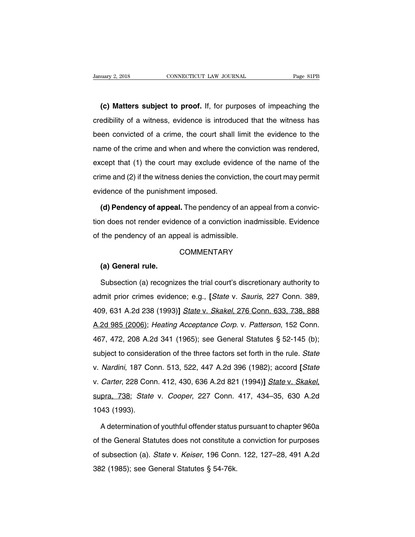**(c) Matters subject to proof.** If, for purposes of impeaching the<br>**(c) Matters subject to proof.** If, for purposes of impeaching the<br>edibility of a witness, evidence is introduced that the witness has Connecticut LAW JOURNAL Page 81PB<br> **C) Matters subject to proof.** If, for purposes of impeaching the<br>
credibility of a witness, evidence is introduced that the witness has<br>
been convicted of a crime, the court shall limit (c) Matters subject to proof. If, for purposes of impeaching the credibility of a witness, evidence is introduced that the witness has been convicted of a crime, the court shall limit the evidence to the name of the crime (c) Matters subject to proof. If, for purposes of impeaching the credibility of a witness, evidence is introduced that the witness has been convicted of a crime, the court shall limit the evidence to the name of the crime credibility of a witness, evidence is introduced that the witness has<br>been convicted of a crime, the court shall limit the evidence to the<br>name of the crime and when and where the conviction was rendered,<br>except that (1) been convicted of a crime, the court shall limit the evidence to the<br>name of the crime and when and where the conviction was rendered,<br>except that (1) the court may exclude evidence of the name of the<br>crime and (2) if the even conveted of a similary, and coard shall<br>name of the crime and when and where the<br>except that (1) the court may exclude evid<br>crime and (2) if the witness denies the convid<br>evidence of the punishment imposed.<br>(d) Penden cept that (1) the court may exclude evidence of the name of the<br>me and (2) if the witness denies the conviction, the court may permit<br>idence of the punishment imposed.<br>**(d) Pendency of appeal.** The pendency of an appeal fr

The and (2) if the witness denies the conviction, the court may permit<br>evidence of the punishment imposed.<br>(d) Pendency of appeal. The pendency of an appeal from a convic-<br>tion does not render evidence of a conviction inad evidence of the punishment imposed.<br>
(d) Pendency of appeal. The pendency of an appeal is admissible.<br>
of the pendency of an appeal is admissible.<br>
COMMENTARY I does not render evidency of an ap<br> **(a) General rule.**<br>
Subsection (a) recognization

## **COMMENTARY**

the pendency of an appeal is admissible.<br>
COMMENTARY<br>
(a) General rule.<br>
Subsection (a) recognizes the trial court's discretionary authority to<br>
Imit prior crimes evidence; e.g., [State v. Sauris, 227 Conn. 389, COMMENTARY<br>
(a) General rule.<br>
Subsection (a) recognizes the trial court's discretionary authority to<br>
admit prior crimes evidence; e.g., *[State v. Sauris*, 227 Conn. 389,<br>
409, 631 A.2d 238 (1993)] *State v. Skakel*, 276 (a) General rule.<br>
Subsection (a) recognizes the trial court's discretionary authority to<br>
admit prior crimes evidence; e.g., [State v. Sauris, 227 Conn. 389,<br>
409, 631 A.2d 238 (1993)] State v. Skakel, 276 Conn. 633, 738, Subsection (a) recognizes the trial court's discretionary authority to<br>admit prior crimes evidence; e.g., [State v. Sauris, 227 Conn. 389,<br>409, 631 A.2d 238 (1993)] State v. Skakel, 276 Conn. 633, 738, 888<br>A.2d 985 (2006); admit prior crimes evidence; e.g., [State v. Sauris, 227 Conn. 389, 409, 631 A.2d 238 (1993)] State v. Skakel, 276 Conn. 633, 738, 888<br>A.2d 985 (2006); Heating Acceptance Corp. v. Patterson, 152 Conn. 467, 472, 208 A.2d 34 aannt phor omnes evidence, e.g., [elate v. stanle,  $\angle$ z. est forth. ese,<br>409, 631 A.2d 238 (1993)] State v. Skakel, 276 Conn. 633, 738, 888<br>A.2d 985 (2006); Heating Acceptance Corp. v. Patterson, 152 Conn.<br>467, 472, 208 v. 1998 (2006); *Heating Acceptance Corp.* v. *Patterson*, 152 Conn.<br>467, 472, 208 A.2d 341 (1965); see General Statutes § 52-145 (b);<br>subject to consideration of the three factors set forth in the rule. *State*<br>v. *Nardin* v. Carter, 228 A.2d 341 (1965); see General Statutes § 52-145 (b); subject to consideration of the three factors set forth in the rule. *State* v. *Nardini*, 187 Conn. 513, 522, 447 A.2d 396 (1982); accord *[State* v. *Car* v. *Nardini*, 187 Co<br>v. *Carter*, 228 Con<br>supra, 738; State<br>1043 (1993).<br>A determination Carter, 228 Conn. 412, 430, 636 A.2d 821 (1994)] State v. Skakel,<br>pra, 738; State v. Cooper, 227 Conn. 417, 434–35, 630 A.2d<br>43 (1993).<br>A determination of youthful offender status pursuant to chapter 960a<br>the General Statu

supra, 738; State v. Cooper, 227 Conn. 417, 434–35, 630 A.2d<br>1043 (1993).<br>A determination of youthful offender status pursuant to chapter 960a<br>of the General Statutes does not constitute a conviction for purposes<br>of subsec 1043 (1993).<br>A determination of youthful offender status pursuant to chapter 960a<br>of the General Statutes does not constitute a conviction for purposes<br>of subsection (a). *State v. Keiser*, 196 Conn. 122, 127–28, 491 A.2d<br> A determination of youthful offender status<br>of the General Statutes does not constitute a<br>of subsection (a). *State* v. *Keiser*, 196 Conr<br>382 (1985); see General Statutes § 54-76k.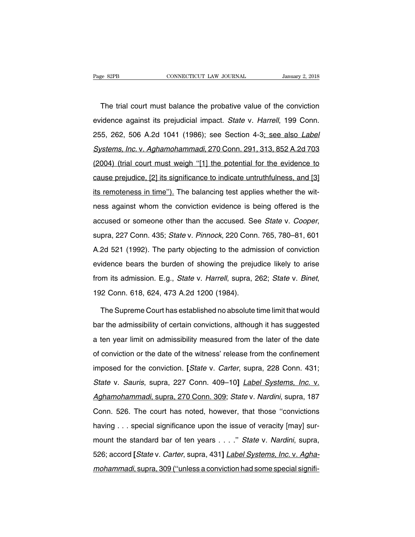The trial court must balance the probative value of the conviction<br>
idence against its prejudicial impact. State v. Harrell, 199 Conn. Page 82PB CONNECTICUT LAW JOURNAL January 2, 2018<br>
The trial court must balance the probative value of the conviction<br>
evidence against its prejudicial impact. State v. Harrell, 199 Conn.<br>
255, 262, 506 A.2d 1041 (1986); s The trial court must balance the probative value of the conviction<br>evidence against its prejudicial impact. State v. Harrell, 199 Conn.<br>255, 262, 506 A.2d 1041 (1986); see Section 4-3<u>; see also Label</u><br>Systems, Inc. v. Agh The trial court must balance the probative value of the conviction<br>evidence against its prejudicial impact. State v. Harrell, 199 Conn.<br>255, 262, 506 A.2d 1041 (1986); see Section 4-3; see also Label<br>Systems, Inc. v. Agham evidence against its prejudicial impact. State v. Harrell, 199 Conn.<br>255, 262, 506 A.2d 1041 (1986); see Section 4-3; see also Label<br>Systems, Inc. v. Aghamohammadi, 270 Conn. 291, 313, 852 A.2d 703<br>(2004) (trial court must chause against its projection. Impedit order 17 harron, 155 commi<br>255, 262, 506 A.2d 1041 (1986); see Section 4-3; see also *Label*<br>Systems, Inc. v. Aghamohammadi, 270 Conn. 291, 313, 852 A.2d 703<br>(2004) (trial court must Systems, Inc. v. Aghamohammadi, 270 Conn. 291, 313, 852 A.2d 703 (2004) (trial court must weigh "[1] the potential for the evidence to cause prejudice, [2] its significance to indicate untruthfulness, and [3] its remotenes (2004) (trial court must weigh "[1] the potential for the evidence to cause prejudice, [2] its significance to indicate untruthfulness, and [3] its remoteness in time"). The balancing test applies whether the witness again accuse prejudice, [2] its significance to indicate untruthfulness, and [3] its remoteness in time"). The balancing test applies whether the witness against whom the conviction evidence is being offered is the accused or so The same is against whom the conviction evidence is being offered is the<br>accused or someone other than the accused. See *State v. Cooper*,<br>supra, 227 Conn. 435; *State v. Pinnock*, 220 Conn. 765, 780–81, 601<br>A.2d 521 (1992 accused or someone other than the accused. See *State v. Cooper*,<br>supra, 227 Conn. 435; *State v. Pinnock*, 220 Conn. 765, 780–81, 601<br>A.2d 521 (1992). The party objecting to the admission of conviction<br>evidence bears the supra, 227 Conn. 435; *State* v. *Pinnock*, 220 Conn. 765, 780–81, 601<br>A.2d 521 (1992). The party objecting to the admission of conviction<br>evidence bears the burden of showing the prejudice likely to arise<br>from its admissi idence bears the burden of showing the prejudice likely to arise<br>om its admission. E.g., *State* v. *Harrell*, supra, 262; *State* v. *Binet*,<br>2 Conn. 618, 624, 473 A.2d 1200 (1984).<br>The Supreme Court has established no ab

from its admission. E.g., *State* v. *Harrell*, supra, 262; *State* v. *Binet*,<br>192 Conn. 618, 624, 473 A.2d 1200 (1984).<br>The Supreme Court has established no absolute time limit that would<br>bar the admissibility of certain 192 Conn. 618, 624, 473 A.2d 1200 (1984).<br>The Supreme Court has established no absolute time limit that would<br>bar the admissibility of certain convictions, although it has suggested<br>a ten year limit on admissibility measur The Supreme Court has established no absolute time limit that would<br>bar the admissibility of certain convictions, although it has suggested<br>a ten year limit on admissibility measured from the later of the date<br>of convictio Interest the admissibility of certain convictions, although it has suggested<br>a ten year limit on admissibility measured from the later of the date<br>of conviction or the date of the witness' release from the confinement<br>impo State v. Sauristand, State v. Cartan semi-state, antically in this edgestion.<br>a ten year limit on admissibility measured from the later of the date<br>of conviction or the date of the witness' release from the confinement<br>imp at ten year linn on damineerality measured from the tate of the cate<br>of conviction or the date of the witness' release from the confinement<br>imposed for the conviction. [*State v. Carter*, supra, 228 Conn. 431;<br>*State v. Sa* imposed for the conviction. [*State v. Carter*, supra, 228 Conn. 431;<br>*State v. Sauris*, supra, 227 Conn. 409–10] *Label Systems, Inc. v.*<br>Aghamohammadi, supra, 270 Conn. 309; *State v. Nardini*, supra, 187<br>Conn. 526. The State v. Sauris, supra, 227 Conn. 409–10] *Label Systems, Inc. v.*<br>Aghamohammadi, supra, 270 Conn. 309; State v. Nardini, supra, 187<br>Conn. 526. The court has noted, however, that those "convictions<br>having . . . special sig Aghamohammadi, supra, 270 Conn. 309; State v. Nardini, supra, 187<br>Conn. 526. The court has noted, however, that those "convictions<br>having . . . special significance upon the issue of veracity [may] sur-<br>mount the standard Form, 526. The court has noted, however, that those "convictions<br>having . . . special significance upon the issue of veracity [may] sur-<br>mount the standard bar of ten years . . . ." *State v. Nardini*, supra,<br>526; accord [ having . . . special significance upon the issue of veracity [may] sur-<br>mount the standard bar of ten years . . . ." State v. Nardini, supra,<br>526; accord [*State v. Carter*, supra, 431] *Label Systems, Inc. v. Agha-*<br>moham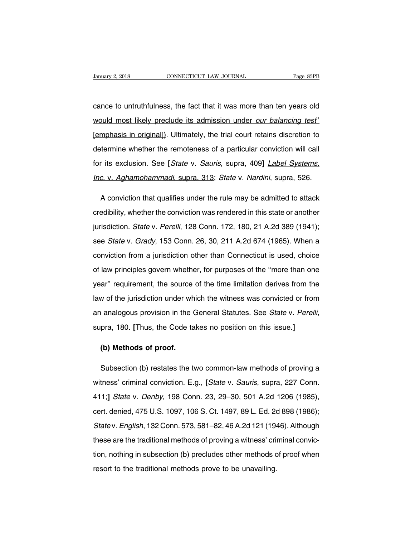CONNECTICUT LAW JOURNAL Page 83PB<br>
Cance to untruthfulness, the fact that it was more than ten years old<br>
Cance to untruthfulness, the fact that it was more than ten years old<br>
Would most likely preclude its admission unde Vanuary 2, 2018 CONNECTICUT LAW JOURNAL Page 83PB<br>
Cance to untruthfulness, the fact that it was more than ten years old<br>
Would most likely preclude its admission under *our balancing test*'<br>
(emphasis in original)). Ultim cance to untruthfulness, the fact that it was more than ten years old<br>would most likely preclude its admission under *our balancing test*"<br>[emphasis in original]). Ultimately, the trial court retains discretion to<br>determin mould most likely preclude its admission under *our balancing test*<br>[emphasis in original]). Ultimately, the trial court retains discretion to<br>determine whether the remoteness of a particular conviction will call<br>for its e Imphasis in original]). Ultimately, the trial court retains discretion to<br>determine whether the remoteness of a particular conviction will call<br>for its exclusion. See [*State v. Sauris*, supra, 409] *Label Systems,*<br>*Inc.* The vertice whether the remoteness of a particular conviction will call<br>
A conviction. See [*State v. Sauris*, supra, 409] *Label Systems*,<br>
C. v. Aghamohammadi, supra, 313; *State v. Nardini*, supra, 526.<br>
A conviction th

for its exclusion. See [*State v. Sauris*, supra, 409] *Label Systems,*<br> *Inc. v. Aghamohammadi*, supra, 313; *State v. Nardini*, supra, 526.<br>
A conviction that qualifies under the rule may be admitted to attack<br>
credibili Inc. v. Aghamohammadi, supra, 313; State v. Nardini, supra, 526.<br>A conviction that qualifies under the rule may be admitted to attack<br>credibility, whether the conviction was rendered in this state or another<br>jurisdiction. A conviction that qualifies under the rule may be admitted to attack<br>credibility, whether the conviction was rendered in this state or another<br>jurisdiction. *State v. Perelli*, 128 Conn. 172, 180, 21 A.2d 389 (1941);<br>see credibility, whether the conviction was rendered in this state or another<br>jurisdiction. *State v. Perelli*, 128 Conn. 172, 180, 21 A.2d 389 (1941);<br>see *State v. Grady*, 153 Conn. 26, 30, 211 A.2d 674 (1965). When a<br>convic jurisdiction. *State v. Perelli*, 128 Conn. 172, 180, 21 A.2d 389 (1941);<br>see *State v. Grady*, 153 Conn. 26, 30, 211 A.2d 674 (1965). When a<br>conviction from a jurisdiction other than Connecticut is used, choice<br>of law pri year'' calle in the source of the time in the source of the time see State v. Grady, 153 Conn. 26, 30, 211 A.2d 674 (1965). When a conviction from a jurisdiction other than Connecticut is used, choice of law principles gov conviction from a jurisdiction other than Connecticut is used, choice<br>of law principles govern whether, for purposes of the "more than one<br>year" requirement, the source of the time limitation derives from the<br>law of the ju an analogous provision in the General Statutes. See State v. Perelli, supra, 180. **[**Thus, the Code takes no position on this issue.**] (b)** Methods of proof.<br> **(b)** Methods of proof.<br> **(b)** Methods of proof.

Fanalogous provision in the defieral statutes. See *State V. Perelli,*<br>pra, 180. [Thus, the Code takes no position on this issue.]<br>**(b) Methods of proof.**<br>Subsection (b) restates the two common-law methods of proving a<br>tne supra, 160. [11ius, the Code takes no position on this issue.]<br>
(b) Methods of proof.<br>
Subsection (b) restates the two common-law methods of proving a<br>
witness' criminal conviction. E.g., [*State v. Sauris*, supra, 227 Con (b) Methods of proof.<br>
Subsection (b) restates the two common-law methods of proving a<br>
witness' criminal conviction. E.g., [*State v. Sauris*, supra, 227 Conn.<br>
411;] *State v. Denby*, 198 Conn. 23, 29–30, 501 A.2d 1206 ( Subsection (b) restates the two common-law methods of proving a<br>witness' criminal conviction. E.g., [*State v. Sauris*, supra, 227 Conn.<br>411;] *State v. Denby*, 198 Conn. 23, 29–30, 501 A.2d 1206 (1985),<br>cert. denied, 475 witness' criminal conviction. E.g., [*State v. Sauris*, supra, 227 Conn.<br>411;] *State v. Denby*, 198 Conn. 23, 29–30, 501 A.2d 1206 (1985),<br>cert. denied, 475 U.S. 1097, 106 S. Ct. 1497, 89 L. Ed. 2d 898 (1986);<br>*State v. E* these channel convenient  $\equiv$ ig., police in calline, expressional 411;] State v. Denby, 198 Conn. 23, 29–30, 501 A.2d 1206 (1985), cert. denied, 475 U.S. 1097, 106 S. Ct. 1497, 89 L. Ed. 2d 898 (1986); State v. English, 1 the subsection, nothing in subsection, nothing in subsection, nothing in subsection (b) precludes other methods of proof when<br>resort to the traditional methods of proving a witness' criminal conviction, nothing in subsecti State v. English, 132 Conn. 573, 581–82, 46 A.2d 121 (19 these are the traditional methods of proving a witness' crition, nothing in subsection (b) precludes other methods cresort to the traditional methods prove to be una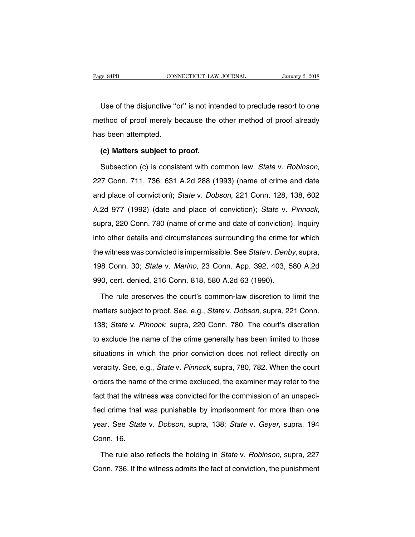Use of the disjunctive "or" is not intended to preclude resort to one<br>
Use of the disjunctive "or" is not intended to preclude resort to one<br>
Use of proof merely because the other method of proof already Page 84PB CONNECTICUT LAW JOURNAL January 2, 2018<br>Use of the disjunctive "or" is not intended to preclude resort to one<br>method of proof merely because the other method of proof already<br>has been attempted. Use of the disjunctive "o<br>
method of proof merely be<br>
has been attempted.<br>
(c) Matters subject to p Use of the disjunctive "or" is not intended of proof merely because the<br>s been attempted.<br>**(c) Matters subject to proof.**<br>Subsection (c) is consistent with co

method of proof merely because the other method of proof already<br>
has been attempted.<br> **(c) Matters subject to proof.**<br>
Subsection (c) is consistent with common law. State v. Robinson,<br>
227 Conn. 711, 736, 631 A.2d 288 (19 (c) Matters subject to proof.<br>
Subsection (c) is consistent with common law. State v. Robinson,<br>
227 Conn. 711, 736, 631 A.2d 288 (1993) (name of crime and date<br>
and place of conviction); State v. Dobson, 221 Conn. 128, 13 Subsection (c) is consistent with common law. State v. Robinson,<br>227 Conn. 711, 736, 631 A.2d 288 (1993) (name of crime and date<br>and place of conviction); State v. Dobson, 221 Conn. 128, 138, 602<br>A.2d 977 (1992) (date and 227 Som... 711, 750, 851 A...24 286 (1686) (hamb of shine and date and place of conviction); *State v. Dobson*, 221 Conn. 128, 138, 602<br>A.2d 977 (1992) (date and place of conviction); *State v. Pinnock*, supra, 220 Conn. 7 A.2d 977 (1992) (date and place of conviction); *State v. Pinnock*, supra, 220 Conn. 780 (name of crime and date of conviction). Inquiry into other details and circumstances surrounding the crime for which the witness was supra, 220 Conn. 780 (name of crime and date of conviction). Inquiry<br>into other details and circumstances surrounding the crime for which<br>the witness was convicted is impermissible. See *Statev. Denby*, supra,<br>198 Conn. 30 990, cert. denied, 216 Conn. 818, 580 A.2d 63 (1990).<br>The rule preserves the connection of the witness was convicted is impermissible. See *State v. Denby*<br>198 Conn. 30; *State v. Marino*, 23 Conn. App. 392, 403, 5<br>990, ce External Perminissible. See *Statev. Denby*, supra,<br>
18 Conn. 30; *Statev. Marino*, 23 Conn. App. 392, 403, 580 A.2d<br>
10, cert. denied, 216 Conn. 818, 580 A.2d 63 (1990).<br>
19 The rule preserves the court's common-law discr

198 Conn. 30; *State v. Marino*, 23 Conn. App. 392, 403, 580 A.2d<br>990, cert. denied, 216 Conn. 818, 580 A.2d 63 (1990).<br>The rule preserves the court's common-law discretion to limit the<br>matters subject to proof. See, e.g., 138; State v. Pinnock, supra, 220 Conn. 780. The court's common-law discretion to limit the<br>
138; State v. Pinnock, supra, 220 Conn. 780. The court's discretion<br>
138; State v. Pinnock, supra, 220 Conn. 780. The court's dis The rule preserves the court's common-law discretion to limit the<br>matters subject to proof. See, e.g., *State* v. *Dobson*, supra, 221 Conn.<br>138; *State* v. *Pinnock*, supra, 220 Conn. 780. The court's discretion<br>to exclud matters subject to proof. See, e.g., *State* v. *Dobson*, supra, 221 Conn.<br>138; *State* v. *Pinnock*, supra, 220 Conn. 780. The court's discretion<br>to exclude the name of the crime generally has been limited to those<br>situat 138; *State* v. *Pinnock*, supra, 220 Conn. 780. The court's discretion to exclude the name of the crime generally has been limited to those situations in which the prior conviction does not reflect directly on veracity. for exclude the name of the crime generally has been limited to those<br>situations in which the prior conviction does not reflect directly on<br>veracity. See, e.g., *State* v. *Pinnock*, supra, 780, 782. When the court<br>orders situations in which the prior conviction does not reflect directly on veracity. See, e.g., *State v. Pinnock*, supra, 780, 782. When the court orders the name of the crime excluded, the examiner may refer to the fact that veracity. See, e.g., *State* v. *Pinnock*, supra, 780, 782. When the court<br>orders the name of the crime excluded, the examiner may refer to the<br>fact that the witness was convicted for the commission of an unspeci-<br>fied cri orders the name of the crime excluded, the examiner may refer to the fact that the witness was convicted for the commission of an unspecified crime that was punishable by imprisonment for more than one year. See *State v.* Fract that the with<br>fied crime that<br>year. See *State*<br>Conn. 16.<br>The rule also d crime that was punishable by imprisonment for more than one<br>ar. See *State* v. *Dobson*, supra, 138; *State* v. *Geyer*, supra, 194<br>pnn. 16.<br>The rule also reflects the holding in *State* v. *Robinson*, supra, 227<br>pnn. 73 year. See *State* v. *Dobson*, supra, 138; *State* v. *Geyer*, supra, 194<br>Conn. 16.<br>The rule also reflects the holding in *State* v. *Robinson*, supra, 227<br>Conn. 736. If the witness admits the fact of conviction, the punis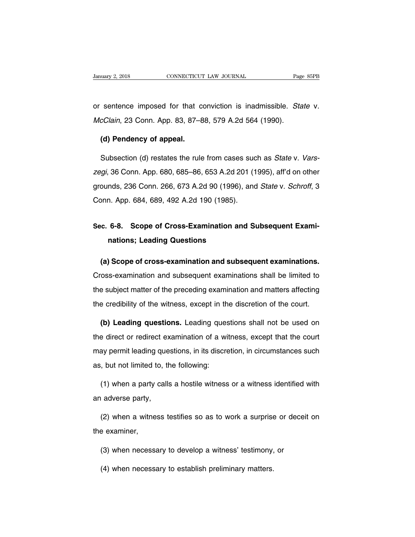Vanuary 2, 2018 CONNECTICUT LAW JOURNAL Page 85PB<br>
or sentence imposed for that conviction is inadmissible. State v.<br>
McClain, 23 Conn. App. 83, 87–88, 579 A.2d 564 (1990). Manuary 2, 2018 CONNECTICUT LAW JOURNAL Page<br>
or sentence imposed for that conviction is inadmissible. Standard McClain, 23 Conn. App. 83, 87–88, 579 A.2d 564 (1990). sentence imposed for that conclain, 23 Conn. App. 83, 87–8<br> **(d) Pendency of appeal.**<br>
Subsection (d) restates the rule

sentence imposed for that conviction is inadmissible. *State* v.<br>cClain, 23 Conn. App. 83, 87–88, 579 A.2d 564 (1990).<br>(d) Pendency of appeal.<br>Subsection (d) restates the rule from cases such as *State* v. Vars-<br>gi, 36 Con AcClain, 23 Conn. App. 83, 87–88, 579 A.2d 564 (1990).<br>
(d) Pendency of appeal.<br>
Subsection (d) restates the rule from cases such as *State v. Vars-<br>
zegi*, 36 Conn. App. 680, 685–86, 653 A.2d 201 (1995), aff'd on other<br>
g (d) Pendency of appeal.<br>
Subsection (d) restates the rule from cases such as *State v. Vars-<br>
zegi*, 36 Conn. App. 680, 685–86, 653 A.2d 201 (1995), aff'd on other<br>
grounds, 236 Conn. 266, 673 A.2d 90 (1996), and *State v.* Subsection (d) restates the rule from cases suc<br> *zegi*, 36 Conn. App. 680, 685–86, 653 A.2d 201 (1<br>
grounds, 236 Conn. 266, 673 A.2d 90 (1996), anc<br>
Conn. App. 684, 689, 492 A.2d 190 (1985). zegi, 36 Conn. App. 680, 685–86, 653 A.2d 201 (1995), afrid on other<br>grounds, 236 Conn. 266, 673 A.2d 90 (1996), and *State v. Schroff*, 3<br>Conn. App. 684, 689, 492 A.2d 190 (1985).<br>Sec. 6-8. Scope of Cross-Examination and

# nas, 236 Conn. 266, 673 A.2d 90 (1996),<br>**n. App. 684, 689, 492 A.2d 190 (1985).**<br>**6-8. Scope of Cross-Examination an nations; Leading Questions (b. 6-8. Scope of Cross-Examination and Subsequent Examinations; Leading Questions<br>(a) Scope of cross-examination and subsequent examinations.**<br>oss-examination and subsequent examinations shall be limited to

Sec. 6-8. Scope of Cross-Examination and Subsequent Examinations; Leading Questions<br>
(a) Scope of cross-examination and subsequent examinations.<br>
Cross-examination and subsequent examinations shall be limited to<br>
the subje nations; Leading Questions<br>
(a) Scope of cross-examination and subsequent examinations.<br>
Cross-examination and subsequent examinations shall be limited to<br>
the subject matter of the preceding examination and matters affect (a) Scope of cross-examination and subsequent examinations.<br>Cross-examination and subsequent examinations shall be limited to<br>the subject matter of the preceding examination and matters affecting<br>the credibility of the wit From the subject matter of the preceding examinations shall be limited to<br>a subject matter of the preceding examination and matters affecting<br>a credibility of the witness, except in the discretion of the court.<br>**(b) Leadin** 

the subject matter of the preceding examination and matters affecting<br>the credibility of the witness, except in the discretion of the court.<br>(b) Leading questions. Leading questions shall not be used on<br>the direct or redir the credibility of the witness, except in the discretion of the court.<br>
(b) Leading questions. Leading questions shall not be used on<br>
the direct or redirect examination of a witness, except that the court<br>
may permit lead **(b) Leading questions.** Leading questions the direct or redirect examination of a wide may permit leading questions, in its discretions, but not limited to, the following: (1) experiment in a witness, except that the court<br>ay permit leading questions, in its discretion, in circumstances such<br>t, but not limited to, the following:<br>(1) when a party calls a hostile witness or a witness identifie may permit leading que<br>as, but not limited to, the<br>(1) when a party calls<br>an adverse party,

(1) when a party calls a hostile witness or a witness identified with<br>adverse party,<br>(2) when a witness testifies so as to work a surprise or deceit on<br>e examiner, (1) when a party<br>an adverse party,<br>(2) when a witne<br>the examiner,<br>(3) when pecess:

(2) when a witness testifies so as to work a surprise or deceinties<br>
a examiner,<br>
(3) when necessary to develop a witness' testimony, or<br>
(4) when necessary to establish proliminary matters (2) when a witness testifies so as to work a surprise<br>  $e$  examiner,<br>
(3) when necessary to develop a witness' testimony,<br>
(4) when necessary to establish preliminary matters.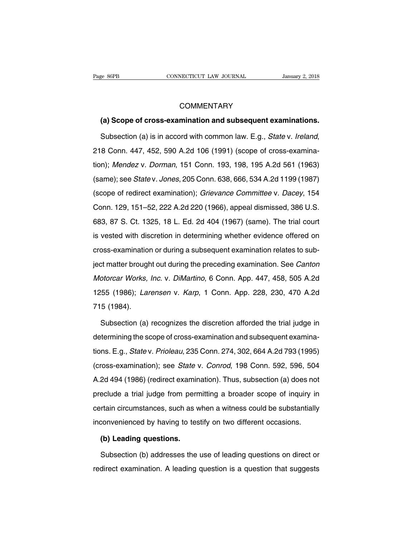# **COMMENTARY**

EXTREE CONNECTICUT LAW JOURNAL *January 2, 2018*<br>
COMMENTARY<br> **(a) Scope of cross-examination and subsequent examinations.**<br>
Subsection (a) is in accord with common law. E.g., *State v. Ireland*, COMMENTARY<br>
(a) Scope of cross-examination and subsequent examinations.<br>
Subsection (a) is in accord with common law. E.g., *State v. Ireland*,<br>
218 Conn. 447, 452, 590 A.2d 106 (1991) (scope of cross-examina-<br>
tion); *Men* (a) Scope of cross-examination and subsequent examinations.<br>
Subsection (a) is in accord with common law. E.g., *State v. Ireland*,<br>
218 Conn. 447, 452, 590 A.2d 106 (1991) (scope of cross-examina-<br>
tion); *Mendez v. Dorm* Subsection (a) is in accord with common law. E.g., *State v. Ireland*,<br>218 Conn. 447, 452, 590 A.2d 106 (1991) (scope of cross-examina-<br>tion); *Mendez v. Dorman*, 151 Conn. 193, 198, 195 A.2d 561 (1963)<br>(same); see *State* 218 Conn. 447, 452, 590 A.2d 106 (1991) (scope of cross-examina-<br>tion); *Mendez v. Dorman*, 151 Conn. 193, 198, 195 A.2d 561 (1963)<br>(same); see *State v. Jones*, 205 Conn. 638, 666, 534 A.2d 1199 (1987)<br>(scope of redirect Lib Conn. 111, 152, 336 M.2d 136 (1861) (336pe of 3138 Stammination); *Mendez v. Dorman*, 151 Conn. 193, 198, 195 A.2d 561 (1963) (same); see *State v. Jones*, 205 Conn. 638, 666, 534 A.2d 1199 (1987) (scope of redirect ex (same); see *State* v. *Jones*, 205 Conn. 638, 666, 534 A.2d 1199 (1987)<br>(scope of redirect examination); *Grievance Committee* v. *Dacey*, 154<br>Conn. 129, 151–52, 222 A.2d 220 (1966), appeal dismissed, 386 U.S.<br>683, 87 S. (scope of redirect examination); *Grievance Committee v. Dacey*, 154<br>Conn. 129, 151–52, 222 A.2d 220 (1966), appeal dismissed, 386 U.S.<br>683, 87 S. Ct. 1325, 18 L. Ed. 2d 404 (1967) (same). The trial court<br>is vested with d coope of feareot examination), cinevance committee v: Bacey, 161<br>Conn. 129, 151–52, 222 A.2d 220 (1966), appeal dismissed, 386 U.S.<br>683, 87 S. Ct. 1325, 18 L. Ed. 2d 404 (1967) (same). The trial court<br>is vested with discre gentitively, 1911 02, 222 7the 229 (1999), appear allowsoca, 999 9.9.<br>683, 87 S. Ct. 1325, 18 L. Ed. 2d 404 (1967) (same). The trial court<br>is vested with discretion in determining whether evidence offered on<br>cross-examinat is vested with discretion in determining whether evidence offered on<br>cross-examination or during a subsequent examination relates to sub-<br>ject matter brought out during the preceding examination. See *Canton*<br>Motorcar Work 1255 (1986); Larensen v. Karp, 1 Conn. App. 228, 230, 470 A.2d<br>
1255 (1986); Larensen v. Karp, 1 Conn. App. 228, 230, 470 A.2d<br>
1255 (1986); Larensen v. Karp, 1 Conn. App. 228, 230, 470 A.2d<br>
1255 (1986); Larensen v. Karp, giect matter brought<br>ject matter brought<br>Motorcar Works,<br>1255 (1986); Lan<br>715 (1984).<br>Subsection (a) otorcar Works, Inc. v. DiMartino, 6 Conn. App. 447, 458, 505 A.2d<br>55 (1986); Larensen v. Karp, 1 Conn. App. 228, 230, 470 A.2d<br>5 (1984).<br>Subsection (a) recognizes the discretion afforded the trial judge in<br>termining the sc

1255 (1986); *Larensen* v. *Karp*, 1 Conn. App. 228, 230, 470 A.2d<br>715 (1984).<br>Subsection (a) recognizes the discretion afforded the trial judge in<br>determining the scope of cross-examination and subsequent examina-<br>tions. Tions. (1984).<br>Subsection (a) recognizes the discretion afforded the trial judge in<br>determining the scope of cross-examination and subsequent examina-<br>tions. E.g., *State* v. *Prioleau*, 235 Conn. 274, 302, 664 A.2d 793 (1 Subsection (a) recognizes the discretion afforded the trial judge in<br>determining the scope of cross-examination and subsequent examina-<br>tions. E.g., *State* v. *Prioleau*, 235 Conn. 274, 302, 664 A.2d 793 (1995)<br>(cross-exa determining the scope of cross-examination and subsequent examina-<br>tions. E.g., *State v. Prioleau*, 235 Conn. 274, 302, 664 A.2d 793 (1995)<br>(cross-examination); see *State v. Conrod*, 198 Conn. 592, 596, 504<br>A.2d 494 (198 dions. E.g., *State* v. *Prioleau*, 235 Conn. 274, 302, 664 A.2d 793 (1995)<br>(cross-examination); see *State* v. *Conrod*, 198 Conn. 592, 596, 504<br>A.2d 494 (1986) (redirect examination). Thus, subsection (a) does not<br>preclu cross-examination); see *State* v. *Conrod*, 198 Conn. 592, 596, 504<br>A.2d 494 (1986) (redirect examination). Thus, subsection (a) does not<br>preclude a trial judge from permitting a broader scope of inquiry in<br>certain circum (cross-examination); see *State* v. *Conrod*, 198 Conn. 592, 596, 504<br>A.2d 494 (1986) (redirect examination). Thus, subsection (a) does not<br>preclude a trial judge from permitting a broader scope of inquiry in<br>certain circu eclude a trial judge from perm<br>
rtain circumstances, such as v<br>
convenienced by having to tes<br> **(b) Leading questions.**<br>
Subsection (b) addresses the Train circumstances, such as when a witness could be substantially<br>
sonvenienced by having to testify on two different occasions.<br> **(b) Leading questions.**<br>
Subsection (b) addresses the use of leading questions on direct o

inconvenienced by having to testify on two different occasions.<br>
(b) Leading questions.<br>
Subsection (b) addresses the use of leading questions on direct or redirect examination. A leading question is a question that sugges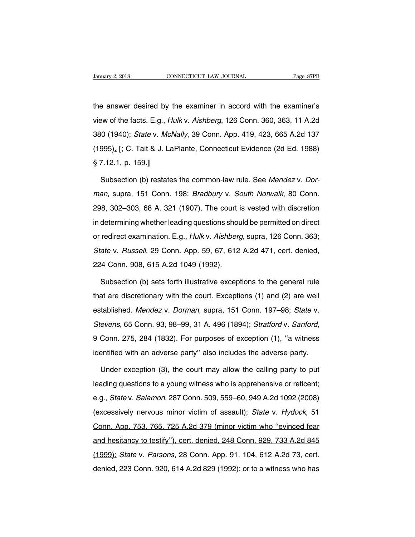University 2, 2018 CONNECTICUT LAW JOURNAL Page 87PB<br>the answer desired by the examiner in accord with the examiner's<br>view of the facts. E.g., *Hulk* v. *Aishberg*, 126 Conn. 360, 363, 11 A.2d Vanuary 2, 2018 CONNECTICUT LAW JOURNAL Page 87PB<br>the answer desired by the examiner in accord with the examiner's<br>view of the facts. E.g., *Hulk v. Aishberg*, 126 Conn. 360, 363, 11 A.2d<br>380 (1940); *State v. McNally*, 39 the answer desired by the examiner in accord with the examiner's<br>view of the facts. E.g., *Hulk v. Aishberg*, 126 Conn. 360, 363, 11 A.2d<br>380 (1940); *State v. McNally*, 39 Conn. App. 419, 423, 665 A.2d 137<br>(1995)<sub>-</sub> [; C. the answer desired by the examiner in accord with the examiner's<br>view of the facts. E.g., *Hulk v. Aishberg*, 126 Conn. 360, 363, 11 A.2d<br>380 (1940); *State v. McNally*, 39 Conn. App. 419, 423, 665 A.2d 137<br>(1995)<u>.</u> [; C. view of the facts. E.g., *H*<br>(1940); *State v. Mc.*<br>(1995)<u>.</u> [; C. Tait & J. La<br>§ 7.12.1, p. 159.]<br>Subsection (b) restate 995). [; C. Tait & J. LaPlante, Conn. App. 419, 423, 665 A.2d 137<br>995). [; C. Tait & J. LaPlante, Connecticut Evidence (2d Ed. 1988)<br>7.12.1, p. 159.]<br>Subsection (b) restates the common-law rule. See Mendez v. Dor-<br>an, supr

(1995)<sub>-</sub> [; C. Tait & J. LaPlante, Connecticut Evidence (2d Ed. 1988)<br>§ 7.12.1, p. 159.]<br>Subsection (b) restates the common-law rule. See Mendez v. Dor-<br>man, supra, 151 Conn. 198; Bradbury v. South Norwalk, 80 Conn.<br>298, § 7.12.1, p. 159.]<br>
Subsection (b) restates the common-law rule. See *Mendez v. Dor-<br>
man*, supra, 151 Conn. 198; *Bradbury v. South Norwalk*, 80 Conn.<br>
298, 302–303, 68 A. 321 (1907). The court is vested with discretion<br> Subsection (b) restates the common-law rule. See Mendez v. Dor-<br>man, supra, 151 Conn. 198; Bradbury v. South Norwalk, 80 Conn.<br>298, 302–303, 68 A. 321 (1907). The court is vested with discretion<br>in determining whether lead man, supra, 151 Conn. 198; *Bradbury v. South Norwalk*, 80 Conn.<br>298, 302–303, 68 A. 321 (1907). The court is vested with discretion<br>in determining whether leading questions should be permitted on direct<br>or redirect examin man, supra, 1911 Softh. 199, *Bladbary V. Sodan Netwark*, 39 Softh.<br>298, 302–303, 68 A. 321 (1907). The court is vested with discretion<br>in determining whether leading questions should be permitted on direct<br>or redirect exa 226, 882 888, 887. 821 (1997). The search<br>in determining whether leading questions shou<br>or redirect examination. E.g., *Hulk v. Aishberg<br>State v. Russell*, 29 Conn. App. 59, 67, 612<br>224 Conn. 908, 615 A.2d 1049 (1992).<br>Sub redirect examination. E.g., *Hulk* v. Aishberg, supra, 126 Conn. 363;<br>ate v. *Russell*, 29 Conn. App. 59, 67, 612 A.2d 471, cert. denied,<br>14 Conn. 908, 615 A.2d 1049 (1992).<br>Subsection (b) sets forth illustrative exception

State v. Russell, 29 Conn. App. 59, 67, 612 A.2d 471, cert. denied,<br>224 Conn. 908, 615 A.2d 1049 (1992).<br>Subsection (b) sets forth illustrative exceptions to the general rule<br>that are discretionary with the court. Exceptio 224 Conn. 908, 615 A.2d 1049 (1992).<br>
Subsection (b) sets forth illustrative exceptions to the general rule<br>
that are discretionary with the court. Exceptions (1) and (2) are well<br>
established. *Mendez* v. *Dorman*, supra, Subsection (b) sets forth illustrative exceptions to the general rule<br>that are discretionary with the court. Exceptions (1) and (2) are well<br>established. *Mendez* v. *Dorman*, supra, 151 Conn. 197–98; *State* v.<br>*Stevens*, established. *Mendez* v. *Dorman*, supra, 151 Conn. 197–98; *State* v. *Stevens*, 65 Conn. 93, 98–99, 31 A. 496 (1894); *Stratford* v. *Sanford*, 9 Conn. 275, 284 (1832). For purposes of exception (1), "a witness identifi evens, 65 Conn. 93, 98–99, 31 A. 496 (1894); *Stratford v. Sanford*,<br>Conn. 275, 284 (1832). For purposes of exception (1), "a witness<br>entified with an adverse party" also includes the adverse party.<br>Under exception (3), th

9 Conn. 275, 284 (1832). For purposes of exception (1), "a witness<br>identified with an adverse party" also includes the adverse party.<br>Under exception (3), the court may allow the calling party to put<br>leading questions to a identified with an adverse party" also includes the adverse party.<br>Under exception (3), the court may allow the calling party to put<br>leading questions to a young witness who is apprehensive or reticent;<br>e.g., *State v. Sal* Under exception (3), the court may allow the calling party to put<br>leading questions to a young witness who is apprehensive or reticent;<br>e.g., *State v. Salamon*, 287 Conn. 509, 559–60, 949 A.2d 1092 (2008)<br>(excessively ner eading questions to a young witness who is apprehensive or reticent;<br>e.g., *State* v. *Salamon*, 287 Conn. 509, 559–60, 949 A.2d 1092 (2008)<br>(excessively nervous minor victim of assault); *State* v. *Hydock*, 51<br>Conn. App. e.g., *State* v. *Salamon*, 287 Conn. 509, 559–60, 949 A.2d 1092 (2008)<br>(excessively nervous minor victim of assault); *State* v. *Hydock*, 51<br>Conn. App. 753, 765, 725 A.2d 379 (minor victim who "evinced fear<br>and hesitancy expendix of the Magnetic Conneistic Conneistic Conneistic (excessively nervous minor victim of assault); State v. Hydock, 51<br>Conn. App. 753, 765, 725 A.2d 379 (minor victim who "evinced fear<br>and hesitancy to testify"), cer Conn. App. 753, 765, 725 A.2d 379 (minor victim who "evinced fear<br>and hesitancy to testify"), cert. denied, 248 Conn. 929, 733 A.2d 845<br>(1999); *State v. Parsons*, 28 Conn. App. 91, 104, 612 A.2d 73, cert.<br>denied, 223 Conn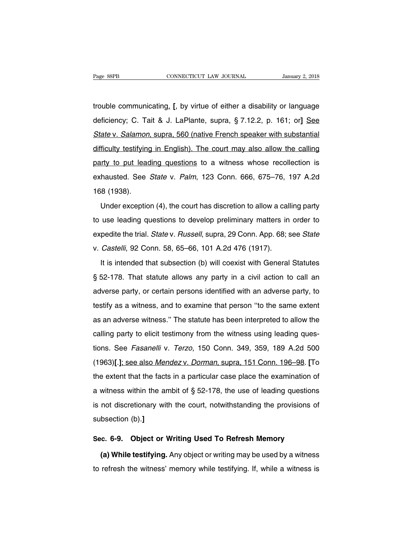Fage 88PB<br>trouble communicating. **[**, by virtue of either a disability or language<br>deficiency; C. Tait & J. LaPlante, supra, § 7.12.2, p. 161; or] <u>See</u> Page 88PB CONNECTICUT LAW JOURNAL January 2, 2018<br>trouble communicating. [, by virtue of either a disability or language<br>deficiency; C. Tait & J. LaPlante, supra, § 7.12.2, p. 161; or] <u>See</u><br>State v. Salamon, supra, 560 (n Itrouble communicating. [, by virtue of either a disability or language<br>deficiency; C. Tait & J. LaPlante, supra, § 7.12.2, p. 161; or] See<br>State v. Salamon, supra, 560 (native French speaker with substantial<br>difficulty te trouble communicating. [, by virtue of either a disability or language<br>deficiency; C. Tait & J. LaPlante, supra, § 7.12.2, p. 161; or] See<br>State v. Salamon, supra, 560 (native French speaker with substantial<br>difficulty tes deficiency; C. Tait & J. LaPlante, supra, § 7.12.2, p. 161; or] See<br>State v. Salamon, supra, 560 (native French speaker with substantial<br>difficulty testifying in English). The court may also allow the calling<br>party to put State v. Salamon, supra, 560 (native French speaker with substantial<br>difficulty testifying in English). The court may also allow the calling<br>party to put leading questions to a witness whose recollection is<br>exhausted. See difficulty testifying<br>difficulty testifying<br>party to put lead<br>exhausted. See<br>168 (1938).<br>Under exceptio Inty to put leading questions to a witness whose recollection is<br>hausted. See *State* v. Palm, 123 Conn. 666, 675–76, 197 A.2d<br>8 (1938).<br>Under exception (4), the court has discretion to allow a calling party<br>use leading qu

exhausted. See *State* v. *Palm*, 123 Conn. 666, 675–76, 197 A.2d<br>168 (1938).<br>Under exception (4), the court has discretion to allow a calling party<br>to use leading questions to develop preliminary matters in order to<br>exped 168 (1938).<br>Under exception (4), the court has discretion to allow a calling party<br>to use leading questions to develop preliminary matters in order to<br>expedite the trial. State v. Russell, supra, 29 Conn. App. 68; see Sta Under exception (4), the court has discretion to allow a call<br>to use leading questions to develop preliminary matters in<br>expedite the trial. State v. Russell, supra, 29 Conn. App. 68; s<br>v. Castelli, 92 Conn. 58, 65–66, 101 It is intended that subsection is allowed calling pairly<br>It is intended that subsection (b) will coexist App. 68; see *State*<br>Castelli, 92 Conn. 58, 65–66, 101 A.2d 476 (1917).<br>It is intended that subsection (b) will coexi

Expedite the trial. *State* v. *Russell*, supra, 29 Conn. App. 68; see *State* v. *Castelli*, 92 Conn. 58, 65–66, 101 A.2d 476 (1917).<br>It is intended that subsection (b) will coexist with General Statutes § 52-178. That st v. Castelli, 92 Conn. 58, 65–66, 101 A.2d 476 (1917).<br>It is intended that subsection (b) will coexist with General Statutes<br>§ 52-178. That statute allows any party in a civil action to call an<br>adverse party, or certain per It is intended that subsection (b) will coexist with General Statutes  $\S$  52-178. That statute allows any party in a civil action to call an adverse party, or certain persons identified with an adverse party, to testify a § 52-178. That statute allows any party in a civil action to call an<br>adverse party, or certain persons identified with an adverse party, to<br>testify as a witness, and to examine that person "to the same extent<br>as an adverse adverse party, or certain persons identified with an adverse party, to testify as a witness, and to examine that person "to the same extent as an adverse witness." The statute has been interpreted to allow the calling par testify as a witness, and to examine that person "to the same extent<br>as an adverse witness." The statute has been interpreted to allow the<br>calling party to elicit testimony from the witness using leading ques-<br>tions. See (1963)] as a matrice, and to start the has been interpreted to allow the calling party to elicit testimony from the witness using leading questions. See *Fasanelli v. Terzo*, 150 Conn. 349, 359, 189 A.2d 500 (1963)[.]; see as an aarenes minese. The etatate has seen interpreted to allem the<br>calling party to elicit testimony from the witness using leading ques-<br>tions. See *Fasanelli* v. Terzo, 150 Conn. 349, 359, 189 A.2d 500<br>(1963)[.]; see al becausing party to enert to startedly from the with see stering leading questions. See *Fasanelli* v. *Terzo*, 150 Conn. 349, 359, 189 A.2d 500 (1963)[.]; see also *Mendez v. Dorman*, supra, 151 Conn. 196–98. [To the exte (1963)[.]; see also *Mendez v. Dorman*, supra, 151 Conn. 196–98. [To the extent that the facts in a particular case place the examination of a witness within the ambit of  $\S 52-178$ , the use of leading questions is not di the extent that the fact<br>a witness within the art<br>is not discretionary with<br>subsection (b).] a witness within the ambit of § 52-178, the use of leading questions<br>is not discretionary with the court, notwithstanding the provisions of<br>subsection (b).]<br>**Sec. 6-9. Object or Writing Used To Refresh Memory**<br>**(a) While t (b)** actionary with the court, notwithstanding the provisions of<br> **(a) While testifying.** Any object or writing may be used by a witness<br> **(a) While testifying.** Any object or writing may be used by a witness<br>
refresh the

subsection (b).]<br>Sec. 6-9. Object or Writing Used To Refresh Memory<br>(a) While testifying. Any object or writing may be used by a witness<br>to refresh the witness' memory while testifying. If, while a witness is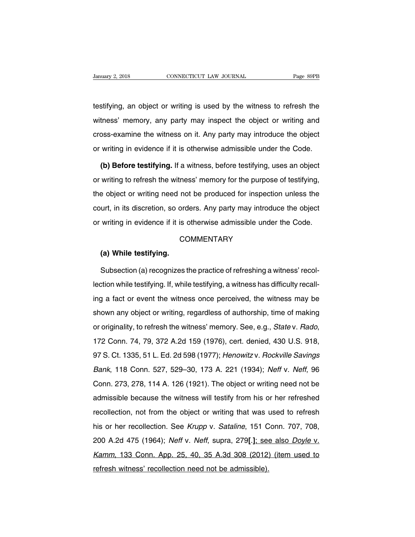University of the University of the Wilamary 2, 2018<br>testifying, an object or writing is used by the witness to refresh the<br>witness' memory, any party may inspect the object or writing and Vanuary 2, 2018 CONNECTICUT LAW JOURNAL Page 89PB<br>testifying, an object or writing is used by the witness to refresh the<br>witness' memory, any party may inspect the object or writing and<br>cross-examine the witness on it. Any testifying, an object or writing is used by the witness to refresh the<br>witness' memory, any party may inspect the object or writing and<br>cross-examine the witness on it. Any party may introduce the object<br>or writing in evid testifying, an object or writing is used by the witness to refresh the<br>witness' memory, any party may inspect the object or writing and<br>cross-examine the witness on it. Any party may introduce the object<br>or writing in evid thess' memory, any party may inspect the object or writing and<br>
poss-examine the witness on it. Any party may introduce the object<br>
writing in evidence if it is otherwise admissible under the Code.<br> **(b) Before testifying.** 

cross-examine the witness on it. Any party may introduce the object<br>or writing in evidence if it is otherwise admissible under the Code.<br>(b) Before testifying. If a witness, before testifying, uses an object<br>or writing to or writing in evidence if it is otherwise admissible under the Code.<br>
(b) Before testifying. If a witness, before testifying, uses an object<br>
or writing to refresh the witness' memory for the purpose of testifying,<br>
the ob (b) Before testifying. If a witness, before testifying, uses an object or writing to refresh the witness' memory for the purpose of testifying, the object or writing need not be produced for inspection unless the court, in or writing to refresh the witness' memory for the purpose of testifying, the object or writing need not be produced for inspection unless the court, in its discretion, so orders. Any party may introduce the object or writi urt, in its discretion, so ord<br>writing in evidence if it is our<br>CC<br>**(a) While testifying.**<br>Subsection (a) recognizes to

# **COMMENTARY**

writing in evidence if it is otherwise admissible under the Code.<br>COMMENTARY<br>(a) While testifying.<br>Subsection (a) recognizes the practice of refreshing a witness' recol-<br>tion while testifying. If, while testifying, a witne COMMENTARY<br>
(a) While testifying.<br>
Subsection (a) recognizes the practice of refreshing a witness' recol-<br>
lection while testifying. If, while testifying, a witness has difficulty recall-<br>
ing a fact or event the witness o (a) While testifying.<br>
Subsection (a) recognizes the practice of refreshing a witness' recollection while testifying. If, while testifying, a witness has difficulty recall-<br>
ing a fact or event the witness once perceived, Subsection (a) recognizes the practice of refreshing a witness' recollection while testifying. If, while testifying, a witness has difficulty recalling a fact or event the witness once perceived, the witness may be shown a lection while testifying. If, while testifying, a witness has difficulty recall-<br>ing a fact or event the witness once perceived, the witness may be<br>shown any object or writing, regardless of authorship, time of making<br>or o shown any object or writing, regardless of authorship, time of making<br>or originality, to refresh the witness' memory. See, e.g., *State* v. *Rado*,<br>172 Conn. 74, 79, 372 A.2d 159 (1976), cert. denied, 430 U.S. 918,<br>97 S. C Briown any seject of whang, regardiese of databoonip, and of making<br>or originality, to refresh the witness' memory. See, e.g., *State v. Rado*,<br>172 Conn. 74, 79, 372 A.2d 159 (1976), cert. denied, 430 U.S. 918,<br>97 S. Ct. 1 172 Conn. 74, 79, 372 A.2d 159 (1976), cert. denied, 430 U.S. 918,<br>172 Conn. 74, 79, 372 A.2d 159 (1976), cert. denied, 430 U.S. 918,<br>97 S. Ct. 1335, 51 L. Ed. 2d 598 (1977); *Henowitz v. Rockville Savings*<br>Bank, 118 Conn. ank, 118 Conn. 273, 51 L. Ed. 2d 598 (1977); *Henowitz v. Rockville Savings*<br>Bank, 118 Conn. 527, 529–30, 173 A. 221 (1934); *Neff v. Neff*, 96<br>Conn. 273, 278, 114 A. 126 (1921). The object or writing need not be<br>admissibl Bank, 118 Conn. 527, 529–30, 173 A. 221 (1934); *Neff v. Neff*, 96<br>Conn. 273, 278, 114 A. 126 (1921). The object or writing need not be<br>admissible because the witness will testify from his or her refreshed<br>recollection, no Dann, 110 Conn. 627, 626 66, 176 At 221 (1664), Nen V. Nen, 66<br>Conn. 273, 278, 114 A. 126 (1921). The object or writing need not be<br>admissible because the witness will testify from his or her refreshed<br>recollection, not fr 200 A.2d 475 (1964); Neff, supra, 279**[**.]; see also Doyle v. Neff v. Neff v. Neff v. Neff, supra, 279**[**.]; see also Doyle v. Kamm, 133 Conn. App. 25, 40, 35 A.3d 308 (2012) (item used to recollection, not from the object or writing that was used to refresh<br>his or her recollection. See *Krupp v. Sataline*, 151 Conn. 707, 708,<br>200 A.2d 475 (1964); *Neff v. Neff*, supra, 279[.]; see also *Doyle v.*<br>Kamm, 133 reconcention, not not the explorer whiting that was this or her recollection. See *Krupp v. Sataline*, 151 C<br>200 A.2d 475 (1964); *Neff v. Neff*, supra, 279[.]; see<br>Kamm, 133 Conn. App. 25, 40, 35 A.3d 308 (2012)<br>refresh w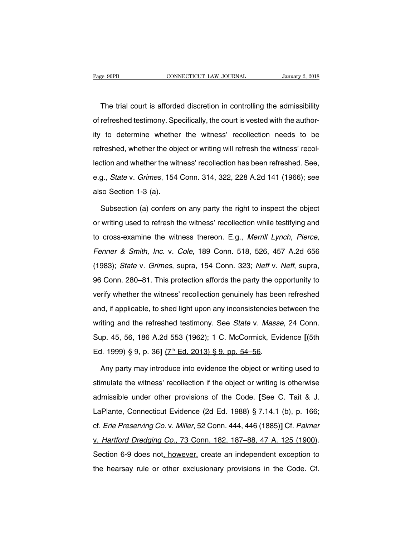The trial court is afforded discretion in controlling the admissibility<br>The trial court is afforded discretion in controlling the admissibility<br>refreshed testimony. Specifically, the court is vested with the author-Page 90PB CONNECTICUT LAW JOURNAL January 2, 2018<br>The trial court is afforded discretion in controlling the admissibility<br>of refreshed testimony. Specifically, the court is vested with the author-<br>ity to determine whether The trial court is afforded discretion in controlling the admissibility<br>of refreshed testimony. Specifically, the court is vested with the author-<br>ity to determine whether the witness' recollection needs to be<br>refreshed, w The trial court is afforded discretion in controlling the admissibility<br>of refreshed testimony. Specifically, the court is vested with the author-<br>ity to determine whether the witness' recollection needs to be<br>refreshed, w In the dial court is and doctorum in controlling the daminosismy<br>of refreshed testimony. Specifically, the court is vested with the author-<br>ity to determine whether the witness' recollection needs to be<br>refreshed, whether ity to determine whether the witness' recollection needs to be refreshed, whether the object or writing will refresh the witness' recollection and whether the witness' recollection has been refreshed. See, e.g., *State* v. refreshed, whether the objection and whether the wite.<br>Let ion and whether the wite.<br>e.g., *State* v. *Grimes*, 154<br>also Section 1-3 (a).<br>Subsection (a) confers of ortion and whether the witness' recollection has been refreshed. See,<br>
g., *State* v. *Grimes*, 154 Conn. 314, 322, 228 A.2d 141 (1966); see<br>
so Section 1-3 (a).<br>
Subsection (a) confers on any party the right to inspect th

e.g., *State* v. *Grimes*, 154 Conn. 314, 322, 228 A.2d 141 (1966); see<br>also Section 1-3 (a).<br>Subsection (a) confers on any party the right to inspect the object<br>or writing used to refresh the witness' recollection while t also Section 1-3 (a).<br>
Subsection (a) confers on any party the right to inspect the object<br>
or writing used to refresh the witness' recollection while testifying and<br>
to cross-examine the witness thereon. E.g., *Merrill Ly* Subsection (a) confers on any party the right to inspect the object<br>or writing used to refresh the witness' recollection while testifying and<br>to cross-examine the witness thereon. E.g., *Merrill Lynch, Pierce,<br>Fenner & Smi* or writing used to refresh the witness' recollection while testifying and<br>to cross-examine the witness thereon. E.g., *Merrill Lynch, Pierce,<br>Fenner & Smith, Inc.* v. *Cole*, 189 Conn. 518, 526, 457 A.2d 656<br>(1983); *State* 196 Connumity about the vitness thereon. E.g., *Merrill Lynch, Pierce,*<br>Fenner & Smith, *Inc.* v. Cole, 189 Conn. 518, 526, 457 A.2d 656<br>(1983); State v. Grimes, supra, 154 Conn. 323; Neff v. Neff, supra,<br>96 Conn. 280–81. verify whether the with the 18 martics. Eig., morning them, richco, Fenner & Smith, Inc. v. Cole, 189 Conn. 518, 526, 457 A.2d 656 (1983); State v. Grimes, supra, 154 Conn. 323; Neff v. Neff, supra, 96 Conn. 280–81. This p (1983); *State* v. *Grimes*, supra, 154 Conn. 323; *Neff* v. *Neff*, supra, 96 Conn. 280–81. This protection affords the party the opportunity to verify whether the witness' recollection genuinely has been refreshed and, 96 Conn. 280–81. This protection affords the party the opportunity to<br>verify whether the witness' recollection genuinely has been refreshed<br>and, if applicable, to shed light upon any inconsistencies between the<br>writing and Superify whether the witness' recollection genuinely has been refreshed<br>and, if applicable, to shed light upon any inconsistencies between the<br>writing and the refreshed testimony. See *State* v. *Masse*, 24 Conn.<br>Sup. 45, ed. if applicable, to shed light upon any inconsistencies b<br>writing and the refreshed testimony. See *State* v. Masse<br>Sup. 45, 56, 186 A.2d 553 (1962); 1 C. McCormick, Evi<br>Ed. 1999) § 9, p. 36] (7<sup>th</sup> Ed. 2013) § 9, pp. 54 iting and the refreshed testimony. See *State* v. Masse, 24 Conn.<br>up. 45, 56, 186 A.2d 553 (1962); 1 C. McCormick, Evidence [(5th<br>1. 1999) § 9, p. 36] (7<sup>th</sup> Ed. 2013) § 9, pp. 54–56.<br>Any party may introduce into evidence

Sup. 45, 56, 186 A.2d 553 (1962); 1 C. McCormick, Evidence [(5th<br>Ed. 1999) § 9, p. 36] (7<sup>th</sup> Ed. 2013) § 9, pp. 54–56.<br>Any party may introduce into evidence the object or writing used to<br>stimulate the witness' recollectio Ed. 1999) § 9, p. 36] (7<sup>th</sup> Ed. 2013) § 9, pp. 54–56.<br>Any party may introduce into evidence the object or writing used to<br>stimulate the witness' recollection if the object or writing is otherwise<br>admissible under other pr Any party may introduce into evidence the object or writing used to<br>stimulate the witness' recollection if the object or writing is otherwise<br>admissible under other provisions of the Code. [See C. Tait & J.<br>LaPlante, Conne cf. Erie Preserving Co. v. Miller, 52 Conn. 182, 187–88, 47 A. 125 (1900).<br>Examples the Preserving Co. v. Miller, 52 Conn. 444, 446 (1885)**]** Cf. Palmer<br>V. Hartford Dredging Co., 73 Conn. 182, 187–88, 47 A. 125 (1900). admissible under other provisions of the Code. [See C. Tait & J.<br>LaPlante, Connecticut Evidence (2d Ed. 1988) § 7.14.1 (b), p. 166;<br>cf. *Erie Preserving Co.* v. *Miller*, 52 Conn. 444, 446 (1885)] Cf. Palmer<br>v. Hartford Dr LaPlante, Connecticut Evidence (2d Ed. 1988) § 7.14.1 (b), p. 166;<br>cf. *Erie Preserving Co.* v. *Miller*, 52 Conn. 444, 446 (1885)] Cf. *Palmer*<br>v. *Hartford Dredging Co.*, 73 Conn. 182, 187–88, 47 A. 125 (1900).<br>Section 6 Lat fame, confidence (Laternico, 3 mm (2), provided the hearseving Co. v. Miller, 52 Conn. 444, 446 (1885)] Cf. Palmer<br>v. Hartford Dredging Co., 73 Conn. 182, 187–88, 47 A. 125 (1900).<br>Section 6-9 does not, however, create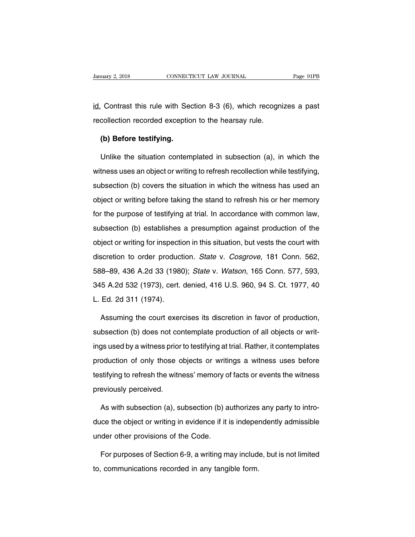January 2, 2018 CONNECTICUT LAW JOURNAL Page 91PB<br>id. Contrast this rule with Section 8-3 (6), which recognizes a past<br>recollection recorded exception to the hearsay rule. Francey 2, 2018 CONNECTICUT LAW JOURNAL<br>
<u>Id.</u> Contrast this rule with Section 8-3 (6), which recogne<br>
recollection recorded exception to the hearsay rule.<br>
(b) Before testifying **Contrast this rule with Secollection recorded exception<br><b>(b) Before testifying.**<br>Unlike the situation contem

Contrast this rule with Section 8-3 (6), which recognizes a past<br>collection recorded exception to the hearsay rule.<br>(b) Before testifying.<br>Unlike the situation contemplated in subsection (a), in which the<br>tness uses an obj recollection recorded exception to the hearsay rule.<br> **(b) Before testifying.**<br>
Unlike the situation contemplated in subsection (a), in which the<br>
witness uses an object or writing to refresh recollection while testifying, (b) Before testifying.<br>Unlike the situation contemplated in subsection (a), in which the<br>witness uses an object or writing to refresh recollection while testifying,<br>subsection (b) covers the situation in which the witness Unlike the situation contemplated in subsection (a), in which the<br>witness uses an object or writing to refresh recollection while testifying,<br>subsection (b) covers the situation in which the witness has used an<br>object or w witness uses an object or writing to refresh recollection while testifying, subsection (b) covers the situation in which the witness has used an object or writing before taking the stand to refresh his or her memory for t subsection (b) covers the situation in which the witness has used an object or writing before taking the stand to refresh his or her memory for the purpose of testifying at trial. In accordance with common law, subsection object or writing before taking the stand to refresh his or her memory<br>for the purpose of testifying at trial. In accordance with common law,<br>subsection (b) establishes a presumption against production of the<br>object or wri discretion (b) establishes a presumption against production of the object or writing for inspection apainst production of the object or writing for inspection in this situation, but vests the court with discretion to order subsection (b) establishes a presumption against production of the object or writing for inspection in this situation, but vests the court with discretion to order production. *State* v. *Cosgrove*, 181 Conn. 562, 588–89, object or writing for inspection in this situation, but vests the court with<br>discretion to order production. *State* v. *Cosgrove*, 181 Conn. 562,<br>588–89, 436 A.2d 33 (1980); *State* v. *Watson*, 165 Conn. 577, 593,<br>345 A. discretion to order product<br>588–89, 436 A.2d 33 (1980<br>345 A.2d 532 (1973), cert.<br>L. Ed. 2d 311 (1974). 8–89, 436 A.2d 33 (1980); *State v. Watson*, 165 Conn. 577, 593,<br>5 A.2d 532 (1973), cert. denied, 416 U.S. 960, 94 S. Ct. 1977, 40<br>Ed. 2d 311 (1974).<br>Assuming the court exercises its discretion in favor of production,<br>bsec subsection (b) does not contemplate production of all objects or writ-<br>subsection (b) does not contemplate production of all objects or writ-

L. Ed. 2d 311 (1974).<br>Assuming the court exercises its discretion in favor of production,<br>subsection (b) does not contemplate production of all objects or writ-<br>ings used by a witness prior to testifying at trial. Rather, Assuming the court exercises its discretion in favor of production,<br>subsection (b) does not contemplate production of all objects or writ-<br>ings used by a witness prior to testifying at trial. Rather, it contemplates<br>produc subsection (b) does not contemplate production of all objects or writ-<br>ings used by a witness prior to testifying at trial. Rather, it contemplates<br>production of only those objects or writings a witness uses before<br>testify ings used by a witness prior to testifying at trial. Rather, it contemplates<br>production of only those objects or writings a witness uses before<br>testifying to refresh the witness' memory of facts or events the witness<br>previ oduction of only those objects or writings a witness uses before<br>stifying to refresh the witness' memory of facts or events the witness<br>eviously perceived.<br>As with subsection (a), subsection (b) authorizes any party to int

testifying to refresh the witness' memory of facts or events the witness<br>previously perceived.<br>As with subsection (a), subsection (b) authorizes any party to intro-<br>duce the object or writing in evidence if it is independe previously perceived.<br>
As with subsection (a), subsection (b) a<br>
duce the object or writing in evidence if it<br>
under other provisions of the Code.<br>
For purposes of Section 6-9, a writing m As with subsection (a), subsection (b) authorizes any party to intro-<br>ce the object or writing in evidence if it is independently admissible<br>der other provisions of the Code.<br>For purposes of Section 6-9, a writing may incl duce the object or writing in evidence if it is indepertunder other provisions of the Code.<br>For purposes of Section 6-9, a writing may include<br>to, communications recorded in any tangible form.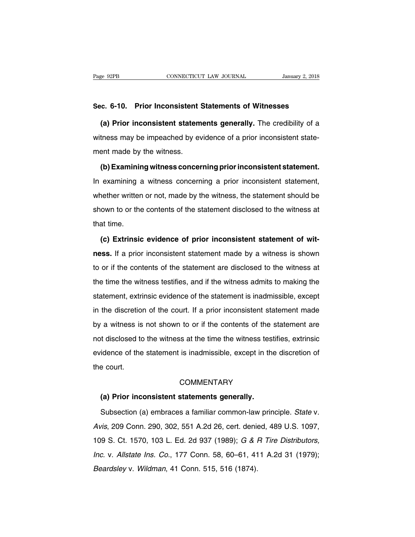# Page 92PB<br>
CONNECTICUT LAW JOURNAL<br> **Sec. 6-10. Prior Inconsistent Statements of Witnesses**<br> **Sec. 6-10. Prior inconsistent statements generally.** The credibility of a

**EXECUTE AN SOURNAL** JANUARY 2, 2018<br> **(a) Prior inconsistent Statements of Witnesses**<br> **(a) Prior inconsistent statements generally.** The credibility of a<br>
tness may be impeached by evidence of a prior inconsistent state-Sec. 6-10. Prior Inconsistent Statements of Witnesses<br>(a) Prior inconsistent statements generally. The credibility of a<br>witness may be impeached by evidence of a prior inconsistent state-<br>ment made by the witness. Sec. 6-10. Prior Inconsistent (a)<br>
(a) Prior inconsistent statem<br>
witness may be impeached by ev<br>
ment made by the witness.<br>
(b) Examining witness concer (a) Prior inconsistent statements generally. The credibility of a<br>tness may be impeached by evidence of a prior inconsistent state-<br>ent made by the witness.<br>(b) Examining witness concerning prior inconsistent statement.<br>ex

witness may be impeached by evidence of a prior inconsistent statement made by the witness.<br>
(b) Examining witness concerning prior inconsistent statement.<br>
In examining a witness concerning a prior inconsistent statement, whether written or not, made by the statement<br>
In examining a witness concerning prior inconsistent statement.<br>
Whether written or not, made by the witness, the statement should be<br>
shown to or the contents of the statemen (b) Examining witness concerning prior inconsistent statement.<br>In examining a witness concerning a prior inconsistent statement,<br>whether written or not, made by the witness, the statement should be<br>shown to or the contents In examining a<br>whether written<br>shown to or the<br>that time.<br>(c) Extrinsic **External Statement of the statement disclosed to the witness at at time.**<br> **(c) Extrinsic evidence of prior inconsistent statement of wit-**<br> **(c) Extrinsic evidence of prior inconsistent statement of wit-**<br> **(s) Extrinsic** 

shown to or the contents of the statement disclosed to the witness at<br>that time.<br>**(c) Extrinsic evidence of prior inconsistent statement of wit-<br>ness.** If a prior inconsistent statement made by a witness is shown<br>to or if that time.<br>
(c) Extrinsic evidence of prior inconsistent statement of wit-<br>
ness. If a prior inconsistent statement made by a witness is shown<br>
to or if the contents of the statement are disclosed to the witness at<br>
the ti (c) Extrinsic evidence of prior inconsistent statement of witness. If a prior inconsistent statement made by a witness is shown to or if the contents of the statement are disclosed to the witness at the time the witness te The statement made by a witness is shown<br>to or if the contents of the statement are disclosed to the witness at<br>the time the witness testifies, and if the witness admits to making the<br>statement, extrinsic evidence of the s it do the discretion of the statement are disclosed to the witness at<br>the time the witness testifies, and if the witness admits to making the<br>statement, extrinsic evidence of the statement is inadmissible, except<br>in the di the time the witness testifies, and if the witness admits to making the statement, extrinsic evidence of the statement is inadmissible, except in the discretion of the court. If a prior inconsistent statement made by a wit statement, extrinsic evidence of the statement is inadmissible, except<br>in the discretion of the court. If a prior inconsistent statement made<br>by a witness is not shown to or if the contents of the statement are<br>not disclos existence, oxidinate of the statement is inadmissible, except in the discretion of the court. If a prior inconsistent statement made<br>by a witness is not shown to or if the contents of the statement are<br>not disclosed to the the disclosed<br>by a witness is<br>not disclosed to<br>evidence of the<br>the court. Fidence of the statement is inadmissible, except in the court.<br>
COMMENTARY<br> **(a) Prior inconsistent statements generally.**<br>
Subsection (a) embraces a familiar common-law princt

# **COMMENTARY**

Subsection (a) embraces a familiar common-law principle. State v.<br>Subsection (a) embraces a familiar common-law principle. State v.<br>Vis, 209 Conn. 290, 302, 551 A.2d 26, cert. denied, 489 U.S. 1097, COMMENTARY<br>
(a) Prior inconsistent statements generally.<br>
Subsection (a) embraces a familiar common-law principle. State v.<br>
Avis, 209 Conn. 290, 302, 551 A.2d 26, cert. denied, 489 U.S. 1097,<br>
109 S. Ct. 1570, 103 L. Ed. (a) Prior inconsistent statements generally.<br>
Subsection (a) embraces a familiar common-law principle. State v.<br>
Avis, 209 Conn. 290, 302, 551 A.2d 26, cert. denied, 489 U.S. 1097,<br>
109 S. Ct. 1570, 103 L. Ed. 2d 937 (198 Subsection (a) embraces a familiar common-law principle. *State* v.<br>Avis, 209 Conn. 290, 302, 551 A.2d 26, cert. denied, 489 U.S. 1097,<br>109 S. Ct. 1570, 103 L. Ed. 2d 937 (1989); *G & R Tire Distributors,*<br>Inc. v. Allstate Avis, 209 Conn. 290, 302, 551 A.2d 26, cert. denies<br>109 S. Ct. 1570, 103 L. Ed. 2d 937 (1989); *G & I*<br>*Inc. v. Allstate Ins. Co.*, 177 Conn. 58, 60–61, 41<br>Beardsley v. Wildman, 41 Conn. 515, 516 (1874).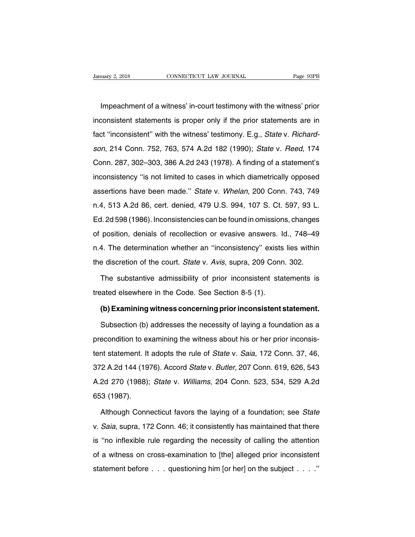UMBER 1999 UNIT CONNECTICUT LAW JOURNAL<br>
Impeachment of a witness' in-court testimony with the witness' prior<br>
Consistent statements is proper only if the prior statements are in Ignuary 2, 2018 CONNECTICUT LAW JOURNAL Page 93PB<br>Impeachment of a witness' in-court testimony with the witness' prior<br>inconsistent statements is proper only if the prior statements are in<br>fact "inconsistent" with the witn Impeachment of a witness' in-court testimony with the witness' prior<br>inconsistent statements is proper only if the prior statements are in<br>fact "inconsistent" with the witness' testimony. E.g., State v. Richard-<br>son, 214 C Impeachment of a witness' in-court testimony with the witness' prior<br>inconsistent statements is proper only if the prior statements are in<br>fact "inconsistent" with the witness' testimony. E.g., *State v. Richard-<br>son*, 214 inconsistent statements is proper only if the prior statements are in fact "inconsistent" with the witness' testimony. E.g., *State* v. *Richardson*, 214 Conn. 752, 763, 574 A.2d 182 (1990); *State* v. *Reed*, 174 Conn. 28 fact "inconsistent" with the witness' testimony. E.g., *State v. Richardson*, 214 Conn. 752, 763, 574 A.2d 182 (1990); *State v. Reed*, 174 Conn. 287, 302–303, 386 A.2d 243 (1978). A finding of a statement's inconsistency assertions have minimized techniony: Eig., clare v. Thomata<br>son, 214 Conn. 752, 763, 574 A.2d 182 (1990); *State v. Reed*, 174<br>Conn. 287, 302–303, 386 A.2d 243 (1978). A finding of a statement's<br>inconsistency "is not limit Conn. 287, 302-303, 386 A.2d 243 (1978). A finding of a statement's inconsistency "is not limited to cases in which diametrically opposed assertions have been made." State v. Whelan, 200 Conn. 743, 749 n.4, 513 A.2d 86, c Ed. 2d 598 (1986). Inconsistencies can be found in omissions, changes of position, denials of recollection or evasive answers. Id., 748–49 (position, denials of recollection or evasive answers. Id., 748–49 assertions have been made." State v. Whelan, 200 Conn. 743, 749<br>n.4, 513 A.2d 86, cert. denied, 479 U.S. 994, 107 S. Ct. 597, 93 L.<br>Ed. 2d 598 (1986). Inconsistencies can be found in omissions, changes<br>of position, denials n.4, 513 A.2d 86, cert. denied, 479 U.S. 994, 107 S. Ct. 597, 93 L.<br>Ed. 2d 598 (1986). Inconsistencies can be found in omissions, changes<br>of position, denials of recollection or evasive answers. Id., 748–49<br>n.4. The determ the discretion of the court. State v. Avis, supra, 209 Conn. 302.<br>The discretion, denials of recollection or evasive answers. Id., 748–49<br>n.4. The determination whether an "inconsistency" exists lies within<br>the discretion position, denials of recollection or evasive answers. Id., 748–49<br>4. The determination whether an "inconsistency" exists lies within<br>e discretion of the court. *State* v. Avis, supra, 209 Conn. 302.<br>The substantive admissi n.4. The determination whether an "inconsistency" exists<br>the discretion of the court. *State* v. *Avis*, supra, 209 Conn<br>The substantive admissibility of prior inconsistent sta<br>treated elsewhere in the Code. See Section 8-

Example B discretion of the court. State v. Avis, supra, 209 Conn. 302.<br>
The substantive admissibility of prior inconsistent statements is<br>
aated elsewhere in the Code. See Section 8-5 (1).<br> **(b) Examining witness concerni** 

The substantive admissibility of prior inconsistent statements is<br>aated elsewhere in the Code. See Section 8-5 (1).<br>(b) Examining witness concerning prior inconsistent statement.<br>Subsection (b) addresses the necessity of l treated elsewhere in the Code. See Section 8-5 (1).<br> **(b) Examining witness concerning prior inconsistent statement.**<br>
Subsection (b) addresses the necessity of laying a foundation as a<br>
precondition to examining the witne (b) Examining witness concerning prior inconsistent statement.<br>Subsection (b) addresses the necessity of laying a foundation as a<br>precondition to examining the witness about his or her prior inconsis-<br>tent statement. It ad Subsection (b) addresses the necessity of laying a foundation as a<br>precondition to examining the witness about his or her prior inconsis-<br>tent statement. It adopts the rule of *State v. Saia*, 172 Conn. 37, 46,<br>372 A.2d 14 precondition to examining the witness about his or her prior inconsistent statement. It adopts the rule of *State* v. *Saia*, 172 Conn. 37, 46, 372 A.2d 144 (1976). Accord *State* v. *Butler*, 207 Conn. 619, 626, 543 A.2d tent statement. It<br>tent statement. It<br>372 A.2d 144 (19<br>A.2d 270 (1988);<br>653 (1987). 2 A.2d 144 (1976). Accord *State v. Butler*, 207 Conn. 619, 626, 543<br>2d 270 (1988); *State v. Williams*, 204 Conn. 523, 534, 529 A.2d<br>3 (1987).<br>Although Connecticut favors the laying of a foundation; see *State*<br>*Saia*, su

A.2d 270 (1988); *State v. Williams*, 204 Conn. 523, 534, 529 A.2d<br>653 (1987).<br>Although Connecticut favors the laying of a foundation; see *State* v. *Saia*, supra, 172 Conn. 46; it consistently has maintained that there i 653 (1987).<br>
Although Connecticut favors the laying of a foundation; see State<br>
v. Saia, supra, 172 Conn. 46; it consistently has maintained that there<br>
is "no inflexible rule regarding the necessity of calling the attenti Although Connecticut favors the laying of a foundation; see *State* v. *Saia*, supra, 172 Conn. 46; it consistently has maintained that there is "no inflexible rule regarding the necessity of calling the attention of a wi v. Saia, supra, 172 Conn. 46; it consistently has maintained that there<br>is "no inflexible rule regarding the necessity of calling the attention<br>of a witness on cross-examination to [the] alleged prior inconsistent<br>statemen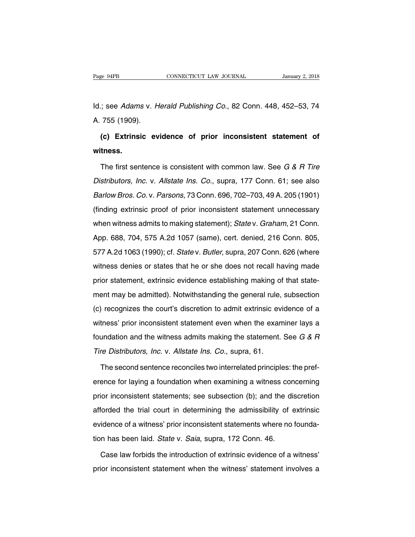Id.; see Adams v. Herald Publishing Co., 82 Conn. 448, 452–53, 74 Page 94PB<br>|d.; see *Adams* v. *H*<br>A. 755 (1909).<br>**(c) Extrinsic ev** 

**(c)** Extrinsic evidence of prior inconsistent statement of thess. **witness.**

(c) Extrinsic evidence of prior inconsistent statement of<br>tness.<br>The first sentence is consistent with common law. See G & R Tire<br>stributors, Inc. v. Allstate Ins. Co., supra, 177 Conn. 61; see also (c) Extrinsic evidence of prior inconsistent statement of<br>witness.<br>The first sentence is consistent with common law. See  $G & R$  Tire<br>Distributors, Inc. v. Allstate Ins. Co., supra, 177 Conn. 61; see also<br>Barlow Bros. Co. witness.<br>The first sentence is consistent with common law. See *G & R Tire*<br>Distributors, Inc. v. Allstate Ins. Co., supra, 177 Conn. 61; see also<br>Barlow Bros. Co. v. Parsons, 73 Conn. 696, 702–703, 49 A. 205 (1901)<br>(findi The first sentence is consistent with common law. See *G & R Tire*<br>Distributors, Inc. v. Allstate Ins. Co., supra, 177 Conn. 61; see also<br>Barlow Bros. Co. v. Parsons, 73 Conn. 696, 702–703, 49 A. 205 (1901)<br>(finding extrin Distributors, Inc. v. Allstate Ins. Co., supra, 177 Conn. 61; see also<br>Barlow Bros. Co. v. Parsons, 73 Conn. 696, 702–703, 49 A. 205 (1901)<br>(finding extrinsic proof of prior inconsistent statement unnecessary<br>when witness Barlow Bros. Co. v. Parsons, 73 Conn. 696, 702–703, 49 A. 205 (1901)<br>(finding extrinsic proof of prior inconsistent statement unnecessary<br>when witness admits to making statement); *State v. Graham*, 21 Conn.<br>App. 688, 704, (finding extrinsic proof of prior inconsistent statement unnecessary<br>when witness admits to making statement); *State v. Graham*, 21 Conn.<br>App. 688, 704, 575 A.2d 1057 (same), cert. denied, 216 Conn. 805,<br>577 A.2d 1063 (19 when witness admits to making statement); *State v. Graham*, 21 Conn.<br>App. 688, 704, 575 A.2d 1057 (same), cert. denied, 216 Conn. 805,<br>577 A.2d 1063 (1990); cf. *State v. Butler*, supra, 207 Conn. 626 (where<br>witness denie when witness admits to making statement); *State v. Graham*, 21 Conn.<br>App. 688, 704, 575 A.2d 1057 (same), cert. denied, 216 Conn. 805,<br>577 A.2d 1063 (1990); cf. *State v. Butler*, supra, 207 Conn. 626 (where<br>witness denie ment may be admitted). Notwithstanding the general rule, subsection (c) recognizes the court's discretion to admit extrinsic evidence of a discretion (c) recognizes the court's discretion to admit extrinsic evidence of a witness denies or states that he or she does not recall having made<br>prior statement, extrinsic evidence establishing making of that state-<br>ment may be admitted). Notwithstanding the general rule, subsection<br>(c) recognizes prior statement, extrinsic evidence establishing making of that statement may be admitted). Notwithstanding the general rule, subsection (c) recognizes the court's discretion to admit extrinsic evidence of a witness' prio ment may be admitted). Notwithstanding the general rule, subsection<br>(c) recognizes the court's discretion to admit extrinsic evidence of a<br>witness' prior inconsistent statement even when the examiner lays a<br>foundation and (c) recognizes the court's discretion to admit extrinsic ev<br>witness' prior inconsistent statement even when the exan<br>foundation and the witness admits making the statement.<br>Tire Distributors, Inc. v. Allstate Ins. Co., sup thess' prior inconsistent statement even when the examiner lays a<br>undation and the witness admits making the statement. See  $G & H$ <br>re Distributors, Inc. v. Allstate Ins. Co., supra, 61.<br>The second sentence reconciles two

foundation and the witness admits making the statement. See  $G & R$ <br>Tire Distributors, Inc. v. Allstate Ins. Co., supra, 61.<br>The second sentence reconciles two interrelated principles: the pref-<br>erence for laying a founda Tire Distributors, Inc. v. Allstate Ins. Co., supra, 61.<br>The second sentence reconciles two interrelated principles: the preference for laying a foundation when examining a witness concerning<br>prior inconsistent statements; The second sentence reconciles two interrelated principles: the preference for laying a foundation when examining a witness concerning<br>prior inconsistent statements; see subsection (b); and the discretion<br>afforded the tria evidence for laying a foundation when examining a witness concerning<br>prior inconsistent statements; see subsection (b); and the discretion<br>afforded the trial court in determining the admissibility of extrinsic<br>evidence of prior inconsistent statements; see subsection (b); and the diafforded the trial court in determining the admissibility of evidence of a witness' prior inconsistent statements where no tion has been laid. State v. Saia, sup forded the trial court in determining the admissibility of extrinsic<br>idence of a witness' prior inconsistent statements where no founda-<br>n has been laid. State v. Saia, supra, 172 Conn. 46.<br>Case law forbids the introductio evidence of a witness' prior inconsistent statements where no foundation has been laid. State v. Saia, supra, 172 Conn. 46.<br>Case law forbids the introduction of extrinsic evidence of a witness' prior inconsistent statement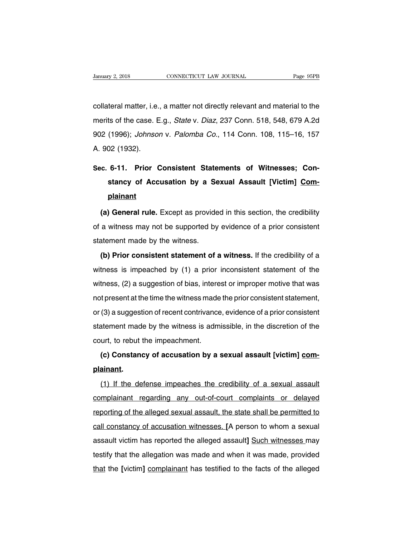CONNECTICUT LAW JOURNAL Page 95PB<br>
collateral matter, i.e., a matter not directly relevant and material to the<br>
merits of the case. E.g., *State v. Diaz*, 237 Conn. 518, 548, 679 A.2d January 2, 2018 CONNECTICUT LAW JOURNAL Page 95PB<br>
collateral matter, i.e., a matter not directly relevant and material to the<br>
merits of the case. E.g., *State v. Diaz*, 237 Conn. 518, 548, 679 A.2d<br>
902 (1996); *Johnson* collateral matter, i.e., a matter not directly relevant and material to the<br>merits of the case. E.g., *State v. Diaz*, 237 Conn. 518, 548, 679 A.2d<br>902 (1996); *Johnson v. Palomba Co.*, 114 Conn. 108, 115–16, 157<br>A. 902 (1 collateral matter, i.e.<br>merits of the case. E<br>902 (1996); *Johnso.*<br>A. 902 (1932). merits of the case. E.g., *State v. Diaz*, 237 Conn. 518, 548, 679 A.2d<br>
902 (1996); *Johnson v. Palomba Co.*, 114 Conn. 108, 115–16, 157<br>
A. 902 (1932).<br>
Sec. 6-11. Prior Consistent Statements of Witnesses; Con-<br>
stancy o

# (1996); *Johnson v. Palomba Co.*, 114 Conn. 108, 115–16, 157<br>
1932).<br> **6-11. Prior Consistent Statements of Witnesses; Constancy of Accusation by a Sexual Assault [Victim] Com-<br>
plainant plainant (a) General rule.** Except as provided in this section, the credibility a witness may not be supported by evidence of a prior consistent

stancy of Accusation by a Sexual Assault [Victim] Complainant<br>
(a) General rule. Except as provided in this section, the credibility<br>
of a witness may not be supported by evidence of a prior consistent<br>
statement made by t plainant<br>
(a) General rule. Except as provide<br>
of a witness may not be supported by<br>
statement made by the witness.<br>
(b) Prior consistent statement of **(a) General rule.** Except as provided in this section, the credibility a witness may not be supported by evidence of a prior consistent atement made by the witness.<br>**(b) Prior consistent statement of a witness.** If the cr

(a) definition that the provided in this essent), the steaking<br>of a witness may not be supported by evidence of a prior consistent<br>statement made by the witness.<br>(b) Prior consistent statement of a witness. If the credibil statement made by the witness.<br>
(b) Prior consistent statement of a witness. If the credibility of a<br>
witness is impeached by (1) a prior inconsistent statement of the<br>
witness, (2) a suggestion of bias, interest or improp (b) Prior consistent statement of a witness. If the credibility of a witness is impeached by  $(1)$  a prior inconsistent statement of the witness,  $(2)$  a suggestion of bias, interest or improper motive that was not presen witness is impeached by (1) a prior inconsistent statement of the witness, (2) a suggestion of bias, interest or improper motive that was not present at the time the witness made the prior consistent statement, or (3) a s witness, (2) a suggestion of bias, interest or improper motive that was<br>not present at the time the witness made the prior consistent statement,<br>or (3) a suggestion of recent contrivance, evidence of a prior consistent<br>st witness, (2) a suggestion of bias, interest or improper motive that was<br>not present at the time the witness made the prior consistent statement,<br>or (3) a suggestion of recent contrivance, evidence of a prior consistent<br>sta (3) a suggestion of recent contrivance, evidence of a prior consistent<br>atement made by the witness is admissible, in the discretion of the<br>urt, to rebut the impeachment.<br>(c) Constancy of accusation by a sexual assault [vic

# **plainant.**

(c) Constancy of accusation by a sexual assault [victim] com-<br>ainant.<br>(1) If the defense impeaches the credibility of a sexual assault<br>mplainant regarding any out-of-court complaints or delayed (c) Constancy of accusation by a sexual assault [victim] complainant.<br>
(1) If the defense impeaches the credibility of a sexual assault<br>
complainant regarding any out-of-court complaints or delayed<br>
reporting of the allege plainant.<br>(1) If the defense impeaches the credibility of a sexual assault<br>complainant regarding any out-of-court complaints or delayed<br>reporting of the alleged sexual assault, the state shall be permitted to<br>call constanc (1) If the defense impeaches the credibility of a sexual assault<br>complainant regarding any out-of-court complaints or delayed<br>reporting of the alleged sexual assault, the state shall be permitted to<br>call constancy of accus complainant regarding any out-of-court complaints or delayed<br>reporting of the alleged sexual assault, the state shall be permitted to<br>call constancy of accusation witnesses. [A person to whom a sexual<br>assault victim has re reporting of the alleged sexual assault, the state shall be permitted to<br>call constancy of accusation witnesses. [A person to whom a sexual<br>assault victim has reported the alleged assault] Such witnesses may<br>testify that t that the *all constancy of accusation witnesses.* [A person to whom a sexual assault victim has reported the alleged assault] Such witnesses may testify that the allegation was made and when it was made, provided that the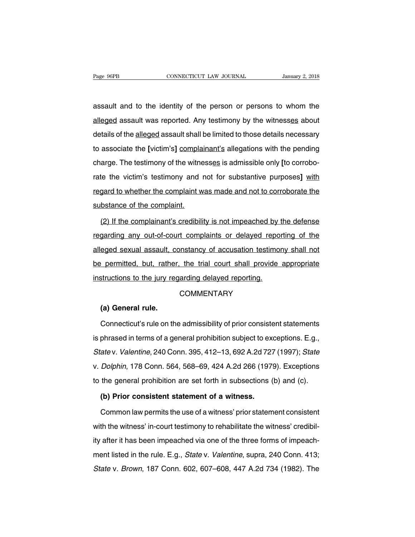Page 96PB<br>
CONNECTICUT LAW JOURNAL<br>
CONNECTICUT LAW JOURNAL<br>
CONNECTICUT LAW JOURNAL<br>
CONNECTICUT LAW JOURNAL<br>
CONNECTICUT LAW JOURNAL<br>
CONNECTICUT LAW JOURNAL<br>
CONNECTICUT LAW JOURNAL<br>
CONNECTICUT LAW JOURNAL<br>
CONNECTICUT Page 96PB CONNECTICUT LAW JOURNAL January 2, 2018<br>assault and to the identity of the person or persons to whom the<br>alleged assault was reported. Any testimony by the witnesses about<br>details of the <u>alleged</u> assault shall b assault and to the identity of the person or persons to whom the alleged assault was reported. Any testimony by the witnesses about details of the alleged assault shall be limited to those details necessary to associate th assault and to the identity of the person or persons to whom the alleged assault was reported. Any testimony by the witnesses about details of the <u>alleged</u> assault shall be limited to those details necessary to associate alleged assault was reported. Any testimony by the witnesses about<br>details of the <u>alleged</u> assault shall be limited to those details necessary<br>to associate the [victim's] complainant's allegations with the pending<br>charge. details of the <u>alleged</u> assault shall be limited to those details necessary<br>to associate the [victim's] complainant's allegations with the pending<br>charge. The testimony of the witnesses is admissible only [to corrobo-<br>rat to associate the [victim's] complainant's allegations with the pending<br>charge. The testimony of the witnesses is admissible only [to corrobo-<br>rate the victim's testimony and not for substantive purposes] with<br>regard to whe charge. The testimony of the wither<br>tate the victim's testimony and<br>regard to whether the complaint w<br>substance of the complaint.<br>(2) If the complainant's credibili (2) If the complainant's credibility is not impeached by the defense<br>gard to whether the complaint was made and not to corroborate the<br>bstance of the complainant's credibility is not impeached by the defense<br>garding any ou

regard to whether the complaint was made and not to corroborate the<br>substance of the complaint.<br>(2) If the complainant's credibility is not impeached by the defense<br>regarding any out-of-court complaints or delayed reportin substance of the complaint.<br>
(2) If the complainant's credibility is not impeached by the defense<br>
regarding any out-of-court complaints or delayed reporting of the<br>
alleged sexual assault, constancy of accusation testimon (2) If the complainant's credibility is not impeached by the defense regarding any out-of-court complaints or delayed reporting of the alleged sexual assault, constancy of accusation testimony shall not be permitted, but, regarding any out-of-court complaints or delayed reporting.<br>Instructions to the jury regarding delayed reporting.<br>Instructions to the jury regarding delayed reporting.<br>COMMENTARY **(b)** permitted, but, rather<br>
structions to the jury read<br> **(a) General rule.**<br>
Connecticut's rule on the

## **COMMENTARY**

structions to the jury regarding delayed reporting.<br>COMMENTARY<br>(a) General rule.<br>Connecticut's rule on the admissibility of prior consistent statements<br>phrased in terms of a general prohibition subject to exceptions. E.g., COMMENTARY<br>
(a) General rule.<br>
Connecticut's rule on the admissibility of prior consistent statements<br>
is phrased in terms of a general prohibition subject to exceptions. E.g.,<br>
State v. Valentine, 240 Conn. 395, 412–13, 6 (a) General rule.<br>Connecticut's rule on the admissibility of prior consistent statements<br>is phrased in terms of a general prohibition subject to exceptions. E.g.,<br>State v. Valentine, 240 Conn. 395, 412–13, 692 A.2d 727 (19 Connecticut's rule on the admissibility of prior consistent statements<br>is phrased in terms of a general prohibition subject to exceptions. E.g.,<br>State v. Valentine, 240 Conn. 395, 412–13, 692 A.2d 727 (1997); State<br>v. Dolp is phrased in terms of a general prohibition subject to exceptions. E.g.,<br>State v. Valentine, 240 Conn. 395, 412–13, 692 A.2d 727 (1997); State<br>v. Dolphin, 178 Conn. 564, 568–69, 424 A.2d 266 (1979). Exceptions<br>to the gene ate v. *Valentine*, 240 Conn. 395, 412–13, 692 A.2d 727<br> *Dolphin*, 178 Conn. 564, 568–69, 424 A.2d 266 (197)<br>
the general prohibition are set forth in subsections (<br> **(b) Prior consistent statement of a witness.**<br>
Common Dolphin, 178 Conn. 564, 568–69, 424 A.2d 266 (1979). Exceptions<br>the general prohibition are set forth in subsections (b) and (c).<br>(b) Prior consistent statement of a witness.<br>Common law permits the use of a witness' prior

to the general prohibition are set forth in subsections (b) and (c).<br>
(b) Prior consistent statement of a witness.<br>
Common law permits the use of a witness' prior statement consistent<br>
with the witness' in-court testimony (b) Prior consistent statement of a witness.<br>Common law permits the use of a witness' prior statement consistent<br>with the witness' in-court testimony to rehabilitate the witness' credibil-<br>ity after it has been impeached v Common law permits the use of a witness' prior statement consistent<br>with the witness' in-court testimony to rehabilitate the witness' credibil-<br>ity after it has been impeached via one of the three forms of impeach-<br>ment li with the witness' in-court testimony to rehabilitate the witness' credibil-<br>ity after it has been impeached via one of the three forms of impeach-<br>ment listed in the rule. E.g., *State v. Valentine*, supra, 240 Conn. 413;<br>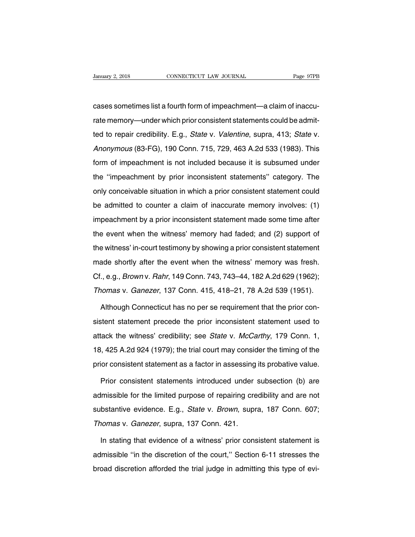CONNECTICUT LAW JOURNAL Page 97PB<br>CONNECTICUT LAW JOURNAL Page 97PB<br>Cases sometimes list a fourth form of impeachment—a claim of inaccu-<br>Trate memory—under which prior consistent statements could be admit-Vanuary 2, 2018 CONNECTICUT LAW JOURNAL Page 97PB<br>
Cases sometimes list a fourth form of impeachment—a claim of inaccu-<br>
rate memory—under which prior consistent statements could be admit-<br>
ted to repair credibility. E.g., cases sometimes list a fourth form of impeachment—a claim of inaccu-<br>tate memory—under which prior consistent statements could be admit-<br>ted to repair credibility. E.g., *State v. Valentine*, supra, 413; *State v.*<br>Anonymo cases sometimes list a fourth form of impeachment—a claim of inaccu-<br>rate memory—under which prior consistent statements could be admit-<br>ted to repair credibility. E.g., *State* v. *Valentine*, supra, 413; *State* v.<br>*Anon* rate memory—under which prior consistent statements could be admitted to repair credibility. E.g., *State v. Valentine*, supra, 413; *State v. Anonymous* (83-FG), 190 Conn. 715, 729, 463 A.2d 533 (1983). This form of impea ted to repair credibility. E.g., *State* v. *Valentine*, supra, 413; *State* v. *Anonymous* (83-FG), 190 Conn. 715, 729, 463 A.2d 533 (1983). This form of impeachment is not included because it is subsumed under the "impea donly conceivable situation. 715, 729, 463 A.2d 533 (1983). This<br>form of impeachment is not included because it is subsumed under<br>the "impeachment by prior inconsistent statements" category. The<br>only conceivable situation be admitted to counter a claim of inaccurate memory involves. The only conceivable situation in which a prior consistent statement could be admitted to counter a claim of inaccurate memory involves: (1) impeachment by a pr film of impeachment is not included secalate it is sabsalled and the "impeachment by prior inconsistent statements" category. The only conceivable situation in which a prior consistent statement could be admitted to counte and impodemment by phot inconduction datements dategory. The only conceivable situation in which a prior consistent statement could be admitted to counter a claim of inaccurate memory involves: (1) impeachment by a prior i be admitted to counter a claim of inaccurate memory involves: (1)<br>impeachment by a prior inconsistent statement made some time after<br>the event when the witness' memory had faded; and (2) support of<br>the witness' in-court te impeachment by a prior inconsistent statement made some time after<br>the event when the witness' memory had faded; and (2) support of<br>the witness' in-court testimony by showing a prior consistent statement<br>made shortly after the event when the witness' memory had faded; and (2) support of<br>the witness' in-court testimony by showing a prior consistent statement<br>made shortly after the event when the witness' memory was fresh.<br>Cf., e.g., *Brown* v the witness' in-court testimony by showing a prior consistent statement<br>made shortly after the event when the witness' memory was fresh.<br>Cf., e.g., *Brown* v. *Rahr*, 149 Conn. 743, 743–44, 182 A.2d 629 (1962);<br>Thomas v. ade shortly after the event when the witness' memory was fresh.<br>
., e.g., *Brown* v. *Rahr*, 149 Conn. 743, 743–44, 182 A.2d 629 (1962);<br>
nomas v. *Ganezer*, 137 Conn. 415, 418–21, 78 A.2d 539 (1951).<br>
Although Connecticut

Cf., e.g., *Brown* v. *Rahr*, 149 Conn. 743, 743–44, 182 A.2d 629 (1962);<br>Thomas v. *Ganezer*, 137 Conn. 415, 418–21, 78 A.2d 539 (1951).<br>Although Connecticut has no per se requirement that the prior con-<br>sistent statement Thomas v. Ganezer, 137 Conn. 415, 418–21, 78 A.2d 539 (1951).<br>Although Connecticut has no per se requirement that the prior consistent statement precede the prior inconsistent statement used to attack the witness' credibil Although Connecticut has no per se requirement that the prior consistent statement precede the prior inconsistent statement used to attack the witness' credibility; see *State* v. *McCarthy*, 179 Conn. 1, 18, 425 A.2d 924 sistent statement precede the prior inconsistent statement used to<br>attack the witness' credibility; see *State* v. *McCarthy*, 179 Conn. 1,<br>18, 425 A.2d 924 (1979); the trial court may consider the timing of the<br>prior cons rack the witness' credibility; see *State* v. *McCarthy*, 179 Conn. 1,<br>i, 425 A.2d 924 (1979); the trial court may consider the timing of the<br>ior consistent statement as a factor in assessing its probative value.<br>Prior con

18, 425 A.2d 924 (1979); the trial court may consider the timing of the prior consistent statement as a factor in assessing its probative value.<br>Prior consistent statements introduced under subsection (b) are admissible fo prior consistent statement as a factor in assessing its probative value.<br>Prior consistent statements introduced under subsection (b) are<br>admissible for the limited purpose of repairing credibility and are not<br>substantive e Prior consistent statements introduced under<br>admissible for the limited purpose of repairing cre<br>substantive evidence. E.g., *State* v. *Brown*, supr<br>Thomas v. *Ganezer*, supra, 137 Conn. 421.<br>In stating that evidence of a Imissible for the limited purpose of repairing credibility and are not<br>bstantive evidence. E.g., *State* v. *Brown*, supra, 187 Conn. 607;<br>nomas v. *Ganezer*, supra, 137 Conn. 421.<br>In stating that evidence of a witness' pr

substantive evidence. E.g., *State* v. *Brown*, supra, 187 Conn. 607;<br>Thomas v. *Ganezer*, supra, 137 Conn. 421.<br>In stating that evidence of a witness' prior consistent statement is<br>admissible "in the discretion of the cou Thomas v. Ganezer, supra, 137 Conn. 421.<br>In stating that evidence of a witness' prior consistent statement is<br>admissible "in the discretion of the court," Section 6-11 stresses the<br>broad discretion afforded the trial judge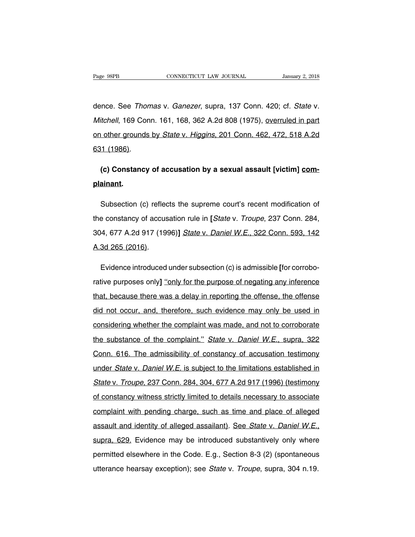Page 98PB CONNECTICUT LAW JOURNAL January 2, 2018<br>dence. See *Thomas v. Ganezer*, supra, 137 Conn. 420; cf. *State v.*<br>Mitchell, 169 Conn. 161, 168, 362 A.2d 808 (1975), <u>overruled in part</u> Page 98PB CONNECTICUT LAW JOURNAL January 2, 2018<br>dence. See *Thomas v. Ganezer*, supra, 137 Conn. 420; cf. *State v.*<br>*Mitchell*, 169 Conn. 161, 168, 362 A.2d 808 (1975), <u>overruled in part</u><br>on other grounds by *State v.* dence. See *Thomas v. Ganezer*, supra, 137 Conn. 420; cf. *State v. Mitchell*, 169 Conn. 161, 168, 362 A.2d 808 (1975), <u>overruled in part</u><br>on other grounds by *State v. Higgins*, 201 Conn. 462, 472, 518 A.2d<br>631 (1986). dence. See *Thon*<br>*Mitchell*, 169 Con<br>on other grounds<br>631 (1986). i*tchell*, 169 Conn. 161, 168, 362 A.2d 808 (1975), <u>overruled in partiother grounds by *State* v. *Higgins, 201 Conn. 462, 472, 518 A.2d*<br>11 (1986).<br>(c) Constancy of accusation by a sexual assault [victim] <u>com-</u><br>ainant.</u>

# **plainant.**

(c) Constancy of accusation by a sexual assault [victim] com-<br>ainant.<br>Subsection (c) reflects the supreme court's recent modification of<br>e constancy of accusation rule in [*State* v. *Troupe*, 237 Conn. 284, (c) Constancy of accusation by a sexual assault [victim] complainant.<br>
Subsection (c) reflects the supreme court's recent modification of<br>
the constancy of accusation rule in [*State v. Troupe*, 237 Conn. 284,<br>
304, 677 A. **plainant.**<br>
Subsection (c) reflects the supreme court's recent modification of<br>
the constancy of accusation rule in [*State v. Troupe*, 237 Conn. 284,<br>
304, 677 A.2d 917 (1996)] *State v. Daniel W.E.*, 322 Conn. 593, 142<br> Subsection (c) refled<br>the constancy of accus<br>304, 677 A.2d 917 (19)<br>A.3d 265 (2016). e constancy of accusation rule in [*State* v. *Troupe*, 237 Conn. 284,<br>14, 677 A.2d 917 (1996)] *State* v. *Daniel W.E.*, 322 Conn. 593, 142<br>3d 265 (2016).<br>Evidence introduced under subsection (c) is admissible [for corrob

rative purposes only and the purpose of negating any inference introduced under subsection (c) is admissible [for corrobo-<br>
rative purposes only] "only for the purpose of negating any inference<br>
that, because there was a d A.3d 265 (2016).<br>
Evidence introduced under subsection (c) is admissible [for corrobo-<br>
rative purposes only] "only for the purpose of negating any inference<br>
that, because there was a delay in reporting the offense, the o Evidence introduced under subsection (c) is admissible [for corrobo-<br>rative purposes only] <u>"only for the purpose of negating any inference</u><br>that, because there was a delay in reporting the offense, the offense<br>did not occ rative purposes only] "only for the purpose of negating any inference<br>that, because there was a delay in reporting the offense, the offense<br>did not occur, and, therefore, such evidence may only be used in<br>considering wheth that, because there was a delay in reporting the offense, the offense<br>did not occur, and, therefore, such evidence may only be used in<br>considering whether the complaint was made, and not to corroborate<br>the substance of the did not occur, and, therefore, such evidence may only be used in<br>considering whether the complaint was made, and not to corroborate<br>the substance of the complaint." State v. Daniel W.E., supra, 322<br>Conn. 616. The admissibi considering whether the complaint was made, and not to corroborate<br>the substance of the complaint." State v. Daniel W.E., supra, 322<br>Conn. 616. The admissibility of constancy of accusation testimony<br>under State v. Daniel W the substance of the complaint." State v. Daniel W.E., supra, 322<br>Conn. 616. The admissibility of constancy of accusation testimony<br>under State v. Daniel W.E. is subject to the limitations established in<br>State v. Troupe, 2 Conn. 616. The admissibility of constancy of accusation testimony<br>under *State v. Daniel W.E.* is subject to the limitations established in<br>*State v. Troupe*, 237 Conn. 284, 304, 677 A.2d 917 (1996) (testimony<br>of constancy under State v. Daniel W.E. is subject to the limitations established in<br>State v. Troupe, 237 Conn. 284, 304, 677 A.2d 917 (1996) (testimony<br>of constancy witness strictly limited to details necessary to associate<br>complaint State v. Troupe, 237 Conn. 284, 304, 677 A.2d 917 (1996) (testimony<br>of constancy witness strictly limited to details necessary to associate<br>complaint with pending charge, such as time and place of alleged<br>assault and ident complaint with pending charge, such as time and place of alleged<br>assault and identity of alleged assailant). See *State v. Daniel W.E.*,<br>supra, 629. Evidence may be introduced substantively only where<br>permitted elsewhere i complaint with pending charge, such as time and place of alleged assault and identity of alleged assailant). See *State v. Daniel W.E.*, supra, 629. Evidence may be introduced substantively only where permitted elsewhere i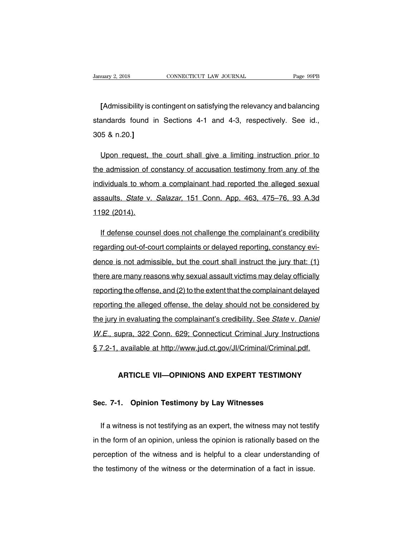<u>Example 2, 2018</u><br> **Example 2018**<br> **Example 2018**<br> **Example 2018**<br> **Example 2018**<br> **Example 2018**<br> **Example 2018**<br> **Example 2018**<br> **Example 2019**<br> **Example 2019**<br> **Example 2019**<br> **Example 2019**<br> **Example 2019**<br> **Example 20** Standards found in Sections 4-1 and 4-3, respectively. See id.,<br>305 & n.20.] [Admissibility is contained a standard sfound in the second state of the state of the state of the state of the state of the state of the state of the state of the state of the state of the state of the state of the state [Admissibility is contingent on satisfying the relevancy and balancing<br>andards found in Sections 4-1 and 4-3, respectively. See id.,<br>5 & n.20.]<br>Upon request, the court shall give a limiting instruction prior to<br>e admission

standards found in Sections 4-1 and 4-3, respectively. See id.,<br>305 & n.20.]<br>Upon request, the court shall give a limiting instruction prior to<br>the admission of constancy of accusation testimony from any of the<br>individuals 305 & n.20.]<br>Upon request, the court shall give a limiting instruction prior to<br>the admission of constancy of accusation testimony from any of the<br>individuals to whom a complainant had reported the alleged sexual<br>assaults. Upon request, the court shall give a limiting instruction prior to<br>the admission of constancy of accusation testimony from any of the<br>individuals to whom a complainant had reported the alleged sexual<br>assaults. State v. Sal the admission of c<br>individuals to who<br>assaults. State v.<br>1192 (2014). dividuals to whom a complainant had reported the alleged sexual<br>saults. State v. Salazar, 151 Conn. App. 463, 475–76, 93 A.3d<br>92 (2014).<br>If defense counsel does not challenge the complainant's credibility<br>garding out-of-co

assaults. *State* v. *Salazar*, 151 Conn. App. 463, 475–76, 93 A.3d<br>1192 (2014).<br>If defense counsel does not challenge the complainant's credibility<br>regarding out-of-court complaints or delayed reporting, constancy evi-<br>de 1192 (2014).<br>If defense counsel does not challenge the complainant's credibility<br>regarding out-of-court complaints or delayed reporting, constancy evi-<br>dence is not admissible, but the court shall instruct the jury that: ( If defense counsel does not challenge the complainant's credibility<br>regarding out-of-court complaints or delayed reporting, constancy evi-<br>dence is not admissible, but the court shall instruct the jury that: (1)<br>there are regarding out-of-court complaints or delayed reporting, constancy evidence is not admissible, but the court shall instruct the jury that: (1) there are many reasons why sexual assault victims may delay officially reporting reporting the alleged offense, the delay should not be considered by<br>there are many reasons why sexual assault victims may delay officially<br>reporting the offense, and (2) to the extent that the complainant delayed<br>reportin there are many reasons why sexual assault victims may delay officially<br>reporting the offense, and (2) to the extent that the complainant delayed<br>reporting the alleged offense, the delay should not be considered by<br>the jury reporting the offense, and (2) to the extent that the complainant delayed<br>reporting the alleged offense, the delay should not be considered by<br>the jury in evaluating the complainant's credibility. See *State v. Daniel*<br>W.E reporting the alleged offense, the delay should not be considered by<br>the jury in evaluating the complainant's credibility. See *State v. Daniel*<br>W.E., supra, 322 Conn. 629; Connecticut Criminal Jury Instructions<br>§ 7.2-1, a In evaluating the complainant's creationity. See State V. Damenture, 2012<br>
upra, 322 Conn. 629; Connecticut Criminal Jury Instructions<br>
available at http://www.jud.ct.gov/Jl/Criminal/Criminal.pdf.<br> **ARTICLE VII—OPINIONS AN** 

# **SEC. 2-1. AVAIIADIE At TRIP.//WWW.jud.cr.gov/J/Criminal/Criminal.px**<br>ARTICLE VII—OPINIONS AND EXPERT TESTIMONY<br>Sec. 7-1. Opinion Testimony by Lay Witnesses

ARTICLE VII—OPINIONS AND EXPERT TESTIMONY<br>
E. 7-1. Opinion Testimony by Lay Witnesses<br>
If a witness is not testifying as an expert, the witness may not testify<br>
the form of an opinion, unless the opinion is rationally base Sec. 7-1. Opinion Testimony by Lay Witnesses<br>If a witness is not testifying as an expert, the witness may not testify<br>in the form of an opinion, unless the opinion is rationally based on the<br>perception of the witness and i Sec. 7-1. Opinion Testimony by Lay Witnesses<br>If a witness is not testifying as an expert, the witness may not testify<br>in the form of an opinion, unless the opinion is rationally based on the<br>perception of the witness and i If a witness is not testifying as an expert, the witness may not testif<br>in the form of an opinion, unless the opinion is rationally based on th<br>perception of the witness and is helpful to a clear understanding of<br>the testi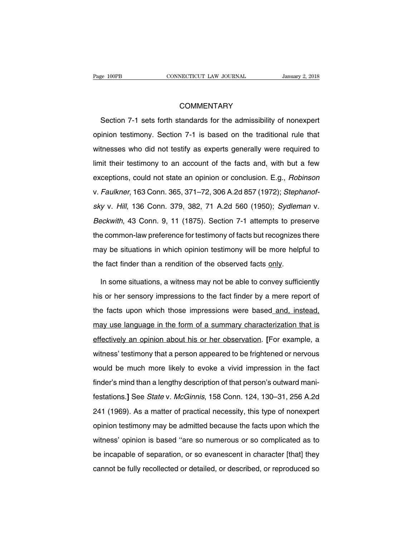# **COMMENTARY**

Section 7-1 sets forth standards for the admissibility of nonexpert<br>
Section 7-1 sets forth standards for the admissibility of nonexpert<br>
Section 7-1 section 7-1 is based on the traditional rule that COMMENTARY<br>Section 7-1 sets forth standards for the admissibility of nonexpert<br>opinion testimony. Section 7-1 is based on the traditional rule that<br>witnesses who did not testify as experts generally were required to COMMENTARY<br>Section 7-1 sets forth standards for the admissibility of nonexpert<br>opinion testimony. Section 7-1 is based on the traditional rule that<br>witnesses who did not testify as experts generally were required to<br>limit Section 7-1 sets forth standards for the admissibility of nonexpert<br>opinion testimony. Section 7-1 is based on the traditional rule that<br>witnesses who did not testify as experts generally were required to<br>limit their testi exceptions, could not testify as experts generally were required to limit their testimony to an account of the facts and, with but a few exceptions, could not state an opinion or conclusion. E.g., *Robinson* v. *Faulkner*, opinion testimony. Section 7-1 is based on the traditional rule that<br>witnesses who did not testify as experts generally were required to<br>limit their testimony to an account of the facts and, with but a few<br>exceptions, coul limit their testimony to an account of the facts and, with but a few<br>exceptions, could not state an opinion or conclusion. E.g., *Robinson*<br>v. Faulkner, 163 Conn. 365, 371–72, 306 A.2d 857 (1972); *Stephanof-*<br>sky v. Hill, exceptions, could not state an opinion or conclusion. E.g., *Robinson*<br>v. Faulkner, 163 Conn. 365, 371–72, 306 A.2d 857 (1972); *Stephanof-<br>sky v. Hill*, 136 Conn. 379, 382, 71 A.2d 560 (1950); *Sydleman v.*<br>Beckwith, 43 C onceptions, common-law common-law principle in contraction angly recorded to testimon-<br>sky v. Hill, 136 Conn. 379, 382, 71 A.2d 560 (1950); Sydleman v.<br>Beckwith, 43 Conn. 9, 11 (1875). Section 7-1 attempts to preserve<br>the sky v. Hill, 136 Conn. 379, 382, 71 A.2d 560 (1950); Sydleman v.<br>Beckwith, 43 Conn. 9, 11 (1875). Section 7-1 attempts to preserve<br>the common-law preference for testimony of facts but recognizes there<br>may be situations in Beckwith, 43 Conn. 9, 11 (1875). Section 7-1 attempts to preserve<br>the common-law preference for testimony of facts but recognizes there<br>may be situations in which opinion testimony will be more helpful to<br>the fact finder t In some situations in which opinion testimony of facts but recognizes there<br>ay be situations in which opinion testimony will be more helpful to<br>a fact finder than a rendition of the observed facts only.<br>In some situations,

may be situations in which opinion testimony will be more helpful to<br>the fact finder than a rendition of the observed facts <u>only</u>.<br>In some situations, a witness may not be able to convey sufficiently<br>his or her sensory im the fact finder than a rendition of the observed facts <u>only</u>.<br>In some situations, a witness may not be able to convey sufficiently<br>his or her sensory impressions to the fact finder by a mere report of<br>the facts upon which In some situations, a witness may not be able to convey sufficiently<br>his or her sensory impressions to the fact finder by a mere report of<br>the facts upon which those impressions were based and, instead,<br>may use language in his or her sensory impressions to the fact finder by a mere report of<br>the facts upon which those impressions were based and, instead,<br>may use language in the form of a summary characterization that is<br>effectively an opinio the facts upon which those impressions were based and, instead, may use language in the form of a summary characterization that is effectively an opinion about his or her observation. [For example, a witness' testimony tha may use language in the form of a summary characterization that is<br>effectively an opinion about his or her observation. [For example, a<br>witness' testimony that a person appeared to be frightened or nervous<br>would be much mo effectively an opinion about his or her observation. [For example, a<br>witness' testimony that a person appeared to be frightened or nervous<br>would be much more likely to evoke a vivid impression in the fact<br>finder's mind tha witness' testimony that a person appeared to be frightened or nervous<br>would be much more likely to evoke a vivid impression in the fact<br>finder's mind than a lengthy description of that person's outward mani-<br>festations.] S would be much more likely to evoke a vivid impression in the fact<br>finder's mind than a lengthy description of that person's outward mani-<br>festations.] See *State* v. *McGinnis*, 158 Conn. 124, 130–31, 256 A.2d<br>241 (1969). finder's mind than a lengthy description of that person's outward mani-<br>festations.] See *State* v. *McGinnis*, 158 Conn. 124, 130–31, 256 A.2d<br>241 (1969). As a matter of practical necessity, this type of nonexpert<br>opinion festations.] See *State* v. *McGinnis*, 158 Conn. 124, 130–31, 256 A.2d<br>241 (1969). As a matter of practical necessity, this type of nonexpert<br>opinion testimony may be admitted because the facts upon which the<br>witness' opi be increased of separation, the separation, the separation, the separation of the spinion testimony may be admitted because the facts upon which the witness' opinion is based "are so numerous or so complicated as to be inc cannot be fully recollected or detailed, or described, or reproduced so<br>cannot be fully recollected or detailed, or described, or reproduced so<br>cannot be fully recollected or detailed, or described, or reproduced so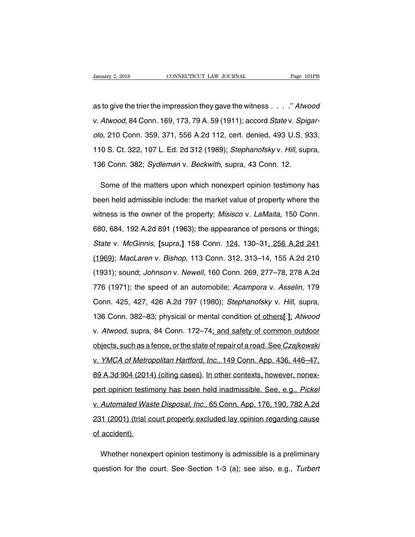Vanuary 2, 2018 CONNECTICUT LAW JOURNAL Page 101PB<br>as to give the trier the impression they gave the witness . . . . " Atwood<br>v. Atwood, 84 Conn. 169, 173, 79 A. 59 (1911); accord *State* v. *Spigar*-Vanuary 2, 2018 CONNECTICUT LAW JOURNAL Page 101PB<br>as to give the trier the impression they gave the witness . . . . " Atwood<br>v. Atwood, 84 Conn. 169, 173, 79 A. 59 (1911); accord *State v. Spigar-*<br>olo, 210 Conn. 359, 371 as to give the trier the impression they gave the witness . . . . " Atwood<br>v. Atwood, 84 Conn. 169, 173, 79 A. 59 (1911); accord *State* v. *Spigar-<br>olo*, 210 Conn. 359, 371, 556 A.2d 112, cert. denied, 493 U.S. 933,<br>110 S as to give the trier the impression they gave the witness . . . ." Atwood<br>v. Atwood, 84 Conn. 169, 173, 79 A. 59 (1911); accord *State* v. *Spigar-*<br>olo, 210 Conn. 359, 371, 556 A.2d 112, cert. denied, 493 U.S. 933,<br>110 S. v. Atwood, 84 Conn. 169, 173, 79 A. 59 (1911); accord *State* v. *Spig*<br>
olo, 210 Conn. 359, 371, 556 A.2d 112, cert. denied, 493 U.S. 9;<br>
110 S. Ct. 322, 107 L. Ed. 2d 312 (1989); *Stephanofsky* v. *Hill*, sup<br>
136 Conn. 9, 210 Conn. 359, 371, 556 A.2d 112, cert. denied, 493 U.S. 933, 0 S. Ct. 322, 107 L. Ed. 2d 312 (1989); *Stephanofsky v. Hill*, supra, 16 Conn. 382; *Sydleman v. Beckwith*, supra, 43 Conn. 12.<br>Some of the matters upon whi

110 S. Ct. 322, 107 L. Ed. 2d 312 (1989); *Stephanofsky v. Hill*, supra,<br>136 Conn. 382; *Sydleman v. Beckwith*, supra, 43 Conn. 12.<br>Some of the matters upon which nonexpert opinion testimony has<br>been held admissible includ 136 Conn. 382; *Sydleman v. Beckwith*, supra, 43 Conn. 12.<br>Some of the matters upon which nonexpert opinion testimony has<br>been held admissible include: the market value of property where the<br>witness is the owner of the pro Some of the matters upon which nonexpert opinion testimony has<br>been held admissible include: the market value of property where the<br>witness is the owner of the property; *Misisco* v. *LaMaita*, 150 Conn.<br>680, 684, 192 A.2d been held admissible include: the market value of property where the<br>witness is the owner of the property; *Misisco* v. *LaMaita*, 150 Conn.<br>680, 684, 192 A.2d 891 (1963); the appearance of persons or things;<br>*State* v. *M* witness is the owner of the property; *Misisco* v. *LaMaita*, 150 Conn.<br>680, 684, 192 A.2d 891 (1963); the appearance of persons or things;<br>*State* v. *McGinnis*, [supra,] 158 Conn. 124, 130–31, 256 A.2d 241<br>(1969); *MacLa* 680, 684, 192 A.2d 891 (1963); the appearance of persons or things;<br>State v. McGinnis, [supra,] 158 Conn. 124, 130–31, 256 A.2d 241<br>(1969); MacLaren v. Bishop, 113 Conn. 312, 313–14, 155 A.2d 210<br>(1931); sound; Johnson v. State v. McGinnis, [supra,] 158 Conn. 124, 130–31, 256 A.2d 241<br>(1969); MacLaren v. Bishop, 113 Conn. 312, 313–14, 155 A.2d 210<br>(1931); sound; Johnson v. Newell, 160 Conn. 269, 277–78, 278 A.2d<br>776 (1971); the speed of an (1969); *MacLaren v. Bishop*, 113 Conn. 312, 313–14, 155 A.2d 210<br>(1931); sound; *Johnson v. Newell*, 160 Conn. 269, 277–78, 278 A.2d<br>776 (1971); the speed of an automobile; *Acampora v. Asselin*, 179<br>Conn. 425, 427, 426 A 1931); sound; *Johnson v. Newell*, 160 Conn. 269, 277–78, 278 A.2d<br>176 (1971); the speed of an automobile; *Acampora v. Asselin*, 179<br>Conn. 425, 427, 426 A.2d 797 (1980); *Stephanofsky v. Hill*, supra,<br>136 Conn. 382–83; ph v. (1971); the speed of an automobile; *Acampora v. Asselin*, 179<br>Conn. 425, 427, 426 A.2d 797 (1980); *Stephanofsky v. Hill*, supra,<br>136 Conn. 382–83; physical or mental condition of others[.]; *Atwood*<br>v. *Atwood*, supra Conn. 425, 427, 426 A.2d 797 (1980); *Stephanofsky v. Hill*, supra,<br>136 Conn. 382–83; physical or mental condition <u>of others[1]</u>; *Atwood*<br>v. *Atwood*, supra, 84 Conn. 172–74; and safety of common outdoor<br>objects, such as 136 Conn. 382–83; physical or mental condition of others[.]; Atwood<br>v. Atwood, supra, 84 Conn. 172–74; and safety of common outdoor<br>objects, such as a fence, or the state of repair of a road. See Czajkowski<br>v. YMCA of Metr v. *Atwood*, supra, 84 Conn. 172–74; and safety of common outdoor<br>objects, such as a fence, or the state of repair of a road. See *Czajkowski*<br>v. *YMCA of Metropolitan Hartford, Inc.*, 149 Conn. App. 436, 446–47,<br>89 A.3d 9 objects, such as a fence, or the state of repair of a road. See *Czajkowski*<br>v. YMCA of Metropolitan Hartford, Inc., 149 Conn. App. 436, 446–47,<br>89 A.3d 904 (2014) (citing cases). In other contexts, however, nonex-<br>pert op v. YMCA of Metropolitan Hartford, Inc., 149 Conn. App. 436, 446–47,<br>89 A.3d 904 (2014) (citing cases). In other contexts, however, nonex-<br>pert opinion testimony has been held inadmissible. See, e.g., Pickel<br>v. Automated Wa 231 (2001) (2014) (citing cases). In other contexts, however, nonex-<br>pert opinion testimony has been held inadmissible. See, e.g., Pickel<br>v. Automated Waste Disposal, Inc., 65 Conn. App. 176, 190, 782 A.2d<br>231 (2001) (tria pert opinion testin<br>v. Automated Was<br>231 (2001) (trial conditional<br>of accident). Automated Waste Disposal, Inc., 65 Conn. App. 176, 190, 782 A.2d<br>
11 (2001) (trial court properly excluded lay opinion regarding cause<br>
accident).<br>
Whether nonexpert opinion testimony is admissible is a preliminary<br>
lestio 231 (2001) (trial court properly excluded lay opinion regarding cause<br>of accident).<br>Whether nonexpert opinion testimony is admissible is a preliminary<br>question for the court. See Section 1-3 (a); see also, e.g., Turbert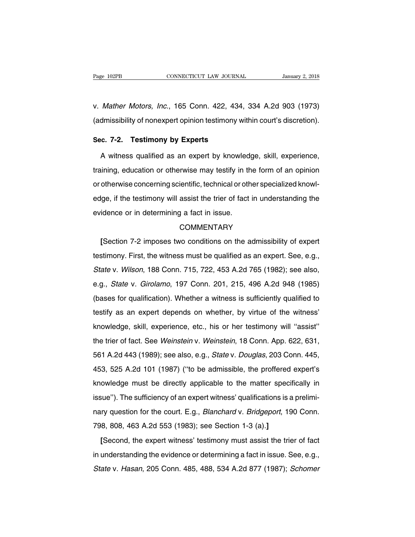Page 102PB CONNECTICUT LAW JOURNAL January 2, 2018<br>v. Mather Motors, Inc., 165 Conn. 422, 434, 334 A.2d 903 (1973)<br>(admissibility of nonexpert opinion testimony within court's discretion). Page 102PB CONNECTICUT LAW JOURNAL January 2, 2018<br>
V. Mather Motors, Inc., 165 Conn. 422, 434, 334 A.2d 903 (1973)<br>
(admissibility of nonexpert opinion testimony within court's discretion). v. *Mather Motors, Inc.*, 165 Conn. 422, 434,<br>(admissibility of nonexpert opinion testimony wi<br>**Sec. 7-2. Testimony by Experts**<br>A witness qualified as an expert by knowle

Mather Motors, Inc., 165 Conn. 422, 434, 334 A.2d 903 (1973)<br>dmissibility of nonexpert opinion testimony within court's discretion).<br>c. 7-2. Testimony by Experts<br>A witness qualified as an expert by knowledge, skill, experi (admissibility of nonexpert opinion testimony within court's discretion).<br> **Sec. 7-2. Testimony by Experts**<br>
A witness qualified as an expert by knowledge, skill, experience,<br>
training, education or otherwise may testify i Sec. 7-2. Testimony by Experts<br>A witness qualified as an expert by knowledge, skill, experience,<br>training, education or otherwise may testify in the form of an opinion<br>or otherwise concerning scientific, technical or other A witness qualified as an expert by knowledge, skill, experience,<br>training, education or otherwise may testify in the form of an opinion<br>or otherwise concerning scientific, technical or other specialized knowl-<br>edge, if th raining, education or otherwise may testify in the or otherwise concerning scientific, technical or otherwise concerning scientific, technical or other dedge, if the testimony will assist the trier of fact evidence or in d ge, if the testimony will assist the trier of fact in understanding the<br>idence or in determining a fact in issue.<br>COMMENTARY<br>[Section 7-2 imposes two conditions on the admissibility of expert<br>stimony. First, the witness mu

## **COMMENTARY**

evidence or in determining a fact in issue.<br>
COMMENTARY<br>
[Section 7-2 imposes two conditions on the admissibility of expert<br>
testimony. First, the witness must be qualified as an expert. See, e.g.,<br>
State v. Wilson, 188 Co COMMENTARY<br>
COMMENTARY<br>
[Section 7-2 imposes two conditions on the admissibility of expert<br>
testimony. First, the witness must be qualified as an expert. See, e.g.,<br>
State v. Wilson, 188 Conn. 715, 722, 453 A.2d 765 (1982) Examples are admissibility of expert<br>testimony. First, the witness must be qualified as an expert. See, e.g.,<br>State v. Wilson, 188 Conn. 715, 722, 453 A.2d 765 (1982); see also,<br>e.g., State v. Girolamo, 197 Conn. 201, 215, (booken  $\overline{r}$  2 imposes the container on the damisolomity of export<br>testimony. First, the witness must be qualified as an expert. See, e.g.,<br>State v. Wilson, 188 Conn. 715, 722, 453 A.2d 765 (1982); see also,<br>e.g., *St* State v. Wilson, 188 Conn. 715, 722, 453 A.2d 765 (1982); see also, e.g., State v. Girolamo, 197 Conn. 201, 215, 496 A.2d 948 (1985) (bases for qualification). Whether a witness is sufficiently qualified to testify as an e e.g., *State* v. *Girolamo*, 197 Conn. 201, 215, 496 A.2d 948 (1985)<br>(bases for qualification). Whether a witness is sufficiently qualified to<br>testify as an expert depends on whether, by virtue of the witness'<br>knowledge, s the trier of fact. See Weinstein v. Weinstein, 18 Conn. App. 622, 631, 651 A.2d 443 (1989); see also, e.g., *State v. Douglas*, 203 Conn. 445, testify as an expert depends on whether, by virtue of the witness'<br>knowledge, skill, experience, etc., his or her testimony will "assist"<br>the trier of fact. See *Weinstein* v. *Weinstein*, 18 Conn. App. 622, 631,<br>561 A.2d knowledge, skill, experience, etc., his or her testimony will "assist"<br>the trier of fact. See *Weinstein* v. *Weinstein*, 18 Conn. App. 622, 631,<br>561 A.2d 443 (1989); see also, e.g., *State* v. *Douglas*, 203 Conn. 445,<br>45 the trier of fact. See *Weinstein* v. *Weinstein*, 18 Conn. App. 622, 631, 561 A.2d 443 (1989); see also, e.g., *State* v. *Douglas*, 203 Conn. 445, 453, 525 A.2d 101 (1987) ("to be admissible, the proffered expert's knowl the trier of fact. See Weinstein v. Weinstein, 18 Conn. App. 622, 631, 561 A.2d 443 (1989); see also, e.g., *State v. Douglas*, 203 Conn. 445, 453, 525 A.2d 101 (1987) ("to be admissible, the proffered expert's knowledge m 453, 525 A.2d 101 (1987) ("to be admissible, the proffered expert's knowledge must be directly applicable to the matter specifically in issue"). The sufficiency of an expert witness' qualifications is a preliminary questi knowledge must be directly applicable to the matter species<br>issue"). The sufficiency of an expert witness' qualifications is a<br>nary question for the court. E.g., *Blanchard v. Bridgeport*, 19<br>798, 808, 463 A.2d 553 (1983); sue"). The sufficiency of an expert witness' qualifications is a prelimi-<br>ry question for the court. E.g., *Blanchard* v. *Bridgeport*, 190 Conn.<br>8, 808, 463 A.2d 553 (1983); see Section 1-3 (a).]<br>[Second, the expert witne

in the experiments of all oxigations of determining the evidence or determining a fact in issue. See, e.g.,<br>State v. Hasan, 205 Conn. 485, 488, 534 A.2d 877 (1987); Schomer State v. Hasan, 205 Conn. 485, 488, 534 A.2d 877 State v. Hasan, 205 Conn. 485, 488, 534 A.2d 877 (1987); Schomer<br>State v. Hasan, 205 Conn. 485, 488, 534 A.2d 877 (1987); Schomer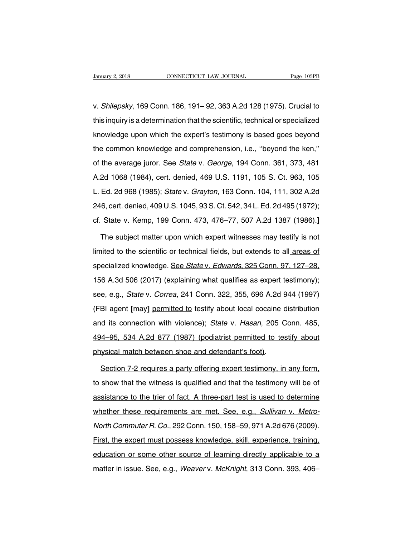Vanuary 2, 2018 CONNECTICUT LAW JOURNAL Page 103PB<br>
V. Shilepsky, 169 Conn. 186, 191– 92, 363 A.2d 128 (1975). Crucial to<br>
this inquiry is a determination that the scientific, technical or specialized University 2, 2018 CONNECTICUT LAW JOURNAL Page 103PB<br>
1975). Crucial to<br>
1975). Crucial to<br>
1989 this inquiry is a determination that the scientific, technical or specialized<br>
1975). Crucial to<br>
1989 knowledge upon which v. Shilepsky, 169 Conn. 186, 191– 92, 363 A.2d 128 (1975). Crucial to<br>this inquiry is a determination that the scientific, technical or specialized<br>knowledge upon which the expert's testimony is based goes beyond<br>the commo v. *Shilepsky*, 169 Conn. 186, 191– 92, 363 A.2d 128 (1975). Crucial to<br>this inquiry is a determination that the scientific, technical or specialized<br>knowledge upon which the expert's testimony is based goes beyond<br>the com of the average juror. See State v. George, 194 Conn. 361, 373, 481<br>Anowledge upon which the expert's testimony is based goes beyond<br>the common knowledge and comprehension, i.e., "beyond the ken,"<br>of the average juror. See knowledge upon which the expert's testimony is based goes beyond<br>the common knowledge and comprehension, i.e., "beyond the ken,"<br>of the average juror. See *State* v. *George*, 194 Conn. 361, 373, 481<br>A.2d 1068 (1984), cert the common knowledge and comprehension, i.e., "beyond the ken,"<br>of the average juror. See *State* v. *George*, 194 Conn. 361, 373, 481<br>A.2d 1068 (1984), cert. denied, 469 U.S. 1191, 105 S. Ct. 963, 105<br>L. Ed. 2d 968 (1985) are common micineage and comprenensien, ner, experie increasing of the average juror. See *State* v. *George*, 194 Conn. 361, 373, 481<br>A.2d 1068 (1984), cert. denied, 469 U.S. 1191, 105 S. Ct. 963, 105<br>L. Ed. 2d 968 (1985) cf. a.e arolage jarot: 966 clais v. decige, 161 conn. 601, 616, 161<br>A.2d 1068 (1984), cert. denied, 469 U.S. 1191, 105 S. Ct. 963, 105<br>L. Ed. 2d 968 (1985); *State v. Grayton*, 163 Conn. 104, 111, 302 A.2d<br>246, cert. denie Ed. 2d 968 (1985); *State v. Grayton*, 163 Conn. 104, 111, 302 A.2d<br>6, cert. denied, 409 U.S. 1045, 93 S. Ct. 542, 34 L. Ed. 2d 495 (1972);<br>State v. Kemp, 199 Conn. 473, 476–77, 507 A.2d 1387 (1986).]<br>The subject matter up

246, cert. denied, 409 U.S. 1045, 93 S. Ct. 542, 34 L. Ed. 2d 495 (1972);<br>cf. State v. Kemp, 199 Conn. 473, 476–77, 507 A.2d 1387 (1986).]<br>The subject matter upon which expert witnesses may testify is not<br>limited to the sc cf. State v. Kemp, 199 Conn. 473, 476–77, 507 A.2d 1387 (1986).]<br>The subject matter upon which expert witnesses may testify is not<br>limited to the scientific or technical fields, but extends to all areas of<br>specialized know The subject matter upon which expert witnesses may testify is not<br>limited to the scientific or technical fields, but extends to all areas of<br>specialized knowledge. See State v. Edwards, 325 Conn. 97, 127–28,<br>156 A.3d 506 ( limited to the scientific or technical fields, but extends to all areas of<br>specialized knowledge. See State v. Edwards, 325 Conn. 97, 127–28,<br>156 A.3d 506 (2017) (explaining what qualifies as expert testimony);<br>see, e.g., specialized knowledge. See *State v. Edwards*, 325 Conn. 97, 127–28, 156 A.3d 506 (2017) (explaining what qualifies as expert testimony);<br>see, e.g., *State v. Correa*, 241 Conn. 322, 355, 696 A.2d 944 (1997)<br>(FBI agent [ma 156 A.3d 506 (2017) (explaining what qualifies as expert testimony);<br>see, e.g., *State* v. *Correa*, 241 Conn. 322, 355, 696 A.2d 944 (1997)<br>(FBI agent [may] permitted to testify about local cocaine distribution<br>and its co 1967, 1968, 1968, 1969, 1969, 1969, 1969, 1969, 1969, 1969, 1969, 1969, 1969, 1969, 1969, 1970, 1989, 1989, 19<br>(FBI agent [may] permitted to testify about local cocaine distribution<br>and its connection with violence); State posted the two state of some state (FBI agent [may] permitted to testify about local cocaine of and its connection with violence); State v. Hasan, 205 C 494–95, 534 A.2d 877 (1987) (podiatrist permitted to test physical ma d its connection with violence); State v. Hasan, 205 Conn. 485,<br>14–95, 534 A.2d 877 (1987) (podiatrist permitted to testify about<br>19 ysical match between shoe and defendant's foot).<br>Section 7-2 requires a party offering ex

494–95, 534 A.2d 877 (1987) (podiatrist permitted to testify about<br>physical match between shoe and defendant's foot).<br>Section 7-2 requires a party offering expert testimony, in any form,<br>to show that the witness is qualifi physical match between shoe and defendant's foot).<br>Section 7-2 requires a party offering expert testimony, in any form,<br>to show that the witness is qualified and that the testimony will be of<br>assistance to the trier of fac Section 7-2 requires a party offering expert testimony, in any form, to show that the witness is qualified and that the testimony will be of assistance to the trier of fact. A three-part test is used to determine whether t to show that the witness is qualified and that the testimony will be of assistance to the trier of fact. A three-part test is used to determine whether these requirements are met. See, e.g., *Sullivan v. Metro-North Commut* Election that the thirts of qualities and that the technicity thin 2001<br>assistance to the trier of fact. A three-part test is used to determine<br>whether these requirements are met. See, e.g., *Sullivan v. Metro-*<br>North Comm whether these requirements are met. See, e.g., *Sullivan v. Metro-<br>North Commuter R. Co.*, 292 Conn. 150, 158–59, 971 A.2d 676 (2009).<br>First, the expert must possess knowledge, skill, experience, training,<br>education or som matter in issue. Figure 2021 Conn. 150, 158–59, 971 A.2d 676 (2009).<br>First, the expert must possess knowledge, skill, experience, training,<br>education or some other source of learning directly applicable to a<br>matter in issu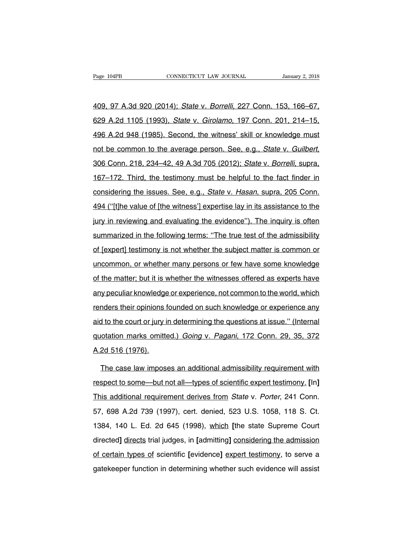409, 97 A.3d 920 (2014); State v. Borrelli, 227 Conn. 153, 166–67, 629 A.2d 1105 (1993), State v. Girolamo, 197 Conn. 201, 214–15, 409, 97 A.3d 920 (2014); State v. Borrelli, 227 Conn. 153, 166–67,<br>629 A.2d 1105 (1993), State v. Girolamo, 197 Conn. 201, 214–15,<br>496 A.2d 948 (1985). Second, the witness' skill or knowledge must<br>not be common to the aver 409, 97 A.3d 920 (2014); *State v. Borrelli*, 227 Conn. 153, 166–67, 629 A.2d 1105 (1993), *State v. Girolamo*, 197 Conn. 201, 214–15, 496 A.2d 948 (1985). Second, the witness' skill or knowledge must not be common to the 196 A.2d 948 (1985). Second, the witness' skill or knowledge must<br>not be common to the average person. See, e.g., *State v. Guilbert*,<br>306 Conn. 218, 234–42, 49 A.3d 705 (2012); *State v. Borrelli*, supra,<br>167–172. Third, not be common to the average person. See, e.g., *State v. Guilbert*, 306 Conn. 218, 234–42, 49 A.3d 705 (2012); *State v. Borrelli*, supra, 167–172. Third, the testimony must be helpful to the fact finder in considering th 494 ("[t]he value of [the witness'] expertise lay in its assistance to the particle priority.<br>
494 ("[t]he value of [the witness'] expertise lay in its assistance to the particle priority in reviewing and evaluating the ev 167–172. Third, the testimony must be helpful to the fact finder in<br>considering the issues. See, e.g., *State v. Hasan*, supra, 205 Conn.<br>494 ("[t]he value of [the witness'] expertise lay in its assistance to the<br>jury in r summarized in the issues. See, e.g., *State v. Hasan*, supra, 205 Conn.<br>494 ("[t]he value of [the witness'] expertise lay in its assistance to the<br>jury in reviewing and evaluating the evidence"). The inquiry is often<br>summa of ("[t]he value of [the witness'] expertise lay in its assistance to the<br>jury in reviewing and evaluating the evidence"). The inquiry is often<br>summarized in the following terms: "The true test of the admissibility<br>of [exp is it pays raince or pair interesting the evidence"). The inquiry is often<br>summarized in the following terms: "The true test of the admissibility<br>of [expert] testimony is not whether the subject matter is common or<br>uncommo summarized in the following terms: "The true test of the admissibility<br>of [expert] testimony is not whether the subject matter is common or<br>uncommon, or whether many persons or few have some knowledge<br>of the matter; but it any of [expert] testimony is not whether the subject matter is common or uncommon, or whether many persons or few have some knowledge of the matter; but it is whether the witnesses offered as experts have any peculiar know ereproduce the matter; but it is whether the witnesses offered as experts have<br>any peculiar knowledge or experience, not common to the world, which<br>renders their opinions founded on such knowledge or experience any<br>aid to of the matter; but it is whether the witnesses offered as experts have<br>any peculiar knowledge or experience, not common to the world, which<br>renders their opinions founded on such knowledge or experience any<br>aid to the cour any peculiar knowledge or experience, not common to the world, which<br>renders their opinions founded on such knowledge or experience any<br>aid to the court or jury in determining the questions at issue." (Internal<br>quotation m Example 2011<br>
Fenders their opinions for aid to the court or jury is<br>
quotation marks omitte<br>
A.2d 516 (1976).<br>
The case law imposity 1 to the court or jury in determining the questions at issue." (Internal<br>otation marks omitted.) *Going v. Pagani*, 172 Conn. 29, 35, 372<br>2d 516 (1976).<br>The case law imposes an additional admissibility requirement with<br>spe

respect to some—but not all—types of scientific expert estimate)<br>The case law imposes an additional admissibility requirement with<br>respect to some—but not all—types of scientific expert testimony. [In]<br>This additional requ A.2d 516 (1976).<br>The case law imposes an additional admissibility requirement with<br>respect to some—but not all—types of scientific expert testimony. [In]<br>This additional requirement derives from *State* v. *Porter*, 241 Co The case law imposes an additional admissibility requirement with<br>respect to some—but not all—types of scientific expert testimony. [In]<br>This additional requirement derives from *State* v. *Porter*, 241 Conn.<br>57, 698 A.2d respect to some—but not all—types of scientific expert testimony. [In]<br>This additional requirement derives from *State v. Porter*, 241 Conn.<br>57, 698 A.2d 739 (1997), cert. denied, 523 U.S. 1058, 118 S. Ct.<br>1384, 140 L. Ed. This additional requirement derives from *State* v. *Porter*, 241 Conn.<br>57, 698 A.2d 739 (1997), cert. denied, 523 U.S. 1058, 118 S. Ct.<br>1384, 140 L. Ed. 2d 645 (1998), <u>which</u> [the state Supreme Court<br>directed] directs tr of certain types of scientific [evidence] expert testimony, 1118 S. Ct.<br>1384, 140 L. Ed. 2d 645 (1998), which [the state Supreme Court<br>directed] directs trial judges, in [admitting] considering the admission<br>of certain typ gate that the state (1998), which [the state Supreme Court<br>directed] directs trial judges, in [admitting] considering the admission<br>of certain types of scientific [evidence] expert testimony, to serve a<br>gatekeeper function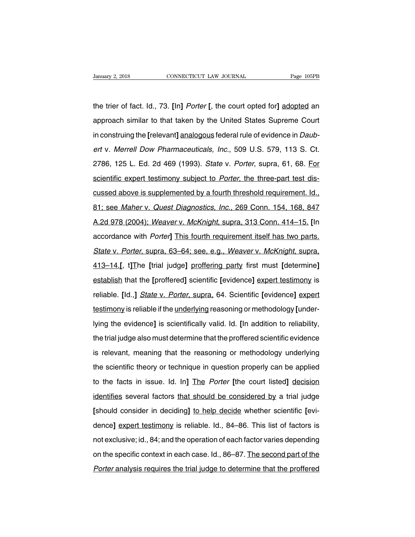the trier of fact. Id., 73. **[**In**]** Porter **[**, the court opted for**]** adopted an January 2, 2018 CONNECTICUT LAW JOURNAL Page 105PB<br>the trier of fact. Id., 73. [In] *Porter* [, the court opted for] <u>adopted</u> an<br>approach similar to that taken by the United States Supreme Court<br>in construing the [relevan the trier of fact. Id., 73. [In] *Porter* [, the court opted for] adopted an<br>approach similar to that taken by the United States Supreme Court<br>in construing the [relevant] analogous federal rule of evidence in *Daub-*<br>ert the trier of fact. Id., 73. [In] *Porter* [, the court opted for] <u>adopted</u> an<br>approach similar to that taken by the United States Supreme Court<br>in construing the [relevant] analogous federal rule of evidence in *Daub-*<br>er approach similar to that taken by the United States Supreme Court<br>in construing the [relevant] analogous federal rule of evidence in Daub-<br>ert v. Merrell Dow Pharmaceuticals, Inc., 509 U.S. 579, 113 S. Ct.<br>2786, 125 L. Ed. approach similar to that taken by the United States Supreme Court<br>in construing the [relevant] analogous federal rule of evidence in *Daub-*<br>ert v. Merrell Dow Pharmaceuticals, Inc., 509 U.S. 579, 113 S. Ct.<br>2786, 125 L. E ert v. Merrell Dow Pharmaceuticals, Inc., 509 U.S. 579, 113 S. Ct.<br>2786, 125 L. Ed. 2d 469 (1993). *State v. Porter*, supra, 61, 68. For<br>scientific expert testimony subject to *Porter*, the three-part test dis-<br>cussed abov 2786, 125 L. Ed. 2d 469 (1993). *State v. Porter*, supra, 61, 68. For<br>scientific expert testimony subject to *Porter*, the three-part test dis-<br>cussed above is supplemented by a fourth threshold requirement. Id.,<br>81; see scientific expert testimony subject to *Porter*, the three-part test dis-<br>cussed above is supplemented by a fourth threshold requirement. Id.,<br>81; see *Maher* v. *Quest Diagnostics, Inc.*, 269 Conn. 154, 168, 847<br>A.2d 978 cussed above is supplemented by a fourth threshold requirement. Id.,<br>81; see *Maher v. Quest Diagnostics, Inc.*, 269 Conn. 154, 168, 847<br>A.2d 978 (2004); *Weaver v. McKnight*, supra, 313 Conn. 414–15. [In<br>accordance with 81; see *Maher* v. *Quest Diagnostics, Inc.*, 269 Conn. 154, 168, 847<br>A.2d 978 (2004); *Weaver v. McKnight*, supra, 313 Conn. 414–15. [In<br>accordance with *Porter*] This fourth requirement itself has two parts.<br>State v. Por A.2d 978 (2004); Weaver v. McKnight, supra, 313 Conn. 414–15. [In accordance with *Porter*] This fourth requirement itself has two parts.<br>
State v. Porter, supra, 63–64; see, e.g., Weaver v. McKnight, supra, 413–14.[, t]Th accordance with *Porter*] This fourth requirement itself has two parts.<br>
State v. Porter, supra, 63–64; see, e.g., Weaver v. McKnight, supra,<br>
413–14.[, t]The [trial judge] proffering party first must [determine]<br>
establis State v. Porter, supra, 63–64; see, e.g., Weaver v. McKnight, supra,<br>413–14.[, t]The [trial judge] proffering party first must [determine]<br>establish that the [proffered] scientific [evidence] expert testimony is<br>reliable. 413–14.[, t]The [trial judge] proffering party first must [determine]<br>establish that the [proffered] scientific [evidence] expert testimony is<br>reliable. [Id.,] *State v. Porter*, supra, 64. Scientific [evidence] expert<br>tes establish that the [proffered] scientific [evidence] expert testimony is reliable. [Id.,] *State v. Porter*, supra, 64. Scientific [evidence] expert testimony is reliable if the <u>underlying</u> reasoning or methodology [under reliable. [Id.,] *State* v. *Porter*, supra, 64. Scientific [evidence] expert<br>testimony is reliable if the <u>underlying</u> reasoning or methodology [under-<br>lying the evidence] is scientifically valid. Id. [In addition to reli testimony is reliable if the <u>underlying</u> reasoning or methodology [underlying the evidence] is scientifically valid. Id. [In addition to reliability, the trial judge also must determine that the proffered scientific evide lying the evidence] is scientifically valid. Id. [In addition to reliability,<br>the trial judge also must determine that the proffered scientific evidence<br>is relevant, meaning that the reasoning or methodology underlying<br>the the trial judge also must determine that the proffered scientific evidence<br>is relevant, meaning that the reasoning or methodology underlying<br>the scientific theory or technique in question properly can be applied<br>to the fac is relevant, meaning that the reasoning or methodology underlying<br>the scientific theory or technique in question properly can be applied<br>to the facts in issue. Id. In] The *Porter* [the court listed] decision<br>identifies se the scientific theory or technique in question properly can be applied<br>to the facts in issue. Id. In] The *Porter* [the court listed] <u>decision</u><br>identifies several factors that should be considered by a trial judge<br>[should to the facts in issue. Id. In] The *Porter* [the court listed] <u>decision</u><br>identifies several factors that should be considered by a trial judge<br>[should consider in deciding] to help decide whether scientific [evi-<br>dence] e identifies several factors that should be considered by a trial judge<br>[should consider in deciding] to help decide whether scientific [evi-<br>dence] expert testimony is reliable. Id., 84–86. This list of factors is<br>not exclu [should consider in deciding] to help decide whether scientific [evi-<br>dence] expert testimony is reliable. Id., 84–86. This list of factors is<br>not exclusive; id., 84; and the operation of each factor varies depending<br>on th dence] expert testimony is reliable. Id., 84–86. This list of factors is<br>not exclusive; id., 84; and the operation of each factor varies depending<br>on the specific context in each case. Id., 86–87. The second part of the<br>Po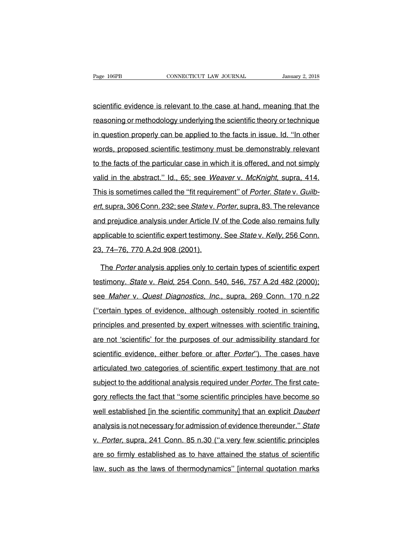Fage 106PB<br>
Scientific evidence is relevant to the case at hand, meaning that the<br>
reasoning or methodology underlying the scientific theory or technique reasoning or methodology underlying the scientific theory or technique<br>in question properly can be applied to the facts in issue. Id. "In other<br>in question properly can be applied to the facts in issue. Id. "In other scientific evidence is relevant to the case at hand, meaning that the<br>reasoning or methodology underlying the scientific theory or technique<br>in question properly can be applied to the facts in issue. Id. "In other<br>words, p scientific evidence is relevant to the case at hand, meaning that the<br>reasoning or methodology underlying the scientific theory or technique<br>in question properly can be applied to the facts in issue. Id. "In other<br>words, p reasoning or methodology underlying the scientific theory or technique<br>in question properly can be applied to the facts in issue. Id. "In other<br>words, proposed scientific testimony must be demonstrably relevant<br>to the fact in question properly can be applied to the facts in issue. Id. "In other words, proposed scientific testimony must be demonstrably relevant to the facts of the particular case in which it is offered, and not simply valid i many and to the facts in the taste in the taste in the taste we words, proposed scientific testimony must be demonstrably relevant<br>to the facts of the particular case in which it is offered, and not simply<br>valid in the abs to the facts of the particular case in which it is offered, and not simply<br>valid in the abstract." Id., 65; see *Weaver v. McKnight*, supra, 414.<br>This is sometimes called the "fit requirement" of *Porter. State v. Guilb-*<br> valid in the abstract." Id., 65; see Weaver v. McKnight, supra, 414.<br>This is sometimes called the "fit requirement" of Porter. State v. Guilb-<br>ert, supra, 306 Conn. 232; see State v. Porter, supra, 83. The relevance<br>and pr This is sometimes called the "fit requirement" of *Porter. State v. Guilbert*, supra, 306 Conn. 232; see *State v. Porter*, supra, 83. The relevance and prejudice analysis under Article IV of the Code also remains fully ap ert, supra, 306 Conn. 232; see *Statev. P*<br>and prejudice analysis under Article IV<br>applicable to scientific expert testimony<br>23, 74–76, 770 A.2d 908 (2001).<br>The *Porter* analysis annlies only to co d prejudice analysis under Article IV of the Code also remains fully<br>plicable to scientific expert testimony. See *State* v. Kelly, 256 Conn.<br>i, 74–76, 770 A.2d 908 (2001).<br>The *Porter* analysis applies only to certain typ

applicable to scientific expert testimony. See *State* v. *Kelly*, 256 Conn.<br>23, 74–76, 770 A.2d 908 (2001).<br>The *Porter* analysis applies only to certain types of scientific expert<br>testimony. *State* v. *Reid*, 254 Conn. 23, 74–76, 770 A.2d 908 (2001).<br>The Porter analysis applies only to certain types of scientific expert<br>testimony. State v. Reid, 254 Conn. 540, 546, 757 A.2d 482 (2000);<br>see Maher v. Quest Diagnostics, Inc., supra, 269 Con The *Porter* analysis applies only to certain types of scientific expert<br>testimony. State v. Reid, 254 Conn. 540, 546, 757 A.2d 482 (2000);<br>see *Maher* v. *Quest Diagnostics, Inc.*, supra, 269 Conn. 170 n.22<br>("certain type matriciples and presented by experimental presented by experimental and the Maher v. Quest Diagnostics, Inc., supra, 269 Conn. 170 n.22 ("certain types of evidence, although ostensibly rooted in scientific principles and p are *Maher* v. *Quest Diagnostics, Inc.*, supra, 269 Conn. 170 n.22<br>("certain types of evidence, although ostensibly rooted in scientific<br>principles and presented by expert witnesses with scientific training,<br>are not 'scie ("certain types of evidence, although ostensibly rooted in scientific<br>principles and presented by expert witnesses with scientific training,<br>are not 'scientific' for the purposes of our admissibility standard for<br>scientifi principles and presented by expert witnesses with scientific training,<br>are not 'scientific' for the purposes of our admissibility standard for<br>scientific evidence, either before or after *Porter*"). The cases have<br>articula are not 'scientific' for the purposes of our admissibility standard for<br>scientific evidence, either before or after *Porter*"). The cases have<br>articulated two categories of scientific expert testimony that are not<br>subject scientific evidence, either before or after *Porter*"). The cases have<br>articulated two categories of scientific expert testimony that are not<br>subject to the additional analysis required under *Porter*. The first cate-<br>gory articulated two categories of scientific expert testimony that are not<br>subject to the additional analysis required under *Porter*. The first cate-<br>gory reflects the fact that "some scientific principles have become so<br>well subject to the additional analysis required under *Porter*. The first category reflects the fact that "some scientific principles have become so<br>well established [in the scientific community] that an explicit *Daubert*<br>ana gory reflects the fact that "some scientific principles have become so<br>well established [in the scientific community] that an explicit *Daubert*<br>analysis is not necessary for admission of evidence thereunder." State<br>v. Por well established [in the scientific community] that an explicit *Daubert*<br>analysis is not necessary for admission of evidence thereunder." State<br>v. Porter, supra, 241 Conn. 85 n.30 ("a very few scientific principles<br>are so analysis is not necessary for admission of evidence thereunder." State<br>v. Porter, supra, 241 Conn. 85 n.30 ("a very few scientific principles<br>are so firmly established as to have attained the status of scientific<br>law, such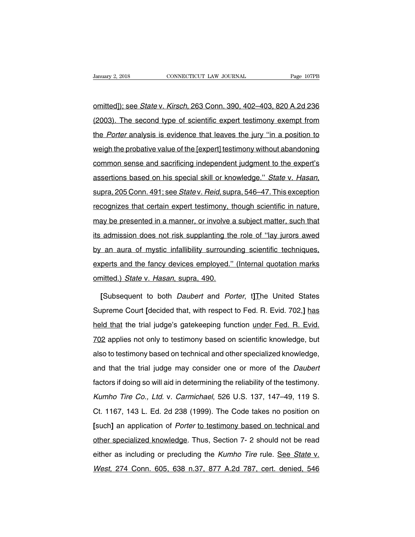Vanuary 2, 2018 CONNECTICUT LAW JOURNAL Page 107PB<br>
CONNECTICUT LAW JOURNAL Page 107PB<br>
CONTITUED Online Connect Connect Page 1079B<br>
CONS). The second type of scientific expert testimony exempt from University 2, 2018 CONNECTICUT LAW JOURNAL Page 107PB<br>
12003). The second type of scientific expert testimony exempt from<br>
12003). The second type of scientific expert testimony exempt from<br>
12003). The second type of scie omitted]); see *State* v. *Kirsch*, 263 Conn. 390, 402–403, 820 A.2d 236<br>(2003). The second type of scientific expert testimony exempt from<br>the *Porter* analysis is evidence that leaves the jury "in a position to<br>weigh the omitted]); see *State* v. Kirsch, 263 Conn. 390, 402–403, 820 A.2d 236<br>(2003). The second type of scientific expert testimony exempt from<br>the *Porter* analysis is evidence that leaves the jury "in a position to<br>weigh the p (2003). The second type of scientific expert testimony exempt from<br>the *Porter* analysis is evidence that leaves the jury "in a position to<br>weigh the probative value of the [expert] testimony without abandoning<br>common sens the *Porter* analysis is evidence that leaves the jury "in a position to weigh the probative value of the [expert] testimony without abandoning common sense and sacrificing independent judgment to the expert's assertions b recommon sense and sacrificing independent judgment to the expert's<br>assertions based on his special skill or knowledge." State v. Hasan,<br>supra, 205 Conn. 491; see State v. Reid, supra, 546–47. This exception<br>recognizes tha assertions based on his special skill or knowledge." State v. Hasan,<br>supra, 205 Conn. 491; see State v. Reid, supra, 546–47. This exception<br>recognizes that certain expert testimony, though scientific in nature,<br>may be pres supra, 205 Conn. 491; see *Statev. Reid*, supra, 546–47. This exception<br>recognizes that certain expert testimony, though scientific in nature,<br>may be presented in a manner, or involve a subject matter, such that<br>its admiss by an aura of mystic infallibility surrounding scientific in nature,<br>the presented in a manner, or involve a subject matter, such that<br>its admission does not risk supplanting the role of "lay jurors awed<br>by an aura of myst may be presented in a manner, or involve a subject matter, such that<br>its admission does not risk supplanting the role of "lay jurors awed<br>by an aura of mystic infallibility surrounding scientific techniques,<br>experts and th may be presented in a manner, or involve a subject matter, such that<br>its admission does not risk supplanting the role of "lay jurors awed<br>by an aura of mystic infallibility surrounding scientific techniques,<br>experts and th **Example 15 and a aura of mystic infallibility surrounding scientific techniques, perts and the fancy devices employed." (Internal quotation marks nitted.)** *State* **v. Hasan, supra, 490.<br>
<b>[Subsequent to both** *Daubert* and

experts and the fancy devices employed." (Internal quotation marks<br>
omitted.) *State v. Hasan*, supra, 490.<br>
[Subsequent to both *Daubert* and *Porter*, t] The United States<br>
Supreme Court [decided that, with respect to Fe omitted.) *State v. Hasan*, supra, 490.<br>
[Subsequent to both *Daubert* and *Porter*, t] The United States<br>
Supreme Court [decided that, with respect to Fed. R. Evid. 702,] has<br>
held that the trial judge's gatekeeping funct [Subsequent to both *Daubert* and *Porter*, t] The United States<br>Supreme Court [decided that, with respect to Fed. R. Evid. 702,] has<br>held that the trial judge's gatekeeping function <u>under Fed. R. Evid.</u><br>702 applies not o Supreme Court [decided that, with respect to Fed. R. Evid. 702,] has<br>held that the trial judge's gatekeeping function <u>under Fed. R. Evid.</u><br>702 applies not only to testimony based on scientific knowledge, but<br>also to testi beld that the trial judge's gatekeeping function <u>under Fed. R. Evid.</u><br>T02 applies not only to testimony based on scientific knowledge, but<br>also to testimony based on technical and other specialized knowledge,<br>and that the Factors in the that judge a gate teeping random scientific knowledge, but<br>also to testimony based on technical and other specialized knowledge,<br>and that the trial judge may consider one or more of the *Daubert*<br>factors if Example in the U.S. States of the U.S. States in the U.S. States of the U.S. States of the U.S. Islam and that the trial judge may consider one or more of the *Daubert* factors if doing so will aid in determining the relia and that the trial judge may consider one or more of the *Daubert*<br>factors if doing so will aid in determining the reliability of the testimony.<br>*Kumho Tire Co., Ltd.* v. *Carmichael*, 526 U.S. 137, 147–49, 119 S.<br>Ct. 1167 factors if doing so will aid in determining the reliability of the testimony.<br> *Kumho Tire Co., Ltd. v. Carmichael*, 526 U.S. 137, 147–49, 119 S.<br>
Ct. 1167, 143 L. Ed. 2d 238 (1999). The Code takes no position on<br>
[such] a Kumho Tire Co., Ltd. v. Carmichael, 526 U.S. 137, 147–49, 119 S.<br>Ct. 1167, 143 L. Ed. 2d 238 (1999). The Code takes no position on<br>[such] an application of *Porter* to testimony based on technical and<br>other specialized kno et. 1167, 143 L. Ed. 2d 238 (1999). The Code takes no position on<br>[such] an application of *Porter* to testimony based on technical and<br>other specialized knowledge. Thus, Section 7- 2 should not be read<br>either as including Such] an application of *Porter* to testimony based on technical and other specialized knowledge. Thus, Section 7- 2 should not be read either as including or precluding the *Kumho Tire* rule. See *State v. West, 274 Conn.*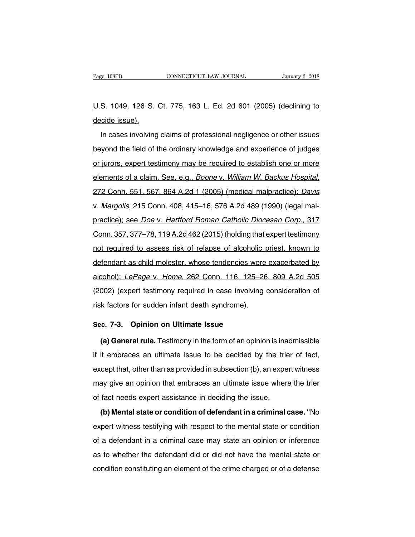Page 108PB CONNECTICUT LAW JOURNAL January 2, 2018<br>U.S. 1049, 126 S. Ct. 775, 163 L. Ed. 2d 601 (2005) (declining to decide issue). Page 108PB<br>U.S. 1049, 126 S.<br>decide issue).<br>In cases involving

S. 1049, 126 S. Ct. 775, 163 L. Ed. 2d 601 (2005) (declining to<br>cide issue).<br>In cases involving claims of professional negligence or other issues<br>yond the field of the ordinary knowledge and experience of judges U.S. 1049, 126 S. Ct. 775, 163 L. Ed. 2d 601 (2005) (declining to<br>decide issue).<br>In cases involving claims of professional negligence or other issues<br>beyond the field of the ordinary knowledge and experience of judges<br>or j decide issue).<br>In cases involving claims of professional negligence or other issues<br>beyond the field of the ordinary knowledge and experience of judges<br>or jurors, expert testimony may be required to establish one or more<br>e In cases involving claims of professional negligence or other issues<br>beyond the field of the ordinary knowledge and experience of judges<br>or jurors, expert testimony may be required to establish one or more<br>elements of a cl beyond and nota of the oralinary millomouge and experience of jauged<br>or jurors, expert testimony may be required to establish one or more<br>elements of a claim. See, e.g., *Boone v. William W. Backus Hospital*,<br>272 Conn. 551 brightline, experimental and the vectorian of the state of a claim. See, e.g., *Boone v. William W. Backus Hospital*, 272 Conn. 551, 567, 864 A.2d 1 (2005) (medical malpractice); *Davis* v. *Margolis*, 215 Conn. 408, 415–1 Connette of a blamit: Oce, 0.g., Decrie v. William W. Backet Rephar,<br>272 Conn. 551, 567, 864 A.2d 1 (2005) (medical malpractice); Davis<br>v. Margolis, 215 Conn. 408, 415–16, 576 A.2d 489 (1990) (legal mal-<br>practice); see Doe v. Margolis, 215 Conn. 408, 415–16, 576 A.2d 489 (1990) (legal mal-<br>practice); see *Doe* v. Hartford Roman Catholic Diocesan Corp., 317<br>Conn. 357, 377–78, 119 A.2d 462 (2015) (holding that expert testimony<br>not required to of the grading matrice); see Doe v. Hartford Roman Catholic Diocesan Corp., 317<br>Conn. 357, 377–78, 119 A.2d 462 (2015) (holding that expert testimony<br>not required to assess risk of relapse of alcoholic priest, known to<br>def conn. 357, 377–78, 119 A.2d 462 (2015) (holding that expert testimony<br>not required to assess risk of relapse of alcoholic priest, known to<br>defendant as child molester, whose tendencies were exacerbated by<br>alcohol); LePage oom.com, or his more tead to a see the red producing and expert testimony<br>not required to assess risk of relapse of alcoholic priest, known to<br>defendant as child molester, whose tendencies were exacerbated by<br>alcohol); LeP defendant as child molester, whose tendencies were<br>alcohol); *LePage v. Home*, 262 Conn. 116, 125–26<br>(2002) (expert testimony required in case involving risk factors for sudden infant death syndrome). alcohol); *LePage v. Home*, 262 Conn. 116, 125–3<br>(2002) (expert testimony required in case involving<br>risk factors for sudden infant death syndrome).<br>Sec. 7-3. **Opinion on Ultimate Issue**<br>(a) General rule. Testimony in the (expert testimony required in case involving consideration of<br>
k factors for sudden infant death syndrome).<br> **(a) General rule.** Testimony in the form of an opinion is inadmissible<br>
it embraces an ultimate issue to be deci

isk factors for sudden infant death syndrome).<br> **Sec. 7-3. Opinion on Ultimate Issue**<br> **(a) General rule.** Testimony in the form of an opinion is inadmissible<br>
if it embraces an ultimate issue to be decided by the trier of Sec. 7-3. Opinion on Ultimate Issue<br>
(a) General rule. Testimony in the form of an opinion is inadmissible<br>
if it embraces an ultimate issue to be decided by the trier of fact,<br>
except that, other than as provided in subse (a) General rule. Testimony in the form of an opinion is inadmissible if it embraces an ultimate issue to be decided by the trier of fact, except that, other than as provided in subsection (b), an expert witness may give (a) General rule. Testimony in the form of an opinion is inadmissible<br>if it embraces an ultimate issue to be decided by the trier of fact,<br>except that, other than as provided in subsection (b), an expert witness<br>may give (b) the that, other than as provided in subsection (b), an expert witness<br>ay give an opinion that embraces an ultimate issue where the trier<br>fact needs expert assistance in deciding the issue.<br>(b) Mental state or condition

expertist, entertaintie provided in edecedation (b), an expert innered<br>may give an opinion that embraces an ultimate issue where the trier<br>of fact needs expert assistance in deciding the issue.<br>(b) Mental state or conditio of fact needs expert assistance in deciding the issue.<br>
(b) Mental state or condition of defendant in a criminal case. "No<br>
expert witness testifying with respect to the mental state or condition<br>
of a defendant in a crimi (b) Mental state or condition of defendant in a criminal case. "No<br>expert witness testifying with respect to the mental state or condition<br>of a defendant in a criminal case may state an opinion or inference<br>as to whether t expert witness testifying with respect to the mental state or condition<br>of a defendant in a criminal case may state an opinion or inference<br>as to whether the defendant did or did not have the mental state or<br>condition cons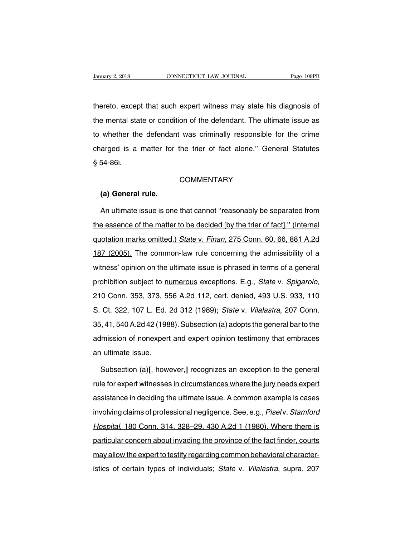University 2, 2018<br>thereto, except that such expert witness may state his diagnosis of<br>the mental state or condition of the defendant. The ultimate issue as University 2, 2018 CONNECTICUT LAW JOURNAL Page 109PB<br>thereto, except that such expert witness may state his diagnosis of<br>the mental state or condition of the defendant. The ultimate issue as<br>to whether the defendant was c thereto, except that such expert witness may state his diagnosis of<br>the mental state or condition of the defendant. The ultimate issue as<br>to whether the defendant was criminally responsible for the crime<br>charged is a matte thereto, except that such expert witness may state his diagnosis of<br>the mental state or condition of the defendant. The ultimate issue as<br>to whether the defendant was criminally responsible for the crime<br>charged is a matte the mental state whether the charged is a<br>\$54-86i. arged is a matter for<br>54-86i.<br>**(a) General rule.**<br>An ultimate issue is one

# **COMMENTARY**

54-86i.<br>COMMENTARY<br>An ultimate issue is one that cannot "reasonably be separated from<br>a essence of the matter to be decided [by the trier of fact]." (Internal COMMENTARY<br>(a) General rule.<br>An ultimate issue is one that cannot "reasonably be separated from<br>the essence of the matter to be decided [by the trier of fact]." (Internal<br>quotation marks omitted.) State v. Finan, 275 Conn. (a) General rule.<br>An ultimate issue is one that cannot "reasonably be separated from<br>the essence of the matter to be decided [by the trier of fact]." (Internal<br>quotation marks omitted.) State v. Finan, 275 Conn. 60, 66, 88 An ultimate issue is one that cannot "reasonably be separated from<br>the essence of the matter to be decided [by the trier of fact]." (Internal<br>quotation marks omitted.) State v. Finan, 275 Conn. 60, 66, 881 A.2d<br>187 (2005). the essence of the matter to be decided [by the trier of fact]." (Internal quotation marks omitted.) State v. Finan, 275 Conn. 60, 66, 881 A.2d 187 (2005). The common-law rule concerning the admissibility of a witness' opi probabilition marks omitted.) State v. Finan, 275 Conn. 60, 66, 881 A.2d<br>187 (2005). The common-law rule concerning the admissibility of a<br>witness' opinion on the ultimate issue is phrased in terms of a general<br>prohibition witness' opinion on the ultimate issue is phrased in terms of a general<br>prohibition subject to <u>numerous</u> exceptions. E.g., *State v. Spigarolo*,<br>210 Conn. 353, 3<u>73</u>, 556 A.2d 112, cert. denied, 493 U.S. 933, 110<br>S. Ct. prohibition subject to numerous exceptions. E.g., *State v. Spigarolo*,<br>210 Conn. 353, 3<u>73</u>, 556 A.2d 112, cert. denied, 493 U.S. 933, 110<br>S. Ct. 322, 107 L. Ed. 2d 312 (1989); *State v. Vilalastra*, 207 Conn.<br>35, 41, 540 promisment casped to <u>namenoac</u> exceptions: Eigit, clare v. epigarele,<br>210 Conn. 353, 3<u>73</u>, 556 A.2d 112, cert. denied, 493 U.S. 933, 110<br>S. Ct. 322, 107 L. Ed. 2d 312 (1989); *State* v. *Vilalastra*, 207 Conn.<br>35, 41, 54 210 Conn. 353, 373, 556 A.2d 112, cert. denied, 493 U.S. 933, 110<br>S. Ct. 322, 107 L. Ed. 2d 312 (1989); *State v. Vilalastra*, 207 Conn.<br>35, 41, 540 A.2d 42 (1988). Subsection (a) adopts the general bar to the<br>admission o Subsection (a) adopts the general bar to the unission of nonexpert and expert opinion testimony that embraces ultimate issue.<br>Subsection (a)[, however,] recognizes an exception to the general<br>le for expert witnesses in cir

admission of nonexpert and expert opinion testimony that embraces<br>an ultimate issue.<br>Subsection (a)[, however,] recognizes an exception to the general<br>rule for expert witnesses in circumstances where the jury needs expert<br> an ultimate issue.<br>Subsection (a)[, however,] recognizes an exception to the general<br>rule for expert witnesses <u>in circumstances where the jury needs expert</u><br>assistance in deciding the ultimate issue. A common example is c Subsection (a)[, however,] recognizes an exception to the general<br>rule for expert witnesses in circumstances where the jury needs expert<br>assistance in deciding the ultimate issue. A common example is cases<br>involving claims rule for expert witnesses in circumstances where the jury needs expert<br>assistance in deciding the ultimate issue. A common example is cases<br>involving claims of professional negligence. See, e.g., *Piselv. Stamford*<br>Hospita assistance in deciding the ultimate issue. A common example is cases<br>involving claims of professional negligence. See, e.g., *Piselv. Stamford*<br>Hospital, 180 Conn. 314, 328–29, 430 A.2d 1 (1980). Where there is<br>particular involving claims of professional negligence. See, e.g., Piselv. Stamford<br>Hospital, 180 Conn. 314, 328–29, 430 A.2d 1 (1980). Where there is<br>particular concern about invading the province of the fact finder, courts<br>may allo Hospital, 180 Conn. 314, 328–29, 430 A.2d 1 (1980). Where there is<br>particular concern about invading the province of the fact finder, courts<br>may allow the expert to testify regarding common behavioral character-<br>istics of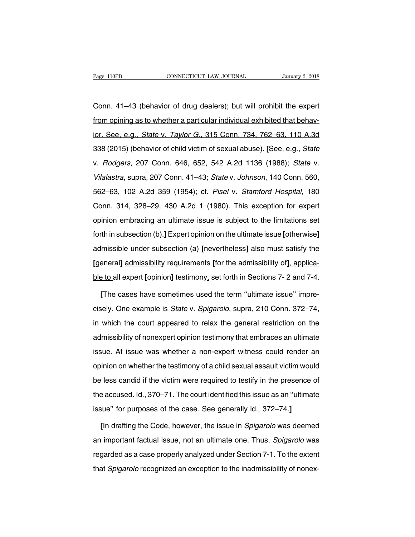Page 110PB<br>Conn. 41–43 (behavior of drug dealers); but will prohibit the expert<br>from opining as to whether a particular individual exhibited that behav-Fage 110PB CONNECTICUT LAW JOURNAL January 2, 2018<br>Conn. 41–43 (behavior of drug dealers); but will prohibit the expert<br>from opining as to whether a particular individual exhibited that behav-<br>ior. See, e.g., *State v. Tay* Conn. 41–43 (behavior of drug dealers); but will prohibit the expert<br>from opining as to whether a particular individual exhibited that behav-<br>ior. See, e.g., *State v. Taylor G.*, 315 Conn. 734, 762–63, 110 A.3d<br>338 (2015) Conn. 41–43 (behavior of drug dealers); but will prohibit the expert<br>from opining as to whether a particular individual exhibited that behav-<br>ior. See, e.g., *State v. Taylor G.*, 315 Conn. 734, 762–63, 110 A.3d<br>338 (2015) from opining as to whether a particular individual exhibited that behav-<br>ior. See, e.g., *State v. Taylor G.*, 315 Conn. 734, 762–63, 110 A.3d<br>338 (2015) (behavior of child victim of sexual abuse). [See, e.g., *State*<br>v. ior. See, e.g., *State v. Taylor G.*, 315 Conn. 734, 762–63, 110 A.3d<br>338 (2015) (behavior of child victim of sexual abuse). [See, e.g., *State*<br>v. *Rodgers*, 207 Conn. 646, 652, 542 A.2d 1136 (1988); *State v.<br>Vilalastra* 562–63, 102 A.2d 359 (1954); cf. Pisel v. Stamford Hospital, 180<br>
638 (2015) (behavior of child victim of sexual abuse). [See, e.g., *State* v. *Rodgers*, 207 Conn. 646, 652, 542 A.2d 1136 (1988); *State* v. *Vilalastra*, v. *Rodgers*, 207 Conn. 646, 652, 542 A.2d 1136 (1988); *State v. Vilalastra*, supra, 207 Conn. 41–43; *State v. Johnson*, 140 Conn. 560, 562–63, 102 A.2d 359 (1954); cf. *Pisel v. Stamford Hospital*, 180 Conn. 314, 328–29 Vilalastra, supra, 207 Conn. 41–43; State v. Johnson, 140 Conn. 560, 562–63, 102 A.2d 359 (1954); cf. Pisel v. Stamford Hospital, 180 Conn. 314, 328–29, 430 A.2d 1 (1980). This exception for expert opinion embracing an ult Fortherman, 1991, 2012 6.24 (1954); cf. *Pisel v. Stamford Hospital*, 180<br>Conn. 314, 328–29, 430 A.2d 1 (1980). This exception for expert<br>opinion embracing an ultimate issue is subject to the limitations set<br>forth in subse conn. 314, 328–29, 430 A.2d 1 (1980). This exception for expert<br>opinion embracing an ultimate issue is subject to the limitations set<br>forth in subsection (b).] Expert opinion on the ultimate issue [otherwise]<br>admissible un **EXAMPLE ANDE ACTES AND SURVEY THE SASEMEDT TO SUPPORT**<br> **EXAMPLE ADDED**<br> **EXAMPLE ADDED**<br> **EXAMPLE ADDED**<br> **EXAMPLE ADDED**<br> **EXAMPLE ADDED**<br> **EXAMPLE ADDED**<br> **EXAMPLE ADDED**<br> **EXAMPLE ADDED**<br> **EXAMPLE ADDED**<br> **EXAMPLE ADD** ble to all expert opinion on the ultimate issue [otherwise]<br>admissible under subsection (a) [nevertheless] also must satisfy the<br>[general] admissibility requirements [for the admissibility of], applica-<br>ble to all expert [ Imissible under subsection (a) [nevertheless] <u>also</u> must satisfy the<br>eneral] <u>admissibility</u> requirements [for the admissibility of], applica-<br>a to all expert [opinion] testimony, set forth in Sections 7- 2 and 7-4.<br>[The

[general] admissibility requirements [for the admissibility of], applica-<br>ble to all expert [opinion] testimony, set forth in Sections 7- 2 and 7-4.<br>[The cases have sometimes used the term "ultimate issue" impre-<br>cisely. O ble to all expert [opinion] testimony, set forth in Sections 7- 2 and 7-4.<br>
[The cases have sometimes used the term "ultimate issue" impre-<br>
cisely. One example is *State* v. *Spigarolo*, supra, 210 Conn. 372–74,<br>
in which [The cases have sometimes used the term "ultimate issue" imprecisely. One example is *State* v. *Spigarolo*, supra, 210 Conn. 372–74, in which the court appeared to relax the general restriction on the admissibility of non cisely. One example is *State* v. *Spigarolo*, supra, 210 Conn. 372–74, in which the court appeared to relax the general restriction on the admissibility of nonexpert opinion testimony that embraces an ultimate issue. At i oncer, the country of called the person of a child sexual restriction on the<br>admissibility of nonexpert opinion testimony that embraces an ultimate<br>issue. At issue was whether a non-expert witness could render an<br>opinion o admissibility of nonexpert opinion testimony that embraces an ultimate<br>issue. At issue was whether a non-expert witness could render an<br>opinion on whether the testimony of a child sexual assault victim would<br>be less candid the accuracion in the accuse was whether a non-expert witness could render an opinion on whether the testimony of a child sexual assault victim would be less candid if the victim were required to testify in the presence of issue. At issue was whether a non-expert witness could render an opinion on whether the testimony of a child sexual assault victim would be less candid if the victim were required to testify in the presence of the accused. Eless candid if the victim were required to testify in the presence of<br> **Exercise and Alle in the Code, however, the issue in Spigarolo was deemed**<br> **[In drafting the Code, however, the issue in Spigarolo was deemed**<br> **Exe** 

the accused. Id., 370–71. The court identified this issue as an "ultimate<br>issue" for purposes of the case. See generally id., 372–74.]<br>[In drafting the Code, however, the issue in *Spigarolo* was deemed<br>an important factua issue" for purposes of the case. See generally id., 372–74.]<br>
[In drafting the Code, however, the issue in *Spigarolo* was deemed<br>
an important factual issue, not an ultimate one. Thus, *Spigarolo* was<br>
regarded as a case [In drafting the Code, however, the issue in *Spigarolo* was deemed<br>an important factual issue, not an ultimate one. Thus, *Spigarolo* was<br>regarded as a case properly analyzed under Section 7-1. To the extent<br>that *Spigaro*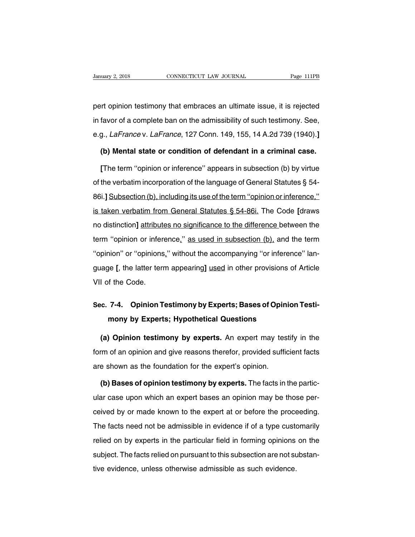Danuary 2, 2018 CONNECTICUT LAW JOURNAL Page 111PB<br>pert opinion testimony that embraces an ultimate issue, it is rejected<br>in favor of a complete ban on the admissibility of such testimony. See, January 2, 2018 CONNECTICUT LAW JOURNAL Page 111PB<br>pert opinion testimony that embraces an ultimate issue, it is rejected<br>in favor of a complete ban on the admissibility of such testimony. See,<br>e.g., *LaFrance* v. *LaFranc* pert opinion testimony that embraces an ultimate issue, it is rejected<br>in favor of a complete ban on the admissibility of such testimony. See,<br>e.g., *LaFrance* v. *LaFrance*, 127 Conn. 149, 155, 14 A.2d 739 (1940).**]**<br>**(b)** Interprison testimony that embraces an ultimate issue, it is rejected<br>favor of a complete ban on the admissibility of such testimony. See,<br>g., *LaFrance* v. *LaFrance*, 127 Conn. 149, 155, 14 A.2d 739 (1940).]<br>**(b) Mental** favor of a complete ban on the admissibility of such testimony. See,<br>g., *LaFrance* v. *LaFrance*, 127 Conn. 149, 155, 14 A.2d 739 (1940).]<br>**(b) Mental state or condition of defendant in a criminal case.**<br>[The term "opinio

e.g., *LaFrance* v. *LaFrance*, 127 Conn. 149, 155, 14 A.2d 739 (1940).]<br> **(b) Mental state or condition of defendant in a criminal case.**<br>
[The term "opinion or inference" appears in subsection (b) by virtue<br>
of the verba (b) Mental state or condition of defendant in a criminal case.<br>
[The term "opinion or inference" appears in subsection (b) by virtue<br>
of the verbatim incorporation of the language of General Statutes  $\S$  54-<br>
86i.] Subsec [The term "opinion or inference" appears in subsection (b) by virtue<br>of the verbatim incorporation of the language of General Statutes § 54-<br>86i.] <u>Subsection (b), including its use of the term "opinion or inference,"<br>is t</u> of the verbatim incorporation of the language of General Statutes § 54-<br>86i.] Subsection (b), including its use of the term "opinion or inference,"<br>is taken verbatim from General Statutes § 54-86i. The Code [draws<br>no disti 86i.] Subsection (b), including its use of the term "opinion or inference,"<br>is taken verbatim from General Statutes § 54-86i. The Code [draws<br>no distinction] attributes no significance to the difference between the<br>term "o is taken verbatim from General Statutes § 54-86i. The Code [draws<br>no distinction] attributes no significance to the difference between the<br>term "opinion or inference," as used in subsection (b), and the term<br>"opinion" or " no distinction] attributes no significance to the difference between the<br>term "opinion or inference," as used in subsection (b), and the term<br>"opinion" or "opinions," without the accompanying "or inference" language [, the The distributor.<br>
The Code Committee Code.<br>
The VII of the Code.<br>
The Code. "opinion" or "opinions," without the accompanying "or inference" language [, the latter term appearing] <u>used</u> in other provisions of Article<br>VII of the Code.<br>**Sec. 7-4. Opinion Testimony by Experts; Bases of Opinion Testi pe [, the latter term appearing] <u>used</u> in other provisions of the Code.<br>
<b>T-4. Opinion Testimony by Experts; Bases of Opinio<br>
mony by Experts; Hypothetical Questions**<br>
A Opinion testimony by experts. An expert may testif

**(b) The Code.**<br> **(c. 7-4. Opinion Testimony by Experts; Bases of Opinion Testi-<br>
<b>(a) Opinion testimony by experts.** An expert may testify in the<br> **(a) Opinion testimony by experts.** An expert may testify in the<br>
dim of a Sec. 7-4. Opinion Testimony by Experts; Bases of Opinion Testimony by Experts; Hypothetical Questions<br>
(a) Opinion testimony by experts. An expert may testify in the<br>
form of an opinion and give reasons therefor, provided mony by Experts; Hypothetical Questions<br>
(a) Opinion testimony by experts. An expert may tes<br>
form of an opinion and give reasons therefor, provided suffic<br>
are shown as the foundation for the expert's opinion.<br>
(b) Bases **(a) Opinion testimony by experts.** An expert may testify in the m of an opinion and give reasons therefor, provided sufficient facts is shown as the foundation for the expert's opinion.<br>**(b) Bases of opinion testimony by** 

form of an opinion and give reasons therefor, provided sufficient facts<br>are shown as the foundation for the expert's opinion.<br>(b) Bases of opinion testimony by experts. The facts in the partic-<br>ular case upon which an expe are shown as the foundation for the expert's opinion.<br>
(b) Bases of opinion testimony by experts. The facts in the partic-<br>
ular case upon which an expert bases an opinion may be those per-<br>
ceived by or made known to the (b) Bases of opinion testimony by experts. The facts in the partic-<br>ular case upon which an expert bases an opinion may be those per-<br>ceived by or made known to the expert at or before the proceeding.<br>The facts need not be Let us a see upon which an expert bases an opinion may be those per-<br>ceived by or made known to the expert at or before the proceeding.<br>The facts need not be admissible in evidence if of a type customarily<br>relied on by exp subject. The facts relied on pursuant to this subsection are not subject.<br>The facts reed not be admissible in evidence if of a type customarily<br>relied on by experts in the particular field in forming opinions on the<br>subjec The facts need not be admissible in evidence if of a type cust<br>relied on by experts in the particular field in forming opinions<br>subject. The facts relied on pursuant to this subsection are not su<br>tive evidence, unless othe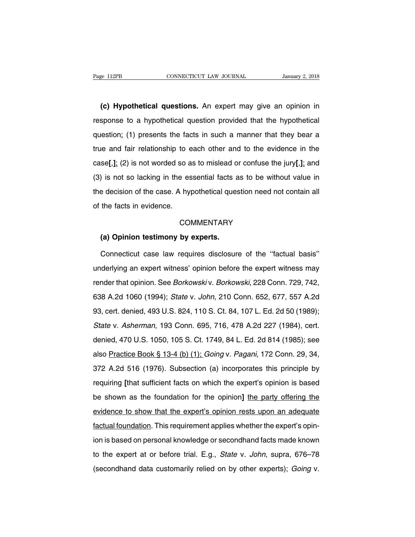EXEM 112PB<br> **(c) Hypothetical questions.** An expert may give an opinion in<br>
sponse to a hypothetical question provided that the hypothetical response to a hypothetical questions. An expert may give an opinion in<br>
response to a hypothetical question provided that the hypothetical<br>
question: (1) presents the facts in such a manner that they bear a (c) Hypothetical questions. An expert may give an opinion in response to a hypothetical question provided that the hypothetical question: (1) presents the facts in such a manner that they bear a true and fair relationship (c) Hypothetical questions. An expert may give an opinion in response to a hypothetical question provided that the hypothetical question: (1) presents the facts in such a manner that they bear a true and fair relationship response to a hypothetical question provided that the hypothetical question: (1) presents the facts in such a manner that they bear a true and fair relationship to each other and to the evidence in the case[,]; (2) is not question: (1) presents the facts in such a manner that they bear a<br>true and fair relationship to each other and to the evidence in the<br>case[,]; (2) is not worded so as to mislead or confuse the jury[,]; and<br>(3) is not so true and fair relationship to each other and to the evidence in the case[,]; (2) is not worded so as to mislead or confuse the jury[,]; and (3) is not so lacking in the essential facts as to be without value in the decisi  $\begin{aligned} \text{case}[\cdot], \text{ (2) is not worded so a} \\ \text{(3) is not so lacking in the es} \\ \text{the decision of the case. A by} \\ \text{of the facts in evidence.} \end{aligned}$ Experission of the case. A hypothetical quess<br>
the facts in evidence.<br>
COMMENTARY<br>
(a) Opinion testimony by experts.<br>
Connecticut case law requires disclosure

## **COMMENTARY**

the facts in evidence.<br>
COMMENTARY<br>
(a) Opinion testimony by experts.<br>
Connecticut case law requires disclosure of the "factual basis"<br>
derlying an expert witness' opinion before the expert witness may COMMENTARY<br>
(a) Opinion testimony by experts.<br>
Connecticut case law requires disclosure of the "factual basis"<br>
underlying an expert witness' opinion before the expert witness may<br>
render that opinion. See *Borkowski* v. (a) Opinion testimony by experts.<br>Connecticut case law requires disclosure of the "factual basis"<br>underlying an expert witness' opinion before the expert witness may<br>render that opinion. See *Borkowski* v. *Borkowski*, 228 Connecticut case law requires disclosure of the "factual basis"<br>underlying an expert witness' opinion before the expert witness may<br>render that opinion. See *Borkowski* v. *Borkowski*, 228 Conn. 729, 742,<br>638 A.2d 1060 (19 underlying an expert witness' opinion before the expert witness may<br>render that opinion. See *Borkowskiv. Borkowski*, 228 Conn. 729, 742,<br>638 A.2d 1060 (1994); *State v. John*, 210 Conn. 652, 677, 557 A.2d<br>93, cert. denied ender that opinion. See *Borkowski* v. *Borkowski*, 228 Conn. 729, 742, 638 A.2d 1060 (1994); *State v. John*, 210 Conn. 652, 677, 557 A.2d 93, cert. denied, 493 U.S. 824, 110 S. Ct. 84, 107 L. Ed. 2d 50 (1989); *State v.* denied, 470 U.S. 1050, 105 S. Ct. 1749, 84 L. Ed. 2d 814 (1985); see also Practice Book § 13-4 (b) (1); Going v. Pagani, 172 Conn. 29, 34, 93, cert. denied, 493 U.S. 824, 110 S. Ct. 84, 107 L. Ed. 2d 50 (1989);<br>State v. Asherman, 193 Conn. 695, 716, 478 A.2d 227 (1984), cert.<br>denied, 470 U.S. 1050, 105 S. Ct. 1749, 84 L. Ed. 2d 814 (1985); see<br>also <u>Practice </u> State v. Asherman, 193 Conn. 695, 716, 478 A.2d 227 (1984), cert.<br>denied, 470 U.S. 1050, 105 S. Ct. 1749, 84 L. Ed. 2d 814 (1985); see<br>also Practice Book § 13-4 (b) (1); *Going* v. *Pagani*, 172 Conn. 29, 34,<br>372 A.2d 516 denied, 470 U.S. 1050, 105 S. Ct. 1749, 84 L. Ed. 2d 814 (1985); see<br>also <u>Practice Book § 13-4 (b) (1):</u> *Going v. Pagani*, 172 Conn. 29, 34,<br>372 A.2d 516 (1976). Subsection (a) incorporates this principle by<br>requiring [t as the gradies Practice Book § 13-4 (b) (1); *Going v. Pagani*, 172 Conn. 29, 34, 372 A.2d 516 (1976). Subsection (a) incorporates this principle by requiring [that sufficient facts on which the expert's opinion is based b are **Fractice Book 3 Terms** (1976). Subsection (a) incorporates this principle by<br>requiring [that sufficient facts on which the expert's opinion is based<br>be shown as the foundation for the opinion] the party offering the<br>e factual foundation. This requirement applies whether the expertive intervalsed be shown as the foundation for the opinion] the party offering the evidence to show that the expert's opinion rests upon an adequate factual fo be shown as the foundation for the opinion] the party offering the evidence to show that the expert's opinion rests upon an adequate factual foundation. This requirement applies whether the expert's opinion is based on per evidence to show that the expert's opinion rests upon an adequate<br>factual foundation. This requirement applies whether the expert's opin-<br>ion is based on personal knowledge or secondhand facts made known<br>to the expert at o factual foundation. This requirement applies whether the expert's opin-<br>ion is based on personal knowledge or secondhand facts made known<br>to the expert at or before trial. E.g., *State v. John*, supra, 676–78<br>(secondhand d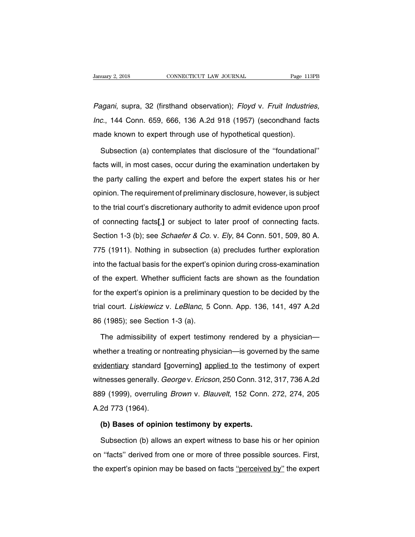Vanuary 2, 2018 CONNECTICUT LAW JOURNAL Page 113PB<br>Pagani, supra, 32 (firsthand observation); Floyd v. Fruit Industries,<br>Inc., 144 Conn. 659, 666, 136 A.2d 918 (1957) (secondhand facts January 2, 2018 CONNECTICUT LAW JOURNAL Page 113PB<br>
Pagani, supra, 32 (firsthand observation); Floyd v. Fruit Industries,<br>
Inc., 144 Conn. 659, 666, 136 A.2d 918 (1957) (secondhand facts<br>
made known to expert through use o Pagani, supra, 32 (firsthand observation); Floyd v. Fruit Industrie<br>
Inc., 144 Conn. 659, 666, 136 A.2d 918 (1957) (secondhand face<br>
made known to expert through use of hypothetical question).<br>
Subsection (a) contemplates Subsection (a) contemplates that disclosure of the ''foundational''<br>Subsection (a) contemplates that disclosure of the ''foundational''<br>Subsection (a) contemplates that disclosure of the ''foundational''<br>orts will, in most

Inc., 144 Conn. 659, 666, 136 A.2d 918 (1957) (secondhand facts made known to expert through use of hypothetical question).<br>Subsection (a) contemplates that disclosure of the "foundational" facts will, in most cases, occur made known to expert through use of hypothetical question).<br>Subsection (a) contemplates that disclosure of the "foundational"<br>facts will, in most cases, occur during the examination undertaken by<br>the party calling the expe Subsection (a) contemplates that disclosure of the "foundational"<br>facts will, in most cases, occur during the examination undertaken by<br>the party calling the expert and before the expert states his or her<br>opinion. The requ facts will, in most cases, occur during the examination undertaken by<br>the party calling the expert and before the expert states his or her<br>opinion. The requirement of preliminary disclosure, however, is subject<br>to the tria the party calling the expert and before the expert states his or her opinion. The requirement of preliminary disclosure, however, is subject to the trial court's discretionary authority to admit evidence upon proof of conn Section 1-3 (b); see *Schaefer & Co.* v. *Ely*, 84 Conn. 501, 509, 80 A.<br>The trial court's discretionary authority to admit evidence upon proof<br>of connecting facts[,] or subject to later proof of connecting facts.<br>Section to the trial court's discretionary authority to admit evidence upon proof<br>of connecting facts[,] or subject to later proof of connecting facts.<br>Section 1-3 (b); see *Schaefer & Co.* v. *Ely*, 84 Conn. 501, 509, 80 A.<br>775 ( is the that scart's discribinary during to durint syddicities apon proof<br>of connecting facts[,] or subject to later proof of connecting facts.<br>Section 1-3 (b); see *Schaefer & Co.* v. *Ely*, 84 Conn. 501, 509, 80 A.<br>775 (1 Section 1-3 (b); see *Schaefer & Co.* v. *Ely*, 84 Conn. 501, 509, 80 A.<br>775 (1911). Nothing in subsection (a) precludes further exploration<br>into the factual basis for the expert's opinion during cross-examination<br>of the e 775 (1911). Nothing in subsection (a) precludes further exploration<br>into the factual basis for the expert's opinion during cross-examination<br>of the expert. Whether sufficient facts are shown as the foundation<br>for the expe trial court. Liskiewicz v. LeBlanc, 5 Conn. App. 136, 141, 497 A.2d 86 (1985); see Section 1-3 (a). of the expert. Whether sufficient factor the expert's opinion is a prelimina<br>trial court. *Liskiewicz* v. *LeBlanc*, 5<br>86 (1985); see Section 1-3 (a).<br>The admissibility of expert testime The expert's opinion is a preliminary question to be decided by the<br>al court. *Liskiewicz* v. *LeBlanc*, 5 Conn. App. 136, 141, 497 A.2d<br>i (1985); see Section 1-3 (a).<br>The admissibility of expert testimony rendered by a ph

trial court. *Liskiewicz* v. *LeBlanc*, 5 Conn. App. 136, 141, 497 A.2d<br>86 (1985); see Section 1-3 (a).<br>The admissibility of expert testimony rendered by a physician—<br>whether a treating or nontreating physician—is governed 86 (1985); see Section 1-3 (a).<br>The admissibility of expert testimony rendered by a physician—<br>whether a treating or nontreating physician—is governed by the same<br>evidentiary standard [governing] applied to the testimony o The admissibility of expert testimony rendered by a physician—<br>whether a treating or nontreating physician—is governed by the same<br>evidentiary standard [governing] applied to the testimony of expert<br>witnesses generally. Ge whether a treating or oxport technology is a priyer with the same<br>evidentiary standard [governing] applied to the testimony of expert<br>witnesses generally. *George v. Ericson*, 250 Conn. 312, 317, 736 A.2d<br>889 (1999), overr whether a treating or nontreating physician—is governed by the same<br>evidentiary standard [governing] applied to the testimony of expert<br>witnesses generally. George v. Ericson, 250 Conn. 312, 317, 736 A.2d<br>889 (1999), overr witnesses generally. *George v. Ericson*, 250 Conn. 312, 317, 736 A.2d<br>
889 (1999), overruling *Brown v. Blauvelt*, 152 Conn. 272, 274, 205<br>
A.2d 773 (1964).<br> **(b) Bases of opinion testimony by experts.**<br>
Subsection (b) al Subsection (1999), overruling *Brown v. Blauvelt*, 152 Conn. 272, 274, 205<br>Subsection (b) allows an expert witness to base his or her opinion<br>"facts" derived from one or more of three possible sources. First,

A.2d 773 (1964).<br>
(b) Bases of opinion testimony by experts.<br>
Subsection (b) allows an expert witness to base his or her opinion<br>
on "facts" derived from one or more of three possible sources. First,<br>
the expert's opinion (b) Bases of opinion testimony by experts.<br>Subsection (b) allows an expert witness to base his or her opinion<br>on "facts" derived from one or more of three possible sources. First,<br>the expert's opinion may be based on facts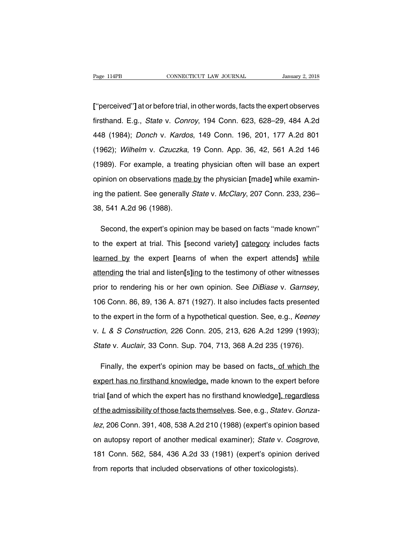Page 114PB CONNECTICUT LAW JOURNAL January 2, 2018<br> **[**"perceived"] at or before trial, in other words, facts the expert observes<br>
firsthand. E.g., *State* v. *Conroy*, 194 Conn. 623, 628–29, 484 A.2d Fage 114PB CONNECTICUT LAW JOURNAL January 2, 2018<br>
["perceived"] at or before trial, in other words, facts the expert observes<br>
firsthand. E.g., *State v. Conroy*, 194 Conn. 623, 628–29, 484 A.2d<br>
448 (1984); *Donch v. Ka* ["perceived"] at or before trial, in other words, facts the expert observes<br>firsthand. E.g., *State v. Conroy*, 194 Conn. 623, 628–29, 484 A.2d<br>448 (1984); *Donch v. Kardos*, 149 Conn. 196, 201, 177 A.2d 801<br>(1962); *Wilhe* ["perceived"] at or before trial, in other words, facts the expert observes<br>firsthand. E.g., *State v. Conroy*, 194 Conn. 623, 628–29, 484 A.2d<br>448 (1984); *Donch v. Kardos*, 149 Conn. 196, 201, 177 A.2d 801<br>(1962); *Wilhe* firsthand. E.g., *State v. Conroy*, 194 Conn. 623, 628–29, 484 A.2d<br>448 (1984); *Donch v. Kardos*, 149 Conn. 196, 201, 177 A.2d 801<br>(1962); *Wilhelm v. Czuczka*, 19 Conn. App. 36, 42, 561 A.2d 146<br>(1989). For example, a tr 448 (1984); *Donch v. Kardos*, 149 Conn. 196, 201, 177 A.2d 801<br>(1962); *Wilhelm v. Czuczka*, 19 Conn. App. 36, 42, 561 A.2d 146<br>(1989). For example, a treating physician often will base an expert<br>opinion on observations m (1962); Wilhelm v. Czuczka, 19 Conn. App. 36, 42, 561 A.2d 146<br>(1989). For example, a treating physician often will base an expert<br>opinion on observations made by the physician [made] while examin-<br>ing the patient. See ge (1989). For example, a treation<br>opinion on observations made<br>ing the patient. See generally<br>38, 541 A.2d 96 (1988). inion on observations made by the physician [made] while examin-<br>g the patient. See generally *State* v. *McClary*, 207 Conn. 233, 236–<br>i, 541 A.2d 96 (1988).<br>Second, the expert's opinion may be based on facts "made known"

the patient. See generally *State* v. *McClary*, 207 Conn. 233, 236–<br>38, 541 A.2d 96 (1988).<br>Second, the expert's opinion may be based on facts "made known"<br>to the expert at trial. This [second variety] category includes f 188, 541 A.2d 96 (1988).<br>Second, the expert's opinion may be based on facts "made known"<br>to the expert at trial. This [second variety] <u>category</u> includes facts<br>learned by the expert [learns of when the expert attends] whi Second, the expert's opinion may be based on facts "made known"<br>to the expert at trial. This [second variety] category includes facts<br>learned by the expert [learns of when the expert attends] while<br>attending the trial and to the expert at trial. This [second variety] category includes facts<br>learned by the expert [learns of when the expert attends] while<br>attending the trial and listen[s]ing to the testimony of other witnesses<br>prior to render attending the trial and listen[s]ing to the testimony of other witnesses<br>prior to rendering his or her own opinion. See *DiBiase* v. *Garnsey*,<br>106 Conn. 86, 89, 136 A. 871 (1927). It also includes facts presented<br>to the e prior to rendering his or her own opinion. See *DiBiase* v. *Garnsey*,<br>106 Conn. 86, 89, 136 A. 871 (1927). It also includes facts presented<br>to the expert in the form of a hypothetical question. See, e.g., *Keeney*<br>v. *L &* 106 Conn. 86, 89, 136 A. 871 (1927). It also includes facts presented<br>to the expert in the form of a hypothetical question. See, e.g., *Keeney*<br>v. L & S Construction, 226 Conn. 205, 213, 626 A.2d 1299 (1993);<br>State v. Auc the expert in the form of a hypothetical question. See, e.g., *Keeney*<br>
L & S Construction, 226 Conn. 205, 213, 626 A.2d 1299 (1993);<br>
ate v. Auclair, 33 Conn. Sup. 704, 713, 368 A.2d 235 (1976).<br>
Finally, the expert's opi

v. L & S Construction, 226 Conn. 205, 213, 626 A.2d 1299 (1993);<br>State v. Auclair, 33 Conn. Sup. 704, 713, 368 A.2d 235 (1976).<br>Finally, the expert's opinion may be based on facts, of which the<br>expert has no firsthand know State v. Auclair, 33 Conn. Sup. 704, 713, 368 A.2d 235 (1976).<br>
Finally, the expert's opinion may be based on facts, of which the<br>
expert has no firsthand knowledge, made known to the expert before<br>
trial [and of which the Finally, the expert's opinion may be based on facts<u>, of which the expert has no firsthand knowledge</u>, made known to the expert before trial [and of which the expert has no firsthand knowledge], regardless of the admissibi expert has no firsthand knowledge, made known to the expert before<br>trial [and of which the expert has no firsthand knowledge], regardless<br>of the admissibility of those facts themselves. See, e.g., *Statev. Gonza-<br>lez*, 206 trial [and of which the expert has no firsthand knowledge], regardless<br>of the admissibility of those facts themselves. See, e.g., *State* v. *Gonza-<br>lez*, 206 Conn. 391, 408, 538 A.2d 210 (1988) (expert's opinion based<br>on *lez*, 206 Conn. 391, 408, 538 A.2d 210 (1988) (expert's opinion<br>on autopsy report of another medical examiner); *State* v. *Cos*<br>181 Conn. 562, 584, 436 A.2d 33 (1981) (expert's opinion d<br>from reports that included observ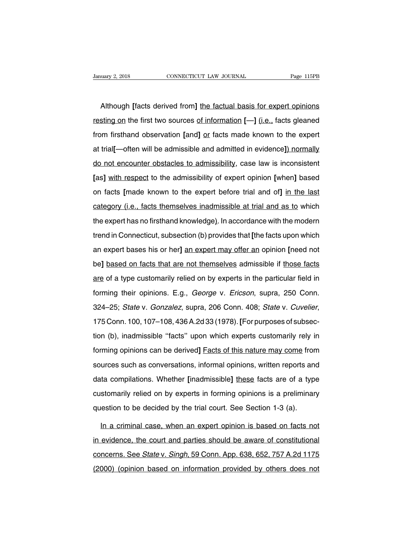uary 2, 2018 CONNECTICUT LAW JOURNAL Page 115PB<br>Although [facts derived from] <u>the factual basis for expert opinions</u><br>sting on the first two sources of information [—] (i.e., facts gleaned Frequency 2, 2018 CONNECTICUT LAW JOURNAL Page 115PB<br> **Although [facts derived from] <u>the factual basis for expert opinions</u><br>
resting on the first two sources of information**  $[-]$  **(i.e., facts gleaned<br>
from firsthand observ** Although [facts derived from] the factual basis for expert opinions<br>resting on the first two sources <u>of information</u> [--] (i.e., facts gleaned<br>from firsthand observation [and] <u>or</u> facts made known to the expert<br>at trial[ Although [facts derived from] the factual basis for expert opinions<br>resting on the first two sources of information [--] (i.e., facts gleaned<br>from firsthand observation [and] <u>or</u> facts made known to the expert<br>at trial[-resting on the first two sources of information [--] (i.e., facts gleaned<br>from firsthand observation [and] <u>or</u> facts made known to the expert<br>at trial[--often will be admissible and admitted in evidence]) normally<br>do not **Example 1** are more three searces **or anticomplemental party in the expert** of the expert at trial[—often will be admissible and admitted in evidence]) normally do not encounter obstacles to admissibility, case law is inc non memanary esservance,  $[\text{mag}]$  on taxe means members one one one one at trial[--often will be admissible and admitted in evidence]) normally do not encounter obstacles to admissibility, case law is inconsistent [as] with do not encounter obstacles to admissibility, case law is inconsistent<br>[as] with respect to the admissibility of expert opinion [when] based<br>on facts [made known to the expert before trial and of] in the last<br>category (i.e. The the expert of the admissibility of expert opinion [when] based<br>on facts [made known to the expert before trial and of] in the last<br>category (i.e., facts themselves inadmissible at trial and as to which<br>the expert has n on facts [made known to the expert before trial and of] in the last<br>category (i.e., facts themselves inadmissible at trial and as to which<br>the expert has no firsthand knowledge). In accordance with the modern<br>trend in Conn category (i.e., facts themselves inadmissible at trial and as to which<br>the expert has no firsthand knowledge). In accordance with the modern<br>trend in Connecticut, subsection (b) provides that [the facts upon which<br>an exper the expert has no firsthand knowledge). In accordance with the modern<br>trend in Connecticut, subsection (b) provides that [the facts upon which<br>an expert bases his or her] an expert may offer an opinion [need not<br>be] based are onpertuasing momentum monogogy, in accordance minimization.<br>
Itend in Connecticut, subsection (b) provides that [the facts upon which<br>
an expert bases his or her] an expert may offer an opinion [need not<br>
be] based on an expert bases his or her] an expert may offer an opinion [need not<br>be] based on facts that are not themselves admissible if those facts<br>are of a type customarily relied on by experts in the particular field in<br>forming th 324–25; State v. Gonzalez, supra, 206 Conn. 408; State v. Cuvelier, 175 Conn. 100, 107–108, 436 A.2d 33 (1978). [For purposes of subsection (b), inadmissible "facts" upon which experts customarily rely in forming their opinions. E.g., *George v. Ericson*, supra, 250 Conn.<br>324–25; *State v. Gonzalez*, supra, 206 Conn. 408; *State v. Cuvelier*,<br>175 Conn. 100, 107–108, 436 A.2d 33 (1978). [For purposes of subsec-<br>tion (b), ina forming area epinterial angly every of the derival depth, seeper, as 324–25; *State v. Gonzalez*, supra, 206 Conn. 408; *State v. Cuvelier*, 175 Conn. 100, 107–108, 436 A.2d 33 (1978). [For purposes of subsection (b), inad 175 Conn. 100, 107–108, 436 A.2d 33 (1978). [For purposes of subsection (b), inadmissible "facts" upon which experts customarily rely in forming opinions can be derived] Eacts of this nature may come from sources such as c door (b), inadmissible "facts" upon which experts customarily rely in<br>forming opinions can be derived] Eacts of this nature may come from<br>sources such as conversations, informal opinions, written reports and<br>data compilati forming opinions can be derived] **Facts of this nature may come** from<br>sources such as conversations, informal opinions, written reports and<br>data compilations. Whether [inadmissible] <u>these</u> facts are of a type<br>customarily sources such as conversations, informal opinions, written reports and data compilations. Whether [inadmissible] these facts are of a type customarily relied on by experts in forming opinions is a preliminar question to be In a compilations. Whether [inadmissible] these facts are of a type<br>stomarily relied on by experts in forming opinions is a preliminary<br>lestion to be decided by the trial court. See Section 1-3 (a).<br>In a criminal case, whe

customarily relied on by experts in forming opinions is a preliminary<br>question to be decided by the trial court. See Section 1-3 (a).<br>In a criminal case, when an expert opinion is based on facts not<br>in evidence, the court question to be decided by the trial court. See Section 1-3 (a).<br>
In a criminal case, when an expert opinion is based on facts not<br>
in evidence, the court and parties should be aware of constitutional<br>
concerns. See *State* In a criminal case, when an expert opinion is based on facts not<br>in evidence, the court and parties should be aware of constitutional<br>concerns. See *State* v. *Singh*, 59 Conn. App. 638, 652, 757 A.2d 1175<br>(2000) (opinion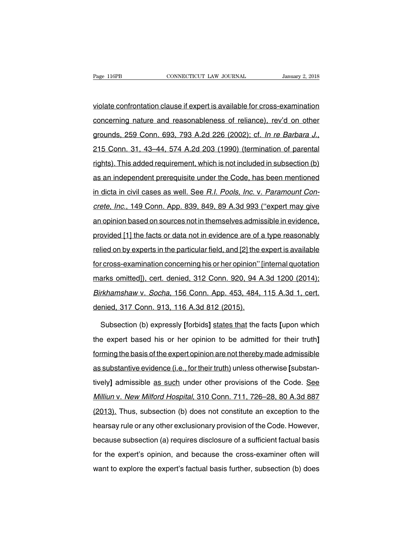Page 116PB<br>
connectricut LAW JOURNAL<br>
violate confrontation clause if expert is available for cross-examination<br>
concerning nature and reasonableness of reliance), rev'd on other Page 116PB CONNECTICUT LAW JOURNAL January 2, 2018<br>violate confrontation clause if expert is available for cross-examination<br>concerning nature and reasonableness of reliance), rev'd on other<br>grounds, 259 Conn. 693, 793 A.2 violate confrontation clause if expert is available for cross-examination<br>concerning nature and reasonableness of reliance), rev'd on other<br>grounds, 259 Conn. 693, 793 A.2d 226 (2002); cf. *In re Barbara J.*,<br>215 Conn. 31, rights). This added requirement, which is not included in subsection (b) as an independent prerequisite under the Code, has been mentioned as an independent prerequisite under the Code, has been mentioned as an independent grounds, 259 Conn. 693, 793 A.2d 226 (2002); cf. *In re Barbara J.*, 215 Conn. 31, 43–44, 574 A.2d 203 (1990) (termination of parental rights). This added requirement, which is not included in subsection (b) as an independ greating Ecc Comm Soc, Tec Allex 220 (1990) (termination of parental<br>rights). This added requirement, which is not included in subsection (b)<br>as an independent prerequisite under the Code, has been mentioned<br>in dicta in ci rights). This added requirement, which is not included in subsection (b)<br>as an independent prerequisite under the Code, has been mentioned<br>in dicta in civil cases as well. See *R.I. Pools, Inc.* v. *Paramount Con-*<br>crete, as an independent prerequisite under the Code, has been mentioned<br>in dicta in civil cases as well. See *R.I. Pools, Inc.* v. *Paramount Con-*<br>crete, Inc., 149 Conn. App. 839, 849, 89 A.3d 993 ("expert may give<br>an opinion b in dicta in civil cases as well. See *R.I. Pools, Inc.* v. *Paramount Concrete, Inc.*, 149 Conn. App. 839, 849, 89 A.3d 993 ("expert may give an opinion based on sources not in themselves admissible in evidence, provided [ relied on by experts in the particular field, and [2] the expert may give<br>an opinion based on sources not in themselves admissible in evidence,<br>provided [1] the facts or data not in evidence are of a type reasonably<br>relied for cross-examination concerning his or her opinion based on sources not in themselves admissible in evidence,<br>provided [1] the facts or data not in evidence are of a type reasonably<br>relied on by experts in the particular marks omitted and the particle in the vidence are of a type reasonably<br>provided [1] the facts or data not in evidence are of a type reasonably<br>relied on by experts in the particular field, and [2] the expert is available<br>f relied on by experts in the particular field, and [2] the expert is available<br>for cross-examination concerning his or her opinion" [internal quotation<br>marks omitted]), cert. denied, 312 Conn. 920, 94 A.3d 1200 (2014);<br>Birk For cross-examination concerning his or her opinion" [<br>marks\_omitted]), cert. denied, 312 Conn. 920, 94 A<br>Birkhamshaw v. Socha, 156 Conn. App. 453, 484,<br>denied, 317 Conn. 913, 116 A.3d 812 (2015).<br>Subsection (b) expressly arks omitted]), cert. denied, 312 Conn. 920, 94 A.3d 1200 (2014);<br>rkhamshaw v. *Socha*, 156 Conn. App. 453, 484, 115 A.3d 1, cert.<br>nied, 317 Conn. 913, 116 A.3d 812 (2015).<br>Subsection (b) expressly [forbids] states that th

Birkhamshaw v. Socha, 156 Conn. App. 453, 484, 115 A.3d 1, cert.<br>denied, 317 Conn. 913, 116 A.3d 812 (2015).<br>Subsection (b) expressly [forbids] states that the facts [upon which<br>the expert based his or her opinion to be ad denied, 317 Conn. 913, 116 A.3d 812 (2015).<br>Subsection (b) expressly [forbids] states that the facts [upon which<br>the expert based his or her opinion to be admitted for their truth]<br>forming the basis of the expert opinion a Subsection (b) expressly [forbids] states that the facts [upon which<br>the expert based his or her opinion to be admitted for their truth]<br>forming the basis of the expert opinion are not thereby made admissible<br>as substantiv the expert based his or her opinion to be admitted for their truth]<br>forming the basis of the expert opinion are not thereby made admissible<br>as substantive evidence (i.e., for their truth) unless otherwise [substan-<br>tively] Morning the basis of the expert opinion are not thereby made admissible<br>as substantive evidence (i.e., for their truth) unless otherwise [substan-<br>tively] admissible as such under other provisions of the Code. See<br>Milliun (a) and substantive evidence (i.e., for their truth) unless otherwise [substan-<br>tively] admissible as such under other provisions of the Code. See<br>Milliun v. New Milford Hospital, 310 Conn. 711, 726–28, 80 A.3d 887<br>(2013). hearsay rule or any other exclusionary provisions of the Code. See Milliun v. New Milford Hospital, 310 Conn. 711, 726–28, 80 A.3d 887 (2013). Thus, subsection (b) does not constitute an exception to the hearsay rule or an Milliun v. New Milford Hospital, 310 Conn. 711, 726–28, 80 A.3d 887<br>(2013). Thus, subsection (b) does not constitute an exception to the<br>hearsay rule or any other exclusionary provision of the Code. However,<br>because subsec (2013). Thus, subsection (b) does not constitute an exception to the<br>hearsay rule or any other exclusionary provision of the Code. However,<br>because subsection (a) requires disclosure of a sufficient factual basis<br>for the e Hearsay rule or any other exclusionary provision of the Code. However, because subsection (a) requires disclosure of a sufficient factual basis for the expert's opinion, and because the cross-examiner often will want to e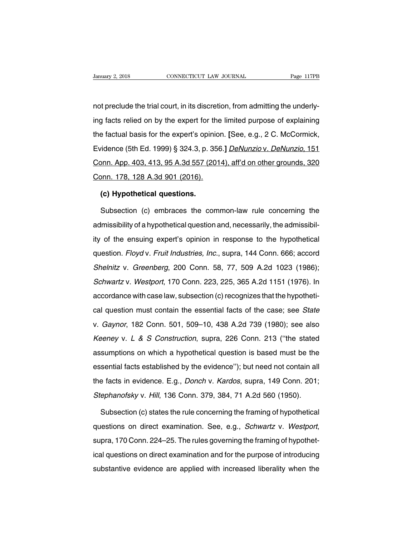Danuary 2, 2018 CONNECTICUT LAW JOURNAL Page 117PB<br>
not preclude the trial court, in its discretion, from admitting the underly-<br>
ing facts relied on by the expert for the limited purpose of explaining January 2, 2018 CONNECTICUT LAW JOURNAL Page 117PB<br>
not preclude the trial court, in its discretion, from admitting the underly-<br>
ing facts relied on by the expert for the limited purpose of explaining<br>
the factual basis f not preclude the trial court, in its discretion, from admitting the underly-<br>ing facts relied on by the expert for the limited purpose of explaining<br>the factual basis for the expert's opinion. [See, e.g., 2 C. McCormick,<br>E not preclude the trial court, in its discretion, from admitting the underly-<br>ing facts relied on by the expert for the limited purpose of explaining<br>the factual basis for the expert's opinion. [See, e.g., 2 C. McCormick,<br>E Increased and that board, in the discretion, normal antiting the directly<br>ing facts relied on by the expert's opinion. [See, e.g., 2 C. McCormick,<br>Evidence (5th Ed. 1999) § 324.3, p. 356.] *DeNunzio v. DeNunzio*, 151<br>Conn. the factual basis for the expert's opinior<br>Evidence (5th Ed. 1999) § 324.3, p. 356<br>Conn. App. 403, 413, 95 A.3d 557 (2014).<br>Conn. 178, 128 A.3d 901 (2016).<br>(c) Hypothetical questions. vidence (5th Ed. 1999) § 324.3, p. 3<br>2000. App. 403, 413, 95 A.3d 557 (20<br>2010. 178, 128 A.3d 901 (2016).<br>**(c) Hypothetical questions.**<br>Subsection (c) embraces the com onn. App. 403, 413, 95 A.3d 557 (2014), aff'd on other grounds, 320<br>Subsection (c) embraces the common-law rule concerning the<br>Missibility of a hypothetical question and, necessarily, the admissibil-

conn. 178, 128 A.3d 901 (2016).<br>
(c) Hypothetical questions.<br>
Subsection (c) embraces the common-law rule concerning the<br>
admissibility of a hypothetical question and, necessarily, the admissibil-<br>
ity of the ensuing exper (c) Hypothetical questions.<br>
Subsection (c) embraces the common-law rule concerning the<br>
admissibility of a hypothetical question and, necessarily, the admissibil-<br>
ity of the ensuing expert's opinion in response to the hy Subsection (c) embraces the common-law rule concerning the<br>admissibility of a hypothetical question and, necessarily, the admissibil-<br>ity of the ensuing expert's opinion in response to the hypothetical<br>question. *Floyd v.* admissibility of a hypothetical question and, necessarily, the admissibility of the ensuing expert's opinion in response to the hypothetical question. *Floyd v. Fruit Industries, Inc.*, supra, 144 Conn. 666; accord *Shelni* ity of the ensuing expert's opinion in response to the hypothetical<br>question. *Floyd v. Fruit Industries, Inc.*, supra, 144 Conn. 666; accord<br>Shelnitz v. Greenberg, 200 Conn. 58, 77, 509 A.2d 1023 (1986);<br>Schwartz v. Westp accordance with case law, subsection (c) recognizes to the hypothetical question. Floyd v. Fruit Industries, Inc., supra, 144 Conn. 666; accord Shelnitz v. Greenberg, 200 Conn. 58, 77, 509 A.2d 1023 (1986); Schwartz v. Wes Shelnitz v. Greenberg, 200 Conn. 58, 77, 509 A.2d 1023 (1986);<br>Schwartz v. Westport, 170 Conn. 223, 225, 365 A.2d 1151 (1976). In<br>accordance with case law, subsection (c) recognizes that the hypotheti-<br>cal question must co Schwartz v. Greenberg, Eco Conn. 00, 71, 600 7.2d 1020 (1600),<br>Schwartz v. Westport, 170 Conn. 223, 225, 365 A.2d 1151 (1976). In<br>accordance with case law, subsection (c) recognizes that the hypotheti-<br>cal question must co Econdance with case law, subsection (c) recognizes that the hypothetical question must contain the essential facts of the case; see *State* v. *Gaynor*, 182 Conn. 501, 509–10, 438 A.2d 739 (1980); see also *Keeney v. L & S* cal question must contain the essential facts of the case; see *State*<br>v. *Gaynor*, 182 Conn. 501, 509–10, 438 A.2d 739 (1980); see also<br>*Keeney* v. *L & S Construction*, supra, 226 Conn. 213 ("the stated<br>assumptions on wh essential facts established by the evidence''); but need not contain all the facts v. L & S Construction, supra, 226 Conn. 213 ("the stated assumptions on which a hypothetical question is based must be the essential facts Keeney v. L & S Construction, supra, 226 Conn. 213 ("the stated assumptions on which a hypothetical question is based must be the essential facts established by the evidence"); but need not contain all the facts in evidenc Stephanofsky v. Hill, 136 Conn. 379, 384, 71 A.2d 560 (1950).<br>Stephanofsky v. Hill, 136 Conn. 379, 384, 71 A.2d 560 (1950).<br>Stephanofsky v. Hill, 136 Conn. 379, 384, 71 A.2d 560 (1950). sential facts established by the evidence"); but need not contain all<br>
a facts in evidence. E.g., *Donch v. Kardos*, supra, 149 Conn. 201;<br> *ephanofsky v. Hill*, 136 Conn. 379, 384, 71 A.2d 560 (1950).<br>
Subsection (c) stat

the facts in evidence. E.g., *Donch v. Kardos*, supra, 149 Conn. 201;<br>Stephanofsky v. Hill, 136 Conn. 379, 384, 71 A.2d 560 (1950).<br>Subsection (c) states the rule concerning the framing of hypothetical<br>questions on direct Subsection (c) states the rule concerning the framing of hypothetical questions on direct examination. See, e.g., *Schwartz* v. *Westport*, supra, 170 Conn. 224–25. The rules governing the framing of hypothetical questions questions on direct examination. See, e.g., *Schwartz* v. *Westport*, supra, 170 Conn. 224–25. The rules governing the framing of hypothetical questions on direct examination and for the purpose of introducing substantive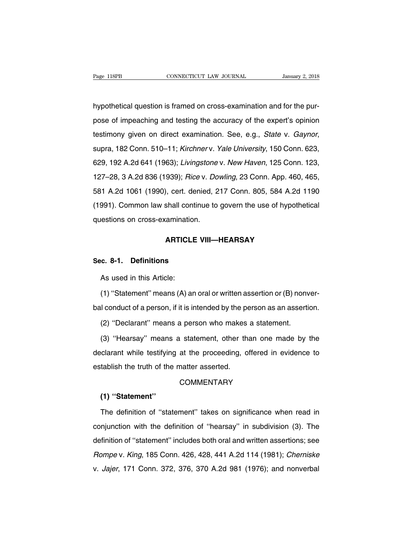Page 118PB<br>
CONNECTICUT LAW JOURNAL<br>
hypothetical question is framed on cross-examination and for the pur-<br>
pose of impeaching and testing the accuracy of the expert's opinion Page 118PB CONNECTICUT LAW JOURNAL January 2, 2018<br>hypothetical question is framed on cross-examination and for the pur-<br>pose of impeaching and testing the accuracy of the expert's opinion<br>testimony given on direct examina hypothetical question is framed on cross-examination and for the pur-<br>pose of impeaching and testing the accuracy of the expert's opinion<br>testimony given on direct examination. See, e.g., *State v. Gaynor*,<br>supra, 182 Conn myponiological question is nation of oroco stammation and for the par-<br>pose of impeaching and testing the accuracy of the expert's opinion<br>testimony given on direct examination. See, e.g., *State v. Gaynor*,<br>supra, 182 Con pose of impeasing and testing the assatasy of the supplite opinion<br>testimony given on direct examination. See, e.g., *State v. Gaynor*,<br>supra, 182 Conn. 510–11; *Kirchner v. Yale University*, 150 Conn. 623,<br>629, 192 A.2d 6 supra, 182 Conn. 510–11; *Kirchner v. Yale University*, 150 Conn. 623, 629, 192 A.2d 641 (1963); *Livingstone v. New Haven*, 125 Conn. 123, 127–28, 3 A.2d 836 (1939); *Rice v. Dowling*, 23 Conn. App. 460, 465, 581 A.2d 106 (1991). Common law shall continue to govern the use of hypothetical questions on cross-examination.<br>
1991). Common law shall continue to govern the use of hypothetical questions on cross-examination. 127–28, 3 A.2d 836 (1939); *Rice v. Do*<br>127–28, 3 A.2d 836 (1939); *Rice v. Do*<br>581 A.2d 1061 (1990), cert. denied, 2<br>(1991). Common law shall continue to<br>questions on cross-examination. **ARTICLE VIII—HEARSAY**<br>**ARTICLE VIII—HEARSAY**<br>**ARTICLE VIII—HEARSAY** (1991). Common law shall common<br>questions on cross-examination.<br>**ARTICLE VI**<br>Sec. 8-1. Definitions<br>As used in this Article:

**ARTICLI**<br> **c. 8-1. Definitions**<br>
As used in this Article:<br>
(1) "Statement" means (A) ar ARTICLE VIII—HEARSAY<br>
(2) c. 8-1. Definitions<br>
As used in this Article:<br>
(1) "Statement" means (A) an oral or written assertion or (B) nonver-<br>
I conduct of a person, if it is intended by the person as an assertion. Sec. 8-1. Definitions<br>
As used in this Article:<br>
(1) "Statement" means (A) an oral or written assertion or (B) nonver-<br>
bal conduct of a person, if it is intended by the person as an assertion.<br>
(2) "Declarant" means a per As used in this Article:<br>(1) "Statement" means (A) an oral or written assertion or (B) nonv<br>il conduct of a person, if it is intended by the person as an assertion<br>(2) "Declarant" means a person who makes a statement.<br>(3)

(1) "Statement" means (A) an oral or written assertion or (B) nonver-<br>I conduct of a person, if it is intended by the person as an assertion.<br>(2) "Declarant" means a person who makes a statement.<br>(3) "Hearsay" means a stat bal conduct of a person, if it is intended by the person as an assertion.<br>
(2) "Declarant" means a person who makes a statement.<br>
(3) "Hearsay" means a statement, other than one made by the<br>
declarant while testifying at t (2) "Declarant" means a person who makes<br>
(3) "Hearsay" means a statement, other the<br>
declarant while testifying at the proceeding, o<br>
establish the truth of the matter asserted.<br>
COMMENTARY

# **COMMENTARY**

# **(1) ''Statement''**

The definition of the matter asserted.<br>
COMMENTARY<br>
The definition of "statement" takes on significance when read in<br>
Injunction with the definition of "hearsay" in subdivision (3). The COMMENTARY<br>
(1) "Statement"<br>
The definition of "statement" takes on significance when read in<br>
conjunction with the definition of "hearsay" in subdivision (3). The<br>
definition of "statement" includes both oral and written (1) "Statement"<br>The definition of "statement" takes on significance when read in<br>conjunction with the definition of "hearsay" in subdivision (3). The<br>definition of "statement" includes both oral and written assertions; see The definition of "statement" takes on significance when read in<br>conjunction with the definition of "hearsay" in subdivision (3). The<br>definition of "statement" includes both oral and written assertions; see<br>Rompe v. King, The definition of "statement" takes on significance when read in conjunction with the definition of "hearsay" in subdivision (3). The definition of "statement" includes both oral and written assertions; see Rompe v. King,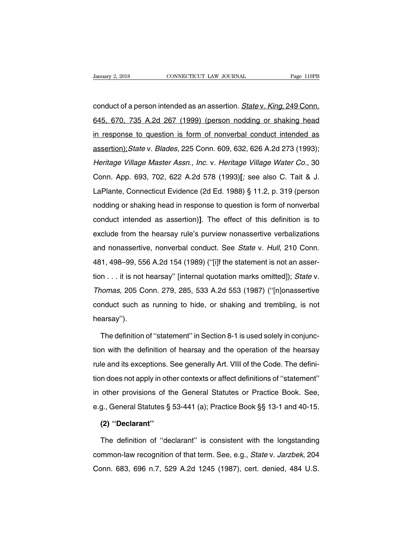conduct of a person intended as an assertion. State v. King, 249 Conn. January 2, 2018 CONNECTICUT LAW JOURNAL Page 119PB<br>
conduct of a person intended as an assertion. *State v. King*, 249 Conn.<br>
645, 670, 735 A.2d 267 (1999) (person nodding or shaking head<br>
in response to question is form o conduct of a person intended as an assertion. State v. King, 249 Conn.<br>645, 670, 735 A.2d 267 (1999) (person nodding or shaking head<br>in response to question is form of nonverbal conduct intended as<br>assertion); State v. Bla conduct of a person intended as an assertion. *State* v. *King*, 249 Conn.<br>645, 670, 735 A.2d 267 (1999) (person nodding or shaking head<br>in response to question is form of nonverbal conduct intended as<br>assertion); *State* 645, 670, 735 A.2d 267 (1999) (person nodding or shaking head<br>in response to question is form of nonverbal conduct intended as<br>assertion); State v. Blades, 225 Conn. 609, 632, 626 A.2d 273 (1993);<br>Heritage Village Master A in response to question is form of nonverbal conduct intended as<br>assertion); State v. Blades, 225 Conn. 609, 632, 626 A.2d 273 (1993);<br>Heritage Village Master Assn., Inc. v. Heritage Village Water Co., 30<br>Conn. App. 693, 7 assertion); State v. Blades, 225 Conn. 609, 632, 626 A.2d 273 (1993);<br>Heritage Village Master Assn., Inc. v. Heritage Village Water Co., 30<br>Conn. App. 693, 702, 622 A.2d 578 (1993)[; see also C. Tait & J.<br>LaPlante, Connect nodding *Willage Master Assn., Inc. v. Heritage Village Water Co.*, 30<br>Conn. App. 693, 702, 622 A.2d 578 (1993)[; see also C. Tait & J.<br>LaPlante, Connecticut Evidence (2d Ed. 1988) § 11.2, p. 319 (person<br>nodding or shaking Conn. App. 693, 702, 622 A.2d 578 (1993)[; see also C. Tait & J.<br>LaPlante, Connecticut Evidence (2d Ed. 1988) § 11.2, p. 319 (person<br>nodding or shaking head in response to question is form of nonverbal<br>conduct intended as LaPlante, Connecticut Evidence (2d Ed. 1988) § 11.2, p. 319 (person nodding or shaking head in response to question is form of nonverbal conduct intended as assertion)]. The effect of this definition is to exclude from the and nonassertive, nonverbal conduct. See State v. Hull, 210 Conn.<br>and nonassertive, nonverbal conduct intended as assertion)]. The effect of this definition is to<br>exclude from the hearsay rule's purview nonassertive verba conduct intended as assertion)]. The effect of this definition is to exclude from the hearsay rule's purview nonassertive verbalizations and nonassertive, nonverbal conduct. See *State* v. *Hull*, 210 Conn. 481, 498–99, 55 exclude from the hearsay rule's purview nonassertive verbalizations<br>and nonassertive, nonverbal conduct. See *State* v. *Hull*, 210 Conn.<br>481, 498–99, 556 A.2d 154 (1989) ("[i]f the statement is not an asser-<br>tion . . . it and nonassertive, nonverbal conduct. See *State* v. *Hull*, 210 Conn.<br>481, 498–99, 556 A.2d 154 (1989) ("[i]f the statement is not an assertion . . . it is not hearsay" [internal quotation marks omitted]); *State* v.<br>Thoma 481, 498–99, 556 A.2d 154 (1989) ("[i]f the statement is not an assertion . . . it is not hearsay" [internal quotation marks omitted]); *State* v.<br>Thomas, 205 Conn. 279, 285, 533 A.2d 553 (1987) ("[n]onassertive conduct s hearsay''). nomas, 205 Conn. 279, 285, 533 A.2d 553 (1987) ("[n]onassertive<br>nduct such as running to hide, or shaking and trembling, is not<br>arsay").<br>The definition of "statement" in Section 8-1 is used solely in conjunc-<br>n with the de

conduct such as running to hide, or shaking and trembling, is not<br>hearsay").<br>The definition of "statement" in Section 8-1 is used solely in conjunc-<br>tion with the definition of hearsay and the operation of the hearsay<br>rule hearsay").<br>The definition of "statement" in Section 8-1 is used solely in conjunc-<br>tion with the definition of hearsay and the operation of the hearsay<br>rule and its exceptions. See generally Art. VIII of the Code. The defi The definition of "statement" in Section 8-1 is used solely in conjunction with the definition of hearsay and the operation of the hearsay rule and its exceptions. See generally Art. VIII of the Code. The definition does n in the definition of hearsay and the operation of the hearsay<br>rule and its exceptions. See generally Art. VIII of the Code. The defini-<br>tion does not apply in other contexts or affect definitions of "statement"<br>in other pr rule and its exceptions. See generally Art. VIII of the Code. The definition does not apply in other contexts or affect definitions of "statement"<br>in other provisions of the General Statutes or Practice Book. See,<br>e.g., Ge In does not apply in oth<br>
other provisions of the<br> **(2) "Declarant"**<br>
The definition of "dec other provisions of the General Statutes or Practice Book. See,<br>g., General Statutes § 53-441 (a); Practice Book §§ 13-1 and 40-15.<br>(2) "Declarant"<br>The definition of "declarant" is consistent with the longstanding<br>mmon-law

e.g., General Statutes § 53-441 (a); Practice Book §§ 13-1 and 40-15.<br>
(2) "Declarant"<br>
The definition of "declarant" is consistent with the longstanding<br>
common-law recognition of that term. See, e.g., *State v. Jarzbek*, (2) "Declarant"<br>The definition of "declarant" is consistent with the longstanding<br>common-law recognition of that term. See, e.g., *State v. Jarzbek*, 204<br>Conn. 683, 696 n.7, 529 A.2d 1245 (1987), cert. denied, 484 U.S.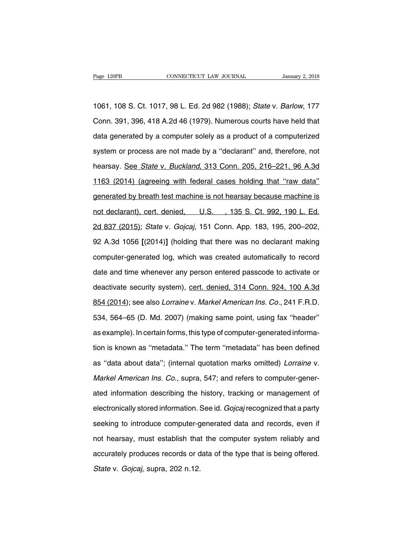Page 120PB CONNECTICUT LAW JOURNAL January 2, 2018<br>1061, 108 S. Ct. 1017, 98 L. Ed. 2d 982 (1988); State v. Barlow, 177<br>Conn. 391, 396, 418 A.2d 46 (1979). Numerous courts have held that Page 120PB CONNECTICUT LAW JOURNAL January 2, 2018<br>1061, 108 S. Ct. 1017, 98 L. Ed. 2d 982 (1988); State v. Barlow, 177<br>Conn. 391, 396, 418 A.2d 46 (1979). Numerous courts have held that<br>data generated by a computer solely 1061, 108 S. Ct. 1017, 98 L. Ed. 2d 982 (1988); *State v. Barlow*, 177<br>Conn. 391, 396, 418 A.2d 46 (1979). Numerous courts have held that<br>data generated by a computer solely as a product of a computerized<br>system or process 1061, 108 S. Ct. 1017, 98 L. Ed. 2d 982 (1988); *State v. Barlow*, 177<br>Conn. 391, 396, 418 A.2d 46 (1979). Numerous courts have held that<br>data generated by a computer solely as a product of a computerized<br>system or process Conn. 391, 396, 418 A.2d 46 (1979). Numerous courts have held that<br>data generated by a computer solely as a product of a computerized<br>system or process are not made by a "declarant" and, therefore, not<br>hearsay. <u>See State </u> data generated by a computer solely as a product of a computerized<br>system or process are not made by a "declarant" and, therefore, not<br>hearsay. <u>See *State* v. *Buckland*, 313 Conn. 205, 216–221, 96 A.3d<br>1163 (2014) (agree</u> system or process are not made by a "declarant" and, therefore, not<br>hearsay. See *State v. Buckland*, 313 Conn. 205, 216–221, 96 A.3d<br>1163 (2014) (agreeing with federal cases holding that "raw data"<br>generated by breath tes hearsay. See *State v. Buckland*, 313 Conn. 205, 216–221, 96 A.3d<br>1163 (2014) (agreeing with federal cases holding that "raw data"<br>generated by breath test machine is not hearsay because machine is<br>not declarant), cert. de 1163 (2014) (agreeing with federal cases holding that "raw data"<br>generated by breath test machine is not hearsay because machine is<br>not declarant), cert. denied, U.S. , 135 S. Ct. 992, 190 L. Ed.<br>2d 837 (2015); *State v. G* generated by breath test machine is not hearsay because machine is<br>not declarant), cert. denied, U.S., 135 S. Ct. 992, 190 L. Ed.<br>2d 837 (2015); *State v. Gojcaj*, 151 Conn. App. 183, 195, 200–202,<br>92 A.3d 1056 [(2014)] (h not declarant), cert. denied, U.S., 135 S. Ct. 992, 190 L. Ed.<br>2d 837 (2015); *State v. Gojcaj*, 151 Conn. App. 183, 195, 200–202,<br>92 A.3d 1056 [(2014)] (holding that there was no declarant making<br>computer-generated log, w 2d 837 (2015); *State* v. *Gojcaj*, 151 Conn. App. 183, 195, 200–202,<br>92 A.3d 1056 [(2014)] (holding that there was no declarant making<br>computer-generated log, which was created automatically to record<br>date and time whenev 92 A.3d 1056 [(2014)] (holding that there was no declarant making<br>computer-generated log, which was created automatically to record<br>date and time whenever any person entered passcode to activate or<br>deactivate security syst computer-generated log, which was created automatically to record<br>date and time whenever any person entered passcode to activate or<br>deactivate security system), cert. denied, 314 Conn. 924, 100 A.3d<br>854 (2014); see also Lo date and time whenever any person entered passcode to activate or<br>deactivate security system), <u>cert. denied, 314 Conn. 924, 100 A.3d</u><br>854 (2014); see also *Lorraine* v. *Markel American Ins. Co.*, 241 F.R.D.<br>534, 564–65 ( deactivate security system), <u>cert. denied, 314 Conn. 924, 100 A.3d</u><br>854 (2014); see also *Lorraine* v. *Markel American Ins. Co.*, 241 F.R.D.<br>534, 564–65 (D. Md. 2007) (making same point, using fax "header"<br>as example). I 854 (2014); see also *Lorraine* v. *Markel American Ins. Co.*, 241 F.R.D.<br>534, 564–65 (D. Md. 2007) (making same point, using fax "header"<br>as example). In certain forms, this type of computer-generated informa-<br>tion is kno 534, 564–65 (D. Md. 2007) (making same point, using fax "header"<br>as example). In certain forms, this type of computer-generated informa-<br>tion is known as "metadata." The term "metadata" has been defined<br>as "data about data as example). In certain forms, this type of computer-generated information is known as "metadata." The term "metadata" has been defined<br>as "data about data"; (internal quotation marks omitted) *Lorraine* v.<br>*Markel America* tion is known as "metadata." The term "metadata" has been defined<br>as "data about data"; (internal quotation marks omitted) *Lorraine* v.<br>*Markel American Ins. Co.,* supra, 547; and refers to computer-gener-<br>ated informatio as "data about data"; (internal quotation marks omitted) *Lorraine* v.<br>
Markel American Ins. Co., supra, 547; and refers to computer-gener-<br>
ated information describing the history, tracking or management of<br>
electronicall Markel American Ins. Co., supra, 547; and refers to computer-gener-<br>ated information describing the history, tracking or management of<br>electronically stored information. See id. *Gojcaj* recognized that a party<br>seeking to ated information describing the history, tracking or management of<br>electronically stored information. See id. *Gojcaj* recognized that a party<br>seeking to introduce computer-generated data and records, even if<br>not hearsay, electronically stored information. See id. *Gojcaj* recognized that a party<br>seeking to introduce computer-generated data and records, even if<br>not hearsay, must establish that the computer system reliably and<br>accurately pro seeking to introduce computer-g<br>not hearsay, must establish tha<br>accurately produces records or d<br>State v. Gojcaj, supra, 202 n.12.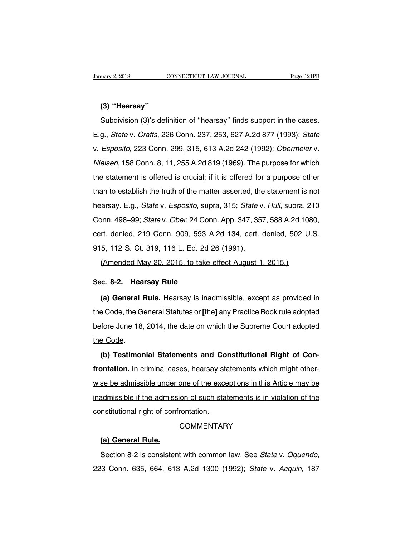# **(3) ''Hearsay''**

Notary 2, 2018 (3) "CONNECTICUT LAW JOURNAL Page 121PB<br>
Subdivision (3)'s definition of "hearsay" finds support in the cases.<br>
Subdivision (3)'s definition of "hearsay" finds support in the cases.<br>
State v. Crafts, 226 Con (3) "Hearsay"<br>
Subdivision (3)'s definition of "hearsay" finds support in the cases.<br>
E.g., *State v. Crafts*, 226 Conn. 237, 253, 627 A.2d 877 (1993); *State*<br>
v. *Esposito*, 223 Conn. 299, 315, 613 A.2d 242 (1992); *Obe* (3) "Hearsay"<br>
Subdivision (3)'s definition of "hearsay" finds support in the cases.<br>
E.g., *State v. Crafts*, 226 Conn. 237, 253, 627 A.2d 877 (1993); *State*<br>
v. *Esposito*, 223 Conn. 299, 315, 613 A.2d 242 (1992); *Obe* Subdivision (3)'s definition of "hearsay" finds support in the cases.<br>E.g., *State v. Crafts*, 226 Conn. 237, 253, 627 A.2d 877 (1993); *State*<br>v. *Esposito*, 223 Conn. 299, 315, 613 A.2d 242 (1992); *Obermeier v.*<br>Nielsen E.g., *State v. Crafts*, 226 Conn. 237, 253, 627 A.2d 877 (1993); *State* v. *Esposito*, 223 Conn. 299, 315, 613 A.2d 242 (1992); *Obermeier v. Nielsen*, 158 Conn. 8, 11, 255 A.2d 819 (1969). The purpose for which the stat L.g., Jane v. Jane, 220 John. 297, 200, 327 A.2d 317 (1999), State<br>v. Esposito, 223 Conn. 299, 315, 613 A.2d 242 (1992); Obermeier v.<br>Nielsen, 158 Conn. 8, 11, 255 A.2d 819 (1969). The purpose for which<br>the statement is of w. Esposito, EES Sofilit. Eso, Sto, Sto At. Et E (1682), Sponnetor v.<br>Nielsen, 158 Conn. 8, 11, 255 A.2d 819 (1969). The purpose for which<br>the statement is offered is crucial; if it is offered for a purpose other<br>than to e The statement is offered is crucial; if it is offered for a purpose of which<br>the statement is offered is crucial; if it is offered for a purpose other<br>than to establish the truth of the matter asserted, the statement is no than to establish the truth of the matter asserted, the statement is not<br>hearsay. E.g., *State v. Esposito*, supra, 315; *State v. Hull*, supra, 210<br>Conn. 498–99; *State v. Ober*, 24 Conn. App. 347, 357, 588 A.2d 1080,<br>cer hearsay. E.g., *State v. Esposito*, supra, 315; *State v*<br>Conn. 498–99; *State v. Ober*, 24 Conn. App. 347, 35;<br>cert. denied, 219 Conn. 909, 593 A.2d 134, cert. (<br>915, 112 S. Ct. 319, 116 L. Ed. 2d 26 (1991).<br>(Amended May areay: Eig., etate v. Eepeene, eapla, eve, etate v. *nall*, eapla, E<br>Dnn. 498–99; *State* v. *Ober*, 24 Conn. App. 347, 357, 588 A.2d 108<br>rt. denied, 219 Conn. 909, 593 A.2d 134, cert. denied, 502 U<br>5, 112 S. Ct. 319, 116 cert. denied, 219 Conn. 909, 593 A.<br>915, 112 S. Ct. 319, 116 L. Ed. 2d 2<br>(Amended May 20, 2015, to take a<br>Sec. 8-2. **Hearsay Rule**<br>(a) General Rule. Hearsay is inad

5, 112 S. Ct. 319, 116 L. Ed. 2d 26 (1991).<br>(Amended May 20, 2015, to take effect August 1, 2015.)<br>**c. 8-2. Hearsay Rule**<br>(a) General Rule. Hearsay is inadmissible, except as provided in<br>e Code, the General Statutes or [th (Amended May 20, 2015, to take effect August 1, 2015.)<br>
Sec. 8-2. Hearsay Rule<br>
(a) General Rule. Hearsay is inadmissible, except as provided in<br>
the Code, the General Statutes or [the] any Practice Book <u>rule adopted</u><br>
be Sec. 8-2. Hearsay Rule<br>
(a) General Rule. Hearsay is inadmissible, except as provided in<br>
the Code, the General Statutes or [the] any Practice Book <u>rule adopted</u><br>
before June 18, 2014, the date on which the Supreme Court **(a) General I**<br>the Code, the General<br>before June 18,<br>the Code.<br>**(b) Testimor Example 18.** Productly Te matements, except as provided in a Code, the General Statutes or [the] <u>any</u> Practice Book <u>rule adopted</u><br> **(b)** Testimonial Statements and Constitutional Right of Con-<br> **(b)** Testimonial Stateme

**frontation.** In criminal cases, hearsay statements which might otherthe Code.<br>
(b) Testimonial Statements and Constitutional Right of Con-<br>
frontation. In criminal cases, hearsay statements which might other-<br>
wise be admissible under one of the exceptions in this Article may be<br>
inadmissi (b) Testimonial Statements and Constitutional Right of Confrontation. In criminal cases, hearsay statements which might other-<br>wise be admissible under one of the exceptions in this Article may be<br>inadmissible if the admis **common and calculation** and confrontation. In criminal cases, hearsay state<br>wise be admissible under one of the exce<br>inadmissible if the admission of such state<br>constitutional right of confrontation.<br>COMMENTAR **Example 120 and 120 and 120 and 120 and 120 and 120 and 120 and 120 and 120 and 120 and 130 and 130 and 130 and 130 and 130 and 130 and 130 and 130 and 130 and 130 and 130 and 130 and 130 and 130 and 130 and 130 and 130 a** 

# **COMMENTARY**

Section 8-2 is consistent with common law. See State v. Oquendo, 223 Conn. 635, 664, 613 A.2d 1300 (1992); State v. Acquin, 187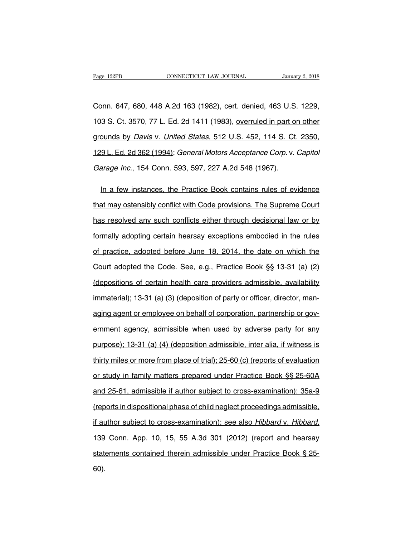Page 122PB CONNECTICUT LAW JOURNAL January 2, 2018<br>Conn. 647, 680, 448 A.2d 163 (1982), cert. denied, 463 U.S. 1229,<br>103 S. Ct. 3570, 77 L. Ed. 2d 1411 (1983), overruled in part on other Page 122PB CONNECTICUT LAW JOURNAL January 2, 2018<br>
Conn. 647, 680, 448 A.2d 163 (1982), cert. denied, 463 U.S. 1229,<br>
103 S. Ct. 3570, 77 L. Ed. 2d 1411 (1983), <u>overruled in part on other</u><br>
grounds by *Davis v. United St* Conn. 647, 680, 448 A.2d 163 (1982), cert. denied, 463 U.S. 1229,<br>103 S. Ct. 3570, 77 L. Ed. 2d 1411 (1983), <u>overruled in part on other</u><br>grounds by *Davis v. United States*, 512 U.S. 452, 114 S. Ct. 2350,<br>129 L. Ed. 2d 36 Conn. 647, 680, 448 A.2d 163 (1982), cert. denied, 463 U.S. 1229,<br>103 S. Ct. 3570, 77 L. Ed. 2d 1411 (1983), <u>overruled in part on other</u><br>grounds by *Davis v. United States*, 512 U.S. 452, 114 S. Ct. 2350,<br>129 L. Ed. 2d 36 103 S. Ct. 3570, 77 L. Ed. 2d 1411 (1983), overruled in part on other grounds by *Davis v. United States*, 512 U.S. 452, 114 S. Ct. 2350, 129 L. Ed. 2d 362 (1994); *General Motors Acceptance Corp. v. Capitol Garage Inc.*, ounds by *Davis v. United States*, 512 U.S. 452, 114 S. Ct. 2350,<br>9 L. Ed. 2d 362 (1994); General Motors Acceptance Corp. v. Capitol<br>arage Inc., 154 Conn. 593, 597, 227 A.2d 548 (1967).<br>In a few instances, the Practice Boo

129 L. Ed. 2d 362 (1994); General Motors Acceptance Corp. v. Capitol<br>Garage Inc., 154 Conn. 593, 597, 227 A.2d 548 (1967).<br>In a few instances, the Practice Book contains rules of evidence<br>that may ostensibly conflict with Garage Inc., 154 Conn. 593, 597, 227 A.2d 548 (1967).<br>In a few instances, the Practice Book contains rules of evidence<br>that may ostensibly conflict with Code provisions. The Supreme Court<br>has resolved any such conflicts ei In a few instances, the Practice Book contains rules of evidence<br>that may ostensibly conflict with Code provisions. The Supreme Court<br>has resolved any such conflicts either through decisional law or by<br>formally adopting ce that may ostensibly conflict with Code provisions. The Supreme Court<br>has resolved any such conflicts either through decisional law or by<br>formally adopting certain hearsay exceptions embodied in the rules<br>of practice, adopt has resolved any such conflicts either through decisional law or by<br>formally adopting certain hearsay exceptions embodied in the rules<br>of practice, adopted before June 18, 2014, the date on which the<br>Court adopted the Code formally adopting certain hearsay exceptions embodied in the rules<br>of practice, adopted before June 18, 2014, the date on which the<br>Court adopted the Code. See, e.g., Practice Book §§ 13-31 (a) (2)<br>(depositions of certain of practice, adopted before June 18, 2014, the date on which the<br>Court adopted the Code. See, e.g., Practice Book §§ 13-31 (a) (2)<br>(depositions of certain health care providers admissible, availability<br>immaterial); 13-31 ( Court adopted the Code. See, e.g., Practice Book §§ 13-31 (a) (2)<br>(depositions of certain health care providers admissible, availability<br>immaterial); 13-31 (a) (3) (deposition of party or officer, director, man-<br>aging agen (depositions of certain health care providers admissible, availability<br>immaterial); 13-31 (a) (3) (deposition of party or officer, director, man-<br>aging agent or employee on behalf of corporation, partnership or gov-<br>ernmen immaterial); 13-31 (a) (3) (deposition of party or officer, director, man-<br>aging agent or employee on behalf of corporation, partnership or gov-<br>ernment agency, admissible when used by adverse party for any<br>purpose); 13-31 aging agent or employee on behalf of corporation, partnership or government agency, admissible when used by adverse party for any purpose); 13-31 (a) (4) (deposition admissible, inter alia, if witness is thirty miles or mo ernment agency, admissible when used by adverse party for any<br>purpose); 13-31 (a) (4) (deposition admissible, inter alia, if witness is<br>thirty miles or more from place of trial); 25-60 (c) (reports of evaluation<br>or study i purpose); 13-31 (a) (4) (deposition admissible, inter alia, if witness is<br>thirty miles or more from place of trial); 25-60 (c) (reports of evaluation<br>or study in family matters prepared under Practice Book §§ 25-60A<br>and 25 thirty miles or more from place of trial); 25-60 (c) (reports of evaluation<br>or study in family matters prepared under Practice Book §§ 25-60A<br>and 25-61, admissible if author subject to cross-examination); 35a-9<br>(reports in if author subject to cross-examination); 35a-9<br>
(reports in dispositional phase of child neglect proceedings admissible,<br>
if author subject to cross-examination); see also *Hibbard v. Hibbard*,<br>
139 Conn. App. 10, 15, 55 A (reports in dispositional phase of child neglect proceedings admissible,<br>if author subject to cross-examination); see also *Hibbard* v. Hibbard,<br>139 Conn. App. 10, 15, 55 A.3d 301 (2012) (report and hearsay<br>statements cont 60).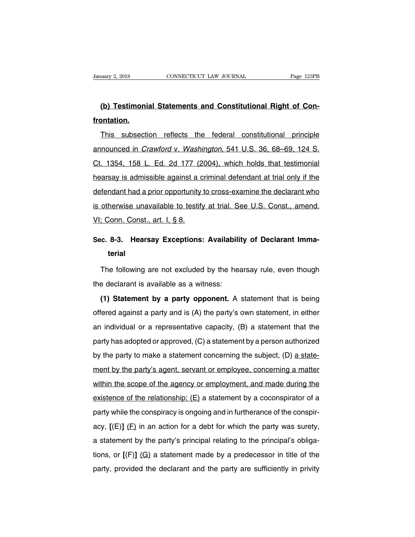# **Example 3, 2018**<br> **(b) Testimonial Statements and Constitutional Right of Con-**<br> **(b) Testimonial Statements and Constitutional Right of Confrontation.**

(b) Testimonial Statements and Constitutional Right of Con-<br>
Inis subsection reflects the federal constitutional principle<br>
Innounced in *Crawford* v. Washington, 541 U.S. 36, 68–69, 124 S. (b) Testimonial Statements and Constitutional Right of Contron<br>Frontation.<br>This subsection reflects the federal constitutional principle<br>announced in *Crawford* v. Washington, 541 U.S. 36, 68–69, 124 S.<br>Ct. 1354, 158 L. Ed Frontation.<br>
This subsection reflects the federal constitutional principle<br>
announced in *Crawford v. Washington*, 541 U.S. 36, 68–69, 124 S.<br>
Ct. 1354, 158 L. Ed. 2d 177 (2004), which holds that testimonial<br>
hearsay is ad This subsection reflects the federal constitutional principle<br>announced in *Crawford* v. *Washington*, 541 U.S. 36, 68–69, 124 S.<br>Ct. 1354, 158 L. Ed. 2d 177 (2004), which holds that testimonial<br>hearsay is admissible again announced in *Crawford* v. *Washington*, 541 U.S. 36, 68–69, 124 S.<br>Ct. 1354, 158 L. Ed. 2d 177 (2004), which holds that testimonial<br>hearsay is admissible against a criminal defendant at trial only if the<br>defendant had a p amodnood in Oramora v. Wabilington, on there is, so too, i.e. is.<br>Ct. 1354, 158 L. Ed. 2d 177 (2004), which holds that testimonial<br>hearsay is admissible against a criminal defendant at trial only if the<br>defendant had a pri V. 199 E. Ed. 24 T. T. C.<br>hearsay is admissible against a c<br>defendant had a prior opportunity<br>is otherwise unavailable to testify<br>VI; Conn. Const., art. I, § 8. defendant had a prior opportunity to cross-examine the declarant who<br>
is otherwise unavailable to testify at trial. See U.S. Const., amend.<br>
VI; Conn. Const., art. I, § 8.<br> **Sec. 8-3. Hearsay Exceptions: Availability of De** 

# **terial**

The following are not excluded by the hearsay rule, even though<br>the following are not excluded by the hearsay rule, even though<br>the following are not excluded by the hearsay rule, even though<br>the declarant is available as Sec. 8-3. Hearsay Exceptions: Availabili<br>terial<br>The following are not excluded by the hear<br>the declarant is available as a witness:<br>(1) Statement by a party opponent. A

**terial**<br>
The following are not excluded by the hearsay rule, even though<br>
e declarant is available as a witness:<br> **(1) Statement by a party opponent.** A statement that is being<br>
fered against a party and is (A) the party' The following are not excluded by the hearsay rule, even though<br>the declarant is available as a witness:<br>(1) Statement by a party opponent. A statement that is being<br>offered against a party and is (A) the party's own state and individual or a representative capacity, (B) a statement that is being<br>and individual or a representative capacity, (B) a statement, in either<br>an individual or a representative capacity, (B) a statement that the<br>party (1) Statement by a party opponent. A statement that is being offered against a party and is (A) the party's own statement, in either an individual or a representative capacity, (B) a statement that the party has adopted o offered against a party and is (A) the party's own statement, in either<br>an individual or a representative capacity, (B) a statement that the<br>party has adopted or approved, (C) a statement by a person authorized<br>by the par an individual or a representative capacity, (B) a statement that the party has adopted or approved, (C) a statement by a person authorized by the party to make a statement concerning the subject, (D) a statement by the pa party has adopted or approved, (C) a statement by a person authorized<br>by the party to make a statement concerning the subject, (D) a state-<br>ment by the party's agent, servant or employee, concerning a matter<br>within the sc by the party to make a statement concerning the subject, (D) <u>a statement by the party's agent</u>, servant or employee, concerning a matter within the scope of the agency or employment, and made during the existence of the r party is make a statement senseming are sasjest,  $(D)$  <u>a statement</u> by the party's agent, servant or employee, concerning a matter within the scope of the agency or employment, and made during the existence of the relatio within the scope of the agency or employment, and made during the existence of the relationship;  $(E)$  a statement by a coconspirator of a party while the conspiracy is ongoing and in furtherance of the conspiracy,  $[(E)] (E)$ existence of the relationship; (E) a statement by a coconspirator of a party while the conspiracy is ongoing and in furtherance of the conspiracy,  $[(E)] (E)$  in an action for a debt for which the party was surety, a stateme party while the conspiracy is ongoing and in furtherance of the conspiracy,  $[(E)] (E)$  in an action for a debt for which the party was surety, a statement by the party's principal relating to the principal's obligations, or party while the deric protographs of eigenig and intritional to derive denotional acy,  $[(E)] (E)$  in an action for a debt for which the party was surety, a statement by the party's principal relating to the principal's obli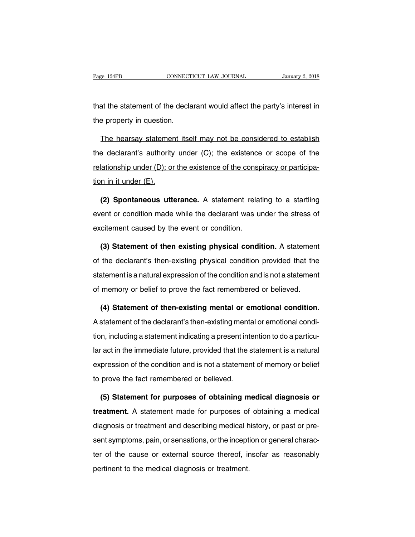The statement of the declarant would affect the party's interest in<br>the property in question. Page 124PB<br>that the statement of the declared the property in question.

at the statement of the declarant would affect the party's interest in<br>a property in question.<br>The hearsay statement itself may not be considered to establish<br>a declarant's authority under (C); the existence or scope of th that the statement of the declarant would affect the party's interest in<br>the property in question.<br>The hearsay statement itself may not be considered to establish<br>the declarant's authority under (C); the existence or scope the property in question.<br>The hearsay statement itself may not be considered to establish<br>the declarant's authority under (C); the existence or scope of the<br>relationship under (D); or the existence of the conspiracy or par The hearsay statemer<br>the declarant's authority<br>relationship under (D); or<br>tion in it under (E).<br>(2) Spontaneous utt **Example 1** declarant's authority under (C); the existence or scope of the lationship under (D); or the existence of the conspiracy or participa-<br>n in it under (E).<br>**(2) Spontaneous utterance.** A statement relating to a st

relationship under (D); or the existence of the conspiracy or participation in it under (E).<br>
(2) Spontaneous utterance. A statement relating to a startling<br>
event or condition made while the declarant was under the stress Fraction in it under  $(E)$ .<br> **(2) Spontaneous utterance.** A statement relatement or condition made while the declarant was undexcitement caused by the event or condition.<br> **(3) Statement of then existing physical condition** (2) Spontaneous utterance. A statement relating to a startling<br>ent or condition made while the declarant was under the stress of<br>citement caused by the event or condition.<br>(3) Statement of then existing physical condition.

event or condition made while the declarant was under the stress of<br>excitement caused by the event or condition.<br>(3) Statement of then-existing physical condition. A statement<br>of the declarant's then-existing physical cond excitement caused by the event or condition.<br>
(3) Statement of then existing physical condition. A statement<br>
of the declarant's then-existing physical condition provided that the<br>
statement is a natural expression of the (3) Statement of then existing physical condition. A statement<br>of the declarant's then-existing physical condition provided that the<br>statement is a natural expression of the condition and is not a statement<br>of memory or be the declarant's then-existing physical condition provided that the<br>atement is a natural expression of the condition and is not a statement<br>memory or belief to prove the fact remembered or believed.<br>**(4) Statement of then-e** 

statement is a natural expression of the condition and is not a statement<br>of memory or belief to prove the fact remembered or believed.<br>(4) Statement of then-existing mental or emotional condition.<br>A statement of the decla of memory or belief to prove the fact remembered or believed.<br>
(4) Statement of then-existing mental or emotional condition.<br>
A statement of the declarant's then-existing mental or emotional condition, including a statemen (4) Statement of then-existing mental or emotional condition.<br>A statement of the declarant's then-existing mental or emotional condi-<br>tion, including a statement indicating a present intention to do a particu-<br>lar act in t A statement of the declarant's then-existing mental or emotional condition, including a statement indicating a present intention to do a particular act in the immediate future, provided that the statement is a natural expr tion, including a statement indicating a present intervals and is not a statement or the immediate future, provided that the sexpression of the condition and is not a statement to prove the fact remembered or believed. Fact in the immediate future, provided that the statement is a natural<br>pression of the condition and is not a statement of memory or belief<br>prove the fact remembered or believed.<br>**(5) Statement for purposes of obtaining me** 

expression of the condition and is not a statement of memory or belief<br>to prove the fact remembered or believed.<br>**(5) Statement for purposes of obtaining medical diagnosis or<br>treatment.** A statement made for purposes of ob to prove the fact remembered or believed.<br>
(5) Statement for purposes of obtaining medical diagnosis or<br>
treatment. A statement made for purposes of obtaining a medical<br>
diagnosis or treatment and describing medical histor (5) Statement for purposes of obtaining medical diagnosis or<br>treatment. A statement made for purposes of obtaining a medical<br>diagnosis or treatment and describing medical history, or past or pre-<br>sent symptoms, pain, or se treatment. A statement made for purposes of obtaining a medical<br>diagnosis or treatment and describing medical history, or past or pre-<br>sent symptoms, pain, or sensations, or the inception or general charac-<br>ter of the caus diagnosis or treatment and describing medical h<br>sent symptoms, pain, or sensations, or the incepti<br>ter of the cause or external source thereof, ir<br>pertinent to the medical diagnosis or treatment.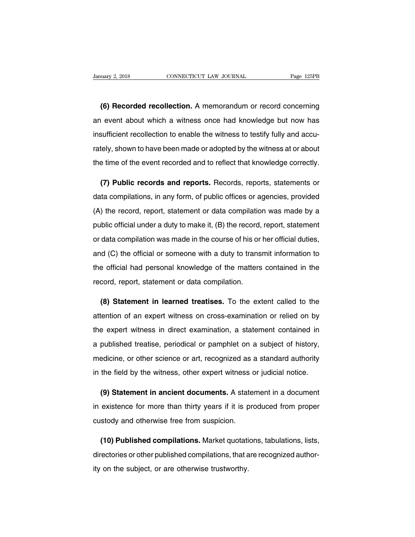<sup>2, 2018</sup> CONNECTICUT LAW JOURNAL Page 125PB<br> **(6) Recorded recollection.** A memorandum or record concerning<br>
event about which a witness once had knowledge but now has January 2, 2018 CONNECTICUT LAW JOURNAL Page 125PB<br> **(6) Recorded recollection.** A memorandum or record concerning<br>
an event about which a witness once had knowledge but now has<br>
insufficient recollection to enable the wit (6) Recorded recollection. A memorandum or record concerning<br>an event about which a witness once had knowledge but now has<br>insufficient recollection to enable the witness to testify fully and accu-<br>rately, shown to have be (6) Recorded recollection. A memorandum or record concerning<br>an event about which a witness once had knowledge but now has<br>insufficient recollection to enable the witness to testify fully and accu-<br>rately, shown to have be an event about which a witness once had knowledge but now has<br>insufficient recollection to enable the witness to testify fully and accu-<br>rately, shown to have been made or adopted by the witness at or about<br>the time of the Example in the witness to testify fully and accustely, shown to have been made or adopted by the witness at or about<br>a time of the event recorded and to reflect that knowledge correctly.<br>**(7) Public records and reports.** R

rately, shown to have been made or adopted by the witness at or about<br>the time of the event recorded and to reflect that knowledge correctly.<br>(7) Public records and reports. Records, reports, statements or<br>data compilation (**7) Public records and reports.** Records, reports, statements or data compilations, in any form, of public offices or agencies, provided (A) the record, report, statement or data compilation was made by a public official (7) Public records and reports. Records, reports, statements or data compilations, in any form, of public offices or agencies, provided (A) the record, report, statement or data compilation was made by a public official un data compilations, in any form, of public offices or agencies, provided (A) the record, report, statement or data compilation was made by a public official under a duty to make it, (B) the record, report, statement or dat (A) the record, report, statement or data compilation was made by a<br>public official under a duty to make it, (B) the record, report, statement<br>or data compilation was made in the course of his or her official duties,<br>and ( (x) are record, report, statement or data compliation was made by a<br>public official under a duty to make it, (B) the record, report, statement<br>or data compilation was made in the course of his or her official duties,<br>and ( public sincle a daty to make it, (b) are record,<br>or data compilation was made in the course of his or<br>and (C) the official or someone with a duty to trans<br>the official had personal knowledge of the matters<br>record, report, **(C)** the official or someone with a duty to transmit information to<br>
be official had personal knowledge of the matters contained in the<br>
cord, report, statement or data compilation.<br> **(8) Statement in learned treatises.**

the official had personal knowledge of the matters contained in the<br>record, report, statement or data compilation.<br>(8) Statement in learned treatises. To the extent called to the<br>attention of an expert witness on cross-exa the expert, statement or data compilation.<br> **(8) Statement in learned treatises.** To the extent called to the attention of an expert witness on cross-examination or relied on by the expert witness in direct examination, a (8) Statement in learned treatises. To the extent called to the attention of an expert witness on cross-examination or relied on by the expert witness in direct examination, a statement contained in a published treatise, p attention of an expert witness on cross-examination or relied on by<br>the expert witness in direct examination, a statement contained in<br>a published treatise, periodical or pamphlet on a subject of history,<br>medicine, or othe the expert witness in direct examination, a statement contained in<br>a published treatise, periodical or pamphlet on a subject of history,<br>medicine, or other science or art, recognized as a standard authority<br>in the field by published treatise, periodical or pamphlet on a subject of history,<br>edicine, or other science or art, recognized as a standard authority<br>the field by the witness, other expert witness or judicial notice.<br>(9) Statement in a

medicine, or other science or art, recognized as a standard authority<br>in the field by the witness, other expert witness or judicial notice.<br>(9) Statement in ancient documents. A statement in a document<br>in existence for mor in the field by the witness, other expert witness of<br>
(9) Statement in ancient documents. A state<br>
in existence for more than thirty years if it is procustedy and otherwise free from suspicion.<br>
(10) Bublished compilations (9) Statement in ancient documents. A statement in a document<br>existence for more than thirty years if it is produced from proper<br>stody and otherwise free from suspicion.<br>(10) Published compilations. Market quotations, tabu

in existence for more than thirty years if it is produced from proper<br>custody and otherwise free from suspicion.<br>(10) Published compilations. Market quotations, tabulations, lists,<br>directories or other published compilatio custody and otherwise free from suspicion.<br>
(10) Published compilations. Market quotation<br>
directories or other published compilations, that a<br>
ity on the subject, or are otherwise trustworthy.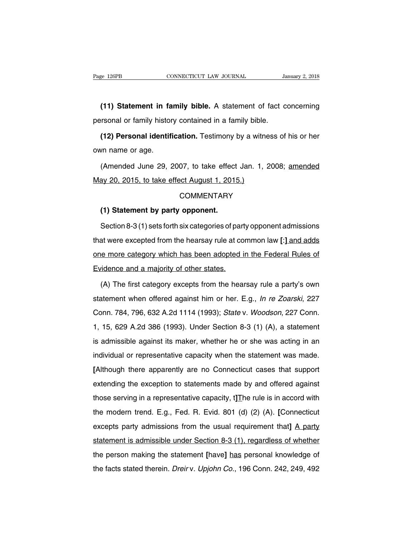EXECTE AND THE CONNECTICUT CAW JOURNAL THE MANUAL STATE OF 111 Statement in family bible. A statement of fact concerning<br>
In Statement in family bible. A statement of fact concerning<br>
In Statement of family history contain Page 126PB CONNECTICUT LAW JOURNAL Ja<br>
(11) Statement in family bible. A statement of fact c<br>
personal or family history contained in a family bible.<br>
(12) Personal identification. Testimony by a witness of

**(11) Statement in family bible.** A statement of fact concerning<br>rsonal or family history contained in a family bible.<br>**(12) Personal identification.** Testimony by a witness of his or her<br>vn name or age. (11) Statement in fa<br>personal or family histor<br>(12) Personal identif<br>own name or age.<br>(Amended June 29, 2) (12) Personal identification. Testimony by a with<br>own name or age.<br>(Amended June 29, 2007, to take effect Jan. 1,<br>May 20, 2015, to take effect August 1, 2015.)<br>COMMENTARY

rsonal or family history contained in a family bible.<br> **(12) Personal identification.** Testimony by a witness of his or her<br>
un name or age.<br>
(Amended June 29, 2007, to take effect Jan. 1, 2008; <u>amended</u><br>
ay 20, 2015, to (Amended June 29, 2007, to take effect<br> **ay 20, 2015, to take effect August 1, 201:**<br> **COMMENTARY**<br> **(1) Statement by party opponent.**<br>
Section 8-3 (1) sets forth six categories of p

## **COMMENTARY**

(1) statement by party opponent.<br>COMMENTARY<br>Section 8-3 (1) sets forth six categories of party opponent admissions<br>at were excepted from the hearsay rule at common law [:<u>] and adds</u> COMMENTARY<br>
(1) Statement by party opponent.<br>
Section 8-3 (1) sets forth six categories of party opponent admissions<br>
that were excepted from the hearsay rule at common law [:<u>] and adds</u><br>
one more category which has been (1) Statement by party opponent.<br>Section 8-3 (1) sets forth six categories of party opponent admissions<br>that were excepted from the hearsay rule at common law [:] and adds<br>one more category which has been adopted in the Fe Section 8-3 (1) sets forth six categories of part<br>that were excepted from the hearsay rule at co<br>one more category which has been adopted i<br>Evidence and a majority of other states.<br>(A) The first category excepts from the h at were excepted from the hearsay rule at common law [:] and adds<br>
in the Federal Rules of<br>
idence and a majority of other states.<br>
(A) The first category excepts from the hearsay rule a party's own<br>
atement when offered a

one more category which has been adopted in the Federal Rules of<br>Evidence and a majority of other states.<br>(A) The first category excepts from the hearsay rule a party's own<br>statement when offered against him or her. E.g., Evidence and a majority of other states.<br>
(A) The first category excepts from the hearsay rule a party's own<br>
statement when offered against him or her. E.g., *In re Zoarski*, 227<br>
Conn. 784, 796, 632 A.2d 1114 (1993); *St* (A) The first category excepts from the hearsay rule a party's own<br>statement when offered against him or her. E.g., *In re Zoarski*, 227<br>Conn. 784, 796, 632 A.2d 1114 (1993); *State* v. *Woodson*, 227 Conn.<br>1, 15, 629 A.2d statement when offered against him or her. E.g., *In re Zoarski*, 227<br>Conn. 784, 796, 632 A.2d 1114 (1993); *State v. Woodson*, 227 Conn.<br>1, 15, 629 A.2d 386 (1993). Under Section 8-3 (1) (A), a statement<br>is admissible ag Conn. 784, 796, 632 A.2d 1114 (1993); *State v. Woodson*, 227 Conn.<br>1, 15, 629 A.2d 386 (1993). Under Section 8-3 (1) (A), a statement<br>is admissible against its maker, whether he or she was acting in an<br>individual or repre **EXAMPLE 1998** A.2d 386 (1993). Under Section 8-3 (1) (A), a statement is admissible against its maker, whether he or she was acting in an individual or representative capacity when the statement was made. [Although there is admissible against its maker, whether he or she was acting in an individual or representative capacity when the statement was made.<br>[Although there apparently are no Connecticut cases that support extending the excepti individual or representative capacity when the statement was made.<br>[Although there apparently are no Connecticut cases that support<br>extending the exception to statements made by and offered against<br>those serving in a repre IAlthough there apparently are no Connecticut cases that support extending the exception to statements made by and offered against those serving in a representative capacity, t] The rule is in accord with the modern trend. extending the exception to statements made by and offered against<br>those serving in a representative capacity, t]The rule is in accord with<br>the modern trend. E.g., Fed. R. Evid. 801 (d) (2) (A). [Connecticut<br>excepts party a those serving in a representative capacity, t] The rule is in accord with<br>the modern trend. E.g., Fed. R. Evid. 801 (d) (2) (A). [Connecticut<br>excepts party admissions from the usual requirement that]  $\triangle$  party<br>statement the modern trend. E.g., Fed. R. Evid. 801 (d) (2) (A). [Connecticut excepts party admissions from the usual requirement that]  $\triangle$  party statement is admissible under Section 8-3 (1), regardless of whether the person maki the modern field. Eig., 1 cd. 11. Evid. co. (d) (E) (N). [Connecticate excepts party admissions from the usual requirement that] A party statement is admissible under Section 8-3 (1), regardless of whether the person maki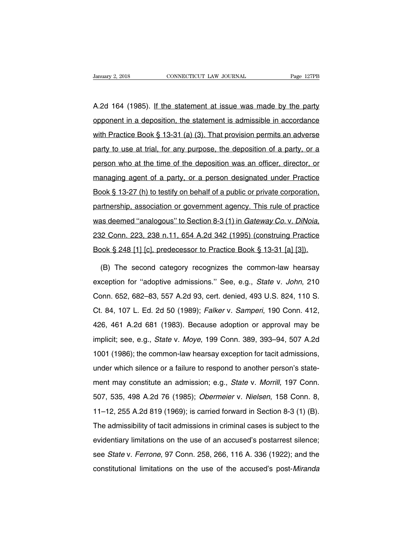Vanuary 2, 2018 CONNECTICUT LAW JOURNAL Page 127PB<br>A.2d 164 (1985). If the statement at issue was made by the party<br>opponent in a deposition, the statement is admissible in accordance January 2, 2018 CONNECTICUT LAW JOURNAL Page 127PB<br>A.2d 164 (1985). If the statement at issue was made by the party<br>opponent in a deposition, the statement is admissible in accordance<br>with Practice Book § 13-31 (a) (3). Th A.2d 164 (1985). If the statement at issue was made by the party opponent in a deposition, the statement is admissible in accordance with Practice Book § 13-31 (a) (3). That provision permits an adverse party to use at tri A.2d 164 (1985). If the statement at issue was made by the party opponent in a deposition, the statement is admissible in accordance with Practice Book § 13-31 (a) (3). That provision permits an adverse party to use at tri person in a deposition, the statement is admissible in accordance<br>with Practice Book § 13-31 (a) (3). That provision permits an adverse<br>party to use at trial, for any purpose, the deposition of a party, or a<br>person who at with Practice Book § 13-31 (a) (3). That provision permits an adverse<br>party to use at trial, for any purpose, the deposition of a party, or a<br>person who at the time of the deposition was an officer, director, or<br>managing a book is a trial, for any purpose, the deposition of a party, or a<br>person who at the time of the deposition was an officer, director, or<br>managing agent of a party, or a person designated under Practice<br>Book § 13-27 (h) to t partnership, association or government agency. This rule of partnership, and the time of the deposition was an officer, director, or managing agent of a party, or a person designated under Practice Book § 13-27 (h) to test was deemed "analogous" to Section 8-3 (1) in Gateway Co. v. DiNoia,<br>partnership, association or government agency. This rule of practice<br>was deemed "analogous" to Section 8-3 (1) in Gateway Co. v. DiNoia,<br>232 Conn. 223, 23 partnership, association or government agency. This rule of practice<br>was deemed "analogous" to Section 8-3 (1) in *Gateway Co. v. DiNoia*,<br>232 Conn. 223, 238 n.11, 654 A.2d 342 (1995) (construing Practice<br>Book § 248 [1] [c as deemed "analogous" to Section 8-3 (1) in *Gateway Co. v. DiNoia*,<br>12 Conn. 223, 238 n.11, 654 A.2d 342 (1995) (construing Practice<br>100k § 248 [1] [c], predecessor to Practice Book § 13-31 [a] [3]).<br>(B) The second catego

232 Conn. 223, 238 n.11, 654 A.2d 342 (1995) (construing Practice<br>Book § 248 [1] [c], predecessor to Practice Book § 13-31 [a] [3]).<br>(B) The second category recognizes the common-law hearsay<br>exception for "adoptive admissi Book § 248 [1] [c], predecessor to Practice Book § 13-31 [a] [3]).<br>
(B) The second category recognizes the common-law hearsay<br>
exception for "adoptive admissions." See, e.g., *State v. John*, 210<br>
Conn. 652, 682–83, 557 A. (B) The second category recognizes the common-law hearsay<br>exception for "adoptive admissions." See, e.g., *State v. John*, 210<br>Conn. 652, 682–83, 557 A.2d 93, cert. denied, 493 U.S. 824, 110 S.<br>Ct. 84, 107 L. Ed. 2d 50 (19 exception for "adoptive admissions." See, e.g., *State v. John*, 210<br>Conn. 652, 682–83, 557 A.2d 93, cert. denied, 493 U.S. 824, 110 S.<br>Ct. 84, 107 L. Ed. 2d 50 (1989); *Falker v. Samperi*, 190 Conn. 412,<br>426, 461 A.2d 681 conn. 652, 682–83, 557 A.2d 93, cert. denied, 493 U.S. 824, 110 S.<br>Ct. 84, 107 L. Ed. 2d 50 (1989); *Falker v. Samperi*, 190 Conn. 412,<br>426, 461 A.2d 681 (1983). Because adoption or approval may be<br>implicit; see, e.g., *St* 2011 (1986); the common-law hearsay exception for tacit admissions, under which silence or a failure to respond to another person's state-<br>under which silence or a failure to respond to another person's state-<br>under which 20. 461 A.2d 681 (1983). Because adoption or approval may be<br>implicit; see, e.g., *State* v. *Moye*, 199 Conn. 389, 393–94, 507 A.2d<br>1001 (1986); the common-law hearsay exception for tacit admissions,<br>under which silence o implicit; see, e.g., *State* v. *Moye*, 199 Conn. 389, 393–94, 507 A.2d<br>1001 (1986); the common-law hearsay exception for tacit admissions,<br>under which silence or a failure to respond to another person's state-<br>ment may co 1001 (1986); the common-law hearsay exception for tacit admissions,<br>under which silence or a failure to respond to another person's state-<br>ment may constitute an admission; e.g., *State v. Morrill*, 197 Conn.<br>507, 535, 49 under which silence or a failure to respond to another person's state-<br>ment may constitute an admission; e.g., *State v. Morrill*, 197 Conn.<br>507, 535, 498 A.2d 76 (1985); *Obermeier v. Nielsen*, 158 Conn. 8,<br>11–12, 255 A.2 ment may constitute an admission; e.g., *State v. Morrill*, 197 Conn.<br>507, 535, 498 A.2d 76 (1985); *Obermeier v. Nielsen*, 158 Conn. 8,<br>11–12, 255 A.2d 819 (1969); is carried forward in Section 8-3 (1) (B).<br>The admissibil evidentiary schemator and actividentiary, edge of an accused's postar. 8, 11–12, 255 A.2d 819 (1969); is carried forward in Section 8-3 (1) (B).<br>The admissibility of tacit admissions in criminal cases is subject to the evi see, year, year, the vintage v. Ferrone, it will be connected in the connect of the admissibility of tacit admissions in criminal cases is subject to the evidentiary limitations on the use of an accused's postarrest silenc The admissibility of tacit admissions in criminal cases is subject to the evidentiary limitations on the use of an accused's postarrest silence;<br>see *State* v. *Ferrone*, 97 Conn. 258, 266, 116 A. 336 (1922); and the cons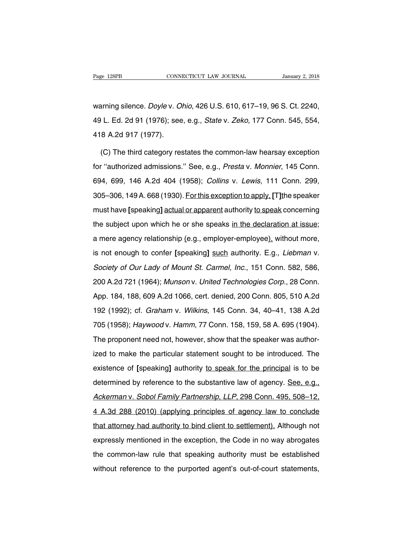Page 128PB<br>
Warning silence. *Doyle* v. *Ohio*, 426 U.S. 610, 617–19, 96 S. Ct. 2240,<br>
49 L. Ed. 2d 91 (1976); see, e.g., *State* v. *Zeko*, 177 Conn. 545, 554, Page 128PB CONNECTICUT LAW JOURNAL January 2, 2018<br>warning silence. *Doyle* v. *Ohio*, 426 U.S. 610, 617–19, 96 S. Ct. 2240,<br>49 L. Ed. 2d 91 (1976); see, e.g., *State* v. *Zeko*, 177 Conn. 545, 554,<br>418 A.2d 917 (1977). warning silence. *Doyle* v. *O*<br>49 L. Ed. 2d 91 (1976); see<br>418 A.2d 917 (1977).<br>(C) The third category res arning silence. *Doyle* v. *Ohio*, 426 U.S. 610, 617–19, 96 S. Ct. 2240,<br>
I. Ed. 2d 91 (1976); see, e.g., *State* v. *Zeko*, 177 Conn. 545, 554,<br>
8 A.2d 917 (1977).<br>
(C) The third category restates the common-law hearsay e

49 L. Ed. 2d 91 (1976); see, e.g., *State* v. *Zeko*, 177 Conn. 545, 554,<br>418 A.2d 917 (1977).<br>(C) The third category restates the common-law hearsay exception<br>for "authorized admissions." See, e.g., *Presta* v. Monnier, 1 418 A.2d 917 (1977).<br>
(C) The third category restates the common-law hearsay exception<br>
for "authorized admissions." See, e.g., *Presta* v. Monnier, 145 Conn.<br>
694, 699, 146 A.2d 404 (1958); *Collins v. Lewis*, 111 Conn. 2 (C) The third category restates the common-law hearsay exception<br>for "authorized admissions." See, e.g., *Presta v. Monnier*, 145 Conn.<br>694, 699, 146 A.2d 404 (1958); *Collins v. Lewis*, 111 Conn. 299,<br>305–306, 149 A. 668 for "authorized admissions." See, e.g., *Presta v. Monnier*, 145 Conn.<br>694, 699, 146 A.2d 404 (1958); *Collins v. Lewis*, 111 Conn. 299,<br>305–306, 149 A. 668 (1930). For this exception to apply. [T] the speaker<br>must have [s the summing annivence of the subject in the memory, the commined and the speak and the speaks 305–306, 149 A. 668 (1930). For this exception to apply, [T] the speaker must have [speaking] actual or apparent authority to sp a mere agency relationship (e.g., employer-employee), University 2005–306, 149 A. 668 (1930). For this exception to apply, [T] the speaker must have [speaking] actual or apparent authority to speak concerning the subject u must have [speaking] actual or apparent authority to speak concerning<br>the subject upon which he or she speaks in the declaration at issue;<br>a mere agency relationship (e.g., employer-employee), without more,<br>is not enough t the subject upon which he or she speaks in the declaration at issue;<br>a mere agency relationship (e.g., employer-employee), without more,<br>is not enough to confer [speaking] such authority. E.g., *Liebman v.*<br>Society of Our 200 A.2d 721 (1964); Munson v. United Technologies Corp., 28 Conn.<br>App. 184, 188, 609 A.2d 1066, cert. denied, 200 Conn. 805, 510 A.2d<br>App. 184, 188, 609 A.2d 1066, cert. denied, 200 Conn. 805, 510 A.2d<br>App. 184, 188, 609 A more against changing pergustamently pergusted material and the monday of Mount St. Carmel, Inc., 151 Conn. 582, 586, 200 A.2d 721 (1964); *Munson v. United Technologies Corp.*, 28 Conn. App. 184, 188, 609 A.2d 1066, cer Society of Our Lady of Mount St. Carmel, Inc., 151 Conn. 582, 586,<br>200 A.2d 721 (1964); Munson v. United Technologies Corp., 28 Conn.<br>App. 184, 188, 609 A.2d 1066, cert. denied, 200 Conn. 805, 510 A.2d<br>192 (1992); cf. *Gra* 200 A.2d 721 (1964); *Munson v. United Technologies Corp.*, 28 Conn.<br>App. 184, 188, 609 A.2d 1066, cert. denied, 200 Conn. 805, 510 A.2d<br>192 (1992); cf. *Graham v. Wilkins*, 145 Conn. 34, 40–41, 138 A.2d<br>705 (1958); *Haywo* App. 184, 188, 609 A.2d 1066, cert. denied, 200 Conn. 805, 510 A.2d<br>192 (1992); cf. *Graham v. Wilkins*, 145 Conn. 34, 40–41, 138 A.2d<br>705 (1958); *Haywood v. Hamm*, 77 Conn. 158, 159, 58 A. 695 (1904).<br>The proponent need 192 (1992); cf. *Graham* v. *Wilkins*, 145 Conn. 34, 40–41, 138 A.2d<br>705 (1958); *Haywood* v. *Hamm*, 77 Conn. 158, 159, 58 A. 695 (1904).<br>The proponent need not, however, show that the speaker was author-<br>ized to make the recent (1958); *Haywood v. Hamm*, 77 Conn. 158, 159, 58 A. 695 (1904).<br>The proponent need not, however, show that the speaker was authorized to make the particular statement sought to be introduced. The existence of [speak The proponent need not, however, show that the speaker was authorized to make the particular statement sought to be introduced. The existence of [speaking] authority to speak for the principal is to be determined by refere The prependent test increase, interest, show that the eposition rate taking<br>ized to make the particular statement sought to be introduced. The<br>existence of [speaking] authority to speak for the principal is to be<br>determine existence of [speaking] authority to speak for the principal is to be<br>determined by reference to the substantive law of agency. <u>See, e.g.,</u><br>Ackerman v. Sobol Family Partnership, LLP, 298 Conn. 495, 508–12,<br>4 A.3d 288 (201 determined by reference to the substantive law of agency. See, e.g.,<br>Ackerman v. Sobol Family Partnership, LLP, 298 Conn. 495, 508–12,<br>4 A.3d 288 (2010) (applying principles of agency law to conclude<br>that attorney had auth Ackerman v. Sobol Family Partnership, LLP, 298 Conn. 495, 508–12,<br>4 A.3d 288 (2010) (applying principles of agency law to conclude<br>that attorney had authority to bind client to settlement). Although not<br>expressly mentioned 1 A.3d 288 (2010) (applying principles of agency law to conclude<br>that attorney had authority to bind client to settlement). Although not<br>expressly mentioned in the exception, the Code in no way abrogates<br>the common-law rul that attorney had authority to bind client to settlement). Although not expressly mentioned in the exception, the Code in no way abrogates the common-law rule that speaking authority must be established without reference t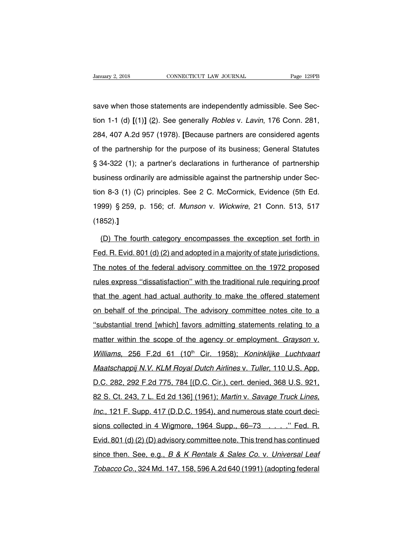save when those statements are independently admissible. See Sec-University 2, 2018 CONNECTICUT LAW JOURNAL Page 129PB<br>
Save when those statements are independently admissible. See Sec-<br>
tion 1-1 (d) [(1)] (2). See generally *Robles v. Lavin*, 176 Conn. 281,<br>
284, 407 A.2d 957 (1978). [ save when those statements are independently admissible. See Section 1-1 (d) [(1)] (2). See generally *Robles v. Lavin*, 176 Conn. 281, 284, 407 A.2d 957 (1978). [Because partners are considered agents of the partnership f save when those statements are independently admissible. See Section 1-1 (d) [(1)] (2). See generally *Robles v. Lavin*, 176 Conn. 281, 284, 407 A.2d 957 (1978). [Because partners are considered agents of the partnership f sare mich mess statements are masponasing damiserator see see<br>tion 1-1 (d) [(1)] (2). See generally *Robles* v. *Lavin*, 176 Conn. 281,<br>284, 407 A.2d 957 (1978). [Because partners are considered agents<br>of the partnership f  $284$ , 407 A.2d 957 (1978). [Because partners are considered agents<br>of the partnership for the purpose of its business; General Statutes<br>§ 34-322 (1); a partner's declarations in furtherance of partnership<br>business ordina 1973) of the partnership for the purpose of its business; General Statutes § 34-322 (1); a partner's declarations in furtherance of partnership business ordinarily are admissible against the partnership under Section 8-3 ( S 34-322 (1); a partner's declarations in furtherance of partnership<br>business ordinarily are admissible against the partnership under Sec-<br>tion 8-3 (1) (C) principles. See 2 C. McCormick, Evidence (5th Ed.<br>1999) § 259, p. (1852).**]** n 8-3 (1) (C) principles. See 2 C. McCormick, Evidence (5th Ed.<br>99) § 259, p. 156; cf. *Munson v. Wickwire*, 21 Conn. 513, 517<br>852).]<br>(D) The fourth category encompasses the exception set forth in<br>the fourth category encom

1999) § 259, p. 156; cf. *Munson v. Wickwire*, 21 Conn. 513, 517<br>(1852).]<br>(D) The fourth category encompasses the exception set forth in<br>Fed. R. Evid. 801 (d) (2) and adopted in a majority of state jurisdictions.<br>The notes (1852).]<br>(D) The fourth category encompasses the exception set forth in<br>Fed. R. Evid. 801 (d) (2) and adopted in a majority of state jurisdictions.<br>The notes of the federal advisory committee on the 1972 proposed<br>rules exp (D) The fourth category encompasses the exception set forth in<br>Fed. R. Evid. 801 (d) (2) and adopted in a majority of state jurisdictions.<br>The notes of the federal advisory committee on the 1972 proposed<br>rules express "dis Fed. R. Evid. 801 (d) (2) and adopted in a majority of state jurisdictions.<br>The notes of the federal advisory committee on the 1972 proposed<br>rules express "dissatisfaction" with the traditional rule requiring proof<br>that th The notes of the federal advisory committee on the 1972 proposed<br>rules express "dissatisfaction" with the traditional rule requiring proof<br>that the agent had actual authority to make the offered statement<br>on behalf of the The necession is accessive contract of the traditional rule requiring proof<br>that the agent had actual authority to make the offered statement<br>on behalf of the principal. The advisory committee notes cite to a<br>"substantial that the agent had actual authority to make the offered statement<br>on behalf of the principal. The advisory committee notes cite to a<br>"substantial trend [which] favors admitting statements relating to a<br>matter within the sc on behalf of the principal. The advisory committee notes cite to a<br>"substantial trend [which] favors admitting statements relating to a<br>matter within the scope of the agency or employment. *Grayson v.*<br>Williams, 256 F.2d 6 The state of the proton of the second interests in the constantial trend [which] favors admitting statements relating to a<br>matter within the scope of the agency or employment. *Grayson v.*<br>Williams, 256 F.2d 61 (10<sup>th</sup> Cir matter within the scope of the agency or employment. *Grayson v.*<br>Williams, 256 F.2d 61 (10<sup>th</sup> Cir. 1958); *Koninklijke Luchtvaart*<br>Maatschappij N.V. KLM Royal Dutch Airlines v. Tuller, 110 U.S. App.<br>D.C. 282, 292 F.2d 77 Williams, 256 F.2d 61 (10<sup>th</sup> Cir. 1958); Koninklijke Luchtvaart<br>Maatschappij N.V. KLM Royal Dutch Airlines v. Tuller, 110 U.S. App.<br>D.C. 282, 292 F.2d 775, 784 [(D.C. Cir.), cert. denied, 368 U.S. 921,<br>82 S. Ct. 243, 7 L. Maatschappij N.V. KLM Royal Dutch Airlines v. Tuller, 110 U.S. App.<br>D.C. 282, 292 F.2d 775, 784 [(D.C. Cir.), cert. denied, 368 U.S. 921,<br>82 S. Ct. 243, 7 L. Ed 2d 136] (1961); Martin v. *Savage Truck Lines,<br>Inc.*, 121 F. nameshappy minimizine in annual minimizion manusitalita in 1961.<br>D.C. 282, 292 F.2d 775, 784 [(D.C. Cir.), cert. denied, 368 U.S. 921,<br>82 S. Ct. 243, 7 L. Ed 2d 136] (1961); *Martin v. Savage Truck Lines,<br>Inc.*, 121 F. Sup 82 S. Ct. 243, 7 L. Ed 2d 136] (1961); Martin v. Savage Truck Lines,<br>Inc., 121 F. Supp. 417 (D.D.C. 1954), and numerous state court deci-<br>sions collected in 4 Wigmore, 1964 Supp., 66–73 ....." Fed. R.<br>Evid. 801 (d) (2) (D) Inc., 121 F. Supp. 417 (D.D.C. 1954), and numerous state court decisions collected in 4 Wigmore, 1964 Supp., 66–73 ....." Fed. R.<br>Evid. 801 (d) (2) (D) advisory committee note. This trend has continued since then. See, e.g Sions collected in 4 Wigmore, 1964 Supp., 66–73 ....." Fed. R.<br>Evid. 801 (d) (2) (D) advisory committee note. This trend has continued<br>since then. See, e.g., B & K Rentals & Sales Co. v. Universal Leat<br>Tobacco Co., 324 Md.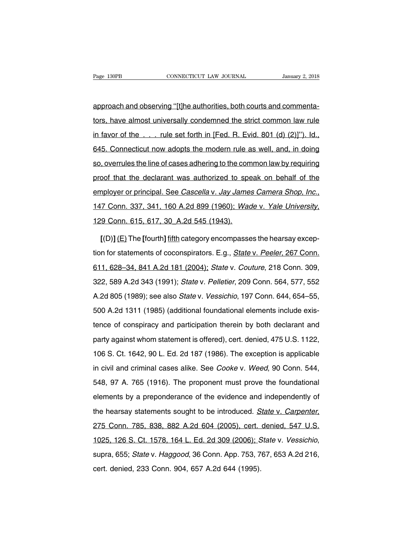Page 130PB<br>CONNECTICUT LAW JOURNAL January 2, 2018<br>approach and observing "[t]he authorities, both courts and commenta-<br>tors, have almost universally condemned the strict common law rule Fage 130PB CONNECTICUT LAW JOURNAL January 2, 2018<br>
approach and observing "[t]he authorities, both courts and commenta-<br>
tors, have almost universally condemned the strict common law rule<br>
in favor of the . . . rule set f approach and observing "[t]he authorities, both courts and commenta-<br>tors, have almost universally condemned the strict common law rule<br>in favor of the . . . . rule set forth in [Fed. R. Evid. 801 (d) (2)]"). Id.,<br>645. Con approach and observing "[t]he authorities, both courts and commenta-<br>tors, have almost universally condemned the strict common law rule<br>in favor of the . . . . rule set forth in [Fed. R. Evid. 801 (d) (2)]"). Id.,<br>645. Con tors, have almost universally condemned the strict common law rule<br>in favor of the . . . . rule set forth in [Fed. R. Evid. 801 (d) (2)]"). Id.,<br>645. Connecticut now adopts the modern rule as well, and, in doing<br>so, overru in favor of the . . . rule set forth in [Fed. R. Evid. 801 (d) (2)]"). Id.,<br>645. Connecticut now adopts the modern rule as well, and, in doing<br>so, overrules the line of cases adhering to the common law by requiring<br>proof t employer or principal. See Cascella v. Jay James Canera Shop, Inc., 147 Connecticut now adopts the modern rule as well, and, in doing<br>proof that the declarant was authorized to speak on behalf of the<br>employer or principal. employer or principal. See *Cascella v. Jay James Camera Shop, Inc.*, 147 Conn. 337, 341, 160 A.2d 899 (1960); *Wade v. Yale University*, 129 Conn. 615, 617, 30 A.2d 545 (1943).<br>
[(D)] (E) The [fourth] fifth category encom

147 Conn. 337, 341, 160 A.2d 899 (1960); Wade v. Yale University,<br>129 Conn. 615, 617, 30 A.2d 545 (1943).<br>[(D)] (E) The [fourth] fifth category encompasses the hearsay excep-<br>tion for statements of coconspirators. E.g., St 129 Conn. 615, 617, 30 A.2d 545 (1943).<br>
[(D)] (E) The [fourth] fifth category encompasses the hearsay exception for statements of coconspirators. E.g., *State v. Peeler*, 267 Conn.<br>
611, 628–34, 841 A.2d 181 (2004); *Stat*  $[(D)] (E)$  The [fourth] fifth category encompasses the hearsay exception for statements of coconspirators. E.g., *State v. Peeler*, 267 Conn. 611, 628–34, 841 A.2d 181 (2004); *State v. Couture*, 218 Conn. 309, 322, 589 A.2 tion for statements of coconspirators. E.g., *State v. Peeler*, 267 Conn.<br>611, 628–34, 841 A.2d 181 (2004); *State v. Couture*, 218 Conn. 309,<br>322, 589 A.2d 343 (1991); *State v. Pelletier*, 209 Conn. 564, 577, 552<br>A.2d 8 511, 628–34, 841 A.2d 181 (2004); *State v. Couture*, 218 Conn. 309, 322, 589 A.2d 343 (1991); *State v. Pelletier*, 209 Conn. 564, 577, 552<br>A.2d 805 (1989); see also *State v. Vessichio*, 197 Conn. 644, 654–55, 500 A.2d 1 1.1, 1999 1.1, 1999 1.1, 1999 1.1, 1999 1.1, 1999 1.1, 1999 1.1, 1999 1.1, 1999 1.2d 343 (1991); State v. *Pelletier*, 209 Conn. 564, 577, 552<br>A.2d 805 (1989); see also *State v. Vessichio*, 197 Conn. 644, 654–55,<br>500 A.2d and 805 (1989); see also *State* v. *Vessichio*, 197 Conn. 644, 654–55, 500 A.2d 1311 (1985) (additional foundational elements include existence of conspiracy and participation therein by both declarant and party against w 106 S. Ct. 1642, 90 L. Ed. 2d 187 (1986). The exception is applicable in civil and criminal cases alike. See Cooke v. Weed, 90 Conn. 544, In the contribution of the meaning of the means of the criminal cases alike three of conspiracy and participation therein by both declarant and party against whom statement is offered), cert. denied, 475 U.S. 1122, 106 S. being or conseption, and paintipality increasingly solid detailed and and<br>party against whom statement is offered), cert. denied, 475 U.S. 1122,<br>106 S. Ct. 1642, 90 L. Ed. 2d 187 (1986). The exception is applicable<br>in civi pany against mish statements shorter, year asing, it is siten i.e.,<br>106 S. Ct. 1642, 90 L. Ed. 2d 187 (1986). The exception is applicable<br>in civil and criminal cases alike. See *Cooke* v. *Weed*, 90 Conn. 544,<br>548, 97 A. 7 the statements sought to be introduced. State v. Allements sought to be introduced. State v. Carpenter, 275 Conn. 785, 838, 882 A.2d 604 (2005), cert. denied, 547 U.S. 1025, 126 S. Ct. 1578, 164 L. Ed. 2d 309 (2006); State 1025, 126 S. Ct. 1578, 164 L. Ed. 2d 309 (2006); State v. Carpenter, 1025, 126 S. Ct. 1578, 164 L. Ed. 2d 309 (2006); State v. Vessichio, supra, 655; *State v. Haggood*, 36 Conn. App. 753, 767, 653 A.2d 216, cert. denied, che meaned, Januari et al., 234 604 (2005), cert.<br>275 Conn. 785, 838, 882 A.2d 604 (2005), cert.<br>1025, 126 S. Ct. 1578, 164 L. Ed. 2d 309 (2006); S<br>supra, 655; *State* v. *Haggood*, 36 Conn. App. 753, 7<br>cert. denied, 233 C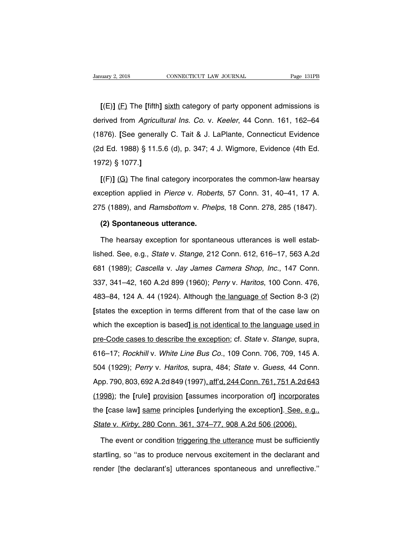**EXECUTE:** THE THE CONSECTION CONNECTICUT LAW JOURNAL Trage 131PB<br> **[(E)]** (E) The **[fifth]** sixth category of party opponent admissions is<br>
rived from *Agricultural Ins. Co. v. Keeler*, 44 Conn. 161, 162–64 January 2, 2018 CONNECTICUT LAW JOURNAL Page 131PB<br>
[(E)] (E) The [fifth] sixth category of party opponent admissions is<br>
derived from *Agricultural Ins. Co.* v. *Keeler*, 44 Conn. 161, 162–64<br>
(1876). [See generally C. Ta [(E)] (F) The [fifth] sixth category of party opponent admissions is<br>derived from *Agricultural Ins. Co.* v. *Keeler*, 44 Conn. 161, 162–64<br>(1876). [See generally C. Tait & J. LaPlante, Connecticut Evidence<br>(2d Ed. 1988) § [(E)] (E) The [fifth] sixth category of party opponent admissions is derived from *Agricultural Ins. Co. v. Keeler*, 44 Conn. 161, 162–64 (1876). [See generally C. Tait & J. LaPlante, Connecticut Evidence (2d Ed. 1988) § [(E)] (E) The [fifth] sixth category of party opponent admissions is<br>derived from *Agricultural Ins. Co.* v. *Keeler*, 44 Conn. 161, 162–64<br>(1876). [See generally C. Tait & J. LaPlante, Connecticut Evidence<br>(2d Ed. 1988) 876). [See generally C. Tait & J. LaPlante, Connecticut Evidence<br>d Ed. 1988) § 11.5.6 (d), p. 347; 4 J. Wigmore, Evidence (4th Ed.<br>72) § 1077.]<br>[(F)] <u>(G</u>) The final category incorporates the common-law hearsay<br>ception app

(2d Ed. 1988) § 11.5.6 (d), p. 347; 4 J. Wigmore, Evidence (4th Ed.<br>1972) § 1077.]<br>
[(F)] (G) The final category incorporates the common-law hearsay<br>
exception applied in *Pierce* v. *Roberts*, 57 Conn. 31, 40–41, 17 A.<br> 275 (1889), and Ramsbottom v. Phelps, 18 Conn. 278, 285 (1847).<br>
275 (1889), and Ramsbottom v. Phelps, 18 Conn. 278, 285 (1847).<br>
275 (1889), and Ramsbottom v. Phelps, 18 Conn. 278, 285 (1847). [(F)] (G) The final category incorpor<br>ception applied in *Pierce* v. *Robel*<br>5 (1889), and *Ramsbottom* v. *Phel*<br>(2) Spontaneous utterance.<br>The hearsay exception for spontar ception applied in *Pierce* v. *Roberts*, 57 Conn. 31, 40–41, 17 A.<br>5 (1889), and *Ramsbottom* v. *Phelps*, 18 Conn. 278, 285 (1847).<br>**(2) Spontaneous utterance.**<br>The hearsay exception for spontaneous utterances is well es

275 (1889), and *Ramsbottom v. Phelps*, 18 Conn. 278, 285 (1847).<br>
(2) Spontaneous utterance.<br>
The hearsay exception for spontaneous utterances is well estab-<br>
lished. See, e.g., *State v. Stange*, 212 Conn. 612, 616–17, 5 (2) Spontaneous utterance.<br>The hearsay exception for spontaneous utterances is well estab-<br>lished. See, e.g., *State v. Stange*, 212 Conn. 612, 616–17, 563 A.2d<br>681 (1989); *Cascella v. Jay James Camera Shop, Inc.*, 147 Co The hearsay exception for spontaneous utterances is well estab-<br>lished. See, e.g., *State v. Stange*, 212 Conn. 612, 616–17, 563 A.2d<br>681 (1989); *Cascella v. Jay James Camera Shop, Inc.*, 147 Conn.<br>337, 341–42, 160 A.2d 8 lished. See, e.g., *State* v. *Stange*, 212 Conn. 612, 616–17, 563 A.2d<br>681 (1989); *Cascella v. Jay James Camera Shop, Inc.*, 147 Conn.<br>337, 341–42, 160 A.2d 899 (1960); *Perry v. Haritos*, 100 Conn. 476,<br>483–84, 124 A. 4 **fighter the exception is the exception in terms different from that of the case law on which the exception is based] is not identical to the language used in which the exception is based] is not identical to the language** sof (1989), Sascella V. Say Sames Samela Shep, me., 117 Softh.<br>337, 341–42, 160 A.2d 899 (1960); *Perry v. Haritos*, 100 Conn. 476,<br>483–84, 124 A. 44 (1924). Although the language of Section 8-3 (2)<br>[states the exception i pre-Code cases to describe the exception; cf. State v. Stange, supra, 616–17; Rockhill v. White Line Bus Co., 109 Conn. 706, 709, 145 A.<br>
616–17; Rockhill v. White Line Bus Co., 109 Conn. 706, 709, 145 A. [states the exception in terms different from that of the case law on<br>which the exception is based<u>] is not identical to the language used in</u><br>pre-Code cases to describe the exception; cf. *State v. Stange*, supra,<br>616–17 which the exception in terms amodent nominate of the ease law of<br>which the exception is based<u>] is not identical to the language used in</u><br>pre-Code cases to describe the exception; cf. *State v. Stange*, supra,<br>616–17; *Roc* me Code cases to describe the exception; cf. *State* v. *Stange*, supra,<br>616–17; *Rockhill v. White Line Bus Co.*, 109 Conn. 706, 709, 145 A.<br>504 (1929); *Perry v. Haritos*, supra, 484; *State v. Guess*, 44 Conn.<br>App. 790, 16–17; *Rockhill v. White Line Bus Co.*, 109 Conn. 706, 709, 145 A.<br>504 (1929); *Perry v. Haritos, supra, 484; State v. Guess, 44 Conn.*<br>App. 790, 803, 692 A.2d 849 (1997), aff'd, 244 Conn. 761, 751 A.2d 643<br>(1998); the [r the 11, Hockmann V. While Eine Bas Co., 100 Comit. 100, 100, 110 K.<br>504 (1929); Perry v. Haritos, supra, 484; State v. Guess, 44 Conn.<br>App. 790, 803, 692 A.2d 849 (1997), aff'd, 244 Conn. 761, 751 A.2d 643<br>(1998); the [rul State v. (1929), 7 cmy v. names, sapid, 191, State v. dasse, 11 com<br>App. 790, 803, 692 A.2d 849 (1997), aff'd, 244 Conn. 761, 751 A.2d 64<br>(1998); the [rule] provision [assumes incorporation of] incorporate<br>the [case law] s 998); the [rule] provision [assumes incorporation of] incorporates<br>
E [case law] same principles [underlying the exception]. See, e.g.,<br>
ate v. Kirby, 280 Conn. 361, 374–77, 908 A.2d 506 (2006).<br>
The event or condition tri

startling, so "as to produce nervous excitement in the declarant and render [the declarant's] utterances spontaneous and unreflective." State v. Kirby, 280 Conn. 361, 374–77, 908 A.2d 506 (2006).<br>The event or condition triggering the utterance must be sufficiently startling, so "as to produce nervous excitement in the declarant and render [the declarant's]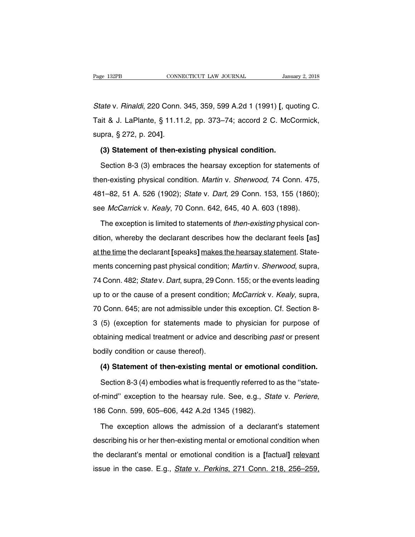State v. Rinaldi, 220 Conn. 345, 359, 599 A.2d 1 (1991) **[**, quoting C. Page 132PB CONNECTICUT LAW JOURNAL January 2, 2018<br>
State v. Rinaldi, 220 Conn. 345, 359, 599 A.2d 1 (1991) [, quoting C.<br>
Tait & J. LaPlante, § 11.11.2, pp. 373–74; accord 2 C. McCormick,<br>
supra, § 272, p. 204]. State v. Rinaldi, 220 Conn. 345, 359, 599 A.2d 1 (1991) [, que Tait & J. LaPlante, § 11.11.2, pp. 373–74; accord 2 C. McC<br>supra, § 272, p. 204].<br>**(3) Statement of then-existing physical condition.**<br>Section 8-3 (3) embraces it & J. LaPlante, § 11.11.2, pp. 373–74; accord 2 C. McCormick,<br>pra, § 272, p. 204].<br>**(3) Statement of then-existing physical condition.**<br>Section 8-3 (3) embraces the hearsay exception for statements of<br>en-existing physica

supra, § 272, p. 204].<br>
(3) Statement of then-existing physical condition.<br>
Section 8-3 (3) embraces the hearsay exception for statements of<br>
then-existing physical condition. *Martin v. Sherwood*, 74 Conn. 475,<br>
481–82, 5 (3) Statement of then-existing physical condition.<br>Section 8-3 (3) embraces the hearsay exception for statements of<br>then-existing physical condition. *Martin v. Sherwood*, 74 Conn. 475,<br>481–82, 51 A. 526 (1902); *State v.* Section 8-3 (3) embraces the hearsay exception for statements of<br>then-existing physical condition. *Martin v. Sherwood*, 74 Conn. 475,<br>481–82, 51 A. 526 (1902); *State v. Dart*, 29 Conn. 153, 155 (1860);<br>see *McCarrick v.* en-existing physical condition. *Martin* v. *Sherwood*, 74 Conn. 475,<br>1–82, 51 A. 526 (1902); *State* v. *Dart*, 29 Conn. 153, 155 (1860);<br>e *McCarrick* v. *Kealy*, 70 Conn. 642, 645, 40 A. 603 (1898).<br>The exception is lim

481–82, 51 A. 526 (1902); *State v. Dart,* 29 Conn. 153, 155 (1860);<br>see *McCarrick v. Kealy, 7*0 Conn. 642, 645, 40 A. 603 (1898).<br>The exception is limited to statements of *then-existing* physical con-<br>dition, whereby th see *McCarrick* v. *Kealy*, 70 Conn. 642, 645, 40 A. 603 (1898).<br>The exception is limited to statements of *then-existing* physical condition, whereby the declarant describes how the declarant feels [as] at the time the de The exception is limited to statements of *then-existing* physical condition, whereby the declarant describes how the declarant feels [as] at the time the declarant [speaks] makes the hearsay statement. Statements concerni The exception is inhibit to extrement of *their existing* physical condition, whereby the declarant describes how the declarant feels [as] at the time the declarant [speaks] makes the hearsay statement. Statements concerni at the time the declarant [speaks] makes the hearsay statement. State-<br>ments concerning past physical condition; *Martin* v. *Sherwood*, supra,<br>74 Conn. 482; *State* v. *Dart*, supra, 29 Conn. 155; or the events leading<br>up ments concerning past physical condition; *Martin v. Sherwood*, supra, 74 Conn. 482; *State v. Dart*, supra, 29 Conn. 155; or the events leading up to or the cause of a present condition; *McCarrick v. Kealy*, supra, 70 Co 3 (5) (exception for statements made to physician for purpose, supra, 74 Conn. 482; *Statev. Dart*, supra, 29 Conn. 155; or the events leading up to or the cause of a present condition; *McCarrick v. Kealy*, supra, 70 Conn obtain: 162, 8dde v. Bart, 8dptd, 26 Softh. 166, 6t the events leading<br>up to or the cause of a present condition; *McCarrick* v. *Kealy*, supra,<br>70 Conn. 645; are not admissible under this exception. Cf. Section 8-<br>3 (5) ( bodily conditionally conditionally<br>70 Conn. 645; are not admissible under<br>3 (5) (exception for statements made<br>obtaining medical treatment or advice are<br>bodily condition or cause thereof).<br>(4) Statement of then-existing me (5) (exception for statements made to physician for purpose of<br>taining medical treatment or advice and describing *past* or present<br>dily condition or cause thereof).<br>**(4) Statement of then-existing mental or emotional cond** taining medical treatment or advice and describing *past* or present<br>dily condition or cause thereof).<br>(4) Statement of then-existing mental or emotional condition.<br>Section 8-3 (4) embodies what is frequently referred to a

bodily condition or cause thereof).<br>
(4) Statement of then-existing mental or emotional condition.<br>
Section 8-3 (4) embodies what is frequently referred to as the "state-<br>
of-mind" exception to the hearsay rule. See, e.g., Section 8-3 (4) embodies what is frequently referred to as the "state-<br>mind" exception to the hearsay rule. See, e.g., *State* v. *Periere*,<br>6 Conn. 599, 605–606, 442 A.2d 1345 (1982).<br>The exception allows the admission of

of-mind" exception to the hearsay rule. See, e.g., *State v. Periere*,<br>186 Conn. 599, 605–606, 442 A.2d 1345 (1982).<br>The exception allows the admission of a declarant's statement<br>describing his or her then-existing mental 186 Conn. 599, 605–606, 442 A.2d 1345 (1982).<br>The exception allows the admission of a declarant's statement<br>describing his or her then-existing mental or emotional condition when<br>the declarant's mental or emotional conditi The exception allows the admission of a declarant's statement<br>describing his or her then-existing mental or emotional condition when<br>the declarant's mental or emotional condition is a [factual] relevant<br>issue in the case.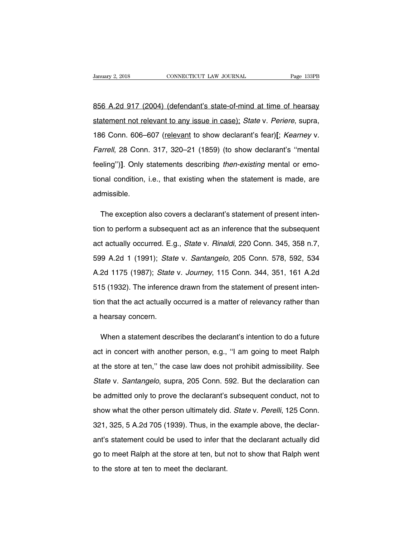Vanuary 2, 2018 CONNECTICUT LAW JOURNAL Page 133PB<br>856 A.2d 917 (2004) (defendant's state-of-mind at time of hearsay<br>statement not relevant to any issue in case); State v. Periere, supra, Sanuary 2, 2018 CONNECTICUT LAW JOURNAL Page 133PB<br>1956 A.2d 917 (2004) (defendant's state-of-mind at time of hearsay<br>186 Conn. 606–607 (relevant to show declarant's fear)[; Kearney v. 1856 A.2d 917 (2004) (defendant's state-of-mind at time of hearsay<br>statement not relevant to any issue in case); State v. Periere, supra,<br>186 Conn. 606–607 (relevant to show declarant's fear)**[**; Kearney v.<br>Farrell, 28 Con 856 A.2d 917 (2004) (defendant's state-of-mind at time of hearsay<br>statement not relevant to any issue in case); State v. Periere, supra,<br>186 Conn. 606–607 (relevant to show declarant's fear)[; Kearney v.<br>Farrell, 28 Conn. statement not relevant to any issue in case); State v. Periere, supra, 186 Conn. 606–607 (relevant to show declarant's fear)[; Kearney v. Farrell, 28 Conn. 317, 320–21 (1859) (to show declarant's "mental feeling")]. Only s 186 Conn. 606–607 (relevant to show declarant's fear)[; Kearney v.<br>Farrell, 28 Conn. 317, 320–21 (1859) (to show declarant's "mental<br>feeling")]. Only statements describing then-existing mental or emo-<br>tional condition, i.e admissible. eling")]. Only statements describing *then-existing* mental or emo-<br>nal condition, i.e., that existing when the statement is made, are<br>lmissible.<br>The exception also covers a declarant's statement of present inten-<br>n to per

tional condition, i.e., that existing when the statement is made, are<br>admissible.<br>The exception also covers a declarant's statement of present inten-<br>tion to perform a subsequent act as an inference that the subsequent<br>act admissible.<br>
The exception also covers a declarant's statement of present inten-<br>
tion to perform a subsequent act as an inference that the subsequent<br>
act actually occurred. E.g., *State v. Rinaldi*, 220 Conn. 345, 358 n. The exception also covers a declarant's statement of present intention to perform a subsequent act as an inference that the subsequent act actually occurred. E.g., *State v. Rinaldi*, 220 Conn. 345, 358 n.7, 599 A.2d 1 (19 tion to perform a subsequent act as an inference that the subsequent<br>act actually occurred. E.g., *State v. Rinaldi*, 220 Conn. 345, 358 n.7,<br>599 A.2d 1 (1991); *State v. Santangelo*, 205 Conn. 578, 592, 534<br>A.2d 1175 (198 act actually occurred. E.g., *State v. Rinaldi*, 220 Conn. 345, 358 n.7,<br>599 A.2d 1 (1991); *State v. Santangelo*, 205 Conn. 578, 592, 534<br>A.2d 1175 (1987); *State v. Journey*, 115 Conn. 344, 351, 161 A.2d<br>515 (1932). The 599 A.2d 1 (1991); *State v. Santangelo*, 205 Conn. 578, 592, 534<br>A.2d 1175 (1987); *State v. Journey*, 115 Conn. 344, 351, 161 A.2d<br>515 (1932). The inference drawn from the statement of present inten-<br>tion that the act ac A.2d 1175 (1987); State<br>515 (1932). The inference<br>tion that the act actually concern. 5 (1932). The inference drawn from the statement of present inten-<br>n that the act actually occurred is a matter of relevancy rather than<br>hearsay concern.<br>When a statement describes the declarant's intention to do a future<br>

ition that the act actually occurred is a matter of relevancy rather than<br>a hearsay concern.<br>When a statement describes the declarant's intention to do a future<br>act in concert with another person, e.g., "I am going to meet a hearsay concern.<br>When a statement describes the declarant's intention to do a future<br>act in concert with another person, e.g., "I am going to meet Ralph<br>at the store at ten," the case law does not prohibit admissibility. When a statement describes the declarant's intention to do a future<br>act in concert with another person, e.g., "I am going to meet Ralph<br>at the store at ten," the case law does not prohibit admissibility. See<br>State v. Santa act in concert with another person, e.g., "I am going to meet Ralph<br>at the store at ten," the case law does not prohibit admissibility. See<br>State v. Santangelo, supra, 205 Conn. 592. But the declaration can<br>be admitted onl at the store at ten," the case law does not prohibit admissibility. See<br>State v. Santangelo, supra, 205 Conn. 592. But the declaration can<br>be admitted only to prove the declarant's subsequent conduct, not to<br>show what the State v. Santangelo, supra, 205 Conn. 592. But the declaration can<br>be admitted only to prove the declarant's subsequent conduct, not to<br>show what the other person ultimately did. State v. Perelli, 125 Conn.<br>321, 325, 5 A.2 be admitted only to prove the declarant's subsequent conduct, not to<br>show what the other person ultimately did. State v. Perelli, 125 Conn.<br>321, 325, 5 A.2d 705 (1939). Thus, in the example above, the declar-<br>ant's stateme show what the other person ultimately did. State v. Perelli, 125 Conn.<br>321, 325, 5 A.2d 705 (1939). Thus, in the example above, the declar-<br>ant's statement could be used to infer that the declarant actually did<br>go to meet 321, 325, 5 A.2d 705 (1939). Thus, in the example above, the declar-<br>ant's statement could be used to infer that the declarant actually did<br>go to meet Ralph at the store at ten, but not to show that Ralph went<br>to the store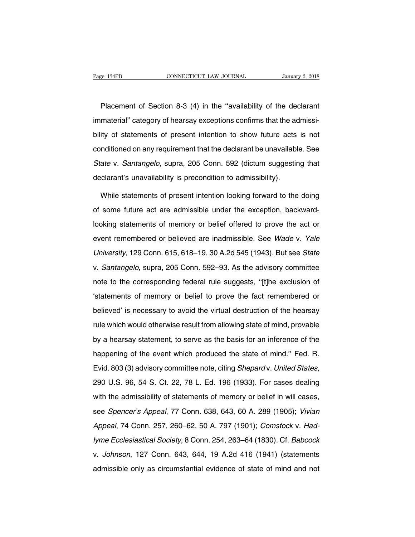e 134PB<br>
CONNECTICUT LAW JOURNAL<br>
Placement of Section 8-3 (4) in the "availability of the declarant<br>
material" category of hearsay exceptions confirms that the admissi-Fage 134PB CONNECTICUT LAW JOURNAL January 2, 2018<br>
Placement of Section 8-3 (4) in the "availability of the declarant<br>
immaterial" category of hearsay exceptions confirms that the admissi-<br>
bility of statements of present Placement of Section 8-3 (4) in the "availability of the declarant<br>immaterial" category of hearsay exceptions confirms that the admissi-<br>bility of statements of present intention to show future acts is not<br>conditioned on a Placement of Section 8-3 (4) in the "availability of the declarant<br>immaterial" category of hearsay exceptions confirms that the admissi-<br>bility of statements of present intention to show future acts is not<br>conditioned on a immaterial" category of hearsay exceptions confirms that the admissibility of statements of present intention to show future acts is not conditioned on any requirement that the declarant be unavailable. See State v. Santa bility of statements of present intention to show future acts<br>conditioned on any requirement that the declarant be unavailable<br>State v. Santangelo, supra, 205 Conn. 592 (dictum suggestin<br>declarant's unavailability is preco multioned on any requirement that the declarant be unavailable. See<br>ate v. Santangelo, supra, 205 Conn. 592 (dictum suggesting that<br>clarant's unavailability is precondition to admissibility).<br>While statements of present in

State v. Santangelo, supra, 205 Conn. 592 (dictum suggesting that declarant's unavailability is precondition to admissibility).<br>While statements of present intention looking forward to the doing of some future act are admi declarant's unavailability is precondition to admissibility).<br>While statements of present intention looking forward to the doing<br>of some future act are admissible under the exception, backward-<br>looking statements of memory While statements of present intention looking forward to the doing<br>of some future act are admissible under the exception, backward-<br>looking statements of memory or belief offered to prove the act or<br>event remembered or bel University, 129 Conn. 615, 618–19, 30 A.2d 545 (1943). But see State<br>V. Santangelo, supra, 205 Conn. 615, 618–19, 30 A.2d 545 (1943). But see State<br>V. Santangelo, supra, 205 Conn. 592–93. As the advisory committee v. Santangelo, supra, 205 Conn. 592–93. As the advisory committee the superior, superior and event remembered or believed are inadmissible. See *Wade* v. Yale University, 129 Conn. 615, 618–19, 30 A.2d 545 (1943). But see note the corresponding federal rule suggests, ''[t]he exclusion of statements of memory or believed are inadmissible. See *Wade* v. Yale University, 129 Conn. 615, 618–19, 30 A.2d 545 (1943). But see *State* v. *Santangelo* University, 129 Conn. 615, 618–19, 30 A.2d 545 (1943). But see *State*<br>v. *Santangelo*, supra, 205 Conn. 592–93. As the advisory committee<br>note to the corresponding federal rule suggests, "[t]he exclusion of<br>"statements of believed, supra, 205 Conn. 592–93. As the advisory committee<br>note to the corresponding federal rule suggests, "[t]he exclusion of<br>"statements of memory or belief to prove the fact remembered or<br>believed" is necessary to av rule which would otherwise result from allowing statements of memory or belief to prove the fact remembered or<br>believed' is necessary to avoid the virtual destruction of the hearsay<br>rule which would otherwise result from a Statements of memory or belief to prove the fact remembered or<br>believed' is necessary to avoid the virtual destruction of the hearsay<br>rule which would otherwise result from allowing state of mind, provable<br>by a hearsay sta believed' is necessary to avoid the virtual destruction of the hearsay<br>rule which would otherwise result from allowing state of mind, provable<br>by a hearsay statement, to serve as the basis for an inference of the<br>happening Fraction is increasing to distribute in the main decliberation of the inclined,<br>rule which would otherwise result from allowing state of mind, provable<br>by a hearsay statement, to serve as the basis for an inference of the<br> by a measely elatement, to serve as the state for an interestive or the happening of the event which produced the state of mind." Fed. R.<br>Evid. 803 (3) advisory committee note, citing *Shepard* v. United States,<br>290 U.S. 9 Evid. 803 (3) advisory committee note, citing *Shepard* v. United States,<br>290 U.S. 96, 54 S. Ct. 22, 78 L. Ed. 196 (1933). For cases dealing<br>with the admissibility of statements of memory or belief in will cases,<br>see *Spen* 290 U.S. 96, 54 S. Ct. 22, 78 L. Ed. 196 (1933). For cases dealing<br>with the admissibility of statements of memory or belief in will cases,<br>see *Spencer's Appeal*, 77 Conn. 638, 643, 60 A. 289 (1905); *Vivian<br>Appeal*, 74 Co with the admissibility of statements of memory or belief in will cases,<br>see *Spencer's Appeal*, 77 Conn. 638, 643, 60 A. 289 (1905); *Vivian<br>Appeal*, 74 Conn. 257, 260–62, 50 A. 797 (1901); *Comstock v. Had-<br>lyme Ecclesias* v. Johnson, 127 Conn. 638, 643, 60 A. 289 (1905); Vivian<br>Appeal, 74 Conn. 257, 260–62, 50 A. 797 (1901); Comstock v. Had-<br>Jyme Ecclesiastical Society, 8 Conn. 254, 263–64 (1830). Cf. Babcock<br>v. Johnson, 127 Conn. 643, 644, Appeal, 74 Conn. 257, 260–62, 50 A. 797 (1901); Comstock v. Had-<br>lyme Ecclesiastical Society, 8 Conn. 254, 263–64 (1830). Cf. Babcock<br>v. Johnson, 127 Conn. 643, 644, 19 A.2d 416 (1941) (statements<br>admissible only as circum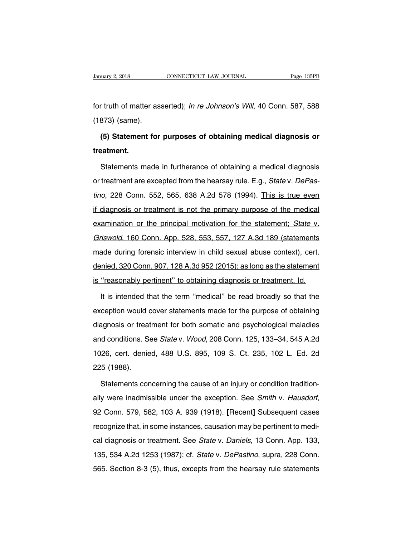Francey 2, 2018 CONNECTICUT LAW JOURNAL Page 135PB<br>for truth of matter asserted); In re Johnson's Will, 40 Conn. 587, 588<br>(1873) (same). January 2, 2018<br>for truth of matter as<br>(1873) (same).<br>**(5) Statement for** 

r truth of matter asserted); *In re Johnson's Will*, 40 Conn. 587, 588<br>873) (same).<br>(5**) Statement for purposes of obtaining medical diagnosis or**<br>e**atment. treatment.**

873) (same).<br>**(5) Statement for purposes of obtaining medical diagnosis or**<br>eatment.<br>Statements made in furtherance of obtaining a medical diagnosis<br>treatment are excepted from the hearsay rule. E.g., *State* v. *DePas*-(5) Statement for purposes of obtaining medical diagnosis or<br>treatment.<br>Statements made in furtherance of obtaining a medical diagnosis<br>or treatment are excepted from the hearsay rule. E.g., *State v. DePas-<br>tino*, 228 Con treatment.<br>
Statements made in furtherance of obtaining a medical diagnosis<br>
or treatment are excepted from the hearsay rule. E.g., *State v. DePas-<br>
tino*, 228 Conn. 552, 565, 638 A.2d 578 (1994). This is true even<br>
if di Statements made in furtherance of obtaining a medical diagnosis<br>or treatment are excepted from the hearsay rule. E.g., *State v. DePas-<br>tino*, 228 Conn. 552, 565, 638 A.2d 578 (1994). This is true even<br>if diagnosis or trea or treatment are excepted from the hearsay rule. E.g., *State v. DePastino*, 228 Conn. 552, 565, 638 A.2d 578 (1994). This is true even if diagnosis or treatment is not the primary purpose of the medical examination or the tino, 228 Conn. 552, 565, 638 A.2d 578 (1994). This is true even<br>if diagnosis or treatment is not the primary purpose of the medical<br>examination or the principal motivation for the statement; *State* v.<br>*Griswold*, 160 Con if diagnosis or treatment is not the primary purpose of the medical<br>examination or the principal motivation for the statement; State v.<br>Griswold, 160 Conn. App. 528, 553, 557, 127 A.3d 189 (statements<br>made during forensic examination or the principal motivation for the statement; *State v.*<br>Griswold, 160 Conn. App. 528, 553, 557, 127 A.3d 189 (statements<br>made during forensic interview in child sexual abuse context), cert.<br>denied, 320 Conn. Griswold, 160 Conn. App. 528, 553, 557, 127 A.3d 189 (statements made during forensic interview in child sexual abuse context), cert.<br>denied, 320 Conn. 907, 128 A.3d 952 (2015); as long as the statement is "reasonably pert ade during forensic interview in child sexual abuse context), cert.<br>
inied, 320 Conn. 907, 128 A.3d 952 (2015); as long as the statement<br>
"reasonably pertinent" to obtaining diagnosis or treatment. Id.<br>
It is intended that

denied, 320 Conn. 907, 128 A.3d 952 (2015); as long as the statement<br>is "reasonably pertinent" to obtaining diagnosis or treatment. Id.<br>It is intended that the term "medical" be read broadly so that the<br>exception would cov is "reasonably pertinent" to obtaining diagnosis or treatment. Id.<br>It is intended that the term "medical" be read broadly so that the<br>exception would cover statements made for the purpose of obtaining<br>diagnosis or treatmen It is intended that the term "medical" be read broadly so that the<br>exception would cover statements made for the purpose of obtaining<br>diagnosis or treatment for both somatic and psychological maladies<br>and conditions. See exception would cover statements made for the purpose of obtaining<br>diagnosis or treatment for both somatic and psychological maladies<br>and conditions. See *State* v. *Wood*, 208 Conn. 125, 133–34, 545 A.2d<br>1026, cert. denie diagnosis or treated<br>and conditions. S<br>1026, cert. denie<br>225 (1988).<br>Statements cor d conditions. See *State* v. *Wood*, 208 Conn. 125, 133–34, 545 A.2d<br>26, cert. denied, 488 U.S. 895, 109 S. Ct. 235, 102 L. Ed. 2d<br>5 (1988).<br>Statements concerning the cause of an injury or condition tradition-<br>y were inadm

ally were inadmissible under the exception. See Smith v. Hausdorf, 92 Conn. 579, 582, 103 A. 939 (1918). [Recent] Subsequent cases recognize that, in some instances, causation may be pertinent to medi-Statements concerning the cause of an injury or condition traditionally were inadmissible under the exception. See *Smith v. Hausdorf*, 92 Conn. 579, 582, 103 A. 939 (1918). [Recent] Subsequent cases recognize that, in som ally were inadmissible under the exception. See *Smith* v. Hausdorf, 92 Conn. 579, 582, 103 A. 939 (1918). [Recent] Subsequent cases recognize that, in some instances, causation may be pertinent to medical diagnosis or tre 135, 534 A.2d 1253 (1987); cf. *State v. DePastino*, supra, 228 Conn. 359, 534 A.2d 1253 (1987); cf. *State v. DePastino*, supra, 228 Conn. 565. Section 8-3 (5), thus, excepts from the hearsay rule statements 565. Section 8-3 (5), thus, excepts from the hearsay rule statements of the state v. Daniels, 13 Conn. App. 133, 135, 534 A.2d 1253 (1987); cf. *State v. DePastino*, supra, 228 Conn. 565. Section 8-3 (5), thus, excepts fro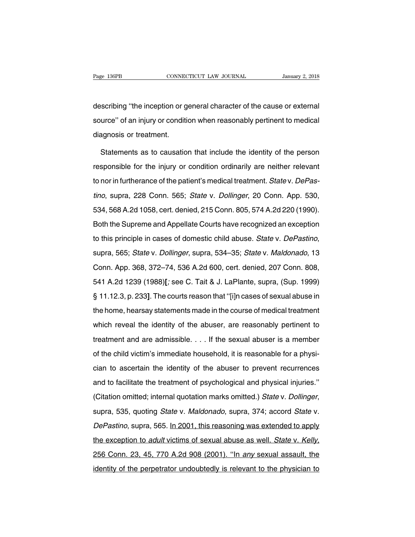Page 136PB<br>
CONNECTICUT LAW JOURNAL<br>
describing "the inception or general character of the cause or external<br>
source" of an injury or condition when reasonably pertinent to medical Fage 136PB CONNECTICUT LAW JOURNAL January 2, 2018<br>describing "the inception or general character of the cause or external<br>source" of an injury or condition when reasonably pertinent to medical<br>diagnosis or treatment. describing "the inception or g<br>source" of an injury or condition<br>diagnosis or treatment.<br>Statements as to causation scribing "the inception or general character of the cause or external<br>urce" of an injury or condition when reasonably pertinent to medical<br>agnosis or treatment.<br>Statements as to causation that include the identity of the p

responsible for the injury or condition when reasonably pertinent to medical<br>diagnosis or treatment.<br>Statements as to causation that include the identity of the person<br>responsible for the injury or condition ordinarily are diagnosis or treatment.<br>Statements as to causation that include the identity of the person<br>responsible for the injury or condition ordinarily are neither relevant<br>to nor in furtherance of the patient's medical treatment. S Statements as to causation that include the identity of the person<br>responsible for the injury or condition ordinarily are neither relevant<br>to nor in furtherance of the patient's medical treatment. *State* v. *DePas-*<br>*tino* responsible for the injury or condition ordinarily are neither relevant<br>to nor in furtherance of the patient's medical treatment. *State* v. *DePas-<br>tino*, supra, 228 Conn. 565; *State* v. *Dollinger*, 20 Conn. App. 530,<br>5 to nor in furtherance of the patient's medical treatment. *State v. DePastino*, supra, 228 Conn. 565; *State v. Dollinger*, 20 Conn. App. 530, 534, 568 A.2d 1058, cert. denied, 215 Conn. 805, 574 A.2d 220 (1990). Both the tino, supra, 228 Conn. 565; *State v. Dollinger*, 20 Conn. App. 530, 534, 568 A.2d 1058, cert. denied, 215 Conn. 805, 574 A.2d 220 (1990).<br>Both the Supreme and Appellate Courts have recognized an exception to this principl Example 19 Section 2014, 2014 Markow, 2014 Markow, 2014 Markow, 2014<br>Both the Supreme and Appellate Courts have recognized an exception<br>to this principle in cases of domestic child abuse. *State v. DePastino*,<br>supra, 565; 1.11 A.2d 1239 (1988)], see C. Tait & J. LaPlante, supra, (Sup. 1999)<br>
1.12.3, p. 233]. The courts reason that "[i]n cases of sexual abuse.<br>
1.12.3, p. 233]. The courts reason that "[i]n cases of sexual abuse in supra, 565; *State* v. *Dollinger*, supra, 534–35; *State* v. *Maldonado*, 13<br>Conn. App. 368, 372–74, 536 A.2d 600, cert. denied, 207 Conn. 808,<br>541 A.2d 1239 (1988)[; see C. Tait & J. LaPlante, supra, (Sup. 1999)<br>§ 11.12. capta, 200, 2000 in 2000, 2010 in 2000, cert. denied, 207 Conn. 808,<br>Conn. App. 368, 372–74, 536 A.2d 600, cert. denied, 207 Conn. 808,<br>541 A.2d 1239 (1988)[; see C. Tait & J. LaPlante, supra, (Sup. 1999)<br>§ 11.12.3, p. 233 541 A.2d 1239 (1988)[; see C. Tait & J. LaPlante, supra, (Sup. 1999)<br>§ 11.12.3, p. 233]. The courts reason that "[i]n cases of sexual abuse in<br>the home, hearsay statements made in the course of medical treatment<br>which rev  $\S$  11.12.3, p. 233]. The courts reason that "[i]n cases of sexual abuse in the home, hearsay statements made in the course of medical treatment which reveal the identity of the abuser, are reasonably pertinent to treatme the home, hearsay statements made in the course of medical treatment<br>which reveal the identity of the abuser, are reasonably pertinent to<br>treatment and are admissible.... If the sexual abuser is a member<br>of the child vict which reveal the identity of the abuser, are reasonably pertinent to<br>treatment and are admissible. . . . If the sexual abuser is a member<br>of the child victim's immediate household, it is reasonable for a physi-<br>cian to asc treatment and are admissible.... If the sexual abuser is a member<br>of the child victim's immediate household, it is reasonable for a physi-<br>cian to ascertain the identity of the abuser to prevent recurrences<br>and to facilit (Citation omitted; internal quotation of the some state of the child victim's immediate household, it is reasonable for a physician to ascertain the identity of the abuser to prevent recurrences and to facilitate the treat and to facilitate the treatment of psychological and physical injuries."<br>(Citation omitted; internal quotation marks omitted.) State v. Dollinger,<br>supra, 535, quoting State v. Maldonado, supra, 374; accord State v.<br>DePasti (Citation omitted; internal quotation marks omitted.) *State v. Dollinger*, supra, 535, quoting *State v. Maldonado*, supra, 374; accord *State v. DePastino*, supra, 565. In 2001, this reasoning was extended to apply the e 256 Conn. 23, 45, 770 A.2d 908 (2001). "In any sexual assault, the identity of the perpetrator undoubtedly is relevant to the physician to identity of the perpetrator undoubtedly is relevant to the physician to identity of DePastino, supra, 565. In 2001, this reasoning was extended to apply<br>the exception to *adult* victims of sexual abuse as well. *State v. Kelly,*<br>256 Conn. 23, 45, 770 A.2d 908 (2001). "In any sexual assault, the<br>identity o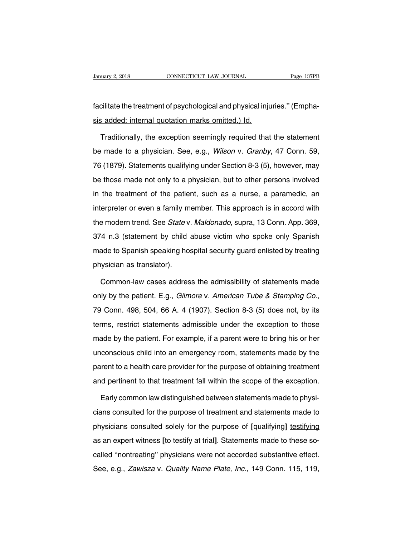Fanuary 2, 2018<br>
Facilitate the treatment of psychological and physical injuries." (Empha-<br>
Facilitate the treatment of psychological and physical injuries." (Empha-<br>
sis added; internal quotation marks omitted.) Id. Sanuary 2, 2018<br>
Sis added; internal quotation marks omitted.) Id.<br>
Sis added; internal quotation marks omitted.) Id.<br>
Traditionally, the exception seemingly required that

cilitate the treatment of psychological and physical injuries." (Empha-<br>
s added; internal quotation marks omitted.) Id.<br>
Traditionally, the exception seemingly required that the statement<br>
made to a physician. See, e.g., Facilitate the treatment of psychological and physical injuries." (Emphasis added; internal quotation marks omitted.) Id.<br>Traditionally, the exception seemingly required that the statement<br>be made to a physician. See, e.g. sis added; internal quotation marks omitted.) Id.<br>Traditionally, the exception seemingly required that the statement<br>be made to a physician. See, e.g., *Wilson v. Granby*, 47 Conn. 59,<br>76 (1879). Statements qualifying unde Traditionally, the exception seemingly required that the statement<br>be made to a physician. See, e.g., *Wilson v. Granby*, 47 Conn. 59,<br>76 (1879). Statements qualifying under Section 8-3 (5), however, may<br>be those made not in the made to a physician. See, e.g., *Wilson v. Granby*, 47 Conn. 59, 76 (1879). Statements qualifying under Section 8-3 (5), however, may be those made not only to a physician, but to other persons involved in the treat If the modern trend. See, See, When Yvertunity, The Solitic Co, 76 (1879). Statements qualifying under Section 8-3 (5), however, may<br>be those made not only to a physician, but to other persons involved<br>in the treatment of to (1070). Statements qualitying and the section of  $S(0)$ , however, may be those made not only to a physician, but to other persons involved in the treatment of the patient, such as a nurse, a paramedic, an interpreter o In the treatment of the patient, such as a nurse, a paramedic, and interpreter or even a family member. This approach is in accord with the modern trend. See *Statev. Maldonado*, supra, 13 Conn. App. 369, 374 n.3 (statemen in the treatment of the patient, each as a harde, a parameter, and<br>interpreter or even a family member. This approach is in accord with<br>the modern trend. See *Statev. Maldonado*, supra, 13 Conn. App. 369,<br>374 n.3 (statemen micripreter of event a family mit<br>the modern trend. See *State* v.<br>374 n.3 (statement by child<br>made to Spanish speaking hos<br>physician as translator).<br>Common-law cases addres 4 n.3 (statement by child abuse victim who spoke only Spanish<br>ade to Spanish speaking hospital security guard enlisted by treating<br>ysician as translator).<br>Common-law cases address the admissibility of statements made<br>ly by

made to Spanish speaking hospital security guard enlisted by treating<br>physician as translator).<br>Common-law cases address the admissibility of statements made<br>only by the patient. E.g., *Gilmore* v. American Tube & Stamping Common-law cases address the admissibility of statements made<br>only by the patient. E.g., *Gilmore* v. *American Tube & Stamping Co.*,<br>79 Conn. 498, 504, 66 A. 4 (1907). Section 8-3 (5) does not, by its<br>terms, restrict stat out the patient. E.g., *Gilmore v. American Tube & Stamping Co.*, 79 Conn. 498, 504, 66 A. 4 (1907). Section 8-3 (5) does not, by its terms, restrict statements admissible under the exception to those made by the patient. but a between 1989, 199 and pattern. E.g., dimense of the metallical rate of clamping oct,<br>79 Conn. 498, 504, 66 A. 4 (1907). Section 8-3 (5) does not, by its<br>terms, restrict statements admissible under the exception to th parent to a health care provider for the purpose of obtaining treatment<br>and parent to a health care provider for the purpose of obtaining treatment<br>and pertinent to that treatment fall within the scope of the exception. and by the patient. For example, if a parent were to bring his or her unconscious child into an emergency room, statements made by the parent to a health care provider for the purpose of obtaining treatment and pertinent t rent to a health care provider for the purpose of obtaining treatment<br>al pertinent to that treatment fall within the scope of the exception.<br>Early common law distinguished between statements made to physi-<br>ans consulted fo

parent to a health care provider for the purpose of obtaining treatment<br>and pertinent to that treatment fall within the scope of the exception.<br>Early common law distinguished between statements made to physi-<br>cians consult and pertinent to that treatment fall within the scope of the exception.<br>Early common law distinguished between statements made to physicians consulted for the purpose of treatment and statements made to<br>physicians consulte Early common law distinguished between statements made to physicians consulted for the purpose of treatment and statements made to physicians consulted solely for the purpose of [qualifying] testifying as an expert witness cians consulted for the purpose of treatment and statements made to<br>physicians consulted solely for the purpose of [qualifying] testifying<br>as an expert witness [to testify at trial]. Statements made to these so-<br>called "no bland conducted for the parpose of treatment and statements made to<br>physicians consulted solely for the purpose of [qualifying] testifying<br>as an expert witness [to testify at trial]. Statements made to these so-<br>called "no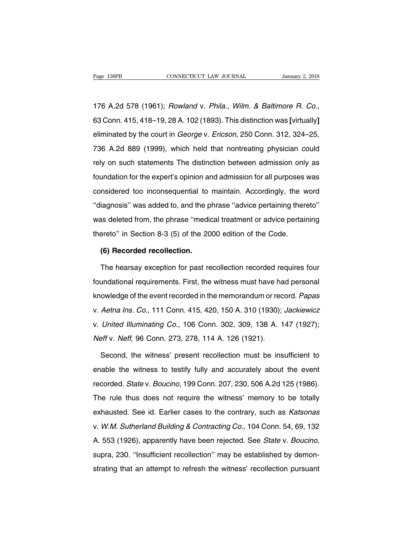176 A.2d 578 (1961); Rowland v. Phila., Wilm. & Baltimore R. Co., 63 Conn. 415, 418–19, 28 A. 102 (1893). This distinction was **[**virtually**]** 176 A.2d 578 (1961); *Rowland v. Phila., Wilm. & Baltimore R. Co.*, 63 Conn. 415, 418–19, 28 A. 102 (1893). This distinction was [virtually] eliminated by the court in *George v. Ericson*, 250 Conn. 312, 324–25, 736 A.2d 8 176 A.2d 578 (1961); *Rowland v. Phila., Wilm. & Baltimore R. Co.*,<br>63 Conn. 415, 418–19, 28 A. 102 (1893). This distinction was [virtually]<br>eliminated by the court in *George v. Ericson*, 250 Conn. 312, 324–25,<br>736 A.2d 8 rrom. 415, 418–19, 28 A. 102 (1893). This distinction was [virtually]<br>eliminated by the court in *George* v. *Ericson*, 250 Conn. 312, 324–25,<br>736 A.2d 889 (1999), which held that nontreating physician could<br>rely on such s eliminated by the court in *George* v. *Ericson*, 250 Conn. 312, 324–25, 736 A.2d 889 (1999), which held that nontreating physician could rely on such statements The distinction between admission only as foundation for the considered too inconsequential to maintain. Accordingly, the word "diagnosis" was added to, and the phrase "advice pertaining thereto" diagnosis" was added to, and the phrase "advice pertaining thereto" red vi. Ed edd (1999), which held that helmidding physician eddition<br>rely on such statements The distinction between admission only as<br>foundation for the expert's opinion and admission for all purposes was<br>considered too i Foundation for the expert's opinion and admission for all purposes was<br>considered too inconsequential to maintain. Accordingly, the word<br>"diagnosis" was added to, and the phrase "advice pertaining thereto"<br>was deleted from toanaation for the expert of opmion and damisolon for an parpector<br>considered too inconsequential to maintain. Accordingly, the w<br>"diagnosis" was added to, and the phrase "advice pertaining then<br>was deleted from, the phras iagnosis" was added to, and the p<br>as deleted from, the phrase "media<br>ereto" in Section 8-3 (5) of the 20<br>**(6) Recorded recollection.**<br>The hearsay exception for past re In the phase "medical treatment or advice pertaining<br>
Section 1943 (5) of the 2000 edition of the Code.<br> **(6) Recorded recollection.**<br>
The hearsay exception for past recollection recorded requires four<br>
undational requirem

thereto" in Section 8-3 (5) of the 2000 edition of the Code.<br>
(6) Recorded recollection.<br>
The hearsay exception for past recollection recorded requires four<br>
foundational requirements. First, the witness must have had pers (6) Recorded recollection.<br>The hearsay exception for past recollection recorded requires four<br>foundational requirements. First, the witness must have had personal<br>knowledge of the event recorded in the memorandum or record The hearsay exception for past recollection recorded requires four<br>foundational requirements. First, the witness must have had personal<br>knowledge of the event recorded in the memorandum or record. Papas<br>v. Aetna Ins. Co., foundational requirements. First, the witness must have had personal knowledge of the event recorded in the memorandum or record. Papas v. Aetna Ins. Co., 111 Conn. 415, 420, 150 A. 310 (1930); Jackiewicz v. United Illumin foundational requirements. First, the witness must have had personal<br>knowledge of the event recorded in the memorandum or record. Papas<br>v. Aetna Ins. Co., 111 Conn. 415, 420, 150 A. 310 (1930); Jackiewicz<br>v. United Illumin Aetna Ins. Co., 111 Conn. 415, 420, 150 A. 310 (1930); Jackiewicz<br>United Illuminating Co., 106 Conn. 302, 309, 138 A. 147 (1927);<br>eff v. Neff, 96 Conn. 273, 278, 114 A. 126 (1921).<br>Second, the witness' present recollection

v. United Illuminating Co., 106 Conn. 302, 309, 138 A. 147 (1927);<br>Neff v. Neff, 96 Conn. 273, 278, 114 A. 126 (1921).<br>Second, the witness' present recollection must be insufficient to<br>enable the witness to testify fully a Neff v. Neff, 96 Conn. 273, 278, 114 A. 126 (1921).<br>Second, the witness' present recollection must be insufficient to<br>enable the witness to testify fully and accurately about the event<br>recorded. State v. Boucino, 199 Conn. Second, the witness' present recollection must be insufficient to<br>enable the witness to testify fully and accurately about the event<br>recorded. State v. Boucino, 199 Conn. 207, 230, 506 A.2d 125 (1986).<br>The rule thus does n enable the witness to testify fully and accurately about the event<br>recorded. State v. Boucino, 199 Conn. 207, 230, 506 A.2d 125 (1986).<br>The rule thus does not require the witness' memory to be totally<br>exhausted. See id. Ea enable the withese to testify langt absolutely about the event<br>recorded. State v. Boucino, 199 Conn. 207, 230, 506 A.2d 125 (1986).<br>The rule thus does not require the witness' memory to be totally<br>exhausted. See id. Earlie The rule thus does not require the witness' memory to be totally<br>exhausted. See id. Earlier cases to the contrary, such as *Katsonas*<br>v. W.M. Sutherland Building & Contracting Co., 104 Conn. 54, 69, 132<br>A. 553 (1926), appa v. W.M. Sutherland Building & Contracting Co., 104 Conn. 54, 69, 132<br>A. 553 (1926), apparently have been rejected. See *State v. Boucino*,<br>supra, 230. "Insufficient recollection" may be established by demon-<br>strating that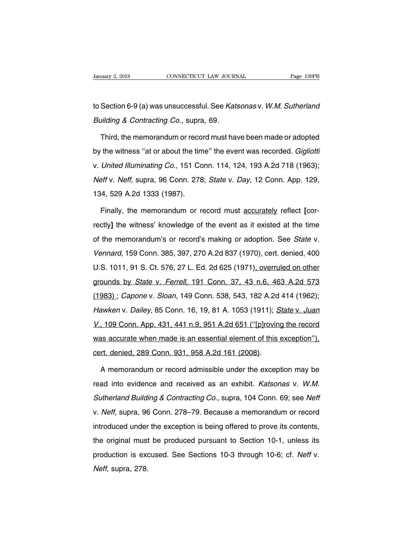University 2, 2018 CONNECTICUT LAW JOURNAL Page 139PB<br>to Section 6-9 (a) was unsuccessful. See Katsonas v. W.M. Sutherland<br>Building & Contracting Co., supra, 69. January 2, 2018<br>
to Section 6-9 (a) was unsuccessful. See *Kats*<br>
Building & Contracting Co., supra, 69.<br>
Third. the memorandum or record must hav

Section 6-9 (a) was unsuccessful. See Katsonas v. W.M. Sutherland<br>
uilding & Contracting Co., supra, 69.<br>
Third, the memorandum or record must have been made or adopted<br>
the witness "at or about the time" the event was rec to Section 6-9 (a) was unsuccessful. See Katsonas v. W.M. Sutherland<br>Building & Contracting Co., supra, 69.<br>Third, the memorandum or record must have been made or adopted<br>by the witness "at or about the time" the event was Building & Contracting Co., supra, 69.<br>Third, the memorandum or record must have been made or adopted<br>by the witness "at or about the time" the event was recorded. Gigliotti<br>v. United Illuminating Co., 151 Conn. 114, 124, Third, the memorandum or record must have been made or adopted<br>by the witness "at or about the time" the event was recorded. *Gigliotti*<br>v. *United Illuminating Co.*, 151 Conn. 114, 124, 193 A.2d 718 (1963);<br>*Neff* v. *Nef* by the witness "at or about the time.<br>by the witness "at or about the time.<br>Neff v. Neff, supra, 96 Conn. 278<br>134, 529 A.2d 1333 (1987).<br>Finally, the memorandum or re United Illuminating Co., 151 Conn. 114, 124, 193 A.2d 718 (1963);<br>eff v. Neff, supra, 96 Conn. 278; State v. Day, 12 Conn. App. 129,<br>14, 529 A.2d 1333 (1987).<br>Finally, the memorandum or record must accurately reflect [cor-

Neff v. Neff, supra, 96 Conn. 278; State v. Day, 12 Conn. App. 129,<br>134, 529 A.2d 1333 (1987).<br>Finally, the memorandum or record must accurately reflect [cor-<br>rectly] the witness' knowledge of the event as it existed at th 134, 529 A.2d 1333 (1987).<br>
Finally, the memorandum or record must accurately reflect [cor-<br>
rectly] the witness' knowledge of the event as it existed at the time<br>
of the memorandum's or record's making or adoption. See *S* Finally, the memorandum or record must accurately reflect [cor-<br>rectly] the witness' knowledge of the event as it existed at the time<br>of the memorandum's or record's making or adoption. See *State* v.<br>Vennard, 159 Conn. 38 ranaly, are memorantally of record must decelled at the time<br>of the memorandum's or record's making or adoption. See *State* v.<br>Vennard, 159 Conn. 385, 397, 270 A.2d 837 (1970), cert. denied, 400<br>U.S. 1011, 91 S. Ct. 576, ooty is a memorandum's or record's making or adoption. See *State* v.<br>Vennard, 159 Conn. 385, 397, 270 A.2d 837 (1970), cert. denied, 400<br>U.S. 1011, 91 S. Ct. 576, 27 L. Ed. 2d 625 (1971), overruled on other<br>grounds by *St* Vennard, 159 Conn. 385, 397, 270 A.2d 837 (1970), cert. denied, 400<br>U.S. 1011, 91 S. Ct. 576, 27 L. Ed. 2d 625 (1971)<u>, overruled on other</u><br>grounds by *State v. Ferrell*, 191 Conn. 37, 43 n.6, 463 A.2d 573<br>(1983) ; *Capone* U.S. 1011, 91 S. Ct. 576, 27 L. Ed. 2d 625 (1971), overruled on other<br>grounds by *State v. Ferrell*, 191 Conn. 37, 43 n.6, 463 A.2d 573<br>(1983) ; *Capone v. Sloan*, 149 Conn. 538, 543, 182 A.2d 414 (1962);<br>Hawken v. Dailey, grounds by *State v. Ferrell*, 191 Conn. 37, 43 n.6, 463 A.2d 573<br>(1983) *; Capone v. Sloan*, 149 Conn. 538, 543, 182 A.2d 414 (1962);<br>*Hawken v. Dailey*, 85 Conn. 16, 19, 81 A. 1053 (1911); *State v. Juan V.*, 109 Conn. (1983) ; *Capone v. Sloan*, 149 Conn. 538, 543, 182 A.2d 414 (1962);<br>*Hawken v. Dailey*, 85 Conn. 16, 19, 81 A. 1053 (1911); *State v. Juan V.*, 109 Conn. App. 431, 441 n.9, 951 A.2d 651 ("[p]roving the record was accurat Hawken v. Dailey, 85 Conn. 16, 19, 81 A. 1053 (1911);  $\overline{S}$ <br>V., 109 Conn. App. 431, 441 n.9, 951 A.2d 651 ("[p]rovin<br>was accurate when made is an essential element of this<br>cert. denied, 289 Conn. 931, 958 A.2d 161 (200 A memorandum or record admissible under the exception"), the denied, 289 Conn. 931, 958 A.2d 161 (2008).<br>A memorandum or record admissible under the exception may be ad into evidence and received as an exhibit. Katsonas v.

was accurate when made is an essential element of this exception"),<br>cert. denied, 289 Conn. 931, 958 A.2d 161 (2008).<br>A memorandum or record admissible under the exception may be<br>read into evidence and received as an exhib cert. denied, 289 Conn. 931, 958 A.2d 161 (2008).<br>A memorandum or record admissible under the exception may be<br>read into evidence and received as an exhibit. *Katsonas v. W.M.*<br>Sutherland Building & Contracting Co., supra, A memorandum or record admissible under the exception may be<br>read into evidence and received as an exhibit. *Katsonas v. W.M.*<br>Sutherland Building & Contracting Co., supra, 104 Conn. 69; see Neff<br>v. Neff, supra, 96 Conn. 2 read into evidence and received as an exhibit. Katsonas v. W.M.<br>Sutherland Building & Contracting Co., supra, 104 Conn. 69; see Neff<br>v. Neff, supra, 96 Conn. 278–79. Because a memorandum or record<br>introduced under the exce Sutherland Building & Contracting Co., supra, 104 Conn. 69; see Neff<br>v. Neff, supra, 96 Conn. 278–79. Because a memorandum or record<br>introduced under the exception is being offered to prove its contents,<br>the original must but *but but any* a commatury cot, supra, 101 commit oc, 300 non-<br>v. *Neff*, supra, 96 Conn. 278–79. Because a memorandum or record<br>introduced under the exception is being offered to prove its contents,<br>the original must b w. *Neff*, supra, strain<br>introduced under<br>the original must<br>production is exa<br>*Neff*, supra, 278.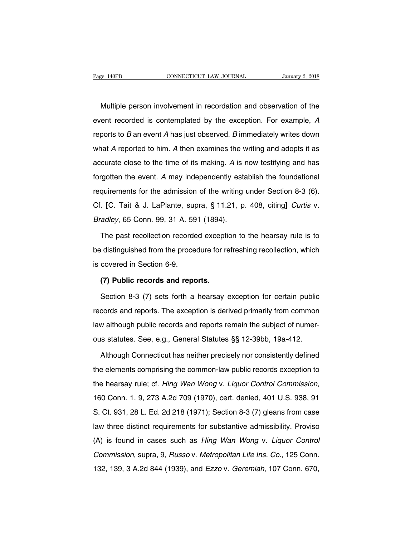EXEMBERTHE MULTIPLE CONNECTICUT LAW JOURNAL MULTIPLE JANUARY 2, 2018<br>Multiple person involvement in recordation and observation of the<br>ent recorded is contemplated by the exception. For example, A Page 140PB CONNECTICUT LAW JOURNAL January 2, 2018<br>
Multiple person involvement in recordation and observation of the<br>
event recorded is contemplated by the exception. For example, A<br>
reports to B an event A has just obser Multiple person involvement in recordation and observation of the<br>event recorded is contemplated by the exception. For example, A<br>reports to B an event A has just observed. B immediately writes down<br>what A reported to him. Multiple person involvement in recordation and observation of the<br>event recorded is contemplated by the exception. For example, A<br>reports to B an event A has just observed. B immediately writes down<br>what A reported to him. watter person invertention in recordation and esservation of the<br>event recorded is contemplated by the exception. For example, A<br>reports to B an event A has just observed. B immediately writes down<br>what A reported to him. For the event. A may independently writes down<br>what A reported to him. A then examines the writing and adopts it as<br>accurate close to the time of its making. A is now testifying and has<br>forgotten the event. A may independ reports to B an event That jast esserved. B immediately while demi-<br>what A reported to him. A then examines the writing and adopts it as<br>accurate close to the time of its making. A is now testifying and has<br>forgotten the e accurate close to the time of its making. A is now testifying and has<br>forgotten the event. A may independently establish the foundational<br>requirements for the admission of the writing under Section 8-3 (6).<br>Cf. [C. Tait & discution the event. A may independently estated<br>requirements for the admission of the writing<br>Cf. [C. Tait & J. LaPlante, supra, § 11.21, p.<br>*Bradley*, 65 Conn. 99, 31 A. 591 (1894).<br>The past recollection recorded excepti quirements for the admission of the writing under Section 8-3 (6).<br>
IC. Tait & J. LaPlante, supra, § 11.21, p. 408, citing] Curtis v.<br>
radley, 65 Conn. 99, 31 A. 591 (1894).<br>
The past recollection recorded exception to the

Cf. [C. Tait & J. LaPlante, supra, § 11.21, p. 408, citing] *Curtis* v.<br>Bradley, 65 Conn. 99, 31 A. 591 (1894).<br>The past recollection recorded exception to the hearsay rule is to<br>be distinguished from the procedure for ref Bradley, 65 Conn. 99, 31 A. 59<br>The past recollection recorde<br>be distinguished from the proce<br>is covered in Section 6-9.<br>(7) Public records and repo The past recollection recorded exceptinguished from the procedure for recovered in Section 6-9.<br>**(7) Public records and reports.**<br>Section 8-3 (7) sets forth a hearsay of 9. distinguished from the procedure for refreshing recollection, which<br>covered in Section 6-9.<br>(7) Public records and reports.<br>Section 8-3 (7) sets forth a hearsay exception for certain public<br>cords and reports. The except

is covered in Section 6-9.<br>
(7) Public records and reports.<br>
Section 8-3 (7) sets forth a hearsay exception for certain public<br>
records and reports. The exception is derived primarily from common<br>
law although public recor (7) Public records and reports.<br>
Section 8-3 (7) sets forth a hearsay exception for certain public<br>
records and reports. The exception is derived primarily from common<br>
law although public records and reports remain the s Section 8-3 (7) sets forth a hearsay exception for certain public<br>records and reports. The exception is derived primarily from common<br>law although public records and reports remain the subject of numer-<br>ous statutes. See, cords and reports. The exception is derived primarily from common<br>w although public records and reports remain the subject of numer-<br>is statutes. See, e.g., General Statutes §§ 12-39bb, 19a-412.<br>Although Connecticut has ne

the elements comprising the common-law public records common-<br>aus statutes. See, e.g., General Statutes §§ 12-39bb, 19a-412.<br>Although Connecticut has neither precisely nor consistently defined<br>the elements comprising the c ous statutes. See, e.g., General Statutes §§ 12-39bb, 19a-412.<br>Although Connecticut has neither precisely nor consistently defined<br>the elements comprising the common-law public records exception to<br>the hearsay rule; cf. *H* The elements comprising the common-law public records exception to<br>the hearsay rule; cf. *Hing Wan Wong v. Liquor Control Commission*,<br>160 Conn. 1, 9, 273 A.2d 709 (1970), cert. denied, 401 U.S. 938, 91<br>S. Ct. 931, 28 L. E the hearsay rule; cf. *Hing Wan Wong v. Liquor Control Commission*, 160 Conn. 1, 9, 273 A.2d 709 (1970), cert. denied, 401 U.S. 938, 91 S. Ct. 931, 28 L. Ed. 2d 218 (1971); Section 8-3 (7) gleans from case law three distin (A) is found in cases such as *Hing Wan Wong v. Liquor Commenting,* 160 Conn. 1, 9, 273 A.2d 709 (1970), cert. denied, 401 U.S. 938, 91<br>S. Ct. 931, 28 L. Ed. 2d 218 (1971); Section 8-3 (7) gleans from case<br>law three distin Commission, S. 210 Allel 1971); Section 8-3 (7) gleans from case<br>law three distinct requirements for substantive admissibility. Proviso<br>(A) is found in cases such as *Hing Wan Wong v. Liquor Control*<br>*Commission*, supra, 9 132, 139, 3 A.2d 844 (1939), and Ezzo v. Geremiah, 107 Conn. 670, 132, 139, 3 A.2d 844 (1939), and Ezzo v. Geremiah, 107 Conn. 670,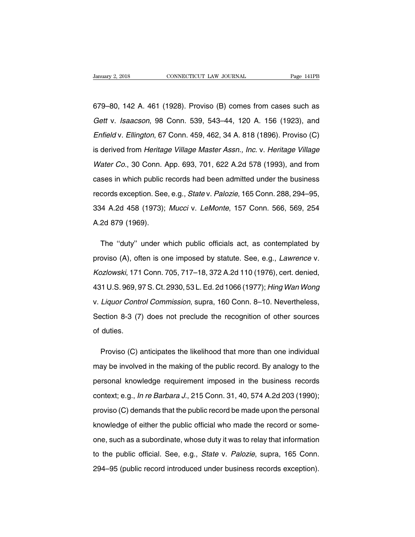Sanuary 2, 2018 CONNECTICUT LAW JOURNAL Page 141PB<br>679–80, 142 A. 461 (1928). Proviso (B) comes from cases such as<br>Gett v. Isaacson, 98 Conn. 539, 543–44, 120 A. 156 (1923), and January 2, 2018 CONNECTICUT LAW JOURNAL Page 141PB<br>679–80, 142 A. 461 (1928). Proviso (B) comes from cases such as<br>Gett v. Isaacson, 98 Conn. 539, 543–44, 120 A. 156 (1923), and<br>Enfield v. Ellington, 67 Conn. 459, 462, 34 679–80, 142 A. 461 (1928). Proviso (B) comes from cases such as<br>Gett v. Isaacson, 98 Conn. 539, 543–44, 120 A. 156 (1923), and<br>Enfield v. Ellington, 67 Conn. 459, 462, 34 A. 818 (1896). Proviso (C)<br>is derived from Heritage 679–80, 142 A. 461 (1928). Proviso (B) comes from cases such as<br>Gett v. Isaacson, 98 Conn. 539, 543–44, 120 A. 156 (1923), and<br>Enfield v. Ellington, 67 Conn. 459, 462, 34 A. 818 (1896). Proviso (C)<br>is derived from Heritage Gett v. Isaacson, 98 Conn. 539, 543–44, 120 A. 156 (1923), and<br>Enfield v. Ellington, 67 Conn. 459, 462, 34 A. 818 (1896). Proviso (C)<br>is derived from *Heritage Village Master Assn., Inc.* v. *Heritage Village<br>Water Co.*, 3 Enfield v. Ellington, 67 Conn. 459, 462, 34 A. 818 (1896). Proviso (C)<br>is derived from Heritage Village Master Assn., Inc. v. Heritage Village<br>Water Co., 30 Conn. App. 693, 701, 622 A.2d 578 (1993), and from<br>cases in which is derived from *Heritage Village Master Assn., Inc.* v. *Heritage Village Water Co.*, 30 Conn. App. 693, 701, 622 A.2d 578 (1993), and from cases in which public records had been admitted under the business records except Water Co., 30 Conn. App. 693, 701, 622 A.2d 578 (1993), and from<br>cases in which public records had been admitted under the business<br>records exception. See, e.g., *Statev. Palozie*, 165 Conn. 288, 294–95,<br>334 A.2d 458 (1973 Water Co., 30 Conn. App. 693, 701, 622 A.2d 578 (1993), and from<br>cases in which public records had been admitted under the business<br>records exception. See, e.g., *Statev. Palozie*, 165 Conn. 288, 294–95,<br>334 A.2d 458 (1973 cords exception. See, e.g., *State* v. *Palozie*, 165 Conn. 288, 294–95,<br>14 A.2d 458 (1973); *Mucci* v. *LeMonte*, 157 Conn. 566, 569, 254<br>2d 879 (1969).<br>The "duty" under which public officials act, as contemplated by<br>ovis

334 A.2d 458 (1973); *Mucci* v. *LeMonte*, 157 Conn. 566, 569, 254<br>A.2d 879 (1969).<br>The "duty" under which public officials act, as contemplated by<br>proviso (A), often is one imposed by statute. See, e.g., *Lawrence* v.<br>*Ko* A.2d 879 (1969).<br>The "duty" under which public officials act, as contemplated by<br>proviso (A), often is one imposed by statute. See, e.g., *Lawrence* v.<br>*Kozlowski*, 171 Conn. 705, 717–18, 372 A.2d 110 (1976), cert. denied, The "duty" under which public officials act, as contemplated by<br>proviso (A), often is one imposed by statute. See, e.g., *Lawrence* v.<br>Kozlowski, 171 Conn. 705, 717–18, 372 A.2d 110 (1976), cert. denied,<br>431 U.S. 969, 97 S proviso (A), often is one imposed by statute. See, e.g., *Lawrence* v.<br>Kozlowski, 171 Conn. 705, 717–18, 372 A.2d 110 (1976), cert. denied,<br>431 U.S. 969, 97 S. Ct. 2930, 53 L. Ed. 2d 1066 (1977); *Hing Wan Wong*<br>v. *Liquor* Kozlowski, 171 Conn. 705, 717–18, 372 A.2d 110 (1976), cert. denied,<br>431 U.S. 969, 97 S. Ct. 2930, 53 L. Ed. 2d 1066 (1977); *Hing Wan Wong*<br>v. *Liquor Control Commission*, supra, 160 Conn. 8–10. Nevertheless,<br>Section 8-3  $431$  U.S. 969, 9<br>v. *Liquor Contr*<br>Section 8-3 (7)<br>of duties. Liquor Control Commission, supra, 160 Conn. 8–10. Nevertheless,<br>ection 8-3 (7) does not preclude the recognition of other sources<br>duties.<br>Proviso (C) anticipates the likelihood that more than one individual<br>ay be involved

Section 8-3 (7) does not preclude the recognition of other sources<br>of duties.<br>Proviso (C) anticipates the likelihood that more than one individual<br>may be involved in the making of the public record. By analogy to the<br>perso personal knowledge requirement imposed in the business records<br>context; e.g., *In re Barbara J.*, 215 Conn. 31, 40, 574 A.2d 203 (1990); Proviso (C) anticipates the likelihood that more than one individual<br>may be involved in the making of the public record. By analogy to the<br>personal knowledge requirement imposed in the business records<br>context; e.g., *In r* may be involved in the making of the public record. By analogy to the<br>personal knowledge requirement imposed in the business records<br>context; e.g., *In re Barbara J.*, 215 Conn. 31, 40, 574 A.2d 203 (1990);<br>proviso (C) dem may be involved in the making of the public record. By analogy to the personal knowledge requirement imposed in the business records context; e.g., *In re Barbara J.*, 215 Conn. 31, 40, 574 A.2d 203 (1990); proviso (C) dem context; e.g., *In re Barbara J.*, 215 Conn. 31, 40, 574 A.2d 203 (1990);<br>proviso (C) demands that the public record be made upon the personal<br>knowledge of either the public official who made the record or some-<br>one, such proviso (C) demands that the public record be made upon the personal<br>knowledge of either the public official who made the record or some-<br>one, such as a subordinate, whose duty it was to relay that information<br>to the publi knowledge of either the public official who made the record or some-<br>one, such as a subordinate, whose duty it was to relay that information<br>to the public official. See, e.g., *State v. Palozie*, supra, 165 Conn.<br>294–95 (p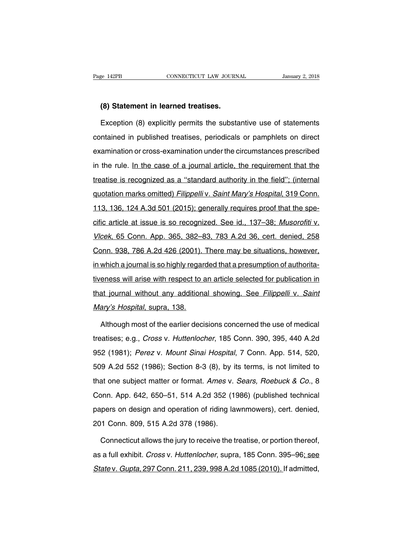# EXTREE STATE CONNECTICUT LAW JOURN<br> **(8) Statement in learned treatises.**<br>
Exception (8) explicitly permits the substa

EXCEPTE EXCEPTE CONNECTICUT LAW JOURNAL STANDARY 2, 2018<br> **Exception (8) explicitly permits the substantive use of statements**<br>
Intervalse of statements<br>
Intervalse of statements<br>
Intervalse of pamphlets on direct<br>
Interva (8) Statement in learned treatises.<br>Exception (8) explicitly permits the substantive use of statements<br>contained in published treatises, periodicals or pamphlets on direct<br>examination or cross-examination under the circums (8) Statement in learned treatises.<br>Exception (8) explicitly permits the substantive use of statements<br>contained in published treatises, periodicals or pamphlets on direct<br>examination or cross-examination under the circums Exception (8) explicitly permits the substantive use of statements<br>contained in published treatises, periodicals or pamphlets on direct<br>examination or cross-examination under the circumstances prescribed<br>in the rule. In th Exception (c) explority permits are eased. This contained as contained in published treatises, periodicals or pamphlets on direct examination or cross-examination under the circumstances prescribed in the rule. In the case examination or cross-examination under the circumstances prescribed<br>in the rule. In the case of a journal article, the requirement that the<br>treatise is recognized as a "standard authority in the field"; (internal<br>quotation In the rule. In the case of a journal article, the requirement that the treatise is recognized as a "standard authority in the field"; (internal quotation marks omitted) *Filippelli v. Saint Mary's Hospital*, 319 Conn. 113 treatise is recognized as a "standard authority in the field"; (internal<br>quotation marks omitted) *Filippelli* v. Saint Mary's Hospital, 319 Conn.<br>113, 136, 124 A.3d 501 (2015); generally requires proof that the spe-<br>cific and a marks omitted) *Filippelli v. Saint Mary's Hospital*, 319 Conn.<br>113, 136, 124 A.3d 501 (2015); generally requires proof that the spe-<br>cific article at issue is so recognized. See id., 137–38; *Musorofiti v.*<br>Vlcek, 6 quodus mails of may be said may be foopidal, one connitation matrix 113, 136, 124 A.3d 501 (2015); generally requires proof that the specific article at issue is so recognized. See id., 137–38; *Musorofiti v.*<br>Vlcek, 65 Co cific article at issue is so recognized. See id., 137–38; Musorofiti v.<br>Vlcek, 65 Conn. App. 365, 382–83, 783 A.2d 36, cert. denied, 258<br>Conn. 938, 786 A.2d 426 (2001). There may be situations, however,<br>in which a journal Vlcek, 65 Conn. App. 365, 382–83, 783 A.2d 36, cert. denied, 258<br>Conn. 938, 786 A.2d 426 (2001). There may be situations, however,<br>in which a journal is so highly regarded that a presumption of authorita-<br>tiveness will ari From, 838, 786 A.2d 426 (2001). There may be situations, however, in which a journal is so highly regarded that a presumption of authoritativeness will arise with respect to an article selected for publication in that jour <u>Commetod, 700 Alex (2001).</u><br>In which a journal is so highly regar<br>tiveness will arise with respect to a<br>that journal without any additional<br>Mary's Hospital, supra, 138. eness will arise with respect to an article selected for publication in<br>at journal without any additional showing. See Filippelli v. Saint<br>ary's Hospital, supra, 138.<br>Although most of the earlier decisions concerned the us

that journal without any additional showing. See Filippelli v. Saint<br>
Mary's Hospital, supra, 138.<br>
Although most of the earlier decisions concerned the use of medical<br>
treatises; e.g., *Cross v. Huttenlocher*, 185 Conn. 3 Mary's Hospital, supra, 138.<br>Although most of the earlier decisions concerned the use of medical<br>treatises; e.g., *Cross v. Huttenlocher*, 185 Conn. 390, 395, 440 A.2d<br>952 (1981); *Perez v. Mount Sinai Hospital*, 7 Conn. A Although most of the earlier decisions concerned the use of medical<br>treatises; e.g., *Cross v. Huttenlocher*, 185 Conn. 390, 395, 440 A.2d<br>952 (1981); *Perez v. Mount Sinai Hospital*, 7 Conn. App. 514, 520,<br>509 A.2d 552 (1 Treatises; e.g., *Cross v. Huttenlocher*, 185 Conn. 390, 395, 440 A.2d<br>952 (1981); *Perez v. Mount Sinai Hospital*, 7 Conn. App. 514, 520,<br>509 A.2d 552 (1986); Section 8-3 (8), by its terms, is not limited to<br>that one subj a called by, experiment and the book to sell the N.Ed 952 (1981); *Perez v. Mount Sinai Hospital*, 7 Conn. App. 514, 520, 509 A.2d 552 (1986); Section 8-3 (8), by its terms, is not limited to that one subject matter or for 509 A.2d 552 (1986); Section 8-3 (8), by its terms, is not limited to that one subject matter or format. Ames v. Sears, Roebuck & Co., 8 Conn. App. 642, 650–51, 514 A.2d 352 (1986) (published technical papers on design an 509 A.2d 552 (1986); Section 8-3 (8), by its terms, is not limited to<br>that one subject matter or format. Ames v. *Sears, Roebuck & Co.*, 8<br>Conn. App. 642, 650–51, 514 A.2d 352 (1986) (published technical<br>papers on design onn. App. 642, 650–51, 514 A.2d 352 (1986) (published technical<br>pers on design and operation of riding lawnmowers), cert. denied,<br>11 Conn. 809, 515 A.2d 378 (1986).<br>Connecticut allows the jury to receive the treatise, or p

papers on design and operation of riding lawnmowers), cert. denied,<br>201 Conn. 809, 515 A.2d 378 (1986).<br>Connecticut allows the jury to receive the treatise, or portion thereof,<br>as a full exhibit. *Cross v. Huttenlocher*, s 201 Conn. 809, 515 A.2d 378 (1986).<br>Connecticut allows the jury to receive the treatise, or portion thereof,<br>as a full exhibit. *Cross v. Huttenlocher*, supra, 185 Conn. 395–96<u>; see</u><br>State v. Gupta, 297 Conn. 211, 239, 99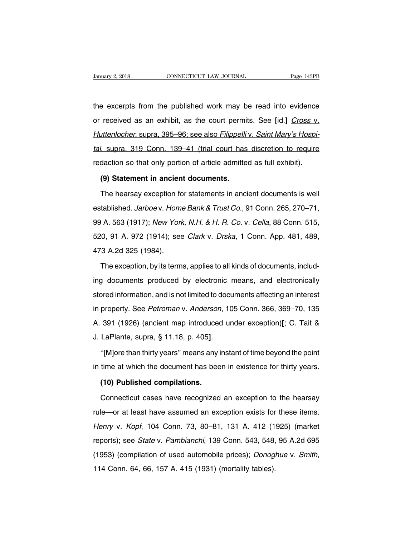University 2, 2018 CONNECTICUT LAW JOURNAL Page 143PB<br>the excerpts from the published work may be read into evidence<br>or received as an exhibit, as the court permits. See [id.] Cross v. January 2, 2018 CONNECTICUT LAW JOURNAL Page 143PB<br>the excerpts from the published work may be read into evidence<br>or received as an exhibit, as the court permits. See [id.] Cross v.<br>Huttenlocher, supra, 395–96; see also Fi the excerpts from the published work may be read into evidence<br>or received as an exhibit, as the court permits. See [id.] Cross v.<br>Huttenlocher, supra, 395–96; see also Filippelli v. Saint Mary's Hospi-<br>tal, supra, 319 Con the excerpts from the published work may be read into evidence<br>or received as an exhibit, as the court permits. See [id.] Cross v.<br>Huttenlocher, supra, 395–96; see also Filippelli v. Saint Mary's Hospi-<br>tal, supra, 319 Con or received as an exhibit, as the court permits. See [id.] Cross v.<br>Huttenlocher, supra, 395–96; see also Filippelli v. Saint Mary's Hospi-<br>tal, supra, 319 Conn. 139–41 (trial court has discretion to require<br>redaction so t Intenlocher, supra, 395–96; see also Filippelli<br>
1. supra, 319 Conn. 139–41 (trial court has<br>
daction so that only portion of article admitte<br> **(9) Statement in ancient documents.**<br>
The hearsay exception for statements in Verther 1919 Conn. 139–41 (trial court has discretion to require daction so that only portion of article admitted as full exhibit).<br>
(9) Statement in ancient documents.<br>
The hearsay exception for statements in ancient docu

redaction so that only portion of article admitted as full exhibit).<br>
(9) Statement in ancient documents.<br>
The hearsay exception for statements in ancient documents is well<br>
established. *Jarboev. Home Bank & Trust Co.*, 9 (9) Statement in ancient documents.<br>
The hearsay exception for statements in ancient documents is well<br>
established. *Jarboev. Home Bank & Trust Co.*, 91 Conn. 265, 270–71,<br>
99 A. 563 (1917); *New York, N.H. & H. R. Co. v* The hearsay exception for statements in ancient documents is well<br>established. Jarboev. Home Bank & Trust Co., 91 Conn. 265, 270–71,<br>99 A. 563 (1917); New York, N.H. & H. R. Co. v. Cella, 88 Conn. 515,<br>520, 91 A. 972 (1914 established. *Jarboe* v. Home<br>99 A. 563 (1917); *New Yorl*<br>520, 91 A. 972 (1914); see<br>473 A.2d 325 (1984).<br>The exception, by its term The exception, by its terms, applies to all kinds of documents, includ-<br>The exception, by its terms, applies to all kinds of documents, includ-<br>The exception, by its terms, applies to all kinds of documents, includ-<br>docume

520, 91 A. 972 (1914); see *Clark v. Drska*, 1 Conn. App. 481, 489,<br>473 A.2d 325 (1984).<br>The exception, by its terms, applies to all kinds of documents, includ-<br>ing documents produced by electronic means, and electronicall and the exception, by its terms, applies to all kinds of documents, includ-<br>ing documents produced by electronic means, and electronically<br>stored information, and is not limited to documents affecting an interest<br>in proper The exception, by its terms, applies to all kinds of documents, includ-<br>ing documents produced by electronic means, and electronically<br>stored information, and is not limited to documents affecting an interest<br>in property. Inception, by the terms, applied to an initial or decarronic, included interest<br>ing documents produced by electronic means, and electronically<br>stored information, and is not limited to documents affecting an interest<br>in pr Ing accambine produced by creations<br>stored information, and is not limited to docu<br>in property. See *Petroman* v. Anderson, 10<br>A. 391 (1926) (ancient map introduced ur<br>J. LaPlante, supra, § 11.18, p. 405].<br>"[M]ore than thi property. See *Petroman* v. Anderson, 105 Conn. 366, 369–70, 135<br>391 (1926) (ancient map introduced under exception)[; C. Tait &<br>LaPlante, supra, § 11.18, p. 405].<br>"[M]ore than thirty years" means any instant of time beyon A. 391 (1926) (ancient map introduced under exception)[; C. Tait &<br>J. LaPlante, supra, § 11.18, p. 405].<br>"[M]ore than thirty years" means any instant of time beyond the point<br>in time at which the document has been in exis

LaPlante, supra, § 11.18, p. 405].<br>"[M]ore than thirty years" means any i<br>time at which the document has bee<br>**(10) Published compilations.**<br>Connecticut cases have recognized

"[M]ore than thirty years" means any instant of time beyond the point<br>time at which the document has been in existence for thirty years.<br>(10) Published compilations.<br>Connecticut cases have recognized an exception to the he in time at which the document has been in existence for thirty years.<br>
(10) Published compilations.<br>
Connecticut cases have recognized an exception to the hearsay<br>
rule—or at least have assumed an exception exists for thes (10) Published compilations.<br>Connecticut cases have recognized an exception to the hearsay<br>rule—or at least have assumed an exception exists for these items.<br>Henry v. Kopf, 104 Conn. 73, 80–81, 131 A. 412 (1925) (market<br>re Connecticut cases have recognized an exception to the hearsay<br>rule—or at least have assumed an exception exists for these items.<br>Henry v. Kopf, 104 Conn. 73, 80–81, 131 A. 412 (1925) (market<br>reports); see *State* v. Pambia rule—or at least have assumed an exception exists for these items.<br> *Henry v. Kopf*, 104 Conn. 73, 80–81, 131 A. 412 (1925) (market<br>
reports); see *State v. Pambianchi*, 139 Conn. 543, 548, 95 A.2d 695<br>
(1953) (compilation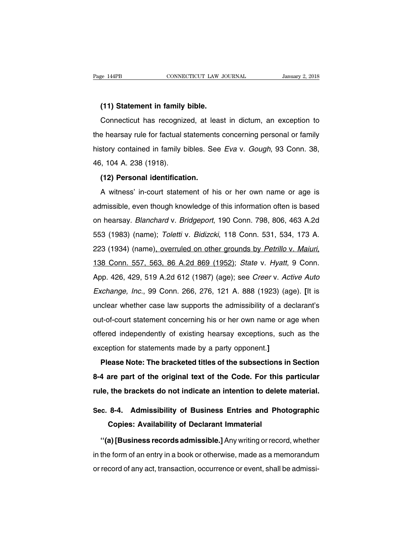**EXECUTE 144PB**<br> **(11) Statement in family bible.**<br> **Connecticut has recognized, at least** EXEMBERT CONNECTICUT LAW JOURNAL SURVEY 2, 2018<br>
1991 CONNECTICUT LAW JOURNAL SURVEY 2, 2018<br>
2011 Connecticut has recognized, at least in dictum, an exception to<br>
2011 Denomination to the bearsay rule for factual statemen (11) Statement in family bible.<br>
Connecticut has recognized, at least in dictum, an exception to<br>
the hearsay rule for factual statements concerning personal or family<br>
history contained in family bibles. See Eva v. Gough, (11) Statement in family bible.<br>Connecticut has recognized, at least in dictum, an exception to<br>the hearsay rule for factual statements concerning personal or family<br>history contained in family bibles. See Eva v. Gough, 93 Connecticut has recognized<br>the hearsay rule for factual s<br>history contained in family b<br>46, 104 A. 238 (1918).<br>(12) Personal identificati **Example 120 Foundation**<br> **(12) Personal identification.**<br> **(12) Personal identification.**<br> **(12) Personal identification.**<br> **A** witness' in-court statement of h Show contained in family bibles. See *Eva* v. *Gough*, 93 Conn. 38,<br>i, 104 A. 238 (1918).<br>**(12) Personal identification.**<br>A witness' in-court statement of his or her own name or age is<br>lmissible, even though knowledge of t

admissible, even though knowledge of this information often is based<br>on hearsay. *Blanchard* v. *Bridgeport*, 190 Conn. 798, 806, 463 A.2d (12) Personal identification.<br>A witness' in-court statement of his or her own name or age is<br>admissible, even though knowledge of this information often is based<br>on hearsay. *Blanchard* v. *Bridgeport*, 190 Conn. 798, 806, A witness' in-court statement of his or her own name or age is<br>admissible, even though knowledge of this information often is based<br>on hearsay. *Blanchard* v. *Bridgeport*, 190 Conn. 798, 806, 463 A.2d<br>553 (1983) (name); 223 (1934) (name), *overruled on other grounds by Petrillo v. Maiuri,* 138 Conn. 557, 563, 86 A.2d 869 (1952); *State v. Hyatt*, 9 Conn. 426, 429, 519 A.2d 612 (1987) (age); see *Creer v. Active Auto* 61 healeay: *Blahemard v. Bhagepent*, 199 Somm 769, 669, 169 Alea<br>553 (1983) (name); *Toletti v. Bidizcki*, 118 Conn. 531, 534, 173 A.<br>223 (1934) (name)<u>, overruled on other grounds by Petrillo v. Maiuri,</u><br>138 Conn. 557, 5 Exchange, Inc., 99 Conn. 266, 276, 121 A. 888 (1923) (age). **[It is unclear whether case law supports the admissibility of a declarant's** 138 Conn. 557, 563, 86 A.2d 869 (1952); *State v. Hyatt*, 9 Conn.<br>App. 426, 429, 519 A.2d 612 (1987) (age); see *Creer v. Active Auto*<br>Exchange, Inc., 99 Conn. 266, 276, 121 A. 888 (1923) (age). [It is<br>unclear whether case App. 426, 429, 519 A.2d 612 (1987) (age); see *Creer* v. *Active Auto* Exchange, Inc., 99 Conn. 266, 276, 121 A. 888 (1923) (age). [It is unclear whether case law supports the admissibility of a declarant's out-of-court st Exchange, Inc., 99 Conn. 266, 276, 121 A. 888 (1923) (age). [It is unclear whether case law supports the admissibility of a declarant's out-of-court statement concerning his or her own name or age when offered independent exchange, met, so somethed and supports the admissibility of a de<br>unclear whether case law supports the admissibility of a de<br>out-of-court statement concerning his or her own name or a<br>offered independently of existing hea **Please Mother Statement concerning his or her own name or age when**<br>Fiered independently of existing hearsay exceptions, such as the<br>ception for statements made by a party opponent.]<br>**Please Note: The bracketed titles of** 

offered independently of existing hearsay exceptions, such as the exception for statements made by a party opponent.]<br>**Please Note: The bracketed titles of the subsections in Section**<br>8-4 are part of the original text of t exception for statements made by a party opponent.]<br>**Please Note: The bracketed titles of the subsections in Section**<br>8-4 are part of the original text of the Code. For this particular<br>rule, the brackets do not indicate an Please Note: The bracketed titles of the subsections in Section<br>8-4 are part of the original text of the Code. For this particular<br>rule, the brackets do not indicate an intention to delete material.<br>Sec. 8-4. Admissibility 8-4 are part of the original text of the Code. For this particular<br>rule, the brackets do not indicate an intention to delete material.<br>Sec. 8-4. Admissibility of Business Entries and Photographic<br>Copies: Availability of De

**Ie, the brackets do not indicate an intention to delete material.**<br> **C. 8-4. Admissibility of Business Entries and Photographic<br>
Copies: Availability of Declarant Immaterial<br>
"(a) [Business records admissible.] Any writin** Sec. 8-4. Admissibility of Business Entries and Photographic<br>Copies: Availability of Declarant Immaterial<br>"(a) [Business records admissible.] Any writing or record, whether<br>in the form of an entry in a book or otherwise, m Copies: Availability of Declarant Immaterial<br>
"(a) [Business records admissible.] Any writing or record, whether<br>
in the form of an entry in a book or otherwise, made as a memorandum<br>
or record of any act, transaction, occ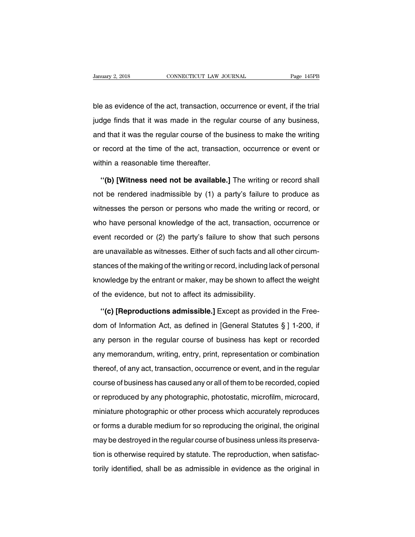blanuary 2, 2018 CONNECTICUT LAW JOURNAL Page 145PB<br>ble as evidence of the act, transaction, occurrence or event, if the trial<br>judge finds that it was made in the regular course of any business, January 2, 2018 CONNECTICUT LAW JOURNAL Page 145PB<br>ble as evidence of the act, transaction, occurrence or event, if the trial<br>judge finds that it was made in the regular course of any business,<br>and that it was the regular ble as evidence of the act, transaction, occurrence or event, if the trial<br>judge finds that it was made in the regular course of any business,<br>and that it was the regular course of the business to make the writing<br>or recor ble as evidence of the act, transaction, occurrence or event, if the trial<br>judge finds that it was made in the regular course of any business,<br>and that it was the regular course of the business to make the writing<br>or recor judge finds that it was made in the reguland that it was the regular course of the b<br>or record at the time of the act, transacti<br>within a reasonable time thereafter.<br>"(b) IWitness need not be available. In that it was the regular course of the business to make the writing<br>
record at the time of the act, transaction, occurrence or event or<br>
thin a reasonable time thereafter.<br>
"(b) [Witness need not be available.] The writi

or record at the time of the act, transaction, occurrence or event or<br>within a reasonable time thereafter.<br>"(b) [Witness need not be available.] The writing or record shall<br>not be rendered inadmissible by (1) a party's fai within a reasonable time thereafter.<br>
"(b) [Witness need not be available.] The writing or record shall<br>
not be rendered inadmissible by (1) a party's failure to produce as<br>
witnesses the person or persons who made the wri "(b) [Witness need not be available.] The writing or record shall<br>not be rendered inadmissible by (1) a party's failure to produce as<br>witnesses the person or persons who made the writing or record, or<br>who have personal kno (a) primitive records not be aromable.] The while generous chall<br>not be rendered inadmissible by (1) a party's failure to produce as<br>witnesses the person or persons who made the writing or record, or<br>who have personal know not be rendered inadmissible by (1) a party's failure to produce as<br>witnesses the person or persons who made the writing or record, or<br>who have personal knowledge of the act, transaction, occurrence or<br>event recorded or (2 who have personal knowledge of the act, transaction, occurrence or event recorded or (2) the party's failure to show that such persons are unavailable as witnesses. Either of such facts and all other circumstances of the m knowledge by the party's failure to show that such persons<br>are unavailable as witnesses. Either of such facts and all other circum-<br>stances of the making of the writing or record, including lack of personal<br>knowledge by th are unavailable as witnesses. Either of such facts and all<br>stances of the making of the writing or record, including la<br>knowledge by the entrant or maker, may be shown to aff<br>of the evidence, but not to affect its admissi ances of the making of the writing or record, including lack of personal<br>
owledge by the entrant or maker, may be shown to affect the weight<br>
the evidence, but not to affect its admissibility.<br>
"(c) [Reproductions admissib

knowledge by the entrant or maker, may be shown to affect the weight<br>of the evidence, but not to affect its admissibility.<br>"(c) [Reproductions admissible.] Except as provided in the Free-<br>dom of Information Act, as define of the evidence, but not to affect its admissibility.<br>
"(c) [Reproductions admissible.] Except as provided in the Free-<br>
dom of Information Act, as defined in [General Statutes § ] 1-200, if<br>
any person in the regular cour "(c) [Reproductions admissible.] Except as provided in the Free-<br>dom of Information Act, as defined in [General Statutes  $\S$ ] 1-200, if<br>any person in the regular course of business has kept or recorded<br>any memorandum, wri dom of Information Act, as defined in [General Statutes  $\S$  ] 1-200, if<br>any person in the regular course of business has kept or recorded<br>any memorandum, writing, entry, print, representation or combination<br>thereof, of an any person in the regular course of business has kept or recorded<br>any memorandum, writing, entry, print, representation or combination<br>thereof, of any act, transaction, occurrence or event, and in the regular<br>course of bus any memorandum, writing, entry, print, representation or combination<br>thereof, of any act, transaction, occurrence or event, and in the regular<br>course of business has caused any or all of them to be recorded, copied<br>or repr mondanality, mining, only, print, representation or ochialitation<br>thereof, of any act, transaction, occurrence or event, and in the regular<br>course of business has caused any or all of them to be recorded, copied<br>or reprodu or forms a durable medium for so reproducing the original, the original,<br>course of business has caused any or all of them to be recorded, copied<br>or reproduced by any photographic, photostatic, microfilm, microcard,<br>miniatu or reproduced by any photographic, photostatic, microfilm, microcard, miniature photographic or other process which accurately reproduces or forms a durable medium for so reproducing the original, the original may be destr therministure photographic or other process which accurately reproduces<br>or forms a durable medium for so reproducing the original, the original<br>may be destroyed in the regular course of business unless its preserva-<br>tion i the protegraphic of other process three assessed, reproduced<br>or forms a durable medium for so reproducing the original, the original<br>may be destroyed in the regular course of business unless its preserva-<br>tion is otherwise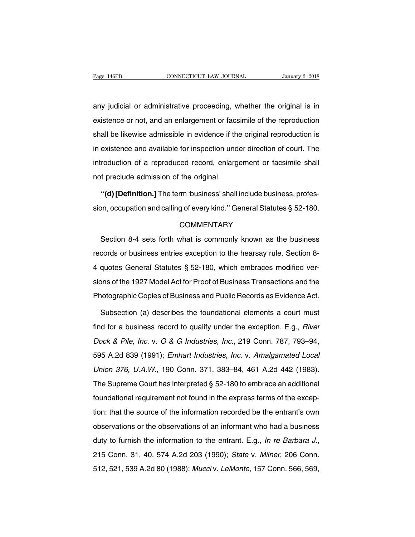Page 146PB CONNECTICUT LAW JOURNAL January 2, 2018<br>
any judicial or administrative proceeding, whether the original is in<br>
existence or not, and an enlargement or facsimile of the reproduction Page 146PB CONNECTICUT LAW JOURNAL January 2, 2018<br>any judicial or administrative proceeding, whether the original is in<br>existence or not, and an enlargement or facsimile of the reproduction<br>shall be likewise admissible in any judicial or administrative proceeding, whether the original is in existence or not, and an enlargement or facsimile of the reproduction shall be likewise admissible in evidence if the original reproduction is in existe any judicial or administrative proceeding, whether the original is in<br>existence or not, and an enlargement or facsimile of the reproduction<br>shall be likewise admissible in evidence if the original reproduction is<br>in existe interative proceeding, whence the enginal to the existence or not, and an enlargement or facsimile of the reproduction shall be likewise admissible in evidence if the original reproduction is in existence and available for shall be likewise admissible in evidence if the in existence and available for inspection und introduction of a reproduced record, enlarg not preclude admission of the original.<br>"(d) **Definition.** The term 'business' shall in existence and available for inspection under direction of court. The<br>introduction of a reproduced record, enlargement or facsimile shall<br>not preclude admission of the original.<br>"(d) [Definition.] The term 'business' sha introduction of a reproduced record, enlargement or facsimile shall<br>not preclude admission of the original.<br>"(d) [Definition.] The term 'business' shall include business, profes-<br>sion, occupation and calling of every kind.

# **COMMENTARY**

"(d) [Definition.] The term 'business' shall include business, profes-<br>on, occupation and calling of every kind." General Statutes § 52-180.<br>COMMENTARY<br>Section 8-4 sets forth what is commonly known as the business<br>cords or sion, occupation and calling of every kind." General Statutes § 52-180.<br>COMMENTARY<br>Section 8-4 sets forth what is commonly known as the business<br>records or business entries exception to the hearsay rule. Section 8-<br>4 quote COMMENTARY<br>Section 8-4 sets forth what is commonly known as the business<br>records or business entries exception to the hearsay rule. Section 8-4<br>quotes General Statutes § 52-180, which embraces modified ver-<br>sions of the 19 Section 8-4 sets forth what is commonly known as the business<br>records or business entries exception to the hearsay rule. Section 8-<br>4 quotes General Statutes § 52-180, which embraces modified ver-<br>sions of the 1927 Model A Procession of Figure 1 section what is commonly known as the basiness<br>records or business entries exception to the hearsay rule. Section 8-<br>4 quotes General Statutes § 52-180, which embraces modified ver-<br>sions of the 1927 quotes General Statutes § 52-180, which embraces modified ver-<br>ons of the 1927 Model Act for Proof of Business Transactions and the<br>notographic Copies of Business and Public Records as Evidence Act.<br>Subsection (a) describe

sions of the 1927 Model Act for Proof of Business Transactions and the<br>Photographic Copies of Business and Public Records as Evidence Act.<br>Subsection (a) describes the foundational elements a court must<br>find for a business Photographic Copies of Business and Public Records as Evidence Act.<br>Subsection (a) describes the foundational elements a court must<br>find for a business record to qualify under the exception. E.g., *River*<br>Dock & Pile, Inc. Subsection (a) describes the foundational elements a court must<br>find for a business record to qualify under the exception. E.g., *River*<br>Dock & Pile, Inc. v. O & G Industries, Inc., 219 Conn. 787, 793–94,<br>595 A.2d 839 (199 find for a business record to qualify under the exception. E.g., *River* Dock & Pile, Inc. v. O & G Industries, Inc., 219 Conn. 787, 793–94, 595 A.2d 839 (1991); *Emhart Industries, Inc.* v. *Amalgamated Local Union 376,* Dock & Pile, Inc. v. O & G Industries, Inc., 219 Conn. 787, 793–94,<br>595 A.2d 839 (1991); Emhart Industries, Inc. v. Amalgamated Local<br>Union 376, U.A.W., 190 Conn. 371, 383–84, 461 A.2d 442 (1983).<br>The Supreme Court has int Dock & Pile, Inc. v. O & G Industries, Inc., 219 Conn. 787, 793–94, 595 A.2d 839 (1991); Emhart Industries, Inc. v. Amalgamated Local Union 376, U.A.W., 190 Conn. 371, 383–84, 461 A.2d 442 (1983). The Supreme Court has int Union 376, U.A.W., 190 Conn. 371, 383–84, 461 A.2d 442 (1983).<br>The Supreme Court has interpreted § 52-180 to embrace an additional<br>foundational requirement not found in the express terms of the excep-<br>tion: that the sourc The Supreme Court has interpreted  $\S$  52-180 to embrace an additional foundational requirement not found in the express terms of the exception: that the source of the information recorded be the entrant's own observations foundational requirement not found in the express terms of the exception: that the source of the information recorded be the entrant's own observations or the observations of an informant who had a business duty to furnish Solitation Source of the information recorded be the entraint of composervations or the observations of an informant who had a business<br>duty to furnish the information to the entrant. E.g., *In re Barbara J.*,<br>215 Conn. 31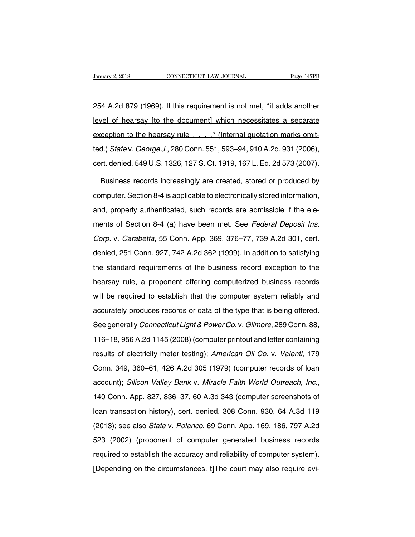Vanuary 2, 2018 CONNECTICUT LAW JOURNAL Page 147PB<br>254 A.2d 879 (1969). If this requirement is not met, "it adds another<br>level of hearsay [to the document] which necessitates a separate University 2, 2018 CONNECTICUT LAW JOURNAL Page 147PB<br>254 A.2d 879 (1969). If this requirement is not met, "it adds another<br>level of hearsay [to the document] which necessitates a separate<br>exception to the hearsay rule . . 254 A.2d 879 (1969). If this requirement is not met, "it adds another<br>level of hearsay [to the document] which necessitates a separate<br>exception to the hearsay rule . . . . ." (Internal quotation marks omit-<br>ted.) State v. 254 A.2d 879 (1969). <u>If this requirement is not met, "it adds another</u><br>level of hearsay [to the document] which necessitates a separate<br>exception to the hearsay rule . . . . ." (Internal quotation marks omit-<br>ted.) *State* evel of hearsay [to the document] which necessitates a separate<br>exception to the hearsay rule . . . . ." (Internal quotation marks omit-<br>ted.) State v. George J., 280 Conn. 551, 593–94, 910 A.2d. 931 (2006).<br>cert. denied, ception to the hearsay rule . . . . ." (Internal quotation marks omit-<br>d.) State v. George J., 280 Conn. 551, 593–94, 910 A.2d. 931 (2006),<br>rt. denied, 549 U.S. 1326, 127 S. Ct. 1919, 167 L. Ed. 2d 573 (2007).<br>Business rec

ted.) *State* v. *George J.*, 280 Conn. 551, 593–94, 910 A.2d. 931 (2006), cert. denied, 549 U.S. 1326, 127 S. Ct. 1919, 167 L. Ed. 2d 573 (2007).<br>Business records increasingly are created, stored or produced by computer. cert. denied, 549 U.S. 1326, 127 S. Ct. 1919, 167 L. Ed. 2d 573 (2007).<br>Business records increasingly are created, stored or produced by<br>computer. Section 8-4 is applicable to electronically stored information,<br>and, proper Business records increasingly are created, stored or produced by<br>computer. Section 8-4 is applicable to electronically stored information,<br>and, properly authenticated, such records are admissible if the ele-<br>ments of Secti computer. Section 8-4 is applicable to electronically stored information,<br>and, properly authenticated, such records are admissible if the ele-<br>ments of Section 8-4 (a) have been met. See *Federal Deposit Ins.*<br>Corp. v. Car and, properly authenticated, such records are admissible if the ele-<br>ments of Section 8-4 (a) have been met. See *Federal Deposit Ins.*<br>Corp. v. Carabetta, 55 Conn. App. 369, 376–77, 739 A.2d 301, cert.<br>denied, 251 Conn. 9 ments of Section 8-4 (a) have been met. See *Federal Deposit Ins.*<br>Corp. v. Carabetta, 55 Conn. App. 369, 376–77, 739 A.2d 301, cert.<br>denied, 251 Conn. 927, 742 A.2d 362 (1999). In addition to satisfying<br>the standard requi Corp. v. Carabetta, 55 Conn. App. 369, 376–77, 739 A.2d 301, cert.<br>denied, 251 Conn. 927, 742 A.2d 362 (1999). In addition to satisfying<br>the standard requirements of the business record exception to the<br>hearsay rule, a pro denied, 251 Conn. 927, 742 A.2d 362 (1999). In addition to satisfying<br>the standard requirements of the business record exception to the<br>hearsay rule, a proponent offering computerized business records<br>will be required to e accurately record requirements of the business record exception to the<br>hearsay rule, a proponent offering computerized business records<br>will be required to establish that the computer system reliably and<br>accurately produce See generally *Connecticut Light & Power Co.* v. Gilmore, 289 Conn. 88,<br>16-18, 956 A.2d 1145 (2008) (computer printing clue and accurately produces records or data of the type that is being offered.<br>16-18, 956 A.2d 1145 (2 will be required to establish that the computer system reliably and<br>accurately produces records or data of the type that is being offered.<br>See generally *Connecticut Light & Power Co.* v. *Gilmore*, 289 Conn. 88,<br>116–18, 9 results of electricity meter testing); American Oil Co. v. Valenti, 179<br>Conn. 349, 360–61, 426 A.2d 305 (1979) (computer records of loan<br>Conn. 349, 360–61, 426 A.2d 305 (1979) (computer records of loan See generally *Connecticut Light & Power Co.* v. *Gilmore*, 289 Conn. 88,<br>116–18, 956 A.2d 1145 (2008) (computer printout and letter containing<br>results of electricity meter testing); *American Oil Co.* v. *Valenti*, 179<br>Co account); Silicon Valley Bank v. Miracle Faith World Outreach, Inc., 140 Conn. 349, 360–61, 426 A.2d 305 (1979) (computer records of loan account); Silicon Valley Bank v. Miracle Faith World Outreach, Inc., 140 Conn. App. Conn. 349, 360–61, 426 A.2d 305 (1979) (computer records of loan<br>account); Silicon Valley Bank v. Miracle Faith World Outreach, Inc.,<br>140 Conn. App. 827, 836–37, 60 A.3d 343 (computer screenshots of<br>loan transaction histor account); Silicon Valley Bank v. Miracle Faith World Outreach, Inc.,<br>140 Conn. App. 827, 836–37, 60 A.3d 343 (computer screenshots of<br>loan transaction history), cert. denied, 308 Conn. 930, 64 A.3d 119<br>(2013)<u>; see also St</u> 140 Conn. App. 827, 836–37, 60 A.3d 343 (computer screenshots of<br>loan transaction history), cert. denied, 308 Conn. 930, 64 A.3d 119<br>(2013); see also *State v. Polanco*, 69 Conn. App. 169, 186, 797 A.2d<br>523 (2002) (propone required to establish the accuracy and reliability of computer system).<br>
19 (2013): see also *State v. Polanco*, 69 Conn. App. 169, 186, 797 A.2d<br>
19 (2002) (proponent of computer generated business records<br>
19 required to (2013); see also *State v. Polanco*, 69 Conn. App. 169, 186, 797 A.2d<br>
523 (2002) (proponent of computer generated business records<br>
required to establish the accuracy and reliability of computer system).<br>
[Depending on th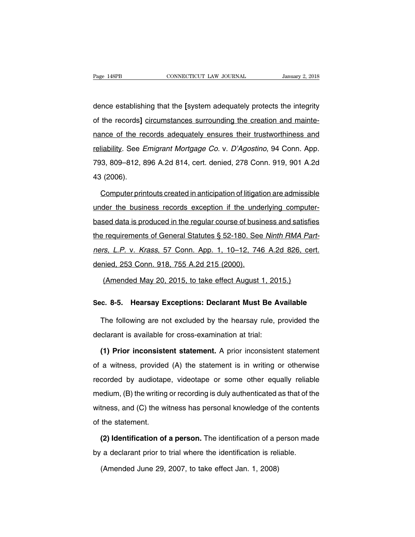Page 148PB<br> **CONNECTICUT LAW JOURNAL**<br> **CONNECTICUT LAW JOURNAL**<br> **CONNECTICUT LAW JOURNAL**<br> **CONNECTICUT LAW JOURNAL**<br> **CONNECTICUT LAW JOURNAL**<br> **CONNECTICUT LAW JOURNAL**<br> **CONNECTICUT LAW JOURNAL**<br> **CONNECTICUT LAW JOUR** Page 148PB **CONNECTICUT LAW JOURNAL** January 2, 2018<br>
dence establishing that the [system adequately protects the integrity<br>
of the records] <u>circumstances surrounding the creation and mainte-</u><br>
nance of the records adequa dence establishing that the [system adequately protects the integrity<br>of the records] circumstances surrounding the creation and mainte-<br>nance of the records adequately ensures their trustworthiness and<br>reliability. See Em dence establishing that the [system adequately protects the integrity<br>of the records] circumstances surrounding the creation and mainte-<br>nance of the records adequately ensures their trustworthiness and<br>reliability. See *E* of the records] circumstances surrounding the creation and mainte-<br>nance of the records adequately ensures their trustworthiness and<br>reliability. See *Emigrant Mortgage Co.* v. *D'Agostino*, 94 Conn. App.<br>793, 809–812, 896 or and recorder<br>nance of the re<br>reliability. See E<br>793, 809–812, 8<br>43 (2006).<br>Computer prin liability. See *Emigrant Mortgage Co. v. D'Agostino*, 94 Conn. App.<br>3, 809–812, 896 A.2d 814, cert. denied, 278 Conn. 919, 901 A.2d<br>3 (2006).<br>Computer printouts created in anticipation of litigation are admissible<br>der the

versions. 809–812, 896 A.2d 814, cert. denied, 278 Conn. 919, 901 A.2d<br>43 (2006).<br>Computer printouts created in anticipation of litigation are admissible<br>under the business records exception if the underlying computer-<br>bas 43 (2006).<br>Computer printouts created in anticipation of litigation are admissible<br>under the business records exception if the underlying computer-<br>based data is produced in the regular course of business and satisfies<br>the Computer printouts created in anticipation of litigation are admissible<br>under the business records exception if the underlying computer-<br>based data is produced in the regular course of business and satisfies<br>the requiremen under the business records exception if the underlying computer-<br>based data is produced in the regular course of business and satisfies<br>the requirements of General Statutes § 52-180. See Ninth RMA Part-<br>ners, L.P. v. Krass based data is produced in the regular course of businces data is produced in the regular course of busing<br>the requirements of General Statutes § 52-180. See<br>ners, L.P. v. Krass, 57 Conn. App. 1, 10–12, 746<br>denied, 253 Conn requirements of General Statutes § 52-180. See Ninth RMA Pa.<br>rs, L.P. v. Krass, 57 Conn. App. 1, 10–12, 746 A.2d 826, ce<br>nied, 253 Conn. 918, 755 A.2d 215 (2000).<br>(Amended May 20, 2015, to take effect August 1, 2015.) ners, L.P. v. Krass, 57 Conn. App. 1, 10–12, 746 A.2d 826, cert.<br>denied, 253 Conn. 918, 755 A.2d 215 (2000).<br>(Amended May 20, 2015, to take effect August 1, 2015.)<br>**Sec. 8-5. Hearsay Exceptions: Declarant Must Be Available** 

(Amended May 20, 2015, to take effect August 1, 2015.)<br> **C. 8-5. Hearsay Exceptions: Declarant Must Be Available**<br>
The following are not excluded by the hearsay rule, provided the<br>
clarant is available for cross-examinati (Amended May 20, 2015, to take effect August 1, 2015)<br>Sec. 8-5. Hearsay Exceptions: Declarant Must Be A<sup>1</sup><br>The following are not excluded by the hearsay rule, p<br>declarant is available for cross-examination at trial:<br>(1) Pr

**(2) Exceptions: Declarant Must Be Available**<br>The following are not excluded by the hearsay rule, provided the<br>clarant is available for cross-examination at trial:<br>**(1) Prior inconsistent statement**. A prior inconsistent s The following are not excluded by the hearsay rule, provided the<br>declarant is available for cross-examination at trial:<br>(1) Prior inconsistent statement. A prior inconsistent statement<br>of a witness, provided (A) the statem declarant is available for cross-examination at trial:<br>
(1) Prior inconsistent statement. A prior inconsistent statement<br>
of a witness, provided (A) the statement is in writing or otherwise<br>
recorded by audiotape, videotap (1) Prior inconsistent statement. A prior inconsistent statement<br>of a witness, provided (A) the statement is in writing or otherwise<br>recorded by audiotape, videotape or some other equally reliable<br>medium, (B) the writing o of a witness, provided (A) the statement is in writing or otherwise<br>recorded by audiotape, videotape or some other equally reliable<br>medium, (B) the writing or recording is duly authenticated as that of the<br>witness, and (C of a wincod, provided<br>recorded by audiotape<br>medium, (B) the writing<br>witness, and (C) the wi<br>of the statement.<br>(2) Identification of Exercise of the writing or recording is duly authenticated as that of the<br>thess, and (C) the witness has personal knowledge of the contents<br>the statement.<br>**(2) Identification of a person.** The identification of a person ma witness, and (C) the witness has personal knowledge of the content<br>of the statement.<br>(2) Identification of a person. The identification of a person mad<br>by a declarant prior to trial where the identification is reliable.<br>(A

the statement.<br> **(2) Identification of a person.** The identification of a p<br>
i a declarant prior to trial where the identification is reli<br>
(Amended June 29, 2007, to take effect Jan. 1, 2008)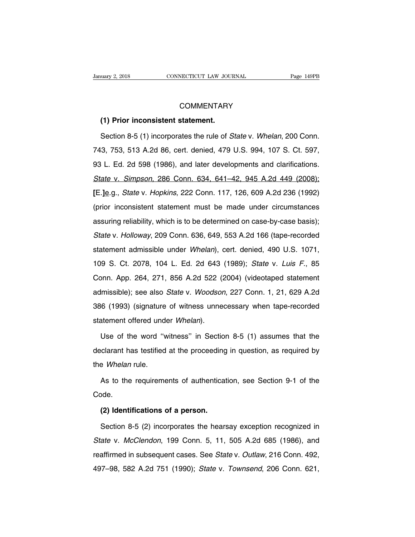# **COMMENTARY**

# **CONNECTICUT LAW JOURNEMENT SERVIE CONNECTICUT LAW JOURNEMENT SERVIE COMMENT ARY**<br> **(1) Prior inconsistent statement.**<br>
Section 8-5 (1) incorporates the rule of S

COMMENTARY<br>
(1) Prior inconsistent statement.<br>
Section 8-5 (1) incorporates the rule of *State* v. *Whelan*, 200 Conn.<br>
3, 753, 513 A.2d 86, cert. denied, 479 U.S. 994, 107 S. Ct. 597, COMMENTARY<br>
(1) Prior inconsistent statement.<br>
Section 8-5 (1) incorporates the rule of *State v. Whelan*, 200 Conn.<br>
743, 753, 513 A.2d 86, cert. denied, 479 U.S. 994, 107 S. Ct. 597,<br>
93 L. Ed. 2d 598 (1986), and later d (1) Prior inconsistent statement.<br>
Section 8-5 (1) incorporates the rule of *State v. Whelan*, 200 Conn.<br>
743, 753, 513 A.2d 86, cert. denied, 479 U.S. 994, 107 S. Ct. 597,<br>
93 L. Ed. 2d 598 (1986), and later developments Section 8-5 (1) incorporates the rule of *State* v. *Whelan*, 200 Conn.<br>743, 753, 513 A.2d 86, cert. denied, 479 U.S. 994, 107 S. Ct. 597,<br>93 L. Ed. 2d 598 (1986), and later developments and clarifications.<br>*State* v. *Sim* **E.** 19.93, 513 A.2d 86, cert. denied, 479 U.S. 994, 107 S. Ct. 597, 93 L. Ed. 2d 598 (1986), and later developments and clarifications.<br> **State v. Simpson, 286 Conn. 634, 641–42, 945 A.2d 449 (2008);**<br> **[E.**] **e.**g., *Sta* (prior inconsistent statement must be made under circumstances assuring reliability, which is to be determined on case-by-case basis); State v. Simpson, 286 Conn. 634, 641–42, 945 A.2d 449 (2008);<br>[E.] e.g., *State* v. *Hopkins*, 222 Conn. 117, 126, 609 A.2d 236 (1992)<br>(prior inconsistent statement must be made under circumstances<br>assuring reliability, wh E. <u>Je</u>.g., *State v. Hopkins*, 222 Conn. 117, 126, 609 A.2d 236 (1992)<br>(prior inconsistent statement must be made under circumstances<br>assuring reliability, which is to be determined on case-by-case basis);<br>*State v. Hollo* (prior inconsistent statement must be made under circumstances<br>assuring reliability, which is to be determined on case-by-case basis);<br>State v. Holloway, 209 Conn. 636, 649, 553 A.2d 166 (tape-recorded<br>statement admissible assuring reliability, which is to be determined on case-by-case basis);<br>State v. Holloway, 209 Conn. 636, 649, 553 A.2d 166 (tape-recorded<br>statement admissible under *Whelan*), cert. denied, 490 U.S. 1071,<br>109 S. Ct. 2078, State v. Holloway, 209 Conn. 636, 649, 553 A.2d 166 (tape-recorded statement admissible under *Whelan*), cert. denied, 490 U.S. 1071, 109 S. Ct. 2078, 104 L. Ed. 2d 643 (1989); *State v. Luis F.*, 85 Conn. App. 264, 271, 8 statement admissible under *Whelan*), cert. denied, 490 U.S. 1071,<br>109 S. Ct. 2078, 104 L. Ed. 2d 643 (1989); *State v. Luis F.*, 85<br>Conn. App. 264, 271, 856 A.2d 522 (2004) (videotaped statement<br>admissible); see also *Sta* 386 (1993) (signature of witness, 1988); State v. Luis F., 85<br>386 (1999); State v. Luis F., 85<br>386 (1993) (signature of witness unnecessary when tape-recorded<br>386 (1993) (signature of witness unnecessary when tape-recorded Statement App. 264, 271, 856 A.2d 522 (;<br>admissible); see also *State* v. *Woodsor*<br>386 (1993) (signature of witness unne<br>statement offered under *Whelan*).<br>Use of the word "witness" in Sectio Imissible); see also *State* v. *Woodson*, 227 Conn. 1, 21, 629 A.2d<br>6 (1993) (signature of witness unnecessary when tape-recorded<br>atement offered under *Whelan*).<br>Use of the word "witness" in Section 8-5 (1) assumes that

386 (1993) (signature of witness unnecessary when tape-recorded statement offered under *Whelan*).<br>Use of the word "witness" in Section 8-5 (1) assumes that the declarant has testified at the proceeding in question, as re the *Whelan* rule. Use of the word "witness" in Section 8-5 (1) assumes that the clarant has testified at the proceeding in question, as required by<br>a Whelan rule.<br>As to the requirements of authentication, see Section 9-1 of the ode.

Code. Fee Whelan rule.<br>As to the requirements of authentications.<br>**(2) Identifications of a person.**<br>Section 8-5 (2) incorporates the hears

As to the requirements of authentication, see Section 9-1 of the<br> **(2) Identifications of a person.**<br>
Section 8-5 (2) incorporates the hearsay exception recognized in<br> *ate* v. *McClendon*, 199 Conn. 5, 11, 505 A.2d 685 (1 Code.<br>
(2) Identifications of a person.<br>
Section 8-5 (2) incorporates the hearsay exception recognized in<br>
State v. McClendon, 199 Conn. 5, 11, 505 A.2d 685 (1986), and<br>
reaffirmed in subsequent cases. See State v. Outlaw, (2) Identifications of a person.<br>Section 8-5 (2) incorporates the hearsay exception recognized in<br>State v. McClendon, 199 Conn. 5, 11, 505 A.2d 685 (1986), and<br>reaffirmed in subsequent cases. See State v. Outlaw, 216 Conn Section 8-5 (2) incorporates the hearsay exception recognized in<br>State v. McClendon, 199 Conn. 5, 11, 505 A.2d 685 (1986), and<br>reaffirmed in subsequent cases. See State v. Outlaw, 216 Conn. 492,<br>497–98, 582 A.2d 751 (1990)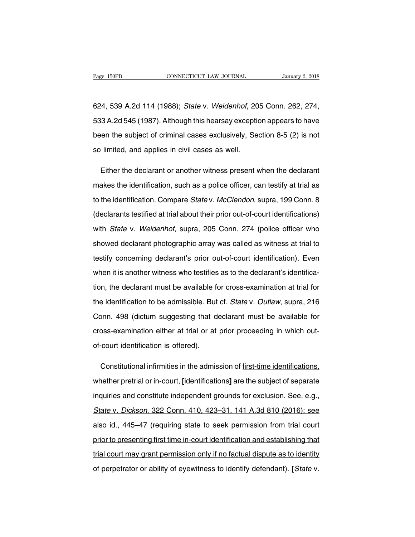Page 150PB<br>CONNECTICUT LAW JOURNAL January 2, 2018<br>624, 539 A.2d 114 (1988); *State* v. *Weidenhof*, 205 Conn. 262, 274,<br>533 A.2d 545 (1987). Although this hearsay exception appears to have Fage 150PB CONNECTICUT LAW JOURNAL January 2, 2018<br>624, 539 A.2d 114 (1988); *State v. Weidenhof*, 205 Conn. 262, 274,<br>533 A.2d 545 (1987). Although this hearsay exception appears to have<br>been the subject of criminal cases 624, 539 A.2d 114 (1988); *State* v. *Weidenhof*, 205 Conn. 262, 274,<br>533 A.2d 545 (1987). Although this hearsay exception appears to have<br>been the subject of criminal cases exclusively, Section 8-5 (2) is not<br>so limited, 624, 539 A.2d 114 (1988); *State* v. *Weidenhof*, 20<br>533 A.2d 545 (1987). Although this hearsay exception<br>been the subject of criminal cases exclusively, Se<br>so limited, and applies in civil cases as well. 13 A.2d 545 (1987). Although this hearsay exception appears to have<br>ten the subject of criminal cases exclusively, Section 8-5 (2) is not<br>limited, and applies in civil cases as well.<br>Either the declarant or another witness

been the subject of criminal cases exclusively, Section 8-5 (2) is not<br>so limited, and applies in civil cases as well.<br>Either the declarant or another witness present when the declarant<br>makes the identification, such as a so limited, and applies in civil cases as well.<br>Either the declarant or another witness present when the declarant<br>makes the identification, such as a police officer, can testify at trial as<br>to the identification. Compare Either the declarant or another witness present when the declarant<br>makes the identification, such as a police officer, can testify at trial as<br>to the identification. Compare *State* v. *McClendon*, supra, 199 Conn. 8<br>(decl makes the identification, such as a police officer, can testify at trial as<br>to the identification. Compare *State v. McClendon*, supra, 199 Conn. 8<br>(declarants testified at trial about their prior out-of-court identificati to the identification. Compare *State* v. *McClendon*, supra, 199 Conn. 8<br>(declarants testified at trial about their prior out-of-court identifications)<br>with *State* v. *Weidenhof*, supra, 205 Conn. 274 (police officer who (declarants testified at trial about their prior out-of-court identifications)<br>with *State* v. Weidenhof, supra, 205 Conn. 274 (police officer who<br>showed declarant photographic array was called as witness at trial to<br>testi with *State* v. *Weidenhof*, supra, 205 Conn. 274 (police officer who showed declarant photographic array was called as witness at trial to testify concerning declarant's prior out-of-court identification). Even when it is showed declarant photographic array was called as witness at trial to<br>testify concerning declarant's prior out-of-court identification). Even<br>when it is another witness who testifies as to the declarant's identifica-<br>tion, testify concerning declarant's prior out-of-court identification). Even<br>when it is another witness who testifies as to the declarant's identifica-<br>tion, the declarant must be available for cross-examination at trial for<br>th when it is another witness who testifies as to the declarant's identifica-<br>tion, the declarant must be available for cross-examination at trial for<br>the identification to be admissible. But cf. *State* v. *Outlaw*, supra, 2 tion, the declarant must be available for cross-examination at trial for<br>the identification to be admissible. But cf. *State v. Outlaw*, supra, 216<br>Conn. 498 (dictum suggesting that declarant must be available for<br>cross-ex the identification to be admissible. But<br>Conn. 498 (dictum suggesting that d<br>cross-examination either at trial or at<br>of-court identification is offered). onn. 498 (dictum suggesting that declarant must be available for<br>oss-examination either at trial or at prior proceeding in which out-<br>court identification is offered).<br>Constitutional infirmities in the admission of <u>first-</u>

cross-examination either at trial or at prior proceeding in which out-<br>of-court identification is offered).<br>Constitutional infirmities in the admission of <u>first-time identifications,</u><br>whether pretrial <u>or in-court</u>, [iden of-court identification is offered).<br>Constitutional infirmities in the admission of <u>first-time identifications,</u><br>whether pretrial <u>or in-court</u>, [identifications] are the subject of separate<br>inquiries and constitute indep Constitutional infirmities in the admission of first-time identifications,<br>whether pretrial <u>or in-court</u>, [identifications] are the subject of separate<br>inquiries and constitute independent grounds for exclusion. See, e.g. whether pretrial <u>or in-court</u>, [identifications] are the subject of separate<br>inquiries and constitute independent grounds for exclusion. See, e.g.,<br>State v. Dickson, 322 Conn. 410, 423–31, 141 A.3d 810 (2016); see<br>also id inquiries and constitute independent grounds for exclusion. See, e.g.,<br>State v. Dickson, 322 Conn. 410, 423–31, 141 A.3d 810 (2016); see<br>also id., 445–47 (requiring state to seek permission from trial court<br>prior to presen State v. Dickson, 322 Conn. 410, 423–31, 141 A.3d 810 (2016); see<br>also id., 445–47 (requiring state to seek permission from trial court<br>prior to presenting first time in-court identification and establishing that<br>trial cou also id., 445–47 (requiring state to seek permission from trial court<br>prior to presenting first time in-court identification and establishing that<br>trial court may grant permission only if no factual dispute as to identity<br>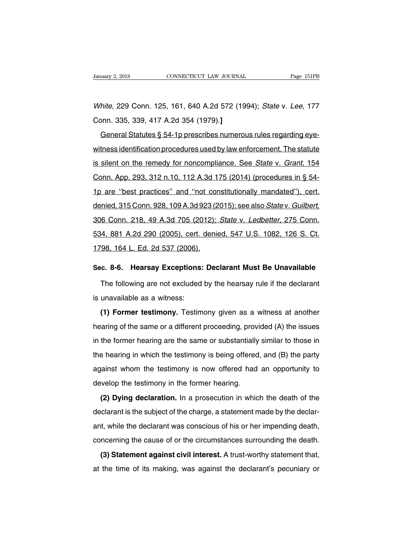Vanuary 2, 2018 CONNECTICUT LAW JOURNAL Page 151PB<br>White, 229 Conn. 125, 161, 640 A.2d 572 (1994); State v. Lee, 177<br>Conn. 335, 339, 417 A.2d 354 (1979).] Example 2, 2018<br>
Connectricut LAW Journal<br>
White, 229 Conn. 125, 161, 640 A.2d 572 (19<br>
Conn. 335, 339, 417 A.2d 354 (1979).**]**<br>
<u>General Statutes § 54-1p prescribes numero</u>

Firite, 229 Conn. 125, 161, 640 A.2d 572 (1994); *State v. Lee*, 177<br>John. 335, 339, 417 A.2d 354 (1979).]<br>General Statutes § 54-1p prescribes numerous rules regarding eye-<br>tness identification procedures used by law enfor White, 229 Conn. 125, 161, 640 A.2d 572 (1994); State v. Lee, 177<br>Conn. 335, 339, 417 A.2d 354 (1979).]<br>General Statutes § 54-1p prescribes numerous rules regarding eye-<br>witness identification procedures used by law enforc France, EES SSM. 125, 131, 313 M. 213 ST2 (1331), State V. 253, 117<br>Conn. 335, 339, 417 A.2d 354 (1979).]<br>General Statutes § 54-1p prescribes numerous rules regarding eye-<br>witness identification procedures used by law enf General Statutes § 54-1p prescribes numerous rules regarding eye-<br>witness identification procedures used by law enforcement. The statute<br>is silent on the remedy for noncompliance. See State v. Grant, 154<br>Conn. App. 293, 31 witness identification procedures used by law enforcement. The statute<br>is silent on the remedy for noncompliance. See *State v. Grant*, 154<br>Conn. App. 293, 312 n.10, 112 A.3d 175 (2014) (procedures in § 54-<br>1p are "best pr denied, 315 Conn. 928, 109 A.3d 923 (2014) (procedures in § 54-<br>denied, 315 Conn. 928, 109 A.3d 175 (2014) (procedures in § 54-<br>denied, 315 Conn. 928, 109 A.3d 923 (2015); see also *Statev. Guilbert*, 306 Conn. 218, 49 A.3 1p are "best practices" and "not constitutionally mandated"), cert.<br>denied, 315 Conn. 928, 109 A.3d 923 (2015); see also *Statev. Guilbert*,<br>306 Conn. 218, 49 A.3d 705 (2012); *Statev. Ledbetter*, 275 Conn.<br>534, 881 A.2d 2 12 denied, 315 Conn. 928, 109 A.3d 923 (2<br>306 Conn. 218, 49 A.3d 705 (2012);<br>534, 881 A.2d 290 (2005), cert. denie<br>1798, 164 L. Ed. 2d 537 (2006). **Sob Conn. 218, 49 A.3d 705 (2012); State v. Ledbetter, 275 Conn.**<br> **534, 881 A.2d 290 (2005), cert. denied, 547 U.S. 1082, 126 S. Ct.**<br> **1798, 164 L. Ed. 2d 537 (2006).**<br> **Sec. 8-6. Hearsay Exceptions: Declarant Must Be U** 14, 881 A.2d 290 (2005), cert. denied, 547 U.S. 1082, 126 S. Ct.<br>198, 164 L. Ed. 2d 537 (2006).<br>198, 164 L. Ed. 2d 537 (2006).<br>The following are not excluded by the hearsay rule if the declarant<br>10. unavailable as a witnes

1798, 164 L. Ed. 2d 537 (2006).<br>Sec. 8-6. Hearsay Exceptions:<br>The following are not excluded<br>is unavailable as a witness:<br>(1) Former testimony. Testim

**(2) Former testimony: The following are not excluded by the hearsay rule if the declarant<br>The following are not excluded by the hearsay rule if the declarant<br>unavailable as a witness:<br><b>(1) Former testimony.** Testimony giv The following are not excluded by the hearsay rule if the declarant<br>is unavailable as a witness:<br>(1) Former testimony. Testimony given as a witness at another<br>hearing of the same or a different proceeding, provided (A) the is unavailable as a witness:<br>
(1) Former testimony. Testimony given as a witness at another<br>
hearing of the same or a different proceeding, provided (A) the issues<br>
in the former hearing are the same or substantially simil (1) Former testimony. Testimony given as a witness at another hearing of the same or a different proceeding, provided (A) the issues in the former hearing are the same or substantially similar to those in the hearing in w hearing of the same or a different proceeding, provided (A) the issues<br>in the former hearing are the same or substantially similar to those in<br>the hearing in which the testimony is being offered, and (B) the party<br>against In the former hearing are the same or substantially<br>the hearing in which the testimony is being offered<br>against whom the testimony is now offered had<br>develop the testimony in the former hearing.<br>(2) Dying declaration. In a **Example 12** and the test of the death of the party<br>
(2) Dying declaration. In a prosecution in which the death of the<br>
clarant is the subject of the charge, a statement made by the declar-

declarant whom the testimony is now offered had an opportunity to<br>develop the testimony in the former hearing.<br>(2) Dying declaration. In a prosecution in which the death of the<br>declarant is the subject of the charge, a st develop the testimony in the former hearing.<br>
(2) Dying declaration. In a prosecution in which the death of the<br>
declarant is the subject of the charge, a statement made by the declar-<br>
ant, while the declarant was conscio (2) Dying declaration. In a prosecution in which the death of the declarant is the subject of the charge, a statement made by the declarant, while the declarant was conscious of his or her impending death, concerning the c **(2) Bying accuration** in a procedulation in which the declarity interest.<br>
In clarant is the subject of the charge, a statement made by the declar-<br> **t**, while the declarant was conscious of his or her impending death,<br> at the time of its making, a statement mastery are determined.<br>ant, while the declarant was conscious of his or her impending death,<br>concerning the cause of or the circumstances surrounding the death.<br>(3) Statement against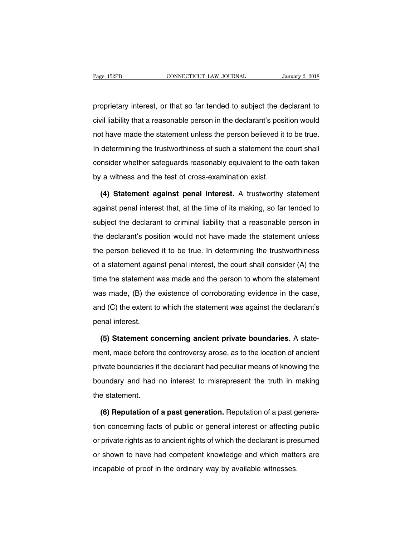Page 152PB CONNECTICUT LAW JOURNAL January 2, 2018<br>proprietary interest, or that so far tended to subject the declarant to<br>civil liability that a reasonable person in the declarant's position would Page 152PB CONNECTICUT LAW JOURNAL January 2, 2018<br>proprietary interest, or that so far tended to subject the declarant to<br>civil liability that a reasonable person in the declarant's position would<br>not have made the statem proprietary interest, or that so far tended to subject the declarant to<br>civil liability that a reasonable person in the declarant's position would<br>not have made the statement unless the person believed it to be true.<br>In de proprietary interest, or that so far tended to subject the declarant to<br>civil liability that a reasonable person in the declarant's position would<br>not have made the statement unless the person believed it to be true.<br>In de propriodary interest, or that so far tended to subject the declarant to<br>civil liability that a reasonable person in the declarant's position would<br>not have made the statement unless the person believed it to be true.<br>In de by a with the test of cross-examination existence it<br>in determining the trustworthiness of such a statement the<br>consider whether safeguards reasonably equivalent to the d<br>by a witness and the test of cross-examination exis determining the trustworthiness of such a statement the court shall<br>msider whether safeguards reasonably equivalent to the oath taken<br>a witness and the test of cross-examination exist.<br>(4) Statement against penal interest.

consider whether safeguards reasonably equivalent to the oath taken<br>by a witness and the test of cross-examination exist.<br>(4) Statement against penal interest. A trustworthy statement<br>against penal interest that, at the ti by a witness and the test of cross-examination exist.<br>
(4) Statement against penal interest. A trustworthy statement<br>
against penal interest that, at the time of its making, so far tended to<br>
subject the declarant to crimi (4) Statement against penal interest. A trustworthy statement against penal interest that, at the time of its making, so far tended to subject the declarant to criminal liability that a reasonable person in the declarant's against penal interest that, at the time of its making, so far tended to subject the declarant to criminal liability that a reasonable person in the declarant's position would not have made the statement unless the person subject the declarant to criminal liability that a reasonable person in<br>the declarant's position would not have made the statement unless<br>the person believed it to be true. In determining the trustworthiness<br>of a statement the declarant's position would not have made the statement unless<br>the person believed it to be true. In determining the trustworthiness<br>of a statement against penal interest, the court shall consider (A) the<br>time the state the person believed it to be true. In determining the trustworthiness<br>of a statement against penal interest, the court shall consider (A) the<br>time the statement was made and the person to whom the statement<br>was made, (B) t and for a statement against penal interest, the court shall consider (A) the time the statement was made and the person to whom the statement was made, (B) the existence of corroborating evidence in the case, and (C) the e time the statement v<br>was made, (B) the<br>and (C) the extent to<br>penal interest.<br>(5) Statement co A made, (B) the existence of corroborating evidence in the case,<br>
d (C) the extent to which the statement was against the declarant's<br>
rnal interest.<br> **(5) Statement concerning ancient private boundaries.** A state-<br>
ent, m

and (C) the extent to which the statement was against the declarant's<br>penal interest.<br>(5) Statement concerning ancient private boundaries. A state-<br>ment, made before the controversy arose, as to the location of ancient<br>pri penal interest.<br>
(5) Statement concerning ancient private boundaries. A state-<br>
ment, made before the controversy arose, as to the location of ancient<br>
private boundaries if the declarant had peculiar means of knowing the<br> (5) Statement concerning ancient private boundaries. A statement, made before the controversy arose, as to the location of ancient private boundaries if the declarant had peculiar means of knowing the boundary and had no i (c) datement de<br>ment, made before t<br>private boundaries if<br>boundary and had<br>the statement.<br>(6) Reputation of Fivate boundaries if the declarant had peculiar means of knowing the<br>
undary and had no interest to misrepresent the truth in making<br>
a statement.<br> **(6) Reputation of a past generation.** Reputation of a past genera-<br>
n con

boundary and had no interest to misrepresent the truth in making<br>the statement.<br>(6) Reputation of a past generation. Reputation of a past genera-<br>tion concerning facts of public or general interest or affecting public<br>or p the statement.<br>
(6) Reputation of a past generation. Reputation of a past genera-<br>
tion concerning facts of public or general interest or affecting public<br>
or private rights as to ancient rights of which the declarant is p (6) Reputation of a past generation. Reputation of a past generation concerning facts of public or general interest or affecting public or private rights as to ancient rights of which the declarant is presumed or shown to (c) reparation of a pact generation. Hepataton of a pact g<br>tion concerning facts of public or general interest or affecting<br>or private rights as to ancient rights of which the declarant is pre-<br>or shown to have had compete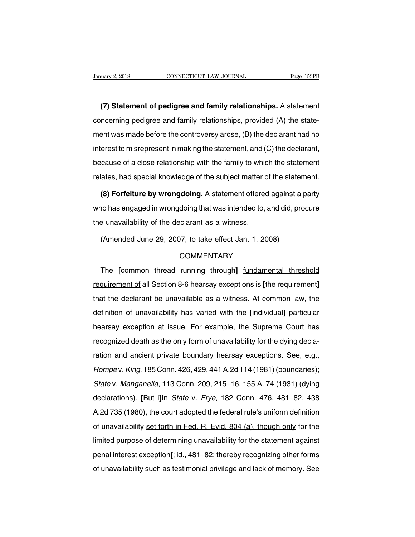**(7) Statement of pedigree and family relationships.** A statement CONNECTICUT LAW JOURNAL Page 153PB<br>
(7) Statement of pedigree and family relationships. A statement<br>
concerning pedigree and family relationships, provided (A) the state-<br>
ment was made before the controversy arose, (B) th (7) Statement of pedigree and family relationships. A statement<br>concerning pedigree and family relationships, provided (A) the state-<br>ment was made before the controversy arose, (B) the declarant had no<br>interest to misrepr (7) Statement of pedigree and family relationships. A statement concerning pedigree and family relationships, provided (A) the statement was made before the controversy arose, (B) the declarant had no interest to misrepre concerning pedigree and family relationships, provided (A) the state-<br>ment was made before the controversy arose, (B) the declarant had no<br>interest to misrepresent in making the statement, and (C) the declarant,<br>because of relates made before the controversy arose, (B) the declarant had no<br>interest to misrepresent in making the statement, and (C) the declarant,<br>because of a close relationship with the family to which the statement<br>relates, h Forest to misrepresent in making the statement, and (C) the declarant,<br>cause of a close relationship with the family to which the statement<br>lates, had special knowledge of the subject matter of the statement.<br>**(8) Forfeitu** 

because of a close relationship with the family to which the statement<br>relates, had special knowledge of the subject matter of the statement.<br>(8) Forfeiture by wrongdoing. A statement offered against a party<br>who has engage relates, had special knowledge of the subject matter c<br>
(8) Forfeiture by wrongdoing. A statement offered<br>
who has engaged in wrongdoing that was intended to,<br>
the unavailability of the declarant as a witness.<br>
(Amended Ju (8) Forfeiture by wrongdoing. A statement offered against a party<br>who has engaged in wrongdoing that was intended to, and did, procure<br>the unavailability of the declarant as a witness.<br>(Amended June 29, 2007, to take effe

# **COMMENTARY**

e unavailability of the declarant as a witness.<br>
(Amended June 29, 2007, to take effect Jan. 1, 2008)<br>
COMMENTARY<br>
The [common thread running through] <u>fundamental threshold</u><br>
quirement of all Section 8-6 hearsay exception (Amended June 29, 2007, to take effect Jan. 1, 2008)<br>
COMMENTARY<br>
The [common thread running through] <u>fundamental threshold</u><br>
requirement of all Section 8-6 hearsay exceptions is [the requirement]<br>
that the declarant be u COMMENTARY<br>The [common thread running through] fundamental threshold<br>requirement of all Section 8-6 hearsay exceptions is [the requirement]<br>that the declarant be unavailable as a witness. At common law, the<br>definition of u The [common thread running through] <u>fundamental threshold</u><br>requirement of all Section 8-6 hearsay exceptions is [the requirement]<br>that the declarant be unavailable as a witness. At common law, the<br>definition of unavailabi requirement of all Section 8-6 hearsay exceptions is [the requirement]<br>that the declarant be unavailable as a witness. At common law, the<br>definition of unavailability has varied with the [individual] particular<br>hearsay exc requirement of an economic or nearedy exceptions is the requirement,<br>that the declarant be unavailabile as a witness. At common law, the<br>definition of unavailability has varied with the [individual] particular<br>hearsay exce ration of unavailability has varied with the [individual] particular<br>hearsay exception at issue. For example, the Supreme Court has<br>recognized death as the only form of unavailability for the dying decla-<br>ration and ancien Rearsay exception at issue. For example, the Supreme Court has<br>recognized death as the only form of unavailability for the dying decla-<br>ration and ancient private boundary hearsay exceptions. See, e.g.,<br>Rompev. King, 185 C recognized death as the only form of unavailability for the dying decla-<br>ration and ancient private boundary hearsay exceptions. See, e.g.,<br>Rompev. King, 185 Conn. 426, 429, 441 A.2d 114 (1981) (boundaries);<br>State v. Manga ration and ancient private boundary hearsay exceptions. See, e.g.,<br> *Rompev. King*, 185 Conn. 426, 429, 441 A.2d 114 (1981) (boundaries);<br> *State v. Manganella*, 113 Conn. 209, 215–16, 155 A. 74 (1931) (dying<br>
declarations Rompe v. King, 185 Conn. 426, 429, 441 A.2d 114 (1981) (boundaries);<br>State v. Manganella, 113 Conn. 209, 215–16, 155 A. 74 (1931) (dying<br>declarations). [But i]ln State v. Frye, 182 Conn. 476,  $\frac{481-82}{438}$ , 438<br>A.2d 73 State v. Manganella, 113 Conn. 209, 215–16, 155 A. 74 (1931) (dying<br>declarations). [But i]ln State v. Frye, 182 Conn. 476, 481–82, 438<br>A.2d 735 (1980), the court adopted the federal rule's <u>uniform</u> definition<br>of unavailab declarations). [But i]ln *State* v. *Frye*, 182 Conn. 476, 481–82, 438<br>A.2d 735 (1980), the court adopted the federal rule's <u>uniform</u> definition<br>of unavailability <u>set forth in Fed. R. Evid. 804 (a), though only</u> for the<br> accolariations): [Bat r<sub>ight</sub> clate v: 77yc, 102 comit: 179, <u>181 02;</u> 106<br>A.2d 735 (1980), the court adopted the federal rule's <u>uniform</u> definition<br>of unavailability <u>set forth in Fed. R. Evid. 804 (a), though only</u> for of unavailability set forth in Fed. R. Evid. 804 (a), though only for the limited purpose of determining unavailability for the statement against penal interest exception[; id., 481–82; thereby recognizing other forms of u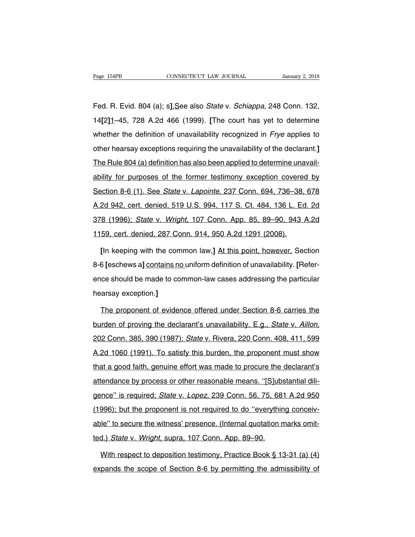Page 154PB<br>Fed. R. Evid. 804 (a); s<u>].S</u>ee also *State* v. *Schiappa*, 248 Conn. 132,<br>14[2]1–45, 728 A.2d 466 (1999). [The court has yet to determine Page 154PB CONNECTICUT LAW JOURNAL January 2, 2018<br>
Fed. R. Evid. 804 (a); s].See also *State v. Schiappa*, 248 Conn. 132,<br>
14[2]1–45, 728 A.2d 466 (1999). [The court has yet to determine<br>
whether the definition of unavail Fed. R. Evid. 804 (a); s].See also *State v. Schiappa*, 248 Conn. 132,<br>14[2]1–45, 728 A.2d 466 (1999). [The court has yet to determine<br>whether the definition of unavailability recognized in *Frye* applies to<br>other hearsay Fed. R. Evid. 804 (a); s<u>].S</u>ee also *State* v. *Schiappa*, 248 Conn. 132,<br>14[2]1–45, 728 A.2d 466 (1999). [The court has yet to determine<br>whether the definition of unavailability recognized in *Frye* applies to<br>other hear 14[2]1-45, 728 A.2d 466 (1999). [The court has yet to determine<br>whether the definition of unavailability recognized in *Frye* applies to<br>other hearsay exceptions requiring the unavailability of the declarant.]<br>The Rule 80 whether the definition of unavailability recognized in *Frye* applies to other hearsay exceptions requiring the unavailability of the declarant.]<br>The Rule 804 (a) definition has also been applied to determine unavailabili other hearsay exceptions requiring the unavailability of the declarant.]<br>The Rule 804 (a) definition has also been applied to determine unavail-<br>ability for purposes of the former testimony exception covered by<br>Section 8-6 The Rule 804 (a) definition has also been applied to determine unavailability for purposes of the former testimony exception covered by Section 8-6 (1). See *State v. Lapointe*, 237 Conn. 694, 736–38, 678 A.2d 942, cert. d ability for purposes of the former testimony exception covered by<br>Section 8-6 (1). See *State* v. *Lapointe*, 237 Conn. 694, 736–38, 678<br>A.2d 942, cert. denied, 519 U.S. 994, 117 S. Ct. 484, 136 L. Ed. 2d<br>378 (1996); *Stat* Section 8-6 (1). See *State v. Lapointe*, 237 Conn. 694, 736–38, A.2d 942, cert. denied, 519 U.S. 994, 117 S. Ct. 484, 136 L. Ed<br>378 (1996); *State v. Wright*, 107 Conn. App. 85, 89–90, 943, 1159, cert. denied, 287 Conn. 9 2d 942, cert. denied, 519 U.S. 994, 117 S. Ct. 484, 136 L. Ed. 2d<br>
8 (1996); *State* v. *Wright*, 107 Conn. App. 85, 89–90, 943 A.2d<br>
59, cert. denied, 287 Conn. 914, 950 A.2d 1291 (2008).<br>
[In keeping with the common law

878 (1996); *State v. Wright*, 107 Conn. App. 85, 89–90, 943 A.2d<br>
1159, cert. denied, 287 Conn. 914, 950 A.2d 1291 (2008).<br>
[In keeping with the common law,] At this point, however, Section<br>
8-6 [eschews a] **contains no u** 1159, cert. denied, 287 Conn. 914, 950 A.2d 1291 (2008).<br>
[In keeping with the common law,] At this point, however, Section<br>
8-6 [eschews a] contains no uniform definition of unavailability. [Refer-<br>
ence should be made to [In keeping with the com<br>8-6 [eschews a] contains ne<br>ence should be made to co<br>hearsay exception.]<br>The proponent of evider 6 [eschews a] contains no uniform definition of unavailability. [Refer-<br>ce should be made to common-law cases addressing the particular<br>arsay exception.]<br>The proponent of evidence offered under Section 8-6 carries the<br>irde

burden of proving the declarant's unavailability. E.g., State v. Aillon, 202 Conn. 385, 390 (1987); State v. Rivera, 220 Conn. 408, 411, 599<br>A.2d 1060 (1991). To satisfy this burden, the proponent must show The proponent of evidence offered under Section 8-6 carries the<br>burden of proving the declarant's unavailability. E.g., *State v. Aillon*,<br>202 Conn. 385, 390 (1987); *State v.* Rivera, 220 Conn. 408, 411, 599<br>A.2d 1060 (19 that a good faith, genuine effort was made to procure the declarant and and all burden of proving the declarant's unavailability. E.g., *State v. Aillon*, 202 Conn. 385, 390 (1987); *State v. Rivera, 220 Conn. 408, 411, 59* atter or proving the decident controlled introducting. Eigit class of the reason and all all all all all all a<br>
A. 2d 1060 (1991). To satisfy this burden, the proponent must show<br>
that a good faith, genuine effort was made A.2d 1060 (1991). To satisfy this burden, the proponent must show<br>that a good faith, genuine effort was made to procure the declarant's<br>attendance by process or other reasonable means. "[S]ubstantial dili-<br>gence" is requir that a good faith, genuine effort was made to procure the declarant's<br>attendance by process or other reasonable means. "[S]ubstantial dili-<br>gence" is required; *State v. Lopez*, 239 Conn. 56, 75, 681 A.2d 950<br>(1996); but t able to secure the reasonable means. "[S]ubstantial diligence" is required; *State v. Lopez*, 239 Conn. 56, 75, 681 A.2d 950<br>(1996); but the proponent is not required to do "everything conceivable" to secure the witness' p gence" is required; *State v. Lopez*, 239 Conn. 56, 75, 68<br>(1996); but the proponent is not required to do "everythine<br>able" to secure the witness' presence. (Internal quotation r<br>ted.) *State v. Wright*, supra, 107 Conn. 996); but the proponent is not required to do "everything conceiv-<br>le" to secure the witness' presence. (Internal quotation marks omit-<br>d.) State v. Wright, supra, 107 Conn. App. 89–90.<br>With respect to deposition testimony able" to secure the witness' presence. (Internal quotation marks omitted.) State v. Wright, supra, 107 Conn. App. 89–90.<br>With respect to deposition testimony, Practice Book § 13-31 (a) (4)<br>expands the scope of Section 8-6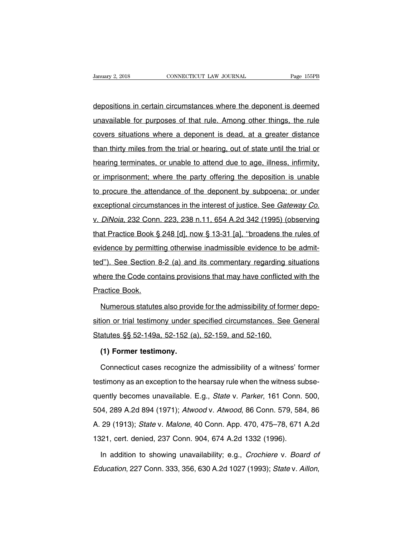Danuary 2, 2018 CONNECTICUT LAW JOURNAL Page 155PB<br>
depositions in certain circumstances where the deponent is deemed<br>
unavailable for purposes of that rule. Among other things, the rule Unauary 2, 2018 CONNECTICUT LAW JOURNAL Page 155PB<br>
depositions in certain circumstances where the deponent is deemed<br>
unavailable for purposes of that rule. Among other things, the rule<br>
covers situations where a deponent depositions in certain circumstances where the deponent is deemed<br>unavailable for purposes of that rule. Among other things, the rule<br>covers situations where a deponent is dead, at a greater distance<br>than thirty miles from depositions in certain circumstances where the deponent is deemed<br>unavailable for purposes of that rule. Among other things, the rule<br>covers situations where a deponent is dead, at a greater distance<br>than thirty miles from unavailable for purposes of that rule. Among other things, the rule<br>covers situations where a deponent is dead, at a greater distance<br>than thirty miles from the trial or hearing, out of state until the trial or<br>hearing ter covers situations where a deponent is dead, at a greater distance<br>than thirty miles from the trial or hearing, out of state until the trial or<br>hearing terminates, or unable to attend due to age, illness, infirmity,<br>or impr than thirty miles from the trial or hearing, out of state until the trial or hearing terminates, or unable to attend due to age, illness, infirmity, or imprisonment; where the party offering the deposition is unable to pro hearing terminates, or unable to attend due to age, illness, infirmity, or imprisonment; where the party offering the deposition is unable to procure the attendance of the deponent by subpoena; or under exceptional circums it is a matrix of the party offering the deposition is unable<br>to procure the attendance of the deponent by subpoena; or under<br>exceptional circumstances in the interest of justice. See *Gateway Co.*<br>v. *DiNoia*, 232 Conn. 2 to procure the attendance of the deponent by subpoena; or under<br>exceptional circumstances in the interest of justice. See *Gateway Co.*<br>v. *DiNoia*, 232 Conn. 223, 238 n.11, 654 A.2d 342 (1995) (observing<br>that Practice Boo exceptional circumstance of the dependent by edsporting or and<br>exceptional circumstances in the interest of justice. See *Gateway Co.*<br>v. *DiNoia*, 232 Conn. 223, 238 n.11, 654 A.2d 342 (1995) (observing<br>that Practice Book v. DiNoia, 232 Conn. 223, 238 n.11, 654 A.2d 342 (1995) (observing<br>that Practice Book § 248 [d], now § 13-31 [a], "broadens the rules of<br>evidence by permitting otherwise inadmissible evidence to be admit-<br>ted"). See Sectio that Practice Book § 248 [d], now § 13-31 [a], "broadens the rules of evidence by permitting otherwise inadmissible evidence to be admitted"). See Section 8-2 (a) and its commentary regarding situations where the Code con evidence by permitti<br>
evidence by permitti<br>
ted"). See Section &<br>
where the Code cont<br>
Practice Book.<br>
Numerous statute: 1"). See Section 8-2 (a) and its commentary regarding situations<br>nere the Code contains provisions that may have conflicted with the<br>actice Book.<br>Numerous statutes also provide for the admissibility of former depo-<br>ion or

where the Code contains provisions that may have conflicted with the<br>Practice Book.<br>Numerous statutes also provide for the admissibility of former depo-<br>sition or trial testimony under specified circumstances. See General<br> Practice Book.<br>
Numerous statutes also provide for the admissibility of form<br>
sition or trial testimony under specified circumstances. See<br>
Statutes §§ 52-149a, 52-152 (a), 52-159, and 52-160.<br>
(1) Former testimony. **Mumerous statutes also proviolion or trial testimony under s<br>atutes §§ 52-149a, 52-152 (a<br>(1) Former testimony.**<br>Connecticut cases recognize ion or trial testimony under specified circumstances. See General<br>atutes §§ 52-149a, 52-152 (a), 52-159, and 52-160.<br>(1) Former testimony.<br>Connecticut cases recognize the admissibility of a witness' former<br>stimony as an ex

Statutes §§ 52-149a, 52-152 (a), 52-159, and 52-160.<br>
(1) Former testimony.<br>
Connecticut cases recognize the admissibility of a witness' former<br>
testimony as an exception to the hearsay rule when the witness subse-<br>
quentl (1) Former testimony.<br>
Connecticut cases recognize the admissibility of a witness' former<br>
testimony as an exception to the hearsay rule when the witness subse-<br>
quently becomes unavailable. E.g., *State v. Parker*, 161 C Connecticut cases recognize the admissibility of a witness' former<br>testimony as an exception to the hearsay rule when the witness subse-<br>quently becomes unavailable. E.g., *State v. Parker*, 161 Conn. 500,<br>504, 289 A.2d 89 Elestimony as an exception to the hearsay rule when the witness subsequently becomes unavailable. E.g., *State v. Parker*, 161 Conn. 500, 504, 289 A.2d 894 (1971); *Atwood v. Atwood*, 86 Conn. 579, 584, 86 A. 29 (1913); *S* testimony as an exception to the hearsay rule when the witness subse-<br>quently becomes unavailable. E.g., *State v. Parker*, 161 Conn. 500,<br>504, 289 A.2d 894 (1971); *Atwood v. Atwood*, 86 Conn. 579, 584, 86<br>A. 29 (1913); 1, 289 A.2d 894 (1971); Atwood v. Atwood, 86 Conn. 579, 584, 86<br>29 (1913); State v. Malone, 40 Conn. App. 470, 475–78, 671 A.2d<br>121, cert. denied, 237 Conn. 904, 674 A.2d 1332 (1996).<br>In addition to showing unavailability; A. 29 (1913); *State v. Malone*, 40 Conn. App. 470, 475–78, 671 A.2d 1321, cert. denied, 237 Conn. 904, 674 A.2d 1332 (1996).<br>In addition to showing unavailability; e.g., *Crochiere v. Board of Education*, 227 Conn. 333, 3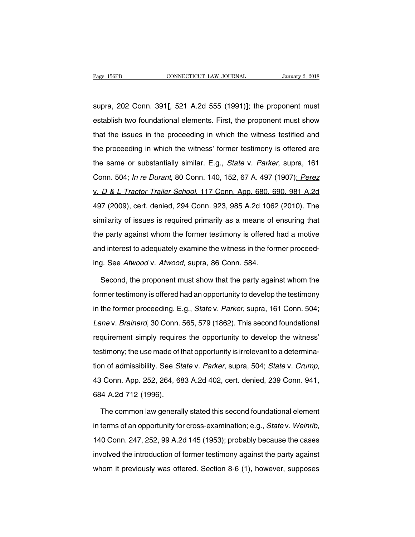supra, 202 Conn. 391**[**, 521 A.2d 555 (1991)**]**; the proponent must Page 156PB CONNECTICUT LAW JOURNAL January 2, 2018<br>
Supra, 202 Conn. 391[, 521 A.2d 555 (1991)]; the proponent must<br>
establish two foundational elements. First, the proponent must show<br>
that the issues in the proceeding in supra, 202 Conn. 391[, 521 A.2d 555 (1991)]; the proponent must<br>establish two foundational elements. First, the proponent must show<br>that the issues in the proceeding in which the witness testified and<br>the proceeding in whi supra, 202 Conn. 391[, 521 A.2d 555 (1991)]; the proponent must<br>establish two foundational elements. First, the proponent must show<br>that the issues in the proceeding in which the witness testified and<br>the proceeding in whi establish two foundational elements. First, the proponent must show<br>that the issues in the proceeding in which the witness testified and<br>the proceeding in which the witness' former testimony is offered are<br>the same or subs that the issues in the proceeding in which the witness testified and<br>the proceeding in which the witness' former testimony is offered are<br>the same or substantially similar. E.g., *State v. Parker*, supra, 161<br>Conn. 504; *I* the proceeding in which the witness' former testimony is offered are<br>the same or substantially similar. E.g., *State v. Parker*, supra, 161<br>Conn. 504; *In re Durant*, 80 Conn. 140, 152, 67 A. 497 (1907); *Perez*<br>v. *D & L* the same or substantially similar. E.g., *State v. Parker*, supra, 161<br>Conn. 504; *In re Durant*, 80 Conn. 140, 152, 67 A. 497 (1907); *Perez*<br>v. *D & L Tractor Trailer School*, 117 Conn. App. 680, 690, 981 A.2d<br>497 (2009) similarity of issues is required primarily as a means of ensuring that Donn. 504; *In re Durant*, 80 Conn. 140, 152, 67 A. 497 (1907); *Perez* v. *D & L Tractor Trailer School*, 117 Conn. App. 680, 690, 981 A.2d 497 (2009) v. *D & L Tractor Trailer School*, 117 Conn. App. 680, 690, 981 A.2d<br>497 (2009), cert. denied, 294 Conn. 923, 985 A.2d 1062 (2010). The<br>similarity of issues is required primarily as a means of ensuring that<br>the party again and interest to adequately examine to a means of ensuring the similarity of issues is required primarily as a means of ensuring that the party against whom the former testimony is offered had a motive and interest to adequ similarity of issues is required primarily as a means of d<br>the party against whom the former testimony is offered<br>and interest to adequately examine the witness in the form<br>ing. See Atwood v. Atwood, supra, 86 Conn. 584.<br>S Frequency against whom the former testimony is offered had a motive<br>d interest to adequately examine the witness in the former proceed-<br>J. See Atwood v. Atwood, supra, 86 Conn. 584.<br>Second, the proponent must show that the

and interest to adequately examine the witness in the former proceed-<br>ing. See Atwood v. Atwood, supra, 86 Conn. 584.<br>Second, the proponent must show that the party against whom the<br>former testimony is offered had an oppor ing. See Atwood v. Atwood, supra, 86 Conn. 584.<br>Second, the proponent must show that the party against whom the<br>former testimony is offered had an opportunity to develop the testimony<br>in the former proceeding. E.g., *State* Second, the proponent must show that the party against whom the<br>former testimony is offered had an opportunity to develop the testimony<br>in the former proceeding. E.g., *State v. Parker*, supra, 161 Conn. 504;<br>*Lane v. Brai* former testimony is offered had an opportunity to develop the testimony<br>in the former proceeding. E.g., *State v. Parker*, supra, 161 Conn. 504;<br>Lane v. *Brainerd*, 30 Conn. 565, 579 (1862). This second foundational<br>requir testimony; the use made of that opportunity is determined to the form and the former proceeding. E.g., *State v. Parker*, supra, 161 Conn. 504; Lane v. *Brainerd*, 30 Conn. 565, 579 (1862). This second foundational require tion of admissibility. See State v. Parker, supple, 101 Committed, 1, Lane v. Brainerd, 30 Conn. 565, 579 (1862). This second foundational requirement simply requires the opportunity to develop the witness' testimony; the requirement simply requires the opportunity to develop the witness'<br>testimony; the use made of that opportunity is irrelevant to a determina-<br>tion of admissibility. See *State v. Parker*, supra, 504; *State v. Crump*,<br>43 C n of admissibility. See *State* v. *Parker*, supra, 504; *State* v. *Crump*,<br>i Conn. App. 252, 264, 683 A.2d 402, cert. denied, 239 Conn. 941,<br>i4 A.2d 712 (1996).<br>The common law generally stated this second foundational el

in terms of an opportunity for cross-examination; e.g., State v. Weinrib,<br>The common law generally stated this second foundational element<br>in terms of an opportunity for cross-examination; e.g., State v. Weinrib,<br>140 Conn. The common law generally stated this second foundational element<br>in terms of an opportunity for cross-examination; e.g., *State* v. Weinrib,<br>140 Conn. 247, 252, 99 A.2d 145 (1953); probably because the cases<br>involved the i in terms of an opportunity for cross-examination; e.g., *State v. Weinrib*, 140 Conn. 247, 252, 99 A.2d 145 (1953); probably because the cases involved the introduction of former testimony against the party against whom it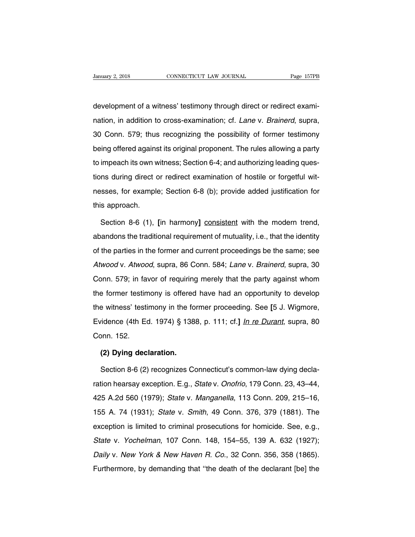January 2, 2018 CONNECTICUT LAW JOURNAL<br>development of a witness' testimony through direct or redirect exami-<br>nation, in addition to cross-examination; cf. *Lane* v. *Brainerd*, supra, Danuary 2, 2018 CONNECTICUT LAW JOURNAL Page 157PB<br>development of a witness' testimony through direct or redirect exami-<br>nation, in addition to cross-examination; cf. *Lane* v. *Brainerd*, supra,<br>30 Conn. 579; thus recogni development of a witness' testimony through direct or redirect exami-<br>nation, in addition to cross-examination; cf. *Lane* v. *Brainerd*, supra,<br>30 Conn. 579; thus recognizing the possibility of former testimony<br>being offe development of a witness' testimony through direct or redirect exami-<br>nation, in addition to cross-examination; cf. *Lane* v. *Brainerd*, supra,<br>30 Conn. 579; thus recognizing the possibility of former testimony<br>being offe to impeach its own witness; Section 6-4; and authorizing leading ques-<br>tions down. 579; thus recognizing the possibility of former testimony<br>being offered against its original proponent. The rules allowing a party<br>to impea tions during direct or redirect examination, or the rules allowing direct, supra,<br>30 Conn. 579; thus recognizing the possibility of former testimony<br>being offered against its original proponent. The rules allowing a party<br> being offered against its original proponent. The rules allowing a party<br>to impeach its own witness; Section 6-4; and authorizing leading ques-<br>tions during direct or redirect examination of hostile or forgetful wit-<br>nesse to impeach its own w<br>tions during direct c<br>nesses, for example<br>this approach.<br>Section 8-6 (1). In the during direct or redirect examination of hostile or forgetful wit-<br>sses, for example; Section 6-8 (b); provide added justification for<br>Section 8-6 (1), [in harmony] consistent with the modern trend,<br>andons the tradi

messes, for example; Section 6-8 (b); provide added justification for<br>this approach.<br>Section 8-6 (1), [in harmony] <u>consistent</u> with the modern trend,<br>abandons the traditional requirement of mutuality, i.e., that the ident this approach.<br>Section 8-6 (1), [in harmony] consistent with the modern trend,<br>abandons the traditional requirement of mutuality, i.e., that the identity<br>of the parties in the former and current proceedings be the same; se Section 8-6 (1), [in harmony] <u>consistent</u> with the modern trend,<br>abandons the traditional requirement of mutuality, i.e., that the identity<br>of the parties in the former and current proceedings be the same; see<br>Atwood v. A abandons the traditional requirement of mutuality, i.e., that the identity<br>of the parties in the former and current proceedings be the same; see<br>Atwood v. Atwood, supra, 86 Conn. 584; Lane v. Brainerd, supra, 30<br>Conn. 579; of the parties in the former and current proceedings be the same; see<br>Atwood v. Atwood, supra, 86 Conn. 584; Lane v. Brainerd, supra, 30<br>Conn. 579; in favor of requiring merely that the party against whom<br>the former testim Atwood v. Atwood, supra, 86 Conn. 584; Lane v. Brainerd, supra, 30 Conn. 579; in favor of requiring merely that the party against whom the former testimony is offered have had an opportunity to develop the witness' testimo Eximeted v. 2 Interest, eaply, etc. 21. Each v. 21. Early against whom<br>the former testimony is offered have had an opportunity to develop<br>the witness' testimony in the former proceeding. See [5 J. Wigmore,<br>Evidence (4th Ed the former testin<br>the witness' testin<br>Evidence (4th Edonn. 152.<br>(2) Dvina dec Formal and the formal and the formal densinguine the formal of the formal pair of the song the Section 8-6 (2) recognizes  $\Omega$ vidence (4th Ed. 1974) § 1388, p. 111; cf.] <u>In re Durant</u>, supra, 80<br>pnn. 152.<br>**(2) Dying declaration.**<br>Section 8-6 (2) recognizes Connecticut's common-law dying decla-<br>tion hearsay exception. E.g., *State* v. *Onofrio*,

Conn. 152.<br>
(2) Dying declaration.<br>
Section 8-6 (2) recognizes Connecticut's common-law dying decla-<br>
ration hearsay exception. E.g., State v. Onofrio, 179 Conn. 23, 43–44,<br>
425 A.2d 560 (1979); State v. Manganella, 113 Co (2) Dying declaration.<br>
Section 8-6 (2) recognizes Connecticut's common-law dying decla-<br>
ration hearsay exception. E.g., *State v. Onofrio*, 179 Conn. 23, 43–44,<br>
425 A.2d 560 (1979); *State v. Manganella*, 113 Conn. 209, Section 8-6 (2) recognizes Connecticut's common-law dying decla-<br>ration hearsay exception. E.g., *State v. Onofrio*, 179 Conn. 23, 43–44,<br>425 A.2d 560 (1979); *State v. Manganella*, 113 Conn. 209, 215–16,<br>155 A. 74 (1931); ration hearsay exception. E.g., *State v. Onofrio*, 179 Conn. 23, 43–44, 425 A.2d 560 (1979); *State v. Manganella*, 113 Conn. 209, 215–16, 155 A. 74 (1931); *State v. Smith*, 49 Conn. 376, 379 (1881). The exception is li Alternology exception: E.g., clate v. Cheme, 113 Conn. 209, 215–16, 425 A.2d 560 (1979); *State v. Smith*, 49 Conn. 376, 379 (1881). The exception is limited to criminal prosecutions for homicide. See, e.g., *State v. Yoch* 155 A. 74 (1931); *State v. Smith*, 49 Conn. 376, 379 (1881). The exception is limited to criminal prosecutions for homicide. See, e.g., *State v. Yochelman*, 107 Conn. 148, 154–55, 139 A. 632 (1927); *Daily v. New York &* Exception is limited to criminal prosecutions for homicide. See, e.g., State v. Yochelman, 107 Conn. 148, 154–55, 139 A. 632 (1927); Daily v. New York & New Haven R. Co., 32 Conn. 356, 358 (1865). Furthermore, by demandin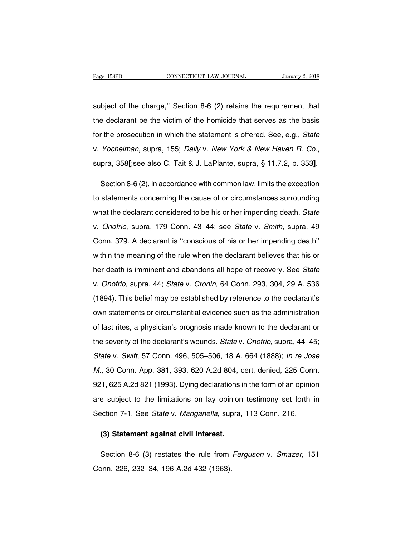Page 158PB<br>
Subject of the charge,'' Section 8-6 (2) retains the requirement that<br>
the declarant be the victim of the homicide that serves as the basis Fage 158PB CONNECTICUT LAW JOURNAL January 2, 2018<br>subject of the charge," Section 8-6 (2) retains the requirement that<br>the declarant be the victim of the homicide that serves as the basis<br>for the prosecution in which the subject of the charge," Section 8-6 (2) retains the requirement that<br>the declarant be the victim of the homicide that serves as the basis<br>for the prosecution in which the statement is offered. See, e.g., State<br>v. Yochelman subject of the charge," Section 8-6 (2) retains the requirement that<br>the declarant be the victim of the homicide that serves as the basis<br>for the prosecution in which the statement is offered. See, e.g., *State*<br>v. *Yochel* 

v. Yochelman, supra, 155; Daily v. New York & New Haven R. Co.,<br>supra, 358[;see also C. Tait & J. LaPlante, supra, § 11.7.2, p. 353].<br>Section 8-6 (2), in accordance with common law, limits the exception<br>to statements conce supra, 358[;see also C. Tait & J. LaPlante, supra, § 11.7.2, p. 353].<br>Section 8-6 (2), in accordance with common law, limits the exception<br>to statements concerning the cause of or circumstances surrounding<br>what the declara Section 8-6 (2), in accordance with common law, limits the exception<br>to statements concerning the cause of or circumstances surrounding<br>what the declarant considered to be his or her impending death. State<br>v. Onofrio, supr to statements concerning the cause of or circumstances surrounding<br>what the declarant considered to be his or her impending death. State<br>v. Onofrio, supra, 179 Conn. 43–44; see State v. Smith, supra, 49<br>Conn. 379. A decla what the declarant considered to be his or her impending death. State<br>v. Onofrio, supra, 179 Conn. 43–44; see State v. Smith, supra, 49<br>Conn. 379. A declarant is "conscious of his or her impending death"<br>within the meaning what the destatant censtations to some of thet imperiality death is take<br>v. Onofrio, supra, 179 Conn. 43–44; see State v. Smith, supra, 49<br>Conn. 379. A declarant is "conscious of his or her impending death"<br>within the mean v. Onom. 379. A declarant is "conscious of his or her impending death"<br>within the meaning of the rule when the declarant believes that his or<br>her death is imminent and abandons all hope of recovery. See State<br>v. Onofrio, s within the meaning of the rule when the declarant believes that his or<br>her death is imminent and abandons all hope of recovery. See *State*<br>v. *Onofrio*, supra, 44; *State* v. *Cronin*, 64 Conn. 293, 304, 29 A. 536<br>(1894). on the death is imminent and abandons all hope of recovery. See State<br>v. Onofrio, supra, 44; State v. Cronin, 64 Conn. 293, 304, 29 A. 536<br>(1894). This belief may be established by reference to the declarant's<br>own statemen of last rite summand and additionate an inspect recession, example on the declaration.<br>
(1894). This belief may be established by reference to the declarant's<br>
own statements or circumstantial evidence such as the administ (1894). This belief may be established by reference to the declarant's own statements or circumstantial evidence such as the administration of last rites, a physician's prognosis made known to the declarant or the severit own statements or circumstantial evidence such as the administration<br>of last rites, a physician's prognosis made known to the declarant or<br>the severity of the declarant's wounds. *State v. Onofrio*, supra, 44–45;<br>*State v.* of last rites, a physician's prognosis made known to the declarant or<br>the severity of the declarant's wounds. *State v. Onofrio*, supra, 44–45;<br>*State v. Swift*, 57 Conn. 496, 505–506, 18 A. 664 (1888); *In re Jose*<br>*M.*, the severity of the declarant's wounds. *State v. Onofrio*, supra, 44–45;<br>*State v. Swift*, 57 Conn. 496, 505–506, 18 A. 664 (1888); *In re Jose M.*, 30 Conn. App. 381, 393, 620 A.2d 804, cert. denied, 225 Conn.<br>921, 625 A State v. Swift, 57 Conn. 496, 505–506, 18 A. 664 (1888); *In re Jose M.*, 30 Conn. App. 381, 393, 620 A.2d 804, cert. denied, 225 Conn. 921, 625 A.2d 821 (1993). Dying declarations in the form of an opinion are subject to M., 30 Conn. App. 381, 393, 620 A.2d 804, cert. denied, 225 Conn.<br>921, 625 A.2d 821 (1993). Dying declarations in the form of an opinio<br>are subject to the limitations on lay opinion testimony set forth i<br>Section 7-1. See S 1, 625 A.2d 821 (1993). Dying declarations is<br>
e subject to the limitations on lay opinion<br>
ection 7-1. See *State* v. *Manganella*, supra,<br> **(3) Statement against civil interest.** 

e subject to the immitations on lay opinion testimony set form in<br>ection 7-1. See *State* v. *Manganella*, supra, 113 Conn. 216.<br>(3) Statement against civil interest.<br>Section 8-6 (3) restates the rule from *Ferguson v. Sma* Section 7-1. See *State* v. *Mangahelia*, sup<br>
(3) Statement against civil interest.<br>
Section 8-6 (3) restates the rule from<br>
Conn. 226, 232–34, 196 A.2d 432 (1963).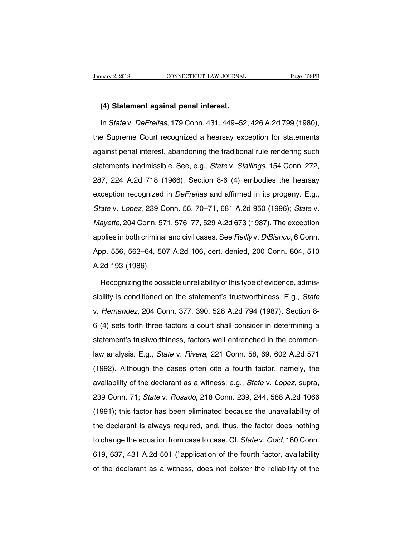# **(4) Statement against penal interest.**<br>
(4) Statement against penal interest.<br>
In *State* v. DeFreitas. 179 Conn. 431, 449–52.

Im State v. Defreitas, 179 Conn. 431, 449–52, 426 A.2d 799 (1980),<br>
Fage 159PB<br>
In State v. Defreitas, 179 Conn. 431, 449–52, 426 A.2d 799 (1980),<br>
In State v. Defreitas, 179 Conn. 431, 449–52, 426 A.2d 799 (1980),<br>
Suprem (4) Statement against penal interest.<br>
In State v. DeFreitas, 179 Conn. 431, 449–52, 426 A.2d 799 (1980),<br>
the Supreme Court recognized a hearsay exception for statements<br>
against penal interest, abandoning the traditional (4) Statement against penal interest.<br>
In State v. DeFreitas, 179 Conn. 431, 449–52, 426 A.2d 799 (1980),<br>
the Supreme Court recognized a hearsay exception for statements<br>
against penal interest, abandoning the traditional In *State* v. *DeFreitas*, 179 Conn. 431, 449–52, 426 A.2d 799 (1980),<br>the Supreme Court recognized a hearsay exception for statements<br>against penal interest, abandoning the traditional rule rendering such<br>statements inadm the Supreme Court recognized a hearsay exception for statements<br>against penal interest, abandoning the traditional rule rendering such<br>statements inadmissible. See, e.g., *State v. Stallings*, 154 Conn. 272,<br>287, 224 A.2d example in the example of the traditional rule rendering such<br>statements inadmissible. See, e.g., *State v. Stallings*, 154 Conn. 272,<br>287, 224 A.2d 718 (1966). Section 8-6 (4) embodies the hearsay<br>exception recognized in statements inadmissible. See, e.g., *State* v. *Stallings*, 154 Conn. 272,<br>287, 224 A.2d 718 (1966). Section 8-6 (4) embodies the hearsay<br>exception recognized in *DeFreitas* and affirmed in its progeny. E.g.,<br>*State* v. *L* Mayette, 204 Conn. 571, 576–77, 529 A.2d 673 (1987). The exception exception recognized in *DeFreitas* and affirmed in its progeny. E.g., State v. Lopez, 239 Conn. 56, 70–71, 681 A.2d 950 (1996); State v. Mayette, 204 Conn. 571, 576–77, 529 A.2d 673 (1987). The exception applies in both Shate v. Lopez, 239 Conn. 56, 70–71, 681 A.2d 950 (1996); *State* v.<br>Mayette, 204 Conn. 571, 576–77, 529 A.2d 673 (1987). The exception<br>applies in both criminal and civil cases. See *Reilly* v. *DiBianco*, 6 Conn.<br>App. 556 Mayette, 204 Conn. 57<br>
Applies in both criminal<br>
App. 556, 563–64, 507<br>
A.2d 193 (1986).<br>
Recognizing the poss plies in both criminal and civil cases. See *Reilly* v. *DiBianco*, 6 Conn.<br>pp. 556, 563–64, 507 A.2d 106, cert. denied, 200 Conn. 804, 510<br>2d 193 (1986).<br>Recognizing the possible unreliability of this type of evidence, ad

App. 556, 563–64, 507 A.2d 106, cert. denied, 200 Conn. 804, 510<br>A.2d 193 (1986).<br>Recognizing the possible unreliability of this type of evidence, admis-<br>sibility is conditioned on the statement's trustworthiness. E.g., *S* A.2d 193 (1986).<br>Recognizing the possible unreliability of this type of evidence, admis-<br>sibility is conditioned on the statement's trustworthiness. E.g., *State*<br>v. Hernandez, 204 Conn. 377, 390, 528 A.2d 794 (1987). Sect Recognizing the possible unreliability of this type of evidence, admissibility is conditioned on the statement's trustworthiness. E.g., *State* v. *Hernandez*, 204 Conn. 377, 390, 528 A.2d 794 (1987). Section 8-6 (4) sets sibility is conditioned on the statement's trustworthiness. E.g., *State* v. *Hernandez*, 204 Conn. 377, 390, 528 A.2d 794 (1987). Section 8-6 (4) sets forth three factors a court shall consider in determining a statement' v. Hernandez, 204 Conn. 377, 390, 528 A.2d 794 (1987). Section 8-<br>6 (4) sets forth three factors a court shall consider in determining a<br>statement's trustworthiness, factors well entrenched in the common-<br>law analysis. E.g (1992). Although the declarant as a witness; e.g., *State v. Lopez*, suppression of the common-<br>aw analysis. E.g., *State v. Rivera*, 221 Conn. 58, 69, 602 A.2d 571<br>(1992). Although the cases often cite a fourth factor, n and the declarant as a witness; e.g., State v. Pivera, 221 Conn. 58, 69, 602 A.2d 571<br>(1992). Although the cases often cite a fourth factor, namely, the<br>availability of the declarant as a witness; e.g., State v. Lopez, sup Iaw analysis. E.g., *State v. Rivera*, 221 Conn. 58, 69, 602 A.2d 571<br>(1992). Although the cases often cite a fourth factor, namely, the<br>availability of the declarant as a witness; e.g., *State v. Lopez*, supra,<br>239 Conn. (1992). Although the cases often cite a fourth factor, namely, the availability of the declarant as a witness; e.g., *State v. Lopez*, supra, 239 Conn. 71; *State v. Rosado*, 218 Conn. 239, 244, 588 A.2d 1066 (1991); this availability of the declarant as a witness; e.g., *State v. Lopez*, supra, 239 Conn. 71; *State v. Rosado*, 218 Conn. 239, 244, 588 A.2d 1066 (1991); this factor has been eliminated because the unavailability of the declar araliasing of the accuration from case thinkies, eigit, etail of Espect, eaplica,<br>239 Conn. 71; State v. Rosado, 218 Conn. 239, 244, 588 A.2d 1066<br>(1991); this factor has been eliminated because the unavailability of<br>the d (1991); this factor has been eliminated because the unavailability of the declarant is always required, and, thus, the factor does nothing to change the equation from case to case. Cf. *State v. Gold*, 180 Conn. 619, 637, the declarant is always required, and, thus, the factor does nothing<br>to change the equation from case to case. Cf. State v. Gold, 180 Conn.<br>619, 637, 431 A.2d 501 ("application of the fourth factor, availability<br>of the dec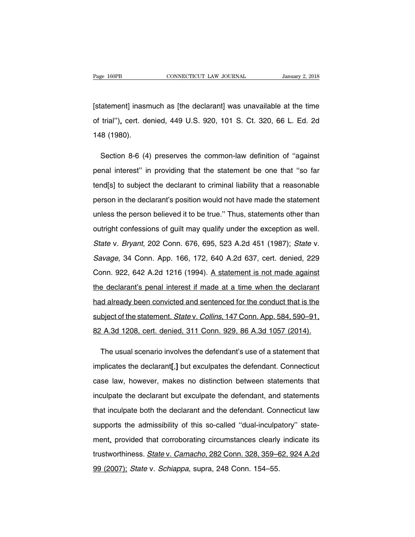Fage 160PB CONNECTICUT LAW JOURNAL January 2, 2018<br>[statement] inasmuch as [the declarant] was unavailable at the time<br>of trial"), cert. denied, 449 U.S. 920, 101 S. Ct. 320, 66 L. Ed. 2d Page 160PB CONNECTICUT LAW JOURNAL January 2, 2018<br>[statement] inasmuch as [the declarant] was unavailable at the time<br>of trial"), cert. denied, 449 U.S. 920, 101 S. Ct. 320, 66 L. Ed. 2d<br>148 (1980). [statement] inasm<br>of trial"), cert. de<br>148 (1980). atement] inasmuch as [the declarant] was unavailable at the time<br>trial"), cert. denied, 449 U.S. 920, 101 S. Ct. 320, 66 L. Ed. 2d<br>8 (1980).<br>Section 8-6 (4) preserves the common-law definition of "against<br>nal interest" in

of trial"), cert. denied, 449 U.S. 920, 101 S. Ct. 320, 66 L. Ed. 2d<br>148 (1980).<br>Section 8-6 (4) preserves the common-law definition of "against<br>penal interest" in providing that the statement be one that "so far<br>tend[s] t 148 (1980).<br>Section 8-6 (4) preserves the common-law definition of "against<br>penal interest" in providing that the statement be one that "so far<br>tend[s] to subject the declarant to criminal liability that a reasonable<br>perso Section 8-6 (4) preserves the common-law definition of "against<br>penal interest" in providing that the statement be one that "so far<br>tend[s] to subject the declarant to criminal liability that a reasonable<br>person in the dec penal interest" in providing that the statement be one that "so far<br>tend[s] to subject the declarant to criminal liability that a reasonable<br>person in the declarant's position would not have made the statement<br>unless the p tend[s] to subject the declarant to criminal liability that a reasonable<br>person in the declarant's position would not have made the statement<br>unless the person believed it to be true." Thus, statements other than<br>outright person in the declarant's position would not have made the statement<br>unless the person believed it to be true." Thus, statements other than<br>outright confessions of guilt may qualify under the exception as well.<br>State v. Br unless the person believed it to be true." Thus, statements other than<br>outright confessions of guilt may qualify under the exception as well.<br>State v. Bryant, 202 Conn. 676, 695, 523 A.2d 451 (1987); State v.<br>Savage, 34 Co outright confessions of guilt may qualify under the exception as well.<br>State v. Bryant, 202 Conn. 676, 695, 523 A.2d 451 (1987); State v.<br>Savage, 34 Conn. App. 166, 172, 640 A.2d 637, cert. denied, 229<br>Conn. 922, 642 A.2d State v. Bryant, 202 Conn. 676, 695, 523 A.2d 451 (1987); State v.<br>Savage, 34 Conn. App. 166, 172, 640 A.2d 637, cert. denied, 229<br>Conn. 922, 642 A.2d 1216 (1994). A statement is not made against<br>the declarant's penal inte Savage, 34 Conn. App. 166, 172, 640 A.2d 637, cert. denied, 229<br>Conn. 922, 642 A.2d 1216 (1994). A statement is not made against<br>the declarant's penal interest if made at a time when the declarant<br>had already been convicte Conn. 922, 642 A.2d 1216 (1994). A statement is not made against<br>the declarant's penal interest if made at a time when the declarant<br>had already been convicted and sentenced for the conduct that is the<br>subject of the state the declarant's penal interest if made at a time when the declarant<br>had already been convicted and sentenced for the conduct that is the<br>subject of the statement. *State* v. Collins, 147 Conn. App. 584, 590–91,<br>82 A.3d 120 d already been convicted and sentenced for the conduct that is the<br>bject of the statement. *State* v. *Collins*, 147 Conn. App. 584, 590–91,<br>' A.3d 1208, cert. denied, 311 Conn. 929, 86 A.3d 1057 (2014).<br>The usual scenario

subject of the statement. *State* v. *Collins*, 147 Conn. App. 584, 590–91,<br>
82 A.3d 1208, cert. denied, 311 Conn. 929, 86 A.3d 1057 (2014).<br>
The usual scenario involves the defendant's use of a statement that<br>
implicates 82 A.3d 1208, cert. denied, 311 Conn. 929, 86 A.3d 1057 (2014).<br>The usual scenario involves the defendant's use of a statement that<br>implicates the declarant[,] but exculpates the defendant. Connecticut<br>case law, however, m The usual scenario involves the defendant's use of a statement that<br>implicates the declarant[,] but exculpates the defendant. Connecticut<br>case law, however, makes no distinction between statements that<br>inculpate the declar implicates the declarant[,] but exculpates the defendant. Connecticut<br>case law, however, makes no distinction between statements that<br>inculpate the declarant but exculpate the defendant, and statements<br>that inculpate both case law, however, makes no distinction between statements that<br>inculpate the declarant but exculpate the defendant, and statements<br>that inculpate both the declarant and the defendant. Connecticut law<br>supports the admissib inculpate the declarant but exculpate the defendant, and statements<br>that inculpate both the declarant and the defendant. Connecticut law<br>supports the admissibility of this so-called "dual-inculpatory" state-<br>ment, provided that inculpate both the declarant and the defendant. Connecticut law<br>supports the admissibility of this so-called "dual-inculpatory" state-<br>ment, provided that corroborating circumstances clearly indicate its<br>trustworthine supports the admissibility of this so-called "dual-inculpatory" state-<br>ment, provided that corroborating circumstances clearly indicate its<br>trustworthiness. *State v. Camacho*, 282 Conn. 328, 359–62, 924 A.2d<br>99 (2007); *S*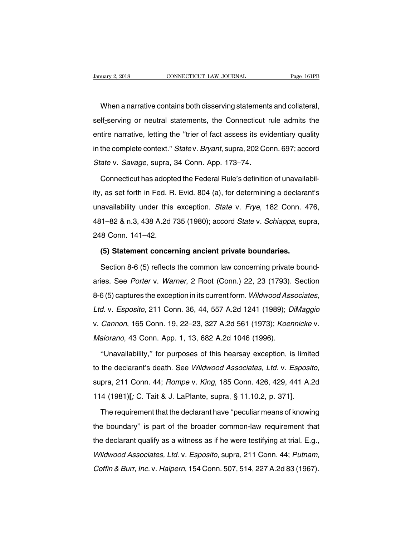uary 2, 2018 CONNECTICUT LAW JOURNAL Page 161PB<br>When a narrative contains both disserving statements and collateral,<br>If-serving or neutral statements, the Connecticut rule admits the Sumary 2, 2018 CONNECTICUT LAW JOURNAL Page 161PB<br>When a narrative contains both disserving statements and collateral,<br>self-serving or neutral statements, the Connecticut rule admits the<br>entire narrative, letting the "trie When a narrative contains both disserving statements and collateral,<br>self-serving or neutral statements, the Connecticut rule admits the<br>entire narrative, letting the "trier of fact assess its evidentiary quality<br>in the co When a narrative contains both disserving statements and collateral,<br>self-serving or neutral statements, the Connecticut rule admits the<br>entire narrative, letting the "trier of fact assess its evidentiary quality<br>in the co Self-serving or neutral statements, the Connecticut rentire narrative, letting the "trier of fact assess its evident<br>in the complete context." State v. Bryant, supra, 202 Co<br>State v. Savage, supra, 34 Conn. App. 173–74.<br>Co Treate interpretative, letting the "trier of fact assess its evidentiary quality<br>the complete context." Statev. Bryant, supra, 202 Conn. 697; accord<br>ate v. Savage, supra, 34 Conn. App. 173–74.<br>Connecticut has adopted the F

in the complete context." *Statev. Bryant*, supra, 202 Conn. 697; accord<br> *Statev. Savage*, supra, 34 Conn. App. 173–74.<br>
Connecticut has adopted the Federal Rule's definition of unavailabil-<br>
ity, as set forth in Fed. R. State v. Savage, supra, 34 Conn. App. 173–74.<br>Connecticut has adopted the Federal Rule's definition of unavailabil-<br>ity, as set forth in Fed. R. Evid. 804 (a), for determining a declarant's<br>unavailability under this except Connecticut has adopted the Federal Rule's definition of unavailabil-<br>ity, as set forth in Fed. R. Evid. 804 (a), for determining a declarant's<br>unavailability under this exception. State v. Frye, 182 Conn. 476,<br>481–82 & n. ty, as set forth in Fed. R.<br>
unavailability under this<br>
481–82 & n.3, 438 A.2d 7<br>
248 Conn. 141–42.<br>
(5) Statement concern availability under this exception. *State* v. *Frye*, 182 Conn. 4<br>
1-82 & n.3, 438 A.2d 735 (1980); accord *State* v. *Schiappa*, sur<br>
8 Conn. 141-42.<br>
(5) Statement concerning ancient private boundaries.<br>
Section 8-6 (5) 1–82 & n.3, 438 A.2d 735 (1980); accord *State* v. *Schiappa*, supra,<br>8 Conn. 141–42.<br>**(5) Statement concerning ancient private boundaries.**<br>Section 8-6 (5) reflects the common law concerning private bound-<br>ies. See *Porte* 

248 Conn. 141–42.<br>
(5) Statement concerning ancient private boundaries.<br>
Section 8-6 (5) reflects the common law concerning private bound-<br>
aries. See Porter v. Warner, 2 Root (Conn.) 22, 23 (1793). Section<br>
8-6 (5) captur (5) Statement concerning ancient private boundaries.<br>Section 8-6 (5) reflects the common law concerning private bound-<br>aries. See Porter v. Warner, 2 Root (Conn.) 22, 23 (1793). Section<br>8-6 (5) captures the exception in it Section 8-6 (5) reflects the common law concerning private bound-<br>aries. See Porter v. Warner, 2 Root (Conn.) 22, 23 (1793). Section<br>8-6 (5) captures the exception in its current form. Wildwood Associates,<br>Ltd. v. Esposito aries. See *Porter* v. *Warner*, 2 Root (Conn.) 22, 23 (1793). Section 8-6 (5) captures the exception in its current form. *Wildwood Associates,* Ltd. v. *Esposito*, 211 Conn. 36, 44, 557 A.2d 1241 (1989); *DiMaggio* v. *C* 8-6 (5) captures the exception in its current form. Wildwood Ass<br>Ltd. v. Esposito, 211 Conn. 36, 44, 557 A.2d 1241 (1989); D.<br>v. Cannon, 165 Conn. 19, 22–23, 327 A.2d 561 (1973); Koen<br>Maiorano, 43 Conn. App. 1, 13, 682 A. d. v. Esposito, 211 Conn. 36, 44, 557 A.2d 1241 (1989); DiMaggio<br>Cannon, 165 Conn. 19, 22–23, 327 A.2d 561 (1973); Koennicke v.<br>aiorano, 43 Conn. App. 1, 13, 682 A.2d 1046 (1996).<br>"Unavailability," for purposes of this hea

to the declarant's death. See Wildwood Associates, Ltd. v. Esposito, supra, 211 Conn. 44; Rompe v. King, 185 Conn. 426, 429, 441 A.2d 114 (1981)[; C. Tait & J. LaPlante, supra, § 11.10.2, p. 371]. "Unavailability," for purposes of this hearsay exception, is limited<br>to the declarant's death. See Wildwood Associates, Ltd. v. Esposito,<br>supra, 211 Conn. 44; Rompe v. King, 185 Conn. 426, 429, 441 A.2d<br>114 (1981)[; C. Tai

supra, 211 Conn. 44; *Rompe v. King*, 185 Conn. 426, 429, 441 A.2d<br>114 (1981)[; C. Tait & J. LaPlante, supra, § 11.10.2, p. 371].<br>The requirement that the declarant have "peculiar means of knowing<br>the boundary" is part of 114 (1981)[; C. Tait & J. LaPlante, supra, § 11.10.2, p. 371].<br>The requirement that the declarant have "peculiar means of knowing<br>the boundary" is part of the broader common-law requirement that<br>the declarant qualify as a The requirement that the declarant have "peculiar means of knowing<br>the boundary" is part of the broader common-law requirement that<br>the declarant qualify as a witness as if he were testifying at trial. E.g.,<br>Wildwood Assoc The requirement that the declarant rhave peculiar means of knowing<br>the boundary" is part of the broader common-law requirement that<br>the declarant qualify as a witness as if he were testifying at trial. E.g.,<br>Wildwood Assoc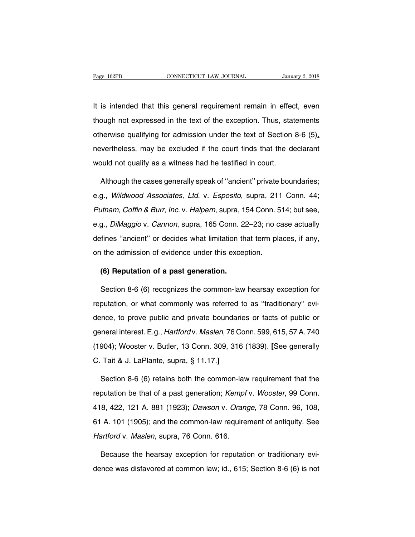Fage 162PB<br>
It is intended that this general requirement remain in effect, even<br>
though not expressed in the text of the exception. Thus, statements Trage 162PB<br>
though not expressed in the text of the exception. Thus, statements<br>
though not expressed in the text of the exception. Thus, statements<br>
otherwise qualifying for admission under the text of Section 8-6 (5), It is intended that this general requirement remain in effect, even<br>though not expressed in the text of the exception. Thus, statements<br>otherwise qualifying for admission under the text of Section 8-6 (5),<br>nevertheless, ma It is intended that this general requirement remain in effect, even<br>though not expressed in the text of the exception. Thus, statements<br>otherwise qualifying for admission under the text of Section 8-6 (5),<br>nevertheless, ma It is intended that this general requirement remain in effect, even<br>though not expressed in the text of the exception. Thus, statements<br>otherwise qualifying for admission under the text of Section 8-6 (5),<br>nevertheless, ma herwise qualifying for admission under the text of Section 8-6 (5),<br>
wertheless, may be excluded if the court finds that the declarant<br>
puld not qualify as a witness had he testified in court.<br>
Although the cases generally

nevertheless, may be excluded if the court finds that the declarant<br>would not qualify as a witness had he testified in court.<br>Although the cases generally speak of "ancient" private boundaries;<br>e.g., *Wildwood Associates,* would not qualify as a witness had he testified in court.<br>Although the cases generally speak of "ancient" private boundaries;<br>e.g., *Wildwood Associates, Ltd.* v. *Esposito*, supra, 211 Conn. 44;<br>Putnam, Coffin & Burr, Inc Although the cases generally speak of "ancient" private boundaries;<br>e.g., Wildwood Associates, Ltd. v. Esposito, supra, 211 Conn. 44;<br>Putnam, Coffin & Burr, Inc. v. Halpern, supra, 154 Conn. 514; but see,<br>e.g., DiMaggio v. e.g., Wildwood Associates, Ltd. v. Esposito, supra, 211 Conn. 44;<br>Putnam, Coffin & Burr, Inc. v. Halpern, supra, 154 Conn. 514; but see,<br>e.g., DiMaggio v. Cannon, supra, 165 Conn. 22–23; no case actually<br>defines "ancient" ong., Whatever Messolates, Eta. 1: Esposite, expra, ET<br>Putnam, Coffin & Burr, Inc. v. Halpern, supra, 154 Conn. 5<br>e.g., DiMaggio v. Cannon, supra, 165 Conn. 22–23; no ca<br>defines "ancient" or decides what limitation that te **(6) Guarageleries "ancient"** or decides what limitation the admission of evidence under this exception.<br> **(6) Reputation of a past generation.**<br>
Section 8-6 (6) recognizes the common-law refines "ancient" or decides what limitation that term places, if any,<br>
1 the admission of evidence under this exception.<br> **(6) Reputation of a past generation.**<br>
Section 8-6 (6) recognizes the common-law hearsay exception

on the admission of evidence under this exception.<br> **(6) Reputation of a past generation.**<br>
Section 8-6 (6) recognizes the common-law hearsay exception for<br>
reputation, or what commonly was referred to as "traditionary" ev (6) Reputation of a past generation.<br>Section 8-6 (6) recognizes the common-law hearsay exception for<br>reputation, or what commonly was referred to as "traditionary" evi-<br>dence, to prove public and private boundaries or fac Section 8-6 (6) recognizes the common-law hearsay exception for<br>reputation, or what commonly was referred to as "traditionary" evi-<br>dence, to prove public and private boundaries or facts of public or<br>general interest. E.g. reputation, or what commonly was referred to as "traditionary" evidence, to prove public and private boundaries or facts of public or general interest. E.g., *Hartfordv. Maslen*, 76 Conn. 599, 615, 57 A. 740 (1904); Wooste reputation, or what commonly was referred to as "traditionary" evi-<br>dence, to prove public and private boundaries or facts of public or<br>general interest. E.g., *Hartford* v. *Maslen*, 76 Conn. 599, 615, 57 A. 740<br>(1904); W eneral interest. E.g., *Hartford* v. *Maslen*, 76 Conn. 599, 615, 57 A. 740<br>904); Wooster v. Butler, 13 Conn. 309, 316 (1839). [See generally<br>Tait & J. LaPlante, supra, § 11.17.]<br>Section 8-6 (6) retains both the common-law

(1904); Wooster v. Butler, 13 Conn. 309, 316 (1839). [See generally<br>C. Tait & J. LaPlante, supra, § 11.17.]<br>Section 8-6 (6) retains both the common-law requirement that the<br>reputation be that of a past generation; *Kempf* C. Tait & J. LaPlante, supra, § 11.17.]<br>Section 8-6 (6) retains both the common-law requirement that the<br>reputation be that of a past generation; *Kempf v. Wooster*, 99 Conn.<br>418, 422, 121 A. 881 (1923); *Dawson v. Orange* Section 8-6 (6) retains both the common-law requirement that the<br>reputation be that of a past generation; *Kempf v. Wooster*, 99 Conn.<br>418, 422, 121 A. 881 (1923); *Dawson v. Orange*, 78 Conn. 96, 108,<br>61 A. 101 (1905); an reputation be that of a past generation; Kempf<br>418, 422, 121 A. 881 (1923); Dawson v. Orang<br>61 A. 101 (1905); and the common-law require<br>Hartford v. Maslen, supra, 76 Conn. 616.<br>Because the bearsay exception for reputation 8, 422, 121 A. 881 (1923); *Dawson v. Orange*, 78 Conn. 96, 108,<br>A. 101 (1905); and the common-law requirement of antiquity. See<br>artford v. Maslen, supra, 76 Conn. 616.<br>Because the hearsay exception for reputation or tradi 61 A. 101 (1905); and the common-law requirement of antiquity. See<br>Hartford v. Maslen, supra, 76 Conn. 616.<br>Because the hearsay exception for reputation or traditionary evi-<br>dence was disfavored at common law; id., 615; Se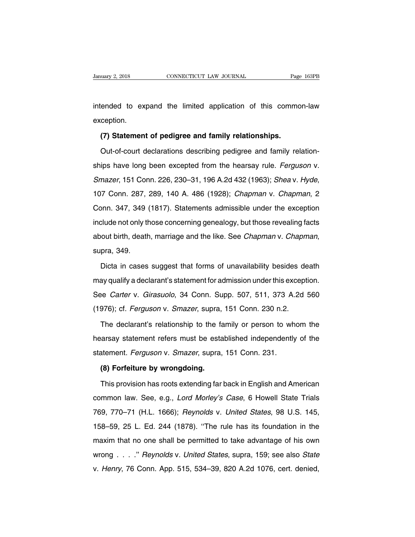University 2, 2018 CONNECTICUT LAW JOURNAL Page 163PB<br>intended to expand the limited application of this common-law<br>exception. exception. Figure 1 and the state of this commented to expand the limited application of this comment<br>(**7) Statement of pedigree and family relationships.**<br>Out-of-court declarations describing pedigree and family re

ended to expand the limited application of this common-law<br>ception.<br>(7) Statement of pedigree and family relationships.<br>Out-of-court declarations describing pedigree and family relation-<br>ips have long been excepted from th exception.<br>
(7) Statement of pedigree and family relationships.<br>
Out-of-court declarations describing pedigree and family relation-<br>
ships have long been excepted from the hearsay rule. Ferguson v.<br>
Smazer, 151 Conn. 226, (7) Statement of pedigree and family relationships.<br>Out-of-court declarations describing pedigree and family relation-<br>ships have long been excepted from the hearsay rule. *Ferguson v.*<br>Smazer, 151 Conn. 226, 230–31, 196 A ships have long been excepted from the hearsay rule. *Ferguson v.*<br>Smazer, 151 Conn. 226, 230–31, 196 A.2d 432 (1963); *Sheav. Hyde*,<br>107 Conn. 287, 289, 140 A. 486 (1928); *Chapman v. Chapman*, 2<br>Conn. 347, 349 (1817). St Smazer, 151 Conn. 226, 230–31, 196 A.2d 432 (1963); Shea v. Hyde, 107 Conn. 287, 289, 140 A. 486 (1928); Chapman v. Chapman, 2<br>Conn. 347, 349 (1817). Statements admissible under the exception include not only those concern about birth, death, 140 A. 486 (1928); *Chapman v. Chapman*, 2<br>Conn. 347, 349 (1817). Statements admissible under the exception<br>include not only those concerning genealogy, but those revealing facts<br>about birth, death, mar clude not only those concerning genealogy, but those revealing facts<br>out birth, death, marriage and the like. See *Chapman* v. *Chapman*,<br>pra, 349.<br>Dicta in cases suggest that forms of unavailability besides death<br>ay quali

about birth, death, marriage and the like. See *Chapman* v. *Chapman*,<br>supra, 349.<br>Dicta in cases suggest that forms of unavailability besides death<br>may qualify a declarant's statement for admission under this exception.<br>S supra, 349.<br>
Dicta in cases suggest that forms of unavailability besides death<br>
may qualify a declarant's statement for admission under this exception.<br>
See *Carter* v. *Girasuolo*, 34 Conn. Supp. 507, 511, 373 A.2d 560<br>
( Dicta in cases suggest that forms of unavailability besides de<br>may qualify a declarant's statement for admission under this except<br>See Carter v. Girasuolo, 34 Conn. Supp. 507, 511, 373 A.2d<br>(1976); cf. Ferguson v. Smazer, ay qualify a declarant's statement for admission under this exception.<br>
Supp. 507, 511, 373 A.2d 560<br>
1976); cf. *Ferguson* v. *Smazer*, supra, 151 Conn. 230 n.2.<br>
The declarant's relationship to the family or person to wh

See Carter v. Girasuolo, 34 Conn. Supp. 507, 511, 373 A.2d 560<br>(1976); cf. Ferguson v. Smazer, supra, 151 Conn. 230 n.2.<br>The declarant's relationship to the family or person to whom the<br>hearsay statement refers must be est (1976); cf. *Ferguson* v. *Smazer*, supra, 151 Conn. 230 n.2.<br>The declarant's relationship to the family or person to wh<br>hearsay statement refers must be established independently<br>statement. *Ferguson* v. *Smazer*, supra, The declarant's relationship to the family or person to whom the<br>hearsay statement refers must be established independently of the<br>statement. *Ferguson* v. *Smazer*, supra, 151 Conn. 231.<br>**(8) Forfeiture by wrongdoing.**<br>Th France Statement refers must be established independently of the<br>atement. *Ferguson* v. *Smazer*, supra, 151 Conn. 231.<br>**(8) Forfeiture by wrongdoing.**<br>This provision has roots extending far back in English and American<br>mm

statement. *Ferguson* v. *Smazer*, supra, 151 Conn. 231.<br> **(8) Forfeiture by wrongdoing.**<br>
This provision has roots extending far back in English and American<br>
common law. See, e.g., *Lord Morley's Case*, 6 Howell State Tr (8) Forfeiture by wrongdoing.<br>This provision has roots extending far back in English and American<br>common law. See, e.g., *Lord Morley's Case*, 6 Howell State Trials<br>769, 770–71 (H.L. 1666); *Reynolds v. United States*, 98 This provision has roots extending far back in English and American<br>common law. See, e.g., *Lord Morley's Case*, 6 Howell State Trials<br>769, 770–71 (H.L. 1666); *Reynolds v. United States*, 98 U.S. 145,<br>158–59, 25 L. Ed. 24 maxim that no one shall be permitted to take advantage of his own<br>158–59, 25 L. Ed. 244 (1878). "The rule has its foundation in the<br>maxim that no one shall be permitted to take advantage of his own<br>wrong . . . ." Reynolds 769, 770–71 (H.L. 1666); *Reynolds v. United States*, 98 U.S. 145, 158–59, 25 L. Ed. 244 (1878). "The rule has its foundation in the maxim that no one shall be permitted to take advantage of his own wrong . . . ." *Reynold* v. 158–59, 25 L. Ed. 244 (1878). "The rule has its foundation in the maxim that no one shall be permitted to take advantage of his own wrong . . . ." Reynolds v. United States, supra, 159; see also State v. Henry, 76 Conn.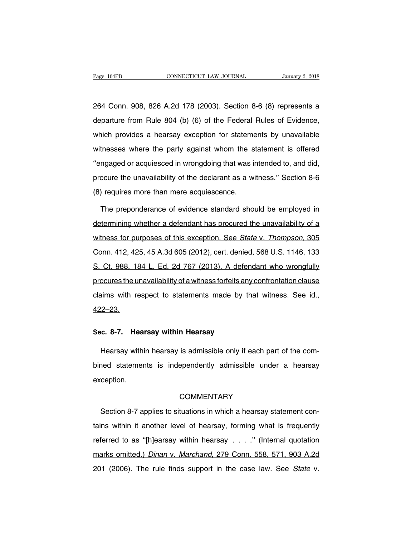Page 164PB CONNECTICUT LAW JOURNAL January 2, 2018<br>264 Conn. 908, 826 A.2d 178 (2003). Section 8-6 (8) represents a<br>departure from Rule 804 (b) (6) of the Federal Rules of Evidence, Page 164PB CONNECTICUT LAW JOURNAL January 2, 2018<br>264 Conn. 908, 826 A.2d 178 (2003). Section 8-6 (8) represents a<br>departure from Rule 804 (b) (6) of the Federal Rules of Evidence,<br>which provides a hearsay exception for s 264 Conn. 908, 826 A.2d 178 (2003). Section 8-6 (8) represents a departure from Rule 804 (b) (6) of the Federal Rules of Evidence, which provides a hearsay exception for statements by unavailable witnesses where the party 264 Conn. 908, 826 A.2d 178 (2003). Section 8-6 (8) represents a departure from Rule 804 (b) (6) of the Federal Rules of Evidence, which provides a hearsay exception for statements by unavailable witnesses where the party departure from Rule 804 (b) (6) of the Federal Rules of Evidence,<br>which provides a hearsay exception for statements by unavailable<br>witnesses where the party against whom the statement is offered<br>"engaged or acquiesced in w which provides a hearsay exception for statements by unavailable witnesses where the party against whom the statement is offered "engaged or acquiesced in wrongdoing that was intended to, and did, procure the unavailabili which provides a hearsay exception for statements by unavailable<br>witnesses where the party against whom the statement is offered<br>"engaged or acquiesced in wrongdoing that was intended to, and did,<br>procure the unavailabilit manded or acquiesced in wrongdoing that was intended to, and did,<br>ocure the unavailability of the declarant as a witness." Section 8-6<br>) requires more than mere acquiescence.<br>The preponderance of evidence standard should b

procure the unavailability of the declarant as a witness." Section 8-6<br>(8) requires more than mere acquiescence.<br>The preponderance of evidence standard should be employed in<br>determining whether a defendant has procured the (8) requires more than mere acquiescence.<br>The preponderance of evidence standard should be employed in<br>determining whether a defendant has procured the unavailability of a<br>witness for purposes of this exception. See State The preponderance of evidence standard should be employed in<br>determining whether a defendant has procured the unavailability of a<br>witness for purposes of this exception. See State v. Thompson, 305<br>Conn. 412, 425, 45 A.3d 6 The preperties of sinustics statistics streaks by employee in<br>determining whether a defendant has procured the unavailability of a<br>witness for purposes of this exception. See *State v. Thompson*, 305<br>Conn. 412, 425, 45 A.3 witness for purposes of this exception. See *State v. Thompson*, 305<br>Conn. 412, 425, 45 A.3d 605 (2012), cert. denied, 568 U.S. 1146, 133<br>S. Ct. 988, 184 L. Ed. 2d 767 (2013). A defendant who wrongfully<br>procures the unavai conn. 412, 425, 45 A.3d 605 (2012), cert. denied, 568 U.S. 1146, 133<br>S. Ct. 988, 184 L. Ed. 2d 767 (2013). A defendant who wrongfully<br>procures the unavailability of a witness forfeits any confrontation clause<br>claims with r **Sec.** 8-7. Hearsay within Hearsay<br>
Sec. 8-7. Hearsay within Hearsay<br>
Hearsay within Hearsay<br>
Hearsay within Hearsay

and with respect to statements made by that withess. Occ id.,<br>2–23.<br>Hearsay within hearsay is admissible only if each part of the com-<br>hed statements is independently admissible under a hearsay Sec. 8-7. Hearsay within Hearsay<br>Hearsay within hearsay is admissible only if each part of the com-<br>bined statements is independently admissible under a hearsay<br>exception. exception. ned statements is independently admissible under a hearsay<br>
ception.<br>
COMMENTARY<br>
Section 8-7 applies to situations in which a hearsay statement con-<br>
ns within it another level of hearsay, forming what is frequently

# **COMMENTARY**

exception.<br>
COMMENTARY<br>
Section 8-7 applies to situations in which a hearsay statement con-<br>
tains within it another level of hearsay, forming what is frequently<br>
referred to as "[h]earsay within hearsay . . . ." (Internal COMMENTARY<br>Section 8-7 applies to situations in which a hearsay statement con-<br>tains within it another level of hearsay, forming what is frequently<br>referred to as "[h]earsay within hearsay . . . ." (Internal quotation<br>mark Section 8-7 applies to situations in which a hearsay statement con-<br>tains within it another level of hearsay, forming what is frequently<br>referred to as "[h]earsay within hearsay . . . ." (Internal quotation<br>marks omitted.) tains within it another level of hearsay, forming what is frequently<br>referred to as "[h]earsay within hearsay . . . ." (Internal quotation<br>marks omitted.) Dinan v. Marchand, 279 Conn. 558, 571, 903 A.2d<br>201 (2006). The rul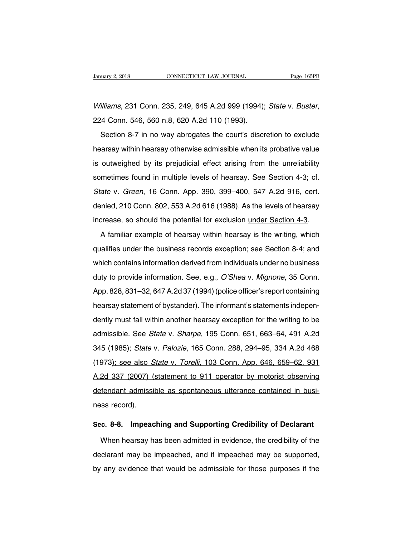Vanuary 2, 2018 CONNECTICUT LAW JOURNAL Page 165PB<br>Williams, 231 Conn. 235, 249, 645 A.2d 999 (1994); State v. Buster,<br>224 Conn. 546, 560 n.8, 620 A.2d 110 (1993).<br>Section 8-7 in no way abrogates the court's discretion to

Filiams, 231 Conn. 235, 249, 645 A.2d 999 (1994); State v. Buster,<br>14 Conn. 546, 560 n.8, 620 A.2d 110 (1993).<br>Section 8-7 in no way abrogates the court's discretion to exclude<br>arsay within hearsay otherwise admissible whe Williams, 231 Conn. 235, 249, 645 A.2d 999 (1994); State v. Buster,<br>224 Conn. 546, 560 n.8, 620 A.2d 110 (1993).<br>Section 8-7 in no way abrogates the court's discretion to exclude<br>hearsay within hearsay otherwise admissible Example, 201 001.11 200, 210, 0107.122 000 (1001), 01210 11 2001.<br>
224 Conn. 546, 560 n.8, 620 A.2d 110 (1993).<br>
Section 8-7 in no way abrogates the court's discretion to exclude<br>
hearsay within hearsay otherwise admissib Section 8-7 in no way abrogates the court's discretion to exclude<br>hearsay within hearsay otherwise admissible when its probative value<br>is outweighed by its prejudicial effect arising from the unreliability<br>sometimes found State v. Green, 16 Conn. App. 390, 399–400, 547 A.2d 916, cert.<br>denied, 210 Conn. 802, 553 A.2d 616 (1988). As the levels of hearsay<br>denied, 210 Conn. 802, 553 A.2d 616 (1988). As the levels of hearsay is outweighed by its prejudicial effect arising from the unreliability<br>sometimes found in multiple levels of hearsay. See Section 4-3; cf.<br>State v. Green, 16 Conn. App. 390, 399–400, 547 A.2d 916, cert.<br>denied, 210 Conn. 8 sometimes found in multiple levels of hearsay. See Section 4-3; cf.<br>State v. Green, 16 Conn. App. 390, 399–400, 547 A.2d 916, cert.<br>denied, 210 Conn. 802, 553 A.2d 616 (1988). As the levels of hearsay<br>increase, so should t ate v. Green, 16 Conn. App. 390, 399–400, 547 A.2d 916, cert.<br>mied, 210 Conn. 802, 553 A.2d 616 (1988). As the levels of hearsay<br>crease, so should the potential for exclusion <u>under Section 4-3</u>.<br>A familiar example of hear

denied, 210 Conn. 802, 553 A.2d 616 (1988). As the levels of hearsay<br>increase, so should the potential for exclusion <u>under Section 4-3</u>.<br>A familiar example of hearsay within hearsay is the writing, which<br>qualifies under t increase, so should the potential for exclusion <u>under Section 4-3</u>.<br>A familiar example of hearsay within hearsay is the writing, which<br>qualifies under the business records exception; see Section 8-4; and<br>which contains in A familiar example of hearsay within hearsay is the writing, which<br>qualifies under the business records exception; see Section 8-4; and<br>which contains information derived from individuals under no business<br>duty to provide A familiar example of hearacty winnificancy is the whilling, which<br>qualifies under the business records exception; see Section 8-4; and<br>which contains information derived from individuals under no business<br>duty to provide which contains information derived from individuals under no business<br>duty to provide information. See, e.g., *O'Shea v. Mignone*, 35 Conn.<br>App. 828, 831–32, 647 A.2d 37 (1994) (police officer's report containing<br>hearsay s duty to provide information dented non-matricade and the seamese<br>duty to provide information. See, e.g., O'Shea v. Mignone, 35 Conn.<br>App. 828, 831–32, 647 A.2d 37 (1994) (police officer's report containing<br>hearsay statemen adiy to provide information: eco, e.g., e ence v. mighene, eco comi.<br>App. 828, 831–32, 647 A.2d 37 (1994) (police officer's report containing<br>hearsay statement of bystander). The informant's statements indepen-<br>dently must Supp. 525, 331 62, 347 A.2d of (1553), (police officer origination independently must fall within another hearsay exception for the writing to be admissible. See *State v. Sharpe*, 195 Conn. 651, 663–64, 491 A.2d 345 (1985 meanedy statement or bystander). The informative statements independently must fall within another hearsay exception for the writing to be admissible. See *State v. Sharpe*, 195 Conn. 651, 663–64, 491 A.2d 345 (1985); *Sta* admissible. See *State* v. *Sharpe*, 195 Conn. 651, 663–64, 491 A.2d<br>345 (1985); *State* v. *Palozie*, 165 Conn. 288, 294–95, 334 A.2d 468<br>(1973)<u>; see also *State* v. *Torelli*, 103 Conn. App. 646, 659–62, 931</u><br>A.2d 337 ( defendant admissible as spontaneous utterance contained in busi-<br>1973); see also *State v. Torelli*, 103 Conn. App. 646, 659–62, 931<br>A.2d 337 (2007) (statement to 911 operator by motorist observing<br>defendant admissible as 919 (1999), State (1973); see also S<br>A.2d 337 (2007) (3<br>defendant admissil<br>ness record). A.2d 337 (2007) (statement to 911 operator by motorist observing<br>defendant admissible as spontaneous utterance contained in busi-<br>ness record).<br>Sec. 8-8. Impeaching and Supporting Credibility of Declarant<br>When hearsay has Fendant admissible as spontaneous utterance contained in busi-<br>ss record).<br>c. 8-8. Impeaching and Supporting Credibility of Declarant<br>When hearsay has been admitted in evidence, the credibility of the<br>clarant may be impeac

ness record).<br>
Sec. 8-8. Impeaching and Supporting Credibility of Declarant<br>
When hearsay has been admitted in evidence, the credibility of the<br>
declarant may be impeached, and if impeached may be supported,<br>
by any eviden Sec. 8-8. Impeaching and Supporting Credibility of Declarant<br>When hearsay has been admitted in evidence, the credibility of the<br>declarant may be impeached, and if impeached may be supported,<br>by any evidence that would be a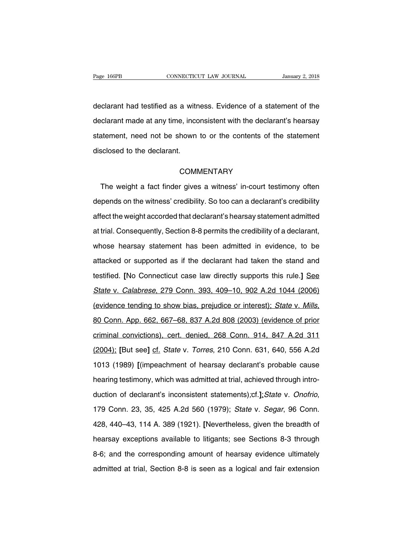Page 166PB<br>
CONNECTICUT LAW JOURNAL<br>
CONNECTICUT LAW JOURNAL<br>
CONNECTICUT LAW JOURNAL<br>
CONNECTICUT LAW JOURNAL<br>
CONNECTICUT LAW JOURNAL<br>
CONNECTICUT LAW JOURNAL<br>
CONNECTICUT LAW JOURNAL<br>
CONNECTICUT LAW JOURNAL<br>
CONNECTICU Page 166PB CONNECTICUT LAW JOURNAL January 2, 2018<br>declarant had testified as a witness. Evidence of a statement of the<br>declarant made at any time, inconsistent with the declarant's hearsay<br>statement, need not be shown to declarant had testified as a witness. Evidence of a statement of the<br>declarant made at any time, inconsistent with the declarant's hearsay<br>statement, need not be shown to or the contents of the statement<br>disclosed to the d declarant had testified as a with<br>declarant made at any time, inco<br>statement, need not be shown<br>disclosed to the declarant. atement, need not be shown to or the contents of the statement<br>sclosed to the declarant.<br>COMMENTARY<br>The weight a fact finder gives a witness' in-court testimony often<br>pends on the witness' credibility. So too can a declara

# **COMMENTARY**

disclosed to the declarant.<br>
COMMENTARY<br>
The weight a fact finder gives a witness' in-court testimony often<br>
depends on the witness' credibility. So too can a declarant's credibility<br>
affect the weight accorded that declar COMMENTARY<br>The weight a fact finder gives a witness' in-court testimony often<br>depends on the witness' credibility. So too can a declarant's credibility<br>affect the weight accorded that declarant's hearsay statement admitted The weight a fact finder gives a witness' in-court testimony often<br>depends on the witness' credibility. So too can a declarant's credibility<br>affect the weight accorded that declarant's hearsay statement admitted<br>at trial. depends on the witness' credibility. So too can a declarant's credibility<br>affect the weight accorded that declarant's hearsay statement admitted<br>at trial. Consequently, Section 8-8 permits the credibility of a declarant,<br>w affect the weight accorded that declarant's hearsay statement admitted<br>at trial. Consequently, Section 8-8 permits the credibility of a declarant,<br>whose hearsay statement has been admitted in evidence, to be<br>attacked or su at trial. Consequently, Section 8-8 permits the credibility of a declarant,<br>whose hearsay statement has been admitted in evidence, to be<br>attacked or supported as if the declarant had taken the stand and<br>testified. [No Conn whose hearsay statement has been admitted in evidence, to be<br>attacked or supported as if the declarant had taken the stand and<br>testified. [No Connecticut case law directly supports this rule.] See<br>State v. Calabrese, 279 C attacked or supported as if the declarant had taken the stand and<br>testified. [No Connecticut case law directly supports this rule.] See<br>State v. Calabrese, 279 Conn. 393, 409–10, 902 A.2d 1044 (2006)<br>(evidence tending to s State v. Calabrese, 279 Conn. 393, 409–10, 902 A.2d 1044 (2006)<br>(evidence tending to show bias, prejudice or interest); State v. Mills,<br>80 Conn. App. 662, 667–68, 837 A.2d 808 (2003) (evidence of prior<br>criminal convictions (evidence tending to show bias, prejudice or interest); *State v. Mills*,<br>80 Conn. App. 662, 667–68, 837 A.2d 808 (2003) (evidence of prior<br>criminal convictions), cert. denied, 268 Conn. 914, 847 A.2d 311<br>(2004); [But see] 80 Conn. App. 662, 667–68, 837 A.2d 808 (2003) (evidence of prior<br>criminal convictions), cert. denied, 268 Conn. 914, 847 A.2d 311<br>(2004); [But see] cf. *State v. Torres*, 210 Conn. 631, 640, 556 A.2d<br>1013 (1989) [(impeach criminal convictions), cert. denied, 268 Conn. 914, 847 A.2d 311 (2004); [But see] cf. State v. Torres, 210 Conn. 631, 640, 556 A.2d 1013 (1989) [(impeachment of hearsay declarant's probable cause hearing testimony, which (2004); [But see] cf. *State v. Torres*, 210 Conn. 631, 640, 556 A.2d<br>1013 (1989) [(impeachment of hearsay declarant's probable cause<br>hearing testimony, which was admitted at trial, achieved through intro-<br>duction of decla hearing testimony, which was admitted at trial, achieved through intro-<br>duction of declarant's inconsistent statements);cf.];State v. Onofrio,<br>179 Conn. 23, 35, 425 A.2d 560 (1979); State v. Segar, 96 Conn.<br>428, 440–43, 11 duction of declarant's inconsistent statements);cf.];State v. Onofrio,<br>179 Conn. 23, 35, 425 A.2d 560 (1979); State v. Segar, 96 Conn.<br>428, 440–43, 114 A. 389 (1921). [Nevertheless, given the breadth of<br>hearsay exceptions 179 Conn. 23, 35, 425 A.2d 560 (1979); *State v. Segar*, 96 Conn.<br>428, 440–43, 114 A. 389 (1921). [Nevertheless, given the breadth of<br>hearsay exceptions available to litigants; see Sections 8-3 through<br>8-6; and the corresp 428, 440–43, 114 A. 389 (1921). [Nevertheless, given the breadth of<br>hearsay exceptions available to litigants; see Sections 8-3 through<br>8-6; and the corresponding amount of hearsay evidence ultimately<br>admitted at trial, Se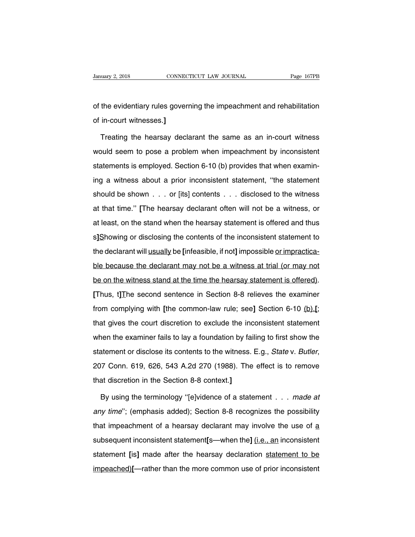January 2, 2018 CONNECTICUT LAW JOURNAL Page 167PB<br>
of the evidentiary rules governing the impeachment and rehabilitation<br>
of in-court witnesses.] University 2, 2018<br>
of the evidentiary rules gover<br>
of in-court witnesses.**]**<br>
Treating the hearsay decl

the evidentiary rules governing the impeachment and rehabilitation<br>in-court witnesses.]<br>Treating the hearsay declarant the same as an in-court witness<br>buld seem to pose a problem when impeachment by inconsistent of the evidentiary rules governing the impeachment and rehabilitation<br>of in-court witnesses.]<br>Treating the hearsay declarant the same as an in-court witness<br>would seem to pose a problem when impeachment by inconsistent<br>sta of in-court witnesses.]<br>Treating the hearsay declarant the same as an in-court witness<br>would seem to pose a problem when impeachment by inconsistent<br>statements is employed. Section 6-10 (b) provides that when examin-<br>ing a Treating the hearsay declarant the same as an in-court witness<br>would seem to pose a problem when impeachment by inconsistent<br>statements is employed. Section 6-10 (b) provides that when examin-<br>ing a witness about a prior should seem to pose a problem when impeachment by inconsistent statements is employed. Section 6-10 (b) provides that when examining a witness about a prior inconsistent statement, "the statement should be shown . . . or [ statements is employed. Section 6-10 (b) provides that when examin-<br>ing a witness about a prior inconsistent statement, "the statement<br>should be shown . . . or [its] contents . . . disclosed to the witness<br>at that time." [ ing a witness about a prior inconsistent statement, "the statement<br>should be shown . . . or [its] contents . . . disclosed to the witness<br>at that time." [The hearsay declarant often will not be a witness, or<br>at least, on t should be shown . . . or [its] contents . . . disclosed to the witness<br>at that time." [The hearsay declarant often will not be a witness, or<br>at least, on the stand when the hearsay statement is offered and thus<br>s]Showing o should be shown . . . or [its] contents . . . disclosed to the witness<br>at that time." [The hearsay declarant often will not be a witness, or<br>at least, on the stand when the hearsay statement is offered and thus<br>s]Showing o at that the term is the declarant may be<br>at least, on the stand when the hearsay statement is offered and thus<br>s]Showing or disclosing the contents of the inconsistent statement to<br>the declarant will usually be [infeasible be on the stand at the contents of the inconsistent statement to<br>s]Showing or disclosing the contents of the inconsistent statement to<br>the declarant will usually be [infeasible, if not] impossible <u>or impractica-</u><br>ble beca **EXECUTE:** Thus, the declarant will <u>usually</u> be [infeasible, if not] impossible <u>or impractica-</u><br>ble because the declarant may not be a witness at trial (or may not<br>be on the witness stand at the time the hearsay statemen from complying with the common-law rule; see] Section 6-10 (b).<br>Thus, t] The second sentence in Section 8-8 relieves the examiner<br>from complying with [the common-law rule; see] Section 6-10 (b).<br>That gives the court discre be on the witness stand at the time the hearsay statement is offered).<br>
[Thus, t] The second sentence in Section 8-8 relieves the examiner<br>
from complying with [the common-law rule; see] Section 6-10 (b).[;<br>
that gives the Thus, t] The second sentence in Section 8-8 relieves the examiner<br>from complying with [the common-law rule; see] Section 6-10 (b).[;<br>that gives the court discretion to exclude the inconsistent statement<br>when the examiner f Frince, efficiency in disclose its content or disclose its content of the with discretion of exclude the inconsistent statement<br>when the examiner fails to lay a foundation by failing to first show the<br>statement or disclose when the examiner fails to lay a foundation by fail<br>statement or disclose its contents to the witness.<br>207 Conn. 619, 626, 543 A.2d 270 (1988). The<br>that discretion in the Section 8-8 context.]<br>By using the terminology "fel atement or disclose its contents to the witness. E.g., *State v. Butler*,<br>17 Conn. 619, 626, 543 A.2d 270 (1988). The effect is to remove<br>at discretion in the Section 8-8 context.]<br>By using the terminology "[e]vidence of a

207 Conn. 619, 626, 543 A.2d 270 (1988). The effect is to remove<br>that discretion in the Section 8-8 context.]<br>By using the terminology "[e]vidence of a statement . . . made at<br>any time"; (emphasis added); Section 8-8 recog that discretion in the Section 8-8 context.]<br>By using the terminology "[e]vidence of a statement . . . made at<br>any time"; (emphasis added); Section 8-8 recognizes the possibility<br>that impeachment of a hearsay declarant may By using the terminology "[e]vidence of a statement . . . made at any time"; (emphasis added); Section 8-8 recognizes the possibility that impeachment of a hearsay declarant may involve the use of <u>a</u> subsequent inconsiste any time"; (emphasis added); Section 8-8 recognizes the possibility<br>that impeachment of a hearsay declarant may involve the use of a<br>subsequent inconsistent statement[s—when the] (i.e., an inconsistent<br>statement [is] made any and y comprises asses), section is a reseagnment of a heart of a heart may involve the use of a subsequent inconsistent statement [s—when the] (i.e., an inconsistent statement [is] made after the hearsay declaration st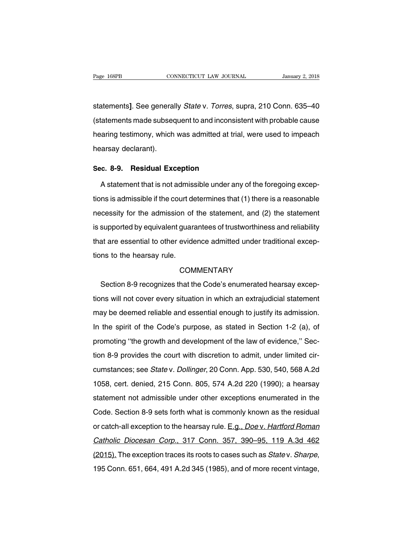Fage 168PB<br>Statements **January 2, 2018**<br>Statements **J.** See generally *State v. Torres*, supra, 210 Conn. 635–40<br>Statements made subsequent to and inconsistent with probable cause Page 168PB CONNECTICUT LAW JOURNAL January 2, 2018<br>
statements]. See generally *State* v. *Torres*, supra, 210 Conn. 635–40<br>
(statements made subsequent to and inconsistent with probable cause<br>
hearing testimony, which was statements]. See generally *State v. Torres*, supra, 210 Conn. 635–40<br>(statements made subsequent to and inconsistent with probable cause<br>hearing testimony, which was admitted at trial, were used to impeach<br>hearsay declara statements]. See general<br>(statements made subsed<br>hearing testimony, which<br>hearsay declarant). (statements made subsequent to and inconsis<br>
hearing testimony, which was admitted at tria<br>
hearsay declarant).<br> **Sec. 8-9. Residual Exception**<br>
A statement that is not admissible under an Framing testimony, which was admitted at trial, were used to impeach<br>A statement that is not admissible under any of the foregoing excep-<br>A statement that is not admissible under any of the foregoing excep-<br>Ins is admissib

the arsay declarant).<br>
Sec. 8-9. Residual Exception<br>
A statement that is not admissible under any of the foregoing excep-<br>
tions is admissible if the court determines that (1) there is a reasonable<br>
necessity for the admis Sec. 8-9. Residual Exception<br>A statement that is not admissible under any of the foregoing excep-<br>tions is admissible if the court determines that (1) there is a reasonable<br>necessity for the admission of the statement, and A statement that is not admissible under any of the foregoing exceptions is admissible if the court determines that (1) there is a reasonable necessity for the admission of the statement, and (2) the statement is supported Totatement that is not darmsolide ander any of the foregoing exceptions is admissible if the court determines that (1) there is a reasonable necessity for the admission of the statement, and (2) the statement is supported tions is during<br>the admission of<br>is supported by equivalent guar.<br>that are essential to other evide<br>tions to the hearsay rule. Experience y equivalent gadiatives of the intertimated and rendantly<br>at are essential to other evidence admitted under traditional excep-<br>ns to the hearsay rule.<br>COMMENTARY<br>Section 8-9 recognizes that the Code's enumerated

# **COMMENTARY**

tions to the hearsay rule.<br>
COMMENTARY<br>
Section 8-9 recognizes that the Code's enumerated hearsay excep-<br>
tions will not cover every situation in which an extrajudicial statement<br>
may be deemed reliable and essential enoug COMMENTARY<br>
Section 8-9 recognizes that the Code's enumerated hearsay excep-<br>
tions will not cover every situation in which an extrajudicial statement<br>
may be deemed reliable and essential enough to justify its admission.<br> Section 8-9 recognizes that the Code's enumerated hearsay exceptions will not cover every situation in which an extrajudicial statement<br>may be deemed reliable and essential enough to justify its admission.<br>In the spirit of browth and cover every situation in which an extrajudicial statement<br>may be deemed reliable and essential enough to justify its admission.<br>In the spirit of the Code's purpose, as stated in Section 1-2 (a), of<br>promoting "th tions with her sever every entation in which an exadgement elatement<br>may be deemed reliable and essential enough to justify its admission.<br>In the spirit of the Code's purpose, as stated in Section 1-2 (a), of<br>promoting "th In the spirit of the Code's purpose, as stated in Section 1-2 (a), of<br>promoting "the growth and development of the law of evidence," Sec-<br>tion 8-9 provides the court with discretion to admit, under limited cir-<br>cumstances; 11 and spint of the soads 5 parpose, as stated in Section 1  $E$  (a), or<br>promoting "the growth and development of the law of evidence," Sec-<br>tion 8-9 provides the court with discretion to admit, under limited cir-<br>cumstanc promoting the growth and development of the law of evidence, ecception 8-9 provides the court with discretion to admit, under limited circumstances; see *Statev. Dollinger*, 20 Conn. App. 530, 540, 568 A.2d 1058, cert. den contract of provided the eddit with didected to damit, dider infied on<br>cumstances; see *State* v. *Dollinger*, 20 Conn. App. 530, 540, 568 A.2d<br>1058, cert. denied, 215 Conn. 805, 574 A.2d 220 (1990); a hearsay<br>statement no 1058, cert. denied, 215 Conn. 805, 574 A.2d 220 (1990); a hearsay statement not admissible under other exceptions enumerated in the Code. Section 8-9 sets forth what is commonly known as the residual or catch-all exceptio statement not admissible under other exceptions enumerated in the<br>Code. Section 8-9 sets forth what is commonly known as the residual<br>or catch-all exception to the hearsay rule. E.g., *Doe* v. Hartford Roman<br>Catholic Dioce Code. Section 8-9 sets forth what is commonly known as the residual<br>or catch-all exception to the hearsay rule. E.g., *Doe* v. Hartford Roman<br>Catholic Diocesan Corp., 317 Conn. 357, 390–95, 119 A.3d 462<br>(2015). The excepti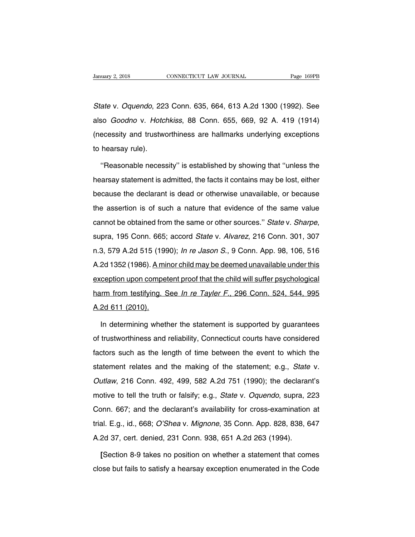State v. Oquendo, 223 Conn. 635, 664, 613 A.2d 1300 (1992). See<br>State v. Oquendo, 223 Conn. 635, 664, 613 A.2d 1300 (1992). See<br>also *Goodno* v. Hotchkiss, 88 Conn. 655, 669, 92 A. 419 (1914) January 2, 2018 CONNECTICUT LAW JOURNAL Page 169PB<br>
State v. Oquendo, 223 Conn. 635, 664, 613 A.2d 1300 (1992). See<br>
also *Goodno v. Hotchkiss*, 88 Conn. 655, 669, 92 A. 419 (1914)<br>
(necessity and trustworthiness are hallm State v. Oquendo, 223 Conn. 635, 664, 613 A.2d 1300 (1992). See<br>also *Goodno* v. Hotchkiss, 88 Conn. 655, 669, 92 A. 419 (1914)<br>(necessity and trustworthiness are hallmarks underlying exceptions<br>to hearsay rule). State v. Oquendo, 22:<br>also *Goodno v. Hotc.*<br>(necessity and trustwo<br>to hearsay rule).<br>"Reasonable neces so *Goodno* v. *Hotchkiss*, 88 Conn. 655, 669, 92 A. 419 (1914)<br>ecessity and trustworthiness are hallmarks underlying exceptions<br>hearsay rule).<br>"Reasonable necessity" is established by showing that "unless the<br>arsay statem

(necessity and trustworthiness are hallmarks underlying exceptions<br>to hearsay rule).<br>"Reasonable necessity" is established by showing that "unless the<br>hearsay statement is admitted, the facts it contains may be lost, eithe to hearsay rule).<br>
"Reasonable necessity" is established by showing that "unless the<br>
hearsay statement is admitted, the facts it contains may be lost, either<br>
because the declarant is dead or otherwise unavailable, or bec "Reasonable necessity" is established by showing that "unless the<br>hearsay statement is admitted, the facts it contains may be lost, either<br>because the declarant is dead or otherwise unavailable, or because<br>the assertion is ricaconable hoosectify the sociable from the same or otherwise same or otherwise investment be declarant is dead or otherwise unavailable, or because<br>the assertion is of such a nature that evidence of the same value<br>cannot the assertion is of such a nature that evidence of the same value<br>cannot be obtained from the same or other sources." *State* v. *Sharpe*,<br>supra, 195 Conn. 665; accord *State* v. *Alvarez*, 216 Conn. 301, 307<br>n.3, 579 A.2d a. 2d 1352 (1986). A minor child may be deemed unavailable under this exception upon competent proof that the child will suffer psychological exception upon competent proof that the child will suffer psychological be balance nont are called or called been competent. Chair of the supra, 195 Conn. 665; accord *State v. Alvarez*, 216 Conn. 301, 307 n.3, 579 A.2d 515 (1990); *In re Jason S.*, 9 Conn. App. 98, 106, 516 A.2d 1352 (1986). n.3, 579 A.2d 515 (1990); *In re Jason S.*, 9 Conn. App. 98, 106, 516<br>A.2d 1352 (1986). <u>A minor child may be deemed unavailable under this</u><br>exception upon competent proof that the child will suffer psychological<br>harm from A.2d 1352 (1986). A min<br>exception upon compet<br>harm from testifying. S<br>A.2d 611 (2010). ception upon competent proof that the child will suffer psychological<br>
Irm from testifying. See *In re Tayler F.*, 296 Conn. 524, 544, 995<br>
2d 611 (2010).<br>
In determining whether the statement is supported by guarantees<br>
t

harm from testifying. See *In re Tayler F.*, 296 Conn. 524, 544, 995<br>A.2d 611 (2010).<br>In determining whether the statement is supported by guarantees<br>of trustworthiness and reliability, Connecticut courts have considered<br>f A.2d 611 (2010).<br>In determining whether the statement is supported by guarantees<br>of trustworthiness and reliability, Connecticut courts have considered<br>factors such as the length of time between the event to which the<br>stat In determining whether the statement is supported by guarantees<br>of trustworthiness and reliability, Connecticut courts have considered<br>factors such as the length of time between the event to which the<br>statement relates and of trustworthiness and reliability, Connecticut courts have considered<br>factors such as the length of time between the event to which the<br>statement relates and the making of the statement; e.g., *State* v.<br>*Outlaw*, 216 Con factors such as the length of time between the event to which the statement relates and the making of the statement; e.g., *State* v. *Outlaw*, 216 Conn. 492, 499, 582 A.2d 751 (1990); the declarant's motive to tell the tr statement relates and the making of the statement; e.g., *State* v.<br>*Outlaw*, 216 Conn. 492, 499, 582 A.2d 751 (1990); the declarant's<br>motive to tell the truth or falsify; e.g., *State* v. *Oquendo*, supra, 223<br>Conn. 667; outlaw, 216 Conn. 492, 499, 582 A.2d 751 (1990); the declarant's<br>motive to tell the truth or falsify; e.g., *State v. Oquendo*, supra, 223<br>Conn. 667; and the declarant's availability for cross-examination at<br>trial. E.g., i Baham, 210 Sommetricz, 100, 002 7024 701 (1000), and doctatar<br>motive to tell the truth or falsify; e.g., *State* v. *Oquendo*, supra, 2<br>Conn. 667; and the declarant's availability for cross-examination<br>trial. E.g., id., 66 onn. 667; and the declarant's availability for cross-examination at<br>al. E.g., id., 668; *O'Shea* v. *Mignone*, 35 Conn. App. 828, 838, 647<br>2d 37, cert. denied, 231 Conn. 938, 651 A.2d 263 (1994).<br>[Section 8-9 takes no posi trial. E.g., id., 668; *O'Shea* v. *Mignone*, 35 Conn. App. 828, 838, 647<br>A.2d 37, cert. denied, 231 Conn. 938, 651 A.2d 263 (1994).<br>[Section 8-9 takes no position on whether a statement that comes<br>close but fails to satis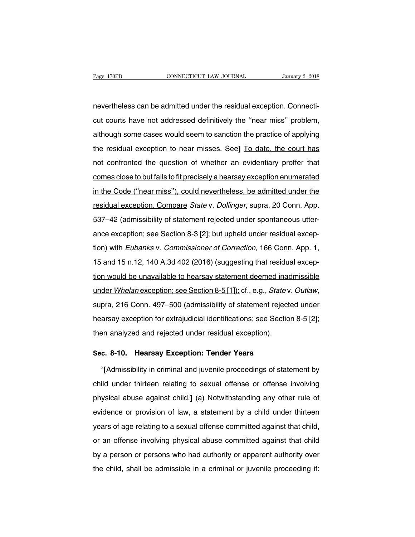Page 170PB<br>
CONNECTICUT LAW JOURNAL<br>
nevertheless can be admitted under the residual exception. Connecti-<br>
cut courts have not addressed definitively the "near miss" problem, Page 170PB CONNECTICUT LAW JOURNAL January 2, 2018<br>nevertheless can be admitted under the residual exception. Connecti-<br>cut courts have not addressed definitively the "near miss" problem,<br>although some cases would seem to mevertheless can be admitted under the residual exception. Connecti-<br>cut courts have not addressed definitively the "near miss" problem,<br>although some cases would seem to sanction the practice of applying<br>the residual exce nevertheless can be admitted under the residual exception. Connecticut courts have not addressed definitively the "near miss" problem, although some cases would seem to sanction the practice of applying the residual except not courts have not addressed definitively the "near miss" problem,<br>although some cases would seem to sanction the practice of applying<br>the residual exception to near misses. See] To date, the court has<br>not confronted the although some cases would seem to sanction the practice of applying<br>the residual exception to near misses. See] To date, the court has<br>not confronted the question of whether an evidentiary proffer that<br>comes close to but f the residual exception to near misses. See] To date, the court has<br>not confronted the question of whether an evidentiary proffer that<br>comes close to but fails to fit precisely a hearsay exception enumerated<br>in the Code ("n not confronted the question of whether an evidentiary proffer that<br>comes close to but fails to fit precisely a hearsay exception enumerated<br>in the Code ("near miss"), could nevertheless, be admitted under the<br>residual exce For sommonted the question of whether an evidentially profit that<br>comes close to but fails to fit precisely a hearsay exception enumerated<br>in the Code ("near miss"), could nevertheless, be admitted under the<br>residual excep in the Code ("near miss"), could nevertheless, be admitted under the residual exception. Compare *State v. Dollinger*, supra, 20 Conn. App.<br>537–42 (admissibility of statement rejected under spontaneous utter-<br>ance exceptio the sect of near mise *f*, sound neveraliseds, so during and structure residual exception. Compare *State* v. *Dollinger*, supra, 20 Conn. App.<br>537–42 (admissibility of statement rejected under spontaneous utter-<br>ance exce 15 and 15 n.12, 140 A.3d 402 (2016) (suggesting that residual excep-<br>tion) with *Eubanks v. Commissioner of Correction*, 166 Conn. App. 1,<br>15 and 15 n.12, 140 A.3d 402 (2016) (suggesting that residual excep-<br>tion would be ance exception; see Section 8-3 [2]; but upheld under residual exception) with *Eubanks v. Commissioner of Correction*, 166 Conn. App. 1, 15 and 15 n.12, 140 A.3d 402 (2016) (suggesting that residual exception would be una under Whelan exception; see Section 8- $\lfloor$   $\lfloor$   $\rfloor$ , but uphold under residual exception) with Eubanks v. Commissioner of Correction, 166 Conn. App. 1, 15 and 15 n.12, 140 A.3d 402 (2016) (suggesting that residual exc hearsal is the unavailable to hearsay statement deemed inadmissible<br>under *Whelan* exception; see Section 8-5 [1]); cf., e.g., *Statev. Outlaw*,<br>supra, 216 Conn. 497–500 (admissibility of statement rejected under<br>hearsay e tion would be unavailable to hearsay statement deemed inadmissible<br>under Whelan exception; see Section 8-5 [1]); cf., e.g., *Statev. Outlaw*,<br>supra, 216 Conn. 497–500 (admissibility of statement rejected under<br>hearsay exce supra, 216 Conn. 497–500 (admissibility of statement rejecte<br>hearsay exception for extrajudicial identifications; see Section<br>then analyzed and rejected under residual exception).<br>**Sec. 8-10. Hearsay Exception: Tender Year** 

varian analyzed and rejected under residual exception).<br> **Execution** analyzed and rejected under residual exception).<br> **Execution: Tender Years**<br> **Execution: Tender Years**<br> **Execution: Tender Years**<br> **Execution: Tender Yea** then analyzed and rejected under residual exception).<br> **Sec. 8-10. Hearsay Exception: Tender Years**<br>
"[Admissibility in criminal and juvenile proceedings of statement by<br>
child under thirteen relating to sexual offense or Sec. 8-10. Hearsay Exception: Tender Years<br>
"[Admissibility in criminal and juvenile proceedings of statement by<br>
child under thirteen relating to sexual offense or offense involving<br>
physical abuse against child.] (a) Not "[Admissibility in criminal and juvenile proceedings of statement by<br>child under thirteen relating to sexual offense or offense involving<br>physical abuse against child.] (a) Notwithstanding any other rule of<br>evidence or pro produces a sexual offense or offense involving<br>physical abuse against child.] (a) Notwithstanding any other rule of<br>evidence or provision of law, a statement by a child under thirteen<br>years of age relating to a sexual offe priyeidant details degrate entiting (a) recurreductioning any enter table or<br>evidence or provision of law, a statement by a child under thirteen<br>years of age relating to a sexual offense committed against that child,<br>or an by a statement by a since and and the integral<br>years of age relating to a sexual offense committed against that child,<br>or an offense involving physical abuse committed against that child<br>by a person or persons who had auth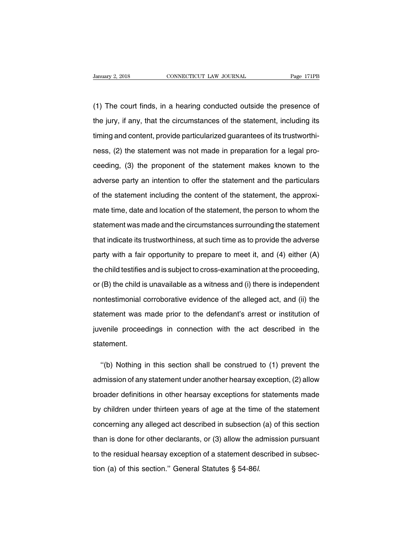Vanuary 2, 2018 CONNECTICUT LAW JOURNAL Page 171PB<br>
(1) The court finds, in a hearing conducted outside the presence of<br>
the jury, if any, that the circumstances of the statement, including its Fanuary 2, 2018 CONNECTICUT LAW JOURNAL Page 171PB<br>
(1) The court finds, in a hearing conducted outside the presence of<br>
the jury, if any, that the circumstances of the statement, including its<br>
timing and content, provide (1) The court finds, in a hearing conducted outside the presence of<br>the jury, if any, that the circumstances of the statement, including its<br>timing and content, provide particularized guarantees of its trustworthi-<br>ness, ( (1) The court finds, in a hearing conducted outside the presence of<br>the jury, if any, that the circumstances of the statement, including its<br>timing and content, provide particularized guarantees of its trustworthi-<br>ness, ( the jury, if any, that the circumstances of the statement, including its<br>timing and content, provide particularized guarantees of its trustworthi-<br>ness, (2) the statement was not made in preparation for a legal pro-<br>ceedin timing and content, provide particularized guarantees of its trustworthinness, (2) the statement was not made in preparation for a legal proceeding, (3) the proponent of the statement makes known to the adverse party an in ness, (2) the statement was not made in preparation for a legal pro-<br>ceeding, (3) the proponent of the statement makes known to the<br>adverse party an intention to offer the statement and the particulars<br>of the statement inc ceeding, (3) the proponent of the statement makes known to the<br>adverse party an intention to offer the statement and the particulars<br>of the statement including the content of the statement, the approxi-<br>mate time, date and adverse party an intention to offer the statement and the particulars<br>of the statement including the content of the statement, the approxi-<br>mate time, date and location of the statement, the person to whom the<br>statement wa of the statement including the content of the statement, the approximate time, date and location of the statement, the person to whom the statement was made and the circumstances surrounding the statement that indicate its mate time, date and location of the statement, the person to whom the statement was made and the circumstances surrounding the statement that indicate its trustworthiness, at such time as to provide the adverse party with statement was made and the circumstances surrounding the statement<br>that indicate its trustworthiness, at such time as to provide the adverse<br>party with a fair opportunity to prepare to meet it, and (4) either (A)<br>the child that indicate its trustworthiness, at such time as to provide the adverse<br>party with a fair opportunity to prepare to meet it, and (4) either (A)<br>the child testifies and is subject to cross-examination at the proceeding,<br>o party with a fair opportunity to prepare to meet it, and (4) either (A)<br>the child testifies and is subject to cross-examination at the proceeding,<br>or (B) the child is unavailable as a witness and (i) there is independent<br>n the child testifies and is subject to cross-examination at the proceeding,<br>or (B) the child is unavailable as a witness and (i) there is independent<br>nontestimonial corroborative evidence of the alleged act, and (ii) the<br>st or (B) the child is unavailable as a witness and (i) there is independent<br>nontestimonial corroborative evidence of the alleged act, and (ii) the<br>statement was made prior to the defendant's arrest or institution of<br>juvenile statement. internent was made prior to the defendant's arrest or institution of<br>
venile proceedings in connection with the act described in the<br>
atement.<br>
"(b) Nothing in this section shall be construed to (1) prevent the<br>
Imission o

indepropeedings in connection with the act described in the<br>statement.<br>"(b) Nothing in this section shall be construed to (1) prevent the<br>admission of any statement under another hearsay exception, (2) allow<br>broader defini statement.<br>
"(b) Nothing in this section shall be construed to (1) prevent the<br>
admission of any statement under another hearsay exception, (2) allow<br>
broader definitions in other hearsay exceptions for statements made<br>
by "(b) Nothing in this section shall be construed to  $(1)$  prevent the admission of any statement under another hearsay exception,  $(2)$  allow broader definitions in other hearsay exceptions for statements made by children admission of any statement under another hearsay exception, (2) allow<br>broader definitions in other hearsay exceptions for statements made<br>by children under thirteen years of age at the time of the statement<br>concerning any broader definitions in other hearsay exceptions for statements made<br>by children under thirteen years of age at the time of the statement<br>concerning any alleged act described in subsection (a) of this section<br>than is done f by children under thirteen years of age at the time of the statement<br>concerning any alleged act described in subsection (a) of this section<br>than is done for other declarants, or (3) allow the admission pursuant<br>to the resi concerning any alleged act described in subsection<br>than is done for other declarants, or (3) allow the ad<br>to the residual hearsay exception of a statement de-<br>tion (a) of this section." General Statutes § 54-86*l*.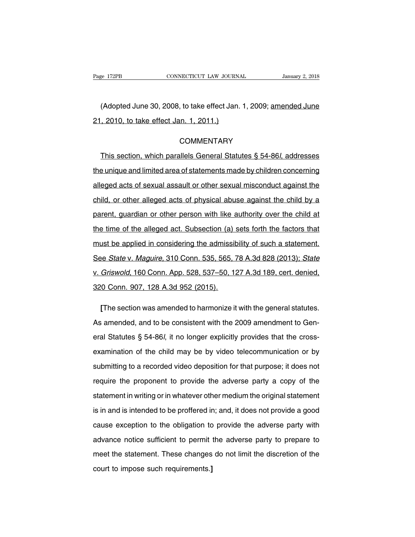EXECTE THE CONNECTICUT LAW JOURNAL January 2, 2018<br>(Adopted June 30, 2008, to take effect Jan. 1, 2009; amended June<br>2010, to take effect Jan. 1, 2011.) Page 172PB CONNECTICUT LAW JOURNA<br>
(Adopted June 30, 2008, to take effect Jan.<br>
21, 2010, to take effect Jan. 1, 2011.)

# **COMMENTARY**

(Adopted June 30, 2008, to take effect Jan. 1, 2009; <u>amended June</u><br>2010, to take effect Jan. 1, 2011.)<br>COMMENTARY<br>This section, which parallels General Statutes § 54-86*l*, addresses<br>2 unique and limited area of statement 21, 2010, to take effect Jan. 1, 2011.)<br>
COMMENTARY<br>
This section, which parallels General Statutes § 54-86*l*, addresses<br>
the unique and limited area of statements made by children concerning<br>
alleged acts of sexual assau COMMENTARY<br>This section, which parallels General Statutes § 54-86*l*, addresses<br>the unique and limited area of statements made by children concerning<br>alleged acts of sexual assault or other sexual misconduct against the<br>ch This section, which parallels General Statutes § 54-86*l*, addresses<br>the unique and limited area of statements made by children concerning<br>alleged acts of sexual assault or other sexual misconduct against the<br>child, or oth the unique and limited area of statements made by children concerning<br>alleged acts of sexual assault or other sexual misconduct against the<br>child, or other alleged acts of physical abuse against the child by a<br>parent, guar alleged acts of sexual assault or other sexual misconduct against the child, or other alleged acts of physical abuse against the child by a parent, guardian or other person with like authority over the child at the time of child, or other alleged acts of physical abuse against the child by a<br>parent, guardian or other person with like authority over the child at<br>the time of the alleged act. Subsection (a) sets forth the factors that<br>must be a parent, guardian or other person with like authority over the child at<br>the time of the alleged act. Subsection (a) sets forth the factors that<br>must be applied in considering the admissibility of such a statement.<br>See *Stat* the time of the alleged act. Subsection (a) sets forth the factors that<br>must be applied in considering the admissibility of such a statement.<br>See *State* v. *Maguire*, 310 Conn. 535, 565, 78 A.3d 828 (2013); *State*<br>v. *Gr* must be applied in considering the admissit<br>See *State v. Maguire*, 310 Conn. 535, 565, 7<br>v. *Griswold*, 160 Conn. App. 528, 537–50, 12<br>320 Conn. 907, 128 A.3d 952 (2015). **Example State v. Maguire, 310 Conn. 535, 565, 78 A.3d 828 (2013); State Griswold, 160 Conn. App. 528, 537–50, 127 A.3d 189, cert. denied, 10 Conn. 907, 128 A.3d 952 (2015).<br>The section was amended to harmonize it with the** 

v. *Griswold*, 160 Conn. App. 528, 537–50, 127 A.3d 189, cert. denied,<br>320 Conn. 907, 128 A.3d 952 (2015).<br>[The section was amended to harmonize it with the general statutes.<br>As amended, and to be consistent with the 2009 eral Statutes § 54-86l, it no longer explicitly provides that the cross-<br>examination of the consistent with the 2009 amendment to General Statutes § 54-86l, it no longer explicitly provides that the cross-<br>examination of t [The section was amended to harmonize it with the general statutes.<br>As amended, and to be consistent with the 2009 amendment to General Statutes  $\S$  54-86*l*, it no longer explicitly provides that the cross-<br>examination o As amended, and to be consistent with the 2009 amendment to General Statutes § 54-86*l*, it no longer explicitly provides that the cross-<br>examination of the child may be by video telecommunication or by<br>submitting to a rec eral Statutes § 54-86*l*, it no longer explicitly provides that the cross-<br>examination of the child may be by video telecommunication or by<br>submitting to a recorded video deposition for that purpose; it does not<br>require th examination of the child may be by video telecommunication or by<br>submitting to a recorded video deposition for that purpose; it does not<br>require the proponent to provide the adverse party a copy of the<br>statement in writing submitting to a recorded video deposition for that purpose; it does not<br>require the proponent to provide the adverse party a copy of the<br>statement in writing or in whatever other medium the original statement<br>is in and is require the proponent to provide the adverse party a copy of the<br>statement in writing or in whatever other medium the original statement<br>is in and is intended to be proffered in; and, it does not provide a good<br>cause excep statement in writing or in whatever other medium the original statement<br>is in and is intended to be proffered in; and, it does not provide a good<br>cause exception to the obligation to provide the adverse party with<br>advance is in and is intended to be proffered in; and, it does not provide a good<br>cause exception to the obligation to provide the adverse party with<br>advance notice sufficient to permit the adverse party to prepare to<br>meet the sta is in and is intended to be proffered in; and, it does not provide a good cause exception to the obligation to provide the adverse party with advance notice sufficient to permit the adverse party to prepare to meet the sta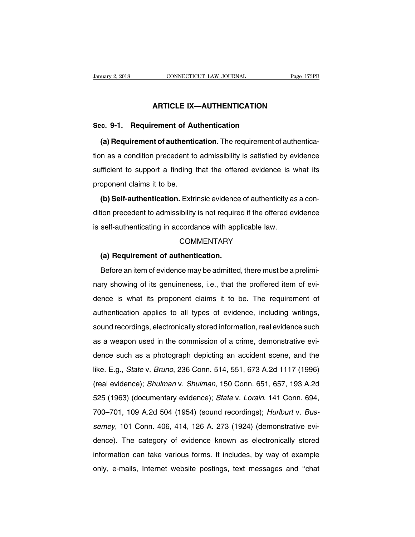# **CONNECTICUT LAW JOURNAL** Page 173P<br> **ARTICLE IX—AUTHENTICATION**

**Sanuary 2, 2018** CONNECTICUT LAW JOURNAL<br> **ARTICLE IX—AUTHENTICATION**<br> **Sec. 9-1. Requirement of Authentication**<br> **(a) Requirement of authentication.** The requirement of **ARTICLE IX—AUTHENTICATION**<br> **(a) Requirement of authentication**<br> **(a) Requirement of authentication.** The requirement of authentica-<br>
in as a condition precedent to admissibility is satisfied by evidence ARTICLE IX—AUTHENTICATION<br>Sec. 9-1. Requirement of Authentication<br>(a) Requirement of authentication. The requirement of authentica-<br>tion as a condition precedent to admissibility is satisfied by evidence<br>sufficient to supp Sec. 9-1. Requirement of Authentication<br>
(a) Requirement of authentication. The requirement of authentica-<br>
tion as a condition precedent to admissibility is satisfied by evidence<br>
sufficient to support a finding that the (a) Requirement of authention<br>tion as a condition precedent to<br>sufficient to support a finding<br>proponent claims it to be.<br>(b) Self-authentication. Extri In as a condition precedent to admissibility is satisfied by evidence<br>fficient to support a finding that the offered evidence is what its<br>oponent claims it to be.<br>(b) Self-authentication. Extrinsic evidence of authenticity

sufficient to support a finding that the offered evidence is what its<br>proponent claims it to be.<br>(b) Self-authentication. Extrinsic evidence of authenticity as a con-<br>dition precedent to admissibility is not required if th Example in a manifermity of the subset of authorities is appropriant claims it to be.<br> **(b) Self-authentication.** Extrinsic evidence of authenticity as<br>
dition precedent to admissibility is not required if the offered evid (a) Confident to admissibility is not require<br>self-authenticating in accordance with app<br>COMMENTARY<br>(a) Requirement of authentication.<br>Before an item of evidence may be admitted

# **COMMENTARY**

Beff-authenticating in accordance with applicable law.<br>COMMENTARY<br>(a) Requirement of authentication.<br>Before an item of evidence may be admitted, there must be a prelimi-<br>ry showing of its genuineness, i.e., that the proffe COMMENTARY<br>COMMENTARY<br>(a) Requirement of authentication.<br>Before an item of evidence may be admitted, there must be a prelimi-<br>nary showing of its genuineness, i.e., that the proffered item of evi-<br>dence is what its propone (a) Requirement of authentication.<br>Before an item of evidence may be admitted, there must be a prelimi-<br>nary showing of its genuineness, i.e., that the proffered item of evi-<br>dence is what its proponent claims it to be. Th Before an item of evidence may be admitted, there must be a preliminary showing of its genuineness, i.e., that the proffered item of evidence is what its proponent claims it to be. The requirement of authentication applies source annonce once may be demined, and once the profit of evidence is what its proponent claims it to be. The requirement of authentication applies to all types of evidence, including writings, sound recordings, electroni rary channel of a genanismess, i.e., that the profiese item of our dence is what its proponent claims it to be. The requirement of authentication applies to all types of evidence, including writings, sound recordings, elec authentication applies to all types of evidence, including writings,<br>sound recordings, electronically stored information, real evidence such<br>as a weapon used in the commission of a crime, demonstrative evi-<br>dence such as a dationication applies to air types of ovidence, including whitings,<br>sound recordings, electronically stored information, real evidence such<br>as a weapon used in the commission of a crime, demonstrative evi-<br>dence such as a as a weapon used in the commission of a crime, demonstrative evidence such as a photograph depicting an accident scene, and the like. E.g., *State v. Bruno*, 236 Conn. 514, 551, 673 A.2d 1117 (1996) (real evidence); *Shulm* dence such as a photograph depicting an accident scene, and the like. E.g., *State v. Bruno*, 236 Conn. 514, 551, 673 A.2d 1117 (1996) (real evidence); *Shulman v. Shulman*, 150 Conn. 651, 657, 193 A.2d 525 (1963) (documen ike. E.g., *State* v. *Bruno*, 236 Conn. 514, 551, 673 A.2d 1117 (1996)<br>(real evidence); *Shulman* v. *Shulman*, 150 Conn. 651, 657, 193 A.2d<br>525 (1963) (documentary evidence); *State* v. *Lorain*, 141 Conn. 694,<br>700–701, set E.g., State v. Brand, 200 Somm 511, 601, 6161.24 1117 (1666)<br>(real evidence); *Shulman* v. *Shulman*, 150 Conn. 651, 657, 193 A.2d<br>525 (1963) (documentary evidence); *State v. Lorain*, 141 Conn. 694,<br>700–701, 109 A.2d dence), *Chamian v. Chamian,* 100 06mm. 601, 601, 100 1.2d<br>525 (1963) (documentary evidence); *State v. Lorain*, 141 Conn. 694,<br>700–701, 109 A.2d 504 (1954) (sound recordings); *Hurlburt v. Bus-<br>semey*, 101 Conn. 406, 414, 525 (1666) (assumentary evidenties), state v. Estam, 111 Somm. 551, 700–701, 109 A.2d 504 (1954) (sound recordings); *Hurlburt v. Bussemey*, 101 Conn. 406, 414, 126 A. 273 (1924) (demonstrative evidence). The category of e semey, 101 Conn. 406, 414, 126 A. 273 (1924) (demonstrative evidence). The category of evidence known as electronically stored information can take various forms. It includes, by way of example only, e-mails, Internet webs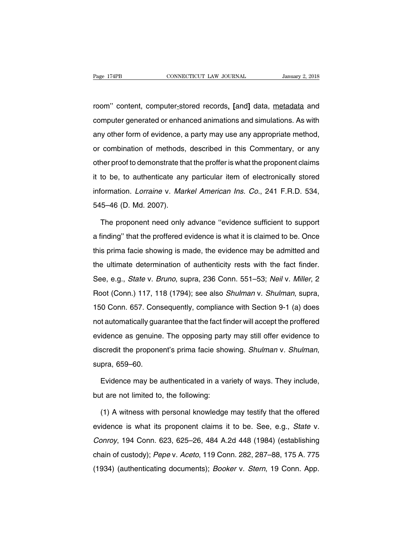rage 174PB **CONNECTICUT LAW JOURNAL** January 2, 2018<br> **CONNECTICUT LAW JOURNAL** January 2, 2018<br> **CONNECTICUT LAW JOURNAL** January 2, 2018<br> **CONNECTICUT LAW JOURNAL** January 2, 2018<br> **CONNECTICUT LAW JOURNAL** Page 174PB CONNECTICUT LAW JOURNAL January 2, 2018<br>room" content, computer\_stored records, [and] data, <u>metadata</u> and<br>computer generated or enhanced animations and simulations. As with<br>any other form of evidence, a party m room" content, computer-stored records, [and] data, metadata and<br>computer generated or enhanced animations and simulations. As with<br>any other form of evidence, a party may use any appropriate method,<br>or combination of meth room" content, computer-stored records, [and] data, <u>metadata</u> and<br>computer generated or enhanced animations and simulations. As with<br>any other form of evidence, a party may use any appropriate method,<br>or combination of me computer generated or enhanced animations and simulations. As with<br>any other form of evidence, a party may use any appropriate method,<br>or combination of methods, described in this Commentary, or any<br>other proof to demonstr any other form of evidence, a party may use any appropriate method,<br>or combination of methods, described in this Commentary, or any<br>other proof to demonstrate that the proffer is what the proponent claims<br>it to be, to auth information of methods, described in this Commentary, or any<br>or combination of methods, described in this Commentary, or any<br>other proof to demonstrate that the proffer is what the proponent claims<br>it to be, to authenticat of combination of motivods,<br>it to be, to authenticate any<br>information. *Lorraine* v. *Mar*<br>545–46 (D. Md. 2007).<br>The proponent need only to be, to authenticate any particular item of electronically stored<br>ormation. Lorraine v. Markel American Ins. Co., 241 F.R.D. 534,<br>5–46 (D. Md. 2007).<br>The proponent need only advance "evidence sufficient to support<br>findin

information. *Lorraine* v. *Markel American Ins. Co.*, 241 F.R.D. 534,<br>545–46 (D. Md. 2007).<br>The proponent need only advance "evidence sufficient to support<br>a finding" that the proffered evidence is what it is claimed to b 545–46 (D. Md. 2007).<br>The proponent need only advance "evidence sufficient to support<br>a finding" that the proffered evidence is what it is claimed to be. Once<br>this prima facie showing is made, the evidence may be admitted The proponent need only advance "evidence sufficient to support<br>a finding" that the proffered evidence is what it is claimed to be. Once<br>this prima facie showing is made, the evidence may be admitted and<br>the ultimate deter Incept proponent need only davance condence sample in the deppoint a finding" that the proffered evidence is what it is claimed to be. Once this prima facie showing is made, the evidence may be admitted and the ultimate de Root (Conn.) 117, 118 (1794); see also *Shulman v. Shulman*, supra, 150 Conn. 657. Consequently, compliance with Section 9-1 (a) does the ultimate determination of authenticity rests with the fact finder.<br>See, e.g., *State* v. *Bruno*, supra, 236 Conn. 551–53; *Neil* v. *Miller*, 2<br>Root (Conn.) 117, 118 (1794); see also *Shulman* v. *Shulman*, supra,<br>150 See, e.g., *State* v. *Bruno*, supra, 236 Conn. 551–53; *Neil* v. *Miller*, 2<br>Root (Conn.) 117, 118 (1794); see also *Shulman* v. *Shulman*, supra,<br>150 Conn. 657. Consequently, compliance with Section 9-1 (a) does<br>not auto every erg., early the brank, eaply, 200 Solith Settled, Nettly, Million, 2<br>Root (Conn.) 117, 118 (1794); see also *Shulman* v. *Shulman*, supra,<br>150 Conn. 657. Consequently, compliance with Section 9-1 (a) does<br>not automat discredit the proponent's prima facie showing. Shulman v. Shamman, supra, 150 Conn. 657. Consequently, compliance with Section 9-1 (a) does not automatically guarantee that the fact finder will accept the profered evidence idence as genuine. The opposing party may still offer evidence to<br>scredit the proponent's prima facie showing. Shulman v. Shulman,<br>pra, 659–60.<br>Evidence may be authenticated in a variety of ways. They include,<br>it are not l discredit the proponent's prima facie sho<br>supra, 659–60.<br>Evidence may be authenticated in a va<br>but are not limited to, the following:<br>(1) A witness with personal knowledge

pra, 659–60.<br>
Evidence may be authenticated in a variety of ways. They include,<br>
it are not limited to, the following:<br>
(1) A witness with personal knowledge may testify that the offered<br>
idence is what its proponent claim Evidence may be authenticated in a variety of ways. They include,<br>but are not limited to, the following:<br>(1) A witness with personal knowledge may testify that the offered<br>evidence is what its proponent claims it to be. Se but are not limited to, the following:<br>
(1) A witness with personal knowledge may testify that the offered<br>
evidence is what its proponent claims it to be. See, e.g., *State* v.<br>
Conroy, 194 Conn. 623, 625–26, 484 A.2d 448 (1) A witness with personal knowledge may testify that the offered evidence is what its proponent claims it to be. See, e.g., *State* v. Conroy, 194 Conn. 623, 625–26, 484 A.2d 448 (1984) (establishing chain of custody); (1) A while to this proponent claims it to be. See, e.g., *State v.* Conroy, 194 Conn. 623, 625–26, 484 A.2d 448 (1984) (establishing chain of custody); *Pepe v. Aceto*, 119 Conn. 282, 287–88, 175 A. 775 (1934) (authentic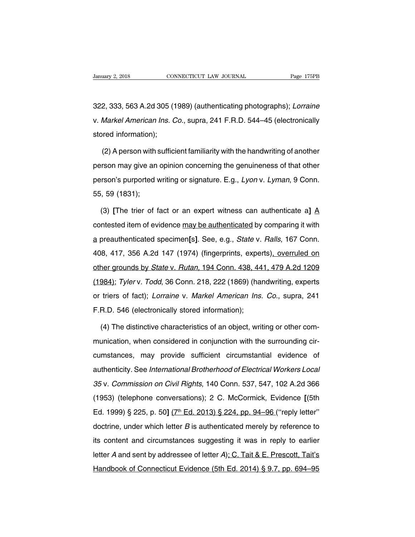322, 333, 563 A.2d 305 (1989) (authenticating photographs); *Lorraine*<br>322, 333, 563 A.2d 305 (1989) (authenticating photographs); *Lorraine*<br>1999 v. *Markel American Ins. Co.*, supra, 241 F.R.D. 544–45 (electronically Vanuary 2, 2018 CONNECTICUT LAW JOURNAL Page 175PB<br>322, 333, 563 A.2d 305 (1989) (authenticating photographs); *Lorraine*<br>v. *Markel American Ins. Co.*, supra, 241 F.R.D. 544–45 (electronically stored information); stored information)<br>1922, 333, 563 A.2d 305 (1<br>1988)<br>1988 v. Markel American Ins. C<br>1988 v. Stored information);<br>1988 v. Stored information); 2, 333, 563 A.2d 305 (1989) (authenticating photographs); *Lorraine*<br>Markel American Ins. Co., supra, 241 F.R.D. 544–45 (electronically<br>pred information);<br>(2) A person with sufficient familiarity with the handwriting of an

v. *Markel American Ins. Co.*, supra, 241 F.R.D. 544–45 (electronically<br>stored information);<br>(2) A person with sufficient familiarity with the handwriting of another<br>person may give an opinion concerning the genuineness of stored information);<br>(2) A person with sufficient familiarity with the handwriting of another<br>person may give an opinion concerning the genuineness of that other<br>person's purported writing or signature. E.g., *Lyon v. Lyma* (2) A person with sperson may give an<br>person's purported \<br>55, 59 (1831);<br>(3) IThe trier of f Frieson may give an opinion concerning the genuineness of that other<br>
rson's purported writing or signature. E.g., *Lyon* v. *Lyman*, 9 Conn.<br>
59 (1831);<br>
(3) [The trier of fact or an expert witness can authenticate a] A<br>

person's purported writing or signature. E.g., *Lyon v. Lyman*, 9 Conn.<br>55, 59 (1831);<br>(3) [The trier of fact or an expert witness can authenticate a] <u>A</u><br>contested item of evidence may be authenticated by comparing it wit 55, 59 (1831);<br>(3) [The trier of fact or an expert witness can authenticate a] <u>A</u><br>contested item of evidence <u>may be authenticated</u> by comparing it with<br>a preauthenticated specimen[s]. See, e.g., *State* v. *Ralls*, 167 C (3) [The trier of fact or an expert witness can authenticate a]  $\underline{A}$  contested item of evidence <u>may be authenticated</u> by comparing it with a preauthenticated specimen[s]. See, e.g., *State* v. *Ralls*, 167 Conn. 408, contested item of evidence may be authenticated by comparing it with<br>a preauthenticated specimen[s]. See, e.g., *State* v. *Ralls*, 167 Conn.<br>408, 417, 356 A.2d 147 (1974) (fingerprints, experts), overruled on<br>other groun a preauthenticated specimen[s]. See, e.g., *State v. Ralls*, 167 Conn.<br>408, 417, 356 A.2d 147 (1974) (fingerprints, experts), overruled on<br>other grounds by *State v. Rutan*, 194 Conn. 438, 441, 479 A.2d 1209<br>(1984); *Tyler* a produit childred opedition [1]. Coo, e.g., clare v. Franc, 107 Com...<br>408, 417, 356 A.2d 147 (1974) (fingerprints, experts), overruled on<br>other grounds by *State v. Rutan*, 194 Conn. 438, 441, 479 A.2d 1209<br>(1984); Tyler F.B.D. 546 (electronically stored information); copen<br>(1984); Tylerv. Todd, 36 Conn. 218, 222 (1869) (halor triers of fact); Lorraine v. Markel American Ins.<br>F.R.D. 546 (electronically stored information);<br>(4) The distinct (4) Tyler v. Todd, 36 Conn. 218, 222 (1869) (handwriting, experts<br>triers of fact); Lorraine v. Markel American Ins. Co., supra, 241<br>R.D. 546 (electronically stored information);<br>(4) The distinctive characteristics of an ob

or triers of fact); *Lorraine v. Markel American Ins. Co.*, supra, 241<br>F.R.D. 546 (electronically stored information);<br>(4) The distinctive characteristics of an object, writing or other com-<br>munication, when considered in F.R.D. 546 (electronically stored information);<br>(4) The distinctive characteristics of an object, writing or other com-<br>munication, when considered in conjunction with the surrounding cir-<br>cumstances, may provide sufficien (4) The distinctive characteristics of an object, writing or other com-<br>munication, when considered in conjunction with the surrounding cir-<br>cumstances, may provide sufficient circumstantial evidence of<br>authenticity. See (1) The distinctive shartdetchated of an estyped, whiting or early redint munication, when considered in conjunction with the surrounding circumstances, may provide sufficient circumstantial evidence of authenticity. See riamation, when considered in conjumeter with the carrotanality of<br>cumstances, may provide sufficient circumstantial evidence of<br>authenticity. See *International Brotherhood of Electrical Workers Local*<br>35 v. Commission on edifference, they provide caliboth cheamodamical evidence of<br>authenticity. See *International Brotherhood of Electrical Workers Local*<br>35 v. Commission on Civil Rights, 140 Conn. 537, 547, 102 A.2d 366<br>(1953) (telephone co 35 v. Commission on Civil Rights, 140 Conn. 537, 547, 102 A.2d 366<br>(1953) (telephone conversations); 2 C. McCormick, Evidence [(5th<br>Ed. 1999) § 225, p. 50] ( $7^{\text{th}}$  Ed. 2013) § 224, pp. 94–96 ("reply letter"<br>doctrine, u (1953) (telephone conversations); 2 C. McCormick, Evidence [(5th Ed. 1999) § 225, p. 50]  $(7^{\text{th}}$  Ed. 2013) § 224, pp. 94–96 ("reply letter" doctrine, under which letter *B* is authenticated merely by reference to its c Ed. 1999) § 225, p. 50]  $(7^{\text{th}}$  Ed. 2013) § 224, pp. 94–96 ("reply letter"<br>doctrine, under which letter *B* is authenticated merely by reference to<br>its content and circumstances suggesting it was in reply to earlier<br>le Handbook of Connecticut Evidence (5th Ed. 2014) § 9.7, pp. 694–95<br>Handbook of Connecticut Evidence (5th Ed. 2014) § 9.7, pp. 694–95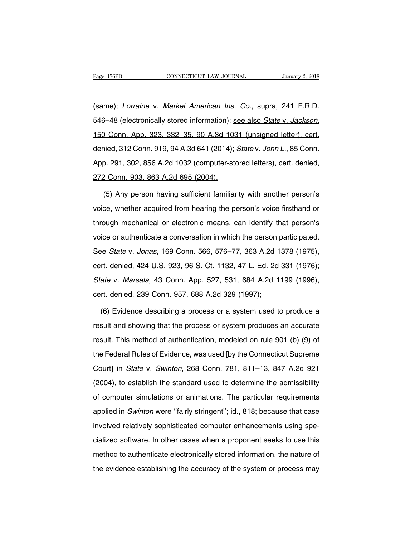Page 176PB CONNECTICUT LAW JOURNAL January 2, 2018<br>(same); Lorraine v. Markel American Ins. Co., supra, 241 F.R.D.<br>546–48 (electronically stored information); <u>see also State v. Jackson,</u> Fage 176PB CONNECTICUT LAW JOURNAL January 2, 2018<br>
(same); Lorraine v. Markel American Ins. Co., supra, 241 F.R.D.<br>
546–48 (electronically stored information); <u>see also State v. Jackson,</u><br>
150 Conn. App. 323, 332–35, 90 (same); *Lorraine v. Markel American Ins. Co.*, supra, 241 F.R.D.<br>546–48 (electronically stored information); <u>see also *State v. Jackson*.</u><br>150 Conn. App. 323, 332–35, 90 A.3d 1031 (unsigned letter), cert.<br>denied, 312 Con (banne), Echamo V. Manter-American metricer, depta, ETT TRIB.<br>546–48 (electronically stored information); <u>see also State v. Jackson.</u><br>150 Conn. App. 323, 332–35, 90 A.3d 1031 (unsigned letter), cert.<br>denied, 312 Conn. 919 546–48 (electronically stored information); <u>see also *State v. Jackson*,<br>150 Conn. App. 323, 332–35, 90 A.3d 1031 (unsigned letter), cert.<br>denied, 312 Conn. 919, 94 A.3d 641 (2014); *State v. John L.*, 85 Conn.<br>App. 291, </u> iied, 312 Conn. 919, 94 A.3d 641 (2014); *State* v. *John L.*, 85 Conn.<br>2. 291, 302, 856 A.2d 1032 (computer-stored letters), cert. denied,<br>2. Conn. 903, 863 A.2d 695 (2004).<br>(5) Any person having sufficient familiarity wi

App. 291, 302, 856 A.2d 1032 (computer-stored letters), cert. denied,<br>272 Conn. 903, 863 A.2d 695 (2004).<br>(5) Any person having sufficient familiarity with another person's<br>voice, whether acquired from hearing the person's 272 Conn. 903, 863 A.2d 695 (2004).<br>
(5) Any person having sufficient familiarity with another person's<br>
voice, whether acquired from hearing the person's voice firsthand or<br>
through mechanical or electronic means, can ide (5) Any person having sufficient familiarity with another person's<br>voice, whether acquired from hearing the person's voice firsthand or<br>through mechanical or electronic means, can identify that person's<br>voice or authentica voice, whether acquired from hearing the person's voice firsthand or through mechanical or electronic means, can identify that person's voice or authenticate a conversation in which the person participated.<br>See *State v. J* through mechanical or electronic means, can identify that person's voice or authenticate a conversation in which the person participated.<br>See *State v. Jonas*, 169 Conn. 566, 576–77, 363 A.2d 1378 (1975), cert. denied, 424 shedger modulation of stocketing module, can fact in person participated.<br>See *State v. Jonas*, 169 Conn. 566, 576–77, 363 A.2d 1378 (1975),<br>cert. denied, 424 U.S. 923, 96 S. Ct. 1132, 47 L. Ed. 2d 331 (1976);<br>*State v. Ma* See *State* v. *Jonas*, 169 Conn. 566, 576–77, 363 A.2d 1<br>cert. denied, 424 U.S. 923, 96 S. Ct. 1132, 47 L. Ed. 2d<br>*State* v. *Marsala*, 43 Conn. App. 527, 531, 684 A.2d 1<br>cert. denied, 239 Conn. 957, 688 A.2d 329 (1997);<br> rt. denied, 424 U.S. 923, 96 S. Ct. 1132, 47 L. Ed. 2d 331 (1976);<br>ate v. *Marsala*, 43 Conn. App. 527, 531, 684 A.2d 1199 (1996),<br>rt. denied, 239 Conn. 957, 688 A.2d 329 (1997);<br>(6) Evidence describing a process or a syst

State v. Marsala, 43 Conn. App. 527, 531, 684 A.2d 1199 (1996),<br>cert. denied, 239 Conn. 957, 688 A.2d 329 (1997);<br>(6) Evidence describing a process or a system used to produce a<br>result and showing that the process or syste cert. denied, 239 Conn. 957, 688 A.2d 329 (1997);<br>
(6) Evidence describing a process or a system used to produce a<br>
result and showing that the process or system produces an accurate<br>
result. This method of authentication, (6) Evidence describing a process or a system used to produce a<br>result and showing that the process or system produces an accurate<br>result. This method of authentication, modeled on rule 901 (b) (9) of<br>the Federal Rules of result and showing that the process or a system produces an accurate<br>
result. This method of authentication, modeled on rule 901 (b) (9) of<br>
the Federal Rules of Evidence, was used [by the Connecticut Supreme<br>
Court] in *S* result. This method of authentication, modeled on rule 901 (b) (9) of<br>the Federal Rules of Evidence, was used [by the Connecticut Supreme<br>Court] in *State* v. *Swinton*, 268 Conn. 781, 811–13, 847 A.2d 921<br>(2004), to estab of computer simulations or animations, included on the cost (e) (e) of<br>the Federal Rules of Evidence, was used [by the Connecticut Supreme<br>Court] in *State* v. *Swinton*, 268 Conn. 781, 811–13, 847 A.2d 921<br>(2004), to esta Court] in *State* v. *Swinton*, 268 Conn. 781, 811–13, 847 A.2d 921<br>(2004), to establish the standard used to determine the admissibility<br>of computer simulations or animations. The particular requirements<br>applied in *Swint* decay in the standard used to determine the admissibility<br>(2004), to establish the standard used to determine the admissibility<br>of computer simulations or animations. The particular requirements<br>applied in Swinton were "fa of computer simulations or animations. The particular requirements<br>applied in Swinton were "fairly stringent"; id., 818; because that case<br>involved relatively sophisticated computer enhancements using spe-<br>cialized softwar en comparer christations of aminations the particular requirements<br>applied in Swinton were "fairly stringent"; id., 818; because that case<br>involved relatively sophisticated computer enhancements using spe-<br>cialized softwar the evidence establishing the accuracy of the system or process may be evidence establishing the accuracy of the system or process may the evidence establishing the accuracy of the system or process may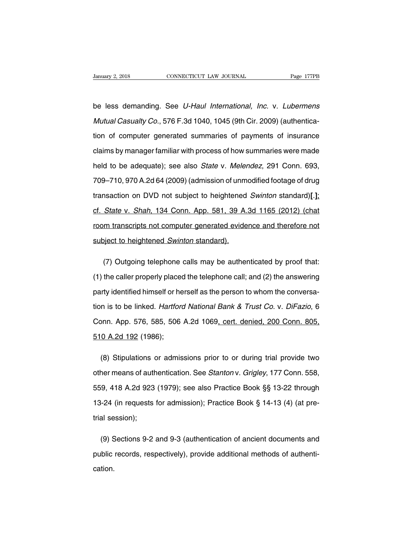Vanuary 2, 2018 CONNECTICUT LAW JOURNAL Page 177PB<br>be less demanding. See U-Haul International, Inc. v. Lubermens<br>Mutual Casualty Co., 576 F.3d 1040, 1045 (9th Cir. 2009) (authentica-Vanuary 2, 2018 CONNECTICUT LAW JOURNAL Page 177PB<br>
be less demanding. See U-Haul International, Inc. v. Lubermens<br>
Mutual Casualty Co., 576 F.3d 1040, 1045 (9th Cir. 2009) (authentica-<br>
tion of computer generated summarie be less demanding. See *U-Haul International, Inc.* v. *Lubermens<br>Mutual Casualty Co.*, 576 F.3d 1040, 1045 (9th Cir. 2009) (authentica-<br>tion of computer generated summaries of payments of insurance<br>claims by manager famil be less demanding. See *U-Haul International, Inc.* v. *Lubermens*<br>*Mutual Casualty Co.*, 576 F.3d 1040, 1045 (9th Cir. 2009) (authentica-<br>tion of computer generated summaries of payments of insurance<br>claims by manager fam Mutual Casualty Co., 576 F.3d 1040, 1045 (9th Cir. 2009) (authentication of computer generated summaries of payments of insurance<br>claims by manager familiar with process of how summaries were made<br>held to be adequate); see tion of computer generated summaries of payments of insurance<br>claims by manager familiar with process of how summaries were made<br>held to be adequate); see also *State* v. *Melendez*, 291 Conn. 693,<br>709–710, 970 A.2d 64 (20 claims by manager familiar with process of how summaries were made<br>held to be adequate); see also *State* v. *Melendez*, 291 Conn. 693,<br>709–710, 970 A.2d 64 (2009) (admission of unmodified footage of drug<br>transaction on DV held to be adequate); see also *State* v. *Melendez*, 291 Conn. 693,<br>709–710, 970 A.2d 64 (2009) (admission of unmodified footage of drug<br>transaction on DVD not subject to heightened *Swinton* standard)[.];<br>cf. *State* v. 709–710, 970 A.2d 64 (2009) (admission of unmodified footage of drug<br>transaction on DVD not subject to heightened *Swinton* standard)[.];<br>cf. *State* v. *Shah*, 134 Conn. App. 581, 39 A.3d 1165 (2012) (chat<br>room transcript transaction on DVD not subject to heightened<br>cf. State v. Shah, 134 Conn. App. 581, 39 A.<br>room transcripts not computer generated evide<br>subject to heightened Swinton standard). State v. Shah, 134 Conn. App. 581, 39 A.3d 1165 (2012) (chat<br>m transcripts not computer generated evidence and therefore not<br>bject to heightened Swinton standard).<br>(7) Outgoing telephone calls may be authenticated by proof

(1) the caller properly placed the telephone calls may be authenticated by proof that:<br>
(1) the caller properly placed the telephone call; and (2) the answering<br>
party identified himself or herself as the person to whom th subject to heightened *Swinton* standard).<br>
(7) Outgoing telephone calls may be authenticated by proof that:<br>
(1) the caller properly placed the telephone call; and (2) the answering<br>
party identified himself or herself as (7) Outgoing telephone calls may be authenticated by proof that:<br>
(1) the caller properly placed the telephone call; and (2) the answering<br>
party identified himself or herself as the person to whom the conversa-<br>
tion is t (1) the caller properly placed the telephone call; and (2) the answering<br>party identified himself or herself as the person to whom the conversa-<br>tion is to be linked. *Hartford National Bank & Trust Co.* v. *DiFazio*, 6<br>Co party identified himself or he<br>tion is to be linked. *Hartfore*<br>Conn. App. 576, 585, 506<br>510 A.2d 192 (1986); n is to be linked. *Hartford National Bank & Trust Co.* v. *DiFazio*, 6<br>pnn. App. 576, 585, 506 A.2d 1069<u>, cert. denied, 200 Conn. 805,<br>0 A.2d 192</u> (1986);<br>(8) Stipulations or admissions prior to or during trial provide t

conn. App. 576, 585, 506 A.2d 1069<u>, cert. denied, 200 Conn. 805, 510 A.2d 192</u> (1986);<br>510 A.2d 192 (1986);<br>(8) Stipulations or admissions prior to or during trial provide two<br>other means of authentication. See *Stanton* 510 A.2d 192 (1986);<br>
(8) Stipulations or admissions prior to or during trial provide two<br>
other means of authentication. See *Stanton* v. *Grigley*, 177 Conn. 558,<br>
559, 418 A.2d 923 (1979); see also Practice Book §§ 13-2 (8) Stipulations or admissions prior to or during trial provide two<br>other means of authentication. See *Stanton* v. *Grigley*, 177 Conn. 558,<br>559, 418 A.2d 923 (1979); see also Practice Book §§ 13-22 through<br>13-24 (in req other means of auth<br>559, 418 A.2d 923<br>13-24 (in requests<br>trial session); (9) 9, 418 A.2d 923 (1979); see also Practice Book §§ 13-22 through<br>
i-24 (in requests for admission); Practice Book § 14-13 (4) (at pre-<br>
al session);<br>
(9) Sections 9-2 and 9-3 (authentication of ancient documents and<br>
bl

13-24 (in requests for admission); Practice Book § 14-13 (4) (at pretrial session);<br>(9) Sections 9-2 and 9-3 (authentication of ancient documents and<br>public records, respectively), provide additional methods of authenti-<br>c cation.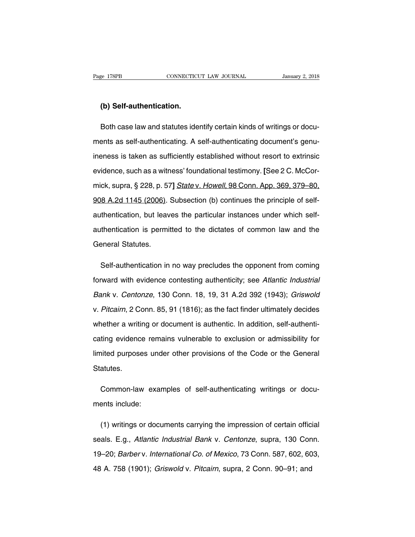# **EXECUTE:**<br> **(b) Self-authentication.**<br> **(b)** Self-authentication.

Both CONNECTICUT LAW JOURNAL January 2, 2018<br> **(b) Self-authentication.**<br>
Both case law and statutes identify certain kinds of writings or docu-<br>
ents as self-authenticating. A self-authenticating document's genu-(b) Self-authentication.<br>Both case law and statutes identify certain kinds of writings or documents as self-authenticating. A self-authenticating document's genu-<br>ineness is taken as sufficiently established without resort (b) Self-authentication.<br>Both case law and statutes identify certain kinds of writings or docu-<br>ments as self-authenticating. A self-authenticating document's genu-<br>ineness is taken as sufficiently established without reso Both case law and statutes identify certain kinds of writings or documents as self-authenticating. A self-authenticating document's genu-<br>ineness is taken as sufficiently established without resort to extrinsic<br>evidence, s ments as self-authenticating. A self-authenticating document's genu-<br>ineness is taken as sufficiently established without resort to extrinsic<br>evidence, such as a witness' foundational testimony. [See 2 C. McCor-<br>mick, supr ineness is taken as sufficiently established without resort to extrinsic<br>evidence, such as a witness' foundational testimony. [See 2 C. McCor-<br>mick, supra, § 228, p. 57] State v. Howell, 98 Conn. App. 369, 379–80,<br>908 A.2d evidence, such as a witness' foundational testimony. [See 2 C. McCormick, supra, § 228, p. 57] *State v. Howell*, 98 Conn. App. 369, 379–80, 908 A.2d 1145 (2006). Subsection (b) continues the principle of self-authenticati mick, supra, § 228, p. 57] *State v. Howell*, 98 Conn. App. 369, 379–80, 908 A.2d 1145 (2006). Subsection (b) continues the principle of self-<br>authentication, but leaves the particular instances under which self-<br>authentic 908 A.2d 1145 (2006).<br>authentication, but leav<br>authentication is permi<br>General Statutes. thentication, but leaves the particular instances under which self-<br>thentication is permitted to the dictates of common law and the<br>eneral Statutes.<br>Self-authentication in no way precludes the opponent from coming<br>ward wit

authentication is permitted to the dictates of common law and the<br>General Statutes.<br>Self-authentication in no way precludes the opponent from coming<br>forward with evidence contesting authenticity; see Atlantic Industrial<br>Ba General Statutes.<br>Self-authentication in no way precludes the opponent from coming<br>forward with evidence contesting authenticity; see Atlantic Industrial<br>Bank v. Centonze, 130 Conn. 18, 19, 31 A.2d 392 (1943); Griswold<br>v. Self-authentication in no way precludes the opponent from coming<br>forward with evidence contesting authenticity; see Atlantic Industrial<br>Bank v. Centonze, 130 Conn. 18, 19, 31 A.2d 392 (1943); Griswold<br>v. Pitcairn, 2 Conn. forward with evidence contesting authenticity; see Atlantic Industrial<br>Bank v. Centonze, 130 Conn. 18, 19, 31 A.2d 392 (1943); Griswold<br>v. Pitcairn, 2 Conn. 85, 91 (1816); as the fact finder ultimately decides<br>whether a wr Bank v. Centonze, 130 Conn. 18, 19, 31 A.2d 392 (1943); Griswold<br>v. Pitcairn, 2 Conn. 85, 91 (1816); as the fact finder ultimately decides<br>whether a writing or document is authentic. In addition, self-authenti-<br>cating evid v. Pitcairn, 2 Conn. 85, 91 (1816); as the fact finder ultimately decides whether a writing or document is authentic. In addition, self-authenticating evidence remains vulnerable to exclusion or admissibility for limited p Statutes. ting evidence remains vulnerable to exclusion or admissibility for<br>nited purposes under other provisions of the Code or the General<br>atutes.<br>Common-law examples of self-authenticating writings or docu-<br>ents include: limited purposes une<br>Statutes.<br>Common-law exa<br>ments include:

Common-law examples of self-authenticating writings or docu-<br>ents include:<br>(1) writings or documents carrying the impression of certain official<br>als. E.g., *Atlantic Industrial Bank* v. *Centonze*, supra, 130 Conn. Common-law examples of self-authenticating writings or documents include:<br>
(1) writings or documents carrying the impression of certain official<br>
seals. E.g., Atlantic Industrial Bank v. Centonze, supra, 130 Conn.<br>
19–20; ments include:<br>
(1) writings or documents carrying the impression of certain official<br>
seals. E.g., *Atlantic Industrial Bank v. Centonze*, supra, 130 Conn.<br>
19–20; *Barber v. International Co. of Mexico*, 73 Conn. 587, 60 48 A. 758 (1901); Griswold v. Pitcairn, supra, 2 Conn. 90–91; and A. 758 (1901); Griswold v. Pitcairn, supra, 2 Conn. 90–91; and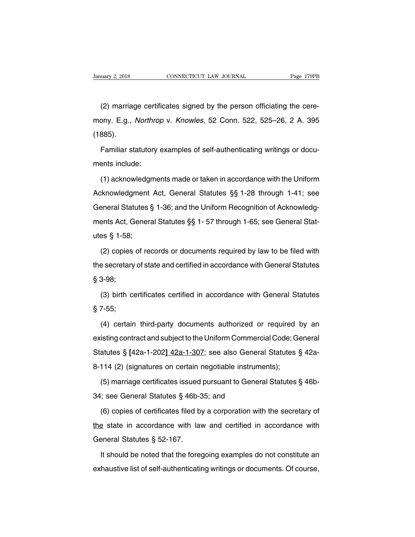uary 2, 2018 CONNECTICUT LAW JOURNAL Page 179PB<br>(2) marriage certificates signed by the person officiating the cere-<br>ony. E.g., *Northrop* v. *Knowles*, 52 Conn. 522, 525–26, 2 A. 395 January 2, 2018 CONNECTICUT LAW JOURNAL Page 179PB<br>
(2) marriage certificates signed by the person officiating the cere-<br>
mony. E.g., *Northrop* v. *Knowles*, 52 Conn. 522, 525–26, 2 A. 395<br>
(1885). (1885). (2) marriage certificates signed by the person officiating the cere-<br>Prop. E.g., *Northrop v. Knowles*, 52 Conn. 522, 525–26, 2 A. 395<br>885).<br>Familiar statutory examples of self-authenticating writings or docu-<br>Pamiliar sta mony. E.g., *Northrol*<br>(1885).<br>Familiar statutory<br>ments include:<br>(1) acknowledgme

Familiar statutory examples of self-authenticating writings or docu-<br>ents include:<br>(1) acknowledgments made or taken in accordance with the Uniform<br>knowledgment Act, General Statutes §§ 1-28 through 1-41; see Familiar statutory examples of self-authenticating writings or docu-<br>ments include:<br>(1) acknowledgments made or taken in accordance with the Uniform<br>Acknowledgment Act, General Statutes §§ 1-28 through 1-41; see<br>General St Familia Statutes, Statutes C. Statutes and teaming things of asset<br>ments include:<br>(1) acknowledgments made or taken in accordance with the Uniform<br>Acknowledgment Act, General Statutes §§ 1-28 through 1-41; see<br>General Stat (1) acknowledgments made or taken in accordance with the Uniform<br>Acknowledgment Act, General Statutes §§ 1-28 through 1-41; see<br>General Statutes § 1-36; and the Uniform Recognition of Acknowledg-<br>ments Act, General Statut Acknowledgment<br>General Statutes {<br>ments Act, Genera<br>utes § 1-58;<br>(2) copies of rea eneral Statutes § 1-36; and the Uniform Recognition of Acknowledgents Act, General Statutes §§ 1-57 through 1-65; see General States § 1-58;<br>\$ 1-58;<br>(2) copies of records or documents required by law to be filed with a sec

the secretary of state and certified in accordance with General Statures § 3-98;<br>Society of state and certified in accordance with General Statures § 3-98; thence it, states  $\frac{1}{5}$  1-58;<br>(2) copies<br>the secretary<br> $\frac{1}{5}$  3-98;<br>(3) birth co (2) copies of records or documents required by law to be filed with<br>a secretary of state and certified in accordance with General Statutes<br>3-98;<br>(3) birth certificates certified in accordance with General Statutes<br>7-55; the secretary<br> $\S 3-98$ ;<br>(3) birth comparent controls<br> $\S 7-55$ ;<br>(4) certain

3-98;<br>(3) birth certificates certified in accordance with General Statutes<br>7-55;<br>(4) certain third-party documents authorized or required by an<br>isting contract and subject to the Uniform Commercial Code; General (3) birth certificates certified in accordance with General Statutes  $\S$  7-55;<br> $\S$  (4) certain third-party documents authorized or required by an existing contract and subject to the Uniform Commercial Code; General Statu Statutes Statutes Comments authorized or required by an existing contract and subject to the Uniform Commercial Code; General Statutes § [42a-1-202<u>] 42a-1-307</u>; see also General Statutes § 42a-8-114 (2) (signatures on cer (4) certain third-party documents authorized or required<br>existing contract and subject to the Uniform Commercial Code; G<br>Statutes § [42a-1-202<u>] 42a-1-307</u>; see also General Statutes<br>8-114 (2) (signatures on certain negoti (5) details and purpuls and commercial Code; General<br>atutes § [42a-1-202<u>] 42a-1-307</u>; see also General Statutes § 42a-<br>114 (2) (signatures on certain negotiable instruments);<br>(5) marriage certificates issued pursuant to Statutes § [42a-1-202<u>] 42a-1-307</u>; see also General Statutes § [42a-1-202<u>] 42a-1-307</u>; see also General Statures on certain negotiable instrumeral (5) marriage certificates issued pursuant to General (6) copies of certif

114 (2) (signatures on certain negotiable instruments);<br>
(5) marriage certificates issued pursuant to General Statutes § 46b-<br>
; see General Statutes § 46b-35; and<br>
(6) copies of certificates filed by a corporation with t (5) marriage certificates issued pursuant to General Statutes § 46b-<br>34; see General Statutes § 46b-35; and<br>(6) copies of certificates filed by a corporation with the secretary of<br>the state in accordance with law and cert (c) mannage communes research<br>34; see General Statutes § 46b-3<br>(6) copies of certificates filed b<br>the state in accordance with lar<br>General Statutes § 52-167.<br>It should be noted that the fore (6) copies of certificates filed by a corporation with the secretary of  $\frac{1}{2}$  state in accordance with law and certified in accordance with sheart Statutes § 52-167.<br>It should be noted that the foregoing examples do n the state in accordance with law and certified in accordance with<br>General Statutes  $\S$  52-167.<br>It should be noted that the foregoing examples do not constitute an<br>exhaustive list of self-authenticating writings or documen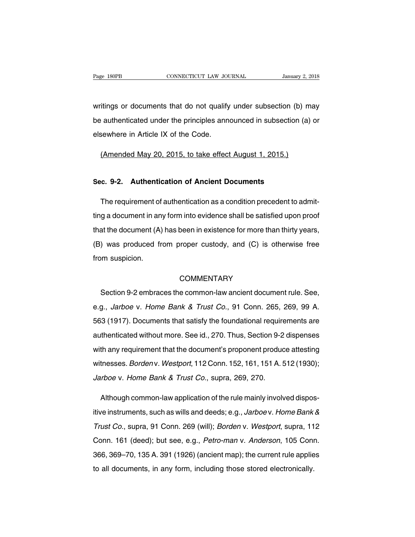Page 180PB<br>
CONNECTICUT LAW JOURNAL<br>
Writings or documents that do not qualify under subsection (b) may<br>
be authenticated under the principles announced in subsection (a) or be authenticated under the principles announced in subsection (b) may<br>be authenticated under the principles announced in subsection (a) or<br>elsewhere in Article IX of the Code. writings or documents that do not qualify<br>be authenticated under the principles annelsewhere in Article IX of the Code. Transformal it ings or documents that do not qualify under subsection (b) m<br>
it authenticated under the principles announced in subsection (a)<br>
sewhere in Article IX of the Code.<br>
(Amended May 20, 2015, to take effect Augu **Example 18 Sec.** 4 Sec. 4 Sec. 9-2. Authentication of Ancient Documents<br>
The requirement of authorization of Ancient Documents

(Amended May 20, 2015, to take effect August 1, 2015.)<br>
Fig. 9-2. Authentication of Ancient Documents<br>
The requirement of authentication as a condition precedent to admit-<br>
g a document in any form into evidence shall be s Sec. 9-2. Authentication of Ancient Documents<br>The requirement of authentication as a condition precedent to admit-<br>ting a document in any form into evidence shall be satisfied upon proof<br>that the document (A) has been in e Sec. 9-2. Authentication of Ancient Documents<br>The requirement of authentication as a condition precedent to admit-<br>ting a document in any form into evidence shall be satisfied upon proof<br>that the document (A) has been in e The requirement of authentication as a condition precedent to admit-<br>ting a document in any form into evidence shall be satisfied upon proof<br>that the document (A) has been in existence for more than thirty years,<br>(B) was p From suspicines ting a document in an that the document (A)<br>(B) was produced from suspicion. was produced from proper custody, and (C) is otherwise free<br>
Section 9-2 embraces the common-law ancient document rule. See,<br>
Section 9-2 embraces the common-law ancient document rule. See,<br>
Section 9-2 embraces the common

# **COMMENTARY**

From suspicion.<br>COMMENTARY<br>Section 9-2 embraces the common-law ancient document rule. See,<br>e.g., *Jarboe v. Home Bank & Trust Co.*, 91 Conn. 265, 269, 99 A.<br>563 (1917). Documents that satisfy the foundational requirements 563 (1917). Documents the common-law ancient document rule. See,<br>
563 (1917). Documents that satisfy the foundational requirements are<br>
563 (1917). Documents that satisfy the foundational requirements are<br>
authenticated wi Section 9-2 embraces the common-law ancient document rule. See,<br>e.g., *Jarboe* v. Home Bank & Trust Co., 91 Conn. 265, 269, 99 A.<br>563 (1917). Documents that satisfy the foundational requirements are<br>authenticated without m e.g., *Jarboe v. Home Bank & Trust Co.*, 91 Conn. 265, 269, 99 A.<br>563 (1917). Documents that satisfy the foundational requirements are<br>authenticated without more. See id., 270. Thus, Section 9-2 dispenses<br>with any requirem big., barboot v. Trome Barm at Trust Co., of Conn. 200, 200, 00 Tt.<br>563 (1917). Documents that satisfy the foundational requirements are<br>authenticated without more. See id., 270. Thus, Section 9-2 dispenses<br>with any requir 563 (1917). Documents that satisfy the foundational requirements are<br>authenticated without more. See id., 270. Thus, Section 9-2 dispenses<br>with any requirement that the document's proponent produce attesting<br>witnesses. *Bo* th any requirement that the document's proponent produce attesting<br>tnesses. *Borden* v. *Westport*, 112 Conn. 152, 161, 151 A. 512 (1930);<br>rrboe v. *Home Bank & Trust Co.*, supra, 269, 270.<br>Although common-law application

witnesses. *Borden* v. *Westport*, 112 Conn. 152, 161, 151 A. 512 (1930);<br>*Jarboe* v. *Home Bank & Trust Co.*, supra, 269, 270.<br>Although common-law application of the rule mainly involved dispos-<br>itive instruments, such as Jarboe v. Home Bank & Trust Co., supra, 269, 270.<br>Although common-law application of the rule mainly involved dispos-<br>itive instruments, such as wills and deeds; e.g., Jarboe v. Home Bank &<br>Trust Co., supra, 91 Conn. 269 ( Although common-law application of the rule mainly involved dispos-<br>itive instruments, such as wills and deeds; e.g., *Jarboe v. Home Bank &<br>Trust Co.*, supra, 91 Conn. 269 (will); *Borden v. Westport*, supra, 112<br>Conn. 16 Trust Co., supra, 91 Conn. 269 (will); *Borden v. Westport*, supra, 112<br>Conn. 161 (deed); but see, e.g., *Petro-man v. Anderson*, 105 Conn.<br>366, 369–70, 135 A. 391 (1926) (ancient map); the current rule applies<br>to all docu Trust Co., supra, 91 Conn. 269 (will); *Borden v. Westport*, supra, 11 Conn. 161 (deed); but see, e.g., *Petro-man v. Anderson*, 105 Conn 366, 369–70, 135 A. 391 (1926) (ancient map); the current rule applie to all documen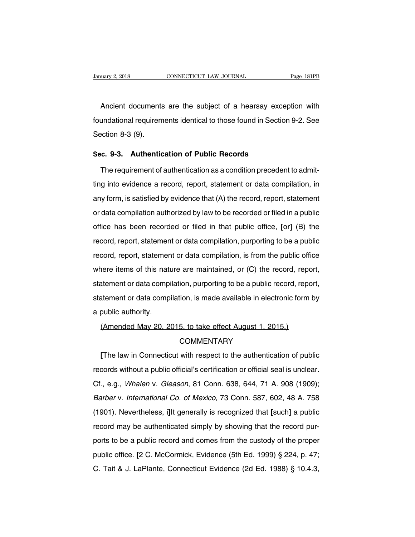Notary 2, 2018 CONNECTICUT LAW JOURNAL Page 181PB<br>Ancient documents are the subject of a hearsay exception with<br>Ancient documents identical to those found in Section 9-2. See Foundational requirements identical to those found in Section 9-2. See<br>Section 8-3 (9). Ancient documents<br>foundational requirem<br>Section 8-3 (9). Ancient documents are the subject of a hearsay exce<br>foundational requirements identical to those found in Sectio<br>Section 8-3 (9).<br>**Sec. 9-3. Authentication of Public Records**<br>The requirement of authentication as a conditio undational requirements identical to those found in Section 9-2. See<br>ection 8-3 (9).<br>c. 9-3. Authentication of Public Records<br>The requirement of authentication as a condition precedent to admit-<br>g into evidence a record, r

Sec. 9-3. Authentication of Public Records<br>The requirement of authentication as a condition precedent to admit-<br>ting into evidence a record, report, statement or data compilation, in<br>any form, is satisfied by evidence that Sec. 9-3. Authentication of Public Records<br>The requirement of authentication as a condition precedent to admit-<br>ting into evidence a record, report, statement or data compilation, in<br>any form, is satisfied by evidence that The requirement of authentication as a condition precedent to admitting into evidence a record, report, statement or data compilation, in any form, is satisfied by evidence that (A) the record, report, statement or data co rifulne into evidence a record, report, statement or data compilation, in<br>any form, is satisfied by evidence that (A) the record, report, statement<br>or data compilation authorized by law to be recorded or filed in a public<br> record, in the record, report, statement or data completion, in<br>any form, is satisfied by evidence that (A) the record, report, statement<br>or data compilation authorized by law to be recorded or filed in a public<br>office has any form, is satisfied by overlied that (x) are recorded or filed in a public<br>office has been recorded or filed in that public office, [or] (B) the<br>record, report, statement or data compilation, purporting to be a public<br>r of data compliation dationized by law to be recorded of lifed in a pablic<br>office has been recorded or filed in that public office, [or] (B) the<br>record, report, statement or data compilation, is from the public office<br>where statement or data compilation, purporting to be a public record, report, statement or data compilation, is from the public office where items of this nature are maintained, or (C) the record, report, statement or data com record, report, statement or data compilation, parporting to be a pasite<br>record, report, statement or data compilation, is from the public office<br>where items of this nature are maintained, or (C) the record, report,<br>statem where items of this natured<br>where items of this natured<br>statement or data comp<br>a public authority.<br>(Amended May 20, 2) The mattement or data compilation, purporting to be a public record, representement or data compilation, is made available in electronic form<br>public authority.<br>(Amended May 20, 2015, to take effect August 1, 2015.)<br>COMMENT

**COMMENTARY** 

public authority.<br> **(Amended May 20, 2015, to take effect August 1, 2015.)**<br> **COMMENTARY**<br> **[The law in Connecticut with respect to the authentication of public cords without a public official's certification or official s** (Amended May 20, 2015, to take effect August 1, 2015.)<br>COMMENTARY<br>The law in Connecticut with respect to the authentication of public<br>records without a public official's certification or official seal is unclear.<br>Cf., e.g. COMMENTARY<br>COMMENTARY<br>The law in Connecticut with respect to the authentication of public<br>records without a public official's certification or official seal is unclear.<br>Cf., e.g., *Whalen v. Gleason*, 81 Conn. 638, 644, 71 [The law in Connecticut with respect to the authentication of public<br>records without a public official's certification or official seal is unclear.<br>Cf., e.g., Whalen v. Gleason, 81 Conn. 638, 644, 71 A. 908 (1909);<br>Barber records without a public official's certification or official seal is unclear.<br>Cf., e.g., *Whalen v. Gleason*, 81 Conn. 638, 644, 71 A. 908 (1909);<br>*Barber v. International Co. of Mexico*, 73 Conn. 587, 602, 48 A. 758<br>(190 records without a public official's certification or official seal is unclear.<br>Cf., e.g., *Whalen v. Gleason*, 81 Conn. 638, 644, 71 A. 908 (1909);<br>*Barber v. International Co. of Mexico*, 73 Conn. 587, 602, 48 A. 758<br>(190 ports to be a public record and comes from the custody, Barber v. International Co. of Mexico, 73 Conn. 587, 602, 48 A. 758<br>(1901). Nevertheless, illt generally is recognized that [such] a public<br>record may be authenticate (1901). Nevertheless, i]lt generally is recognized that [such] a public record may be authenticated simply by showing that the record purports to be a public record and comes from the custody of the proper public office. [ Frecord may be authenticated simply by showing that the record purports to be a public record and comes from the custody of the proper public office. [2 C. McCormick, Evidence (5th Ed. 1999) § 224, p. 47; C. Tait & J. LaP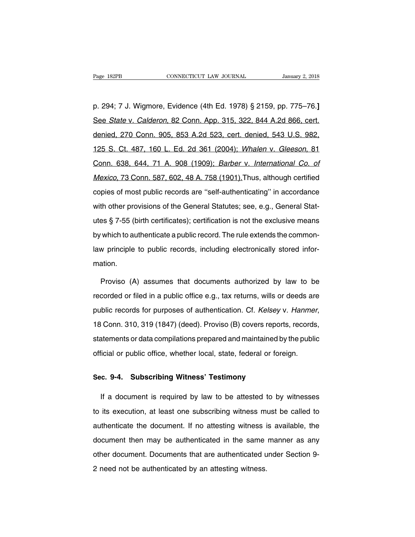p. 294; 7 J. Wigmore, Evidence (4th Ed. 1978) § 2159, pp. 775–76.**]** See State v. Calderon, 82 Conn. App. 315, 322, 844 A.2d 866, cert. p. 294; 7 J. Wigmore, Evidence (4th Ed. 1978) § 2159, pp. 775–76.]<br>See *State v. Calderon*, 82 Conn. App. 315, 322, 844 A.2d 866, cert.<br>denied, 270 Conn. 905, 853 A.2d 523, cert. denied, 543 U.S. 982,<br>125 S. Ct. 487, 160 L p. 294; 7 J. Wigmore, Evidence (4th Ed. 1978) § 2159, pp. 775–76.]<br>See *State v. Calderon*, 82 Conn. App. 315, 322, 844 A.2d 866, cert.<br>denied, 270 Conn. 905, 853 A.2d 523, cert. denied, 543 U.S. 982,<br>125 S. Ct. 487, 160 L See *State* v. *Calderon*, 82 Conn. App. 315, 322, 844 A.2d 866, cert.<br>denied, 270 Conn. 905, 853 A.2d 523, cert. denied, 543 U.S. 982,<br>125 S. Ct. 487, 160 L. Ed. 2d 361 (2004); *Whalen v. Gleeson*, 81<br>Conn. 638, 644, 71 A denied, 270 Conn. 905, 853 A.2d 523, cert. denied, 543 U.S. 982,<br>125 S. Ct. 487, 160 L. Ed. 2d 361 (2004); *Whalen v. Gleeson*, 81<br>Conn. 638, 644, 71 A. 908 (1909); *Barber v. International Co. of*<br>*Mexico*, 73 Conn. 587, control. End Committed, 1999 may be the control. Control. 125 S. Ct. 487, 160 L. Ed. 2d 361 (2004); Whalen v. Gleeson, 81<br>Conn. 638, 644, 71 A. 908 (1909); Barber v. International Co. of<br>Mexico, 73 Conn. 587, 602, 48 A. 75 Conn. 638, 644, 71 A. 908 (1909); *Barber v. International Co. of Mexico*, 73 Conn. 587, 602, 48 A. 758 (1901). Thus, although certified copies of most public records are "self-authenticating" in accordance with other pr Mexico, 73 Conn. 587, 602, 48 A. 758 (1901). Thus, although certified<br>copies of most public records are "self-authenticating" in accordance<br>with other provisions of the General Statutes; see, e.g., General Stat-<br>utes § 7-5 by the copies of most public records are "self-authenticating" in accordance<br>with other provisions of the General Statutes; see, e.g., General Stat-<br>utes § 7-55 (birth certificates); certification is not the exclusive mean with other provisions of the General Statutes; see, e.g., General Statutes § 7-55 (birth certificates); certification is not the exclusive means by which to authenticate a public record. The rule extends the common-<br>law pr mation. which to authenticate a public record. The rule extends the common-<br>
w principle to public records, including electronically stored infor-<br>
ation.<br>
Proviso (A) assumes that documents authorized by law to be<br>
corded or file

recorded or filed in a public records, including electronically stored information.<br>Proviso (A) assumes that documents authorized by law to be recorded or filed in a public office e.g., tax returns, wills or deeds are publ purposes of authorized by law to be<br>precorded or filed in a public office e.g., tax returns, wills or deeds are<br>public records for purposes of authentication. Cf. *Kelsey v. Hanmer*,<br>18 Conn. 310, 319 (1847) (deed). Provis recorded or filed in a public office e.g., tax returns, wills or deeds are<br>public records for purposes of authentication. Cf. Kelsey v. Hanmer,<br>18 Conn. 310, 319 (1847) (deed). Proviso (B) covers reports, records,<br>statemen public records for purposes of authentication. Cf. *Kelsey v. Hanmel*<br>18 Conn. 310, 319 (1847) (deed). Proviso (B) covers reports, records<br>statements or data compilations prepared and maintained by the public<br>official or p 18 Conn. 310, 319 (1847) (deed). Proviso (B) covers repor<br>statements or data compilations prepared and maintained b<br>official or public office, whether local, state, federal or fore<br>Sec. 9-4. Subscribing Witness' Testimony

If a document is required by law to be attested to by witnesses<br>its execution, at least one subscribing witness must be called to Sec. 9-4. Subscribing Witness' Testimony<br>If a document is required by law to be attested to by witnesses<br>to its execution, at least one subscribing witness must be called to<br>authenticate the document. If no attesting witne Sec. 9-4. Subscribing Witness' Testimony<br>If a document is required by law to be attested to by witnesses<br>to its execution, at least one subscribing witness must be called to<br>authenticate the document. If no attesting witne If a document is required by law to be attested to by witnesses<br>to its execution, at least one subscribing witness must be called to<br>authenticate the document. If no attesting witness is available, the<br>document then may be to its execution, at least one subscribing witness must be called to authenticate the document. If no attesting witness is available, the document then may be authenticated in the same manner as any other document. Documen 2 net one encount. If no attesting witness is<br>authenticate the document. If no attesting witness is<br>document then may be authenticated in the same<br>other document. Documents that are authenticated u<br>2 need not be authentica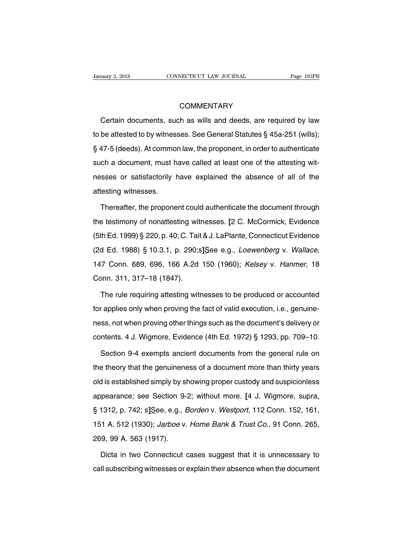# **COMMENTARY**

COMMENTARY<br>COMMENTARY<br>Certain documents, such as wills and deeds, are required by law<br>be attested to by witnesses. See General Statutes § 45a-251 (wills); COMMENTARY<br>Certain documents, such as wills and deeds, are required by law<br>to be attested to by witnesses. See General Statutes § 45a-251 (wills);<br>§ 47-5 (deeds). At common law, the proponent, in order to authenticate COMMENTARY<br>
Certain documents, such as wills and deeds, are required by law<br>
to be attested to by witnesses. See General Statutes § 45a-251 (wills);<br>
§ 47-5 (deeds). At common law, the proponent, in order to authenticate<br> Certain documents, such as wills and deeds, are required by law<br>to be attested to by witnesses. See General Statutes § 45a-251 (wills);<br>§ 47-5 (deeds). At common law, the proponent, in order to authenticate<br>such a document obleattested to by witnesses. See General Statutes § 45a-251 (wills);<br>§ 47-5 (deeds). At common law, the proponent, in order to authenticate<br>such a document, must have called at least one of the attesting wit-<br>nesses or sa s are allocated to by white<br>\$47-5 (deeds). At commo<br>such a document, must h<br>nesses or satisfactorily |<br>attesting witnesses.<br>Thereafter, the propone ch a document, must have called at least one of the attesting wit-<br>sses or satisfactorily have explained the absence of all of the<br>testing witnesses.<br>Thereafter, the proponent could authenticate the document through<br>a test

nesses or satisfactorily have explained the absence of all of the<br>attesting witnesses.<br>Thereafter, the proponent could authenticate the document through<br>the testimony of nonattesting witnesses. [2 C. McCormick, Evidence<br>(5 attesting witnesses.<br>
Thereafter, the proponent could authenticate the document through<br>
the testimony of nonattesting witnesses. [2 C. McCormick, Evidence<br>
(5th Ed. 1999) § 220, p. 40; C. Tait & J. LaPlante, Connecticut E Thereafter, the proponent could authenticate the document through<br>the testimony of nonattesting witnesses. [2 C. McCormick, Evidence<br>(5th Ed. 1999) § 220, p. 40; C. Tait & J. LaPlante, Connecticut Evidence<br>(2d Ed. 1988) § (5th Ed. 1999) § 220, p. 40; C. Tait<br>(2d Ed. 1988) § 10.3.1, p. 290;s<br>147 Conn. 689, 696, 166 A.2d<br>Conn. 311, 317–18 (1847).<br>The rule requiring attesting witr d Ed. 1988) § 10.3.1, p. 290;s]See e.g., *Loewenberg v. Wallace*,<br>7 Conn. 689, 696, 166 A.2d 150 (1960); *Kelsey v. Hanmer*, 18<br>pnn. 311, 317–18 (1847).<br>The rule requiring attesting witnesses to be produced or accounted<br>ra

for applies only when proving the fact of valid execution, i.e., genuine-<br>for applies only when proving the fact of valid execution, i.e., genuine-<br>ness, not when proving the fact of valid execution, i.e., genuine-<br>ness, n Conn. 311, 317–18 (1847).<br>The rule requiring attesting witnesses to be produced or accounted<br>for applies only when proving the fact of valid execution, i.e., genuine-<br>ness, not when proving other things such as the documen The rule requiring attesting witnesses to be produced or accounted<br>for applies only when proving the fact of valid execution, i.e., genuine-<br>ness, not when proving other things such as the document's delivery or<br>contents. r applies only when proving the fact of valid execution, i.e., genuine-<br>ss, not when proving other things such as the document's delivery or<br>ntents. 4 J. Wigmore, Evidence (4th Ed. 1972) § 1293, pp. 709–10.<br>Section 9-4 exe

ness, not when proving other things such as the document's delivery or<br>contents. 4 J. Wigmore, Evidence (4th Ed. 1972) § 1293, pp. 709–10.<br>Section 9-4 exempts ancient documents from the general rule on<br>the theory that the contents. 4 J. Wigmore, Evidence (4th Ed. 1972) § 1293, pp. 709–10.<br>Section 9-4 exempts ancient documents from the general rule on<br>the theory that the genuineness of a document more than thirty years<br>old is established sim Section 9-4 exempts ancient documents from the general rule on<br>the theory that the genuineness of a document more than thirty years<br>old is established simply by showing proper custody and suspicionless<br>appearance; see Sect sealient of the distributed vielding in the season the theory that the genuineness of a document more than thirty years<br>old is established simply by showing proper custody and suspicionless<br>appearance; see Section 9-2; wit are allowy and the gondarience of a document more than all y years<br>old is established simply by showing proper custody and suspicionless<br>appearance; see Section 9-2; without more. [4 J. Wigmore, supra,<br>§ 1312, p. 742; s]Se old is established simply by showing proper custody and suspicionless<br>appearance; see Section 9-2; without more. [4 J. Wigmore, supra,<br>§ 1312, p. 742; s]See, e.g., *Borden v. Westport*, 112 Conn. 152, 161,<br>151 A. 512 (1930 1312, p. 742; s]See, e.g., *Borden v. Westport*, 112 Conn. 152, 161,<br>1 A. 512 (1930); *Jarboe v. Home Bank & Trust Co.*, 91 Conn. 265,<br>9, 99 A. 563 (1917).<br>Dicta in two Connecticut cases suggest that it is unnecessary to<br>I 151 A. 512 (1930); Jarboe v. Home Bank & Trust Co., 91 Conn. 265,<br>269, 99 A. 563 (1917).<br>Dicta in two Connecticut cases suggest that it is unnecessary to<br>call subscribing witnesses or explain their absence when the documen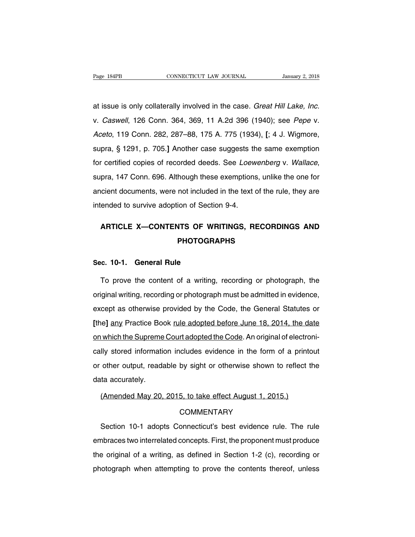at issue is only collaterally involved in the case. Great Hill Lake, Inc. Page 184PB CONNECTICUT LAW JOURNAL January 2, 2018<br>at issue is only collaterally involved in the case. *Great Hill Lake, Inc.*<br>v. *Caswell*, 126 Conn. 364, 369, 11 A.2d 396 (1940); see *Pepe* v.<br>*Aceto*, 119 Conn. 282, 287 at issue is only collaterally involved in the case. *Great Hill Lake, Inc.*<br>v. *Caswell*, 126 Conn. 364, 369, 11 A.2d 396 (1940); see *Pepe* v.<br>*Aceto*, 119 Conn. 282, 287–88, 175 A. 775 (1934). [; 4 J. Wigmore,<br>supra, § 1 at issue is only collaterally involved in the case. *Great Hill Lake, Inc.*<br>v. *Caswell*, 126 Conn. 364, 369, 11 A.2d 396 (1940); see *Pepe* v.<br>*Aceto*, 119 Conn. 282, 287–88, 175 A. 775 (1934). [; 4 J. Wigmore,<br>supra, § 1 for certified copies of recorded deeds. See Loewenberg v. Wallace, supra, § 1291, p. 705.] Another case suggests the same exemption for certified copies of recorded deeds. See *Loewenberg v. Wallace*, supra, 147 Conn. 696. supra, § 1291, p. 705.] Another case suggests the same exemption<br>for certified copies of recorded deeds. See *Loewenberg* v. *Wallace*,<br>supra, 147 Conn. 696. Although these exemptions, unlike the one for<br>ancient documents for certified copies of recorded deeds. See *Loew*<br>supra, 147 Conn. 696. Although these exemptions<br>ancient documents, were not included in the text of<br>intended to survive adoption of Section 9-4. pra, 147 Conn. 696. Although these exemptions, unlike the one for<br>
cient documents, were not included in the text of the rule, they are<br>
ended to survive adoption of Section 9-4.<br> **ARTICLE X—CONTENTS OF WRITINGS, RECORDING** 

# **PHOTOGRAPHS SECRIPTE ARTICLE X—CONTENTS OF WR**<br>**Sec. 10-1. General Rule**<br>To prove the content of a writing

ARTICLE X—CONTENTS OF WHITINGS, RECORDINGS AND<br>PHOTOGRAPHS<br>c. 10-1. General Rule<br>To prove the content of a writing, recording or photograph, the<br>iginal writing, recording or photograph must be admitted in evidence, **PHOTOGRAPHS**<br>Sec. 10-1. General Rule<br>To prove the content of a writing, recording or photograph, the<br>original writing, recording or photograph must be admitted in evidence,<br>except as otherwise provided by the Code, the Ge Sec. 10-1. General Rule<br>To prove the content of a writing, recording or photograph, the<br>original writing, recording or photograph must be admitted in evidence,<br>except as otherwise provided by the Code, the General Statutes To prove the content of a writing, recording or photograph, the original writing, recording or photograph must be admitted in evidence, except as otherwise provided by the Code, the General Statutes or [the] any Practice B original writing, recording or photograph must be admitted in evidence, except as otherwise provided by the Code, the General Statutes or [the] any Practice Book <u>rule adopted before June 18, 2014</u>, the date on which the S except as otherwise provided by the Code, the General Statutes or<br>[the] any Practice Book <u>rule adopted before June 18, 2014</u>, the date<br>on which the Supreme Court adopted the Code. An original of electroni-<br>cally stored in [the] any Practice Book <u>rule adopted before June 18, 2014</u>, the date<br>on which the Supreme Court adopted the Code. An original of electroni-<br>cally stored information includes evidence in the form of a printout<br>or other out on which the Supreme<br>cally stored information<br>or other output, reada<br>data accurately.<br>(Amended May 20, cally stored information includes evidence in the form of a printout<br>or other output, readable by sight or otherwise shown to reflect the<br>data accurately.<br>(Amended May 20, 2015, to take effect August 1, 2015.)

### **COMMENTARY**

ta accurately.<br>(Amended May 20, 2015, to take effect August 1, 2015.)<br>COMMENTARY<br>Section 10-1 adopts Connecticut's best evidence rule. The rule<br>abraces two interrelated concepts. First, the proponent must produce (Amended May 20, 2015, to take effect August 1, 2015.)<br>COMMENTARY<br>Section 10-1 adopts Connecticut's best evidence rule. The rule<br>embraces two interrelated concepts. First, the proponent must produce<br>the original of a writi COMMENTARY<br>Section 10-1 adopts Connecticut's best evidence rule. The rule<br>embraces two interrelated concepts. First, the proponent must produce<br>the original of a writing, as defined in Section 1-2 (c), recording or<br>photogr Section 10-1 adopts Connecticut's best evidence rule. The rule<br>embraces two interrelated concepts. First, the proponent must produce<br>the original of a writing, as defined in Section 1-2 (c), recording or<br>photograph when at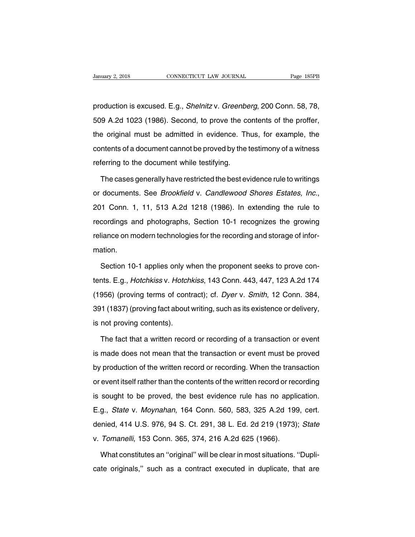production is excused. E.g., Shelnitz v. Greenberg, 200 Conn. 58, 78, 52018 CONNECTICUT LAW JOURNAL Page 185PB<br>production is excused. E.g., *Shelnitz v. Greenberg*, 200 Conn. 58, 78,<br>509 A.2d 1023 (1986). Second, to prove the contents of the proffer,<br>the original must be admitted in evidence production is excused. E.g., *Shelnitz v. Greenberg*, 200 Conn. 58, 78,<br>509 A.2d 1023 (1986). Second, to prove the contents of the proffer,<br>the original must be admitted in evidence. Thus, for example, the<br>contents of a do production is excused. E.g., *Shelnitz* v. *Greenberg*, 200 Conn. 58, 78,<br>509 A.2d 1023 (1986). Second, to prove the contents of the proffer,<br>the original must be admitted in evidence. Thus, for example, the<br>contents of a Freddetich is executed. E.g., entriniz v. entering<br>509 A.2d 1023 (1986). Second, to prove the cortent original must be admitted in evidence. The<br>contents of a document cannot be proved by the<br>referring to the document whil Exercise and must be admitted in evidence. Thus, for example, the intents of a document cannot be proved by the testimony of a witness<br>ferring to the document while testifying.<br>The cases generally have restricted the best

contents of a document cannot be proved by the testimony of a witness<br>referring to the document while testifying.<br>The cases generally have restricted the best evidence rule to writings<br>or documents. See *Brookfield* v. *Ca* The cases generally have restricted the best evidence rule to writings<br>or documents. See *Brookfield* v. *Candlewood Shores Estates, Inc.*,<br>201 Conn. 1, 11, 513 A.2d 1218 (1986). In extending the rule to<br>recordings and pho rne sases generally have restricted the sest evidence rate to while georience or documents. See *Brookfield* v. *Candlewood Shores Estates, Inc.*, 201 Conn. 1, 11, 513 A.2d 1218 (1986). In extending the rule to recordings mation. cordings and photographs, Section 10-1 recognizes the growing<br>liance on modern technologies for the recording and storage of infor-<br>ation.<br>Section 10-1 applies only when the proponent seeks to prove con-<br>hts. E.g., *Hotchk* 

reliance on modern technologies for the recording and storage of infor-<br>mation.<br>Section 10-1 applies only when the proponent seeks to prove con-<br>tents. E.g., *Hotchkiss* v. *Hotchkiss*, 143 Conn. 443, 447, 123 A.2d 174<br>(19 mation.<br>
Section 10-1 applies only when the proponent seeks to prove con-<br>
tents. E.g., *Hotchkiss* v. *Hotchkiss*, 143 Conn. 443, 447, 123 A.2d 174<br>
(1956) (proving terms of contract); cf. *Dyer* v. *Smith*, 12 Conn. 384, Section 10-1 applies only when the proponent seeks to prove contents. E.g., *Hotchkiss v. Hotchkiss*, 143 Conn. 443, 447, 123 A.2d 174 (1956) (proving terms of contract); cf. *Dyer v. Smith*, 12 Conn. 384, 391 (1837) (prov E.g., *Hotchkiss v. Hotch*<br>(1956) (proving terms of control<br>391 (1837) (proving fact about<br>is not proving contents).<br>The fact that a written recor 956) (proving terms of contract); cf. Dyer v. Smith, 12 Conn. 384,<br>11 (1837) (proving fact about writing, such as its existence or delivery,<br>not proving contents).<br>The fact that a written record or recording of a transacti

391 (1837) (proving fact about writing, such as its existence or delivery,<br>is not proving contents).<br>The fact that a written record or recording of a transaction or event<br>is made does not mean that the transaction or event is not proving contents).<br>The fact that a written record or recording of a transaction or event<br>is made does not mean that the transaction or event must be proved<br>by production of the written record or recording. When the The fact that a written record or recording of a transaction or event<br>is made does not mean that the transaction or event must be proved<br>by production of the written record or recording. When the transaction<br>or event itsel is made does not mean that the transaction or event must be proved<br>by production of the written record or recording. When the transaction<br>or event itself rather than the contents of the written record or recording<br>is sough By production of the written record or recording. When the transaction<br>or event itself rather than the contents of the written record or recording<br>is sought to be proved, the best evidence rule has no application.<br>E.g., *S* by production of the winterfreed of recording. When the transdetion<br>or event itself rather than the contents of the written record or recording<br>is sought to be proved, the best evidence rule has no application.<br>E.g., *Stat* is sought to be proved, the best evidence rule has no applie<br>E.g., *State v. Moynahan*, 164 Conn. 560, 583, 325 A.2d 199<br>denied, 414 U.S. 976, 94 S. Ct. 291, 38 L. Ed. 2d 219 (1973).<br>v. Tomanelli, 153 Conn. 365, 374, 216 A g., *State v. Moynahan*, 164 Conn. 560, 583, 325 A.2d 199, cert.<br>
mied, 414 U.S. 976, 94 S. Ct. 291, 38 L. Ed. 2d 219 (1973); *State*<br>
Tomanelli, 153 Conn. 365, 374, 216 A.2d 625 (1966).<br>
What constitutes an "original" wil denied, 414 U.S. 976, 94 S. Ct. 291, 38 L. Ed. 2d 219 (1973); State<br>v. Tomanelli, 153 Conn. 365, 374, 216 A.2d 625 (1966).<br>What constitutes an "original" will be clear in most situations. "Dupli-<br>cate originals," such as a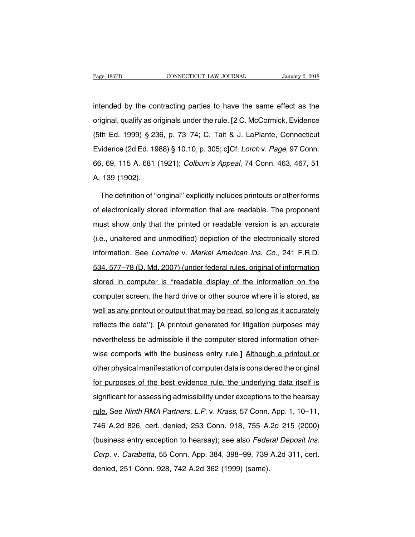Page 186PB<br>intended by the contracting parties to have the same effect as the<br>original, qualify as originals under the rule. [2 C. McCormick, Evidence Page 186PB **CONNECTICUT LAW JOURNAL** January 2, 2018<br>intended by the contracting parties to have the same effect as the<br>original, qualify as originals under the rule. [2 C. McCormick, Evidence<br>(5th Ed. 1999) § 236, p. 73–7 intended by the contracting parties to have the same effect as the<br>original, qualify as originals under the rule. [2 C. McCormick, Evidence<br>(5th Ed. 1999) § 236, p. 73–74; C. Tait & J. LaPlante, Connecticut<br>Evidence (2d Ed intended by the contracting parties to have the same effect as the<br>original, qualify as originals under the rule. [2 C. McCormick, Evidence<br>(5th Ed. 1999) § 236, p. 73–74; C. Tait & J. LaPlante, Connecticut<br>Evidence (2d Ed original, qualify as originals under the rule. [2 C. McCormick, Evidence (5th Ed. 1999) § 236, p. 73–74; C. Tait & J. LaPlante, Connecticut Evidence (2d Ed. 1988) § 10.10, p. 305; c]Cf. *Lorch* v. *Page*, 97 Conn. 66, 69, original, qualify as originals under the rule. [2 C. McCormick, Evidence (5th Ed. 1999) § 236, p. 73–74; C. Tait & J. LaPlante, Connecticut Evidence (2d Ed. 1988) § 10.10, p. 305; c] $Cf$ . Lorch v. Page, 97 Conn. 66, 69, 1 vidence (2d Ed. 1988) § 10.10, p. 305; c]Cf. *Lorch v. Page*, 97 Conn.<br>
5, 69, 115 A. 681 (1921); *Colburn's Appeal*, 74 Conn. 463, 467, 51<br>
139 (1902).<br>
The definition of "original" explicitly includes printouts or other

66, 69, 115 A. 681 (1921); *Colburn's Appeal*, 74 Conn. 463, 467, 51<br>A. 139 (1902).<br>The definition of "original" explicitly includes printouts or other forms<br>of electronically stored information that are readable. The prop A. 139 (1902).<br>The definition of "original" explicitly includes printouts or other forms<br>of electronically stored information that are readable. The proponent<br>must show only that the printed or readable version is an accur The definition of "original" explicitly includes printouts or other forms<br>of electronically stored information that are readable. The proponent<br>must show only that the printed or readable version is an accurate<br>(i.e., unal of electronically stored information that are readable. The proponent<br>must show only that the printed or readable version is an accurate<br>(i.e., unaltered and unmodified) depiction of the electronically stored<br>information. must show only that the printed or readable version is an accurate<br>(i.e., unaltered and unmodified) depiction of the electronically stored<br>information. See Lorraine v. Markel American Ins. Co., 241 F.R.D.<br>534, 577–78 (D. M (i.e., unaltered and unmodified) depiction of the electronically stored<br>information. <u>See Lorraine v. Markel American Ins. Co., 241 F.R.D.</u><br>534, 577–78 (D. Md. 2007) (under federal rules, original of information<br>stored in information. See Lorraine v. Markel American Ins. Co., 241 F.R.D.<br>534, 577–78 (D. Md. 2007) (under federal rules, original of information<br>stored in computer is "readable display of the information on the<br>computer screen, t state of the information of the information stored in computer is "readable display of the information on the computer screen, the hard drive or other source where it is stored, as well as any printout or output that may b stored in computer is "readable display of the information on the computer screen, the hard drive or other source where it is stored, as well as any printout or output that may be read, so long as it accurately reflects th computer screen, the hard drive or other source where it is stored, as<br>well as any printout or output that may be read, so long as it accurately<br>reflects the data"). [A printout generated for litigation purposes may<br>nevert well as any printout or output that may be read, so long as it accurately<br>reflects the data"). [A printout generated for litigation purposes may<br>nevertheless be admissible if the computer stored information other-<br>wise com or the data"). [A printout generated for litigation purposes may<br>nevertheless be admissible if the computer stored information other-<br>wise comports with the business entry rule.] Although a printout or<br>other physical manif for purposes of the business entry rule.] Although a printout or<br>other physical manifestation of computer data is considered the original<br>for purposes of the best evidence rule, the underlying data itself is<br>significant fo significant for assessing admissibility under exceptions to the hearsay<br>rule.] Although a printout or<br>other physical manifestation of computer data is considered the original<br>for purposes of the best evidence rule, the und other physical manifiestation of computer data is considered the original<br>for purposes of the best evidence rule, the underlying data itself is<br>significant for assessing admissibility under exceptions to the hearsay<br>rule. for purposes of the best evidence rule, the underlying data itself is<br>significant for assessing admissibility under exceptions to the hearsay<br>rule. See Ninth RMA Partners, L.P. v. Krass, 57 Conn. App. 1, 10–11,<br>746 A.2d 82 significant for assessing admissibility under exceptions to the hearsay<br>rule. See Ninth RMA Partners, L.P. v. Krass, 57 Conn. App. 1, 10–11,<br>746 A.2d 826, cert. denied, 253 Conn. 918, 755 A.2d 215 (2000)<br>(business entry ex rule. See Ninth RMA Partners, L.P. v. Krass, 57 Conn. App. 1, 10–11,<br>746 A.2d 826, cert. denied, 253 Conn. 918, 755 A.2d 215 (2000)<br>(business entry exception to hearsay); see also *Federal Deposit Ins.*<br>*Corp.* v. *Carabet* 200 Constraint Changery 28, 1999 (1999), 1999), 1999<br>(business entry exception to hearsay); see also *Fede.*<br>Corp. v. Carabetta, 55 Conn. App. 384, 398–99, 739<br>denied, 251 Conn. 928, 742 A.2d 362 (1999) (same).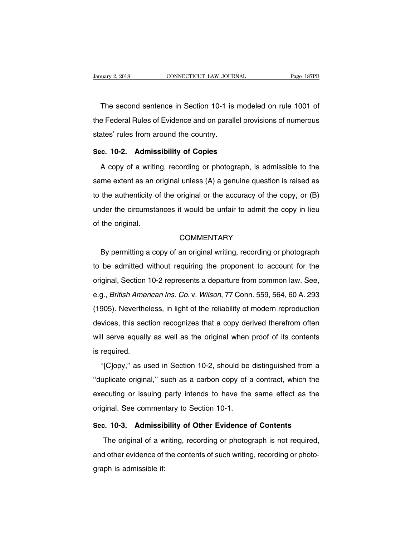The second sentence in Section 10-1 is modeled on rule 1001 of the second sentence in Section 10-1 is modeled on rule 1001 of the Federal Rules of Evidence and on parallel provisions of numerous The second sentence in Section 10-1 is modeled on rule 1001 of<br>the Federal Rules of Evidence and on parallel provisions of numerous<br>states' rules from around the country. The second sentence in Section 10-1 is<br>the Federal Rules of Evidence and on parallent<br>states' rules from around the country.<br>Sec. 10-2. Admissibility of Copies The second sentence in Section 10-1 is mode<br>the Federal Rules of Evidence and on parallel pro<br>states' rules from around the country.<br>**Sec. 10-2.** Admissibility of Copies<br>A copy of a writing, recording or photograph, Federal Rules of Evidence and on parallel provisions of numerous<br>ates' rules from around the country.<br>**c. 10-2. Admissibility of Copies**<br>A copy of a writing, recording or photograph, is admissible to the<br>me extent as an or

states' rules from around the country.<br>
Sec. 10-2. Admissibility of Copies<br>
A copy of a writing, recording or photograph, is admissible to the<br>
same extent as an original unless (A) a genuine question is raised as<br>
to the Sec. 10-2. Admissibility of Copies<br>A copy of a writing, recording or photograph, is admissible to the<br>same extent as an original unless (A) a genuine question is raised as<br>to the authenticity of the original or the accurac A copy of a writing, recording or photograph, is admissible to the same extent as an original unless (A) a genuine question is raised as to the authenticity of the original or the accuracy of the copy, or (B) under the cir same extent as an o<br>to the authenticity of<br>under the circumsta<br>of the original. der the circumstances it would be unfair to admit the copy in lieu<br>the original.<br>COMMENTARY<br>By permitting a copy of an original writing, recording or photograph<br>be admitted without requiring the proponent to account for th

## **COMMENTARY**

of the original.<br>
COMMENTARY<br>
By permitting a copy of an original writing, recording or photograph<br>
to be admitted without requiring the proponent to account for the<br>
original, Section 10-2 represents a departure from comm COMMENTARY<br>By permitting a copy of an original writing, recording or photograph<br>to be admitted without requiring the proponent to account for the<br>original, Section 10-2 represents a departure from common law. See,<br>e.g., *B* By permitting a copy of an original writing, recording or photograph<br>to be admitted without requiring the proponent to account for the<br>original, Section 10-2 represents a departure from common law. See,<br>e.g., *British Amer* Let be admitted without requiring the proponent to account for the original, Section 10-2 represents a departure from common law. See, e.g., *British American Ins. Co.* v. *Wilson*, 77 Conn. 559, 564, 60 A. 293 (1905). Nev original, Section 10-2 represents a departure from common law. See,<br>e.g., *British American Ins. Co.* v. *Wilson*, 77 Conn. 559, 564, 60 A. 293<br>(1905). Nevertheless, in light of the reliability of modern reproduction<br>devic e.g., *British American Ins. Co.* v. *Wilson*, 77 Conn. 559, 564, 60 A. 293 (1905). Nevertheless, in light of the reliability of modern reproduction devices, this section recognizes that a copy derived therefrom often will org., *Dhismaline*<br>(1905). Neverthe<br>devices, this sec<br>will serve equall<sub>)</sub><br>is required.<br>"[C]opy," as us vices, this section recognizes that a copy derived therefrom often<br>Il serve equally as well as the original when proof of its contents<br>required.<br>"[C]opy," as used in Section 10-2, should be distinguished from a<br>uplicate or

will serve equally as well as the original when proof of its contents<br>is required.<br>"[C]opy," as used in Section 10-2, should be distinguished from a<br>"duplicate original," such as a carbon copy of a contract, which the<br>exec is required.<br>
"[C]opy," as used in Section 10-2, should be distinguished from a<br>
"duplicate original," such as a carbon copy of a contract, which the<br>
executing or issuing party intends to have the same effect as the<br>
orig is required.<br>
"[C]opy," as used in Section 10-2, should be distinguished from a<br>
"duplicate original," such as a carbon copy of a contract, which the<br>
executing or issuing party intends to have the same effect as the<br>
ori "duplicate original," such as a carbon copy of a contract, which the executing or issuing party intends to have the same effect as the original. See commentary to Section 10-1.<br>**Sec. 10-3.** Admissibility of Other Evidence Executing or issuing party intends to have the same effect as the<br>ginal. See commentary to Section 10-1.<br>2. 10-3. Admissibility of Other Evidence of Contents<br>The original of a writing, recording or photograph is not requir

original. See commentary to Section 10-1.<br> **Sec. 10-3. Admissibility of Other Evidence of Contents**<br>
The original of a writing, recording or photograph is not required,<br>
and other evidence of the contents of such writing, Sec. 10-3. Admissit<br>The original of a w<br>and other evidence of<br>graph is admissible if: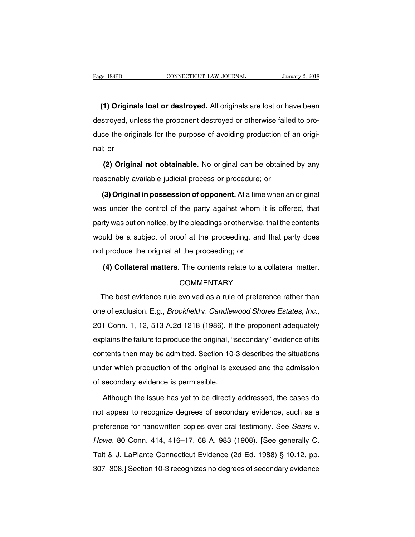EXTER ENTIRELY CONNECTICUT LAW JOURNAL *FRANCIPED JANUAry 2, 2018*<br> **(1) Originals lost or destroyed.** All originals are lost or have been stroyed, unless the proponent destroyed or otherwise failed to pro-Page 188PB CONNECTICUT LAW JOURNAL January 2, 2018<br>
(1) Originals lost or destroyed. All originals are lost or have been<br>
destroyed, unless the proponent destroyed or otherwise failed to pro-<br>
duce the originals for the pu (1) Originals lost or destroyed. All originals are lost or have been destroyed, unless the proponent destroyed or otherwise failed to produce the originals for the purpose of avoiding production of an original; or (1) Origina<br>destroyed, ur<br>duce the orig<br>nal; or<br>(2) Origin stroyed, unless the proponent destroyed or otherwise failed to pro-<br>ce the originals for the purpose of avoiding production of an origi-<br>; or<br>**(2) Original not obtainable.** No original can be obtained by any<br>sonably availa duce the originals for the purpose of avoiding production of a<br>nal; or<br>(2) Original not obtainable. No original can be obtained<br>reasonably available judicial process or procedure; or<br>(3) Original in possession of opponent.

**(2) Original not obtainable.** No original can be obtained by any<br>asonably available judicial process or procedure; or<br>**(3) Original in possession of opponent.** At a time when an original<br>is under the control of the party (2) Original not obtainable. No original can be obtained by any<br>reasonably available judicial process or procedure; or<br>(3) Original in possession of opponent. At a time when an original<br>was under the control of the party a reasonably available judicial process or procedure; or<br>
(3) Original in possession of opponent. At a time when an original<br>
was under the control of the party against whom it is offered, that<br>
party was put on notice, by t (3) Original in possession of opponent. At a time when an original was under the control of the party against whom it is offered, that party was put on notice, by the pleadings or otherwise, that the contents would be a su (3) Original in possession of opponent. At a time when an original was under the control of the party against whom it is offered, that party was put on notice, by the pleadings or otherwise, that the contents would be a su ty was put on notice, by the pleadings or otherwise, that the contents<br>uld be a subject of proof at the proceeding, and that party does<br>produce the original at the proceeding; or<br>(4) Collateral matters. The contents relate

## **COMMENTARY**

t produce the original at the proceeding; or<br>
(4) Collateral matters. The contents relate to a collateral matter.<br>
COMMENTARY<br>
The best evidence rule evolved as a rule of preference rather than<br>
e of exclusion. E.g., *Broo* (4) Collateral matters. The contents relate to a collateral matter.<br>COMMENTARY<br>The best evidence rule evolved as a rule of preference rather than<br>one of exclusion. E.g., *Brookfield v. Candlewood Shores Estates, Inc.*,<br>201 The best evidence rule evolved as a rule of preference rather than<br>one of exclusion. E.g., *Brookfield* v. *Candlewood Shores Estates, Inc.*,<br>201 Conn. 1, 12, 513 A.2d 1218 (1986). If the proponent adequately<br>explains the one of exclusion. E.g., *Brookfield* v. *Candlewood Shores Estates, Inc.*, 201 Conn. 1, 12, 513 A.2d 1218 (1986). If the proponent adequately explains the failure to produce the original, "secondary" evidence of its conten 201 Conn. 1, 12, 513 A.2d 1218 (1986). If the proponent adequately<br>explains the failure to produce the original, "secondary" evidence of its<br>contents then may be admitted. Section 10-3 describes the situations<br>under which explains the failure to produce the original, "s<br>explains the failure to produce the original, "s<br>contents then may be admitted. Section 10-<br>under which production of the original is ex<br>of secondary evidence is permissible The intents then may be admitted. Section 10-3 describes the situations<br>der which production of the original is excused and the admission<br>secondary evidence is permissible.<br>Although the issue has yet to be directly address

under which production of the original is excused and the admission<br>of secondary evidence is permissible.<br>Although the issue has yet to be directly addressed, the cases do<br>not appear to recognize degrees of secondary evide preference for handwritten copies over oral testimony. See Sears of secondary evidence, such as a preference for handwritten copies over oral testimony. See Sears v.<br>Howe, 80 Conn. 414, 416–17, 68 A. 983 (1908). [See gener Although the issue has yet to be directly addressed, the cases do<br>not appear to recognize degrees of secondary evidence, such as a<br>preference for handwritten copies over oral testimony. See *Sears v.*<br>Howe, 80 Conn. 414, 4 This dignt the fields had yet to be differently diditibated, the cases de<br>not appear to recognize degrees of secondary evidence, such as a<br>preference for handwritten copies over oral testimony. See *Sears v.*<br>Howe, 80 Conn preference for handwritten copies over oral testimony. See *Sears v.*<br>Browe, 80 Conn. 414, 416–17, 68 A. 983 (1908). [See generally C.<br>Tait & J. LaPlante Connecticut Evidence (2d Ed. 1988) § 10.12, pp.<br>307–308.] Section 10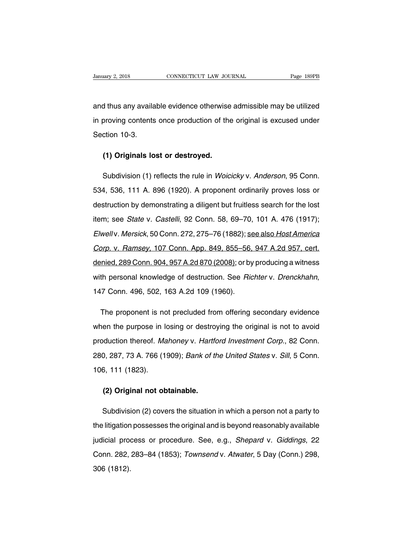Vanuary 2, 2018 CONNECTICUT LAW JOURNAL Page 189PB<br>
and thus any available evidence otherwise admissible may be utilized<br>
in proving contents once production of the original is excused under January 2, 2018 CONNECTICUT LAW JOURNAL Page 189PB<br>and thus any available evidence otherwise admissible may be utilized<br>in proving contents once production of the original is excused under<br>Section 10-3. and thus any availa<br>
in proving contents<br>
Section 10-3.<br>
(1) Originals La (1) Originals lost or destroyed.<br>
(1) Originals lost or destroyed.<br>
(1) Originals lost or destroyed.

Shoving contents once production of the original is excused under<br>ction 10-3.<br>(1) Originals lost or destroyed.<br>Subdivision (1) reflects the rule in *Woicicky* v. Anderson, 95 Conn.<br>4, 536, 111 A. 896 (1920). A proponent or (1) Originals lost or destroyed.<br>
Subdivision (1) reflects the rule in *Woicicky* v. Anderson, 95 Conn.<br>
534, 536, 111 A. 896 (1920). A proponent ordinarily proves loss or<br>
destruction by demonstrating a diligent but fruit (1) Originals lost or destroyed.<br>
Subdivision (1) reflects the rule in *Woicicky v. Anderson*, 95 Conn.<br>
534, 536, 111 A. 896 (1920). A proponent ordinarily proves loss or<br>
destruction by demonstrating a diligent but frui Subdivision (1) reflects the rule in *Woicicky* v. *Anderson*, 95 Conn.<br>534, 536, 111 A. 896 (1920). A proponent ordinarily proves loss or<br>destruction by demonstrating a diligent but fruitless search for the lost<br>item; see Elementary (7) Final and an extrementary of the term and start and start and start and start and start and destruction by demonstrating a diligent but fruitless search for the lost item; see *State* v. *Castelli*, 92 Conn. destruction by demonstrating a diligent but fruitless search for the lost<br>item; see *State* v. *Castelli*, 92 Conn. 58, 69–70, 101 A. 476 (1917);<br>*Elwellv. Mersick*, 50 Conn. 272, 275–76 (1882); <u>see also Host America</u><br>Cor denied, 289 Conn. 272, 275–76 (1882); see also Host America<br>
denied, 289 Conn. 272, 275–76 (1882); see also Host America<br>
Corp. v. Ramsey, 107 Conn. App. 849, 855–56, 947 A.2d 957, cert.<br>
denied, 289 Conn. 904, 957 A.2d 87 Elwell v. Mersick, 50 Conn. 272, 275–76 (1882); <u>see also Host America</u><br>Corp. v. Ramsey, 107 Conn. App. 849, 855–56, 947 A.2d 957, cert.<br>denied, 289 Conn. 904, 957 A.2d 870 (2008); or by producing a witness<br>with personal k inied, 289 Conn. 904, 957 A.2d 870 (2008); or by producing a witness<br>th personal knowledge of destruction. See *Richter* v. *Drenckhahn*,<br>7 Conn. 496, 502, 163 A.2d 109 (1960).<br>The proponent is not precluded from offering

with personal knowledge of destruction. See *Richter* v. *Drenckhahn*,<br>147 Conn. 496, 502, 163 A.2d 109 (1960).<br>The proponent is not precluded from offering secondary evidence<br>when the purpose in losing or destroying the o 147 Conn. 496, 502, 163 A.2d 109 (1960).<br>The proponent is not precluded from offering secondary evidence<br>when the purpose in losing or destroying the original is not to avoid<br>production thereof. Mahoney v. Hartford Investm The proponent is not precluded from offering secondary evidence<br>when the purpose in losing or destroying the original is not to avoid<br>production thereof. Mahoney v. Hartford Investment Corp., 82 Conn.<br>280, 287, 73 A. 766 ( when the purpose in  $\mu$ <br>production thereof. *Ma*<br>280, 287, 73 A. 766 (1)<br>106, 111 (1823). **(2) Original not obtainable.**<br> **(2) Original not obtainable.**<br> **(2) Original not obtainable.** 

Subdivision (2) covers the situation in which a person not a party to<br>Subdivision (2) covers the situation in which a person not a party to<br>Ilitigation possesses the original and is beyond reasonably available (2) Original not obtainable.<br>
Subdivision (2) covers the situation in which a person not a party to<br>
the litigation possesses the original and is beyond reasonably available<br>
judicial process or procedure. See, e.g., *Shep* (2) Original not obtainable.<br>
Subdivision (2) covers the situation in which a person not a party to<br>
the litigation possesses the original and is beyond reasonably available<br>
judicial process or procedure. See, e.g., *Shep* Subdivision (2) covers the situation in which a person not a party to<br>the litigation possesses the original and is beyond reasonably available<br>judicial process or procedure. See, e.g., *Shepard v. Giddings*, 22<br>Conn. 282, the litigation<br>judicial prod<br>Conn. 282,<br>306 (1812).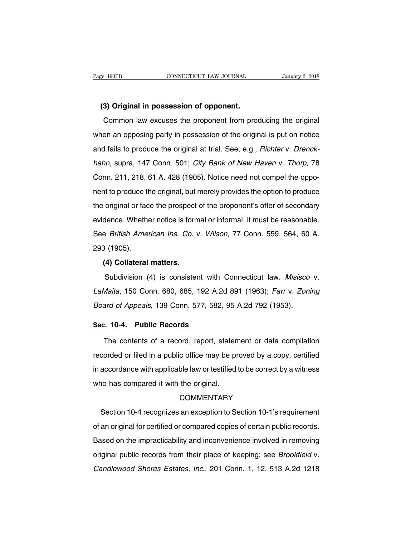**(3) Original in possession of opponent.** CONNECTICUT LAW JOURNAL *January 2, 2018*<br> **(a) Original in possession of opponent.**<br>
Common law excuses the proponent from producing the original<br>
en an opposing party in possession of the original is put on notice (3) Original in possession of opponent.<br>
Common law excuses the proponent from producing the original<br>
when an opposing party in possession of the original is put on notice<br>
and fails to produce the original at trial. See, (3) Original in possession of opponent.<br>Common law excuses the proponent from producing the original<br>when an opposing party in possession of the original is put on notice<br>and fails to produce the original at trial. See, e. Common law excuses the proponent from producing the original<br>when an opposing party in possession of the original is put on notice<br>and fails to produce the original at trial. See, e.g., *Richter v. Drenck-<br>hahn*, supra, 14 when an opposing party in possession of the original is put on notice<br>and fails to produce the original at trial. See, e.g., *Richter v. Drenck-*<br>hahn, supra, 147 Conn. 501; *City Bank of New Haven v. Thorp*, 78<br>Conn. 211, and fails to produce the original at trial. See, e.g., *Richter v. Drenck-hahn*, supra, 147 Conn. 501; *City Bank of New Haven v. Thorp*, 78 Conn. 211, 218, 61 A. 428 (1905). Notice need not compel the opponent to produce hahn, supra, 147 Conn. 501; *City Bank of New Haven v. Thorp*, 78<br>Conn. 211, 218, 61 A. 428 (1905). Notice need not compel the oppo-<br>nent to produce the original, but merely provides the option to produce<br>the original or f Framm, stepta, 117 Softh. Soft, Shy Bank of New Hatten V. History, 18<br>Conn. 211, 218, 61 A. 428 (1905). Notice need not compel the oppo-<br>nent to produce the original, but merely provides the option to produce<br>the original Serificant American Ins. Co. v. Wilson, 77 Conn. 559, 564, 60 A.<br>See *British American Ins. Co.* v. Wilson, 77 Conn. 559, 564, 60 A.<br>293 (1905). the original or factoric process if<br>the original or factoric evidence. Whether<br>See *British Amer*<br>293 (1905).<br>**(4) Collateral** dence. Whether notice is form<br>e *British American Ins. Co.* \<br>3 (1905).<br>**(4) Collateral matters.**<br>Subdivision (4) is consister British American Ins. Co. v. Wilson, 77 Conn. 559, 564, 60 A.<br>
8 (1905).<br>
(4) Collateral matters.<br>
Subdivision (4) is consistent with Connecticut law. Misisco v.<br>
Maita, 150 Conn. 680, 685, 192 A.2d 891 (1963); Farr v. Zon

Lamain mathes in the set of the set of the set of the set of the set of the 293 (1905).<br> **(4) Collateral matters.**<br>
Subdivision (4) is consistent with Connecticut law. Misisco v.<br>
LaMaita, 150 Conn. 680, 685, 192 A.2d 891 (4) Collateral matters.<br>
Subdivision (4) is consistent with Connecticut law. Misisco<br>
LaMaita, 150 Conn. 680, 685, 192 A.2d 891 (1963); Farr v. Zoni<br>
Board of Appeals, 139 Conn. 577, 582, 95 A.2d 792 (1953). Subdivision (4) is consistent with (<br>
LaMaita, 150 Conn. 680, 685, 192 A.2d<br> *Board of Appeals*, 139 Conn. 577, 582,<br> **Sec. 10-4. Public Records**<br>
The contents of a record, report, sta Maita, 150 Conn. 680, 685, 192 A.2d 891 (1963); *Farr v. Zoning*<br>ard of Appeals, 139 Conn. 577, 582, 95 A.2d 792 (1953).<br>**10-4. Public Records**<br>The contents of a record, report, statement or data compilation<br>orded or filed

Board of Appeals, 139 Conn. 577, 582, 95 A.2d 792 (1953).<br> **Sec. 10-4. Public Records**<br>
The contents of a record, report, statement or data compilation<br>
recorded or filed in a public office may be proved by a copy, certifi Sec. 10-4. Public Records<br>The contents of a record, report, statement or data compilation<br>recorded or filed in a public office may be proved by a copy, certified<br>in accordance with applicable law or testified to be correct The contents of a record, report, statement or data compilation<br>recorded or filed in a public office may be proved by a copy, certified<br>in accordance with applicable law or testified to be correct by a witness<br>who has comp Section 10-4 recognizes an exception to Section 10-1's requirement<br>and original.<br>Section 10-4 recognizes an exception to Section 10-1's requirement<br>an original for certified or compared copies of certain public records.

## COMMENTARY

m association with application and original.<br>
COMMENTARY<br>
Section 10-4 recognizes an exception to Section 10-1's requirement<br>
of an original for certified or compared copies of certain public records.<br>
Based on the impract COMMENTARY<br>
Section 10-4 recognizes an exception to Section 10-1's requirement<br>
of an original for certified or compared copies of certain public records.<br>
Based on the impracticability and inconvenience involved in removi Section 10-4 recognizes an exception to Section 10-1's requirement<br>of an original for certified or compared copies of certain public records.<br>Based on the impracticability and inconvenience involved in removing<br>original pu of an original for certified or compared copies of certain public records.<br>Based on the impracticability and inconvenience involved in removing<br>original public records from their place of keeping; see *Brookfield* v.<br>Candl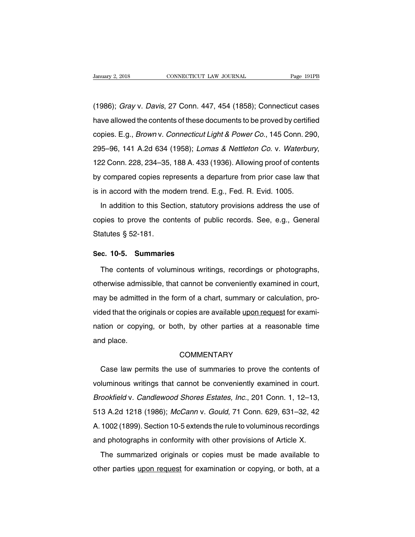Vanuary 2, 2018 CONNECTICUT LAW JOURNAL Page 191PB<br>
(1986); Gray v. Davis, 27 Conn. 447, 454 (1858); Connecticut cases<br>
have allowed the contents of these documents to be proved by certified January 2, 2018 CONNECTICUT LAW JOURNAL Page 191PB<br>
(1986); Gray v. Davis, 27 Conn. 447, 454 (1858); Connecticut cases<br>
have allowed the contents of these documents to be proved by certified<br>
copies. E.g., *Brown* v. *Conn* (1986); *Gray v. Davis, 27 Conn. 447, 454 (1858); Connecticut cases*<br>have allowed the contents of these documents to be proved by certified<br>copies. E.g., *Brown v. Connecticut Light & Power Co.*, 145 Conn. 290,<br>295–96, 141 (1986); *Gray v. Davis*, 27 Conn. 447, 454 (1858); Connecticut cases<br>have allowed the contents of these documents to be proved by certified<br>copies. E.g., *Brown v. Connecticut Light & Power Co.*, 145 Conn. 290,<br>295–96, 141 rave allowed the contents of these decambine to be proved by cortined<br>copies. E.g., *Brown v. Connecticut Light & Power Co.*, 145 Conn. 290,<br>295–96, 141 A.2d 634 (1958); *Lomas & Nettleton Co. v. Waterbury*,<br>122 Conn. 228, sopico. E.g., *Bromm*, composical Eigin a Power Co., 110 Comii. Ec<br>295–96, 141 A.2d 634 (1958); *Lomas & Nettleton Co.* v. *Waterbul*<br>122 Conn. 228, 234–35, 188 A. 433 (1936). Allowing proof of conten<br>by compared copies re In addition to this Section, statutory provisions address the use of pies to prove the contents of public records. See, e.g., General provisions at the use of pies to prove the contents of public records. See, e.g., Genera

comments, to the contents a departure from prior case law that<br>is in accord with the modern trend. E.g., Fed. R. Evid. 1005.<br>In addition to this Section, statutory provisions address the use of<br>copies to prove the contents  $\frac{1}{5}$  is in accord with the mo<br>In addition to this Sec<br>copies to prove the cor<br>Statutes § 52-181. In addition to this Section, statuto<br>
copies to prove the contents of pu<br>
Statutes § 52-181.<br> **Sec. 10-5. Summaries**<br>
The contents of voluminous writi pies to prove the contents of public records. See, e.g., General<br>atutes § 52-181.<br>c. 10-5. Summaries<br>The contents of voluminous writings, recordings or photographs,<br>nerwise admissible, that cannot be conveniently examined

Statutes § 52-181.<br>
Sec. 10-5. Summaries<br>
The contents of voluminous writings, recordings or photographs,<br>
otherwise admissible, that cannot be conveniently examined in court,<br>
may be admitted in the form of a chart, summa Sec. 10-5. Summaries<br>The contents of voluminous writings, recordings or photographs,<br>otherwise admissible, that cannot be conveniently examined in court,<br>may be admitted in the form of a chart, summary or calculation, pro-The contents of voluminous writings, recordings or photographs, otherwise admissible, that cannot be conveniently examined in court, may be admitted in the form of a chart, summary or calculation, provided that the origina nno contents or voluminous whange, recordings or priotegraphs,<br>otherwise admissible, that cannot be conveniently examined in court,<br>may be admitted in the form of a chart, summary or calculation, pro-<br>vided that the origin onformed damit<br>may be admitted<br>vided that the ori<br>nation or copyin<br>and place. Case law permits the use of summaries to prove the contents of luminous writings that cannot be conveniently examined in court.

## **COMMENTARY**

value of supplying, or soult, by early particle at a readernable time<br>and place.<br>COMMENTARY<br>Case law permits the use of summaries to prove the contents of<br>voluminous writings that cannot be conveniently examined in court.<br> COMMENTARY<br>Case law permits the use of summaries to prove the contents of<br>voluminous writings that cannot be conveniently examined in court.<br>Brookfield v. Candlewood Shores Estates, Inc., 201 Conn. 1, 12–13,<br>513 A.2d 1218 Case law permits the use of summaries to prove the contents of<br>voluminous writings that cannot be conveniently examined in court.<br>Brookfield v. Candlewood Shores Estates, Inc., 201 Conn. 1, 12–13,<br>513 A.2d 1218 (1986); McC voluminous writings that cannot be conveniently examined in court.<br>Brookfield v. Candlewood Shores Estates, Inc., 201 Conn. 1, 12–13,<br>513 A.2d 1218 (1986); McCann v. Gould, 71 Conn. 629, 631–32, 42<br>A. 1002 (1899). Section Brookfield v. Candlewood Shores Estates, Inc., 201 Conn. 1, 12–13,<br>513 A.2d 1218 (1986); McCann v. Gould, 71 Conn. 629, 631–32, 42<br>A. 1002 (1899). Section 10-5 extends the rule to voluminous recordings<br>and photographs in c 3 A.2d 1218 (1986); *McCann v. Gould*, 71 Conn. 629, 631-32, 42<br>1002 (1899). Section 10-5 extends the rule to voluminous recordings<br>id photographs in conformity with other provisions of Article X.<br>The summarized originals other the retro (1999). Section 10-5 extends the rule to voluminous recordings<br>and photographs in conformity with other provisions of Article X.<br>The summarized originals or copies must be made available to<br>other parties up